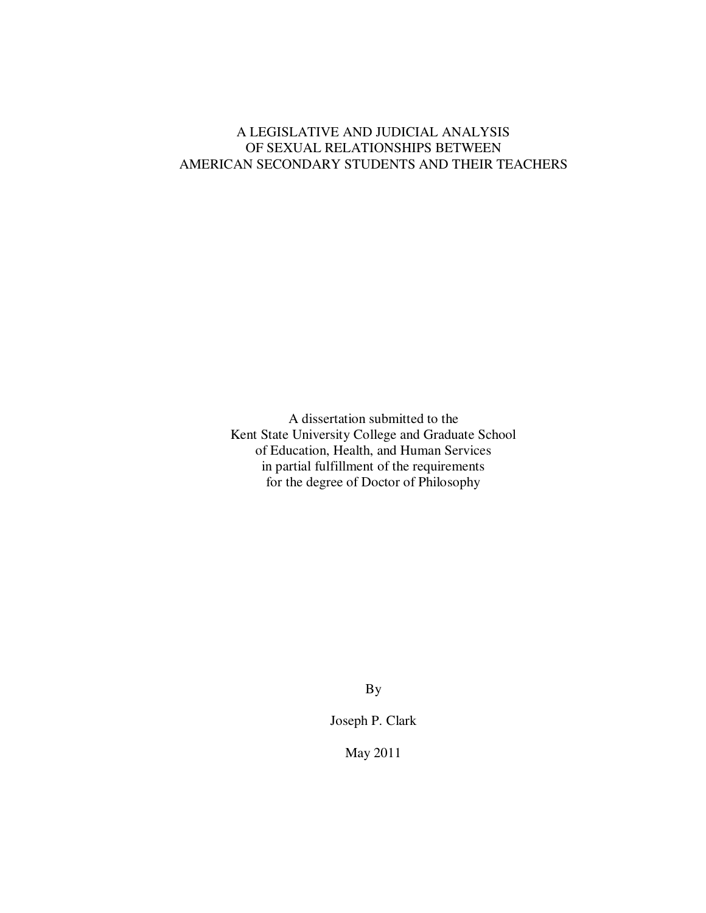# A LEGISLATIVE AND JUDICIAL ANALYSIS OF SEXUAL RELATIONSHIPS BETWEEN AMERICAN SECONDARY STUDENTS AND THEIR TEACHERS

A dissertation submitted to the Kent State University College and Graduate School of Education, Health, and Human Services in partial fulfillment of the requirements for the degree of Doctor of Philosophy

By

Joseph P. Clark

May 2011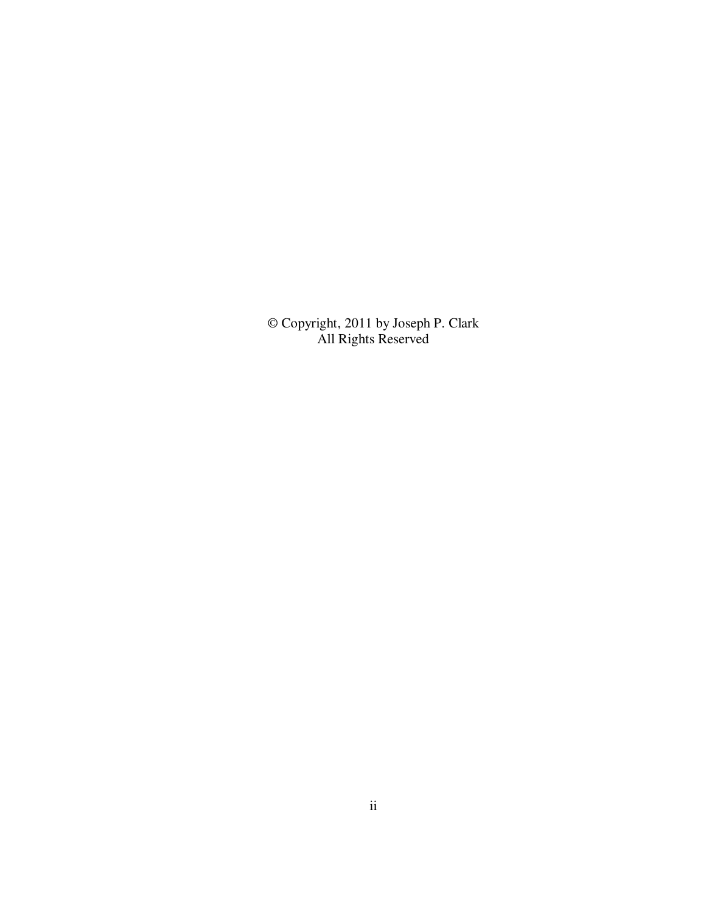© Copyright, 2011 by Joseph P. Clark All Rights Reserved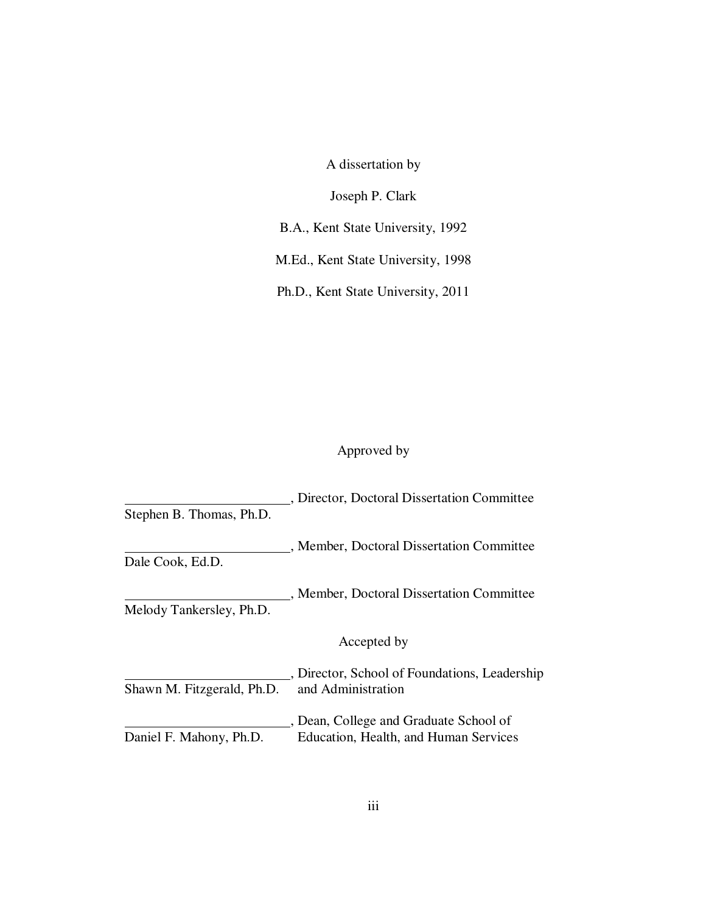A dissertation by

Joseph P. Clark

B.A., Kent State University, 1992

M.Ed., Kent State University, 1998

Ph.D., Kent State University, 2011

# Approved by

|                            | , Director, Doctoral Dissertation Committee   |
|----------------------------|-----------------------------------------------|
| Stephen B. Thomas, Ph.D.   |                                               |
|                            | " Member, Doctoral Dissertation Committee     |
| Dale Cook, Ed.D.           |                                               |
|                            | , Member, Doctoral Dissertation Committee     |
| Melody Tankersley, Ph.D.   |                                               |
|                            | Accepted by                                   |
|                            | , Director, School of Foundations, Leadership |
| Shawn M. Fitzgerald, Ph.D. | and Administration                            |
|                            | Dean, College and Graduate School of          |
| Daniel F. Mahony, Ph.D.    | Education, Health, and Human Services         |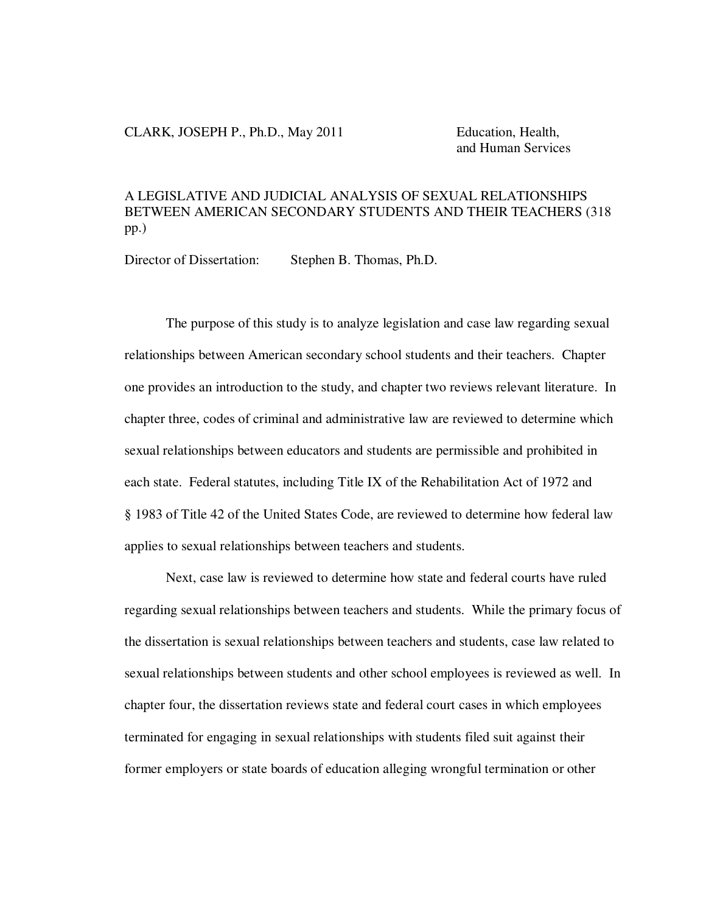## CLARK, JOSEPH P., Ph.D., May 2011 Education, Health,

and Human Services

# A LEGISLATIVE AND JUDICIAL ANALYSIS OF SEXUAL RELATIONSHIPS BETWEEN AMERICAN SECONDARY STUDENTS AND THEIR TEACHERS (318 pp.)

Director of Dissertation: Stephen B. Thomas, Ph.D.

The purpose of this study is to analyze legislation and case law regarding sexual relationships between American secondary school students and their teachers. Chapter one provides an introduction to the study, and chapter two reviews relevant literature. In chapter three, codes of criminal and administrative law are reviewed to determine which sexual relationships between educators and students are permissible and prohibited in each state. Federal statutes, including Title IX of the Rehabilitation Act of 1972 and § 1983 of Title 42 of the United States Code, are reviewed to determine how federal law applies to sexual relationships between teachers and students.

Next, case law is reviewed to determine how state and federal courts have ruled regarding sexual relationships between teachers and students. While the primary focus of the dissertation is sexual relationships between teachers and students, case law related to sexual relationships between students and other school employees is reviewed as well. In chapter four, the dissertation reviews state and federal court cases in which employees terminated for engaging in sexual relationships with students filed suit against their former employers or state boards of education alleging wrongful termination or other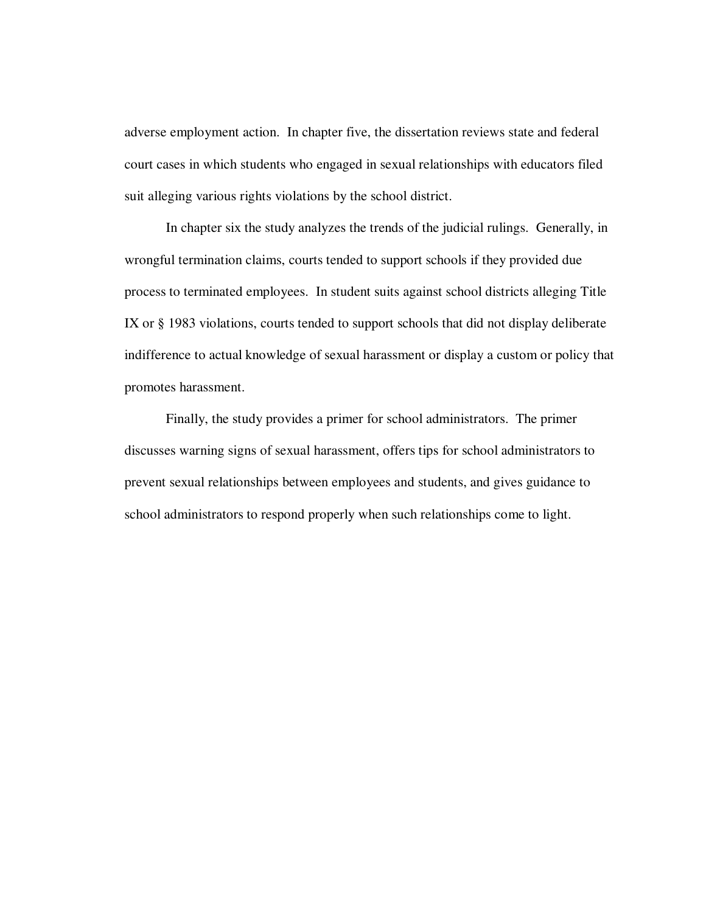adverse employment action. In chapter five, the dissertation reviews state and federal court cases in which students who engaged in sexual relationships with educators filed suit alleging various rights violations by the school district.

In chapter six the study analyzes the trends of the judicial rulings. Generally, in wrongful termination claims, courts tended to support schools if they provided due process to terminated employees. In student suits against school districts alleging Title IX or § 1983 violations, courts tended to support schools that did not display deliberate indifference to actual knowledge of sexual harassment or display a custom or policy that promotes harassment.

Finally, the study provides a primer for school administrators. The primer discusses warning signs of sexual harassment, offers tips for school administrators to prevent sexual relationships between employees and students, and gives guidance to school administrators to respond properly when such relationships come to light.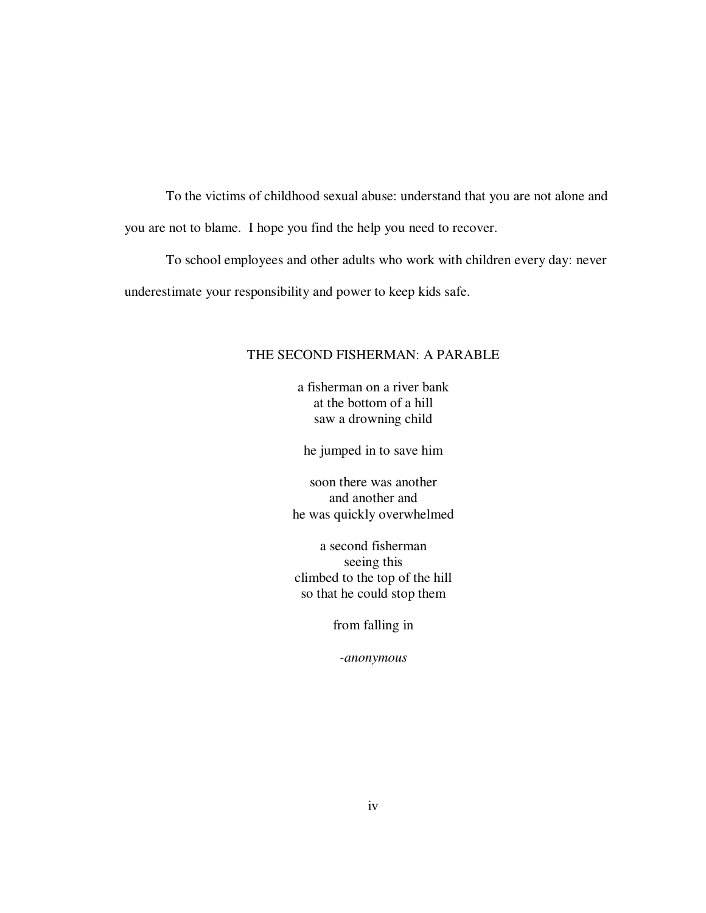To the victims of childhood sexual abuse: understand that you are not alone and you are not to blame. I hope you find the help you need to recover.

To school employees and other adults who work with children every day: never underestimate your responsibility and power to keep kids safe.

# THE SECOND FISHERMAN: A PARABLE

a fisherman on a river bank at the bottom of a hill saw a drowning child

he jumped in to save him

soon there was another and another and he was quickly overwhelmed

a second fisherman seeing this climbed to the top of the hill so that he could stop them

from falling in

*-anonymous*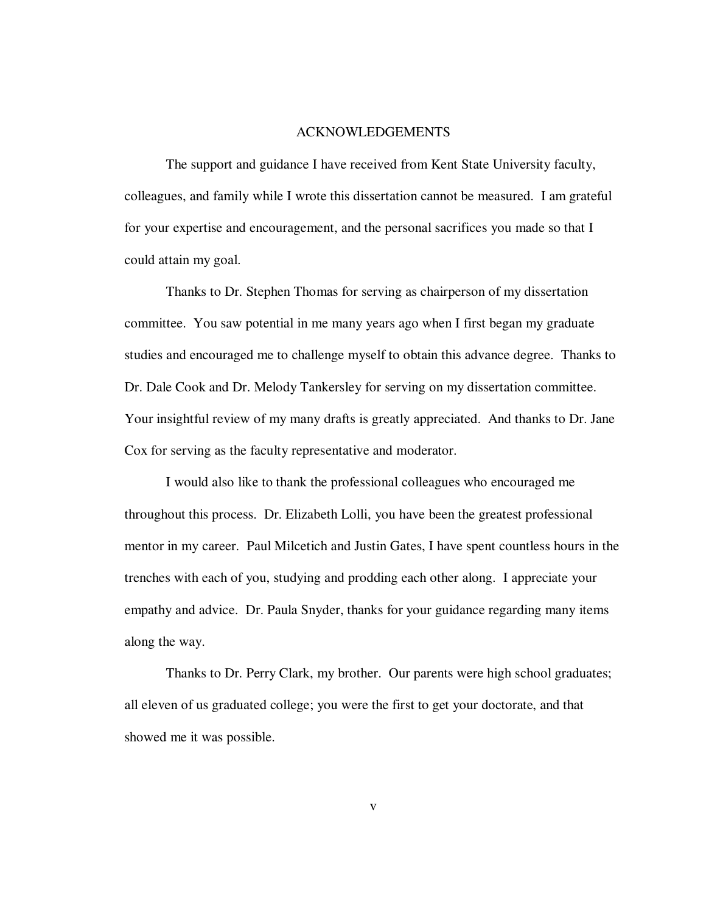#### ACKNOWLEDGEMENTS

 The support and guidance I have received from Kent State University faculty, colleagues, and family while I wrote this dissertation cannot be measured. I am grateful for your expertise and encouragement, and the personal sacrifices you made so that I could attain my goal.

 Thanks to Dr. Stephen Thomas for serving as chairperson of my dissertation committee. You saw potential in me many years ago when I first began my graduate studies and encouraged me to challenge myself to obtain this advance degree. Thanks to Dr. Dale Cook and Dr. Melody Tankersley for serving on my dissertation committee. Your insightful review of my many drafts is greatly appreciated. And thanks to Dr. Jane Cox for serving as the faculty representative and moderator.

 I would also like to thank the professional colleagues who encouraged me throughout this process. Dr. Elizabeth Lolli, you have been the greatest professional mentor in my career. Paul Milcetich and Justin Gates, I have spent countless hours in the trenches with each of you, studying and prodding each other along. I appreciate your empathy and advice. Dr. Paula Snyder, thanks for your guidance regarding many items along the way.

 Thanks to Dr. Perry Clark, my brother. Our parents were high school graduates; all eleven of us graduated college; you were the first to get your doctorate, and that showed me it was possible.

v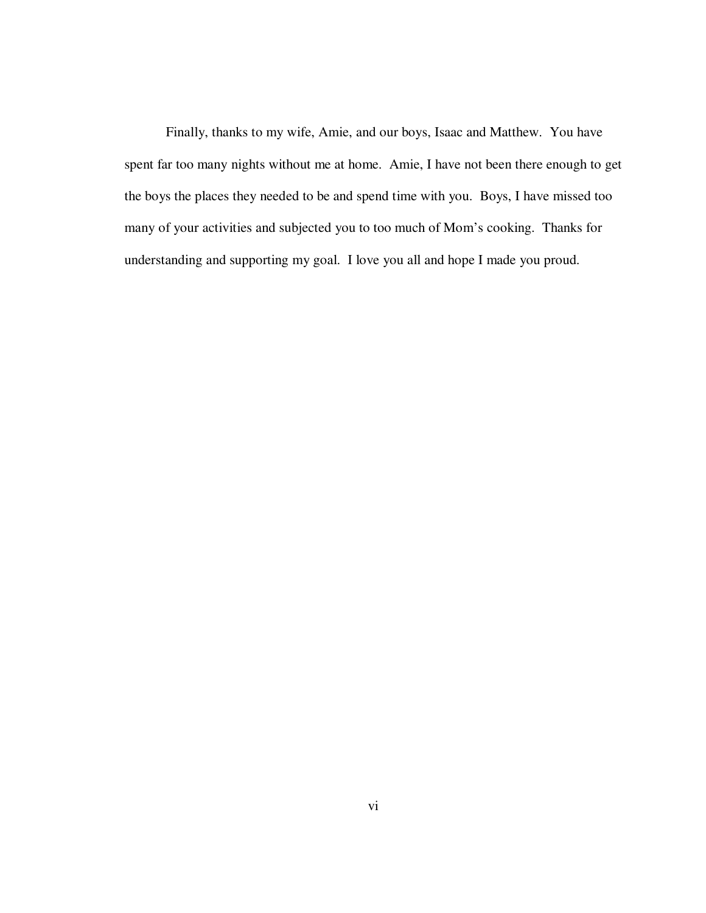Finally, thanks to my wife, Amie, and our boys, Isaac and Matthew. You have spent far too many nights without me at home. Amie, I have not been there enough to get the boys the places they needed to be and spend time with you. Boys, I have missed too many of your activities and subjected you to too much of Mom's cooking. Thanks for understanding and supporting my goal. I love you all and hope I made you proud.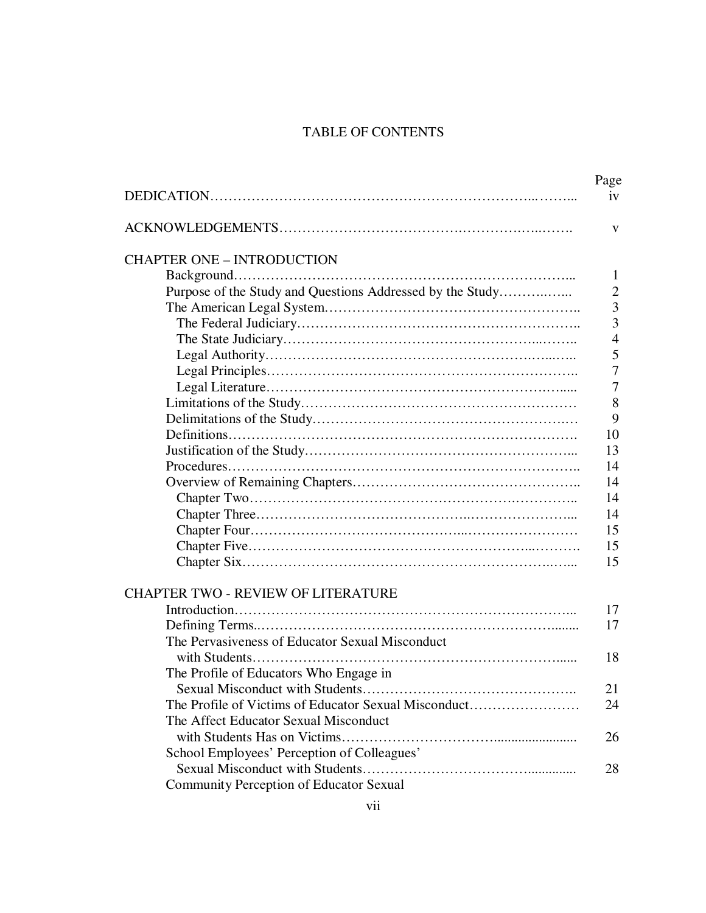# TABLE OF CONTENTS

| V<br>1<br>Purpose of the Study and Questions Addressed by the Study<br>$\overline{2}$<br>3<br>3<br>$\overline{4}$<br>5<br>7<br>7<br>8<br>9<br>10<br>13<br>14<br>14<br>14<br>14<br>15<br>15<br>15<br>17<br>17<br>The Pervasiveness of Educator Sexual Misconduct<br>18<br>The Profile of Educators Who Engage in<br>21<br>The Profile of Victims of Educator Sexual Misconduct<br>24<br>The Affect Educator Sexual Misconduct<br>26<br>School Employees' Perception of Colleagues'<br>28<br><b>Community Perception of Educator Sexual</b> |                                           | Page<br>1V |
|-------------------------------------------------------------------------------------------------------------------------------------------------------------------------------------------------------------------------------------------------------------------------------------------------------------------------------------------------------------------------------------------------------------------------------------------------------------------------------------------------------------------------------------------|-------------------------------------------|------------|
|                                                                                                                                                                                                                                                                                                                                                                                                                                                                                                                                           |                                           |            |
|                                                                                                                                                                                                                                                                                                                                                                                                                                                                                                                                           | <b>CHAPTER ONE - INTRODUCTION</b>         |            |
|                                                                                                                                                                                                                                                                                                                                                                                                                                                                                                                                           |                                           |            |
|                                                                                                                                                                                                                                                                                                                                                                                                                                                                                                                                           |                                           |            |
|                                                                                                                                                                                                                                                                                                                                                                                                                                                                                                                                           |                                           |            |
|                                                                                                                                                                                                                                                                                                                                                                                                                                                                                                                                           |                                           |            |
|                                                                                                                                                                                                                                                                                                                                                                                                                                                                                                                                           |                                           |            |
|                                                                                                                                                                                                                                                                                                                                                                                                                                                                                                                                           |                                           |            |
|                                                                                                                                                                                                                                                                                                                                                                                                                                                                                                                                           |                                           |            |
|                                                                                                                                                                                                                                                                                                                                                                                                                                                                                                                                           |                                           |            |
|                                                                                                                                                                                                                                                                                                                                                                                                                                                                                                                                           |                                           |            |
|                                                                                                                                                                                                                                                                                                                                                                                                                                                                                                                                           |                                           |            |
|                                                                                                                                                                                                                                                                                                                                                                                                                                                                                                                                           |                                           |            |
|                                                                                                                                                                                                                                                                                                                                                                                                                                                                                                                                           |                                           |            |
|                                                                                                                                                                                                                                                                                                                                                                                                                                                                                                                                           |                                           |            |
|                                                                                                                                                                                                                                                                                                                                                                                                                                                                                                                                           |                                           |            |
|                                                                                                                                                                                                                                                                                                                                                                                                                                                                                                                                           |                                           |            |
|                                                                                                                                                                                                                                                                                                                                                                                                                                                                                                                                           |                                           |            |
|                                                                                                                                                                                                                                                                                                                                                                                                                                                                                                                                           |                                           |            |
|                                                                                                                                                                                                                                                                                                                                                                                                                                                                                                                                           |                                           |            |
|                                                                                                                                                                                                                                                                                                                                                                                                                                                                                                                                           |                                           |            |
|                                                                                                                                                                                                                                                                                                                                                                                                                                                                                                                                           |                                           |            |
|                                                                                                                                                                                                                                                                                                                                                                                                                                                                                                                                           | <b>CHAPTER TWO - REVIEW OF LITERATURE</b> |            |
|                                                                                                                                                                                                                                                                                                                                                                                                                                                                                                                                           |                                           |            |
|                                                                                                                                                                                                                                                                                                                                                                                                                                                                                                                                           |                                           |            |
|                                                                                                                                                                                                                                                                                                                                                                                                                                                                                                                                           |                                           |            |
|                                                                                                                                                                                                                                                                                                                                                                                                                                                                                                                                           |                                           |            |
|                                                                                                                                                                                                                                                                                                                                                                                                                                                                                                                                           |                                           |            |
|                                                                                                                                                                                                                                                                                                                                                                                                                                                                                                                                           |                                           |            |
|                                                                                                                                                                                                                                                                                                                                                                                                                                                                                                                                           |                                           |            |
|                                                                                                                                                                                                                                                                                                                                                                                                                                                                                                                                           |                                           |            |
|                                                                                                                                                                                                                                                                                                                                                                                                                                                                                                                                           |                                           |            |
|                                                                                                                                                                                                                                                                                                                                                                                                                                                                                                                                           |                                           |            |
|                                                                                                                                                                                                                                                                                                                                                                                                                                                                                                                                           |                                           |            |
|                                                                                                                                                                                                                                                                                                                                                                                                                                                                                                                                           |                                           |            |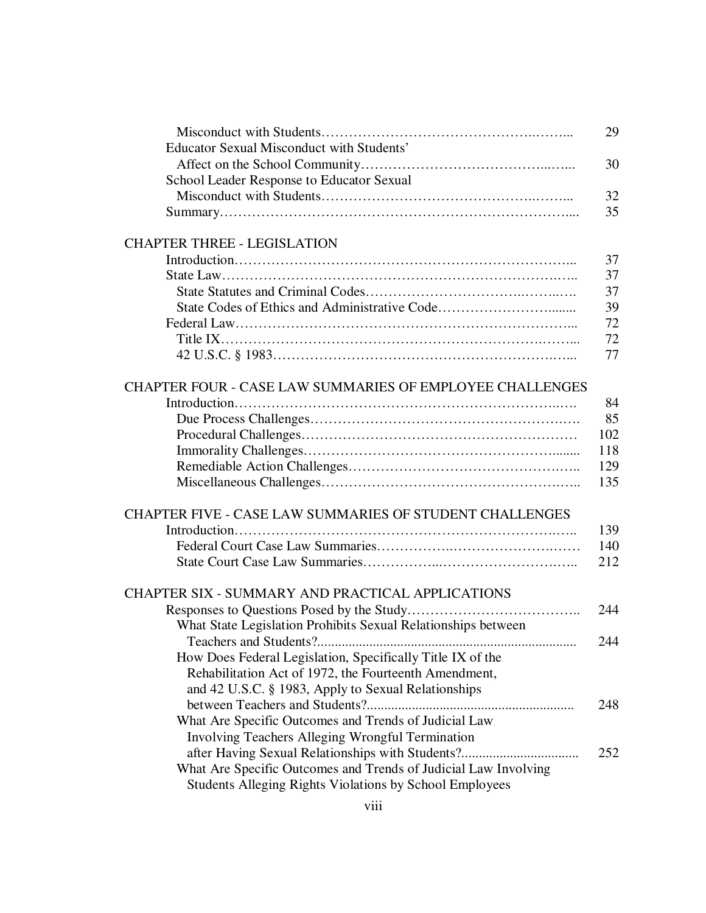|                                                                 | 29  |
|-----------------------------------------------------------------|-----|
| Educator Sexual Misconduct with Students'                       |     |
|                                                                 | 30  |
| School Leader Response to Educator Sexual                       |     |
|                                                                 | 32  |
|                                                                 | 35  |
| <b>CHAPTER THREE - LEGISLATION</b>                              |     |
|                                                                 | 37  |
|                                                                 | 37  |
|                                                                 | 37  |
|                                                                 | 39  |
|                                                                 | 72  |
|                                                                 | 72  |
|                                                                 | 77  |
| <b>CHAPTER FOUR - CASE LAW SUMMARIES OF EMPLOYEE CHALLENGES</b> |     |
|                                                                 | 84  |
|                                                                 | 85  |
|                                                                 | 102 |
|                                                                 | 118 |
|                                                                 | 129 |
|                                                                 | 135 |
| <b>CHAPTER FIVE - CASE LAW SUMMARIES OF STUDENT CHALLENGES</b>  |     |
|                                                                 | 139 |
|                                                                 | 140 |
|                                                                 | 212 |
|                                                                 |     |
| CHAPTER SIX - SUMMARY AND PRACTICAL APPLICATIONS                |     |
|                                                                 | 244 |
| What State Legislation Prohibits Sexual Relationships between   |     |
| Teachers and Students?                                          | 244 |
| How Does Federal Legislation, Specifically Title IX of the      |     |
| Rehabilitation Act of 1972, the Fourteenth Amendment,           |     |
| and 42 U.S.C. § 1983, Apply to Sexual Relationships             |     |
|                                                                 | 248 |
| What Are Specific Outcomes and Trends of Judicial Law           |     |
| <b>Involving Teachers Alleging Wrongful Termination</b>         |     |
|                                                                 | 252 |
| What Are Specific Outcomes and Trends of Judicial Law Involving |     |
| Students Alleging Rights Violations by School Employees         |     |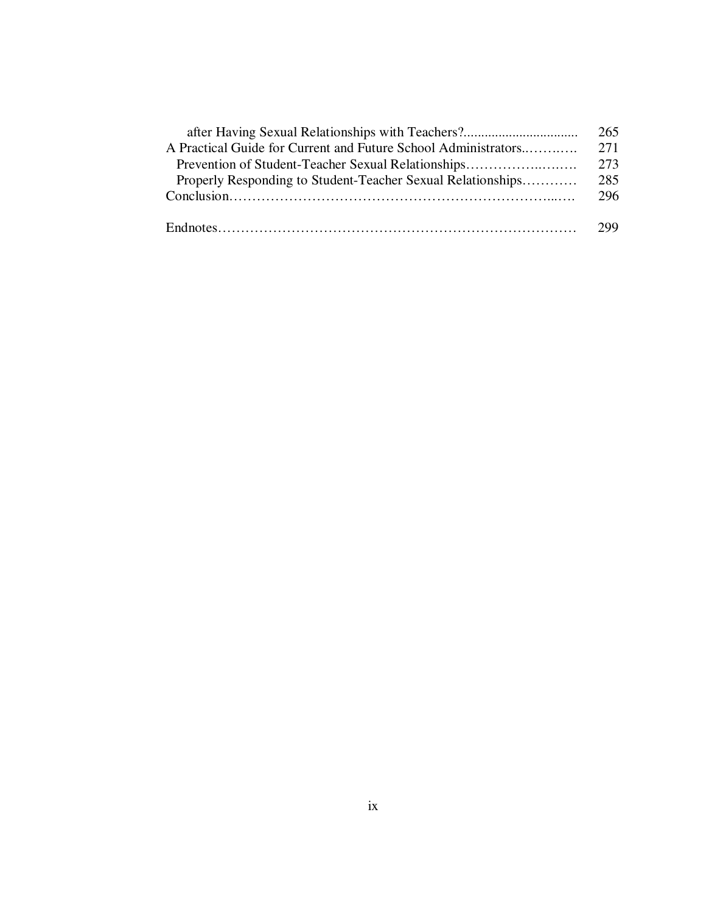|                                                                | 265 |
|----------------------------------------------------------------|-----|
| A Practical Guide for Current and Future School Administrators |     |
| Prevention of Student-Teacher Sexual Relationships             |     |
| Properly Responding to Student-Teacher Sexual Relationships    | 285 |
|                                                                |     |
|                                                                | 299 |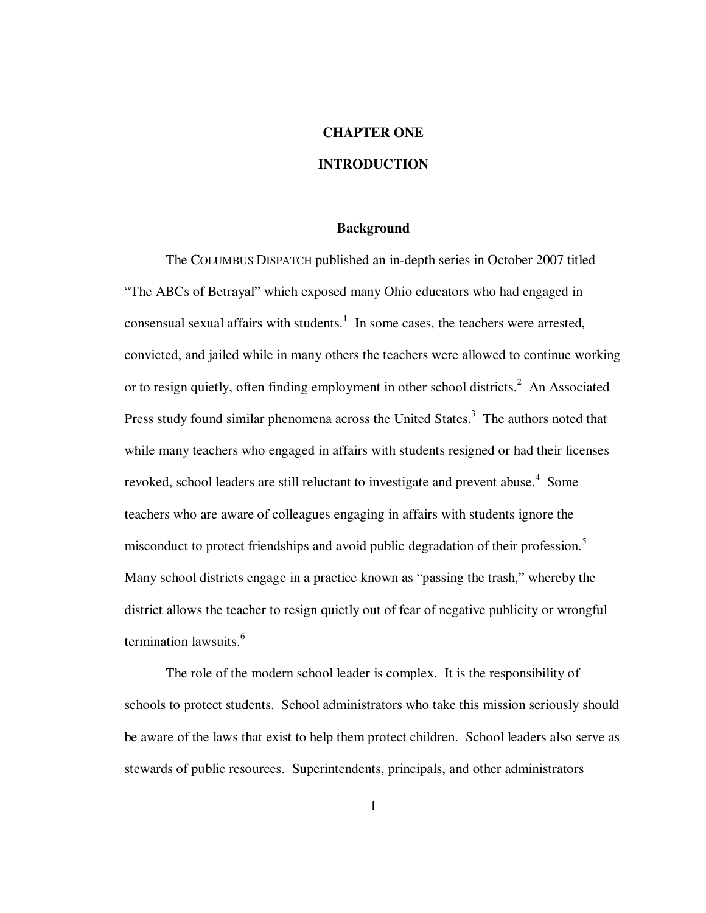# **CHAPTER ONE**

# **INTRODUCTION**

#### **Background**

 The COLUMBUS DISPATCH published an in-depth series in October 2007 titled "The ABCs of Betrayal" which exposed many Ohio educators who had engaged in consensual sexual affairs with students.<sup>1</sup> In some cases, the teachers were arrested, convicted, and jailed while in many others the teachers were allowed to continue working or to resign quietly, often finding employment in other school districts.<sup>2</sup> An Associated Press study found similar phenomena across the United States.<sup>3</sup> The authors noted that while many teachers who engaged in affairs with students resigned or had their licenses revoked, school leaders are still reluctant to investigate and prevent abuse.<sup>4</sup> Some teachers who are aware of colleagues engaging in affairs with students ignore the misconduct to protect friendships and avoid public degradation of their profession.<sup>5</sup> Many school districts engage in a practice known as "passing the trash," whereby the district allows the teacher to resign quietly out of fear of negative publicity or wrongful termination lawsuits.<sup>6</sup>

 The role of the modern school leader is complex. It is the responsibility of schools to protect students. School administrators who take this mission seriously should be aware of the laws that exist to help them protect children. School leaders also serve as stewards of public resources. Superintendents, principals, and other administrators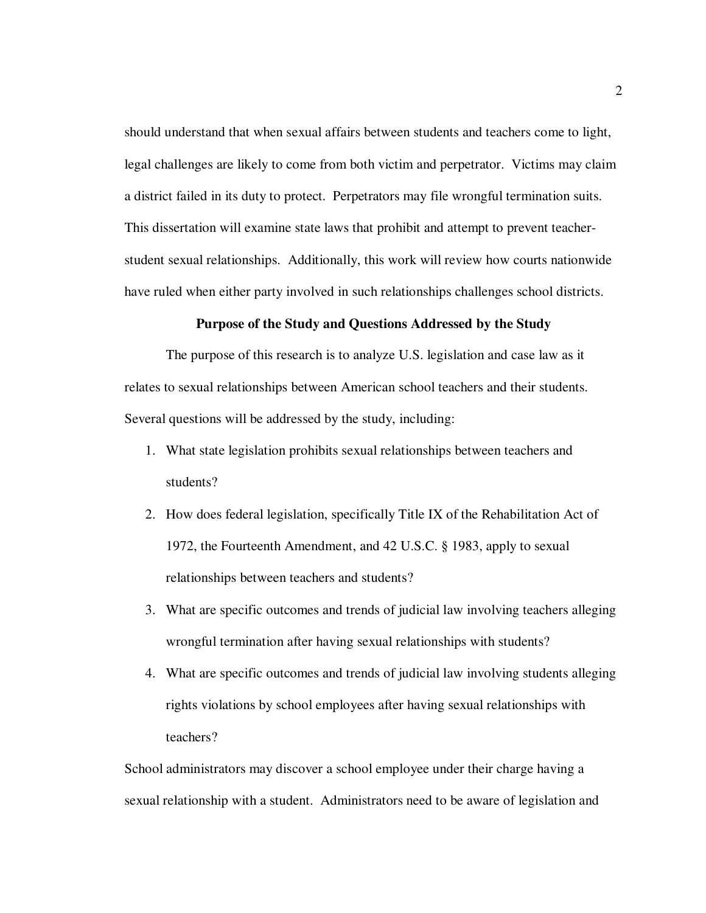should understand that when sexual affairs between students and teachers come to light, legal challenges are likely to come from both victim and perpetrator. Victims may claim a district failed in its duty to protect. Perpetrators may file wrongful termination suits. This dissertation will examine state laws that prohibit and attempt to prevent teacherstudent sexual relationships. Additionally, this work will review how courts nationwide have ruled when either party involved in such relationships challenges school districts.

## **Purpose of the Study and Questions Addressed by the Study**

 The purpose of this research is to analyze U.S. legislation and case law as it relates to sexual relationships between American school teachers and their students. Several questions will be addressed by the study, including:

- 1. What state legislation prohibits sexual relationships between teachers and students?
- 2. How does federal legislation, specifically Title IX of the Rehabilitation Act of 1972, the Fourteenth Amendment, and 42 U.S.C. § 1983, apply to sexual relationships between teachers and students?
- 3. What are specific outcomes and trends of judicial law involving teachers alleging wrongful termination after having sexual relationships with students?
- 4. What are specific outcomes and trends of judicial law involving students alleging rights violations by school employees after having sexual relationships with teachers?

School administrators may discover a school employee under their charge having a sexual relationship with a student. Administrators need to be aware of legislation and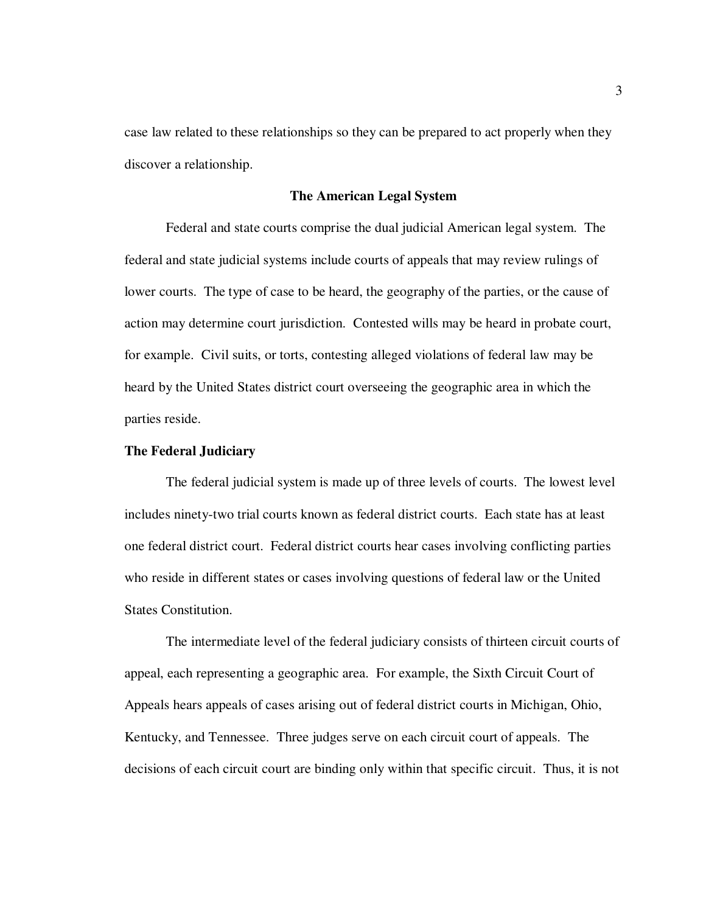case law related to these relationships so they can be prepared to act properly when they discover a relationship.

### **The American Legal System**

 Federal and state courts comprise the dual judicial American legal system. The federal and state judicial systems include courts of appeals that may review rulings of lower courts. The type of case to be heard, the geography of the parties, or the cause of action may determine court jurisdiction. Contested wills may be heard in probate court, for example. Civil suits, or torts, contesting alleged violations of federal law may be heard by the United States district court overseeing the geographic area in which the parties reside.

#### **The Federal Judiciary**

The federal judicial system is made up of three levels of courts. The lowest level includes ninety-two trial courts known as federal district courts. Each state has at least one federal district court. Federal district courts hear cases involving conflicting parties who reside in different states or cases involving questions of federal law or the United States Constitution.

 The intermediate level of the federal judiciary consists of thirteen circuit courts of appeal, each representing a geographic area. For example, the Sixth Circuit Court of Appeals hears appeals of cases arising out of federal district courts in Michigan, Ohio, Kentucky, and Tennessee. Three judges serve on each circuit court of appeals. The decisions of each circuit court are binding only within that specific circuit. Thus, it is not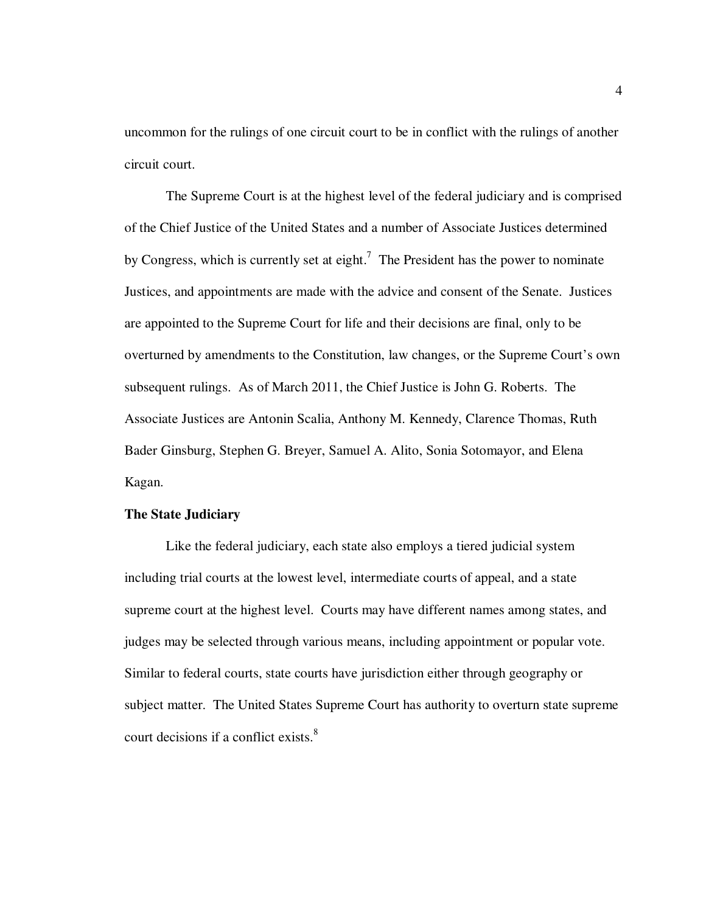uncommon for the rulings of one circuit court to be in conflict with the rulings of another circuit court.

The Supreme Court is at the highest level of the federal judiciary and is comprised of the Chief Justice of the United States and a number of Associate Justices determined by Congress, which is currently set at eight.<sup>7</sup> The President has the power to nominate Justices, and appointments are made with the advice and consent of the Senate. Justices are appointed to the Supreme Court for life and their decisions are final, only to be overturned by amendments to the Constitution, law changes, or the Supreme Court's own subsequent rulings. As of March 2011, the Chief Justice is John G. Roberts. The Associate Justices are Antonin Scalia, Anthony M. Kennedy, Clarence Thomas, Ruth Bader Ginsburg, Stephen G. Breyer, Samuel A. Alito, Sonia Sotomayor, and Elena Kagan.

## **The State Judiciary**

Like the federal judiciary, each state also employs a tiered judicial system including trial courts at the lowest level, intermediate courts of appeal, and a state supreme court at the highest level. Courts may have different names among states, and judges may be selected through various means, including appointment or popular vote. Similar to federal courts, state courts have jurisdiction either through geography or subject matter. The United States Supreme Court has authority to overturn state supreme court decisions if a conflict exists.<sup>8</sup>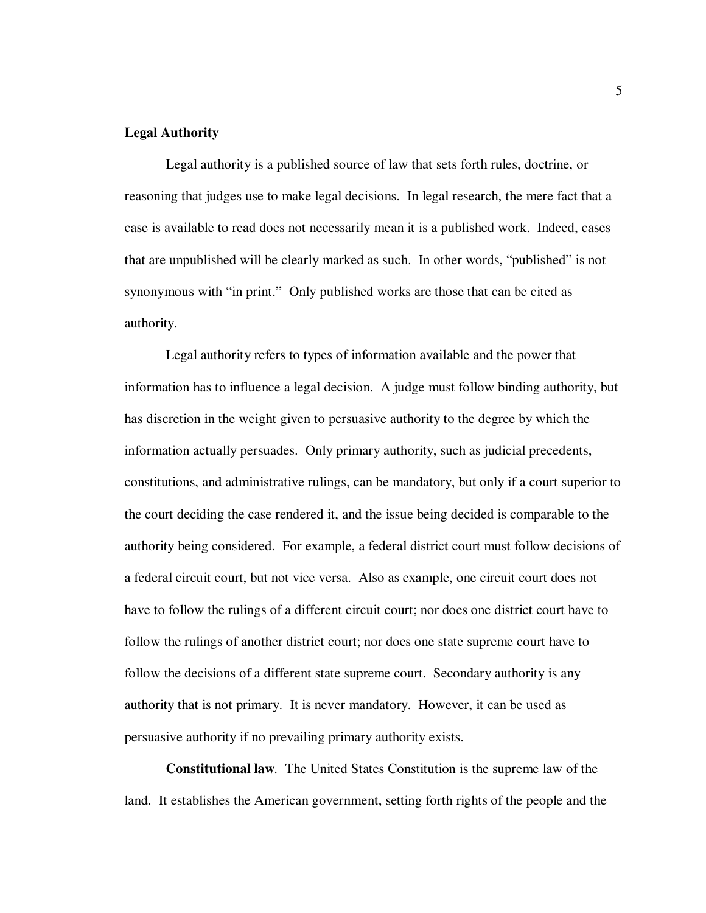# **Legal Authority**

Legal authority is a published source of law that sets forth rules, doctrine, or reasoning that judges use to make legal decisions. In legal research, the mere fact that a case is available to read does not necessarily mean it is a published work. Indeed, cases that are unpublished will be clearly marked as such. In other words, "published" is not synonymous with "in print." Only published works are those that can be cited as authority.

Legal authority refers to types of information available and the power that information has to influence a legal decision. A judge must follow binding authority, but has discretion in the weight given to persuasive authority to the degree by which the information actually persuades. Only primary authority, such as judicial precedents, constitutions, and administrative rulings, can be mandatory, but only if a court superior to the court deciding the case rendered it, and the issue being decided is comparable to the authority being considered. For example, a federal district court must follow decisions of a federal circuit court, but not vice versa. Also as example, one circuit court does not have to follow the rulings of a different circuit court; nor does one district court have to follow the rulings of another district court; nor does one state supreme court have to follow the decisions of a different state supreme court. Secondary authority is any authority that is not primary. It is never mandatory. However, it can be used as persuasive authority if no prevailing primary authority exists.

**Constitutional law***.* The United States Constitution is the supreme law of the land. It establishes the American government, setting forth rights of the people and the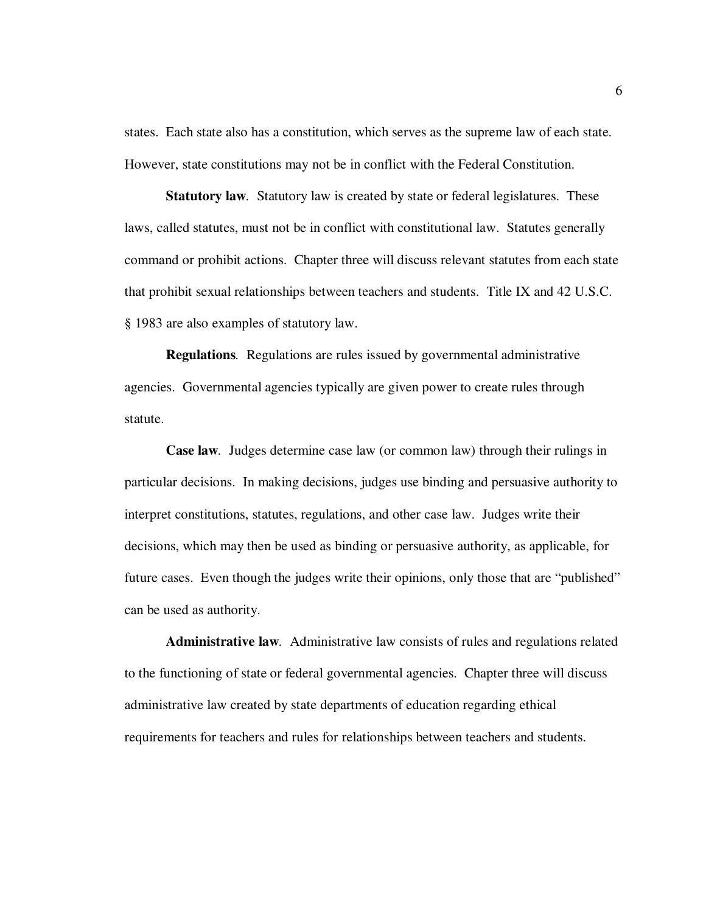states. Each state also has a constitution, which serves as the supreme law of each state. However, state constitutions may not be in conflict with the Federal Constitution.

**Statutory law***.* Statutory law is created by state or federal legislatures. These laws, called statutes, must not be in conflict with constitutional law. Statutes generally command or prohibit actions. Chapter three will discuss relevant statutes from each state that prohibit sexual relationships between teachers and students. Title IX and 42 U.S.C. § 1983 are also examples of statutory law.

**Regulations***.* Regulations are rules issued by governmental administrative agencies. Governmental agencies typically are given power to create rules through statute.

**Case law***.* Judges determine case law (or common law) through their rulings in particular decisions. In making decisions, judges use binding and persuasive authority to interpret constitutions, statutes, regulations, and other case law. Judges write their decisions, which may then be used as binding or persuasive authority, as applicable, for future cases. Even though the judges write their opinions, only those that are "published" can be used as authority.

**Administrative law***.* Administrative law consists of rules and regulations related to the functioning of state or federal governmental agencies. Chapter three will discuss administrative law created by state departments of education regarding ethical requirements for teachers and rules for relationships between teachers and students.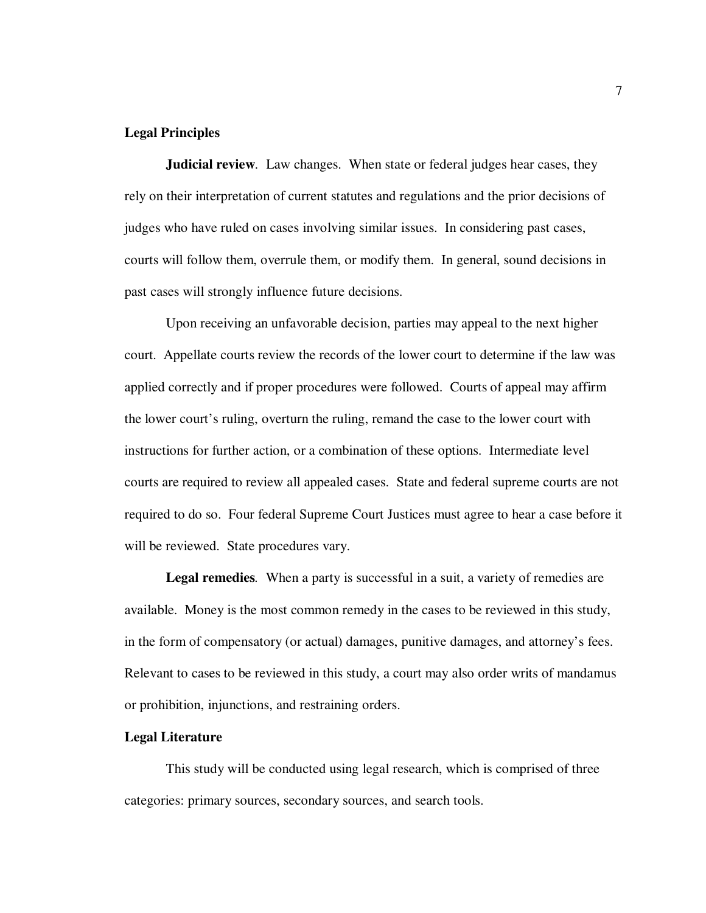# **Legal Principles**

**Judicial review***.* Law changes. When state or federal judges hear cases, they rely on their interpretation of current statutes and regulations and the prior decisions of judges who have ruled on cases involving similar issues. In considering past cases, courts will follow them, overrule them, or modify them. In general, sound decisions in past cases will strongly influence future decisions.

Upon receiving an unfavorable decision, parties may appeal to the next higher court. Appellate courts review the records of the lower court to determine if the law was applied correctly and if proper procedures were followed. Courts of appeal may affirm the lower court's ruling, overturn the ruling, remand the case to the lower court with instructions for further action, or a combination of these options. Intermediate level courts are required to review all appealed cases. State and federal supreme courts are not required to do so. Four federal Supreme Court Justices must agree to hear a case before it will be reviewed. State procedures vary.

**Legal remedies***.* When a party is successful in a suit, a variety of remedies are available. Money is the most common remedy in the cases to be reviewed in this study, in the form of compensatory (or actual) damages, punitive damages, and attorney's fees. Relevant to cases to be reviewed in this study, a court may also order writs of mandamus or prohibition, injunctions, and restraining orders.

#### **Legal Literature**

This study will be conducted using legal research, which is comprised of three categories: primary sources, secondary sources, and search tools.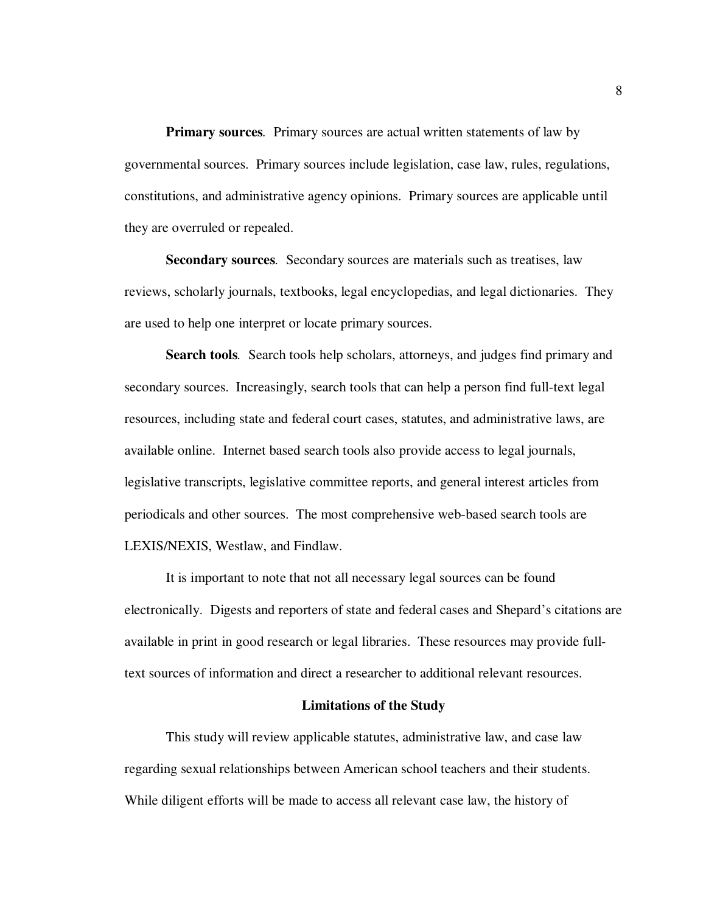**Primary sources***.* Primary sources are actual written statements of law by governmental sources. Primary sources include legislation, case law, rules, regulations, constitutions, and administrative agency opinions. Primary sources are applicable until they are overruled or repealed.

**Secondary sources***.* Secondary sources are materials such as treatises, law reviews, scholarly journals, textbooks, legal encyclopedias, and legal dictionaries. They are used to help one interpret or locate primary sources.

**Search tools***.* Search tools help scholars, attorneys, and judges find primary and secondary sources. Increasingly, search tools that can help a person find full-text legal resources, including state and federal court cases, statutes, and administrative laws, are available online. Internet based search tools also provide access to legal journals, legislative transcripts, legislative committee reports, and general interest articles from periodicals and other sources. The most comprehensive web-based search tools are LEXIS/NEXIS, Westlaw, and Findlaw.

It is important to note that not all necessary legal sources can be found electronically. Digests and reporters of state and federal cases and Shepard's citations are available in print in good research or legal libraries. These resources may provide fulltext sources of information and direct a researcher to additional relevant resources.

#### **Limitations of the Study**

This study will review applicable statutes, administrative law, and case law regarding sexual relationships between American school teachers and their students. While diligent efforts will be made to access all relevant case law, the history of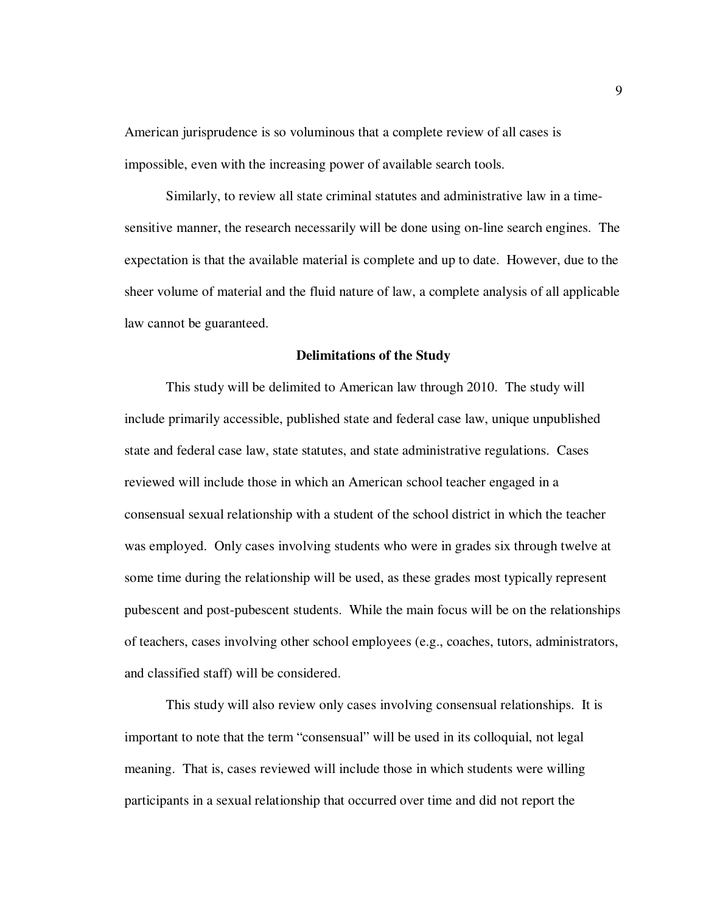American jurisprudence is so voluminous that a complete review of all cases is impossible, even with the increasing power of available search tools.

Similarly, to review all state criminal statutes and administrative law in a timesensitive manner, the research necessarily will be done using on-line search engines. The expectation is that the available material is complete and up to date. However, due to the sheer volume of material and the fluid nature of law, a complete analysis of all applicable law cannot be guaranteed.

#### **Delimitations of the Study**

This study will be delimited to American law through 2010. The study will include primarily accessible, published state and federal case law, unique unpublished state and federal case law, state statutes, and state administrative regulations. Cases reviewed will include those in which an American school teacher engaged in a consensual sexual relationship with a student of the school district in which the teacher was employed. Only cases involving students who were in grades six through twelve at some time during the relationship will be used, as these grades most typically represent pubescent and post-pubescent students. While the main focus will be on the relationships of teachers, cases involving other school employees (e.g., coaches, tutors, administrators, and classified staff) will be considered.

This study will also review only cases involving consensual relationships. It is important to note that the term "consensual" will be used in its colloquial, not legal meaning. That is, cases reviewed will include those in which students were willing participants in a sexual relationship that occurred over time and did not report the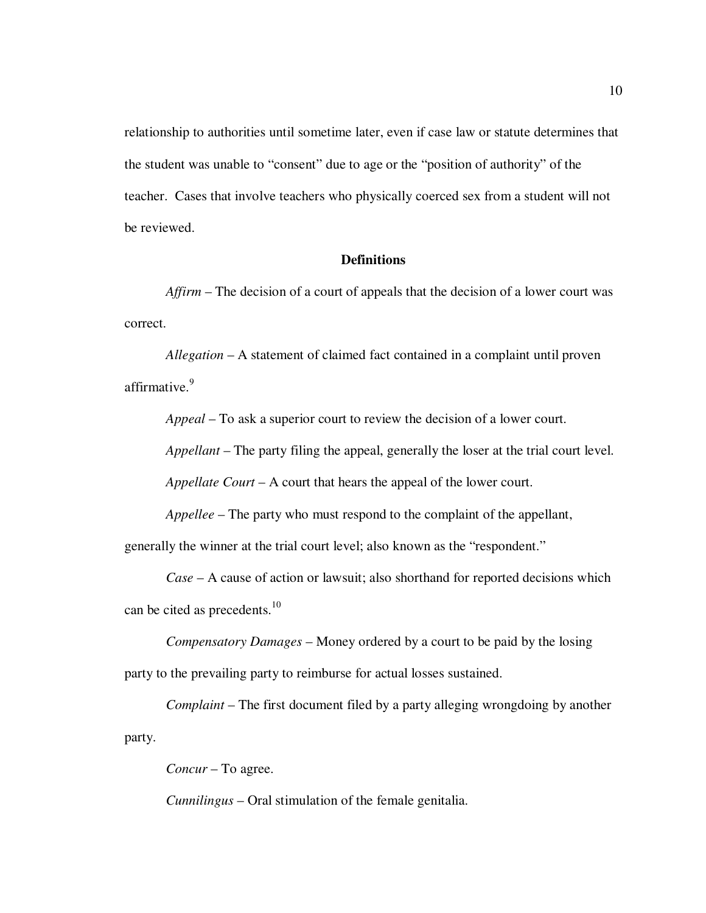relationship to authorities until sometime later, even if case law or statute determines that the student was unable to "consent" due to age or the "position of authority" of the teacher. Cases that involve teachers who physically coerced sex from a student will not be reviewed.

## **Definitions**

 *Affirm* – The decision of a court of appeals that the decision of a lower court was correct.

 *Allegation* – A statement of claimed fact contained in a complaint until proven affirmative.<sup>9</sup>

 *Appeal* – To ask a superior court to review the decision of a lower court.

 *Appellant* – The party filing the appeal, generally the loser at the trial court level.

 *Appellate Court* – A court that hears the appeal of the lower court.

 *Appellee* – The party who must respond to the complaint of the appellant,

generally the winner at the trial court level; also known as the "respondent."

 *Case* – A cause of action or lawsuit; also shorthand for reported decisions which can be cited as precedents. $10$ 

 *Compensatory Damages* – Money ordered by a court to be paid by the losing party to the prevailing party to reimburse for actual losses sustained.

 *Complaint* – The first document filed by a party alleging wrongdoing by another party.

 *Concur* – To agree.

 *Cunnilingus* – Oral stimulation of the female genitalia.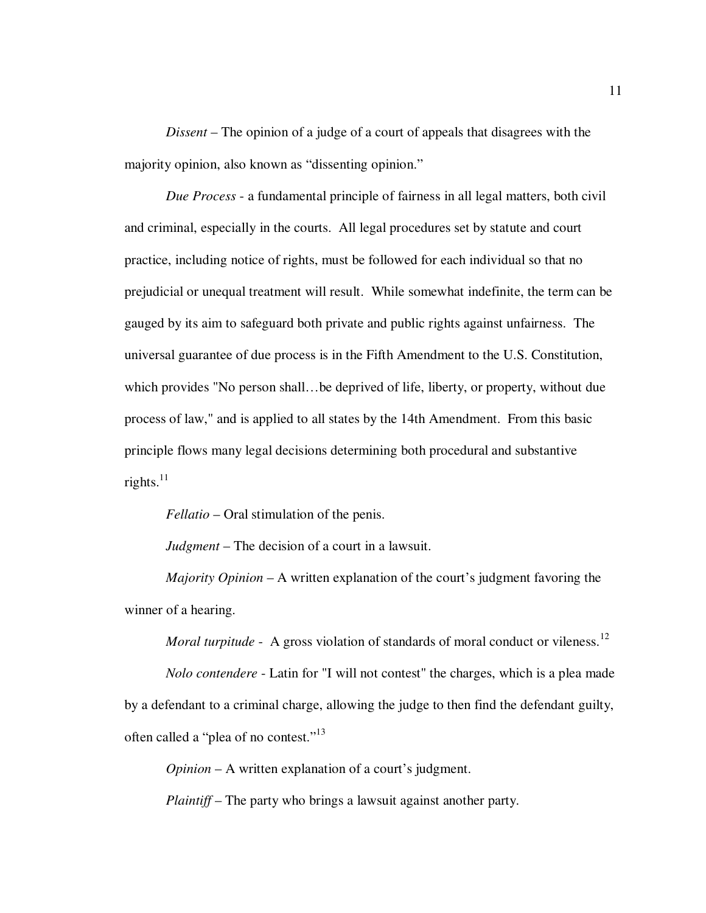*Dissent* – The opinion of a judge of a court of appeals that disagrees with the majority opinion, also known as "dissenting opinion."

 *Due Process* - a fundamental principle of fairness in all legal matters, both civil and criminal, especially in the courts. All legal procedures set by statute and court practice, including notice of rights, must be followed for each individual so that no prejudicial or unequal treatment will result. While somewhat indefinite, the term can be gauged by its aim to safeguard both private and public rights against unfairness. The universal guarantee of due process is in the Fifth Amendment to the U.S. Constitution, which provides "No person shall...be deprived of life, liberty, or property, without due process of law," and is applied to all states by the 14th Amendment. From this basic principle flows many legal decisions determining both procedural and substantive rights. $^{11}$ 

 *Fellatio* – Oral stimulation of the penis.

*Judgment* – The decision of a court in a lawsuit.

 *Majority Opinion* – A written explanation of the court's judgment favoring the winner of a hearing.

*Moral turpitude* - A gross violation of standards of moral conduct or vileness.<sup>12</sup>

 *Nolo contendere* - Latin for "I will not contest" the charges, which is a plea made by a defendant to a criminal charge, allowing the judge to then find the defendant guilty, often called a "plea of no contest."<sup>13</sup>

*Opinion* – A written explanation of a court's judgment.

 *Plaintiff* – The party who brings a lawsuit against another party.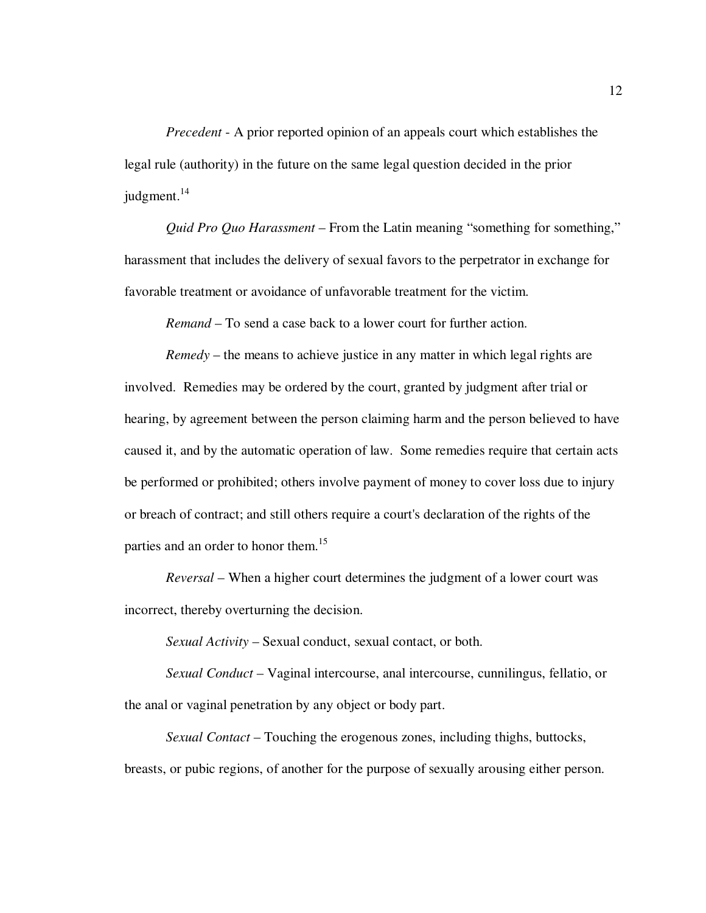*Precedent* - A prior reported opinion of an appeals court which establishes the legal rule (authority) in the future on the same legal question decided in the prior judgment. $^{14}$ 

 *Quid Pro Quo Harassment* – From the Latin meaning "something for something," harassment that includes the delivery of sexual favors to the perpetrator in exchange for favorable treatment or avoidance of unfavorable treatment for the victim.

 *Remand* – To send a case back to a lower court for further action.

 *Remedy* – the means to achieve justice in any matter in which legal rights are involved. Remedies may be ordered by the court, granted by judgment after trial or hearing, by agreement between the person claiming harm and the person believed to have caused it, and by the automatic operation of law. Some remedies require that certain acts be performed or prohibited; others involve payment of money to cover loss due to injury or breach of contract; and still others require a court's declaration of the rights of the parties and an order to honor them.<sup>15</sup>

 *Reversal* – When a higher court determines the judgment of a lower court was incorrect, thereby overturning the decision.

 *Sexual Activity* – Sexual conduct, sexual contact, or both.

*Sexual Conduct* – Vaginal intercourse, anal intercourse, cunnilingus, fellatio, or the anal or vaginal penetration by any object or body part.

 *Sexual Contact* – Touching the erogenous zones, including thighs, buttocks, breasts, or pubic regions, of another for the purpose of sexually arousing either person.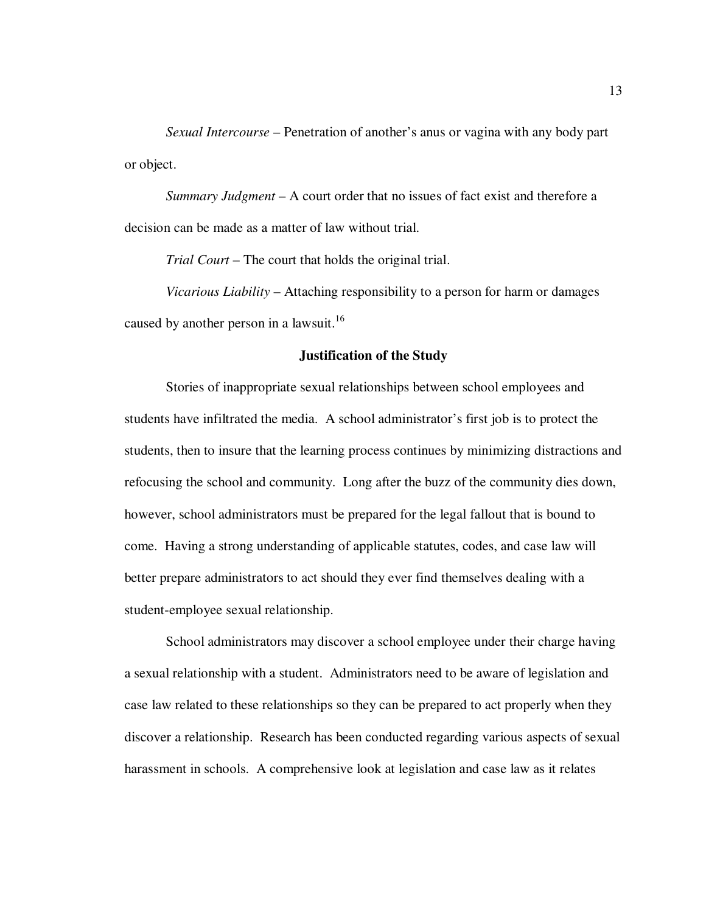*Sexual Intercourse* – Penetration of another's anus or vagina with any body part or object.

 *Summary Judgment* – A court order that no issues of fact exist and therefore a decision can be made as a matter of law without trial.

 *Trial Court* – The court that holds the original trial.

*Vicarious Liability* – Attaching responsibility to a person for harm or damages caused by another person in a lawsuit.<sup>16</sup>

#### **Justification of the Study**

 Stories of inappropriate sexual relationships between school employees and students have infiltrated the media. A school administrator's first job is to protect the students, then to insure that the learning process continues by minimizing distractions and refocusing the school and community. Long after the buzz of the community dies down, however, school administrators must be prepared for the legal fallout that is bound to come. Having a strong understanding of applicable statutes, codes, and case law will better prepare administrators to act should they ever find themselves dealing with a student-employee sexual relationship.

School administrators may discover a school employee under their charge having a sexual relationship with a student. Administrators need to be aware of legislation and case law related to these relationships so they can be prepared to act properly when they discover a relationship. Research has been conducted regarding various aspects of sexual harassment in schools. A comprehensive look at legislation and case law as it relates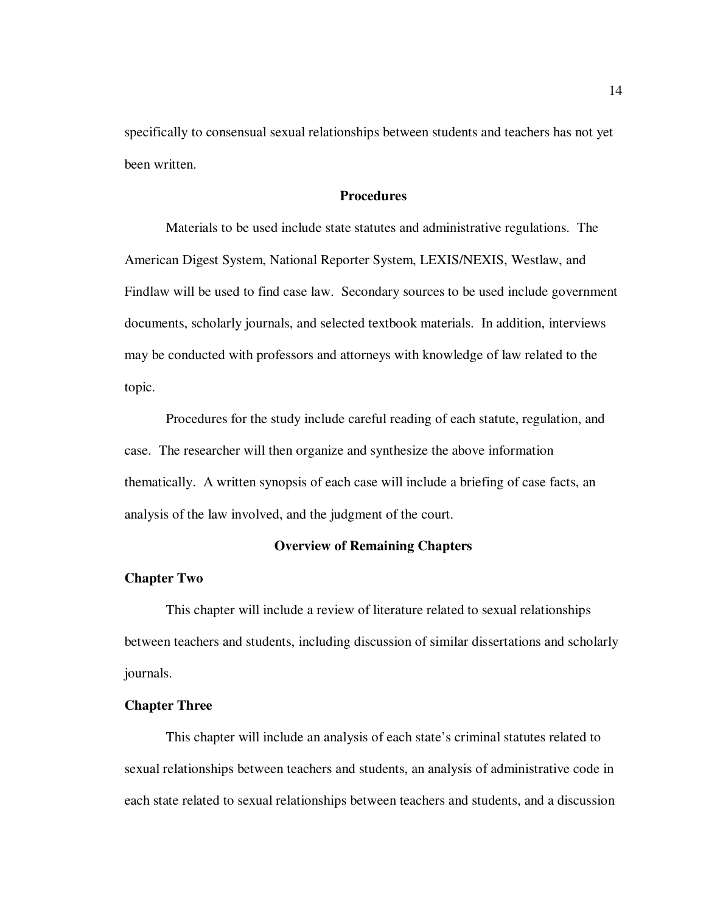specifically to consensual sexual relationships between students and teachers has not yet been written.

## **Procedures**

 Materials to be used include state statutes and administrative regulations. The American Digest System, National Reporter System, LEXIS/NEXIS, Westlaw, and Findlaw will be used to find case law. Secondary sources to be used include government documents, scholarly journals, and selected textbook materials. In addition, interviews may be conducted with professors and attorneys with knowledge of law related to the topic.

 Procedures for the study include careful reading of each statute, regulation, and case. The researcher will then organize and synthesize the above information thematically. A written synopsis of each case will include a briefing of case facts, an analysis of the law involved, and the judgment of the court.

#### **Overview of Remaining Chapters**

#### **Chapter Two**

This chapter will include a review of literature related to sexual relationships between teachers and students, including discussion of similar dissertations and scholarly journals.

## **Chapter Three**

This chapter will include an analysis of each state's criminal statutes related to sexual relationships between teachers and students, an analysis of administrative code in each state related to sexual relationships between teachers and students, and a discussion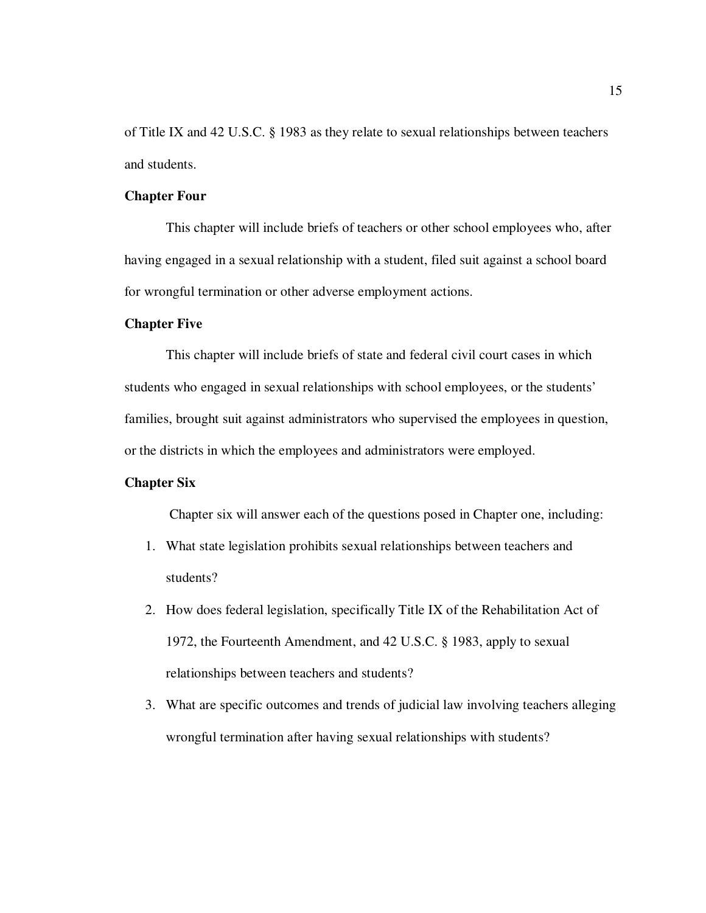of Title IX and 42 U.S.C. § 1983 as they relate to sexual relationships between teachers and students.

## **Chapter Four**

This chapter will include briefs of teachers or other school employees who, after having engaged in a sexual relationship with a student, filed suit against a school board for wrongful termination or other adverse employment actions.

#### **Chapter Five**

This chapter will include briefs of state and federal civil court cases in which students who engaged in sexual relationships with school employees, or the students' families, brought suit against administrators who supervised the employees in question, or the districts in which the employees and administrators were employed.

## **Chapter Six**

Chapter six will answer each of the questions posed in Chapter one, including:

- 1. What state legislation prohibits sexual relationships between teachers and students?
- 2. How does federal legislation, specifically Title IX of the Rehabilitation Act of 1972, the Fourteenth Amendment, and 42 U.S.C. § 1983, apply to sexual relationships between teachers and students?
- 3. What are specific outcomes and trends of judicial law involving teachers alleging wrongful termination after having sexual relationships with students?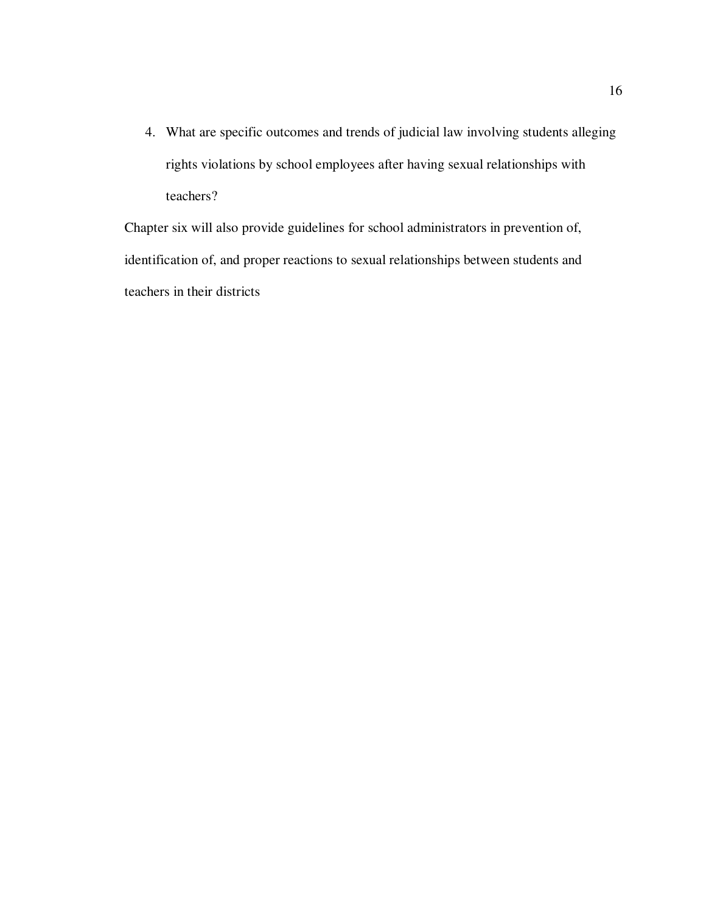4. What are specific outcomes and trends of judicial law involving students alleging rights violations by school employees after having sexual relationships with teachers?

Chapter six will also provide guidelines for school administrators in prevention of, identification of, and proper reactions to sexual relationships between students and teachers in their districts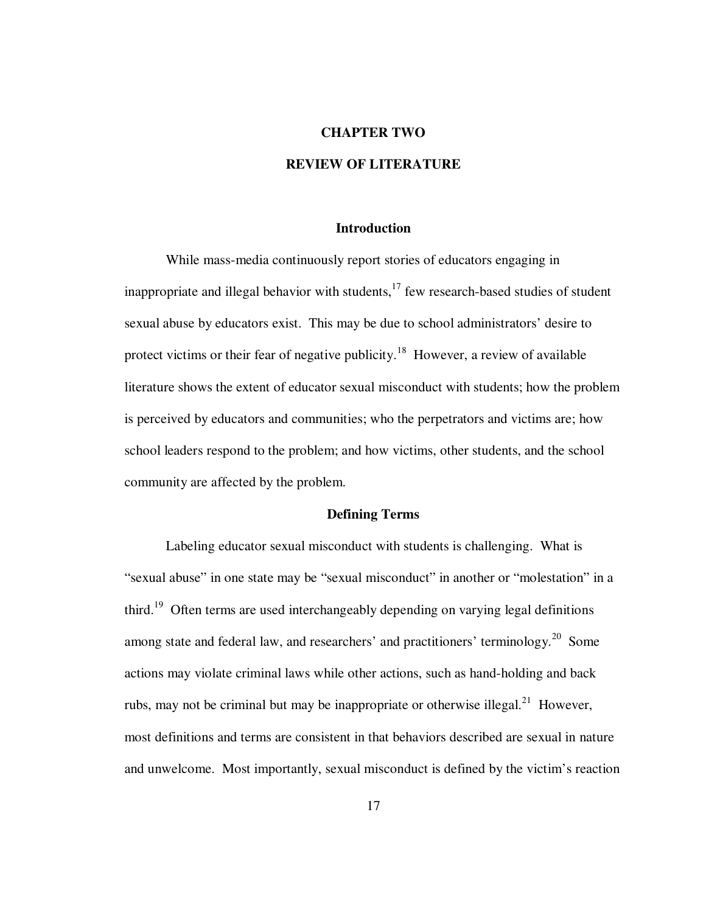#### **CHAPTER TWO**

# **REVIEW OF LITERATURE**

## **Introduction**

While mass-media continuously report stories of educators engaging in inappropriate and illegal behavior with students, $17$  few research-based studies of student sexual abuse by educators exist. This may be due to school administrators' desire to protect victims or their fear of negative publicity.<sup>18</sup> However, a review of available literature shows the extent of educator sexual misconduct with students; how the problem is perceived by educators and communities; who the perpetrators and victims are; how school leaders respond to the problem; and how victims, other students, and the school community are affected by the problem.

#### **Defining Terms**

 Labeling educator sexual misconduct with students is challenging. What is "sexual abuse" in one state may be "sexual misconduct" in another or "molestation" in a third.<sup>19</sup> Often terms are used interchangeably depending on varying legal definitions among state and federal law, and researchers' and practitioners' terminology.<sup>20</sup> Some actions may violate criminal laws while other actions, such as hand-holding and back rubs, may not be criminal but may be inappropriate or otherwise illegal.<sup>21</sup> However, most definitions and terms are consistent in that behaviors described are sexual in nature and unwelcome. Most importantly, sexual misconduct is defined by the victim's reaction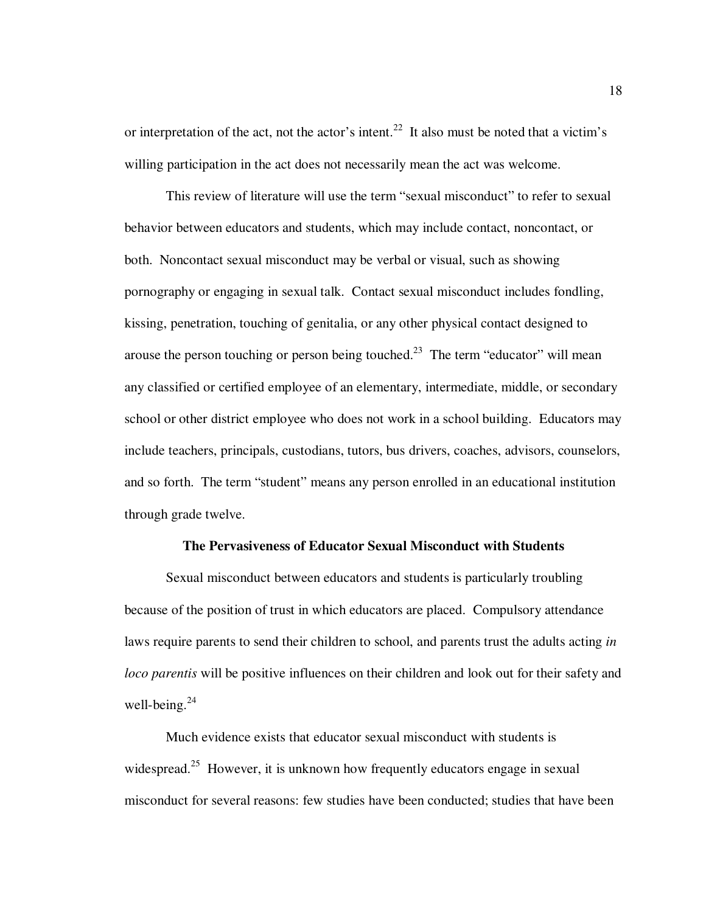or interpretation of the act, not the actor's intent.<sup>22</sup> It also must be noted that a victim's willing participation in the act does not necessarily mean the act was welcome.

This review of literature will use the term "sexual misconduct" to refer to sexual behavior between educators and students, which may include contact, noncontact, or both. Noncontact sexual misconduct may be verbal or visual, such as showing pornography or engaging in sexual talk. Contact sexual misconduct includes fondling, kissing, penetration, touching of genitalia, or any other physical contact designed to arouse the person touching or person being touched.<sup>23</sup> The term "educator" will mean any classified or certified employee of an elementary, intermediate, middle, or secondary school or other district employee who does not work in a school building. Educators may include teachers, principals, custodians, tutors, bus drivers, coaches, advisors, counselors, and so forth. The term "student" means any person enrolled in an educational institution through grade twelve.

## **The Pervasiveness of Educator Sexual Misconduct with Students**

Sexual misconduct between educators and students is particularly troubling because of the position of trust in which educators are placed. Compulsory attendance laws require parents to send their children to school, and parents trust the adults acting *in loco parentis* will be positive influences on their children and look out for their safety and well-being. $^{24}$ 

 Much evidence exists that educator sexual misconduct with students is widespread.<sup>25</sup> However, it is unknown how frequently educators engage in sexual misconduct for several reasons: few studies have been conducted; studies that have been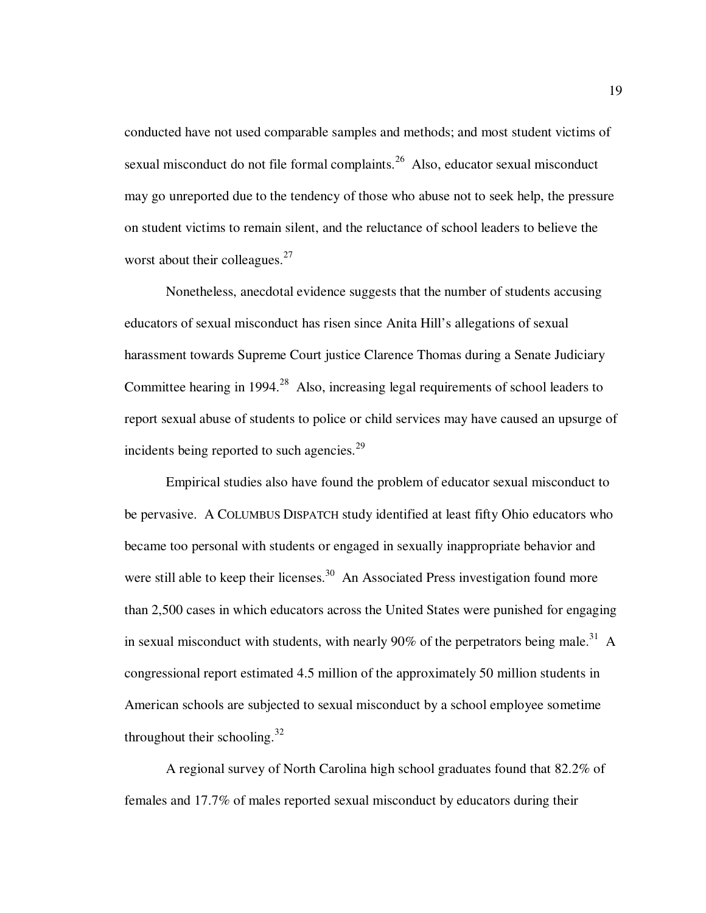conducted have not used comparable samples and methods; and most student victims of sexual misconduct do not file formal complaints.<sup>26</sup> Also, educator sexual misconduct may go unreported due to the tendency of those who abuse not to seek help, the pressure on student victims to remain silent, and the reluctance of school leaders to believe the worst about their colleagues. $27$ 

Nonetheless, anecdotal evidence suggests that the number of students accusing educators of sexual misconduct has risen since Anita Hill's allegations of sexual harassment towards Supreme Court justice Clarence Thomas during a Senate Judiciary Committee hearing in 1994.<sup>28</sup> Also, increasing legal requirements of school leaders to report sexual abuse of students to police or child services may have caused an upsurge of incidents being reported to such agencies. $29$ 

Empirical studies also have found the problem of educator sexual misconduct to be pervasive. A COLUMBUS DISPATCH study identified at least fifty Ohio educators who became too personal with students or engaged in sexually inappropriate behavior and were still able to keep their licenses.<sup>30</sup> An Associated Press investigation found more than 2,500 cases in which educators across the United States were punished for engaging in sexual misconduct with students, with nearly 90% of the perpetrators being male.<sup>31</sup> A congressional report estimated 4.5 million of the approximately 50 million students in American schools are subjected to sexual misconduct by a school employee sometime throughout their schooling. $32$ 

A regional survey of North Carolina high school graduates found that 82.2% of females and 17.7% of males reported sexual misconduct by educators during their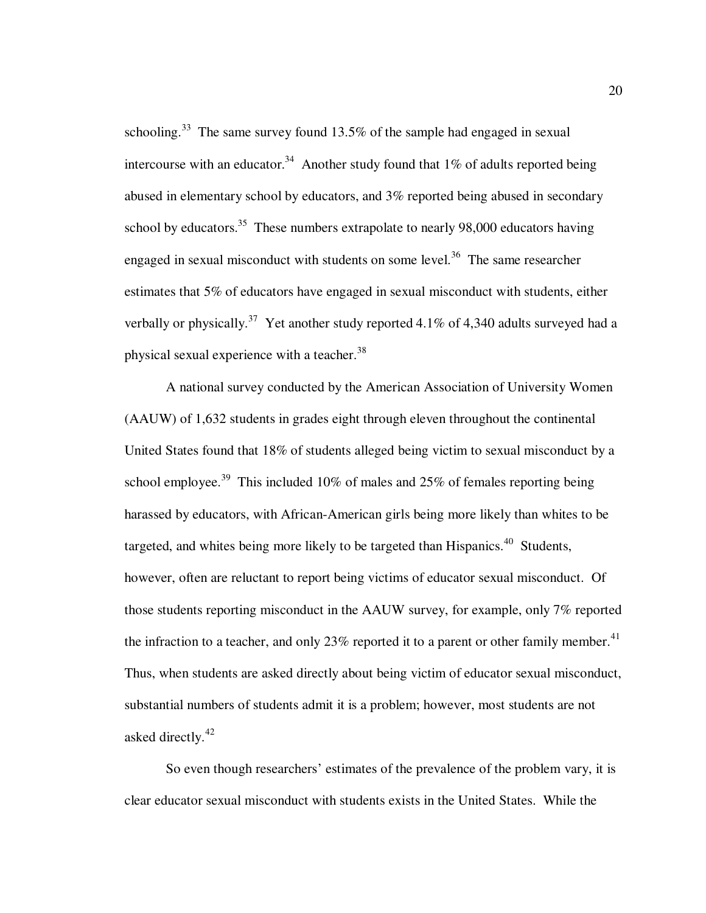schooling.<sup>33</sup> The same survey found  $13.5\%$  of the sample had engaged in sexual intercourse with an educator.<sup>34</sup> Another study found that  $1\%$  of adults reported being abused in elementary school by educators, and 3% reported being abused in secondary school by educators.<sup>35</sup> These numbers extrapolate to nearly 98,000 educators having engaged in sexual misconduct with students on some level.<sup>36</sup> The same researcher estimates that 5% of educators have engaged in sexual misconduct with students, either verbally or physically.<sup>37</sup> Yet another study reported 4.1% of 4,340 adults surveyed had a physical sexual experience with a teacher.<sup>38</sup>

A national survey conducted by the American Association of University Women (AAUW) of 1,632 students in grades eight through eleven throughout the continental United States found that 18% of students alleged being victim to sexual misconduct by a school employee.<sup>39</sup> This included 10% of males and 25% of females reporting being harassed by educators, with African-American girls being more likely than whites to be targeted, and whites being more likely to be targeted than Hispanics.<sup>40</sup> Students, however, often are reluctant to report being victims of educator sexual misconduct. Of those students reporting misconduct in the AAUW survey, for example, only 7% reported the infraction to a teacher, and only 23% reported it to a parent or other family member.<sup>41</sup> Thus, when students are asked directly about being victim of educator sexual misconduct, substantial numbers of students admit it is a problem; however, most students are not asked directly.<sup>42</sup>

So even though researchers' estimates of the prevalence of the problem vary, it is clear educator sexual misconduct with students exists in the United States. While the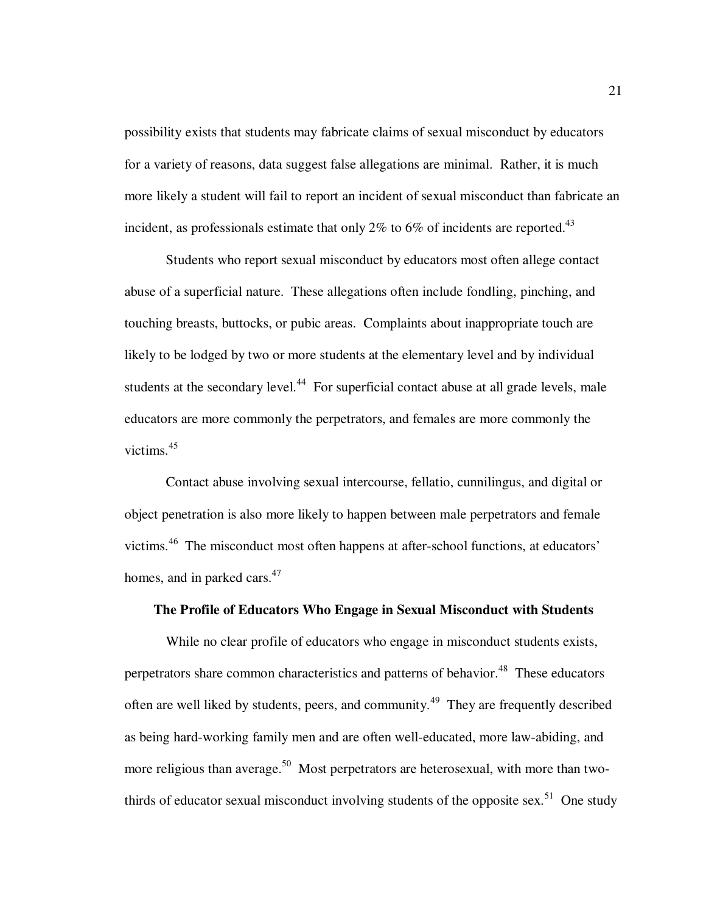possibility exists that students may fabricate claims of sexual misconduct by educators for a variety of reasons, data suggest false allegations are minimal. Rather, it is much more likely a student will fail to report an incident of sexual misconduct than fabricate an incident, as professionals estimate that only 2% to 6% of incidents are reported.<sup>43</sup>

Students who report sexual misconduct by educators most often allege contact abuse of a superficial nature. These allegations often include fondling, pinching, and touching breasts, buttocks, or pubic areas. Complaints about inappropriate touch are likely to be lodged by two or more students at the elementary level and by individual students at the secondary level.<sup>44</sup> For superficial contact abuse at all grade levels, male educators are more commonly the perpetrators, and females are more commonly the victims.<sup>45</sup>

Contact abuse involving sexual intercourse, fellatio, cunnilingus, and digital or object penetration is also more likely to happen between male perpetrators and female victims.<sup>46</sup> The misconduct most often happens at after-school functions, at educators' homes, and in parked cars.<sup>47</sup>

# **The Profile of Educators Who Engage in Sexual Misconduct with Students**

While no clear profile of educators who engage in misconduct students exists, perpetrators share common characteristics and patterns of behavior.<sup>48</sup> These educators often are well liked by students, peers, and community.<sup>49</sup> They are frequently described as being hard-working family men and are often well-educated, more law-abiding, and more religious than average.<sup>50</sup> Most perpetrators are heterosexual, with more than twothirds of educator sexual misconduct involving students of the opposite sex.<sup>51</sup> One study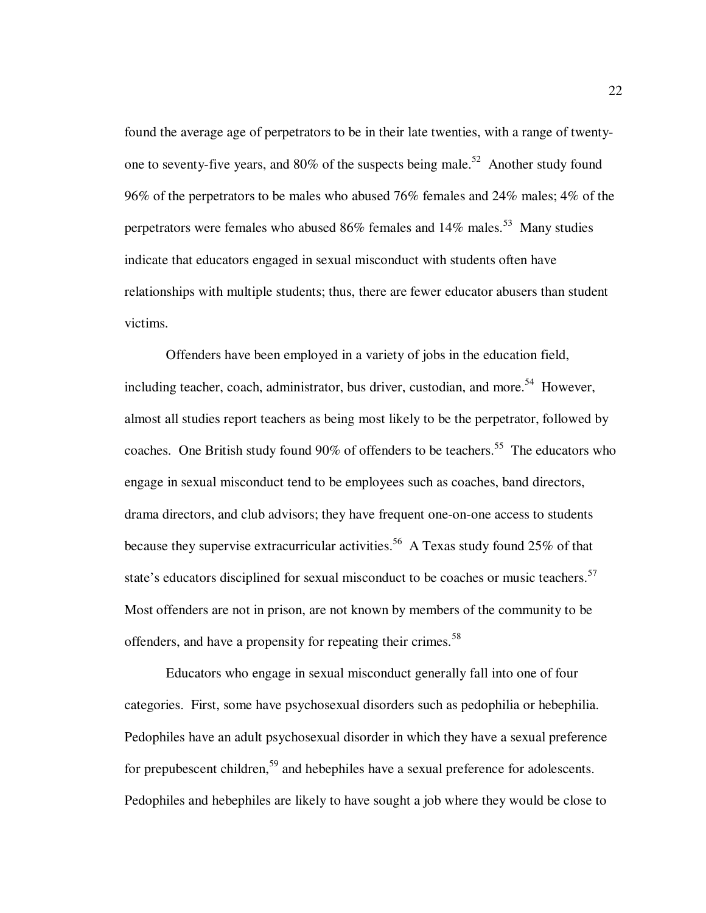found the average age of perpetrators to be in their late twenties, with a range of twentyone to seventy-five years, and  $80\%$  of the suspects being male.<sup>52</sup> Another study found 96% of the perpetrators to be males who abused 76% females and 24% males; 4% of the perpetrators were females who abused 86% females and 14% males.<sup>53</sup> Many studies indicate that educators engaged in sexual misconduct with students often have relationships with multiple students; thus, there are fewer educator abusers than student victims.

Offenders have been employed in a variety of jobs in the education field, including teacher, coach, administrator, bus driver, custodian, and more.<sup>54</sup> However, almost all studies report teachers as being most likely to be the perpetrator, followed by coaches. One British study found 90% of offenders to be teachers.<sup>55</sup> The educators who engage in sexual misconduct tend to be employees such as coaches, band directors, drama directors, and club advisors; they have frequent one-on-one access to students because they supervise extracurricular activities.<sup>56</sup> A Texas study found 25% of that state's educators disciplined for sexual misconduct to be coaches or music teachers.<sup>57</sup> Most offenders are not in prison, are not known by members of the community to be offenders, and have a propensity for repeating their crimes.<sup>58</sup>

Educators who engage in sexual misconduct generally fall into one of four categories. First, some have psychosexual disorders such as pedophilia or hebephilia. Pedophiles have an adult psychosexual disorder in which they have a sexual preference for prepubescent children,<sup>59</sup> and hebephiles have a sexual preference for adolescents. Pedophiles and hebephiles are likely to have sought a job where they would be close to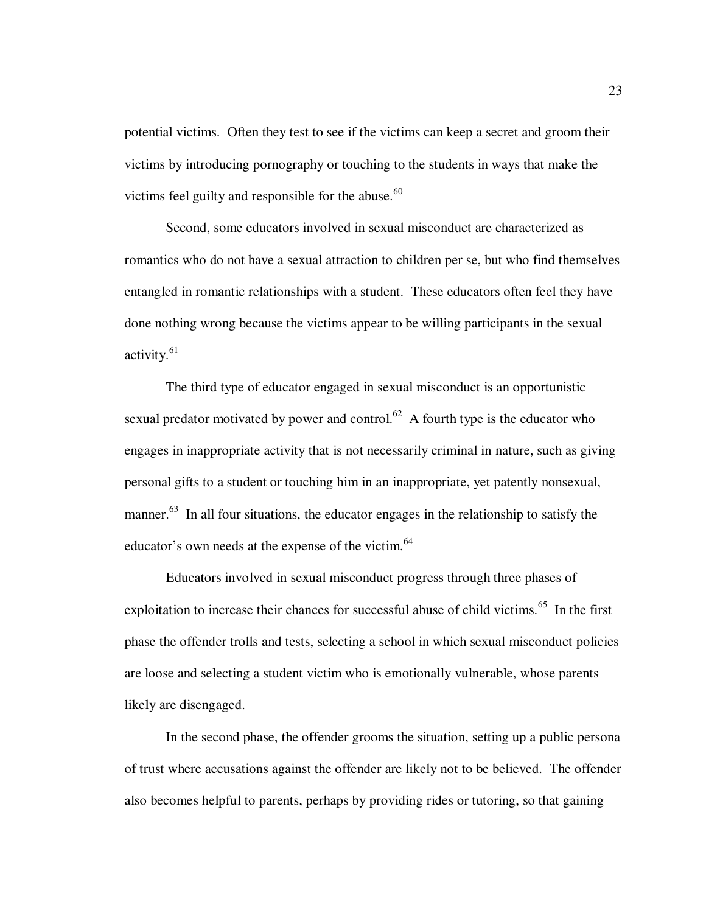potential victims. Often they test to see if the victims can keep a secret and groom their victims by introducing pornography or touching to the students in ways that make the victims feel guilty and responsible for the abuse. $60$ 

Second, some educators involved in sexual misconduct are characterized as romantics who do not have a sexual attraction to children per se, but who find themselves entangled in romantic relationships with a student. These educators often feel they have done nothing wrong because the victims appear to be willing participants in the sexual activity.<sup>61</sup>

The third type of educator engaged in sexual misconduct is an opportunistic sexual predator motivated by power and control.<sup>62</sup> A fourth type is the educator who engages in inappropriate activity that is not necessarily criminal in nature, such as giving personal gifts to a student or touching him in an inappropriate, yet patently nonsexual, manner.<sup>63</sup> In all four situations, the educator engages in the relationship to satisfy the educator's own needs at the expense of the victim.<sup>64</sup>

Educators involved in sexual misconduct progress through three phases of exploitation to increase their chances for successful abuse of child victims.<sup>65</sup> In the first phase the offender trolls and tests, selecting a school in which sexual misconduct policies are loose and selecting a student victim who is emotionally vulnerable, whose parents likely are disengaged.

In the second phase, the offender grooms the situation, setting up a public persona of trust where accusations against the offender are likely not to be believed. The offender also becomes helpful to parents, perhaps by providing rides or tutoring, so that gaining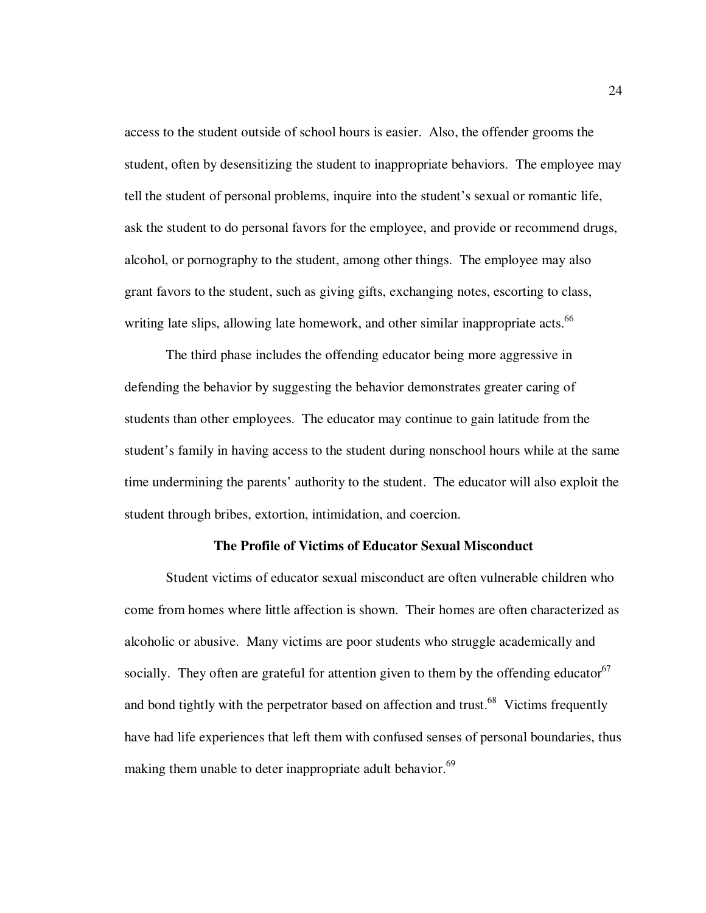access to the student outside of school hours is easier. Also, the offender grooms the student, often by desensitizing the student to inappropriate behaviors. The employee may tell the student of personal problems, inquire into the student's sexual or romantic life, ask the student to do personal favors for the employee, and provide or recommend drugs, alcohol, or pornography to the student, among other things. The employee may also grant favors to the student, such as giving gifts, exchanging notes, escorting to class, writing late slips, allowing late homework, and other similar inappropriate acts.<sup>66</sup>

The third phase includes the offending educator being more aggressive in defending the behavior by suggesting the behavior demonstrates greater caring of students than other employees. The educator may continue to gain latitude from the student's family in having access to the student during nonschool hours while at the same time undermining the parents' authority to the student. The educator will also exploit the student through bribes, extortion, intimidation, and coercion.

## **The Profile of Victims of Educator Sexual Misconduct**

Student victims of educator sexual misconduct are often vulnerable children who come from homes where little affection is shown. Their homes are often characterized as alcoholic or abusive. Many victims are poor students who struggle academically and socially. They often are grateful for attention given to them by the offending educator<sup>67</sup> and bond tightly with the perpetrator based on affection and trust.<sup>68</sup> Victims frequently have had life experiences that left them with confused senses of personal boundaries, thus making them unable to deter inappropriate adult behavior.<sup>69</sup>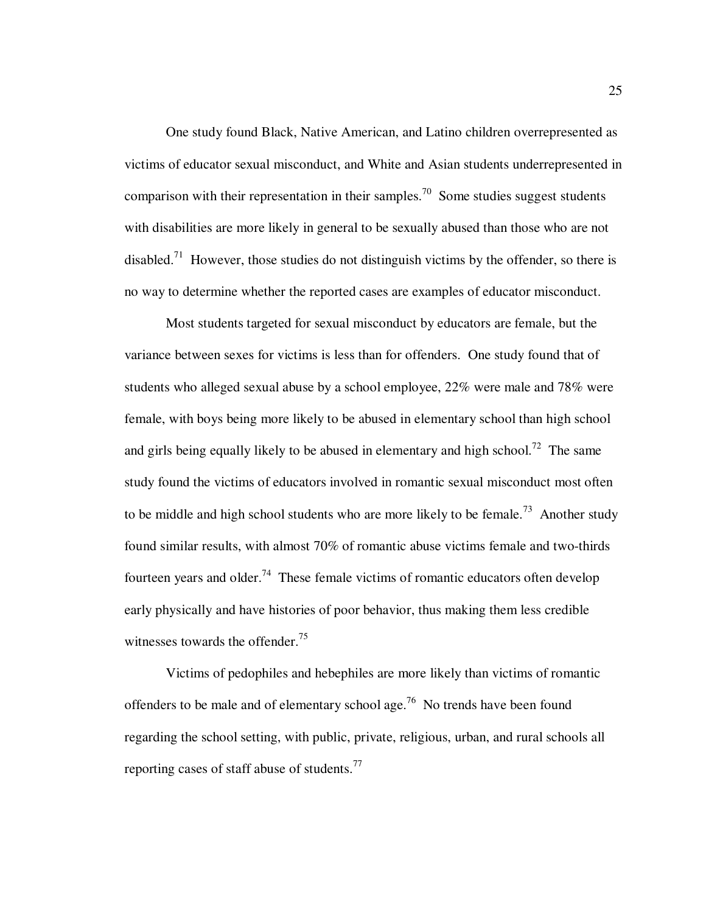One study found Black, Native American, and Latino children overrepresented as victims of educator sexual misconduct, and White and Asian students underrepresented in comparison with their representation in their samples.<sup>70</sup> Some studies suggest students with disabilities are more likely in general to be sexually abused than those who are not disabled.<sup>71</sup> However, those studies do not distinguish victims by the offender, so there is no way to determine whether the reported cases are examples of educator misconduct.

Most students targeted for sexual misconduct by educators are female, but the variance between sexes for victims is less than for offenders. One study found that of students who alleged sexual abuse by a school employee, 22% were male and 78% were female, with boys being more likely to be abused in elementary school than high school and girls being equally likely to be abused in elementary and high school.<sup>72</sup> The same study found the victims of educators involved in romantic sexual misconduct most often to be middle and high school students who are more likely to be female.<sup>73</sup> Another study found similar results, with almost 70% of romantic abuse victims female and two-thirds fourteen years and older.<sup>74</sup> These female victims of romantic educators often develop early physically and have histories of poor behavior, thus making them less credible witnesses towards the offender.<sup>75</sup>

Victims of pedophiles and hebephiles are more likely than victims of romantic offenders to be male and of elementary school age.<sup>76</sup> No trends have been found regarding the school setting, with public, private, religious, urban, and rural schools all reporting cases of staff abuse of students. $^{77}$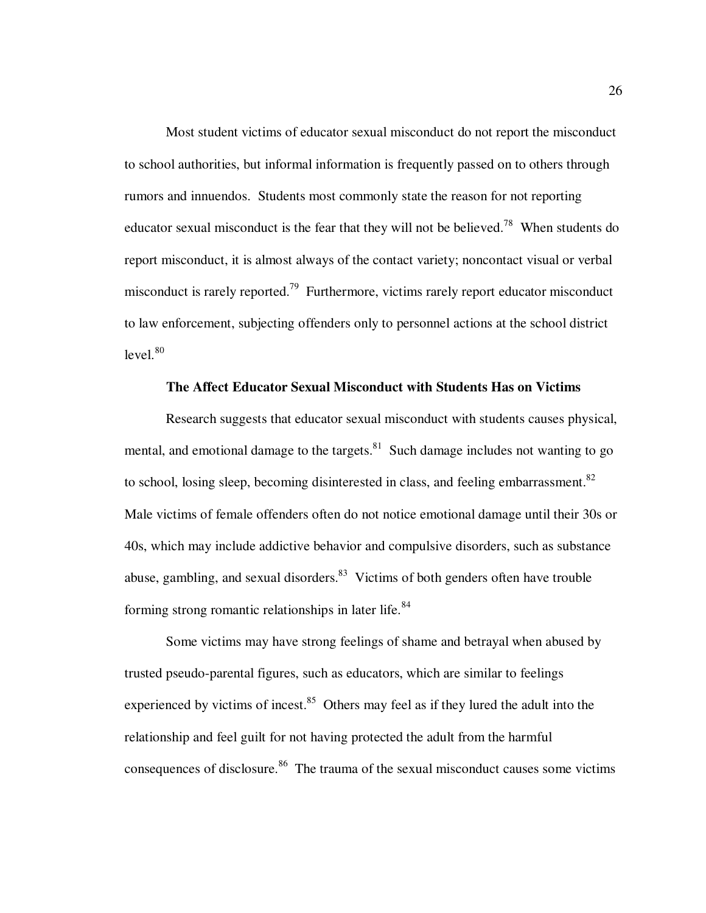Most student victims of educator sexual misconduct do not report the misconduct to school authorities, but informal information is frequently passed on to others through rumors and innuendos. Students most commonly state the reason for not reporting educator sexual misconduct is the fear that they will not be believed.<sup>78</sup> When students do report misconduct, it is almost always of the contact variety; noncontact visual or verbal misconduct is rarely reported.<sup>79</sup> Furthermore, victims rarely report educator misconduct to law enforcement, subjecting offenders only to personnel actions at the school district  $level.<sup>80</sup>$ 

## **The Affect Educator Sexual Misconduct with Students Has on Victims**

 Research suggests that educator sexual misconduct with students causes physical, mental, and emotional damage to the targets. $81$  Such damage includes not wanting to go to school, losing sleep, becoming disinterested in class, and feeling embarrassment.<sup>82</sup> Male victims of female offenders often do not notice emotional damage until their 30s or 40s, which may include addictive behavior and compulsive disorders, such as substance abuse, gambling, and sexual disorders.<sup>83</sup> Victims of both genders often have trouble forming strong romantic relationships in later life.<sup>84</sup>

Some victims may have strong feelings of shame and betrayal when abused by trusted pseudo-parental figures, such as educators, which are similar to feelings experienced by victims of incest. $85$  Others may feel as if they lured the adult into the relationship and feel guilt for not having protected the adult from the harmful consequences of disclosure.<sup>86</sup> The trauma of the sexual misconduct causes some victims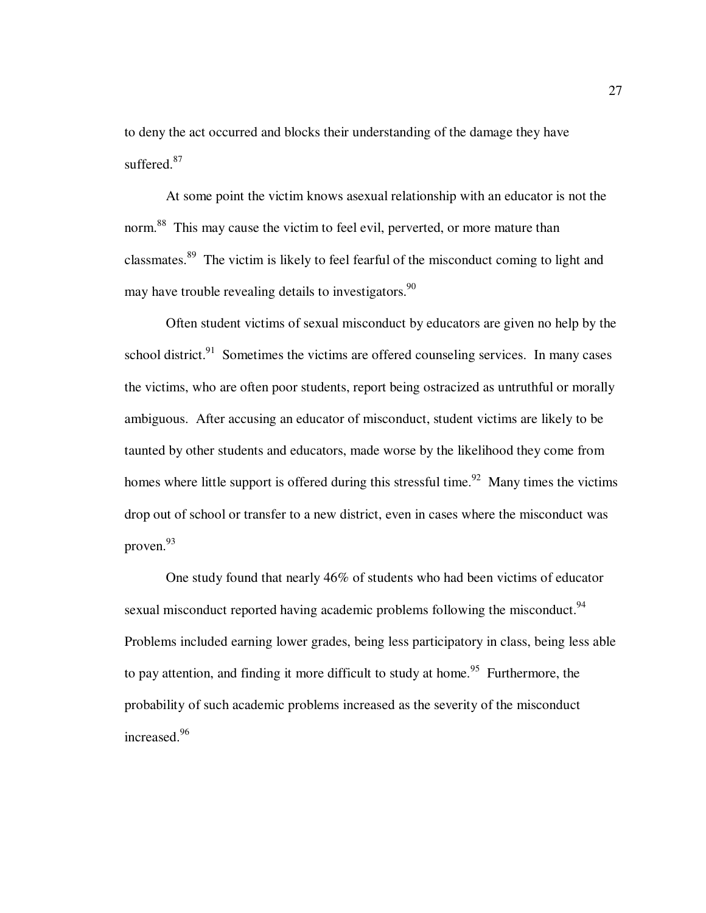to deny the act occurred and blocks their understanding of the damage they have suffered.<sup>87</sup>

At some point the victim knows asexual relationship with an educator is not the norm.<sup>88</sup> This may cause the victim to feel evil, perverted, or more mature than classmates.<sup>89</sup> The victim is likely to feel fearful of the misconduct coming to light and may have trouble revealing details to investigators.<sup>90</sup>

Often student victims of sexual misconduct by educators are given no help by the school district. $91$  Sometimes the victims are offered counseling services. In many cases the victims, who are often poor students, report being ostracized as untruthful or morally ambiguous. After accusing an educator of misconduct, student victims are likely to be taunted by other students and educators, made worse by the likelihood they come from homes where little support is offered during this stressful time.<sup>92</sup> Many times the victims drop out of school or transfer to a new district, even in cases where the misconduct was proven.<sup>93</sup>

One study found that nearly 46% of students who had been victims of educator sexual misconduct reported having academic problems following the misconduct.<sup>94</sup> Problems included earning lower grades, being less participatory in class, being less able to pay attention, and finding it more difficult to study at home.<sup>95</sup> Furthermore, the probability of such academic problems increased as the severity of the misconduct increased.<sup>96</sup>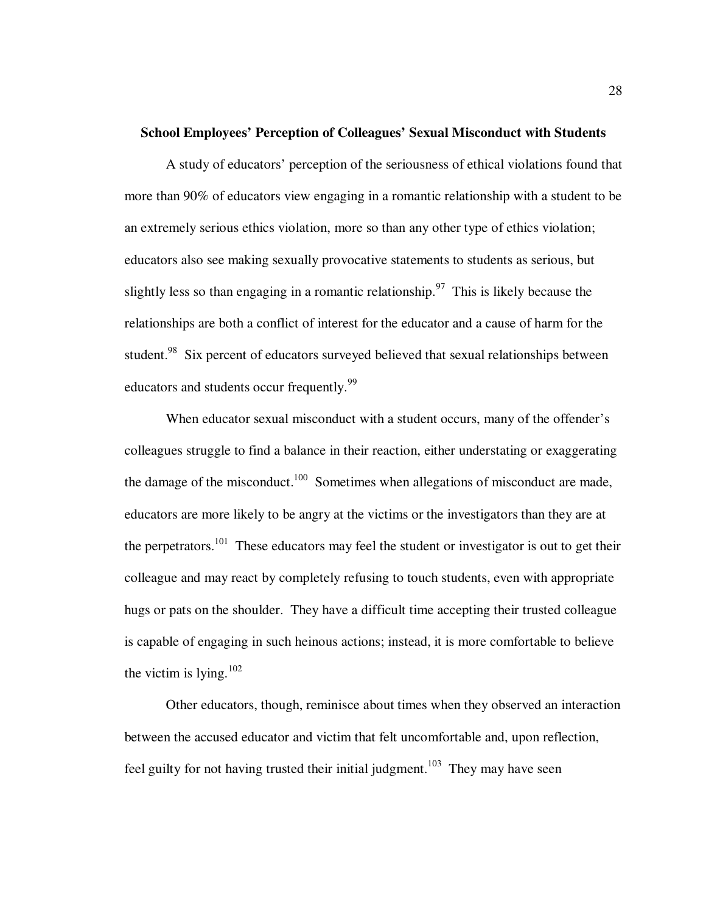### **School Employees' Perception of Colleagues' Sexual Misconduct with Students**

A study of educators' perception of the seriousness of ethical violations found that more than 90% of educators view engaging in a romantic relationship with a student to be an extremely serious ethics violation, more so than any other type of ethics violation; educators also see making sexually provocative statements to students as serious, but slightly less so than engaging in a romantic relationship.<sup>97</sup> This is likely because the relationships are both a conflict of interest for the educator and a cause of harm for the student.<sup>98</sup> Six percent of educators surveyed believed that sexual relationships between educators and students occur frequently.<sup>99</sup>

When educator sexual misconduct with a student occurs, many of the offender's colleagues struggle to find a balance in their reaction, either understating or exaggerating the damage of the misconduct.<sup>100</sup> Sometimes when allegations of misconduct are made, educators are more likely to be angry at the victims or the investigators than they are at the perpetrators.<sup>101</sup> These educators may feel the student or investigator is out to get their colleague and may react by completely refusing to touch students, even with appropriate hugs or pats on the shoulder. They have a difficult time accepting their trusted colleague is capable of engaging in such heinous actions; instead, it is more comfortable to believe the victim is lying. $102$ 

Other educators, though, reminisce about times when they observed an interaction between the accused educator and victim that felt uncomfortable and, upon reflection, feel guilty for not having trusted their initial judgment.<sup>103</sup> They may have seen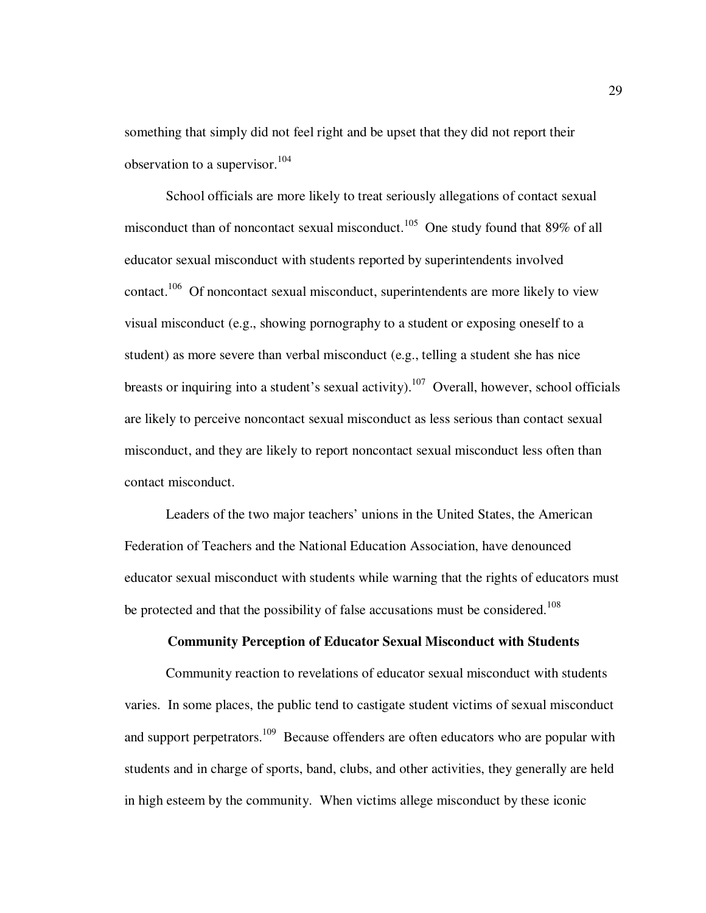something that simply did not feel right and be upset that they did not report their observation to a supervisor.  $104$ 

School officials are more likely to treat seriously allegations of contact sexual misconduct than of noncontact sexual misconduct.<sup>105</sup> One study found that 89% of all educator sexual misconduct with students reported by superintendents involved contact.<sup>106</sup> Of noncontact sexual misconduct, superintendents are more likely to view visual misconduct (e.g., showing pornography to a student or exposing oneself to a student) as more severe than verbal misconduct (e.g., telling a student she has nice breasts or inquiring into a student's sexual activity).<sup>107</sup> Overall, however, school officials are likely to perceive noncontact sexual misconduct as less serious than contact sexual misconduct, and they are likely to report noncontact sexual misconduct less often than contact misconduct.

Leaders of the two major teachers' unions in the United States, the American Federation of Teachers and the National Education Association, have denounced educator sexual misconduct with students while warning that the rights of educators must be protected and that the possibility of false accusations must be considered.<sup>108</sup>

# **Community Perception of Educator Sexual Misconduct with Students**

 Community reaction to revelations of educator sexual misconduct with students varies. In some places, the public tend to castigate student victims of sexual misconduct and support perpetrators.<sup>109</sup> Because offenders are often educators who are popular with students and in charge of sports, band, clubs, and other activities, they generally are held in high esteem by the community. When victims allege misconduct by these iconic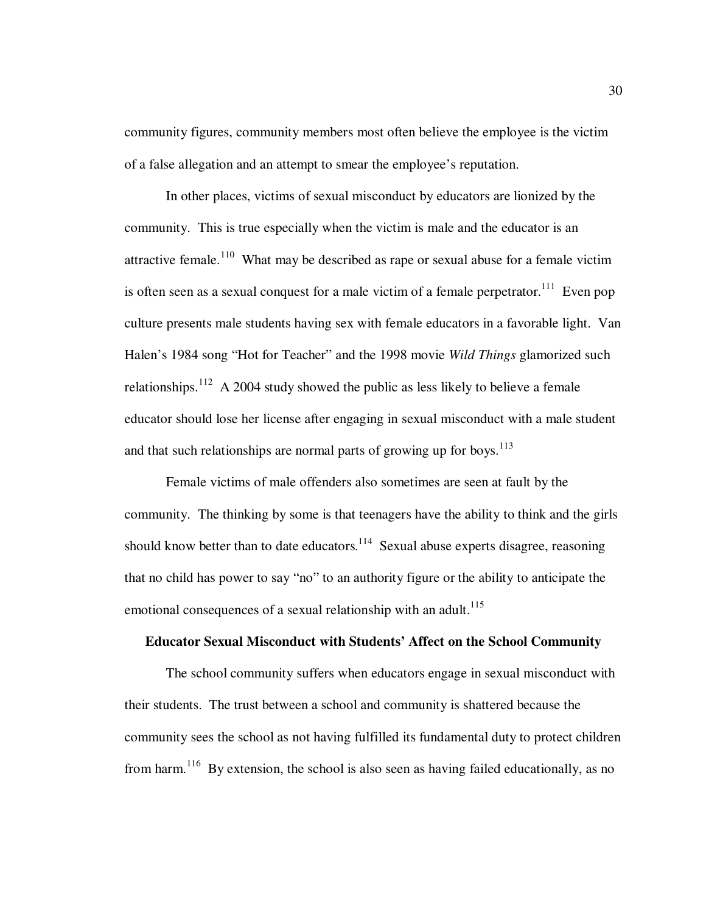community figures, community members most often believe the employee is the victim of a false allegation and an attempt to smear the employee's reputation.

 In other places, victims of sexual misconduct by educators are lionized by the community. This is true especially when the victim is male and the educator is an attractive female.<sup>110</sup> What may be described as rape or sexual abuse for a female victim is often seen as a sexual conquest for a male victim of a female perpetrator.<sup>111</sup> Even pop culture presents male students having sex with female educators in a favorable light. Van Halen's 1984 song "Hot for Teacher" and the 1998 movie *Wild Things* glamorized such relationships.<sup>112</sup> A 2004 study showed the public as less likely to believe a female educator should lose her license after engaging in sexual misconduct with a male student and that such relationships are normal parts of growing up for boys.<sup>113</sup>

 Female victims of male offenders also sometimes are seen at fault by the community. The thinking by some is that teenagers have the ability to think and the girls should know better than to date educators.<sup>114</sup> Sexual abuse experts disagree, reasoning that no child has power to say "no" to an authority figure or the ability to anticipate the emotional consequences of a sexual relationship with an adult.<sup>115</sup>

# **Educator Sexual Misconduct with Students' Affect on the School Community**

The school community suffers when educators engage in sexual misconduct with their students. The trust between a school and community is shattered because the community sees the school as not having fulfilled its fundamental duty to protect children from harm.<sup>116</sup> By extension, the school is also seen as having failed educationally, as no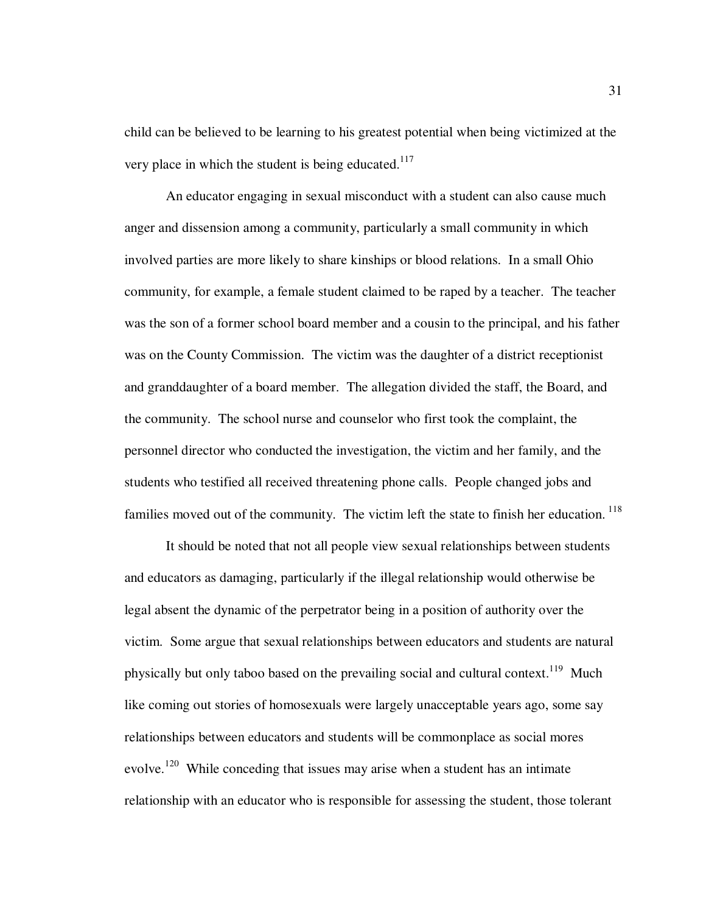child can be believed to be learning to his greatest potential when being victimized at the very place in which the student is being educated.<sup>117</sup>

An educator engaging in sexual misconduct with a student can also cause much anger and dissension among a community, particularly a small community in which involved parties are more likely to share kinships or blood relations. In a small Ohio community, for example, a female student claimed to be raped by a teacher. The teacher was the son of a former school board member and a cousin to the principal, and his father was on the County Commission. The victim was the daughter of a district receptionist and granddaughter of a board member. The allegation divided the staff, the Board, and the community. The school nurse and counselor who first took the complaint, the personnel director who conducted the investigation, the victim and her family, and the students who testified all received threatening phone calls. People changed jobs and families moved out of the community. The victim left the state to finish her education.<sup>118</sup>

It should be noted that not all people view sexual relationships between students and educators as damaging, particularly if the illegal relationship would otherwise be legal absent the dynamic of the perpetrator being in a position of authority over the victim. Some argue that sexual relationships between educators and students are natural physically but only taboo based on the prevailing social and cultural context.<sup>119</sup> Much like coming out stories of homosexuals were largely unacceptable years ago, some say relationships between educators and students will be commonplace as social mores evolve.<sup>120</sup> While conceding that issues may arise when a student has an intimate relationship with an educator who is responsible for assessing the student, those tolerant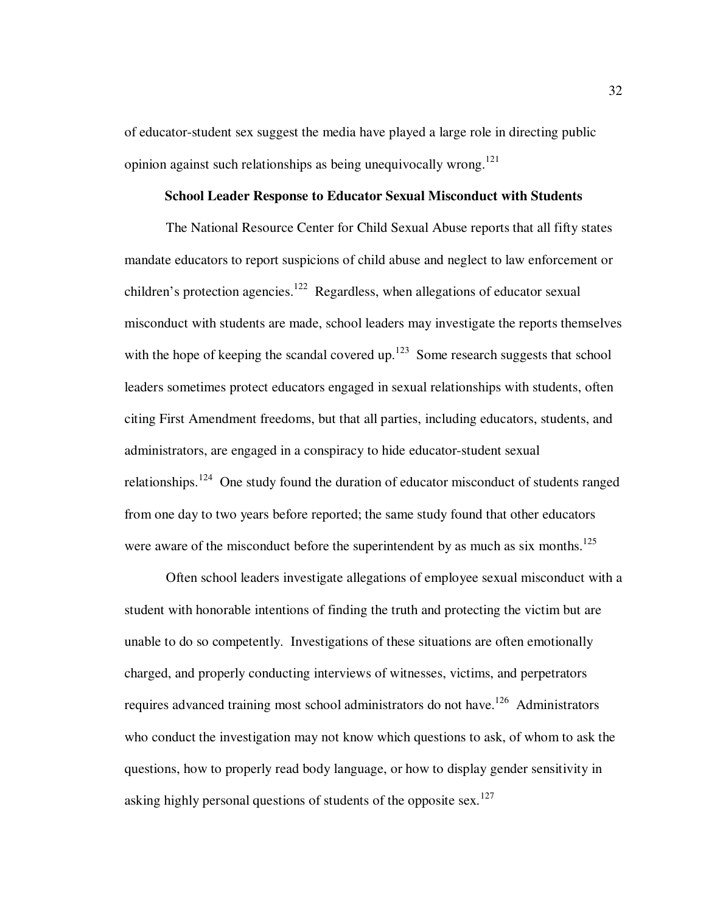of educator-student sex suggest the media have played a large role in directing public opinion against such relationships as being unequivocally wrong.<sup>121</sup>

### **School Leader Response to Educator Sexual Misconduct with Students**

 The National Resource Center for Child Sexual Abuse reports that all fifty states mandate educators to report suspicions of child abuse and neglect to law enforcement or children's protection agencies.<sup>122</sup> Regardless, when allegations of educator sexual misconduct with students are made, school leaders may investigate the reports themselves with the hope of keeping the scandal covered up. $123$  Some research suggests that school leaders sometimes protect educators engaged in sexual relationships with students, often citing First Amendment freedoms, but that all parties, including educators, students, and administrators, are engaged in a conspiracy to hide educator-student sexual relationships.<sup>124</sup> One study found the duration of educator misconduct of students ranged from one day to two years before reported; the same study found that other educators were aware of the misconduct before the superintendent by as much as six months.<sup>125</sup>

 Often school leaders investigate allegations of employee sexual misconduct with a student with honorable intentions of finding the truth and protecting the victim but are unable to do so competently. Investigations of these situations are often emotionally charged, and properly conducting interviews of witnesses, victims, and perpetrators requires advanced training most school administrators do not have.<sup>126</sup> Administrators who conduct the investigation may not know which questions to ask, of whom to ask the questions, how to properly read body language, or how to display gender sensitivity in asking highly personal questions of students of the opposite sex.<sup>127</sup>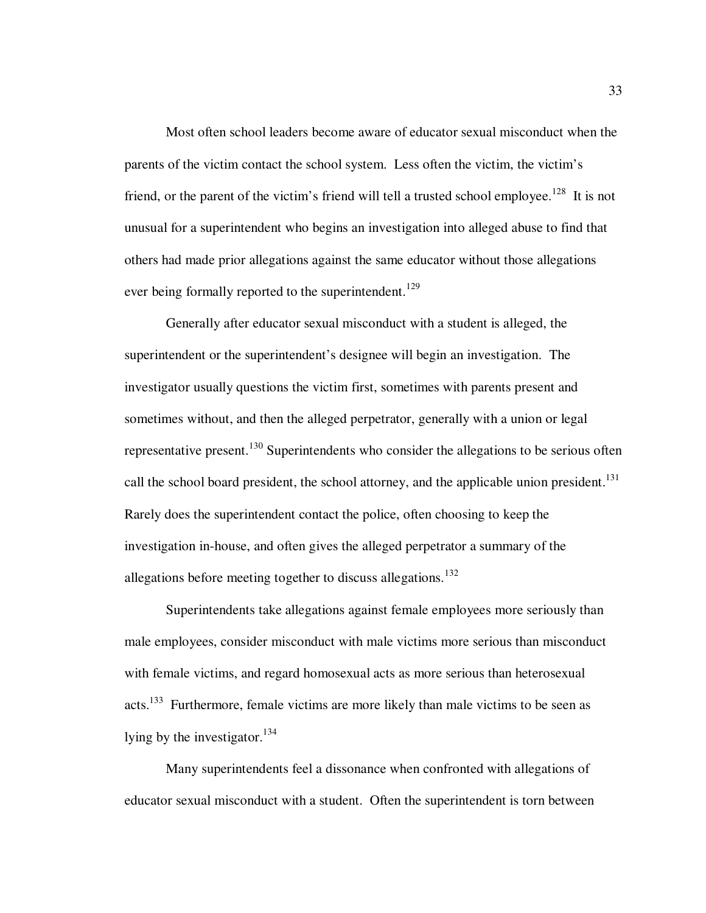Most often school leaders become aware of educator sexual misconduct when the parents of the victim contact the school system. Less often the victim, the victim's friend, or the parent of the victim's friend will tell a trusted school employee.<sup>128</sup> It is not unusual for a superintendent who begins an investigation into alleged abuse to find that others had made prior allegations against the same educator without those allegations ever being formally reported to the superintendent.<sup>129</sup>

 Generally after educator sexual misconduct with a student is alleged, the superintendent or the superintendent's designee will begin an investigation. The investigator usually questions the victim first, sometimes with parents present and sometimes without, and then the alleged perpetrator, generally with a union or legal representative present.<sup>130</sup> Superintendents who consider the allegations to be serious often call the school board president, the school attorney, and the applicable union president.<sup>131</sup> Rarely does the superintendent contact the police, often choosing to keep the investigation in-house, and often gives the alleged perpetrator a summary of the allegations before meeting together to discuss allegations.<sup>132</sup>

 Superintendents take allegations against female employees more seriously than male employees, consider misconduct with male victims more serious than misconduct with female victims, and regard homosexual acts as more serious than heterosexual acts.<sup>133</sup> Furthermore, female victims are more likely than male victims to be seen as lying by the investigator. $^{134}$ 

 Many superintendents feel a dissonance when confronted with allegations of educator sexual misconduct with a student. Often the superintendent is torn between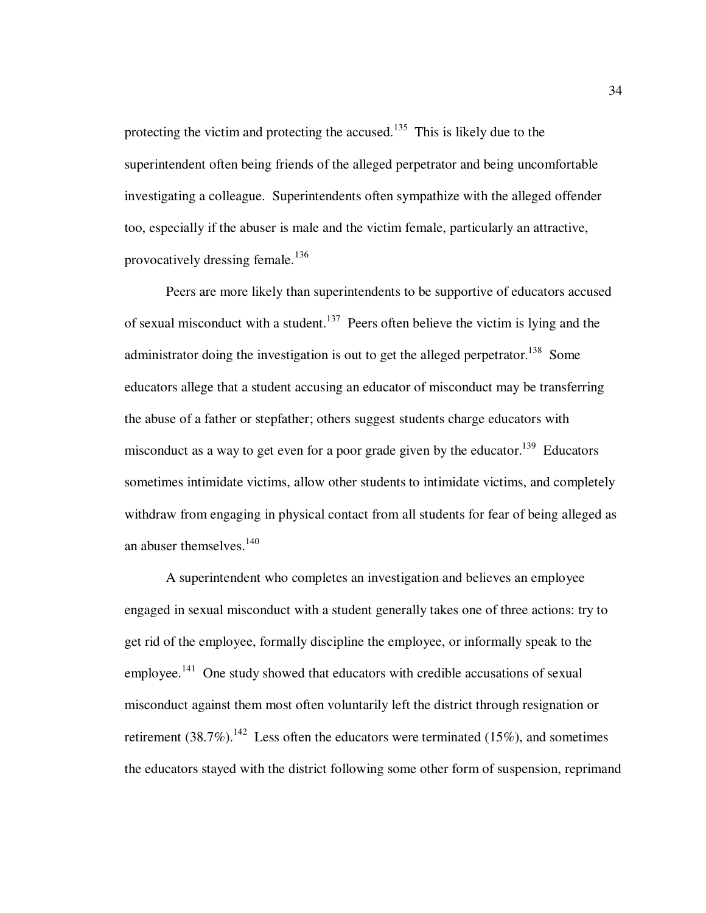protecting the victim and protecting the accused.<sup>135</sup> This is likely due to the superintendent often being friends of the alleged perpetrator and being uncomfortable investigating a colleague. Superintendents often sympathize with the alleged offender too, especially if the abuser is male and the victim female, particularly an attractive, provocatively dressing female.<sup>136</sup>

 Peers are more likely than superintendents to be supportive of educators accused of sexual misconduct with a student.<sup>137</sup> Peers often believe the victim is lying and the administrator doing the investigation is out to get the alleged perpetrator.<sup>138</sup> Some educators allege that a student accusing an educator of misconduct may be transferring the abuse of a father or stepfather; others suggest students charge educators with misconduct as a way to get even for a poor grade given by the educator.<sup>139</sup> Educators sometimes intimidate victims, allow other students to intimidate victims, and completely withdraw from engaging in physical contact from all students for fear of being alleged as an abuser themselves.<sup>140</sup>

 A superintendent who completes an investigation and believes an employee engaged in sexual misconduct with a student generally takes one of three actions: try to get rid of the employee, formally discipline the employee, or informally speak to the employee.<sup>141</sup> One study showed that educators with credible accusations of sexual misconduct against them most often voluntarily left the district through resignation or retirement  $(38.7\%)$ .<sup>142</sup> Less often the educators were terminated (15%), and sometimes the educators stayed with the district following some other form of suspension, reprimand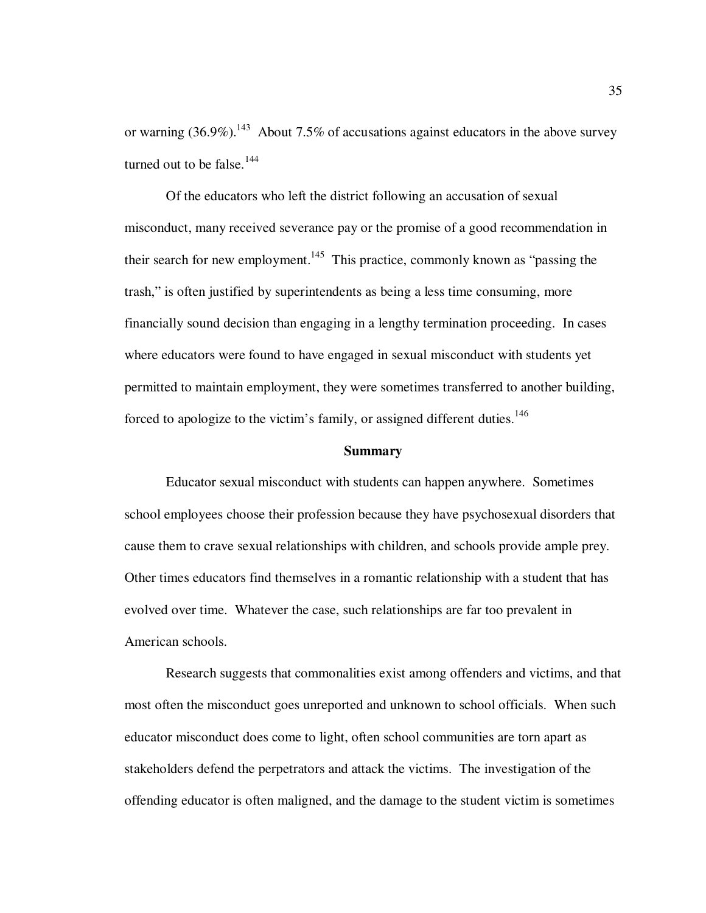or warning  $(36.9\%)$ <sup>143</sup> About 7.5% of accusations against educators in the above survey turned out to be false.<sup>144</sup>

 Of the educators who left the district following an accusation of sexual misconduct, many received severance pay or the promise of a good recommendation in their search for new employment.<sup>145</sup> This practice, commonly known as "passing the trash," is often justified by superintendents as being a less time consuming, more financially sound decision than engaging in a lengthy termination proceeding. In cases where educators were found to have engaged in sexual misconduct with students yet permitted to maintain employment, they were sometimes transferred to another building, forced to apologize to the victim's family, or assigned different duties.<sup>146</sup>

#### **Summary**

Educator sexual misconduct with students can happen anywhere. Sometimes school employees choose their profession because they have psychosexual disorders that cause them to crave sexual relationships with children, and schools provide ample prey. Other times educators find themselves in a romantic relationship with a student that has evolved over time. Whatever the case, such relationships are far too prevalent in American schools.

Research suggests that commonalities exist among offenders and victims, and that most often the misconduct goes unreported and unknown to school officials. When such educator misconduct does come to light, often school communities are torn apart as stakeholders defend the perpetrators and attack the victims. The investigation of the offending educator is often maligned, and the damage to the student victim is sometimes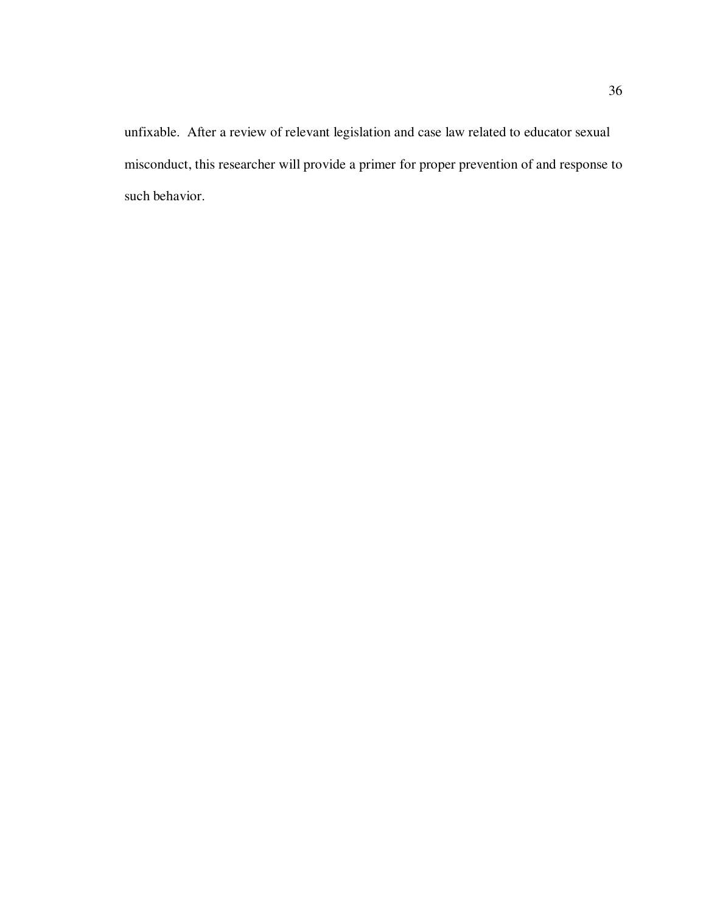unfixable. After a review of relevant legislation and case law related to educator sexual misconduct, this researcher will provide a primer for proper prevention of and response to such behavior.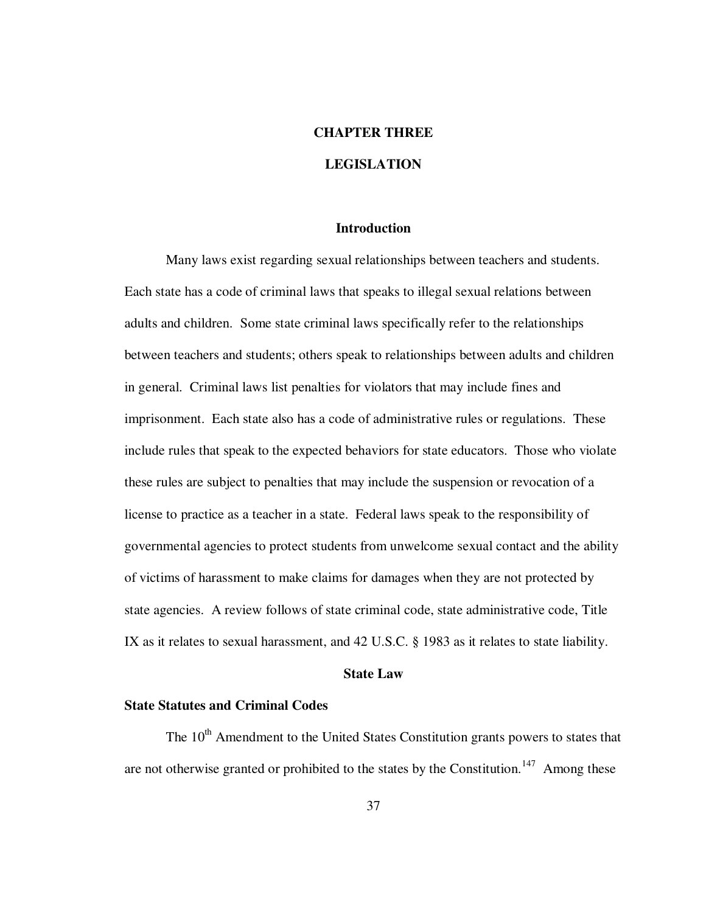## **CHAPTER THREE**

## **LEGISLATION**

## **Introduction**

 Many laws exist regarding sexual relationships between teachers and students. Each state has a code of criminal laws that speaks to illegal sexual relations between adults and children. Some state criminal laws specifically refer to the relationships between teachers and students; others speak to relationships between adults and children in general. Criminal laws list penalties for violators that may include fines and imprisonment. Each state also has a code of administrative rules or regulations. These include rules that speak to the expected behaviors for state educators. Those who violate these rules are subject to penalties that may include the suspension or revocation of a license to practice as a teacher in a state. Federal laws speak to the responsibility of governmental agencies to protect students from unwelcome sexual contact and the ability of victims of harassment to make claims for damages when they are not protected by state agencies. A review follows of state criminal code, state administrative code, Title IX as it relates to sexual harassment, and 42 U.S.C. § 1983 as it relates to state liability.

### **State Law**

## **State Statutes and Criminal Codes**

The 10<sup>th</sup> Amendment to the United States Constitution grants powers to states that are not otherwise granted or prohibited to the states by the Constitution.<sup>147</sup> Among these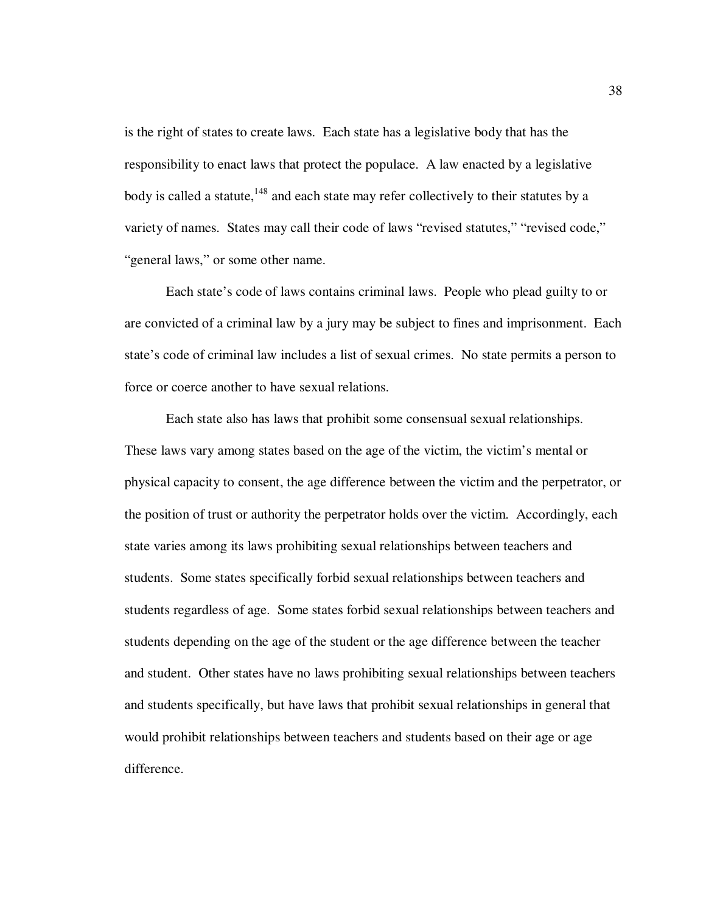is the right of states to create laws. Each state has a legislative body that has the responsibility to enact laws that protect the populace. A law enacted by a legislative body is called a statute,  $148$  and each state may refer collectively to their statutes by a variety of names. States may call their code of laws "revised statutes," "revised code," "general laws," or some other name.

Each state's code of laws contains criminal laws. People who plead guilty to or are convicted of a criminal law by a jury may be subject to fines and imprisonment. Each state's code of criminal law includes a list of sexual crimes. No state permits a person to force or coerce another to have sexual relations.

Each state also has laws that prohibit some consensual sexual relationships. These laws vary among states based on the age of the victim, the victim's mental or physical capacity to consent, the age difference between the victim and the perpetrator, or the position of trust or authority the perpetrator holds over the victim. Accordingly, each state varies among its laws prohibiting sexual relationships between teachers and students. Some states specifically forbid sexual relationships between teachers and students regardless of age. Some states forbid sexual relationships between teachers and students depending on the age of the student or the age difference between the teacher and student. Other states have no laws prohibiting sexual relationships between teachers and students specifically, but have laws that prohibit sexual relationships in general that would prohibit relationships between teachers and students based on their age or age difference.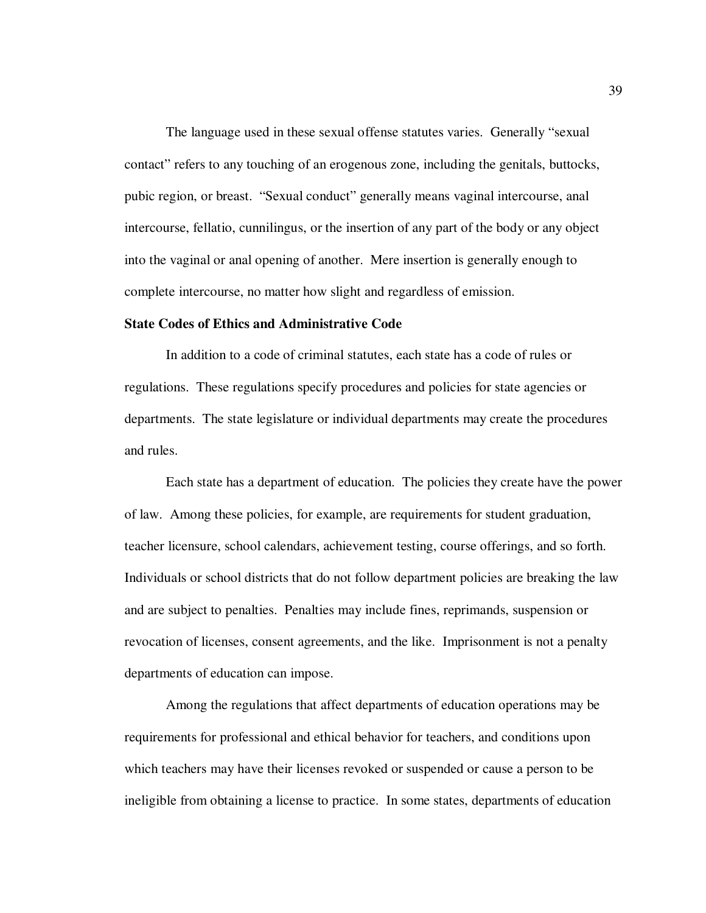The language used in these sexual offense statutes varies. Generally "sexual contact" refers to any touching of an erogenous zone, including the genitals, buttocks, pubic region, or breast. "Sexual conduct" generally means vaginal intercourse, anal intercourse, fellatio, cunnilingus, or the insertion of any part of the body or any object into the vaginal or anal opening of another. Mere insertion is generally enough to complete intercourse, no matter how slight and regardless of emission.

### **State Codes of Ethics and Administrative Code**

In addition to a code of criminal statutes, each state has a code of rules or regulations. These regulations specify procedures and policies for state agencies or departments. The state legislature or individual departments may create the procedures and rules.

Each state has a department of education. The policies they create have the power of law. Among these policies, for example, are requirements for student graduation, teacher licensure, school calendars, achievement testing, course offerings, and so forth. Individuals or school districts that do not follow department policies are breaking the law and are subject to penalties. Penalties may include fines, reprimands, suspension or revocation of licenses, consent agreements, and the like. Imprisonment is not a penalty departments of education can impose.

Among the regulations that affect departments of education operations may be requirements for professional and ethical behavior for teachers, and conditions upon which teachers may have their licenses revoked or suspended or cause a person to be ineligible from obtaining a license to practice. In some states, departments of education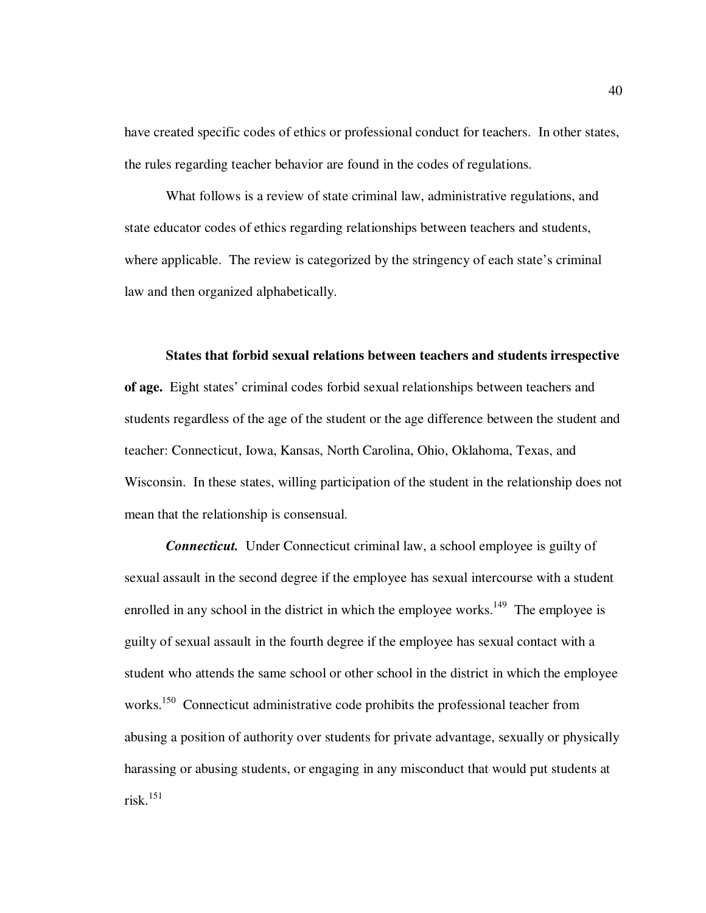have created specific codes of ethics or professional conduct for teachers. In other states, the rules regarding teacher behavior are found in the codes of regulations.

What follows is a review of state criminal law, administrative regulations, and state educator codes of ethics regarding relationships between teachers and students, where applicable. The review is categorized by the stringency of each state's criminal law and then organized alphabetically.

### **States that forbid sexual relations between teachers and students irrespective**

**of age.** Eight states' criminal codes forbid sexual relationships between teachers and students regardless of the age of the student or the age difference between the student and teacher: Connecticut, Iowa, Kansas, North Carolina, Ohio, Oklahoma, Texas, and Wisconsin. In these states, willing participation of the student in the relationship does not mean that the relationship is consensual.

*Connecticut.* Under Connecticut criminal law, a school employee is guilty of sexual assault in the second degree if the employee has sexual intercourse with a student enrolled in any school in the district in which the employee works.<sup>149</sup> The employee is guilty of sexual assault in the fourth degree if the employee has sexual contact with a student who attends the same school or other school in the district in which the employee works.<sup>150</sup> Connecticut administrative code prohibits the professional teacher from abusing a position of authority over students for private advantage, sexually or physically harassing or abusing students, or engaging in any misconduct that would put students at risk.<sup>151</sup>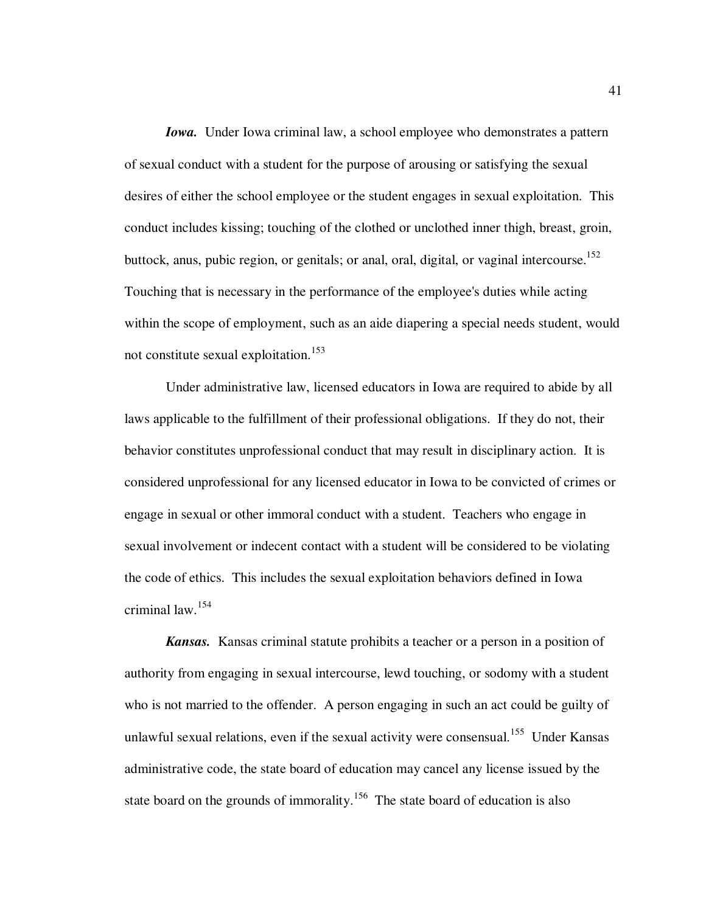*Iowa.* Under Iowa criminal law, a school employee who demonstrates a pattern of sexual conduct with a student for the purpose of arousing or satisfying the sexual desires of either the school employee or the student engages in sexual exploitation. This conduct includes kissing; touching of the clothed or unclothed inner thigh, breast, groin, buttock, anus, pubic region, or genitals; or anal, oral, digital, or vaginal intercourse.<sup>152</sup> Touching that is necessary in the performance of the employee's duties while acting within the scope of employment, such as an aide diapering a special needs student, would not constitute sexual exploitation.<sup>153</sup>

Under administrative law, licensed educators in Iowa are required to abide by all laws applicable to the fulfillment of their professional obligations. If they do not, their behavior constitutes unprofessional conduct that may result in disciplinary action. It is considered unprofessional for any licensed educator in Iowa to be convicted of crimes or engage in sexual or other immoral conduct with a student. Teachers who engage in sexual involvement or indecent contact with a student will be considered to be violating the code of ethics. This includes the sexual exploitation behaviors defined in Iowa criminal law.<sup>154</sup>

*Kansas.* Kansas criminal statute prohibits a teacher or a person in a position of authority from engaging in sexual intercourse, lewd touching, or sodomy with a student who is not married to the offender. A person engaging in such an act could be guilty of unlawful sexual relations, even if the sexual activity were consensual.<sup>155</sup> Under Kansas administrative code, the state board of education may cancel any license issued by the state board on the grounds of immorality.<sup>156</sup> The state board of education is also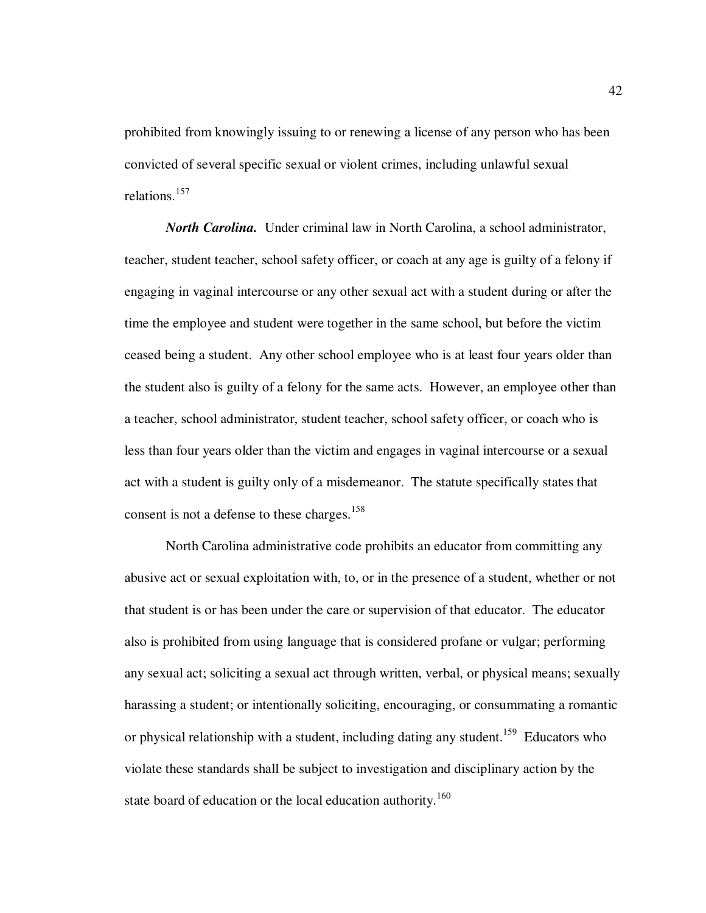prohibited from knowingly issuing to or renewing a license of any person who has been convicted of several specific sexual or violent crimes, including unlawful sexual relations.<sup>157</sup>

*North Carolina.* Under criminal law in North Carolina, a school administrator, teacher, student teacher, school safety officer, or coach at any age is guilty of a felony if engaging in vaginal intercourse or any other sexual act with a student during or after the time the employee and student were together in the same school, but before the victim ceased being a student. Any other school employee who is at least four years older than the student also is guilty of a felony for the same acts. However, an employee other than a teacher, school administrator, student teacher, school safety officer, or coach who is less than four years older than the victim and engages in vaginal intercourse or a sexual act with a student is guilty only of a misdemeanor. The statute specifically states that consent is not a defense to these charges.<sup>158</sup>

North Carolina administrative code prohibits an educator from committing any abusive act or sexual exploitation with, to, or in the presence of a student, whether or not that student is or has been under the care or supervision of that educator. The educator also is prohibited from using language that is considered profane or vulgar; performing any sexual act; soliciting a sexual act through written, verbal, or physical means; sexually harassing a student; or intentionally soliciting, encouraging, or consummating a romantic or physical relationship with a student, including dating any student.<sup>159</sup> Educators who violate these standards shall be subject to investigation and disciplinary action by the state board of education or the local education authority.<sup>160</sup>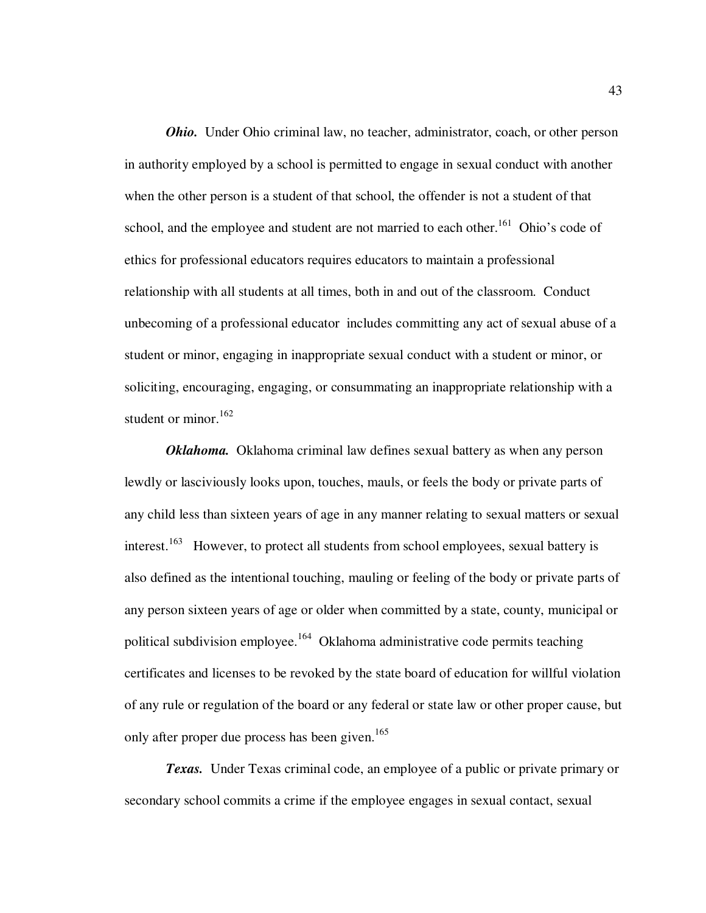*Ohio.* Under Ohio criminal law, no teacher, administrator, coach, or other person in authority employed by a school is permitted to engage in sexual conduct with another when the other person is a student of that school, the offender is not a student of that school, and the employee and student are not married to each other.<sup>161</sup> Ohio's code of ethics for professional educators requires educators to maintain a professional relationship with all students at all times, both in and out of the classroom. Conduct unbecoming of a professional educator includes committing any act of sexual abuse of a student or minor, engaging in inappropriate sexual conduct with a student or minor, or soliciting, encouraging, engaging, or consummating an inappropriate relationship with a student or minor.<sup>162</sup>

*Oklahoma.* Oklahoma criminal law defines sexual battery as when any person lewdly or lasciviously looks upon, touches, mauls, or feels the body or private parts of any child less than sixteen years of age in any manner relating to sexual matters or sexual interest.<sup>163</sup> However, to protect all students from school employees, sexual battery is also defined as the intentional touching, mauling or feeling of the body or private parts of any person sixteen years of age or older when committed by a state, county, municipal or political subdivision employee.<sup>164</sup> Oklahoma administrative code permits teaching certificates and licenses to be revoked by the state board of education for willful violation of any rule or regulation of the board or any federal or state law or other proper cause, but only after proper due process has been given.<sup>165</sup>

*Texas.* Under Texas criminal code, an employee of a public or private primary or secondary school commits a crime if the employee engages in sexual contact, sexual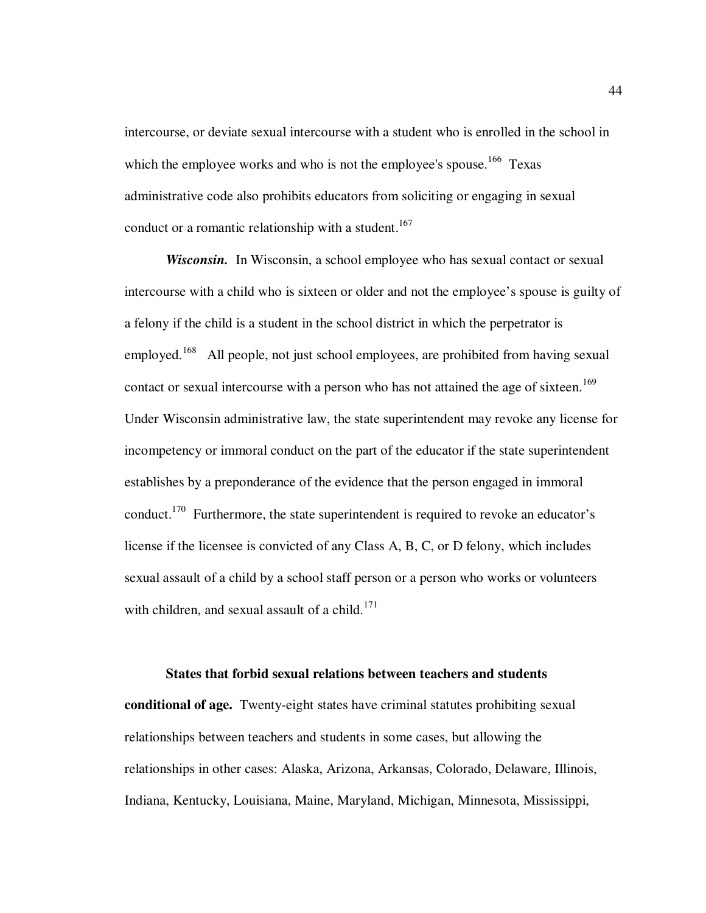intercourse, or deviate sexual intercourse with a student who is enrolled in the school in which the employee works and who is not the employee's spouse.<sup>166</sup> Texas administrative code also prohibits educators from soliciting or engaging in sexual conduct or a romantic relationship with a student.<sup>167</sup>

*Wisconsin.* In Wisconsin, a school employee who has sexual contact or sexual intercourse with a child who is sixteen or older and not the employee's spouse is guilty of a felony if the child is a student in the school district in which the perpetrator is employed.<sup>168</sup> All people, not just school employees, are prohibited from having sexual contact or sexual intercourse with a person who has not attained the age of sixteen.<sup>169</sup> Under Wisconsin administrative law, the state superintendent may revoke any license for incompetency or immoral conduct on the part of the educator if the state superintendent establishes by a preponderance of the evidence that the person engaged in immoral conduct.<sup>170</sup> Furthermore, the state superintendent is required to revoke an educator's license if the licensee is convicted of any Class A, B, C, or D felony, which includes sexual assault of a child by a school staff person or a person who works or volunteers with children, and sexual assault of a child. $171$ 

### **States that forbid sexual relations between teachers and students**

**conditional of age.** Twenty-eight states have criminal statutes prohibiting sexual relationships between teachers and students in some cases, but allowing the relationships in other cases: Alaska, Arizona, Arkansas, Colorado, Delaware, Illinois, Indiana, Kentucky, Louisiana, Maine, Maryland, Michigan, Minnesota, Mississippi,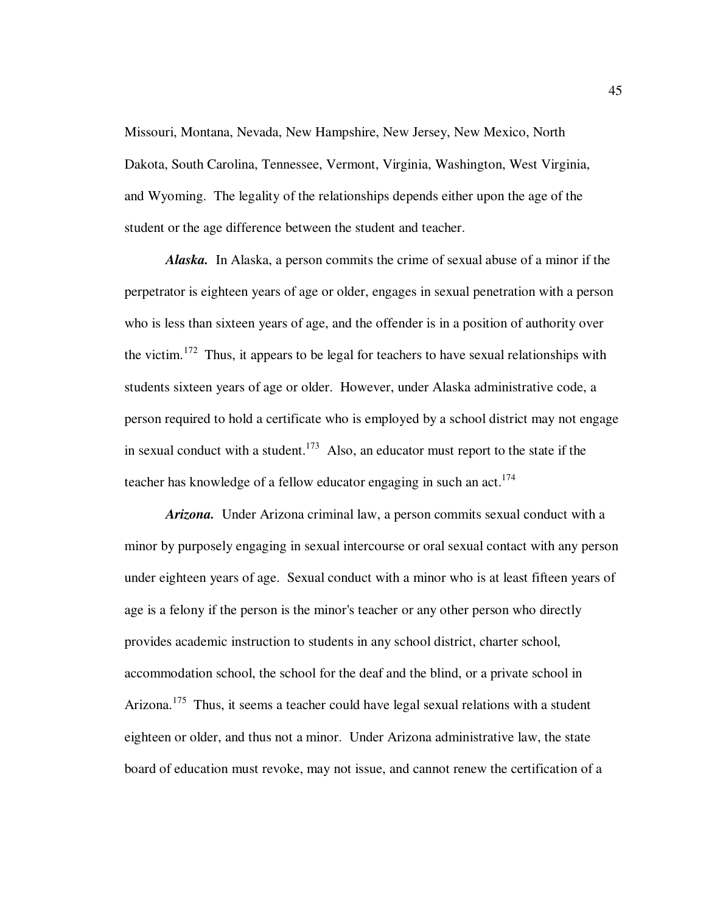Missouri, Montana, Nevada, New Hampshire, New Jersey, New Mexico, North Dakota, South Carolina, Tennessee, Vermont, Virginia, Washington, West Virginia, and Wyoming. The legality of the relationships depends either upon the age of the student or the age difference between the student and teacher.

*Alaska.* In Alaska, a person commits the crime of sexual abuse of a minor if the perpetrator is eighteen years of age or older, engages in sexual penetration with a person who is less than sixteen years of age, and the offender is in a position of authority over the victim.<sup>172</sup> Thus, it appears to be legal for teachers to have sexual relationships with students sixteen years of age or older.However, under Alaska administrative code, a person required to hold a certificate who is employed by a school district may not engage in sexual conduct with a student.<sup>173</sup> Also, an educator must report to the state if the teacher has knowledge of a fellow educator engaging in such an  $act.^{174}$ 

*Arizona.* Under Arizona criminal law, a person commits sexual conduct with a minor by purposely engaging in sexual intercourse or oral sexual contact with any person under eighteen years of age. Sexual conduct with a minor who is at least fifteen years of age is a felony if the person is the minor's teacher or any other person who directly provides academic instruction to students in any school district, charter school, accommodation school, the school for the deaf and the blind, or a private school in Arizona.<sup>175</sup> Thus, it seems a teacher could have legal sexual relations with a student eighteen or older, and thus not a minor. Under Arizona administrative law, the state board of education must revoke, may not issue, and cannot renew the certification of a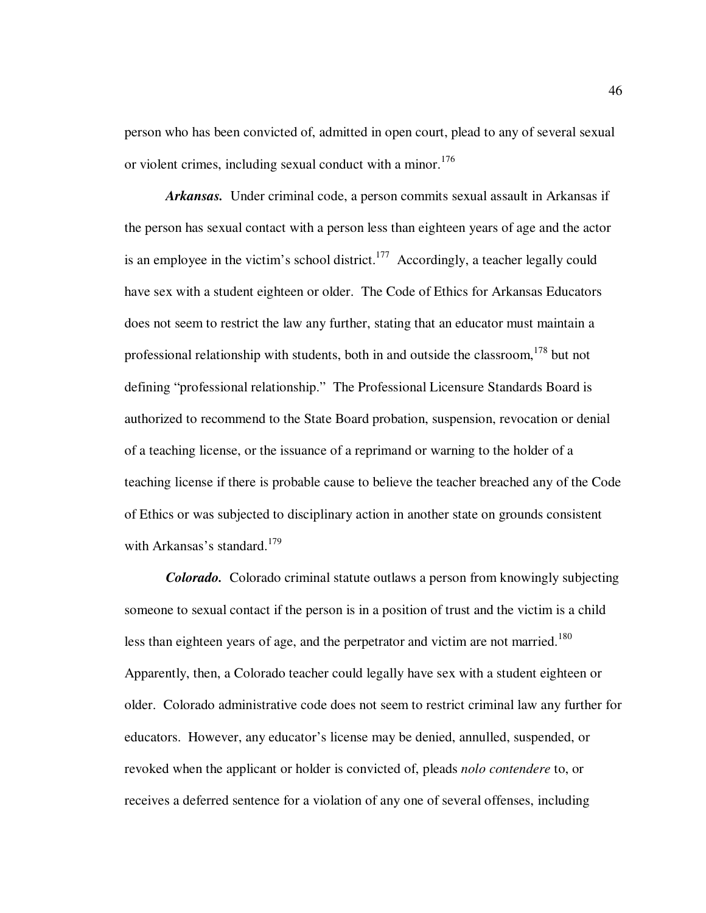person who has been convicted of, admitted in open court, plead to any of several sexual or violent crimes, including sexual conduct with a minor.<sup>176</sup>

*Arkansas.* Under criminal code, a person commits sexual assault in Arkansas if the person has sexual contact with a person less than eighteen years of age and the actor is an employee in the victim's school district.<sup>177</sup> Accordingly, a teacher legally could have sex with a student eighteen or older. The Code of Ethics for Arkansas Educators does not seem to restrict the law any further, stating that an educator must maintain a professional relationship with students, both in and outside the classroom,  $178$  but not defining "professional relationship." The Professional Licensure Standards Board is authorized to recommend to the State Board probation, suspension, revocation or denial of a teaching license, or the issuance of a reprimand or warning to the holder of a teaching license if there is probable cause to believe the teacher breached any of the Code of Ethics or was subjected to disciplinary action in another state on grounds consistent with Arkansas's standard.<sup>179</sup>

*Colorado.* Colorado criminal statute outlaws a person from knowingly subjecting someone to sexual contact if the person is in a position of trust and the victim is a child less than eighteen years of age, and the perpetrator and victim are not married.<sup>180</sup> Apparently, then, a Colorado teacher could legally have sex with a student eighteen or older.Colorado administrative code does not seem to restrict criminal law any further for educators. However, any educator's license may be denied, annulled, suspended, or revoked when the applicant or holder is convicted of, pleads *nolo contendere* to, or receives a deferred sentence for a violation of any one of several offenses, including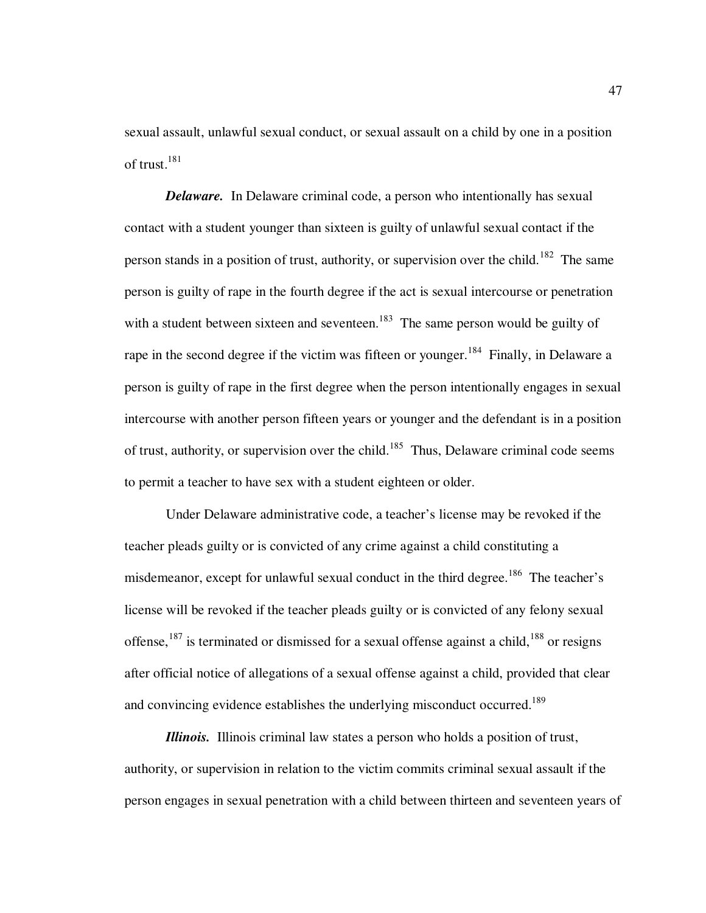sexual assault, unlawful sexual conduct, or sexual assault on a child by one in a position of trust.<sup>181</sup>

*Delaware.* In Delaware criminal code, a person who intentionally has sexual contact with a student younger than sixteen is guilty of unlawful sexual contact if the person stands in a position of trust, authority, or supervision over the child.<sup>182</sup> The same person is guilty of rape in the fourth degree if the act is sexual intercourse or penetration with a student between sixteen and seventeen.<sup>183</sup> The same person would be guilty of rape in the second degree if the victim was fifteen or younger.<sup>184</sup> Finally, in Delaware a person is guilty of rape in the first degree when the person intentionally engages in sexual intercourse with another person fifteen years or younger and the defendant is in a position of trust, authority, or supervision over the child.<sup>185</sup> Thus, Delaware criminal code seems to permit a teacher to have sex with a student eighteen or older.

Under Delaware administrative code, a teacher's license may be revoked if the teacher pleads guilty or is convicted of any crime against a child constituting a misdemeanor, except for unlawful sexual conduct in the third degree.<sup>186</sup> The teacher's license will be revoked if the teacher pleads guilty or is convicted of any felony sexual offense,  $187$  is terminated or dismissed for a sexual offense against a child,  $188$  or resigns after official notice of allegations of a sexual offense against a child, provided that clear and convincing evidence establishes the underlying misconduct occurred.<sup>189</sup>

*Illinois.* Illinois criminal law states a person who holds a position of trust, authority, or supervision in relation to the victim commits criminal sexual assault if the person engages in sexual penetration with a child between thirteen and seventeen years of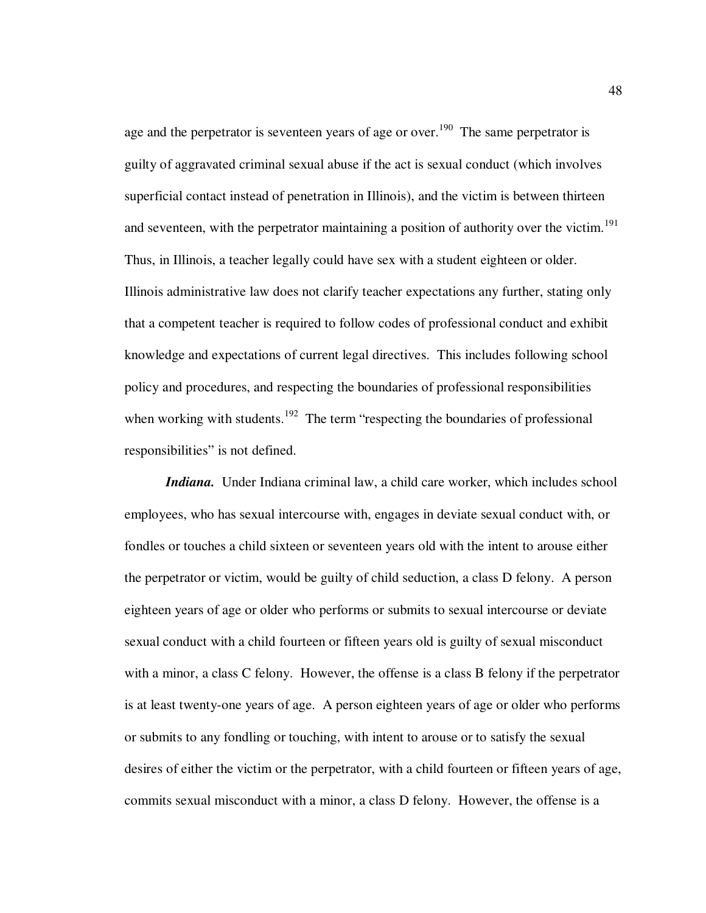age and the perpetrator is seventeen years of age or over.<sup>190</sup> The same perpetrator is guilty of aggravated criminal sexual abuse if the act is sexual conduct (which involves superficial contact instead of penetration in Illinois), and the victim is between thirteen and seventeen, with the perpetrator maintaining a position of authority over the victim.<sup>191</sup> Thus, in Illinois, a teacher legally could have sex with a student eighteen or older. Illinois administrative law does not clarify teacher expectations any further, stating only that a competent teacher is required to follow codes of professional conduct and exhibit knowledge and expectations of current legal directives. This includes following school policy and procedures, and respecting the boundaries of professional responsibilities when working with students.<sup>192</sup> The term "respecting the boundaries of professional responsibilities" is not defined.

*Indiana.* Under Indiana criminal law, a child care worker, which includes school employees, who has sexual intercourse with, engages in deviate sexual conduct with, or fondles or touches a child sixteen or seventeen years old with the intent to arouse either the perpetrator or victim, would be guilty of child seduction, a class D felony. A person eighteen years of age or older who performs or submits to sexual intercourse or deviate sexual conduct with a child fourteen or fifteen years old is guilty of sexual misconduct with a minor, a class C felony. However, the offense is a class B felony if the perpetrator is at least twenty-one years of age. A person eighteen years of age or older who performs or submits to any fondling or touching, with intent to arouse or to satisfy the sexual desires of either the victim or the perpetrator, with a child fourteen or fifteen years of age, commits sexual misconduct with a minor, a class D felony. However, the offense is a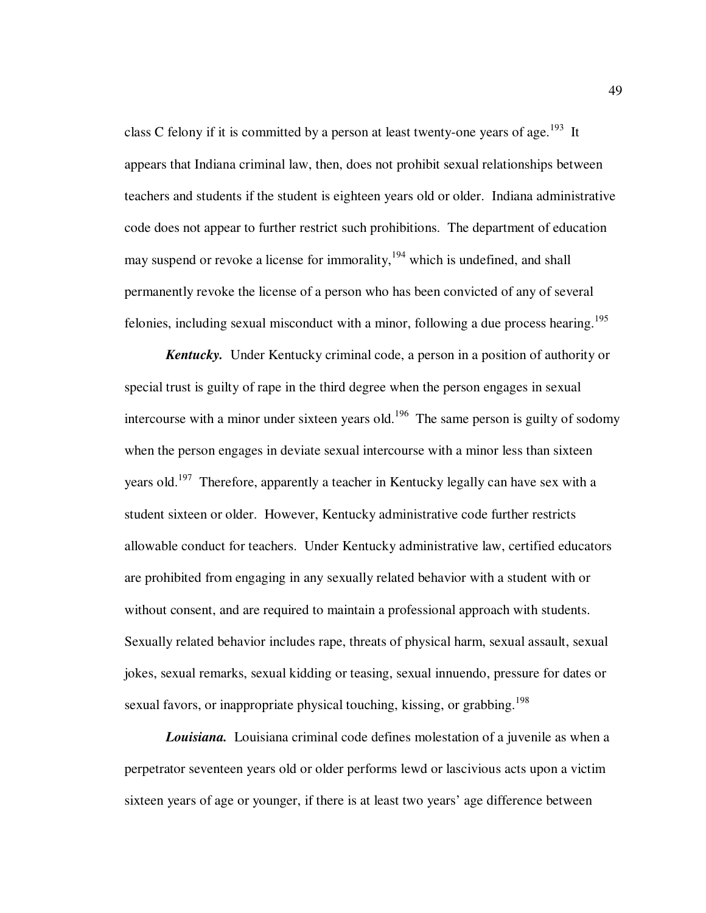class C felony if it is committed by a person at least twenty-one years of age.<sup>193</sup> It appears that Indiana criminal law, then, does not prohibit sexual relationships between teachers and students if the student is eighteen years old or older. Indiana administrative code does not appear to further restrict such prohibitions. The department of education may suspend or revoke a license for immorality,<sup>194</sup> which is undefined, and shall permanently revoke the license of a person who has been convicted of any of several felonies, including sexual misconduct with a minor, following a due process hearing.<sup>195</sup>

*Kentucky.* Under Kentucky criminal code, a person in a position of authority or special trust is guilty of rape in the third degree when the person engages in sexual intercourse with a minor under sixteen years old.<sup>196</sup> The same person is guilty of sodomy when the person engages in deviate sexual intercourse with a minor less than sixteen years old.<sup>197</sup> Therefore, apparently a teacher in Kentucky legally can have sex with a student sixteen or older. However, Kentucky administrative code further restricts allowable conduct for teachers. Under Kentucky administrative law, certified educators are prohibited from engaging in any sexually related behavior with a student with or without consent, and are required to maintain a professional approach with students. Sexually related behavior includes rape, threats of physical harm, sexual assault, sexual jokes, sexual remarks, sexual kidding or teasing, sexual innuendo, pressure for dates or sexual favors, or inappropriate physical touching, kissing, or grabbing.<sup>198</sup>

*Louisiana.* Louisiana criminal code defines molestation of a juvenile as when a perpetrator seventeen years old or older performs lewd or lascivious acts upon a victim sixteen years of age or younger, if there is at least two years' age difference between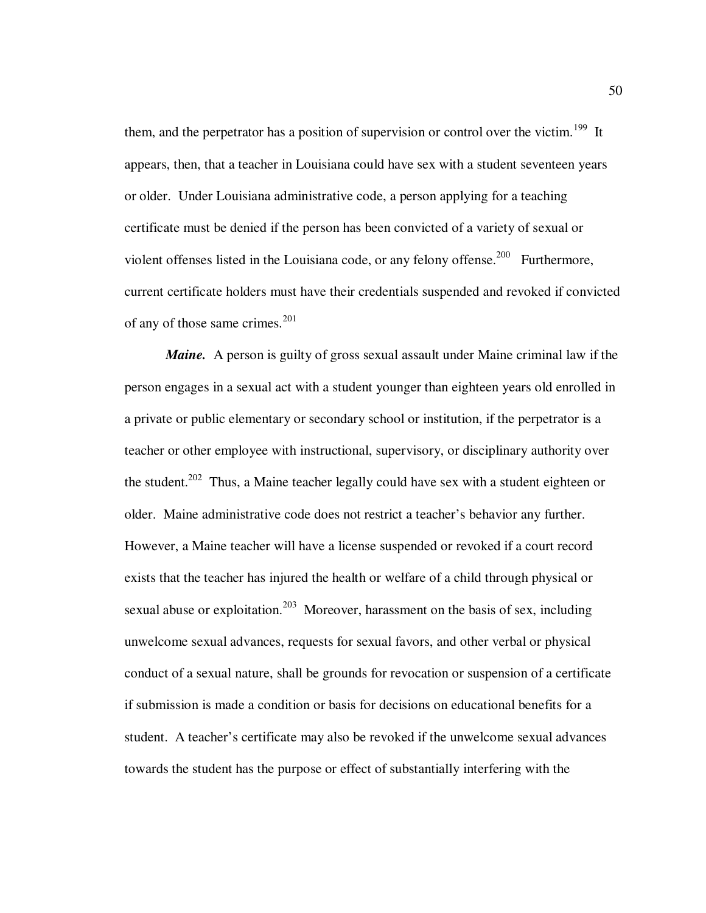them, and the perpetrator has a position of supervision or control over the victim.<sup>199</sup> It appears, then, that a teacher in Louisiana could have sex with a student seventeen years or older. Under Louisiana administrative code, a person applying for a teaching certificate must be denied if the person has been convicted of a variety of sexual or violent offenses listed in the Louisiana code, or any felony offense.<sup>200</sup> Furthermore, current certificate holders must have their credentials suspended and revoked if convicted of any of those same crimes. $^{201}$ 

*Maine.* A person is guilty of gross sexual assault under Maine criminal law if the person engages in a sexual act with a student younger than eighteen years old enrolled in a private or public elementary or secondary school or institution, if the perpetrator is a teacher or other employee with instructional, supervisory, or disciplinary authority over the student.<sup>202</sup> Thus, a Maine teacher legally could have sex with a student eighteen or older. Maine administrative code does not restrict a teacher's behavior any further. However, a Maine teacher will have a license suspended or revoked if a court record exists that the teacher has injured the health or welfare of a child through physical or sexual abuse or exploitation.<sup>203</sup> Moreover, harassment on the basis of sex, including unwelcome sexual advances, requests for sexual favors, and other verbal or physical conduct of a sexual nature, shall be grounds for revocation or suspension of a certificate if submission is made a condition or basis for decisions on educational benefits for a student. A teacher's certificate may also be revoked if the unwelcome sexual advances towards the student has the purpose or effect of substantially interfering with the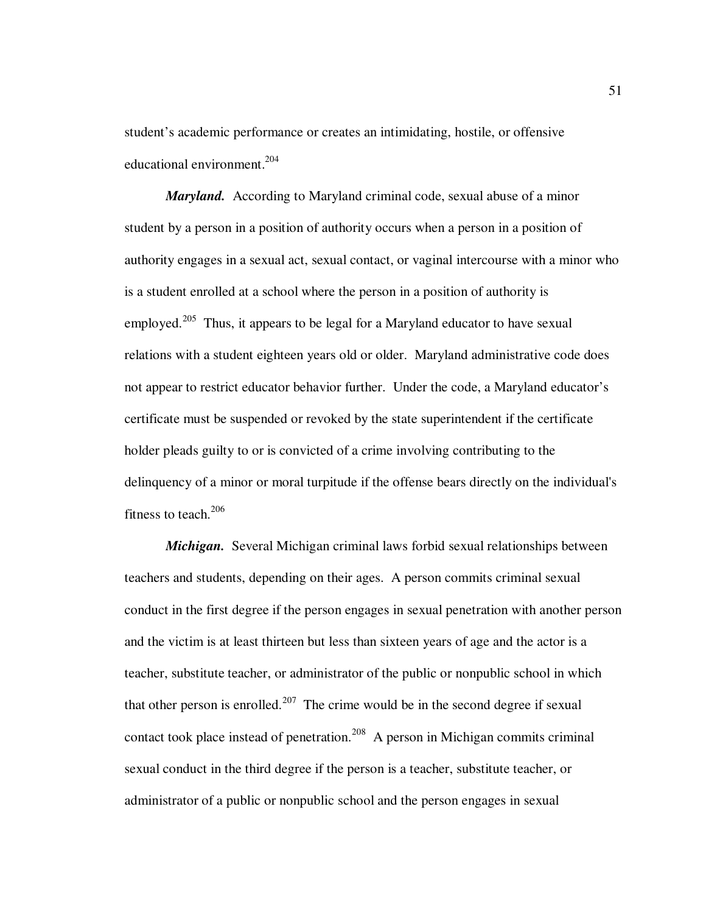student's academic performance or creates an intimidating, hostile, or offensive educational environment. $204$ 

*Maryland.* According to Maryland criminal code, sexual abuse of a minor student by a person in a position of authority occurs when a person in a position of authority engages in a sexual act, sexual contact, or vaginal intercourse with a minor who is a student enrolled at a school where the person in a position of authority is employed.<sup>205</sup> Thus, it appears to be legal for a Maryland educator to have sexual relations with a student eighteen years old or older. Maryland administrative code does not appear to restrict educator behavior further. Under the code, a Maryland educator's certificate must be suspended or revoked by the state superintendent if the certificate holder pleads guilty to or is convicted of a crime involving contributing to the delinquency of a minor or moral turpitude if the offense bears directly on the individual's fitness to teach.<sup>206</sup>

*Michigan.* Several Michigan criminal laws forbid sexual relationships between teachers and students, depending on their ages. A person commits criminal sexual conduct in the first degree if the person engages in sexual penetration with another person and the victim is at least thirteen but less than sixteen years of age and the actor is a teacher, substitute teacher, or administrator of the public or nonpublic school in which that other person is enrolled.<sup>207</sup> The crime would be in the second degree if sexual contact took place instead of penetration.<sup>208</sup> A person in Michigan commits criminal sexual conduct in the third degree if the person is a teacher, substitute teacher, or administrator of a public or nonpublic school and the person engages in sexual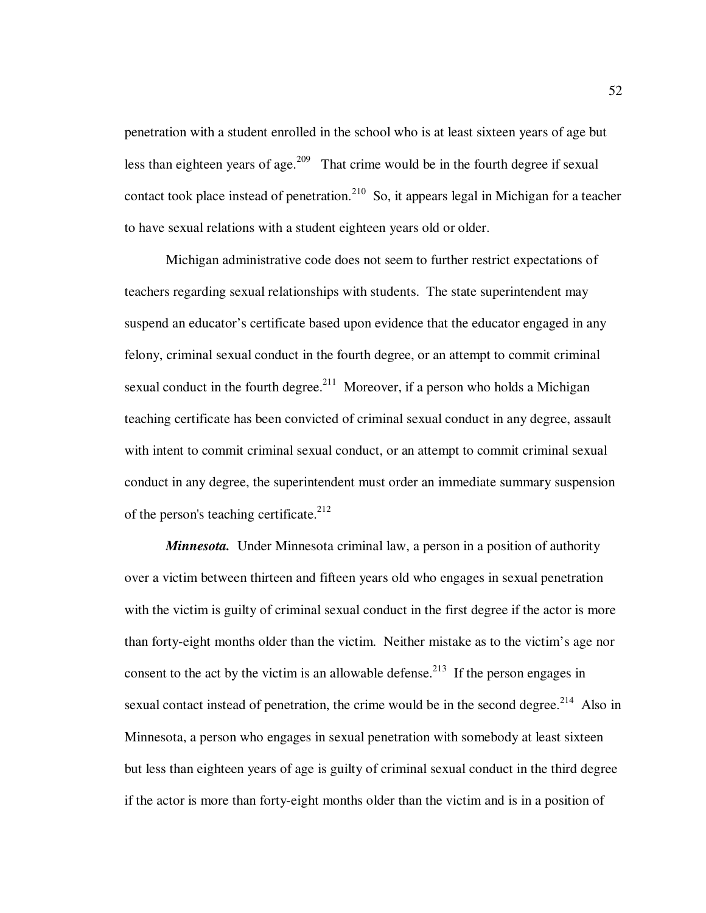penetration with a student enrolled in the school who is at least sixteen years of age but less than eighteen years of age.<sup>209</sup> That crime would be in the fourth degree if sexual contact took place instead of penetration.<sup>210</sup> So, it appears legal in Michigan for a teacher to have sexual relations with a student eighteen years old or older.

Michigan administrative code does not seem to further restrict expectations of teachers regarding sexual relationships with students. The state superintendent may suspend an educator's certificate based upon evidence that the educator engaged in any felony, criminal sexual conduct in the fourth degree, or an attempt to commit criminal sexual conduct in the fourth degree.<sup>211</sup> Moreover, if a person who holds a Michigan teaching certificate has been convicted of criminal sexual conduct in any degree, assault with intent to commit criminal sexual conduct, or an attempt to commit criminal sexual conduct in any degree, the superintendent must order an immediate summary suspension of the person's teaching certificate.<sup>212</sup>

*Minnesota.* Under Minnesota criminal law, a person in a position of authority over a victim between thirteen and fifteen years old who engages in sexual penetration with the victim is guilty of criminal sexual conduct in the first degree if the actor is more than forty-eight months older than the victim. Neither mistake as to the victim's age nor consent to the act by the victim is an allowable defense.<sup>213</sup> If the person engages in sexual contact instead of penetration, the crime would be in the second degree.<sup>214</sup> Also in Minnesota, a person who engages in sexual penetration with somebody at least sixteen but less than eighteen years of age is guilty of criminal sexual conduct in the third degree if the actor is more than forty-eight months older than the victim and is in a position of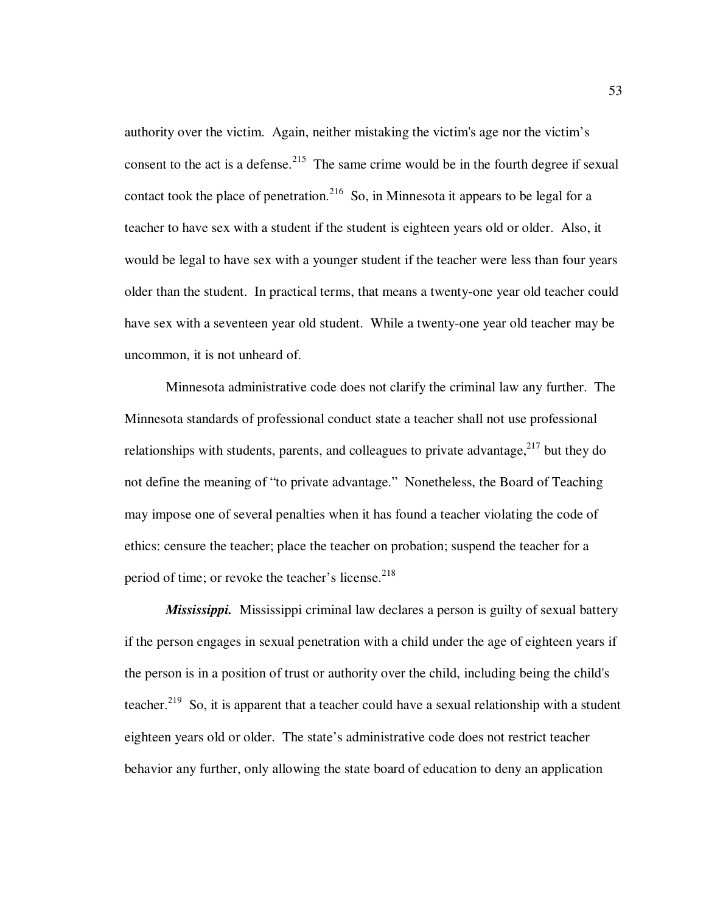authority over the victim. Again, neither mistaking the victim's age nor the victim's consent to the act is a defense.<sup>215</sup> The same crime would be in the fourth degree if sexual contact took the place of penetration.<sup>216</sup> So, in Minnesota it appears to be legal for a teacher to have sex with a student if the student is eighteen years old or older. Also, it would be legal to have sex with a younger student if the teacher were less than four years older than the student. In practical terms, that means a twenty-one year old teacher could have sex with a seventeen year old student. While a twenty-one year old teacher may be uncommon, it is not unheard of.

Minnesota administrative code does not clarify the criminal law any further. The Minnesota standards of professional conduct state a teacher shall not use professional relationships with students, parents, and colleagues to private advantage,  $2^{17}$  but they do not define the meaning of "to private advantage." Nonetheless, the Board of Teaching may impose one of several penalties when it has found a teacher violating the code of ethics: censure the teacher; place the teacher on probation; suspend the teacher for a period of time; or revoke the teacher's license.<sup>218</sup>

*Mississippi.*Mississippi criminal law declares a person is guilty of sexual battery if the person engages in sexual penetration with a child under the age of eighteen years if the person is in a position of trust or authority over the child, including being the child's teacher.<sup>219</sup> So, it is apparent that a teacher could have a sexual relationship with a student eighteen years old or older. The state's administrative code does not restrict teacher behavior any further, only allowing the state board of education to deny an application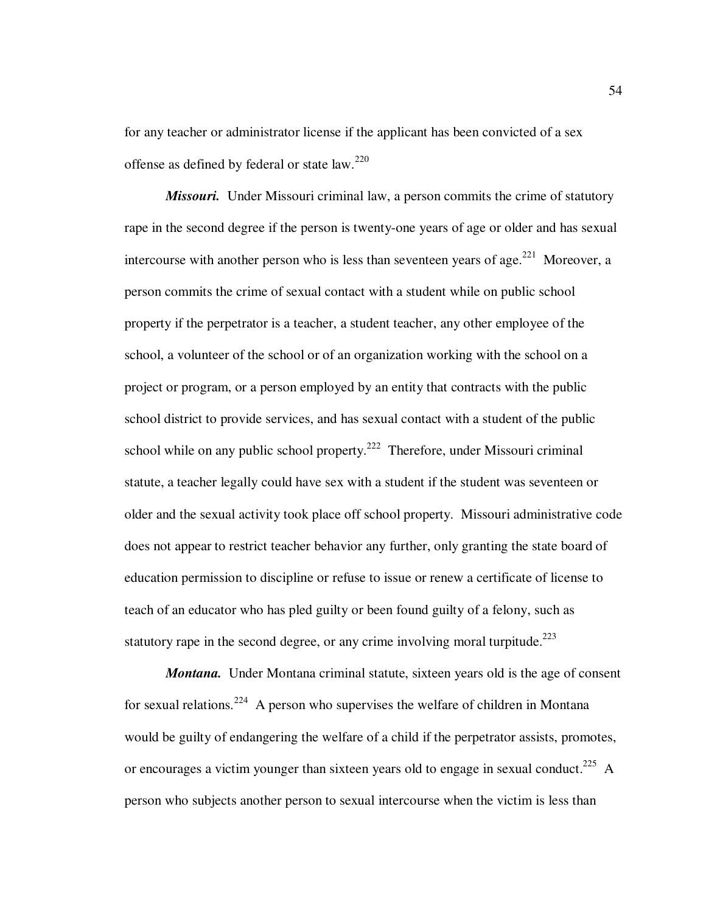for any teacher or administrator license if the applicant has been convicted of a sex offense as defined by federal or state law.<sup>220</sup>

*Missouri.* Under Missouri criminal law, a person commits the crime of statutory rape in the second degree if the person is twenty-one years of age or older and has sexual intercourse with another person who is less than seventeen years of age.<sup>221</sup> Moreover, a person commits the crime of sexual contact with a student while on public school property if the perpetrator is a teacher, a student teacher, any other employee of the school, a volunteer of the school or of an organization working with the school on a project or program, or a person employed by an entity that contracts with the public school district to provide services, and has sexual contact with a student of the public school while on any public school property.<sup>222</sup> Therefore, under Missouri criminal statute, a teacher legally could have sex with a student if the student was seventeen or older and the sexual activity took place off school property.Missouri administrative code does not appear to restrict teacher behavior any further, only granting the state board of education permission to discipline or refuse to issue or renew a certificate of license to teach of an educator who has pled guilty or been found guilty of a felony, such as statutory rape in the second degree, or any crime involving moral turpitude.<sup>223</sup>

*Montana.* Under Montana criminal statute, sixteen years old is the age of consent for sexual relations.<sup>224</sup> A person who supervises the welfare of children in Montana would be guilty of endangering the welfare of a child if the perpetrator assists, promotes, or encourages a victim younger than sixteen years old to engage in sexual conduct.<sup>225</sup> A person who subjects another person to sexual intercourse when the victim is less than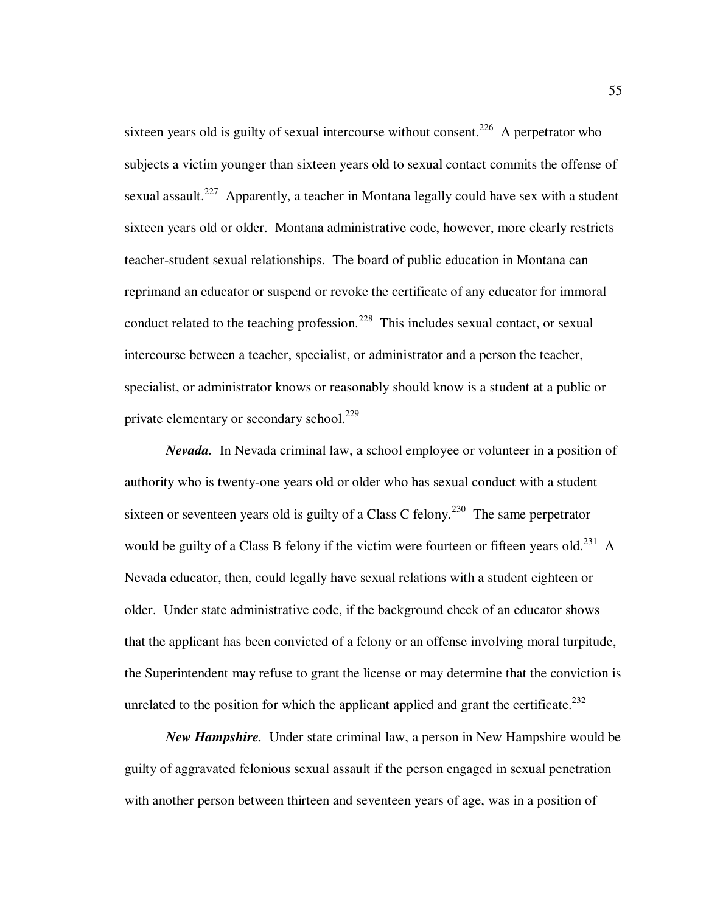sixteen years old is guilty of sexual intercourse without consent.<sup>226</sup> A perpetrator who subjects a victim younger than sixteen years old to sexual contact commits the offense of sexual assault.<sup>227</sup> Apparently, a teacher in Montana legally could have sex with a student sixteen years old or older. Montana administrative code, however, more clearly restricts teacher-student sexual relationships. The board of public education in Montana can reprimand an educator or suspend or revoke the certificate of any educator for immoral conduct related to the teaching profession.<sup>228</sup> This includes sexual contact, or sexual intercourse between a teacher, specialist, or administrator and a person the teacher, specialist, or administrator knows or reasonably should know is a student at a public or private elementary or secondary school. $^{229}$ 

*Nevada.*In Nevada criminal law, a school employee or volunteer in a position of authority who is twenty-one years old or older who has sexual conduct with a student sixteen or seventeen years old is guilty of a Class C felony.<sup>230</sup> The same perpetrator would be guilty of a Class B felony if the victim were fourteen or fifteen years old.<sup>231</sup> A Nevada educator, then, could legally have sexual relations with a student eighteen or older. Under state administrative code, if the background check of an educator shows that the applicant has been convicted of a felony or an offense involving moral turpitude, the Superintendent may refuse to grant the license or may determine that the conviction is unrelated to the position for which the applicant applied and grant the certificate.<sup>232</sup>

*New Hampshire.*Under state criminal law, a person in New Hampshire would be guilty of aggravated felonious sexual assault if the person engaged in sexual penetration with another person between thirteen and seventeen years of age, was in a position of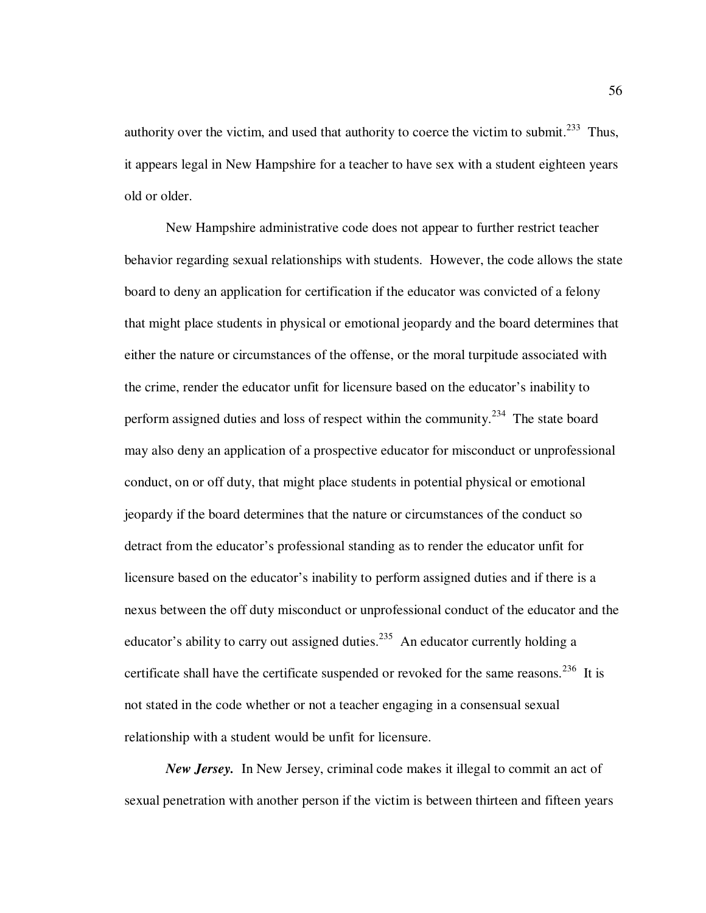authority over the victim, and used that authority to coerce the victim to submit.<sup>233</sup> Thus, it appears legal in New Hampshire for a teacher to have sex with a student eighteen years old or older.

New Hampshire administrative code does not appear to further restrict teacher behavior regarding sexual relationships with students. However, the code allows the state board to deny an application for certification if the educator was convicted of a felony that might place students in physical or emotional jeopardy and the board determines that either the nature or circumstances of the offense, or the moral turpitude associated with the crime, render the educator unfit for licensure based on the educator's inability to perform assigned duties and loss of respect within the community.<sup>234</sup> The state board may also deny an application of a prospective educator for misconduct or unprofessional conduct, on or off duty, that might place students in potential physical or emotional jeopardy if the board determines that the nature or circumstances of the conduct so detract from the educator's professional standing as to render the educator unfit for licensure based on the educator's inability to perform assigned duties and if there is a nexus between the off duty misconduct or unprofessional conduct of the educator and the educator's ability to carry out assigned duties.<sup>235</sup> An educator currently holding a certificate shall have the certificate suspended or revoked for the same reasons.<sup>236</sup> It is not stated in the code whether or not a teacher engaging in a consensual sexual relationship with a student would be unfit for licensure.

*New Jersey.* In New Jersey, criminal code makes it illegal to commit an act of sexual penetration with another person if the victim is between thirteen and fifteen years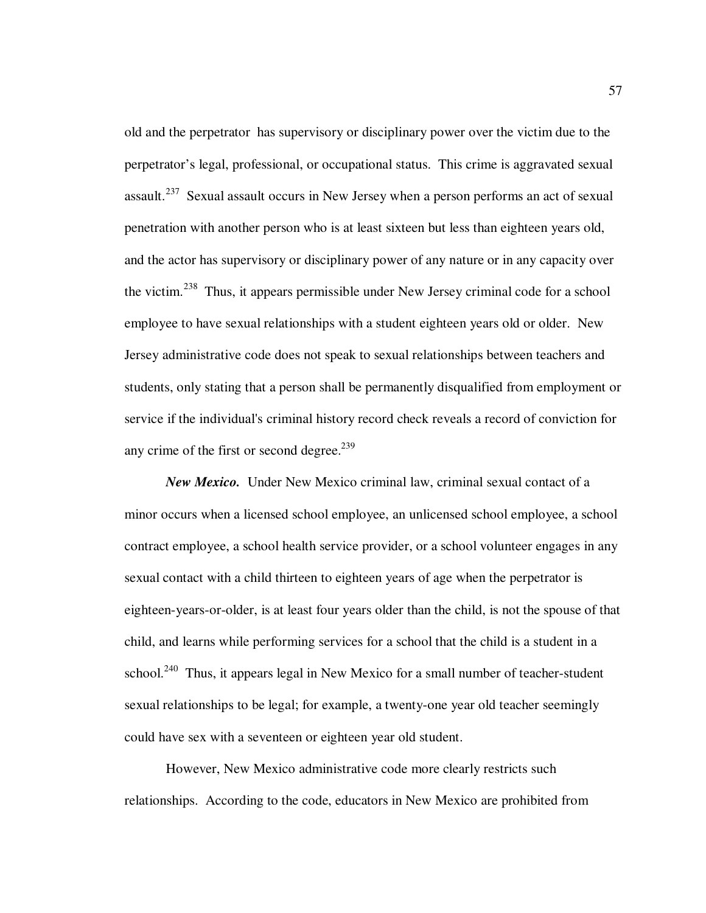old and the perpetrator has supervisory or disciplinary power over the victim due to the perpetrator's legal, professional, or occupational status. This crime is aggravated sexual assault.<sup>237</sup> Sexual assault occurs in New Jersey when a person performs an act of sexual penetration with another person who is at least sixteen but less than eighteen years old, and the actor has supervisory or disciplinary power of any nature or in any capacity over the victim.<sup>238</sup> Thus, it appears permissible under New Jersey criminal code for a school employee to have sexual relationships with a student eighteen years old or older. New Jersey administrative code does not speak to sexual relationships between teachers and students, only stating that a person shall be permanently disqualified from employment or service if the individual's criminal history record check reveals a record of conviction for any crime of the first or second degree.<sup>239</sup>

*New Mexico.*Under New Mexico criminal law, criminal sexual contact of a minor occurs when a licensed school employee, an unlicensed school employee, a school contract employee, a school health service provider, or a school volunteer engages in any sexual contact with a child thirteen to eighteen years of age when the perpetrator is eighteen-years-or-older, is at least four years older than the child, is not the spouse of that child, and learns while performing services for a school that the child is a student in a school.<sup>240</sup> Thus, it appears legal in New Mexico for a small number of teacher-student sexual relationships to be legal; for example, a twenty-one year old teacher seemingly could have sex with a seventeen or eighteen year old student.

However, New Mexico administrative code more clearly restricts such relationships. According to the code, educators in New Mexico are prohibited from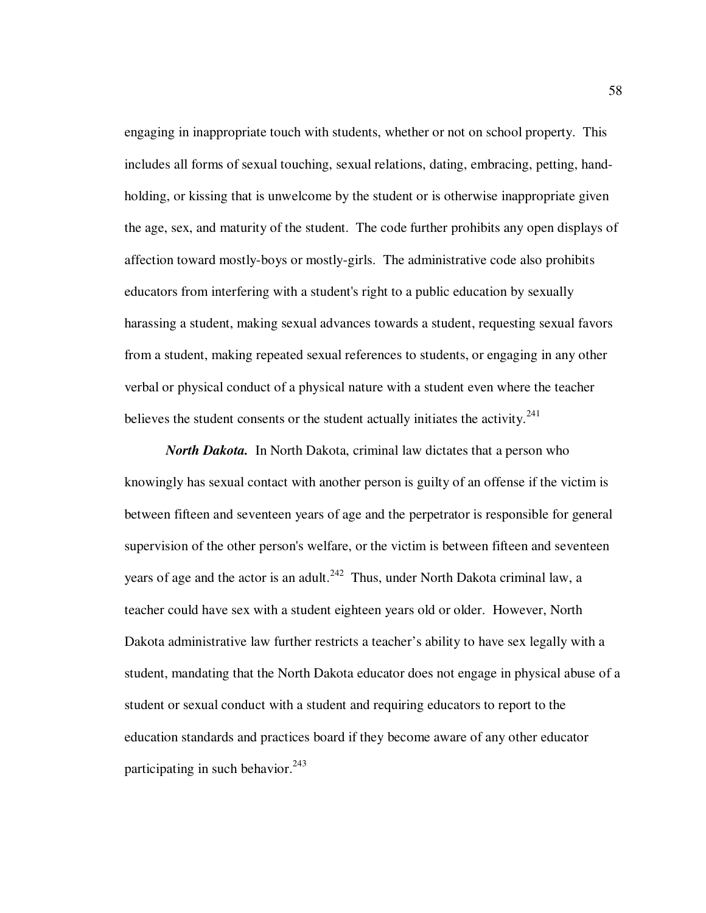engaging in inappropriate touch with students, whether or not on school property. This includes all forms of sexual touching, sexual relations, dating, embracing, petting, handholding, or kissing that is unwelcome by the student or is otherwise inappropriate given the age, sex, and maturity of the student. The code further prohibits any open displays of affection toward mostly-boys or mostly-girls. The administrative code also prohibits educators from interfering with a student's right to a public education by sexually harassing a student, making sexual advances towards a student, requesting sexual favors from a student, making repeated sexual references to students, or engaging in any other verbal or physical conduct of a physical nature with a student even where the teacher believes the student consents or the student actually initiates the activity. $^{241}$ 

*North Dakota.*In North Dakota, criminal law dictates that a person who knowingly has sexual contact with another person is guilty of an offense if the victim is between fifteen and seventeen years of age and the perpetrator is responsible for general supervision of the other person's welfare, or the victim is between fifteen and seventeen years of age and the actor is an adult.<sup>242</sup> Thus, under North Dakota criminal law, a teacher could have sex with a student eighteen years old or older. However, North Dakota administrative law further restricts a teacher's ability to have sex legally with a student, mandating that the North Dakota educator does not engage in physical abuse of a student or sexual conduct with a student and requiring educators to report to the education standards and practices board if they become aware of any other educator participating in such behavior.  $243$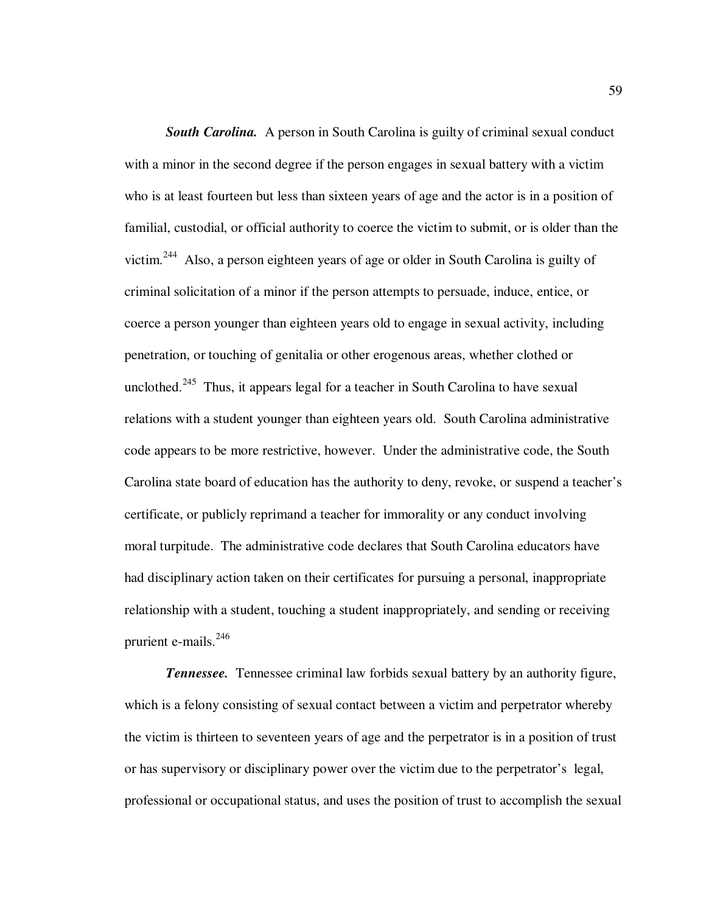**South Carolina.** A person in South Carolina is guilty of criminal sexual conduct with a minor in the second degree if the person engages in sexual battery with a victim who is at least fourteen but less than sixteen years of age and the actor is in a position of familial, custodial, or official authority to coerce the victim to submit, or is older than the victim.<sup>244</sup> Also, a person eighteen years of age or older in South Carolina is guilty of criminal solicitation of a minor if the person attempts to persuade, induce, entice, or coerce a person younger than eighteen years old to engage in sexual activity, including penetration, or touching of genitalia or other erogenous areas, whether clothed or unclothed.<sup>245</sup> Thus, it appears legal for a teacher in South Carolina to have sexual relations with a student younger than eighteen years old. South Carolina administrative code appears to be more restrictive, however. Under the administrative code, the South Carolina state board of education has the authority to deny, revoke, or suspend a teacher's certificate, or publicly reprimand a teacher for immorality or any conduct involving moral turpitude. The administrative code declares that South Carolina educators have had disciplinary action taken on their certificates for pursuing a personal, inappropriate relationship with a student, touching a student inappropriately, and sending or receiving prurient e-mails.<sup>246</sup>

*Tennessee.* Tennessee criminal law forbids sexual battery by an authority figure, which is a felony consisting of sexual contact between a victim and perpetrator whereby the victim is thirteen to seventeen years of age and the perpetrator is in a position of trust or has supervisory or disciplinary power over the victim due to the perpetrator's legal, professional or occupational status, and uses the position of trust to accomplish the sexual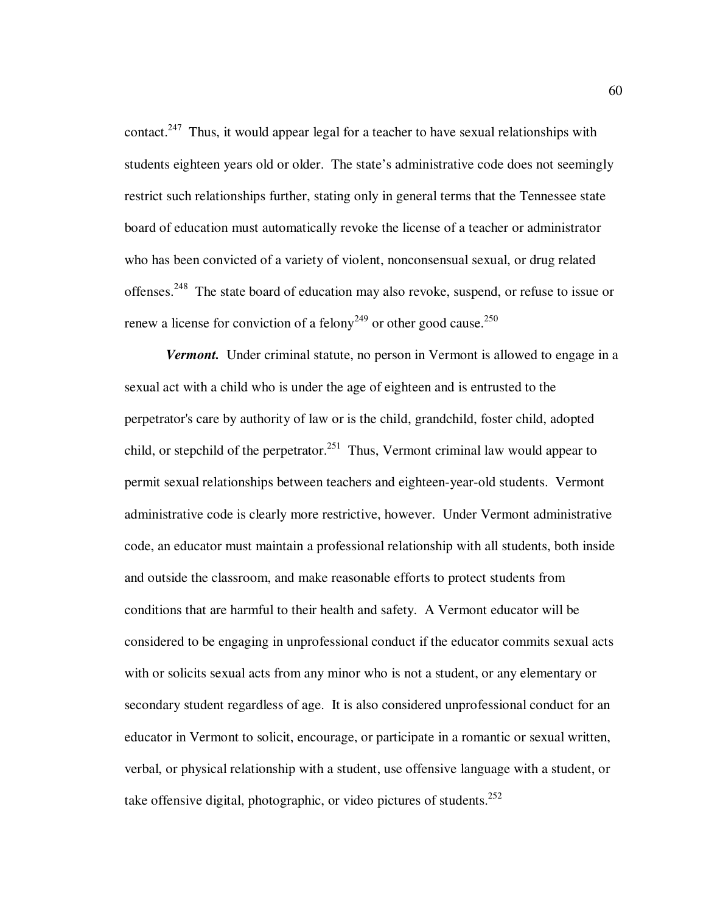contact.<sup>247</sup> Thus, it would appear legal for a teacher to have sexual relationships with students eighteen years old or older. The state's administrative code does not seemingly restrict such relationships further, stating only in general terms that the Tennessee state board of education must automatically revoke the license of a teacher or administrator who has been convicted of a variety of violent, nonconsensual sexual, or drug related offenses.<sup>248</sup> The state board of education may also revoke, suspend, or refuse to issue or renew a license for conviction of a felony<sup>249</sup> or other good cause.<sup>250</sup>

*Vermont.* Under criminal statute, no person in Vermont is allowed to engage in a sexual act with a child who is under the age of eighteen and is entrusted to the perpetrator's care by authority of law or is the child, grandchild, foster child, adopted child, or stepchild of the perpetrator.<sup>251</sup> Thus, Vermont criminal law would appear to permit sexual relationships between teachers and eighteen-year-old students. Vermont administrative code is clearly more restrictive, however. Under Vermont administrative code, an educator must maintain a professional relationship with all students, both inside and outside the classroom, and make reasonable efforts to protect students from conditions that are harmful to their health and safety. A Vermont educator will be considered to be engaging in unprofessional conduct if the educator commits sexual acts with or solicits sexual acts from any minor who is not a student, or any elementary or secondary student regardless of age. It is also considered unprofessional conduct for an educator in Vermont to solicit, encourage, or participate in a romantic or sexual written, verbal, or physical relationship with a student, use offensive language with a student, or take offensive digital, photographic, or video pictures of students.<sup>252</sup>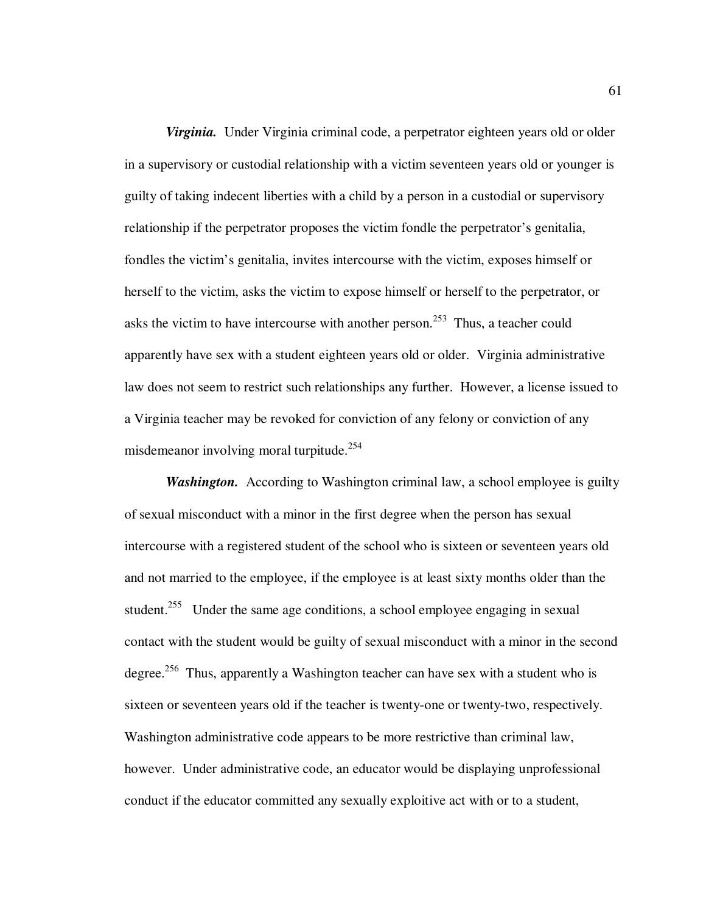*Virginia.*Under Virginia criminal code, a perpetrator eighteen years old or older in a supervisory or custodial relationship with a victim seventeen years old or younger is guilty of taking indecent liberties with a child by a person in a custodial or supervisory relationship if the perpetrator proposes the victim fondle the perpetrator's genitalia, fondles the victim's genitalia, invites intercourse with the victim, exposes himself or herself to the victim, asks the victim to expose himself or herself to the perpetrator, or asks the victim to have intercourse with another person.<sup>253</sup> Thus, a teacher could apparently have sex with a student eighteen years old or older. Virginia administrative law does not seem to restrict such relationships any further. However, a license issued to a Virginia teacher may be revoked for conviction of any felony or conviction of any misdemeanor involving moral turpitude.<sup>254</sup>

*Washington.* According to Washington criminal law, a school employee is guilty of sexual misconduct with a minor in the first degree when the person has sexual intercourse with a registered student of the school who is sixteen or seventeen years old and not married to the employee, if the employee is at least sixty months older than the student.<sup>255</sup> Under the same age conditions, a school employee engaging in sexual contact with the student would be guilty of sexual misconduct with a minor in the second degree.<sup>256</sup> Thus, apparently a Washington teacher can have sex with a student who is sixteen or seventeen years old if the teacher is twenty-one or twenty-two, respectively. Washington administrative code appears to be more restrictive than criminal law, however. Under administrative code, an educator would be displaying unprofessional conduct if the educator committed any sexually exploitive act with or to a student,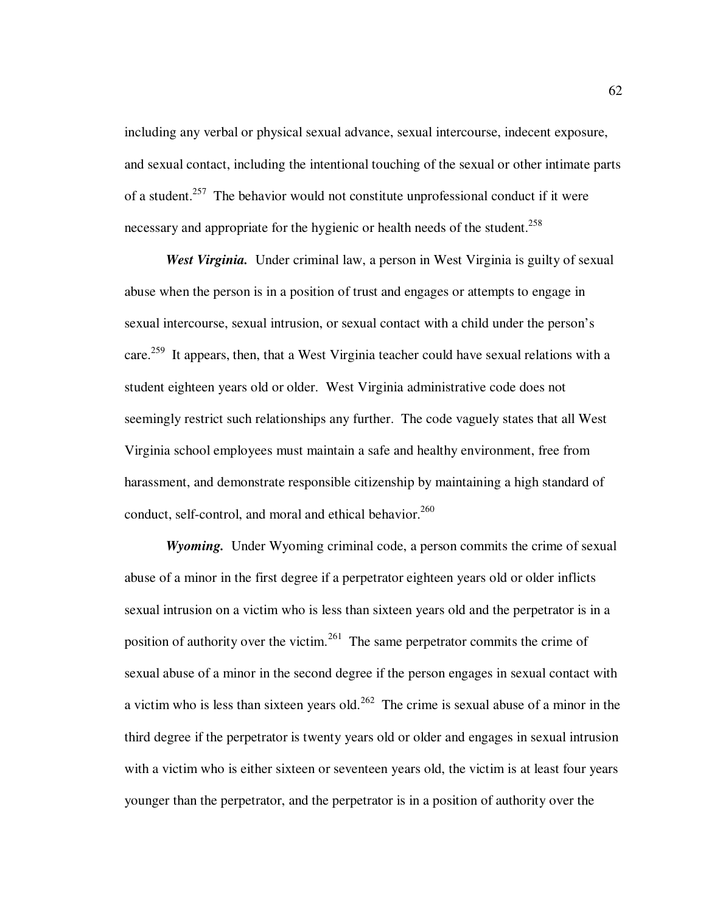including any verbal or physical sexual advance, sexual intercourse, indecent exposure, and sexual contact, including the intentional touching of the sexual or other intimate parts of a student.<sup>257</sup> The behavior would not constitute unprofessional conduct if it were necessary and appropriate for the hygienic or health needs of the student.<sup>258</sup>

*West Virginia.* Under criminal law, a person in West Virginia is guilty of sexual abuse when the person is in a position of trust and engages or attempts to engage in sexual intercourse, sexual intrusion, or sexual contact with a child under the person's care.<sup>259</sup> It appears, then, that a West Virginia teacher could have sexual relations with a student eighteen years old or older. West Virginia administrative code does not seemingly restrict such relationships any further. The code vaguely states that all West Virginia school employees must maintain a safe and healthy environment, free from harassment, and demonstrate responsible citizenship by maintaining a high standard of conduct, self-control, and moral and ethical behavior.<sup>260</sup>

*Wyoming.* Under Wyoming criminal code, a person commits the crime of sexual abuse of a minor in the first degree if a perpetrator eighteen years old or older inflicts sexual intrusion on a victim who is less than sixteen years old and the perpetrator is in a position of authority over the victim.<sup>261</sup> The same perpetrator commits the crime of sexual abuse of a minor in the second degree if the person engages in sexual contact with a victim who is less than sixteen years old.<sup>262</sup> The crime is sexual abuse of a minor in the third degree if the perpetrator is twenty years old or older and engages in sexual intrusion with a victim who is either sixteen or seventeen years old, the victim is at least four years younger than the perpetrator, and the perpetrator is in a position of authority over the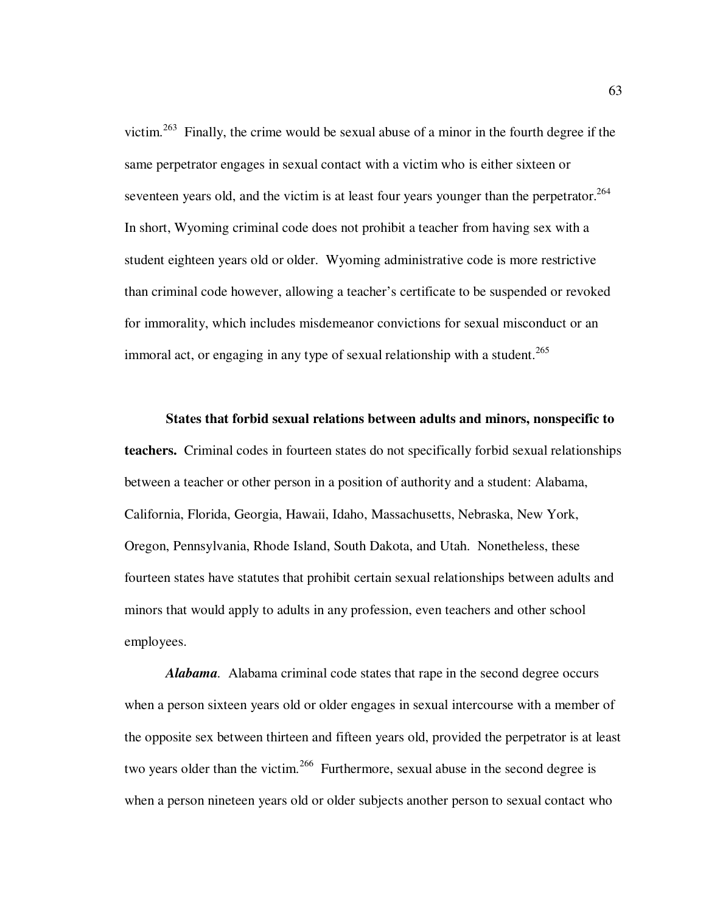victim.<sup>263</sup> Finally, the crime would be sexual abuse of a minor in the fourth degree if the same perpetrator engages in sexual contact with a victim who is either sixteen or seventeen years old, and the victim is at least four years younger than the perpetrator.<sup>264</sup> In short, Wyoming criminal code does not prohibit a teacher from having sex with a student eighteen years old or older. Wyoming administrative code is more restrictive than criminal code however, allowing a teacher's certificate to be suspended or revoked for immorality, which includes misdemeanor convictions for sexual misconduct or an immoral act, or engaging in any type of sexual relationship with a student.<sup>265</sup>

**States that forbid sexual relations between adults and minors, nonspecific to teachers.** Criminal codes in fourteen states do not specifically forbid sexual relationships between a teacher or other person in a position of authority and a student: Alabama, California, Florida, Georgia, Hawaii, Idaho, Massachusetts, Nebraska, New York, Oregon, Pennsylvania, Rhode Island, South Dakota, and Utah. Nonetheless, these fourteen states have statutes that prohibit certain sexual relationships between adults and minors that would apply to adults in any profession, even teachers and other school employees.

*Alabama.* Alabama criminal code states that rape in the second degree occurs when a person sixteen years old or older engages in sexual intercourse with a member of the opposite sex between thirteen and fifteen years old, provided the perpetrator is at least two years older than the victim.<sup>266</sup> Furthermore, sexual abuse in the second degree is when a person nineteen years old or older subjects another person to sexual contact who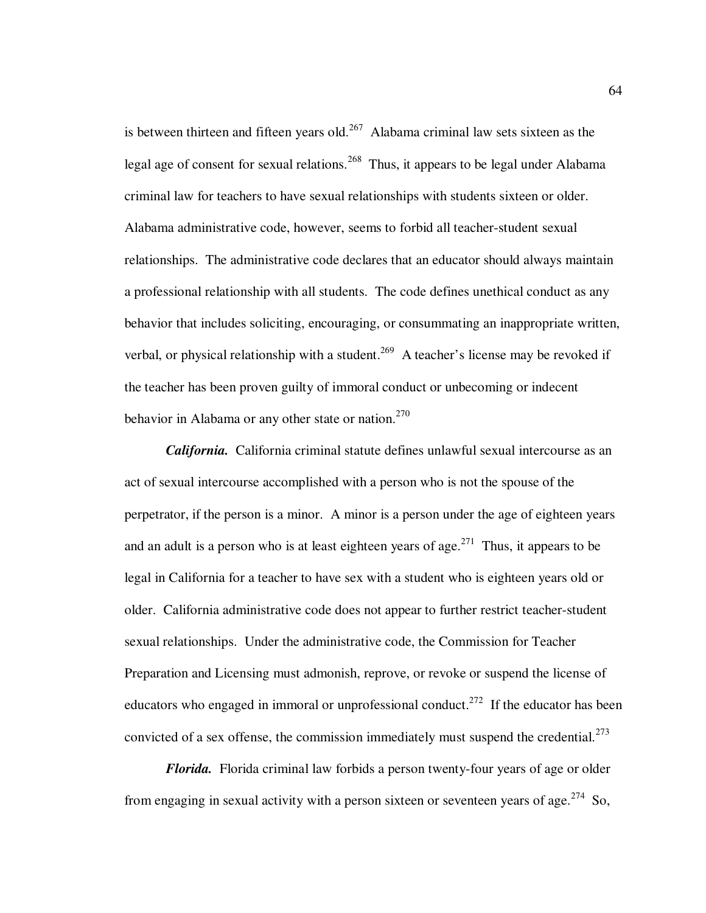is between thirteen and fifteen years old.<sup>267</sup> Alabama criminal law sets sixteen as the legal age of consent for sexual relations.<sup>268</sup> Thus, it appears to be legal under Alabama criminal law for teachers to have sexual relationships with students sixteen or older. Alabama administrative code, however, seems to forbid all teacher-student sexual relationships. The administrative code declares that an educator should always maintain a professional relationship with all students. The code defines unethical conduct as any behavior that includes soliciting, encouraging, or consummating an inappropriate written, verbal, or physical relationship with a student.<sup>269</sup> A teacher's license may be revoked if the teacher has been proven guilty of immoral conduct or unbecoming or indecent behavior in Alabama or any other state or nation.<sup>270</sup>

*California.* California criminal statute defines unlawful sexual intercourse as an act of sexual intercourse accomplished with a person who is not the spouse of the perpetrator, if the person is a minor. A minor is a person under the age of eighteen years and an adult is a person who is at least eighteen years of age.<sup>271</sup> Thus, it appears to be legal in California for a teacher to have sex with a student who is eighteen years old or older. California administrative code does not appear to further restrict teacher-student sexual relationships. Under the administrative code, the Commission for Teacher Preparation and Licensing must admonish, reprove, or revoke or suspend the license of educators who engaged in immoral or unprofessional conduct.<sup>272</sup> If the educator has been convicted of a sex offense, the commission immediately must suspend the credential.<sup>273</sup>

*Florida.*Florida criminal law forbids a person twenty-four years of age or older from engaging in sexual activity with a person sixteen or seventeen years of age.<sup>274</sup> So,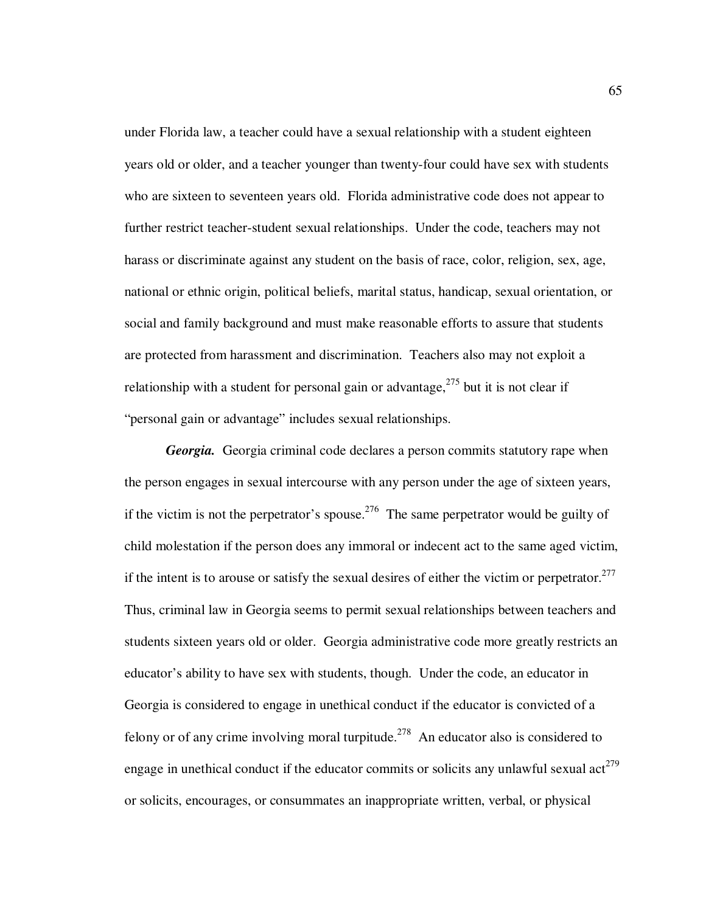under Florida law, a teacher could have a sexual relationship with a student eighteen years old or older, and a teacher younger than twenty-four could have sex with students who are sixteen to seventeen years old.Florida administrative code does not appear to further restrict teacher-student sexual relationships. Under the code, teachers may not harass or discriminate against any student on the basis of race, color, religion, sex, age, national or ethnic origin, political beliefs, marital status, handicap, sexual orientation, or social and family background and must make reasonable efforts to assure that students are protected from harassment and discrimination. Teachers also may not exploit a relationship with a student for personal gain or advantage,<sup>275</sup> but it is not clear if "personal gain or advantage" includes sexual relationships.

*Georgia.* Georgia criminal code declares a person commits statutory rape when the person engages in sexual intercourse with any person under the age of sixteen years, if the victim is not the perpetrator's spouse.<sup>276</sup> The same perpetrator would be guilty of child molestation if the person does any immoral or indecent act to the same aged victim, if the intent is to arouse or satisfy the sexual desires of either the victim or perpetrator.<sup>277</sup> Thus, criminal law in Georgia seems to permit sexual relationships between teachers and students sixteen years old or older. Georgia administrative code more greatly restricts an educator's ability to have sex with students, though. Under the code, an educator in Georgia is considered to engage in unethical conduct if the educator is convicted of a felony or of any crime involving moral turpitude.<sup>278</sup> An educator also is considered to engage in unethical conduct if the educator commits or solicits any unlawful sexual  $\arctan(279)$ or solicits, encourages, or consummates an inappropriate written, verbal, or physical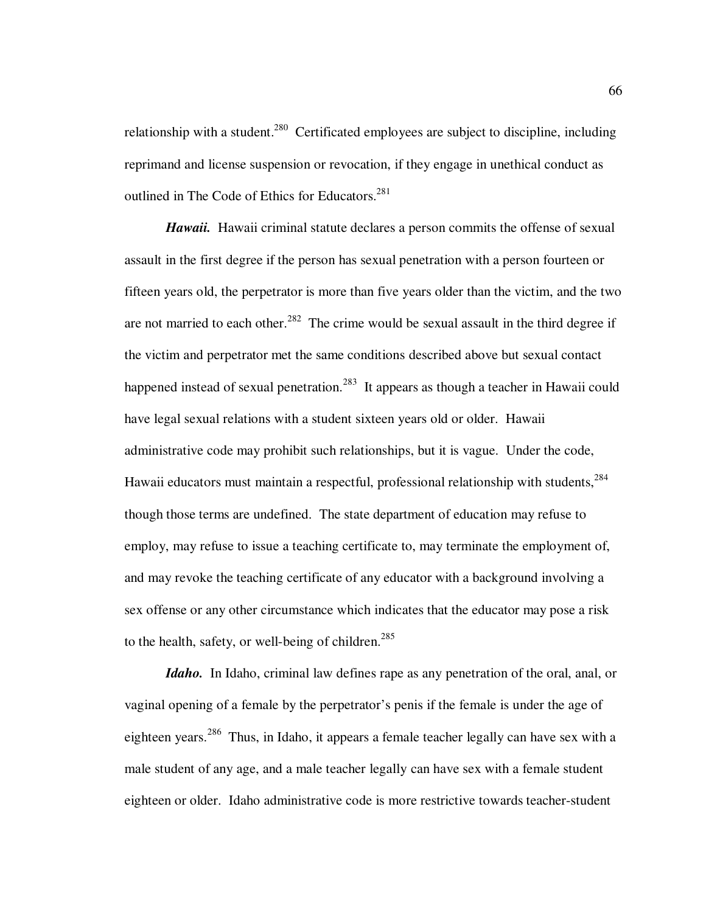relationship with a student.<sup>280</sup> Certificated employees are subject to discipline, including reprimand and license suspension or revocation, if they engage in unethical conduct as outlined in The Code of Ethics for Educators.<sup>281</sup>

**Hawaii.** Hawaii criminal statute declares a person commits the offense of sexual assault in the first degree if the person has sexual penetration with a person fourteen or fifteen years old, the perpetrator is more than five years older than the victim, and the two are not married to each other.<sup>282</sup> The crime would be sexual assault in the third degree if the victim and perpetrator met the same conditions described above but sexual contact happened instead of sexual penetration.<sup>283</sup> It appears as though a teacher in Hawaii could have legal sexual relations with a student sixteen years old or older. Hawaii administrative code may prohibit such relationships, but it is vague. Under the code, Hawaii educators must maintain a respectful, professional relationship with students,<sup>284</sup> though those terms are undefined. The state department of education may refuse to employ, may refuse to issue a teaching certificate to, may terminate the employment of, and may revoke the teaching certificate of any educator with a background involving a sex offense or any other circumstance which indicates that the educator may pose a risk to the health, safety, or well-being of children.<sup>285</sup>

*Idaho.*In Idaho, criminal law defines rape as any penetration of the oral, anal, or vaginal opening of a female by the perpetrator's penis if the female is under the age of eighteen years.<sup>286</sup> Thus, in Idaho, it appears a female teacher legally can have sex with a male student of any age, and a male teacher legally can have sex with a female student eighteen or older. Idaho administrative code is more restrictive towards teacher-student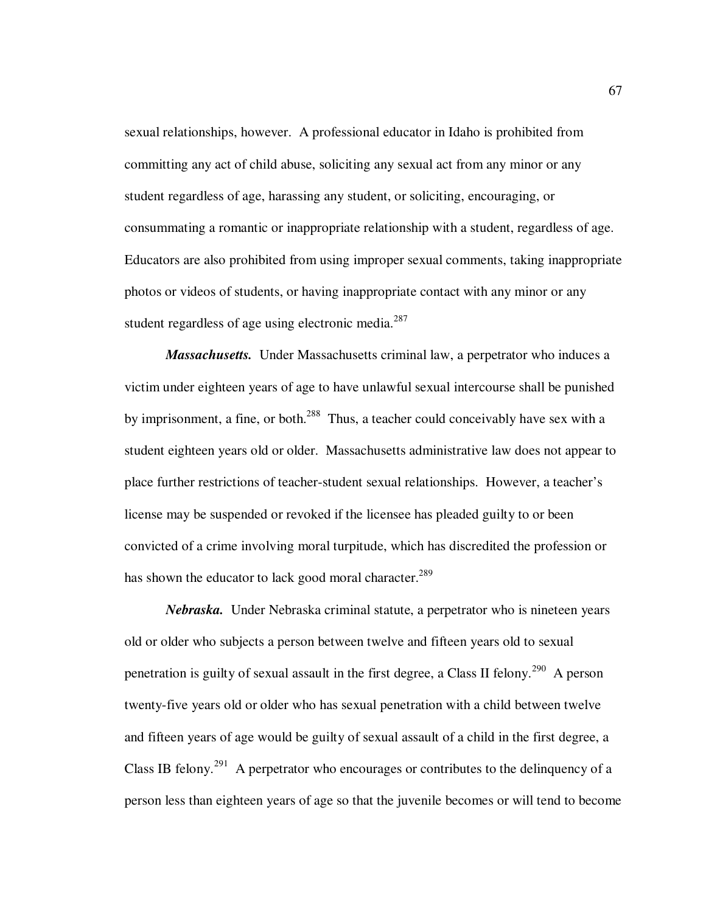sexual relationships, however. A professional educator in Idaho is prohibited from committing any act of child abuse, soliciting any sexual act from any minor or any student regardless of age, harassing any student, or soliciting, encouraging, or consummating a romantic or inappropriate relationship with a student, regardless of age. Educators are also prohibited from using improper sexual comments, taking inappropriate photos or videos of students, or having inappropriate contact with any minor or any student regardless of age using electronic media. $287$ 

*Massachusetts.* Under Massachusetts criminal law, a perpetrator who induces a victim under eighteen years of age to have unlawful sexual intercourse shall be punished by imprisonment, a fine, or both.<sup>288</sup> Thus, a teacher could conceivably have sex with a student eighteen years old or older. Massachusetts administrative law does not appear to place further restrictions of teacher-student sexual relationships. However, a teacher's license may be suspended or revoked if the licensee has pleaded guilty to or been convicted of a crime involving moral turpitude, which has discredited the profession or has shown the educator to lack good moral character.<sup>289</sup>

*Nebraska.* Under Nebraska criminal statute, a perpetrator who is nineteen years old or older who subjects a person between twelve and fifteen years old to sexual penetration is guilty of sexual assault in the first degree, a Class II felony.<sup>290</sup> A person twenty-five years old or older who has sexual penetration with a child between twelve and fifteen years of age would be guilty of sexual assault of a child in the first degree, a Class IB felony.<sup>291</sup> A perpetrator who encourages or contributes to the delinquency of a person less than eighteen years of age so that the juvenile becomes or will tend to become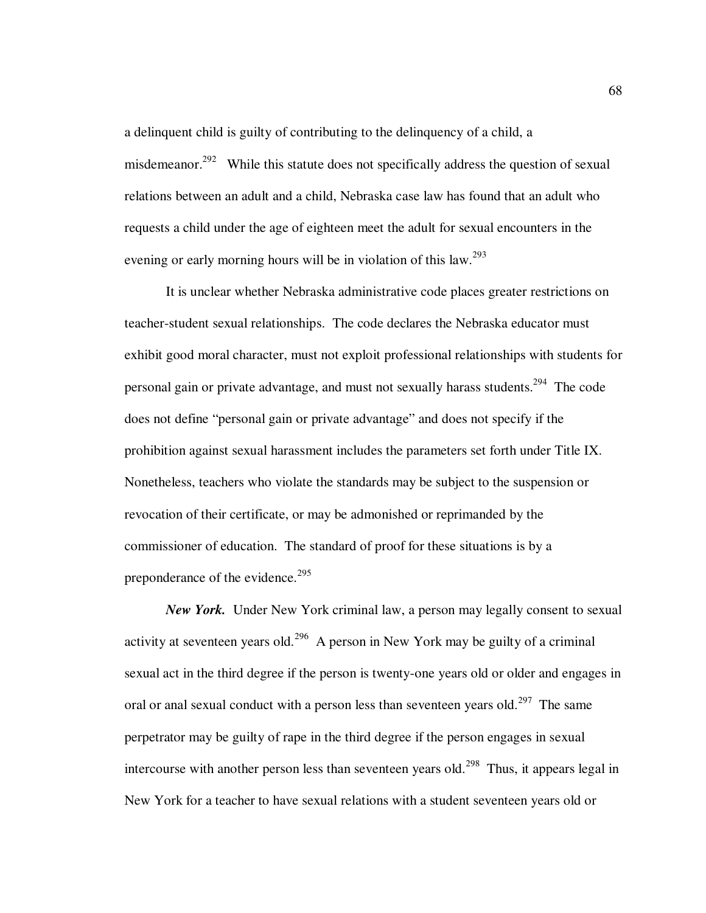a delinquent child is guilty of contributing to the delinquency of a child, a misdemeanor.<sup>292</sup> While this statute does not specifically address the question of sexual relations between an adult and a child, Nebraska case law has found that an adult who requests a child under the age of eighteen meet the adult for sexual encounters in the evening or early morning hours will be in violation of this law.<sup>293</sup>

It is unclear whether Nebraska administrative code places greater restrictions on teacher-student sexual relationships. The code declares the Nebraska educator must exhibit good moral character, must not exploit professional relationships with students for personal gain or private advantage, and must not sexually harass students.<sup>294</sup> The code does not define "personal gain or private advantage" and does not specify if the prohibition against sexual harassment includes the parameters set forth under Title IX. Nonetheless, teachers who violate the standards may be subject to the suspension or revocation of their certificate, or may be admonished or reprimanded by the commissioner of education. The standard of proof for these situations is by a preponderance of the evidence.<sup>295</sup>

*New York.* Under New York criminal law, a person may legally consent to sexual activity at seventeen years old.<sup>296</sup> A person in New York may be guilty of a criminal sexual act in the third degree if the person is twenty-one years old or older and engages in oral or anal sexual conduct with a person less than seventeen years old.<sup>297</sup> The same perpetrator may be guilty of rape in the third degree if the person engages in sexual intercourse with another person less than seventeen years old.<sup>298</sup> Thus, it appears legal in New York for a teacher to have sexual relations with a student seventeen years old or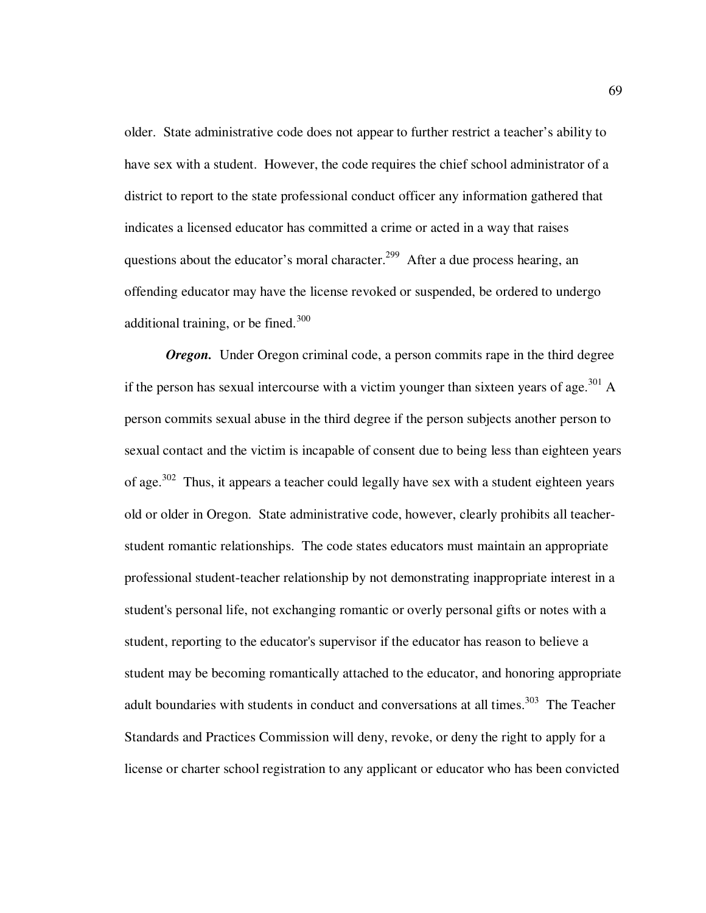older. State administrative code does not appear to further restrict a teacher's ability to have sex with a student. However, the code requires the chief school administrator of a district to report to the state professional conduct officer any information gathered that indicates a licensed educator has committed a crime or acted in a way that raises questions about the educator's moral character.<sup>299</sup> After a due process hearing, an offending educator may have the license revoked or suspended, be ordered to undergo additional training, or be fined. $300$ 

*Oregon.* Under Oregon criminal code, a person commits rape in the third degree if the person has sexual intercourse with a victim younger than sixteen years of age.<sup>301</sup> A person commits sexual abuse in the third degree if the person subjects another person to sexual contact and the victim is incapable of consent due to being less than eighteen years of age.<sup>302</sup> Thus, it appears a teacher could legally have sex with a student eighteen years old or older in Oregon. State administrative code, however, clearly prohibits all teacherstudent romantic relationships. The code states educators must maintain an appropriate professional student-teacher relationship by not demonstrating inappropriate interest in a student's personal life, not exchanging romantic or overly personal gifts or notes with a student, reporting to the educator's supervisor if the educator has reason to believe a student may be becoming romantically attached to the educator, and honoring appropriate adult boundaries with students in conduct and conversations at all times.<sup>303</sup> The Teacher Standards and Practices Commission will deny, revoke, or deny the right to apply for a license or charter school registration to any applicant or educator who has been convicted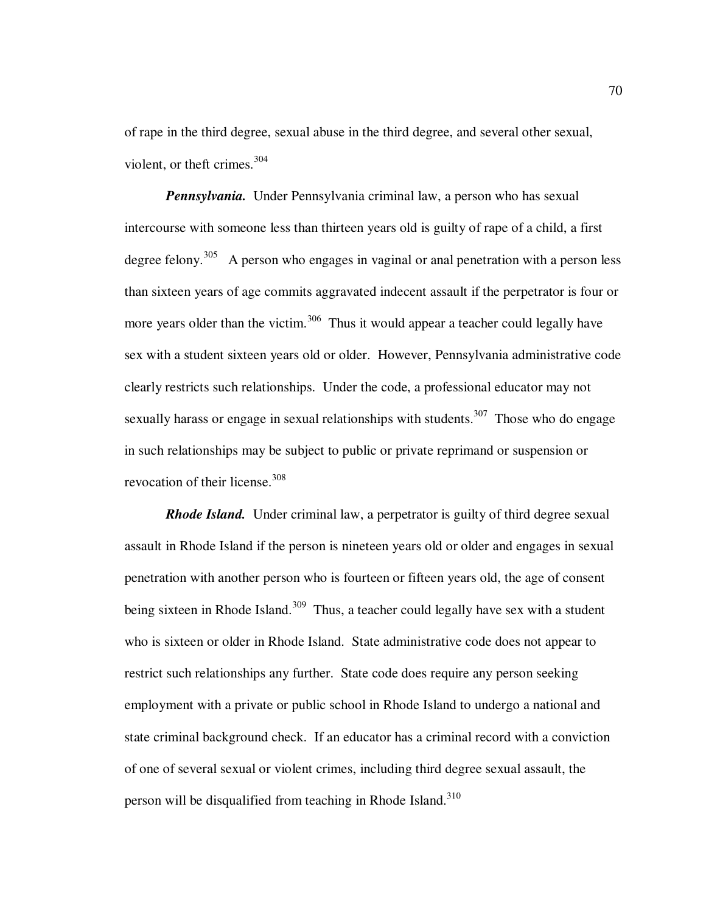of rape in the third degree, sexual abuse in the third degree, and several other sexual, violent, or theft crimes. $304$ 

*Pennsylvania.* Under Pennsylvania criminal law, a person who has sexual intercourse with someone less than thirteen years old is guilty of rape of a child, a first degree felony.<sup>305</sup> A person who engages in vaginal or anal penetration with a person less than sixteen years of age commits aggravated indecent assault if the perpetrator is four or more years older than the victim.<sup>306</sup> Thus it would appear a teacher could legally have sex with a student sixteen years old or older. However, Pennsylvania administrative code clearly restricts such relationships. Under the code, a professional educator may not sexually harass or engage in sexual relationships with students.<sup>307</sup> Those who do engage in such relationships may be subject to public or private reprimand or suspension or revocation of their license.<sup>308</sup>

*Rhode Island.*Under criminal law, a perpetrator is guilty of third degree sexual assault in Rhode Island if the person is nineteen years old or older and engages in sexual penetration with another person who is fourteen or fifteen years old, the age of consent being sixteen in Rhode Island.<sup>309</sup> Thus, a teacher could legally have sex with a student who is sixteen or older in Rhode Island. State administrative code does not appear to restrict such relationships any further. State code does require any person seeking employment with a private or public school in Rhode Island to undergo a national and state criminal background check. If an educator has a criminal record with a conviction of one of several sexual or violent crimes, including third degree sexual assault, the person will be disqualified from teaching in Rhode Island.<sup>310</sup>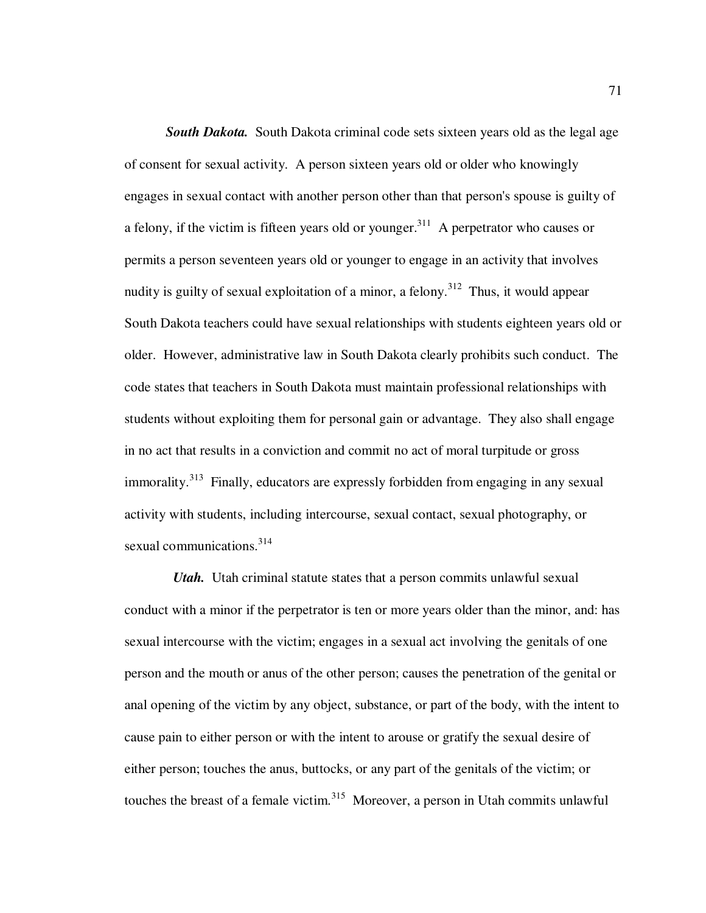**South Dakota.** South Dakota criminal code sets sixteen years old as the legal age of consent for sexual activity. A person sixteen years old or older who knowingly engages in sexual contact with another person other than that person's spouse is guilty of a felony, if the victim is fifteen years old or younger.<sup>311</sup> A perpetrator who causes or permits a person seventeen years old or younger to engage in an activity that involves nudity is guilty of sexual exploitation of a minor, a felony.<sup>312</sup> Thus, it would appear South Dakota teachers could have sexual relationships with students eighteen years old or older. However, administrative law in South Dakota clearly prohibits such conduct. The code states that teachers in South Dakota must maintain professional relationships with students without exploiting them for personal gain or advantage. They also shall engage in no act that results in a conviction and commit no act of moral turpitude or gross immorality.<sup>313</sup> Finally, educators are expressly forbidden from engaging in any sexual activity with students, including intercourse, sexual contact, sexual photography, or sexual communications.<sup>314</sup>

*Utah.* Utah criminal statute states that a person commits unlawful sexual conduct with a minor if the perpetrator is ten or more years older than the minor, and: has sexual intercourse with the victim; engages in a sexual act involving the genitals of one person and the mouth or anus of the other person; causes the penetration of the genital or anal opening of the victim by any object, substance, or part of the body, with the intent to cause pain to either person or with the intent to arouse or gratify the sexual desire of either person; touches the anus, buttocks, or any part of the genitals of the victim; or touches the breast of a female victim.<sup>315</sup> Moreover, a person in Utah commits unlawful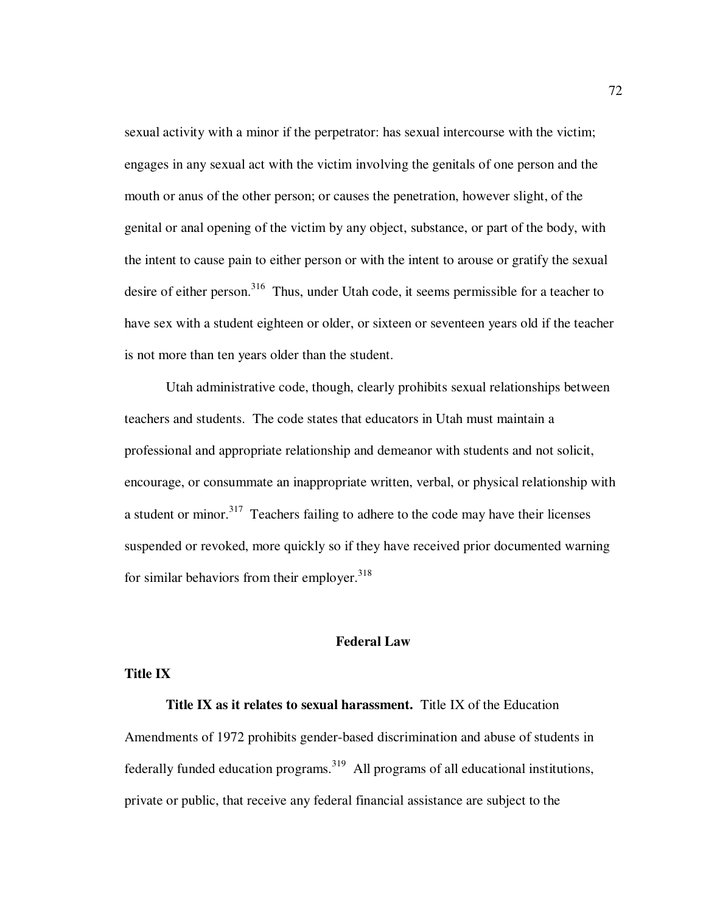sexual activity with a minor if the perpetrator: has sexual intercourse with the victim; engages in any sexual act with the victim involving the genitals of one person and the mouth or anus of the other person; or causes the penetration, however slight, of the genital or anal opening of the victim by any object, substance, or part of the body, with the intent to cause pain to either person or with the intent to arouse or gratify the sexual desire of either person.<sup>316</sup> Thus, under Utah code, it seems permissible for a teacher to have sex with a student eighteen or older, or sixteen or seventeen years old if the teacher is not more than ten years older than the student.

Utah administrative code, though, clearly prohibits sexual relationships between teachers and students. The code states that educators in Utah must maintain a professional and appropriate relationship and demeanor with students and not solicit, encourage, or consummate an inappropriate written, verbal, or physical relationship with a student or minor.<sup>317</sup> Teachers failing to adhere to the code may have their licenses suspended or revoked, more quickly so if they have received prior documented warning for similar behaviors from their employer. $318$ 

# **Federal Law**

## **Title IX**

**Title IX as it relates to sexual harassment.** Title IX of the Education

Amendments of 1972 prohibits gender-based discrimination and abuse of students in federally funded education programs.<sup>319</sup> All programs of all educational institutions, private or public, that receive any federal financial assistance are subject to the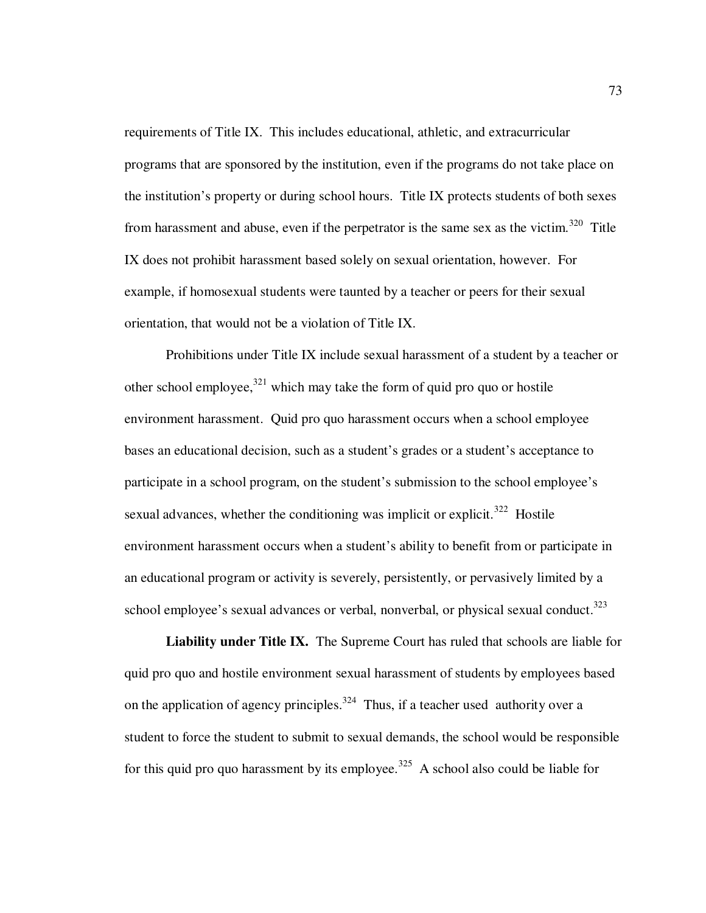requirements of Title IX. This includes educational, athletic, and extracurricular programs that are sponsored by the institution, even if the programs do not take place on the institution's property or during school hours. Title IX protects students of both sexes from harassment and abuse, even if the perpetrator is the same sex as the victim.<sup>320</sup> Title IX does not prohibit harassment based solely on sexual orientation, however. For example, if homosexual students were taunted by a teacher or peers for their sexual orientation, that would not be a violation of Title IX.

Prohibitions under Title IX include sexual harassment of a student by a teacher or other school employee,  $321$  which may take the form of quid pro quo or hostile environment harassment. Quid pro quo harassment occurs when a school employee bases an educational decision, such as a student's grades or a student's acceptance to participate in a school program, on the student's submission to the school employee's sexual advances, whether the conditioning was implicit or explicit.<sup>322</sup> Hostile environment harassment occurs when a student's ability to benefit from or participate in an educational program or activity is severely, persistently, or pervasively limited by a school employee's sexual advances or verbal, nonverbal, or physical sexual conduct.<sup>323</sup>

**Liability under Title IX.** The Supreme Court has ruled that schools are liable for quid pro quo and hostile environment sexual harassment of students by employees based on the application of agency principles.<sup>324</sup> Thus, if a teacher used authority over a student to force the student to submit to sexual demands, the school would be responsible for this quid pro quo harassment by its employee.<sup>325</sup> A school also could be liable for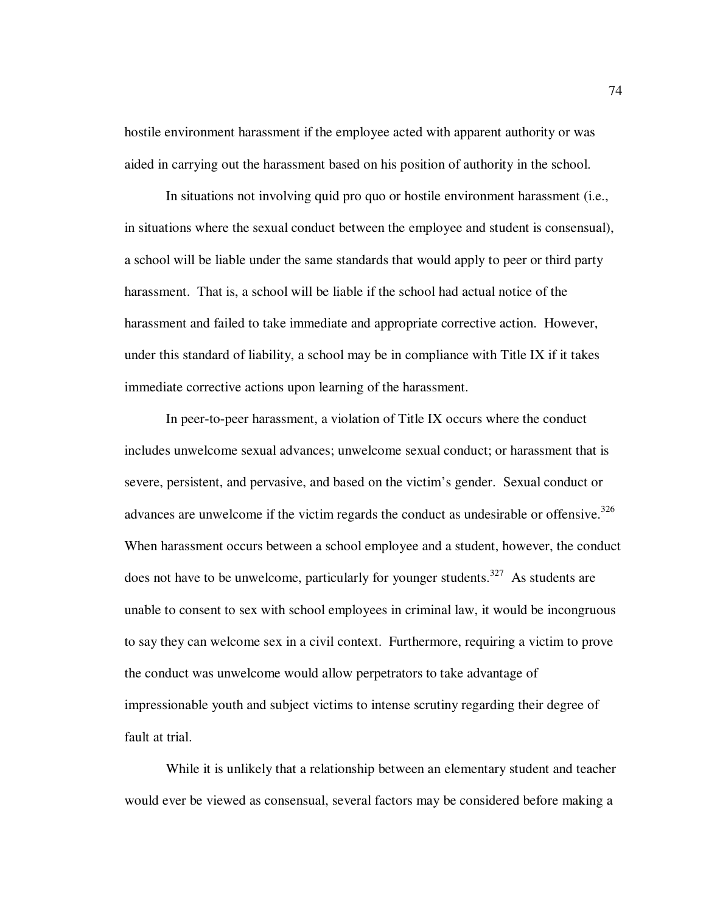hostile environment harassment if the employee acted with apparent authority or was aided in carrying out the harassment based on his position of authority in the school.

In situations not involving quid pro quo or hostile environment harassment (i.e., in situations where the sexual conduct between the employee and student is consensual), a school will be liable under the same standards that would apply to peer or third party harassment. That is, a school will be liable if the school had actual notice of the harassment and failed to take immediate and appropriate corrective action. However, under this standard of liability, a school may be in compliance with Title IX if it takes immediate corrective actions upon learning of the harassment.

In peer-to-peer harassment, a violation of Title IX occurs where the conduct includes unwelcome sexual advances; unwelcome sexual conduct; or harassment that is severe, persistent, and pervasive, and based on the victim's gender. Sexual conduct or advances are unwelcome if the victim regards the conduct as undesirable or offensive.<sup>326</sup> When harassment occurs between a school employee and a student, however, the conduct does not have to be unwelcome, particularly for younger students.<sup>327</sup> As students are unable to consent to sex with school employees in criminal law, it would be incongruous to say they can welcome sex in a civil context. Furthermore, requiring a victim to prove the conduct was unwelcome would allow perpetrators to take advantage of impressionable youth and subject victims to intense scrutiny regarding their degree of fault at trial.

While it is unlikely that a relationship between an elementary student and teacher would ever be viewed as consensual, several factors may be considered before making a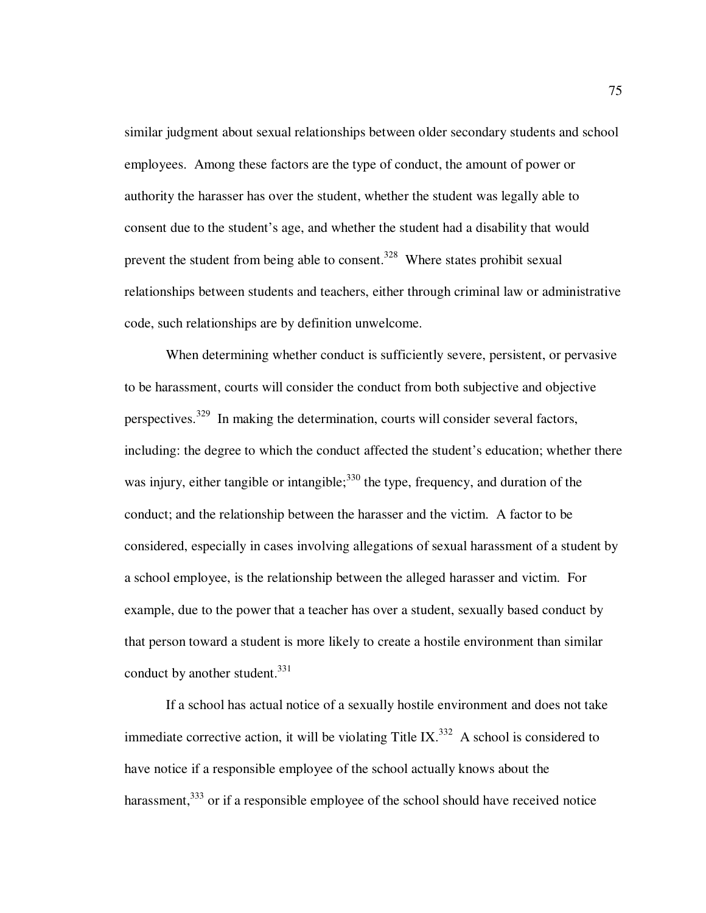similar judgment about sexual relationships between older secondary students and school employees. Among these factors are the type of conduct, the amount of power or authority the harasser has over the student, whether the student was legally able to consent due to the student's age, and whether the student had a disability that would prevent the student from being able to consent.<sup>328</sup> Where states prohibit sexual relationships between students and teachers, either through criminal law or administrative code, such relationships are by definition unwelcome.

When determining whether conduct is sufficiently severe, persistent, or pervasive to be harassment, courts will consider the conduct from both subjective and objective perspectives.<sup>329</sup> In making the determination, courts will consider several factors, including: the degree to which the conduct affected the student's education; whether there was injury, either tangible or intangible;<sup>330</sup> the type, frequency, and duration of the conduct; and the relationship between the harasser and the victim. A factor to be considered, especially in cases involving allegations of sexual harassment of a student by a school employee, is the relationship between the alleged harasser and victim. For example, due to the power that a teacher has over a student, sexually based conduct by that person toward a student is more likely to create a hostile environment than similar conduct by another student. $331$ 

If a school has actual notice of a sexually hostile environment and does not take immediate corrective action, it will be violating Title IX.<sup>332</sup> A school is considered to have notice if a responsible employee of the school actually knows about the harassment, $333$  or if a responsible employee of the school should have received notice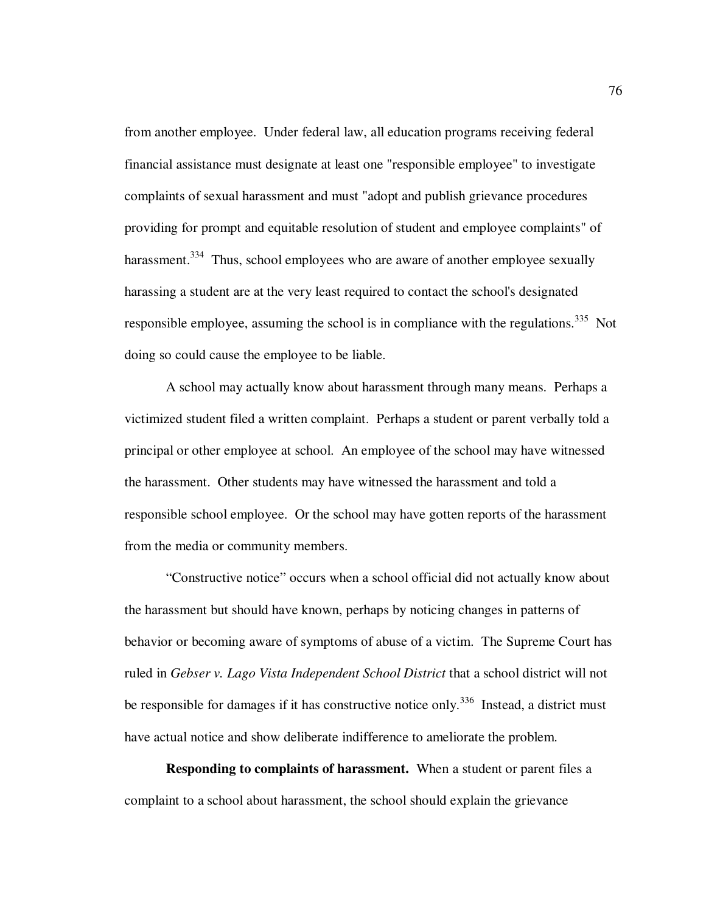from another employee. Under federal law, all education programs receiving federal financial assistance must designate at least one "responsible employee" to investigate complaints of sexual harassment and must "adopt and publish grievance procedures providing for prompt and equitable resolution of student and employee complaints" of harassment.<sup>334</sup> Thus, school employees who are aware of another employee sexually harassing a student are at the very least required to contact the school's designated responsible employee, assuming the school is in compliance with the regulations.<sup>335</sup> Not doing so could cause the employee to be liable.

A school may actually know about harassment through many means. Perhaps a victimized student filed a written complaint. Perhaps a student or parent verbally told a principal or other employee at school. An employee of the school may have witnessed the harassment. Other students may have witnessed the harassment and told a responsible school employee. Or the school may have gotten reports of the harassment from the media or community members.

"Constructive notice" occurs when a school official did not actually know about the harassment but should have known, perhaps by noticing changes in patterns of behavior or becoming aware of symptoms of abuse of a victim. The Supreme Court has ruled in *Gebser v. Lago Vista Independent School District* that a school district will not be responsible for damages if it has constructive notice only.<sup>336</sup> Instead, a district must have actual notice and show deliberate indifference to ameliorate the problem.

**Responding to complaints of harassment.** When a student or parent files a complaint to a school about harassment, the school should explain the grievance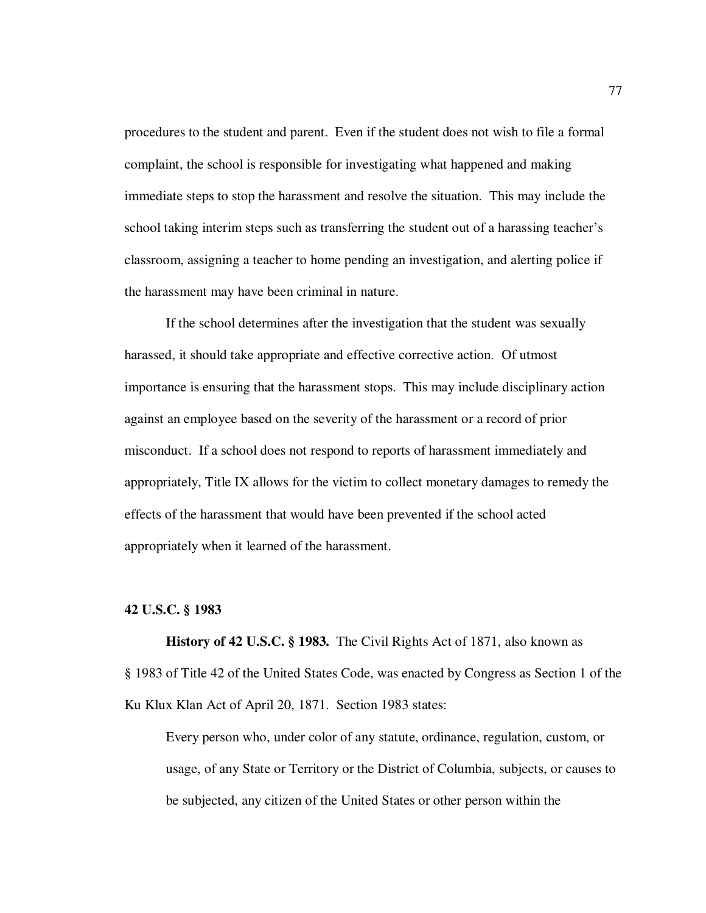procedures to the student and parent. Even if the student does not wish to file a formal complaint, the school is responsible for investigating what happened and making immediate steps to stop the harassment and resolve the situation. This may include the school taking interim steps such as transferring the student out of a harassing teacher's classroom, assigning a teacher to home pending an investigation, and alerting police if the harassment may have been criminal in nature.

If the school determines after the investigation that the student was sexually harassed, it should take appropriate and effective corrective action. Of utmost importance is ensuring that the harassment stops. This may include disciplinary action against an employee based on the severity of the harassment or a record of prior misconduct. If a school does not respond to reports of harassment immediately and appropriately, Title IX allows for the victim to collect monetary damages to remedy the effects of the harassment that would have been prevented if the school acted appropriately when it learned of the harassment.

# **42 U.S.C. § 1983**

**History of 42 U.S.C. § 1983.** The Civil Rights Act of 1871, also known as § 1983 of Title 42 of the United States Code, was enacted by Congress as Section 1 of the Ku Klux Klan Act of April 20, 1871. Section 1983 states:

Every person who, under color of any statute, ordinance, regulation, custom, or usage, of any State or Territory or the District of Columbia, subjects, or causes to be subjected, any citizen of the United States or other person within the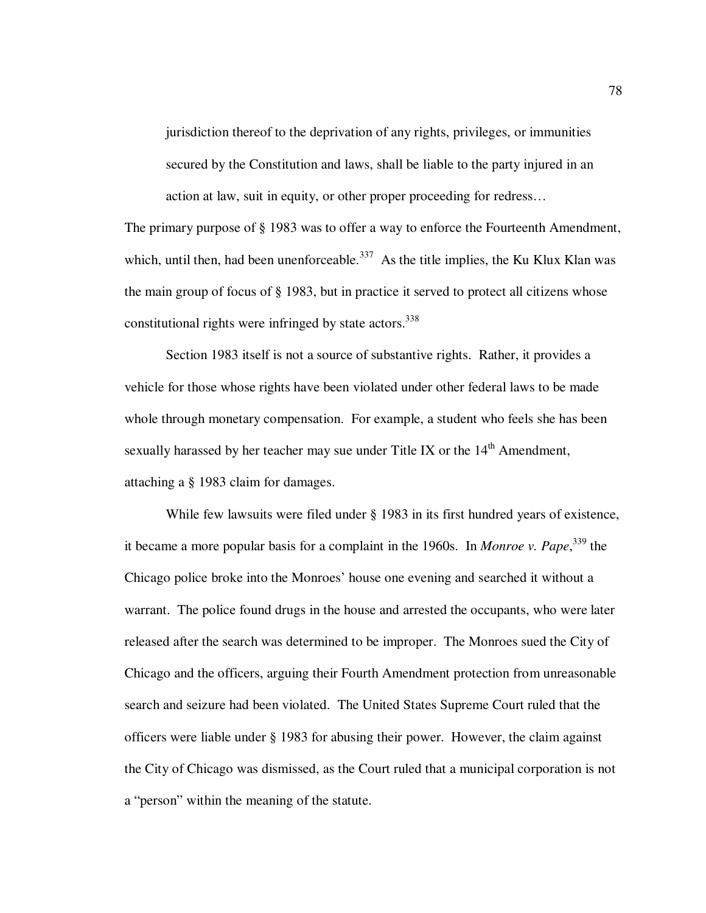jurisdiction thereof to the deprivation of any rights, privileges, or immunities secured by the Constitution and laws, shall be liable to the party injured in an action at law, suit in equity, or other proper proceeding for redress…

The primary purpose of § 1983 was to offer a way to enforce the Fourteenth Amendment, which, until then, had been unenforceable.<sup>337</sup> As the title implies, the Ku Klux Klan was the main group of focus of § 1983, but in practice it served to protect all citizens whose constitutional rights were infringed by state actors. $338$ 

 Section 1983 itself is not a source of substantive rights. Rather, it provides a vehicle for those whose rights have been violated under other federal laws to be made whole through monetary compensation. For example, a student who feels she has been sexually harassed by her teacher may sue under Title IX or the  $14<sup>th</sup>$  Amendment, attaching a § 1983 claim for damages.

While few lawsuits were filed under § 1983 in its first hundred years of existence, it became a more popular basis for a complaint in the 1960s. In *Monroe v. Pape*, <sup>339</sup> the Chicago police broke into the Monroes' house one evening and searched it without a warrant. The police found drugs in the house and arrested the occupants, who were later released after the search was determined to be improper. The Monroes sued the City of Chicago and the officers, arguing their Fourth Amendment protection from unreasonable search and seizure had been violated. The United States Supreme Court ruled that the officers were liable under § 1983 for abusing their power. However, the claim against the City of Chicago was dismissed, as the Court ruled that a municipal corporation is not a "person" within the meaning of the statute.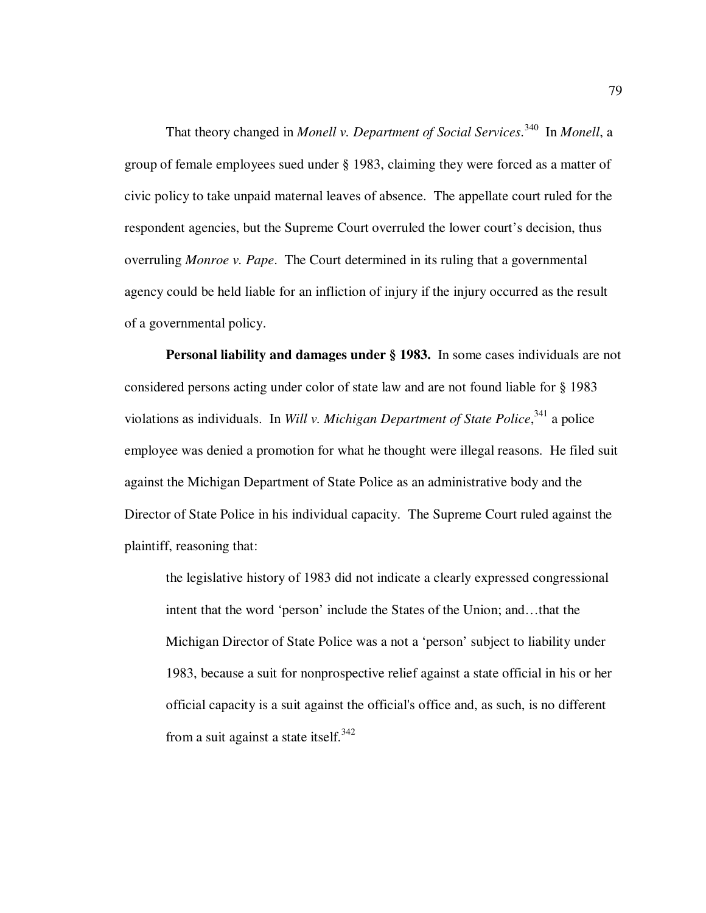That theory changed in *Monell v. Department of Social Services*. <sup>340</sup> In *Monell*, a group of female employees sued under § 1983, claiming they were forced as a matter of civic policy to take unpaid maternal leaves of absence. The appellate court ruled for the respondent agencies, but the Supreme Court overruled the lower court's decision, thus overruling *Monroe v. Pape*. The Court determined in its ruling that a governmental agency could be held liable for an infliction of injury if the injury occurred as the result of a governmental policy.

**Personal liability and damages under § 1983.** In some cases individuals are not considered persons acting under color of state law and are not found liable for § 1983 violations as individuals. In *Will v. Michigan Department of State Police*,<sup>341</sup> a police employee was denied a promotion for what he thought were illegal reasons. He filed suit against the Michigan Department of State Police as an administrative body and the Director of State Police in his individual capacity. The Supreme Court ruled against the plaintiff, reasoning that:

the legislative history of 1983 did not indicate a clearly expressed congressional intent that the word 'person' include the States of the Union; and…that the Michigan Director of State Police was a not a 'person' subject to liability under 1983, because a suit for nonprospective relief against a state official in his or her official capacity is a suit against the official's office and, as such, is no different from a suit against a state itself.<sup>342</sup>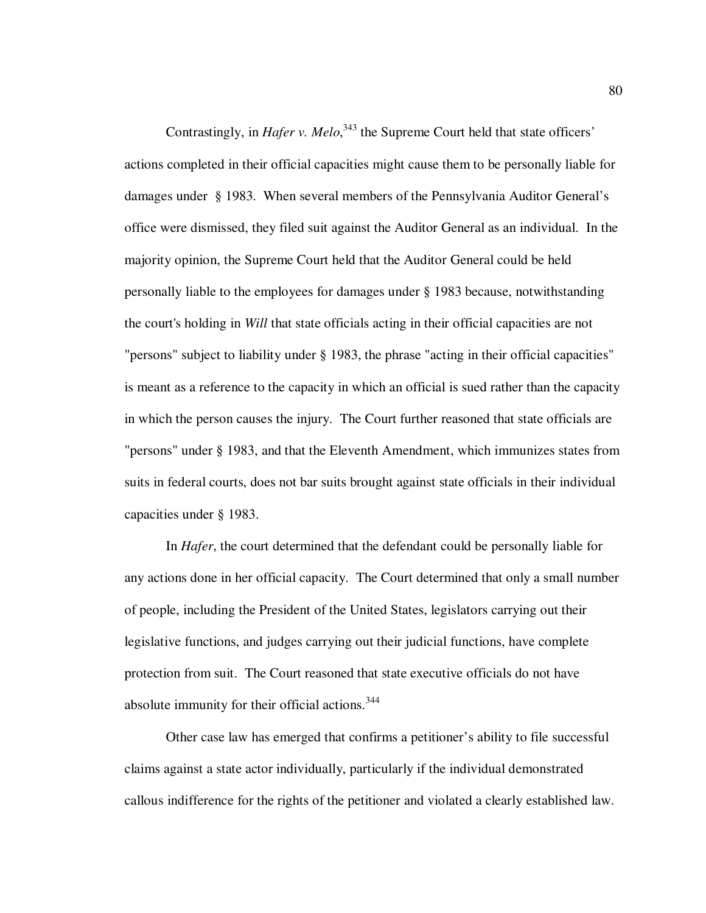Contrastingly, in *Hafer v. Melo*,<sup>343</sup> the Supreme Court held that state officers' actions completed in their official capacities might cause them to be personally liable for damages under § 1983. When several members of the Pennsylvania Auditor General's office were dismissed, they filed suit against the Auditor General as an individual. In the majority opinion, the Supreme Court held that the Auditor General could be held personally liable to the employees for damages under § 1983 because, notwithstanding the court's holding in *Will* that state officials acting in their official capacities are not "persons" subject to liability under § 1983, the phrase "acting in their official capacities" is meant as a reference to the capacity in which an official is sued rather than the capacity in which the person causes the injury. The Court further reasoned that state officials are "persons" under § 1983, and that the Eleventh Amendment, which immunizes states from suits in federal courts, does not bar suits brought against state officials in their individual capacities under § 1983.

In *Hafer*, the court determined that the defendant could be personally liable for any actions done in her official capacity. The Court determined that only a small number of people, including the President of the United States, legislators carrying out their legislative functions, and judges carrying out their judicial functions, have complete protection from suit. The Court reasoned that state executive officials do not have absolute immunity for their official actions.<sup>344</sup>

Other case law has emerged that confirms a petitioner's ability to file successful claims against a state actor individually, particularly if the individual demonstrated callous indifference for the rights of the petitioner and violated a clearly established law.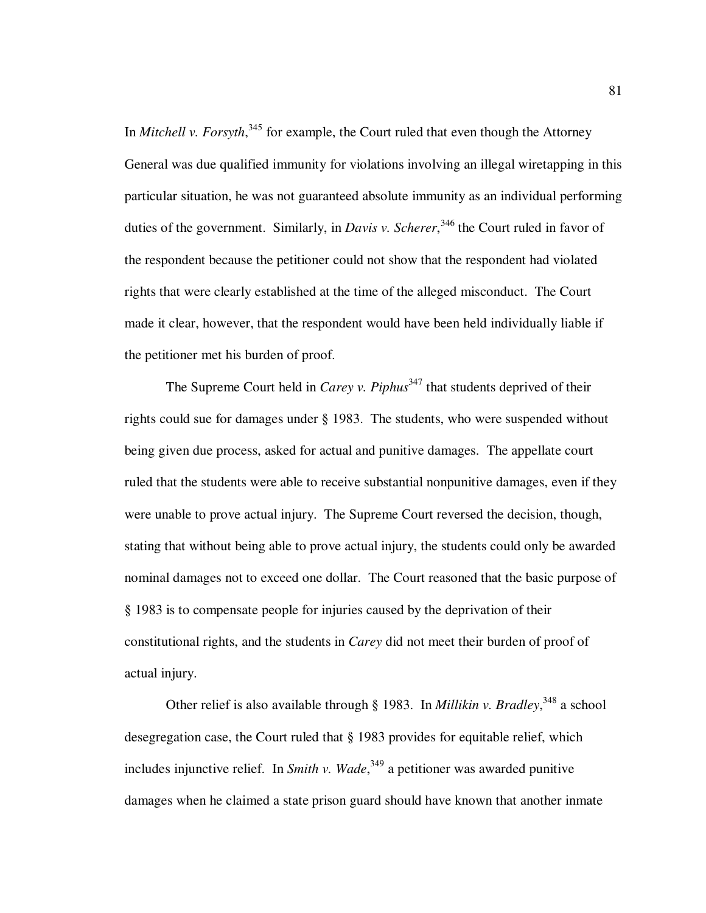In *Mitchell v. Forsyth*,<sup>345</sup> for example, the Court ruled that even though the Attorney General was due qualified immunity for violations involving an illegal wiretapping in this particular situation, he was not guaranteed absolute immunity as an individual performing duties of the government. Similarly, in *Davis v. Scherer*,<sup>346</sup> the Court ruled in favor of the respondent because the petitioner could not show that the respondent had violated rights that were clearly established at the time of the alleged misconduct. The Court made it clear, however, that the respondent would have been held individually liable if the petitioner met his burden of proof.

The Supreme Court held in *Carey v. Piphus*<sup>347</sup> that students deprived of their rights could sue for damages under § 1983. The students, who were suspended without being given due process, asked for actual and punitive damages. The appellate court ruled that the students were able to receive substantial nonpunitive damages, even if they were unable to prove actual injury. The Supreme Court reversed the decision, though, stating that without being able to prove actual injury, the students could only be awarded nominal damages not to exceed one dollar. The Court reasoned that the basic purpose of § 1983 is to compensate people for injuries caused by the deprivation of their constitutional rights, and the students in *Carey* did not meet their burden of proof of actual injury.

Other relief is also available through § 1983. In *Millikin v. Bradley*,<sup>348</sup> a school desegregation case, the Court ruled that § 1983 provides for equitable relief, which includes injunctive relief. In *Smith v. Wade*, <sup>349</sup> a petitioner was awarded punitive damages when he claimed a state prison guard should have known that another inmate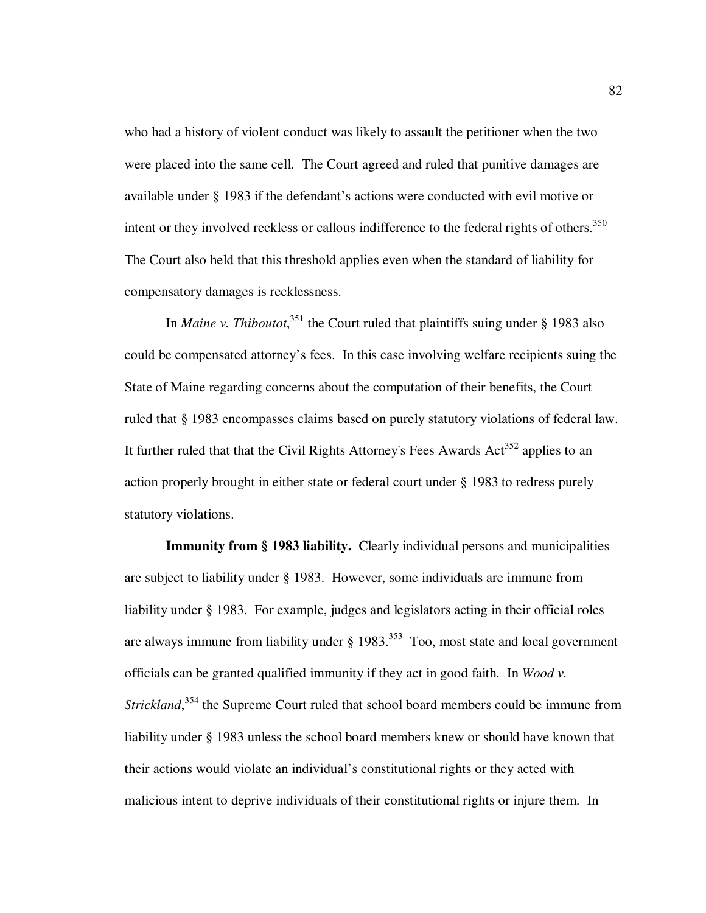who had a history of violent conduct was likely to assault the petitioner when the two were placed into the same cell. The Court agreed and ruled that punitive damages are available under § 1983 if the defendant's actions were conducted with evil motive or intent or they involved reckless or callous indifference to the federal rights of others.<sup>350</sup> The Court also held that this threshold applies even when the standard of liability for compensatory damages is recklessness.

In *Maine v. Thiboutot*,<sup>351</sup> the Court ruled that plaintiffs suing under § 1983 also could be compensated attorney's fees. In this case involving welfare recipients suing the State of Maine regarding concerns about the computation of their benefits, the Court ruled that § 1983 encompasses claims based on purely statutory violations of federal law. It further ruled that that the Civil Rights Attorney's Fees Awards  $Act^{352}$  applies to an action properly brought in either state or federal court under § 1983 to redress purely statutory violations.

**Immunity from § 1983 liability.** Clearly individual persons and municipalities are subject to liability under § 1983. However, some individuals are immune from liability under § 1983. For example, judges and legislators acting in their official roles are always immune from liability under  $\S$  1983.<sup>353</sup> Too, most state and local government officials can be granted qualified immunity if they act in good faith. In *Wood v.*  Strickland,<sup>354</sup> the Supreme Court ruled that school board members could be immune from liability under § 1983 unless the school board members knew or should have known that their actions would violate an individual's constitutional rights or they acted with malicious intent to deprive individuals of their constitutional rights or injure them. In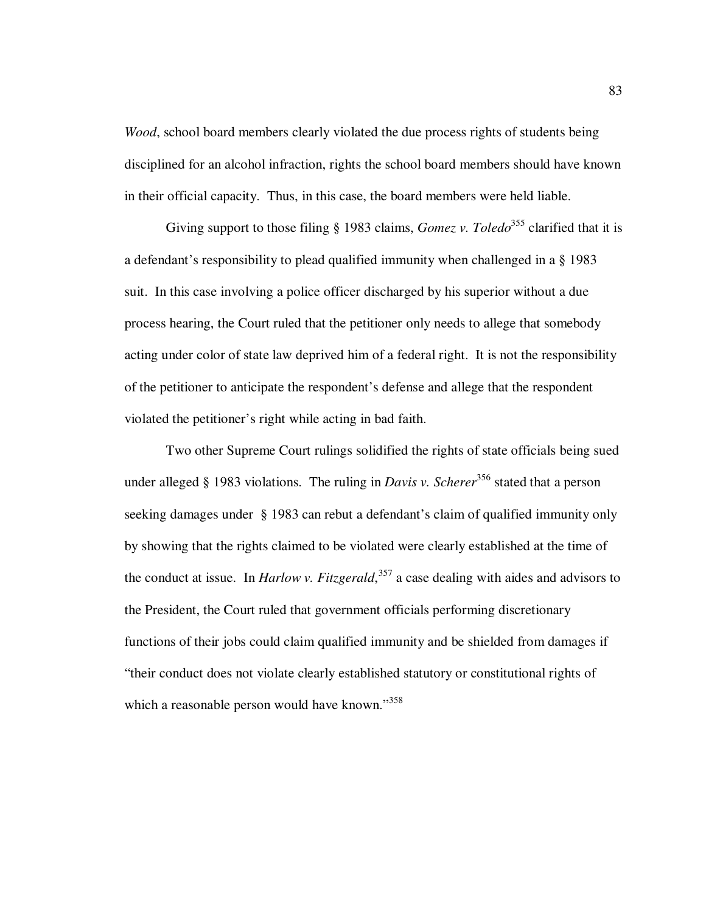*Wood*, school board members clearly violated the due process rights of students being disciplined for an alcohol infraction, rights the school board members should have known in their official capacity. Thus, in this case, the board members were held liable.

Giving support to those filing § 1983 claims, *Gomez v. Toledo*<sup>355</sup> clarified that it is a defendant's responsibility to plead qualified immunity when challenged in a § 1983 suit. In this case involving a police officer discharged by his superior without a due process hearing, the Court ruled that the petitioner only needs to allege that somebody acting under color of state law deprived him of a federal right. It is not the responsibility of the petitioner to anticipate the respondent's defense and allege that the respondent violated the petitioner's right while acting in bad faith.

Two other Supreme Court rulings solidified the rights of state officials being sued under alleged § 1983 violations. The ruling in *Davis v. Scherer*<sup>356</sup> stated that a person seeking damages under § 1983 can rebut a defendant's claim of qualified immunity only by showing that the rights claimed to be violated were clearly established at the time of the conduct at issue. In *Harlow v. Fitzgerald*, <sup>357</sup> a case dealing with aides and advisors to the President, the Court ruled that government officials performing discretionary functions of their jobs could claim qualified immunity and be shielded from damages if "their conduct does not violate clearly established statutory or constitutional rights of which a reasonable person would have known."<sup>358</sup>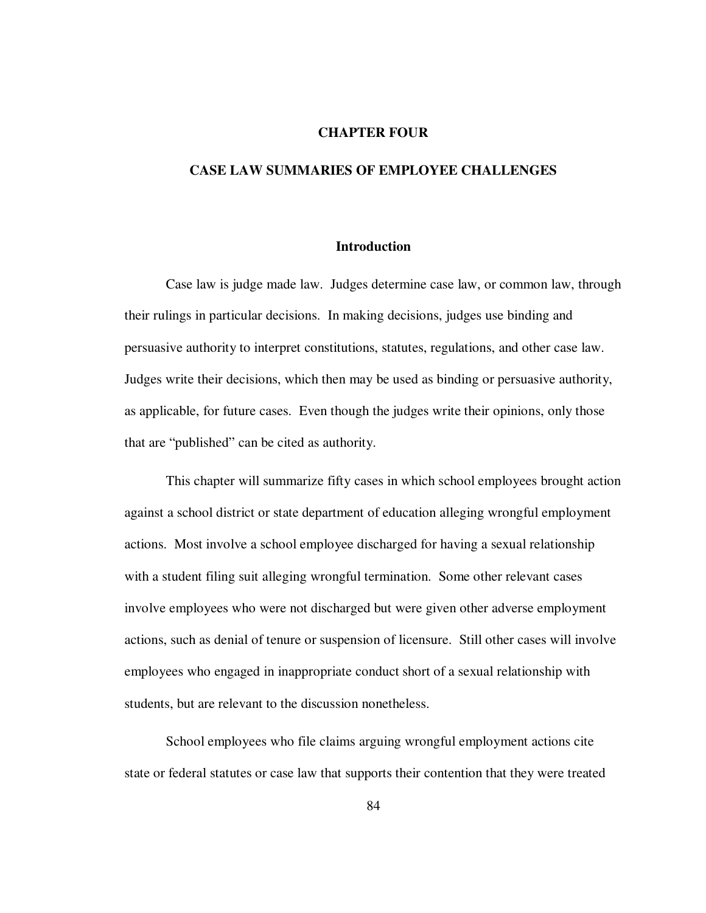## **CHAPTER FOUR**

# **CASE LAW SUMMARIES OF EMPLOYEE CHALLENGES**

#### **Introduction**

Case law is judge made law. Judges determine case law, or common law, through their rulings in particular decisions. In making decisions, judges use binding and persuasive authority to interpret constitutions, statutes, regulations, and other case law. Judges write their decisions, which then may be used as binding or persuasive authority, as applicable, for future cases. Even though the judges write their opinions, only those that are "published" can be cited as authority.

This chapter will summarize fifty cases in which school employees brought action against a school district or state department of education alleging wrongful employment actions. Most involve a school employee discharged for having a sexual relationship with a student filing suit alleging wrongful termination. Some other relevant cases involve employees who were not discharged but were given other adverse employment actions, such as denial of tenure or suspension of licensure. Still other cases will involve employees who engaged in inappropriate conduct short of a sexual relationship with students, but are relevant to the discussion nonetheless.

School employees who file claims arguing wrongful employment actions cite state or federal statutes or case law that supports their contention that they were treated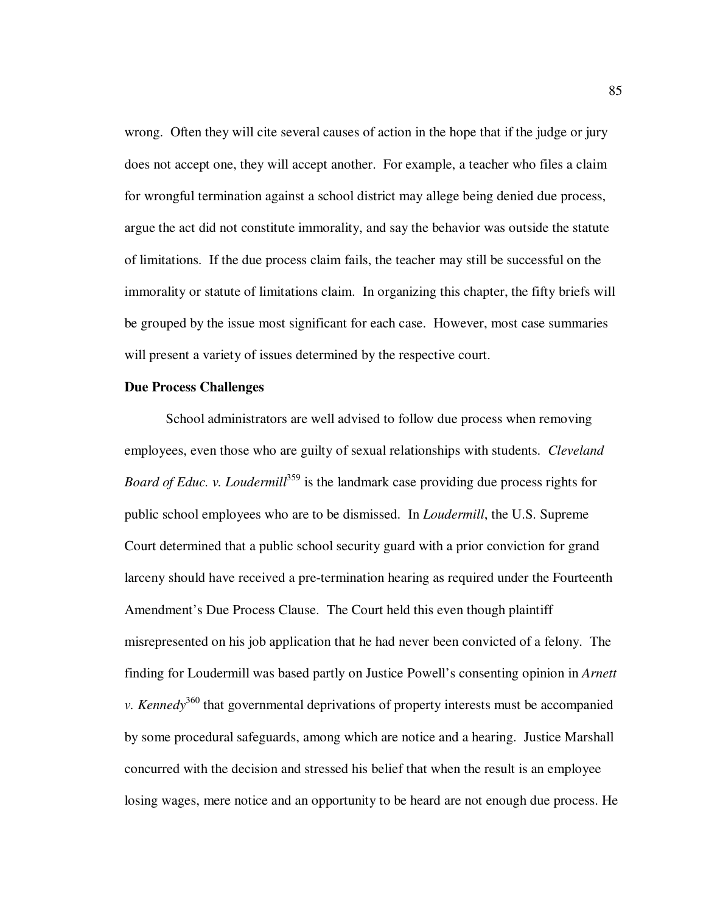wrong. Often they will cite several causes of action in the hope that if the judge or jury does not accept one, they will accept another. For example, a teacher who files a claim for wrongful termination against a school district may allege being denied due process, argue the act did not constitute immorality, and say the behavior was outside the statute of limitations. If the due process claim fails, the teacher may still be successful on the immorality or statute of limitations claim. In organizing this chapter, the fifty briefs will be grouped by the issue most significant for each case. However, most case summaries will present a variety of issues determined by the respective court.

## **Due Process Challenges**

School administrators are well advised to follow due process when removing employees, even those who are guilty of sexual relationships with students. *Cleveland Board of Educ. v. Loudermill*<sup>359</sup> is the landmark case providing due process rights for public school employees who are to be dismissed. In *Loudermill*, the U.S. Supreme Court determined that a public school security guard with a prior conviction for grand larceny should have received a pre-termination hearing as required under the Fourteenth Amendment's Due Process Clause. The Court held this even though plaintiff misrepresented on his job application that he had never been convicted of a felony. The finding for Loudermill was based partly on Justice Powell's consenting opinion in *Arnett v. Kennedy*<sup>360</sup> that governmental deprivations of property interests must be accompanied by some procedural safeguards, among which are notice and a hearing. Justice Marshall concurred with the decision and stressed his belief that when the result is an employee losing wages, mere notice and an opportunity to be heard are not enough due process. He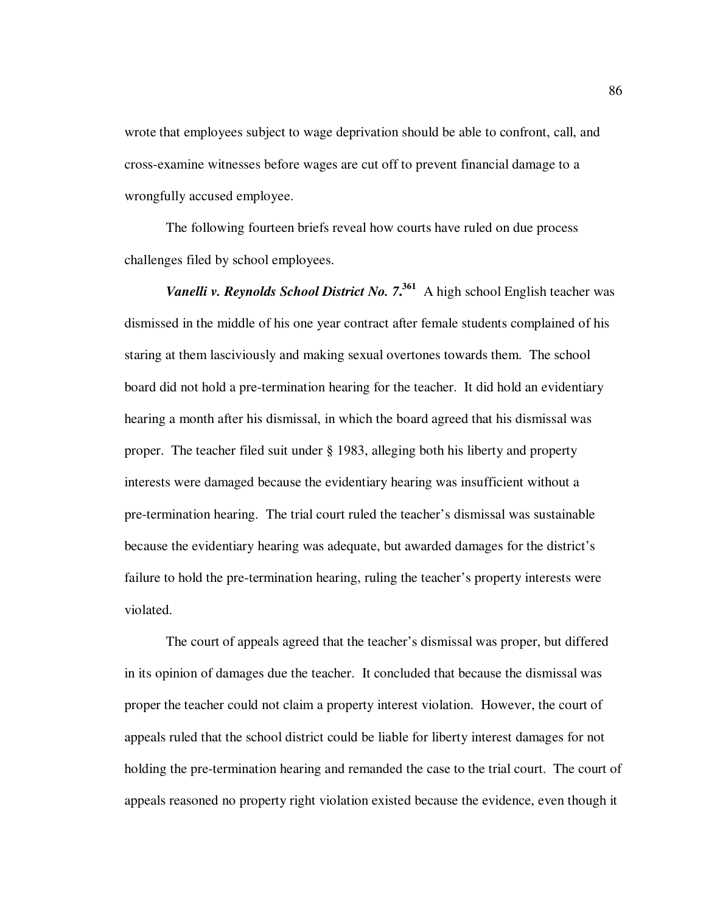wrote that employees subject to wage deprivation should be able to confront, call, and cross-examine witnesses before wages are cut off to prevent financial damage to a wrongfully accused employee.

The following fourteen briefs reveal how courts have ruled on due process challenges filed by school employees.

*Vanelli v. Reynolds School District No. 7***. <sup>361</sup>** A high school English teacher was dismissed in the middle of his one year contract after female students complained of his staring at them lasciviously and making sexual overtones towards them. The school board did not hold a pre-termination hearing for the teacher. It did hold an evidentiary hearing a month after his dismissal, in which the board agreed that his dismissal was proper. The teacher filed suit under § 1983, alleging both his liberty and property interests were damaged because the evidentiary hearing was insufficient without a pre-termination hearing. The trial court ruled the teacher's dismissal was sustainable because the evidentiary hearing was adequate, but awarded damages for the district's failure to hold the pre-termination hearing, ruling the teacher's property interests were violated.

The court of appeals agreed that the teacher's dismissal was proper, but differed in its opinion of damages due the teacher. It concluded that because the dismissal was proper the teacher could not claim a property interest violation. However, the court of appeals ruled that the school district could be liable for liberty interest damages for not holding the pre-termination hearing and remanded the case to the trial court. The court of appeals reasoned no property right violation existed because the evidence, even though it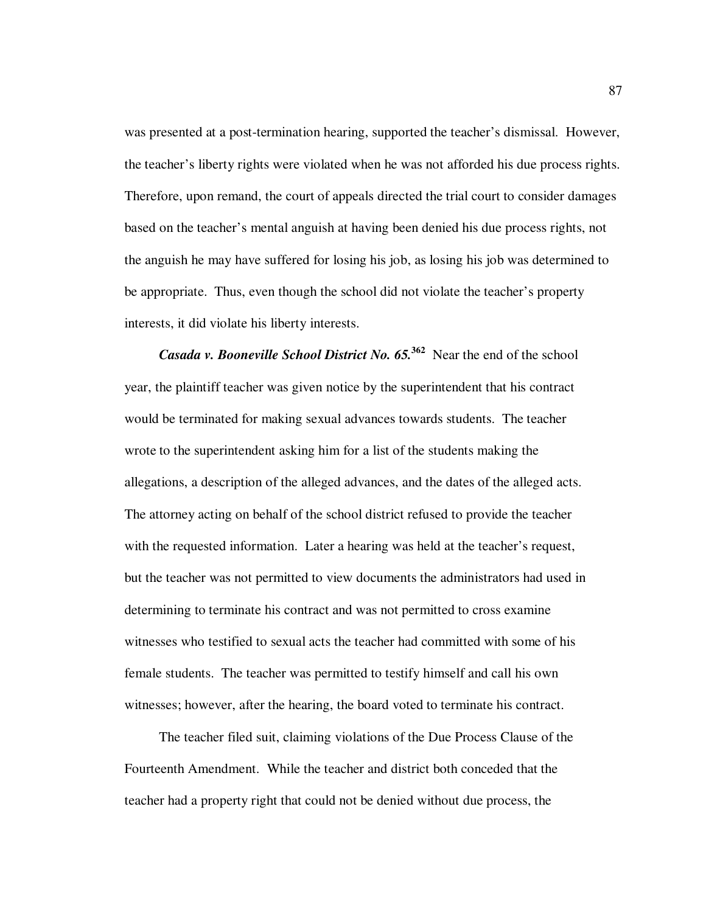was presented at a post-termination hearing, supported the teacher's dismissal. However, the teacher's liberty rights were violated when he was not afforded his due process rights. Therefore, upon remand, the court of appeals directed the trial court to consider damages based on the teacher's mental anguish at having been denied his due process rights, not the anguish he may have suffered for losing his job, as losing his job was determined to be appropriate. Thus, even though the school did not violate the teacher's property interests, it did violate his liberty interests.

*Casada v. Booneville School District No. 65.***<sup>362</sup> Near the end of the school intervals** year, the plaintiff teacher was given notice by the superintendent that his contract would be terminated for making sexual advances towards students. The teacher wrote to the superintendent asking him for a list of the students making the allegations, a description of the alleged advances, and the dates of the alleged acts. The attorney acting on behalf of the school district refused to provide the teacher with the requested information. Later a hearing was held at the teacher's request, but the teacher was not permitted to view documents the administrators had used in determining to terminate his contract and was not permitted to cross examine witnesses who testified to sexual acts the teacher had committed with some of his female students. The teacher was permitted to testify himself and call his own witnesses; however, after the hearing, the board voted to terminate his contract.

The teacher filed suit, claiming violations of the Due Process Clause of the Fourteenth Amendment. While the teacher and district both conceded that the teacher had a property right that could not be denied without due process, the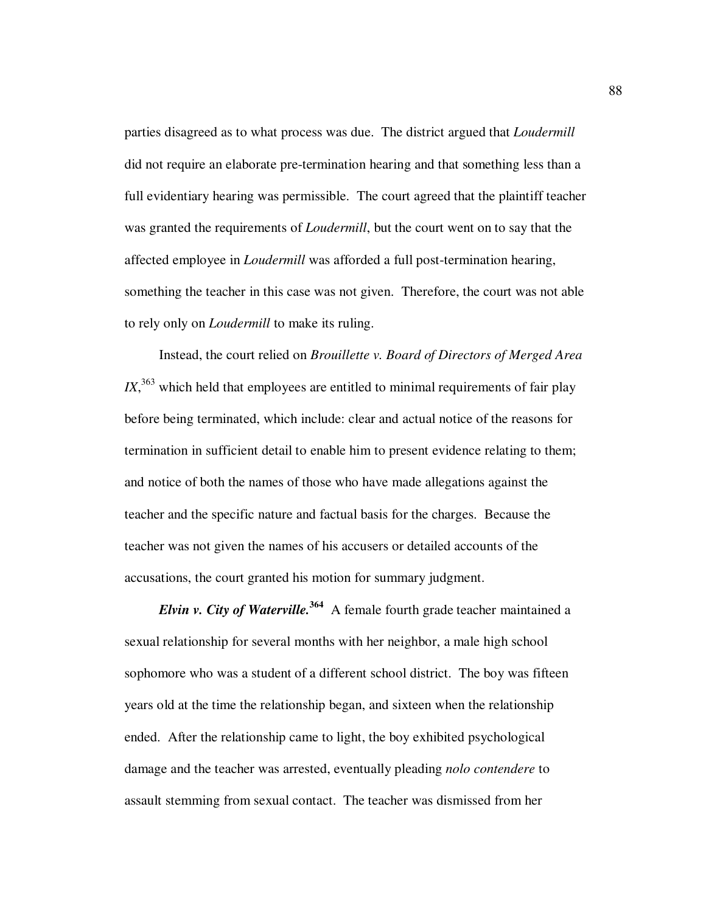parties disagreed as to what process was due. The district argued that *Loudermill* did not require an elaborate pre-termination hearing and that something less than a full evidentiary hearing was permissible. The court agreed that the plaintiff teacher was granted the requirements of *Loudermill*, but the court went on to say that the affected employee in *Loudermill* was afforded a full post-termination hearing, something the teacher in this case was not given. Therefore, the court was not able to rely only on *Loudermill* to make its ruling.

Instead, the court relied on *Brouillette v. Board of Directors of Merged Area*   $IX$ ,<sup>363</sup> which held that employees are entitled to minimal requirements of fair play before being terminated, which include: clear and actual notice of the reasons for termination in sufficient detail to enable him to present evidence relating to them; and notice of both the names of those who have made allegations against the teacher and the specific nature and factual basis for the charges. Because the teacher was not given the names of his accusers or detailed accounts of the accusations, the court granted his motion for summary judgment.

*Elvin v. City of Waterville.***<sup>364</sup>** A female fourth grade teacher maintained a sexual relationship for several months with her neighbor, a male high school sophomore who was a student of a different school district. The boy was fifteen years old at the time the relationship began, and sixteen when the relationship ended. After the relationship came to light, the boy exhibited psychological damage and the teacher was arrested, eventually pleading *nolo contendere* to assault stemming from sexual contact. The teacher was dismissed from her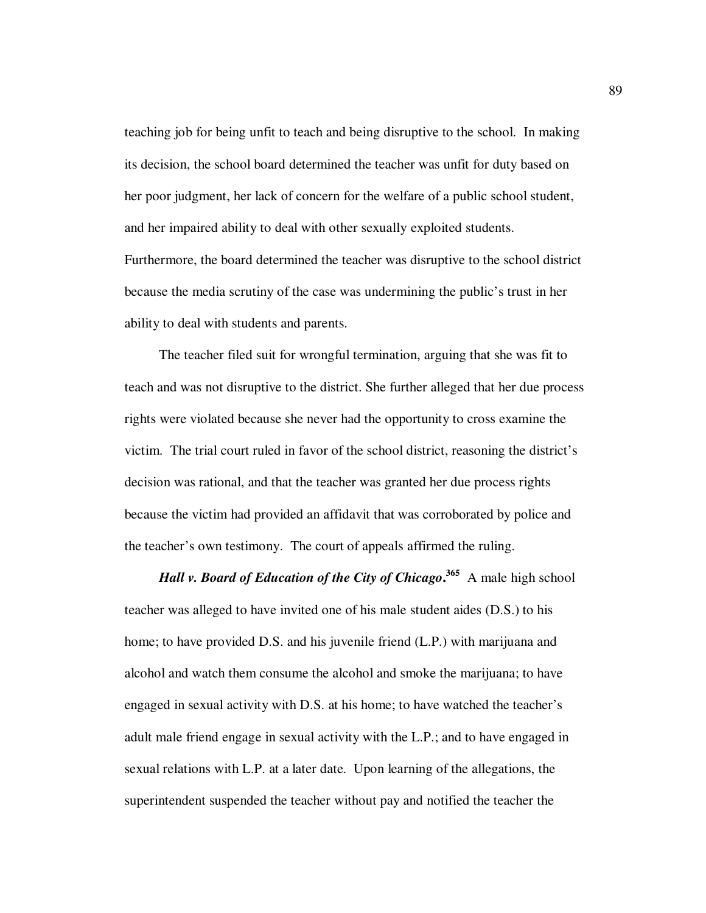teaching job for being unfit to teach and being disruptive to the school. In making its decision, the school board determined the teacher was unfit for duty based on her poor judgment, her lack of concern for the welfare of a public school student, and her impaired ability to deal with other sexually exploited students. Furthermore, the board determined the teacher was disruptive to the school district because the media scrutiny of the case was undermining the public's trust in her ability to deal with students and parents.

The teacher filed suit for wrongful termination, arguing that she was fit to teach and was not disruptive to the district. She further alleged that her due process rights were violated because she never had the opportunity to cross examine the victim. The trial court ruled in favor of the school district, reasoning the district's decision was rational, and that the teacher was granted her due process rights because the victim had provided an affidavit that was corroborated by police and the teacher's own testimony. The court of appeals affirmed the ruling.

*Hall v. Board of Education of the City of Chicago***. <sup>365</sup>** A male high school teacher was alleged to have invited one of his male student aides (D.S.) to his home; to have provided D.S. and his juvenile friend (L.P.) with marijuana and alcohol and watch them consume the alcohol and smoke the marijuana; to have engaged in sexual activity with D.S. at his home; to have watched the teacher's adult male friend engage in sexual activity with the L.P.; and to have engaged in sexual relations with L.P. at a later date. Upon learning of the allegations, the superintendent suspended the teacher without pay and notified the teacher the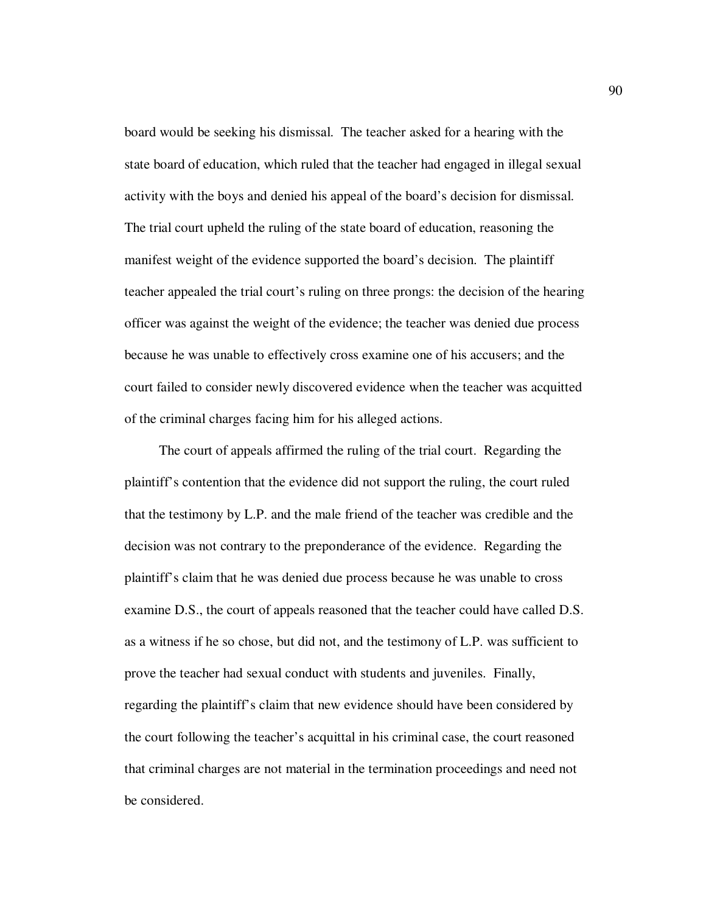board would be seeking his dismissal. The teacher asked for a hearing with the state board of education, which ruled that the teacher had engaged in illegal sexual activity with the boys and denied his appeal of the board's decision for dismissal. The trial court upheld the ruling of the state board of education, reasoning the manifest weight of the evidence supported the board's decision. The plaintiff teacher appealed the trial court's ruling on three prongs: the decision of the hearing officer was against the weight of the evidence; the teacher was denied due process because he was unable to effectively cross examine one of his accusers; and the court failed to consider newly discovered evidence when the teacher was acquitted of the criminal charges facing him for his alleged actions.

The court of appeals affirmed the ruling of the trial court. Regarding the plaintiff's contention that the evidence did not support the ruling, the court ruled that the testimony by L.P. and the male friend of the teacher was credible and the decision was not contrary to the preponderance of the evidence. Regarding the plaintiff's claim that he was denied due process because he was unable to cross examine D.S., the court of appeals reasoned that the teacher could have called D.S. as a witness if he so chose, but did not, and the testimony of L.P. was sufficient to prove the teacher had sexual conduct with students and juveniles. Finally, regarding the plaintiff's claim that new evidence should have been considered by the court following the teacher's acquittal in his criminal case, the court reasoned that criminal charges are not material in the termination proceedings and need not be considered.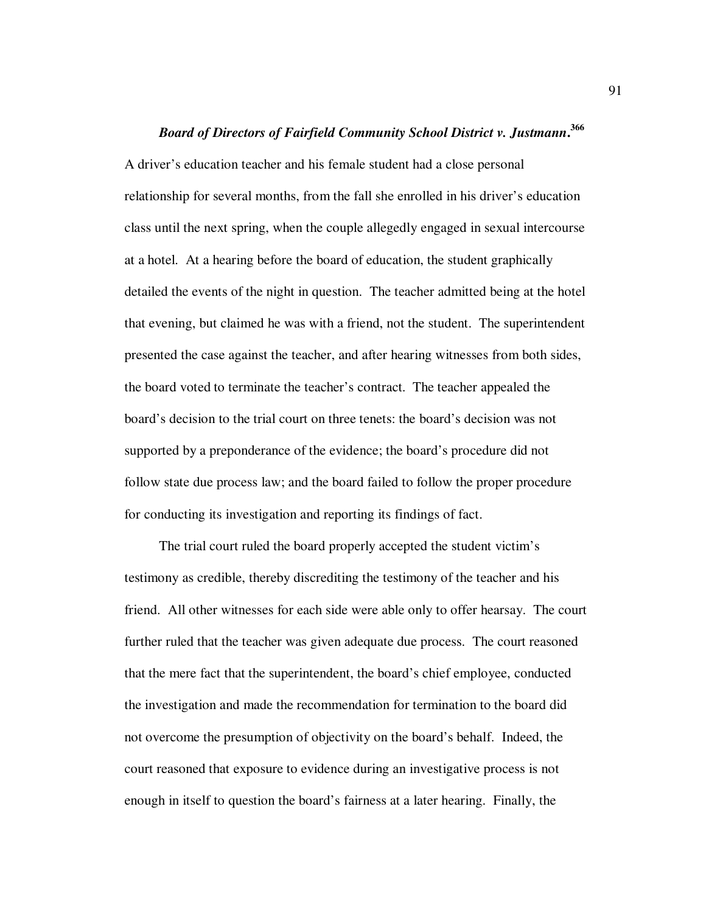# *Board of Directors of Fairfield Community School District v. Justmann***. 366**

A driver's education teacher and his female student had a close personal relationship for several months, from the fall she enrolled in his driver's education class until the next spring, when the couple allegedly engaged in sexual intercourse at a hotel. At a hearing before the board of education, the student graphically detailed the events of the night in question. The teacher admitted being at the hotel that evening, but claimed he was with a friend, not the student. The superintendent presented the case against the teacher, and after hearing witnesses from both sides, the board voted to terminate the teacher's contract. The teacher appealed the board's decision to the trial court on three tenets: the board's decision was not supported by a preponderance of the evidence; the board's procedure did not follow state due process law; and the board failed to follow the proper procedure for conducting its investigation and reporting its findings of fact.

The trial court ruled the board properly accepted the student victim's testimony as credible, thereby discrediting the testimony of the teacher and his friend. All other witnesses for each side were able only to offer hearsay. The court further ruled that the teacher was given adequate due process. The court reasoned that the mere fact that the superintendent, the board's chief employee, conducted the investigation and made the recommendation for termination to the board did not overcome the presumption of objectivity on the board's behalf. Indeed, the court reasoned that exposure to evidence during an investigative process is not enough in itself to question the board's fairness at a later hearing. Finally, the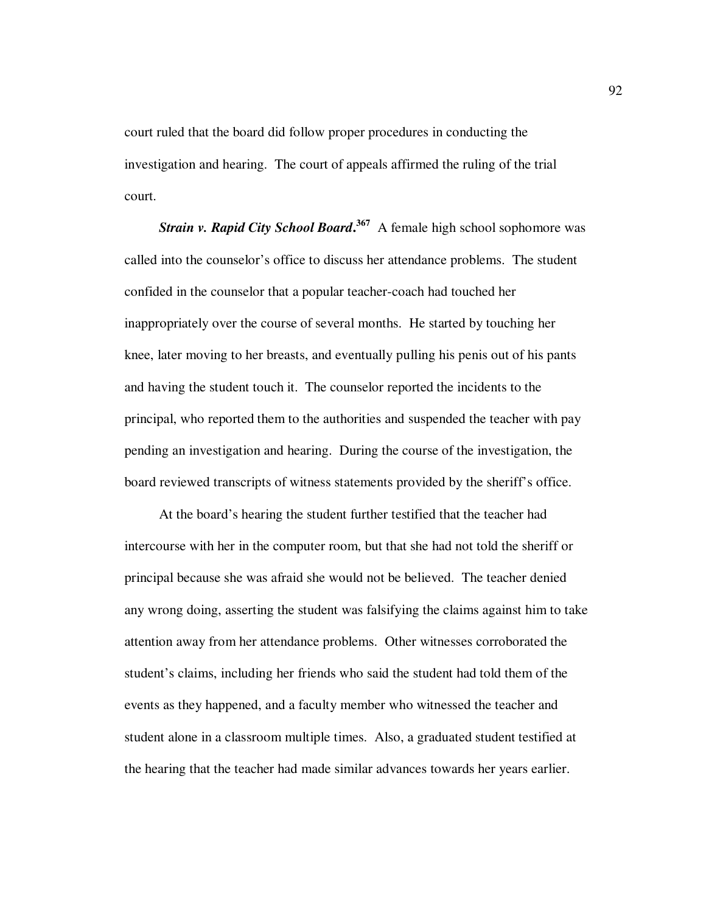court ruled that the board did follow proper procedures in conducting the investigation and hearing. The court of appeals affirmed the ruling of the trial court.

*Strain v. Rapid City School Board***. <sup>367</sup>** A female high school sophomore was called into the counselor's office to discuss her attendance problems. The student confided in the counselor that a popular teacher-coach had touched her inappropriately over the course of several months. He started by touching her knee, later moving to her breasts, and eventually pulling his penis out of his pants and having the student touch it. The counselor reported the incidents to the principal, who reported them to the authorities and suspended the teacher with pay pending an investigation and hearing. During the course of the investigation, the board reviewed transcripts of witness statements provided by the sheriff's office.

At the board's hearing the student further testified that the teacher had intercourse with her in the computer room, but that she had not told the sheriff or principal because she was afraid she would not be believed. The teacher denied any wrong doing, asserting the student was falsifying the claims against him to take attention away from her attendance problems. Other witnesses corroborated the student's claims, including her friends who said the student had told them of the events as they happened, and a faculty member who witnessed the teacher and student alone in a classroom multiple times. Also, a graduated student testified at the hearing that the teacher had made similar advances towards her years earlier.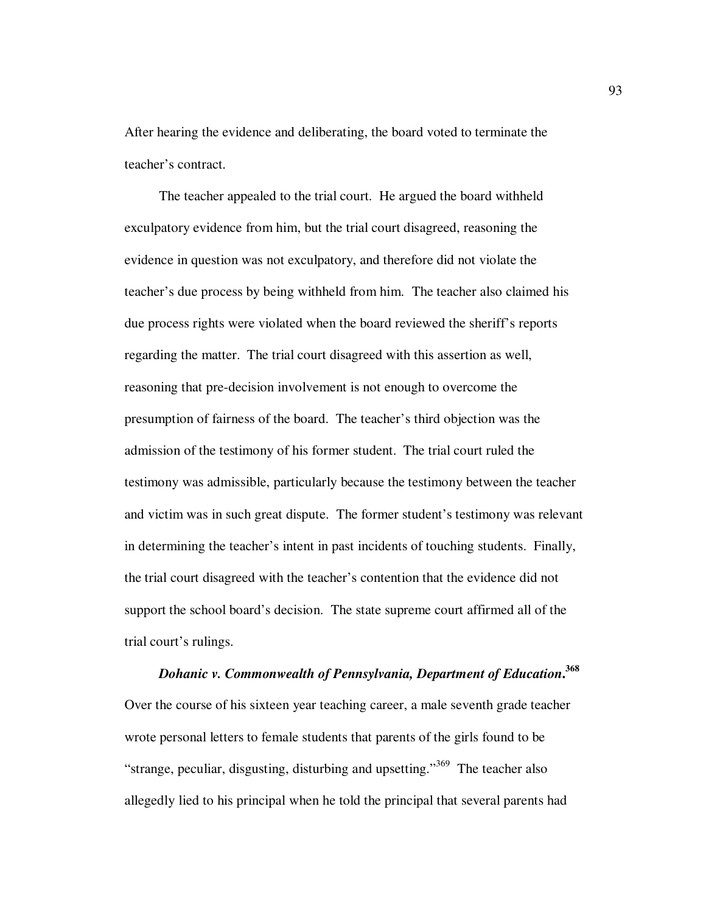After hearing the evidence and deliberating, the board voted to terminate the teacher's contract.

The teacher appealed to the trial court. He argued the board withheld exculpatory evidence from him, but the trial court disagreed, reasoning the evidence in question was not exculpatory, and therefore did not violate the teacher's due process by being withheld from him. The teacher also claimed his due process rights were violated when the board reviewed the sheriff's reports regarding the matter. The trial court disagreed with this assertion as well, reasoning that pre-decision involvement is not enough to overcome the presumption of fairness of the board. The teacher's third objection was the admission of the testimony of his former student. The trial court ruled the testimony was admissible, particularly because the testimony between the teacher and victim was in such great dispute. The former student's testimony was relevant in determining the teacher's intent in past incidents of touching students. Finally, the trial court disagreed with the teacher's contention that the evidence did not support the school board's decision. The state supreme court affirmed all of the trial court's rulings.

*Dohanic v. Commonwealth of Pennsylvania, Department of Education***. 368** Over the course of his sixteen year teaching career, a male seventh grade teacher wrote personal letters to female students that parents of the girls found to be "strange, peculiar, disgusting, disturbing and upsetting."<sup>369</sup> The teacher also allegedly lied to his principal when he told the principal that several parents had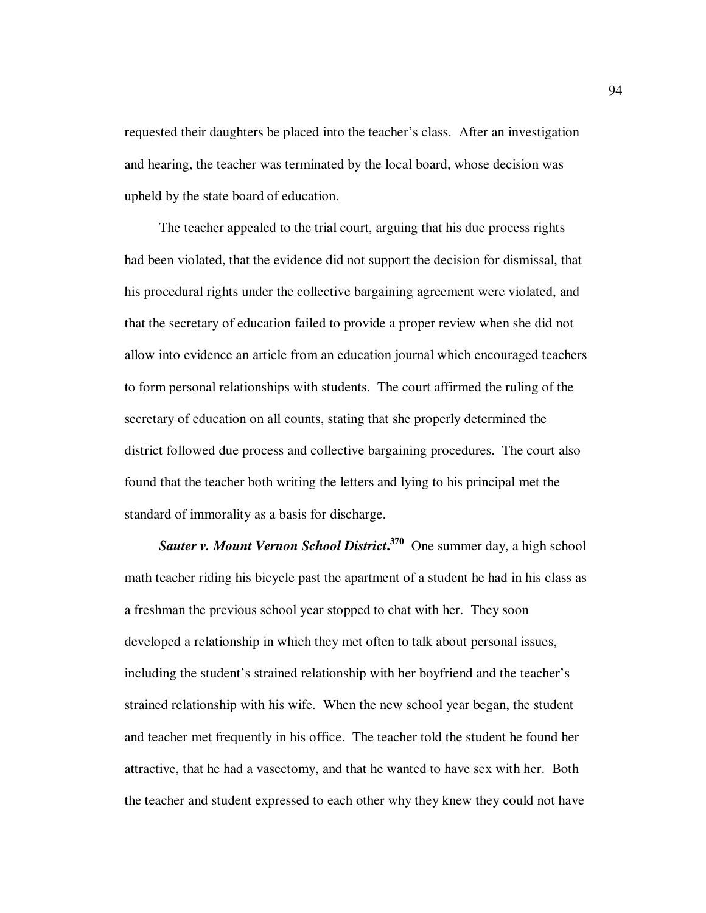requested their daughters be placed into the teacher's class. After an investigation and hearing, the teacher was terminated by the local board, whose decision was upheld by the state board of education.

The teacher appealed to the trial court, arguing that his due process rights had been violated, that the evidence did not support the decision for dismissal, that his procedural rights under the collective bargaining agreement were violated, and that the secretary of education failed to provide a proper review when she did not allow into evidence an article from an education journal which encouraged teachers to form personal relationships with students. The court affirmed the ruling of the secretary of education on all counts, stating that she properly determined the district followed due process and collective bargaining procedures. The court also found that the teacher both writing the letters and lying to his principal met the standard of immorality as a basis for discharge.

*Sauter v. Mount Vernon School District***. <sup>370</sup>** One summer day, a high school math teacher riding his bicycle past the apartment of a student he had in his class as a freshman the previous school year stopped to chat with her. They soon developed a relationship in which they met often to talk about personal issues, including the student's strained relationship with her boyfriend and the teacher's strained relationship with his wife. When the new school year began, the student and teacher met frequently in his office. The teacher told the student he found her attractive, that he had a vasectomy, and that he wanted to have sex with her. Both the teacher and student expressed to each other why they knew they could not have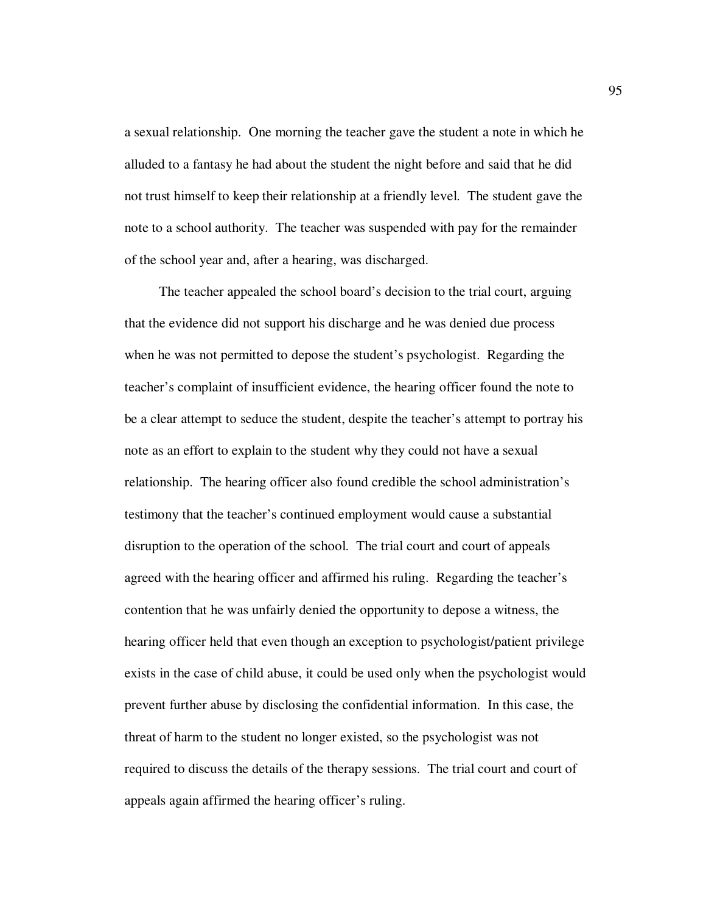a sexual relationship. One morning the teacher gave the student a note in which he alluded to a fantasy he had about the student the night before and said that he did not trust himself to keep their relationship at a friendly level. The student gave the note to a school authority. The teacher was suspended with pay for the remainder of the school year and, after a hearing, was discharged.

The teacher appealed the school board's decision to the trial court, arguing that the evidence did not support his discharge and he was denied due process when he was not permitted to depose the student's psychologist. Regarding the teacher's complaint of insufficient evidence, the hearing officer found the note to be a clear attempt to seduce the student, despite the teacher's attempt to portray his note as an effort to explain to the student why they could not have a sexual relationship. The hearing officer also found credible the school administration's testimony that the teacher's continued employment would cause a substantial disruption to the operation of the school. The trial court and court of appeals agreed with the hearing officer and affirmed his ruling. Regarding the teacher's contention that he was unfairly denied the opportunity to depose a witness, the hearing officer held that even though an exception to psychologist/patient privilege exists in the case of child abuse, it could be used only when the psychologist would prevent further abuse by disclosing the confidential information. In this case, the threat of harm to the student no longer existed, so the psychologist was not required to discuss the details of the therapy sessions. The trial court and court of appeals again affirmed the hearing officer's ruling.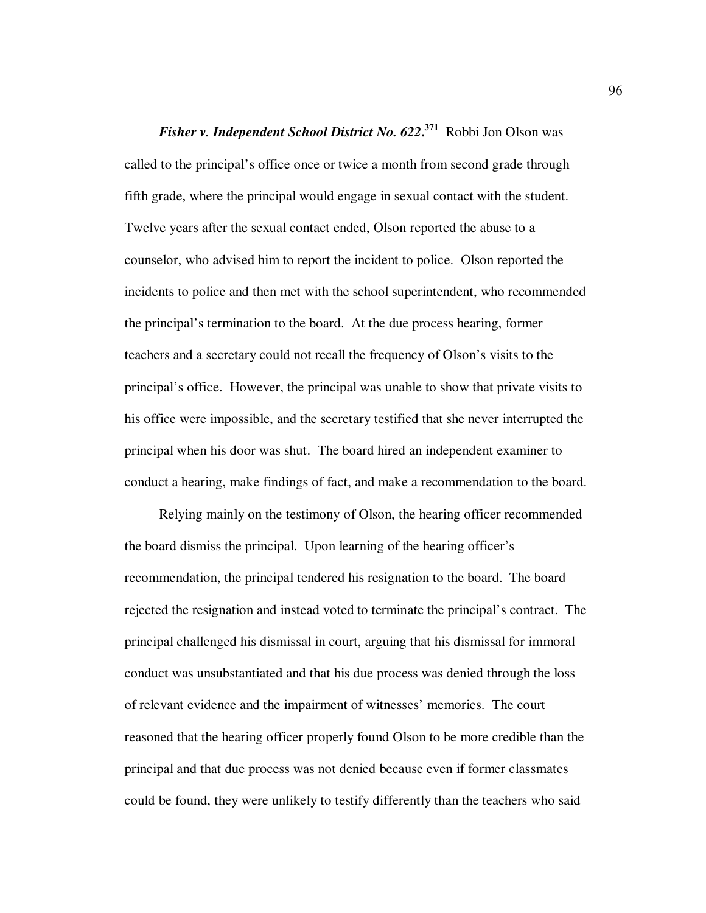*Fisher v. Independent School District No. 622***. <sup>371</sup>** Robbi Jon Olson was called to the principal's office once or twice a month from second grade through fifth grade, where the principal would engage in sexual contact with the student. Twelve years after the sexual contact ended, Olson reported the abuse to a counselor, who advised him to report the incident to police. Olson reported the incidents to police and then met with the school superintendent, who recommended the principal's termination to the board. At the due process hearing, former teachers and a secretary could not recall the frequency of Olson's visits to the principal's office. However, the principal was unable to show that private visits to his office were impossible, and the secretary testified that she never interrupted the principal when his door was shut. The board hired an independent examiner to conduct a hearing, make findings of fact, and make a recommendation to the board.

Relying mainly on the testimony of Olson, the hearing officer recommended the board dismiss the principal. Upon learning of the hearing officer's recommendation, the principal tendered his resignation to the board. The board rejected the resignation and instead voted to terminate the principal's contract. The principal challenged his dismissal in court, arguing that his dismissal for immoral conduct was unsubstantiated and that his due process was denied through the loss of relevant evidence and the impairment of witnesses' memories. The court reasoned that the hearing officer properly found Olson to be more credible than the principal and that due process was not denied because even if former classmates could be found, they were unlikely to testify differently than the teachers who said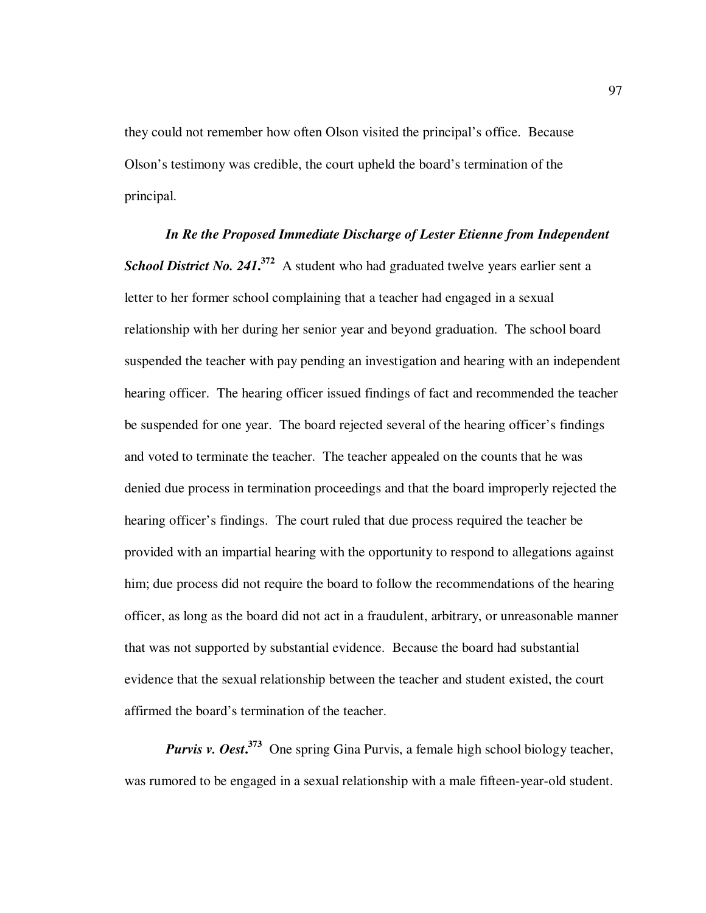they could not remember how often Olson visited the principal's office. Because Olson's testimony was credible, the court upheld the board's termination of the principal.

*In Re the Proposed Immediate Discharge of Lester Etienne from Independent*  **School District No. 241.**<sup>372</sup> A student who had graduated twelve years earlier sent a letter to her former school complaining that a teacher had engaged in a sexual relationship with her during her senior year and beyond graduation. The school board suspended the teacher with pay pending an investigation and hearing with an independent hearing officer. The hearing officer issued findings of fact and recommended the teacher be suspended for one year. The board rejected several of the hearing officer's findings and voted to terminate the teacher. The teacher appealed on the counts that he was denied due process in termination proceedings and that the board improperly rejected the hearing officer's findings. The court ruled that due process required the teacher be provided with an impartial hearing with the opportunity to respond to allegations against him; due process did not require the board to follow the recommendations of the hearing officer, as long as the board did not act in a fraudulent, arbitrary, or unreasonable manner that was not supported by substantial evidence. Because the board had substantial evidence that the sexual relationship between the teacher and student existed, the court affirmed the board's termination of the teacher.

*Purvis v. Oest***. <sup>373</sup>** One spring Gina Purvis, a female high school biology teacher, was rumored to be engaged in a sexual relationship with a male fifteen-year-old student.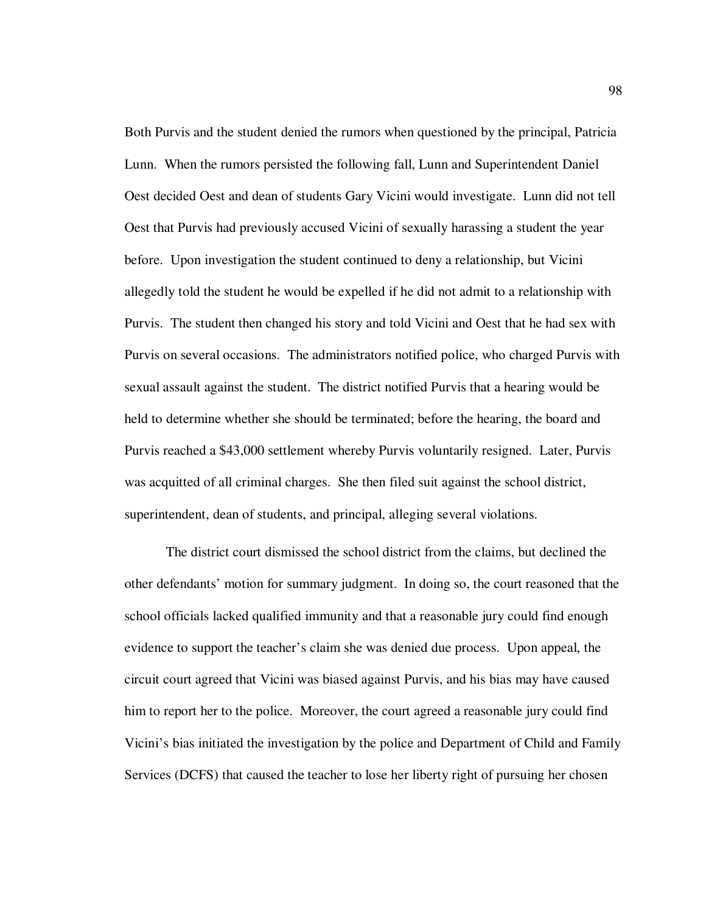Both Purvis and the student denied the rumors when questioned by the principal, Patricia Lunn. When the rumors persisted the following fall, Lunn and Superintendent Daniel Oest decided Oest and dean of students Gary Vicini would investigate. Lunn did not tell Oest that Purvis had previously accused Vicini of sexually harassing a student the year before. Upon investigation the student continued to deny a relationship, but Vicini allegedly told the student he would be expelled if he did not admit to a relationship with Purvis. The student then changed his story and told Vicini and Oest that he had sex with Purvis on several occasions. The administrators notified police, who charged Purvis with sexual assault against the student. The district notified Purvis that a hearing would be held to determine whether she should be terminated; before the hearing, the board and Purvis reached a \$43,000 settlement whereby Purvis voluntarily resigned. Later, Purvis was acquitted of all criminal charges. She then filed suit against the school district, superintendent, dean of students, and principal, alleging several violations.

The district court dismissed the school district from the claims, but declined the other defendants' motion for summary judgment. In doing so, the court reasoned that the school officials lacked qualified immunity and that a reasonable jury could find enough evidence to support the teacher's claim she was denied due process. Upon appeal, the circuit court agreed that Vicini was biased against Purvis, and his bias may have caused him to report her to the police. Moreover, the court agreed a reasonable jury could find Vicini's bias initiated the investigation by the police and Department of Child and Family Services (DCFS) that caused the teacher to lose her liberty right of pursuing her chosen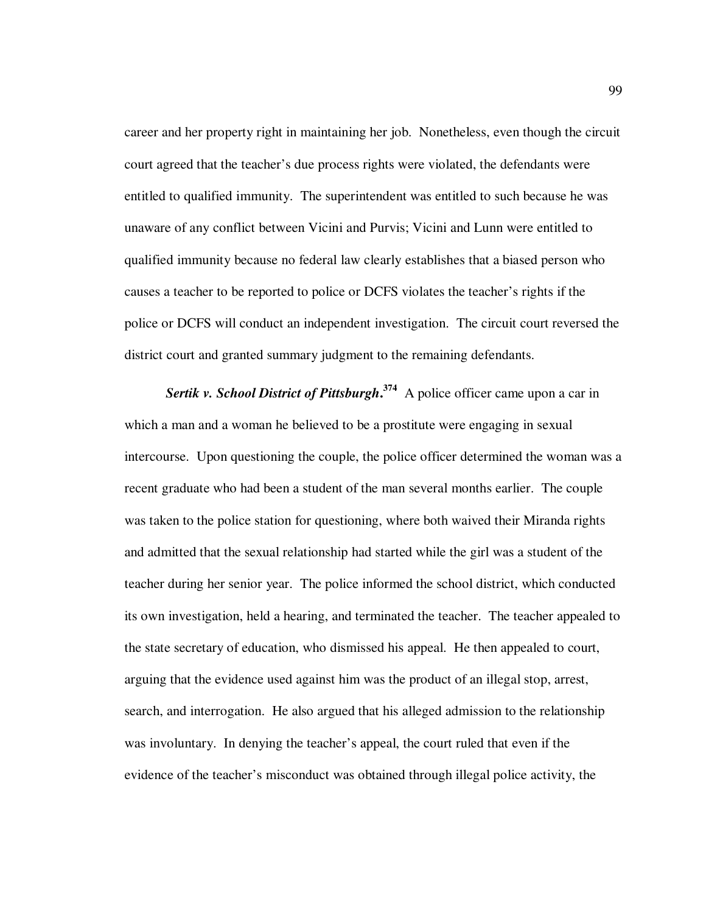career and her property right in maintaining her job. Nonetheless, even though the circuit court agreed that the teacher's due process rights were violated, the defendants were entitled to qualified immunity. The superintendent was entitled to such because he was unaware of any conflict between Vicini and Purvis; Vicini and Lunn were entitled to qualified immunity because no federal law clearly establishes that a biased person who causes a teacher to be reported to police or DCFS violates the teacher's rights if the police or DCFS will conduct an independent investigation. The circuit court reversed the district court and granted summary judgment to the remaining defendants.

*Sertik v. School District of Pittsburgh***. <sup>374</sup>** A police officer came upon a car in which a man and a woman he believed to be a prostitute were engaging in sexual intercourse. Upon questioning the couple, the police officer determined the woman was a recent graduate who had been a student of the man several months earlier. The couple was taken to the police station for questioning, where both waived their Miranda rights and admitted that the sexual relationship had started while the girl was a student of the teacher during her senior year. The police informed the school district, which conducted its own investigation, held a hearing, and terminated the teacher. The teacher appealed to the state secretary of education, who dismissed his appeal. He then appealed to court, arguing that the evidence used against him was the product of an illegal stop, arrest, search, and interrogation. He also argued that his alleged admission to the relationship was involuntary. In denying the teacher's appeal, the court ruled that even if the evidence of the teacher's misconduct was obtained through illegal police activity, the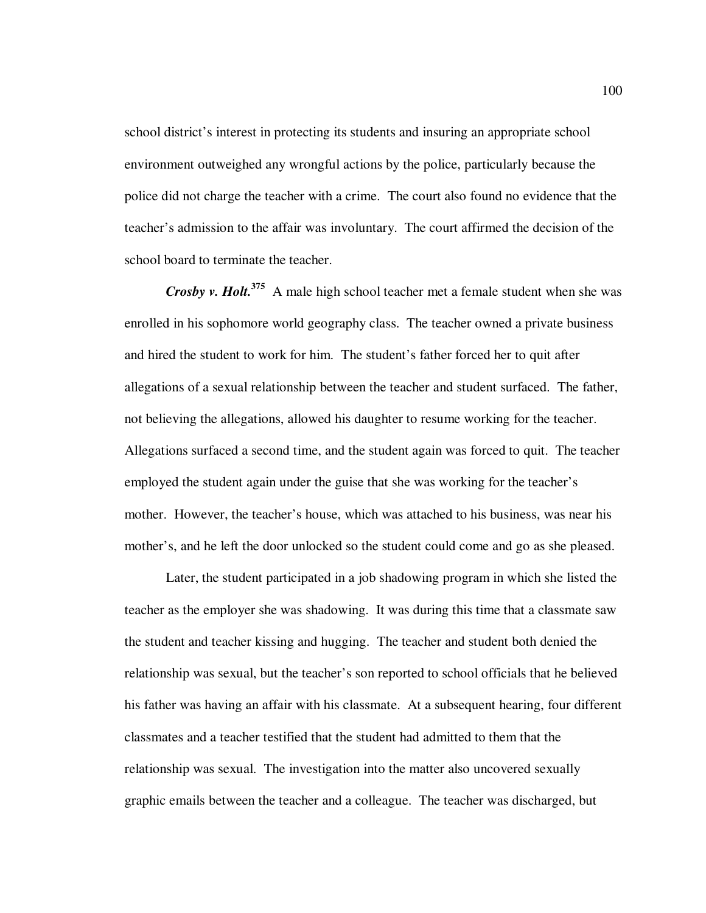school district's interest in protecting its students and insuring an appropriate school environment outweighed any wrongful actions by the police, particularly because the police did not charge the teacher with a crime. The court also found no evidence that the teacher's admission to the affair was involuntary. The court affirmed the decision of the school board to terminate the teacher.

*Crosby v. Holt.***<sup>375</sup>** A male high school teacher met a female student when she was enrolled in his sophomore world geography class. The teacher owned a private business and hired the student to work for him. The student's father forced her to quit after allegations of a sexual relationship between the teacher and student surfaced. The father, not believing the allegations, allowed his daughter to resume working for the teacher. Allegations surfaced a second time, and the student again was forced to quit. The teacher employed the student again under the guise that she was working for the teacher's mother. However, the teacher's house, which was attached to his business, was near his mother's, and he left the door unlocked so the student could come and go as she pleased.

Later, the student participated in a job shadowing program in which she listed the teacher as the employer she was shadowing. It was during this time that a classmate saw the student and teacher kissing and hugging. The teacher and student both denied the relationship was sexual, but the teacher's son reported to school officials that he believed his father was having an affair with his classmate. At a subsequent hearing, four different classmates and a teacher testified that the student had admitted to them that the relationship was sexual. The investigation into the matter also uncovered sexually graphic emails between the teacher and a colleague. The teacher was discharged, but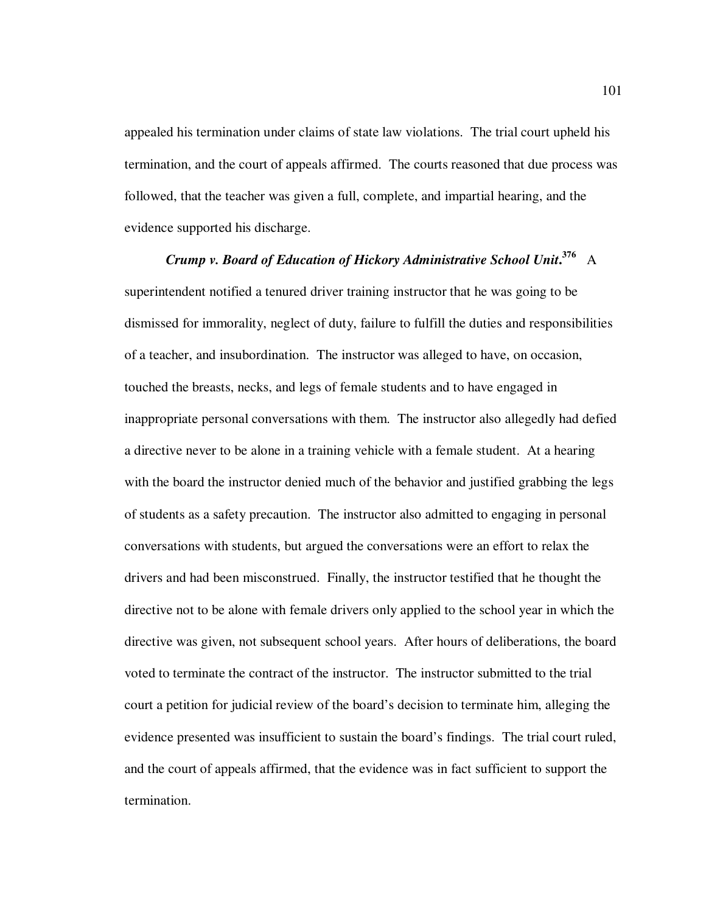appealed his termination under claims of state law violations. The trial court upheld his termination, and the court of appeals affirmed. The courts reasoned that due process was followed, that the teacher was given a full, complete, and impartial hearing, and the evidence supported his discharge.

*Crump v. Board of Education of Hickory Administrative School Unit***. <sup>376</sup>** A superintendent notified a tenured driver training instructor that he was going to be dismissed for immorality, neglect of duty, failure to fulfill the duties and responsibilities of a teacher, and insubordination. The instructor was alleged to have, on occasion, touched the breasts, necks, and legs of female students and to have engaged in inappropriate personal conversations with them. The instructor also allegedly had defied a directive never to be alone in a training vehicle with a female student. At a hearing with the board the instructor denied much of the behavior and justified grabbing the legs of students as a safety precaution. The instructor also admitted to engaging in personal conversations with students, but argued the conversations were an effort to relax the drivers and had been misconstrued. Finally, the instructor testified that he thought the directive not to be alone with female drivers only applied to the school year in which the directive was given, not subsequent school years. After hours of deliberations, the board voted to terminate the contract of the instructor. The instructor submitted to the trial court a petition for judicial review of the board's decision to terminate him, alleging the evidence presented was insufficient to sustain the board's findings. The trial court ruled, and the court of appeals affirmed, that the evidence was in fact sufficient to support the termination.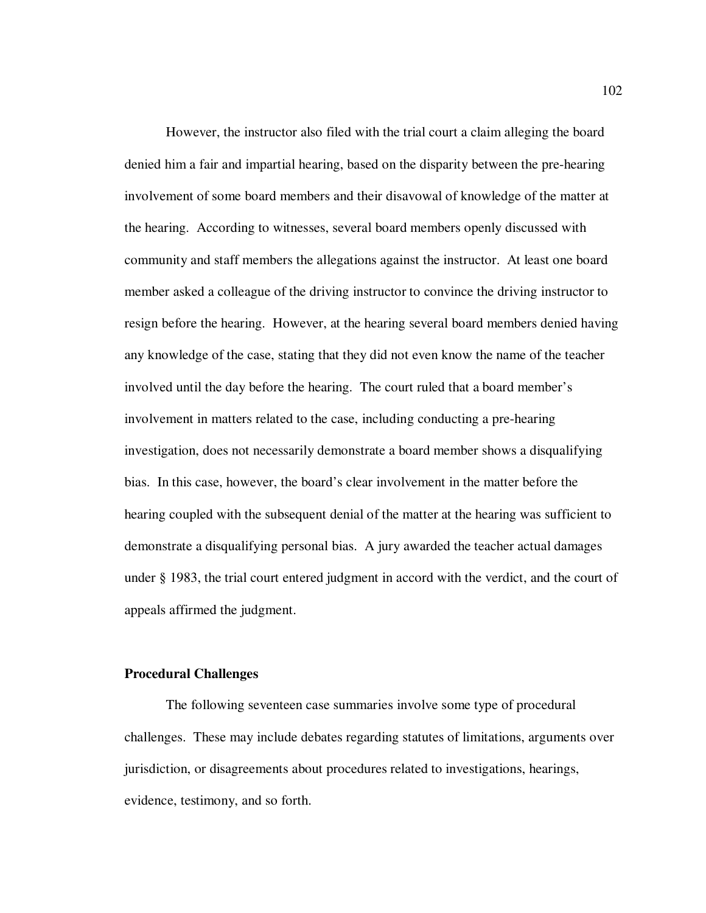However, the instructor also filed with the trial court a claim alleging the board denied him a fair and impartial hearing, based on the disparity between the pre-hearing involvement of some board members and their disavowal of knowledge of the matter at the hearing. According to witnesses, several board members openly discussed with community and staff members the allegations against the instructor. At least one board member asked a colleague of the driving instructor to convince the driving instructor to resign before the hearing. However, at the hearing several board members denied having any knowledge of the case, stating that they did not even know the name of the teacher involved until the day before the hearing. The court ruled that a board member's involvement in matters related to the case, including conducting a pre-hearing investigation, does not necessarily demonstrate a board member shows a disqualifying bias. In this case, however, the board's clear involvement in the matter before the hearing coupled with the subsequent denial of the matter at the hearing was sufficient to demonstrate a disqualifying personal bias. A jury awarded the teacher actual damages under § 1983, the trial court entered judgment in accord with the verdict, and the court of appeals affirmed the judgment.

## **Procedural Challenges**

The following seventeen case summaries involve some type of procedural challenges. These may include debates regarding statutes of limitations, arguments over jurisdiction, or disagreements about procedures related to investigations, hearings, evidence, testimony, and so forth.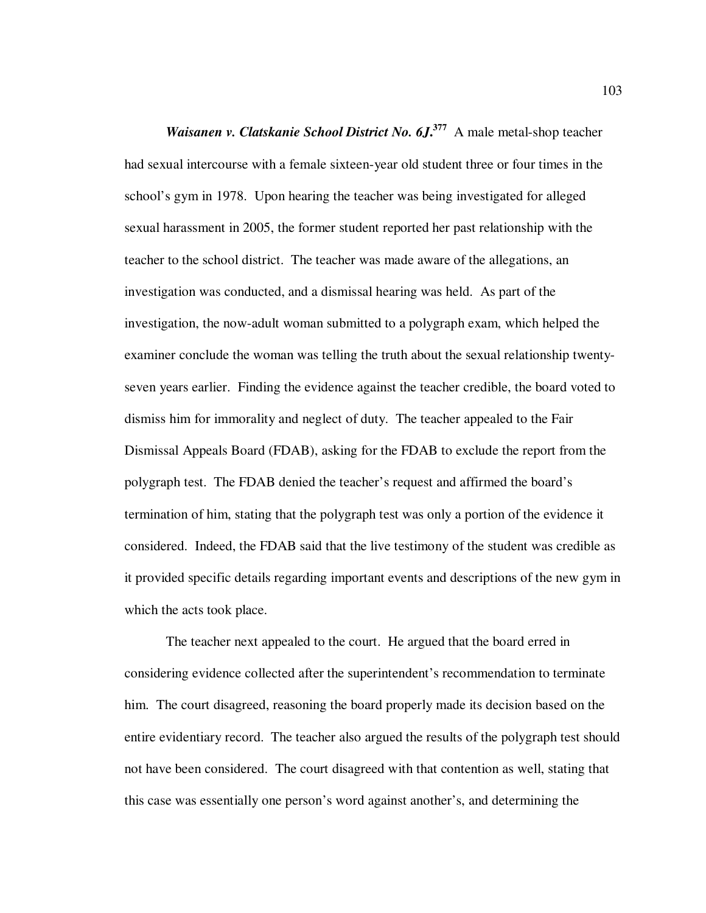*Waisanen v. Clatskanie School District No. 6J***. <sup>377</sup>** A male metal-shop teacher had sexual intercourse with a female sixteen-year old student three or four times in the school's gym in 1978. Upon hearing the teacher was being investigated for alleged sexual harassment in 2005, the former student reported her past relationship with the teacher to the school district. The teacher was made aware of the allegations, an investigation was conducted, and a dismissal hearing was held. As part of the investigation, the now-adult woman submitted to a polygraph exam, which helped the examiner conclude the woman was telling the truth about the sexual relationship twentyseven years earlier. Finding the evidence against the teacher credible, the board voted to dismiss him for immorality and neglect of duty. The teacher appealed to the Fair Dismissal Appeals Board (FDAB), asking for the FDAB to exclude the report from the polygraph test. The FDAB denied the teacher's request and affirmed the board's termination of him, stating that the polygraph test was only a portion of the evidence it considered. Indeed, the FDAB said that the live testimony of the student was credible as it provided specific details regarding important events and descriptions of the new gym in which the acts took place.

The teacher next appealed to the court. He argued that the board erred in considering evidence collected after the superintendent's recommendation to terminate him. The court disagreed, reasoning the board properly made its decision based on the entire evidentiary record. The teacher also argued the results of the polygraph test should not have been considered. The court disagreed with that contention as well, stating that this case was essentially one person's word against another's, and determining the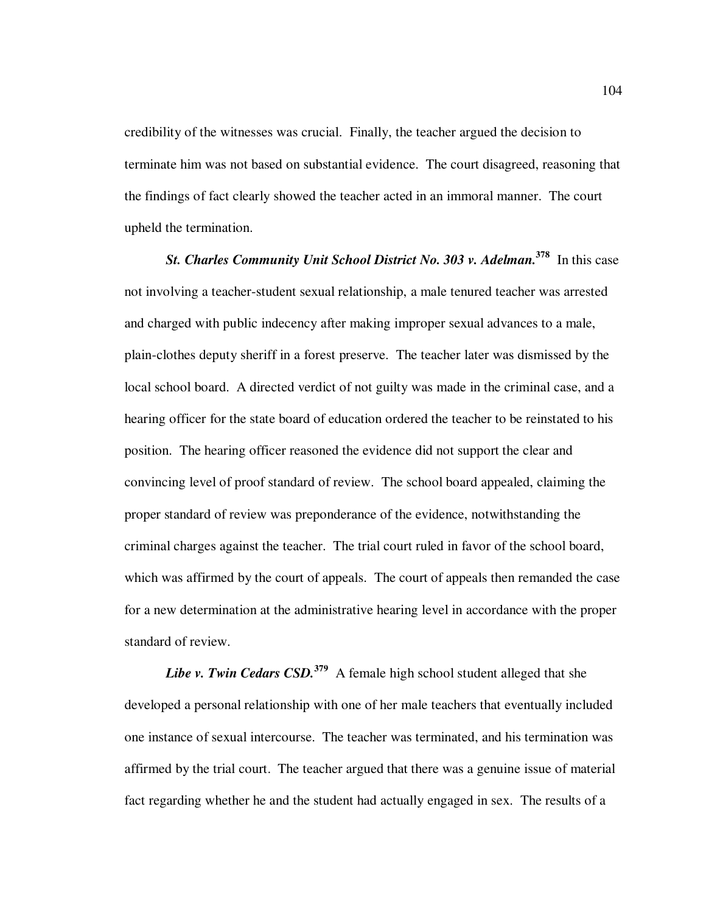credibility of the witnesses was crucial. Finally, the teacher argued the decision to terminate him was not based on substantial evidence. The court disagreed, reasoning that the findings of fact clearly showed the teacher acted in an immoral manner. The court upheld the termination.

*St. Charles Community Unit School District No. 303 v. Adelman.* **<sup>378</sup>** In this case not involving a teacher-student sexual relationship, a male tenured teacher was arrested and charged with public indecency after making improper sexual advances to a male, plain-clothes deputy sheriff in a forest preserve. The teacher later was dismissed by the local school board. A directed verdict of not guilty was made in the criminal case, and a hearing officer for the state board of education ordered the teacher to be reinstated to his position. The hearing officer reasoned the evidence did not support the clear and convincing level of proof standard of review. The school board appealed, claiming the proper standard of review was preponderance of the evidence, notwithstanding the criminal charges against the teacher. The trial court ruled in favor of the school board, which was affirmed by the court of appeals. The court of appeals then remanded the case for a new determination at the administrative hearing level in accordance with the proper standard of review.

*Libe v. Twin Cedars CSD.***<sup>379</sup>** A female high school student alleged that she developed a personal relationship with one of her male teachers that eventually included one instance of sexual intercourse. The teacher was terminated, and his termination was affirmed by the trial court. The teacher argued that there was a genuine issue of material fact regarding whether he and the student had actually engaged in sex. The results of a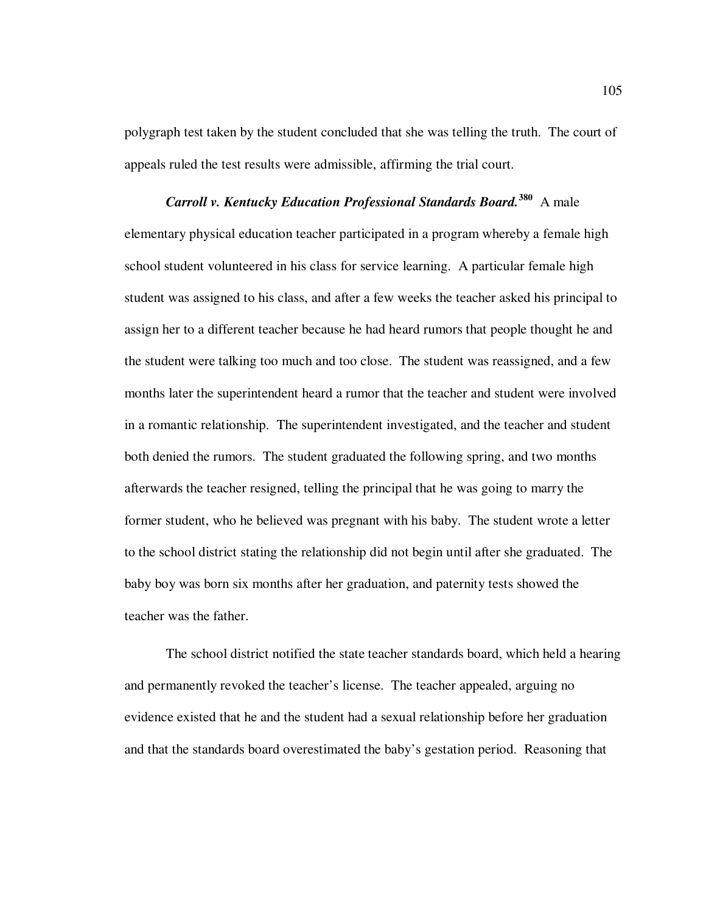polygraph test taken by the student concluded that she was telling the truth. The court of appeals ruled the test results were admissible, affirming the trial court.

*Carroll v. Kentucky Education Professional Standards Board.***<sup>380</sup>** A male elementary physical education teacher participated in a program whereby a female high school student volunteered in his class for service learning. A particular female high student was assigned to his class, and after a few weeks the teacher asked his principal to assign her to a different teacher because he had heard rumors that people thought he and the student were talking too much and too close. The student was reassigned, and a few months later the superintendent heard a rumor that the teacher and student were involved in a romantic relationship. The superintendent investigated, and the teacher and student both denied the rumors. The student graduated the following spring, and two months afterwards the teacher resigned, telling the principal that he was going to marry the former student, who he believed was pregnant with his baby. The student wrote a letter to the school district stating the relationship did not begin until after she graduated. The baby boy was born six months after her graduation, and paternity tests showed the teacher was the father.

The school district notified the state teacher standards board, which held a hearing and permanently revoked the teacher's license. The teacher appealed, arguing no evidence existed that he and the student had a sexual relationship before her graduation and that the standards board overestimated the baby's gestation period. Reasoning that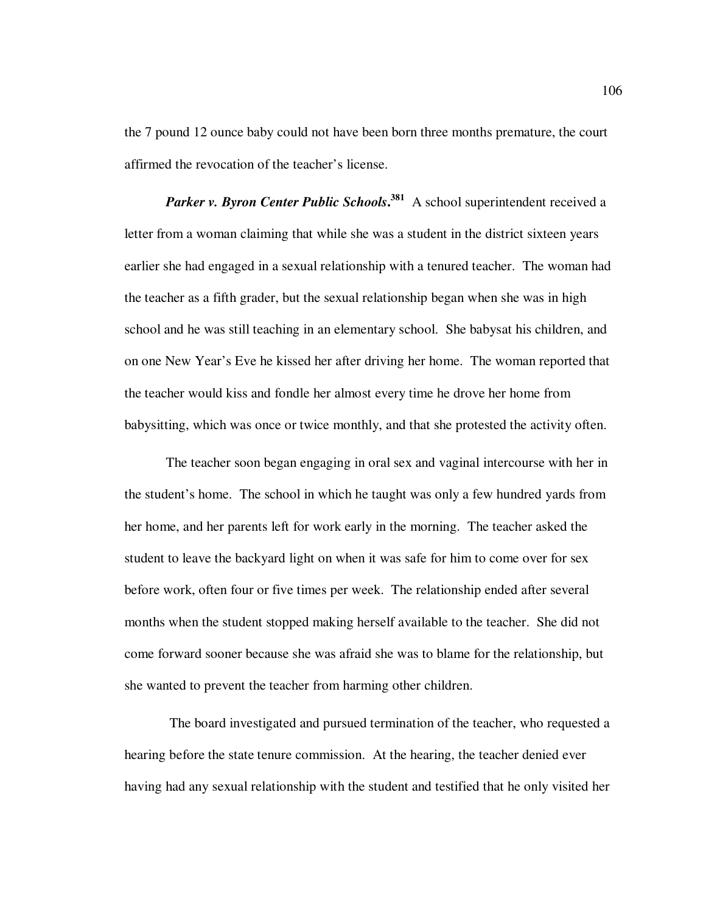the 7 pound 12 ounce baby could not have been born three months premature, the court affirmed the revocation of the teacher's license.

*Parker v. Byron Center Public Schools***. <sup>381</sup>** A school superintendent received a letter from a woman claiming that while she was a student in the district sixteen years earlier she had engaged in a sexual relationship with a tenured teacher. The woman had the teacher as a fifth grader, but the sexual relationship began when she was in high school and he was still teaching in an elementary school. She babysat his children, and on one New Year's Eve he kissed her after driving her home. The woman reported that the teacher would kiss and fondle her almost every time he drove her home from babysitting, which was once or twice monthly, and that she protested the activity often.

The teacher soon began engaging in oral sex and vaginal intercourse with her in the student's home. The school in which he taught was only a few hundred yards from her home, and her parents left for work early in the morning. The teacher asked the student to leave the backyard light on when it was safe for him to come over for sex before work, often four or five times per week. The relationship ended after several months when the student stopped making herself available to the teacher. She did not come forward sooner because she was afraid she was to blame for the relationship, but she wanted to prevent the teacher from harming other children.

 The board investigated and pursued termination of the teacher, who requested a hearing before the state tenure commission. At the hearing, the teacher denied ever having had any sexual relationship with the student and testified that he only visited her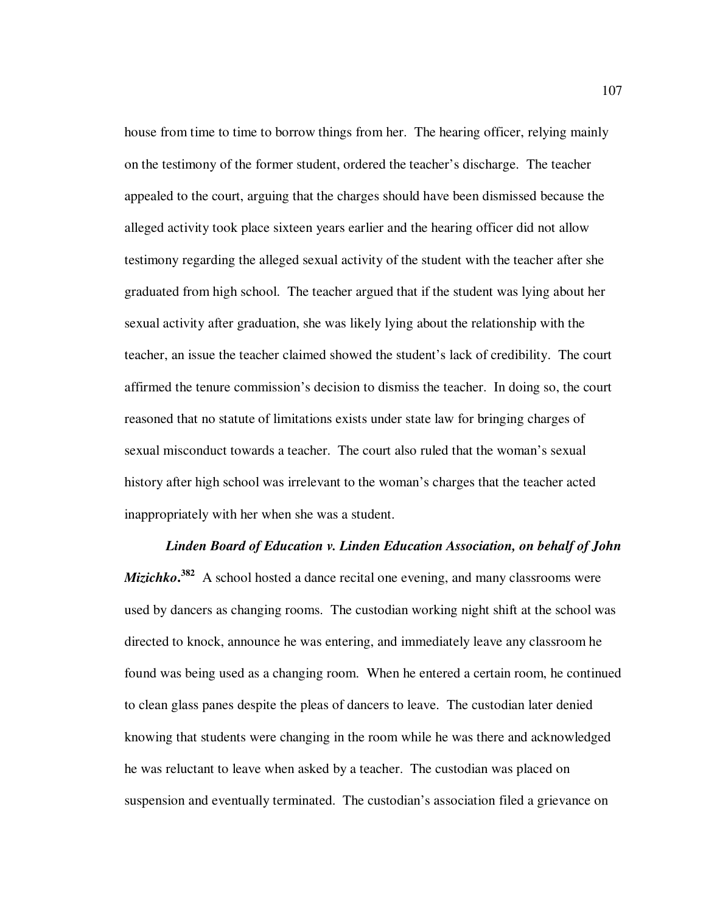house from time to time to borrow things from her. The hearing officer, relying mainly on the testimony of the former student, ordered the teacher's discharge. The teacher appealed to the court, arguing that the charges should have been dismissed because the alleged activity took place sixteen years earlier and the hearing officer did not allow testimony regarding the alleged sexual activity of the student with the teacher after she graduated from high school. The teacher argued that if the student was lying about her sexual activity after graduation, she was likely lying about the relationship with the teacher, an issue the teacher claimed showed the student's lack of credibility. The court affirmed the tenure commission's decision to dismiss the teacher. In doing so, the court reasoned that no statute of limitations exists under state law for bringing charges of sexual misconduct towards a teacher. The court also ruled that the woman's sexual history after high school was irrelevant to the woman's charges that the teacher acted inappropriately with her when she was a student.

*Linden Board of Education v. Linden Education Association, on behalf of John Mizichko*.<sup>382</sup> A school hosted a dance recital one evening, and many classrooms were used by dancers as changing rooms. The custodian working night shift at the school was directed to knock, announce he was entering, and immediately leave any classroom he found was being used as a changing room. When he entered a certain room, he continued to clean glass panes despite the pleas of dancers to leave. The custodian later denied knowing that students were changing in the room while he was there and acknowledged he was reluctant to leave when asked by a teacher. The custodian was placed on suspension and eventually terminated. The custodian's association filed a grievance on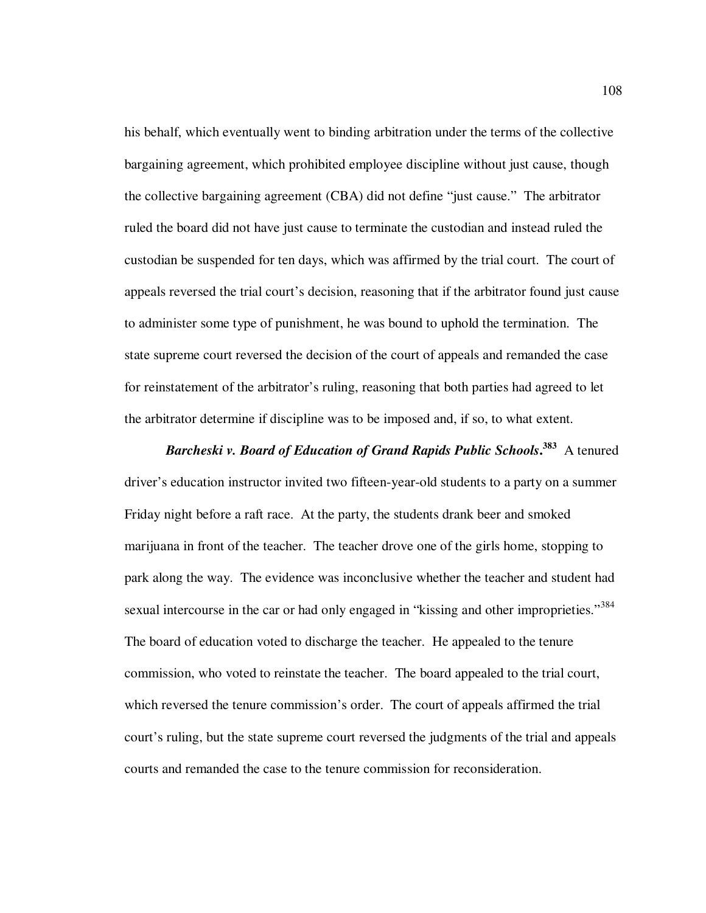his behalf, which eventually went to binding arbitration under the terms of the collective bargaining agreement, which prohibited employee discipline without just cause, though the collective bargaining agreement (CBA) did not define "just cause." The arbitrator ruled the board did not have just cause to terminate the custodian and instead ruled the custodian be suspended for ten days, which was affirmed by the trial court. The court of appeals reversed the trial court's decision, reasoning that if the arbitrator found just cause to administer some type of punishment, he was bound to uphold the termination. The state supreme court reversed the decision of the court of appeals and remanded the case for reinstatement of the arbitrator's ruling, reasoning that both parties had agreed to let the arbitrator determine if discipline was to be imposed and, if so, to what extent.

*Barcheski v. Board of Education of Grand Rapids Public Schools***. <sup>383</sup>** A tenured driver's education instructor invited two fifteen-year-old students to a party on a summer Friday night before a raft race. At the party, the students drank beer and smoked marijuana in front of the teacher. The teacher drove one of the girls home, stopping to park along the way. The evidence was inconclusive whether the teacher and student had sexual intercourse in the car or had only engaged in "kissing and other improprieties."<sup>384</sup> The board of education voted to discharge the teacher. He appealed to the tenure commission, who voted to reinstate the teacher. The board appealed to the trial court, which reversed the tenure commission's order. The court of appeals affirmed the trial court's ruling, but the state supreme court reversed the judgments of the trial and appeals courts and remanded the case to the tenure commission for reconsideration.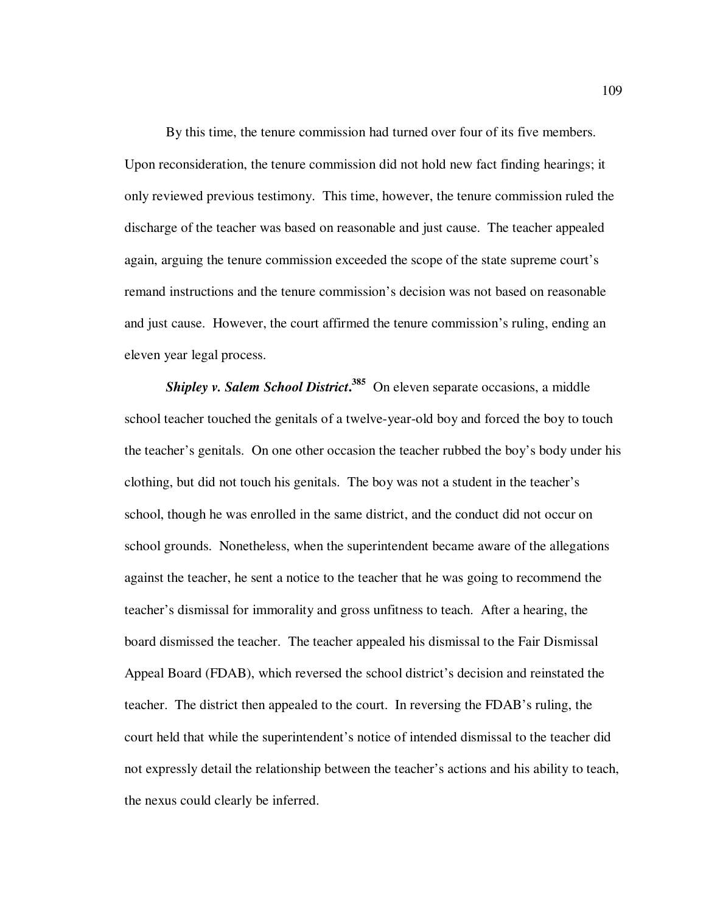By this time, the tenure commission had turned over four of its five members. Upon reconsideration, the tenure commission did not hold new fact finding hearings; it only reviewed previous testimony. This time, however, the tenure commission ruled the discharge of the teacher was based on reasonable and just cause. The teacher appealed again, arguing the tenure commission exceeded the scope of the state supreme court's remand instructions and the tenure commission's decision was not based on reasonable and just cause. However, the court affirmed the tenure commission's ruling, ending an eleven year legal process.

*Shipley v. Salem School District***. <sup>385</sup>** On eleven separate occasions, a middle school teacher touched the genitals of a twelve-year-old boy and forced the boy to touch the teacher's genitals. On one other occasion the teacher rubbed the boy's body under his clothing, but did not touch his genitals. The boy was not a student in the teacher's school, though he was enrolled in the same district, and the conduct did not occur on school grounds. Nonetheless, when the superintendent became aware of the allegations against the teacher, he sent a notice to the teacher that he was going to recommend the teacher's dismissal for immorality and gross unfitness to teach. After a hearing, the board dismissed the teacher. The teacher appealed his dismissal to the Fair Dismissal Appeal Board (FDAB), which reversed the school district's decision and reinstated the teacher. The district then appealed to the court. In reversing the FDAB's ruling, the court held that while the superintendent's notice of intended dismissal to the teacher did not expressly detail the relationship between the teacher's actions and his ability to teach, the nexus could clearly be inferred.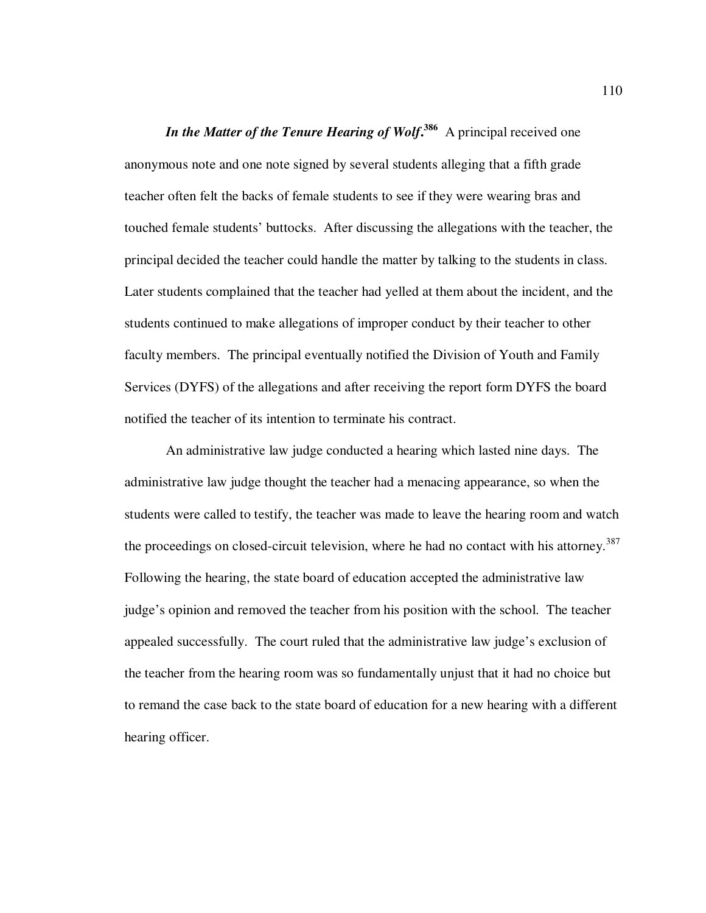**In the Matter of the Tenure Hearing of Wolf.<sup>386</sup> A principal received one** anonymous note and one note signed by several students alleging that a fifth grade teacher often felt the backs of female students to see if they were wearing bras and touched female students' buttocks. After discussing the allegations with the teacher, the principal decided the teacher could handle the matter by talking to the students in class. Later students complained that the teacher had yelled at them about the incident, and the students continued to make allegations of improper conduct by their teacher to other faculty members. The principal eventually notified the Division of Youth and Family Services (DYFS) of the allegations and after receiving the report form DYFS the board notified the teacher of its intention to terminate his contract.

An administrative law judge conducted a hearing which lasted nine days. The administrative law judge thought the teacher had a menacing appearance, so when the students were called to testify, the teacher was made to leave the hearing room and watch the proceedings on closed-circuit television, where he had no contact with his attorney.<sup>387</sup> Following the hearing, the state board of education accepted the administrative law judge's opinion and removed the teacher from his position with the school. The teacher appealed successfully. The court ruled that the administrative law judge's exclusion of the teacher from the hearing room was so fundamentally unjust that it had no choice but to remand the case back to the state board of education for a new hearing with a different hearing officer.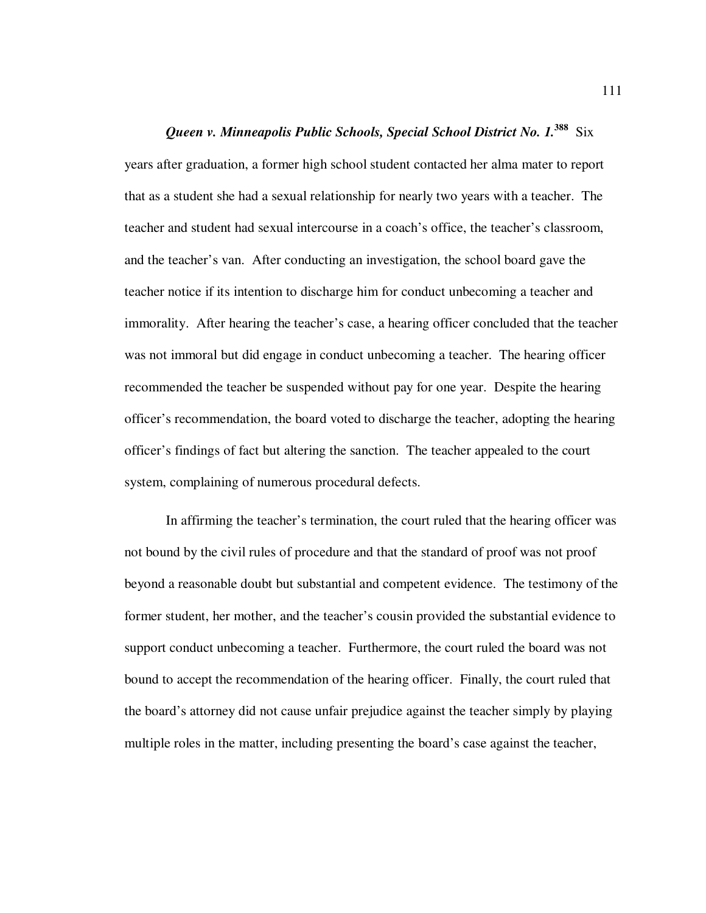*Queen v. Minneapolis Public Schools, Special School District No. 1.***<sup>388</sup>** Six years after graduation, a former high school student contacted her alma mater to report that as a student she had a sexual relationship for nearly two years with a teacher. The teacher and student had sexual intercourse in a coach's office, the teacher's classroom, and the teacher's van. After conducting an investigation, the school board gave the teacher notice if its intention to discharge him for conduct unbecoming a teacher and immorality. After hearing the teacher's case, a hearing officer concluded that the teacher was not immoral but did engage in conduct unbecoming a teacher. The hearing officer recommended the teacher be suspended without pay for one year. Despite the hearing officer's recommendation, the board voted to discharge the teacher, adopting the hearing officer's findings of fact but altering the sanction. The teacher appealed to the court system, complaining of numerous procedural defects.

In affirming the teacher's termination, the court ruled that the hearing officer was not bound by the civil rules of procedure and that the standard of proof was not proof beyond a reasonable doubt but substantial and competent evidence. The testimony of the former student, her mother, and the teacher's cousin provided the substantial evidence to support conduct unbecoming a teacher. Furthermore, the court ruled the board was not bound to accept the recommendation of the hearing officer. Finally, the court ruled that the board's attorney did not cause unfair prejudice against the teacher simply by playing multiple roles in the matter, including presenting the board's case against the teacher,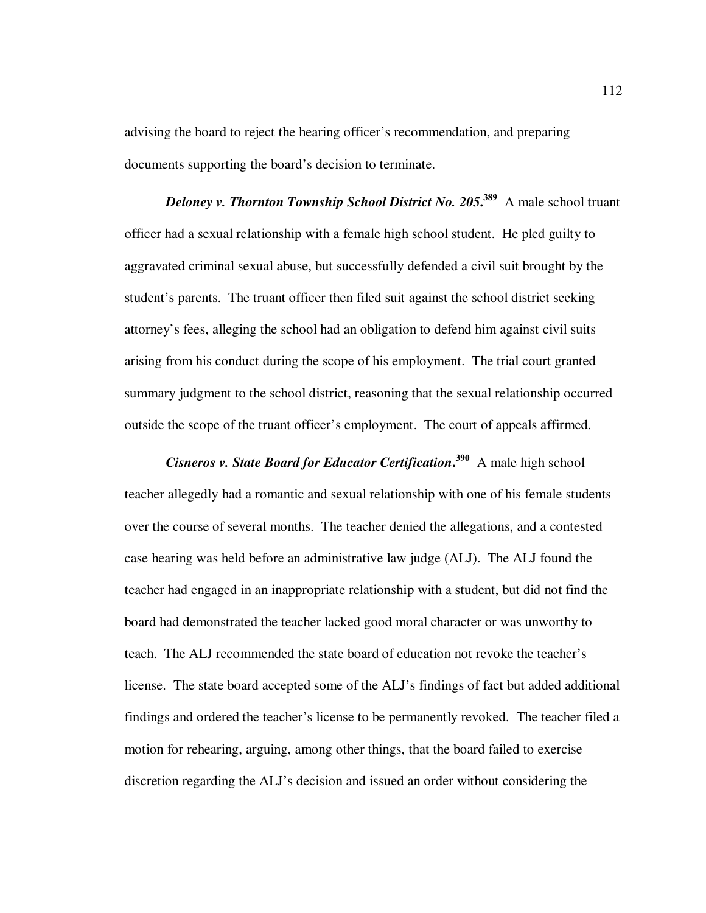advising the board to reject the hearing officer's recommendation, and preparing documents supporting the board's decision to terminate.

*Deloney v. Thornton Township School District No. 205***. <sup>389</sup>** A male school truant officer had a sexual relationship with a female high school student. He pled guilty to aggravated criminal sexual abuse, but successfully defended a civil suit brought by the student's parents. The truant officer then filed suit against the school district seeking attorney's fees, alleging the school had an obligation to defend him against civil suits arising from his conduct during the scope of his employment. The trial court granted summary judgment to the school district, reasoning that the sexual relationship occurred outside the scope of the truant officer's employment. The court of appeals affirmed.

*Cisneros v. State Board for Educator Certification***. <sup>390</sup>** A male high school teacher allegedly had a romantic and sexual relationship with one of his female students over the course of several months. The teacher denied the allegations, and a contested case hearing was held before an administrative law judge (ALJ). The ALJ found the teacher had engaged in an inappropriate relationship with a student, but did not find the board had demonstrated the teacher lacked good moral character or was unworthy to teach. The ALJ recommended the state board of education not revoke the teacher's license. The state board accepted some of the ALJ's findings of fact but added additional findings and ordered the teacher's license to be permanently revoked. The teacher filed a motion for rehearing, arguing, among other things, that the board failed to exercise discretion regarding the ALJ's decision and issued an order without considering the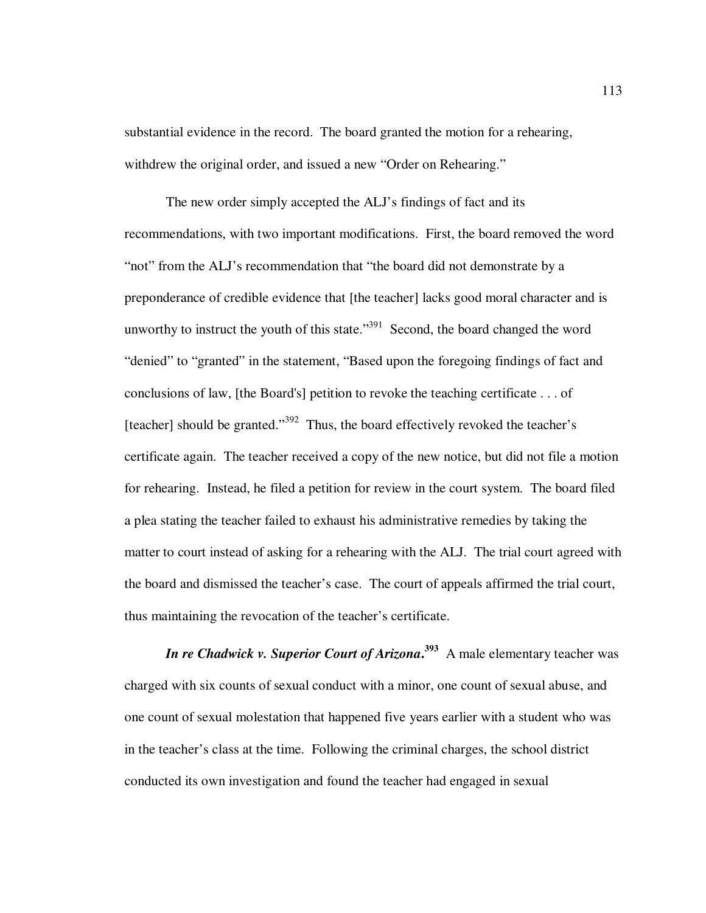substantial evidence in the record. The board granted the motion for a rehearing, withdrew the original order, and issued a new "Order on Rehearing."

The new order simply accepted the ALJ's findings of fact and its recommendations, with two important modifications. First, the board removed the word "not" from the ALJ's recommendation that "the board did not demonstrate by a preponderance of credible evidence that [the teacher] lacks good moral character and is unworthy to instruct the youth of this state." $391$  Second, the board changed the word "denied" to "granted" in the statement, "Based upon the foregoing findings of fact and conclusions of law, [the Board's] petition to revoke the teaching certificate . . . of [teacher] should be granted."<sup>392</sup> Thus, the board effectively revoked the teacher's certificate again. The teacher received a copy of the new notice, but did not file a motion for rehearing. Instead, he filed a petition for review in the court system. The board filed a plea stating the teacher failed to exhaust his administrative remedies by taking the matter to court instead of asking for a rehearing with the ALJ. The trial court agreed with the board and dismissed the teacher's case. The court of appeals affirmed the trial court, thus maintaining the revocation of the teacher's certificate.

*In re Chadwick v. Superior Court of Arizona***. <sup>393</sup>** A male elementary teacher was charged with six counts of sexual conduct with a minor, one count of sexual abuse, and one count of sexual molestation that happened five years earlier with a student who was in the teacher's class at the time. Following the criminal charges, the school district conducted its own investigation and found the teacher had engaged in sexual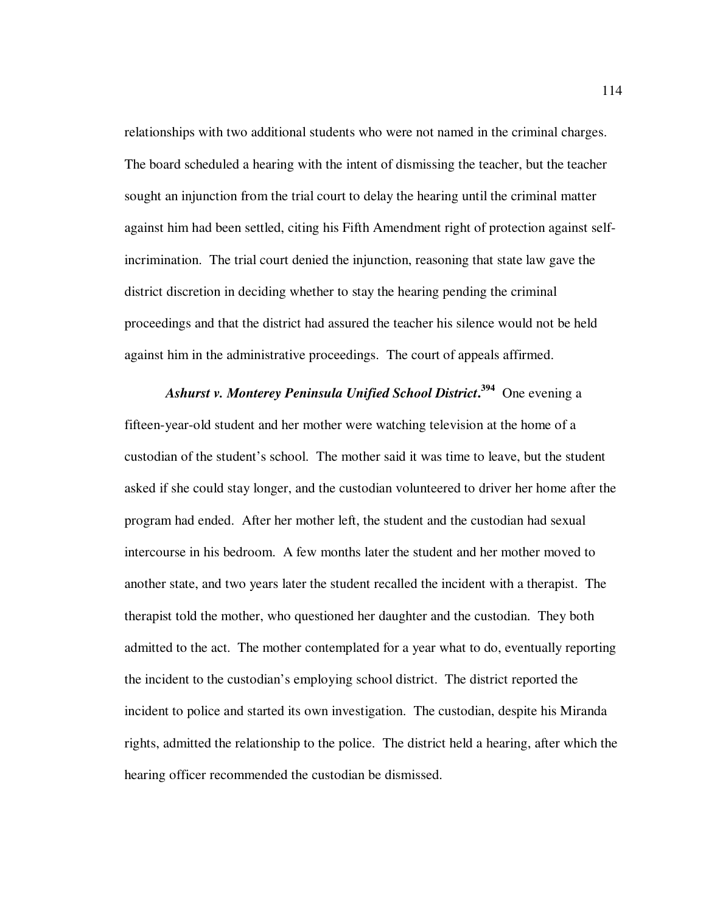relationships with two additional students who were not named in the criminal charges. The board scheduled a hearing with the intent of dismissing the teacher, but the teacher sought an injunction from the trial court to delay the hearing until the criminal matter against him had been settled, citing his Fifth Amendment right of protection against selfincrimination. The trial court denied the injunction, reasoning that state law gave the district discretion in deciding whether to stay the hearing pending the criminal proceedings and that the district had assured the teacher his silence would not be held against him in the administrative proceedings. The court of appeals affirmed.

*Ashurst v. Monterey Peninsula Unified School District***. <sup>394</sup>** One evening a fifteen-year-old student and her mother were watching television at the home of a custodian of the student's school. The mother said it was time to leave, but the student asked if she could stay longer, and the custodian volunteered to driver her home after the program had ended. After her mother left, the student and the custodian had sexual intercourse in his bedroom. A few months later the student and her mother moved to another state, and two years later the student recalled the incident with a therapist. The therapist told the mother, who questioned her daughter and the custodian. They both admitted to the act. The mother contemplated for a year what to do, eventually reporting the incident to the custodian's employing school district. The district reported the incident to police and started its own investigation. The custodian, despite his Miranda rights, admitted the relationship to the police. The district held a hearing, after which the hearing officer recommended the custodian be dismissed.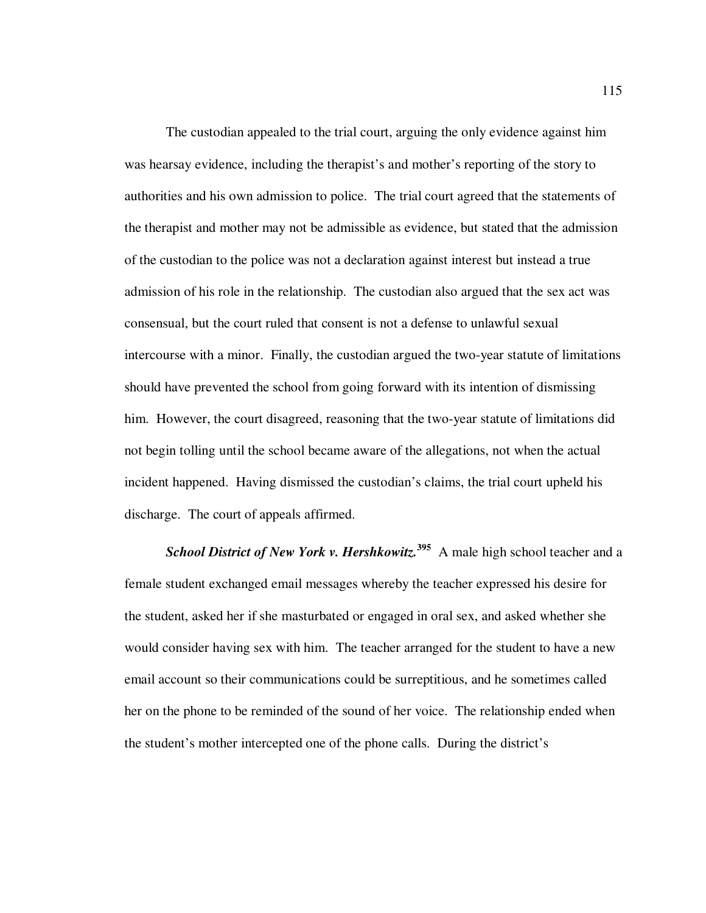The custodian appealed to the trial court, arguing the only evidence against him was hearsay evidence, including the therapist's and mother's reporting of the story to authorities and his own admission to police. The trial court agreed that the statements of the therapist and mother may not be admissible as evidence, but stated that the admission of the custodian to the police was not a declaration against interest but instead a true admission of his role in the relationship. The custodian also argued that the sex act was consensual, but the court ruled that consent is not a defense to unlawful sexual intercourse with a minor. Finally, the custodian argued the two-year statute of limitations should have prevented the school from going forward with its intention of dismissing him. However, the court disagreed, reasoning that the two-year statute of limitations did not begin tolling until the school became aware of the allegations, not when the actual incident happened. Having dismissed the custodian's claims, the trial court upheld his discharge. The court of appeals affirmed.

*School District of New York v. Hershkowitz.***<sup>395</sup>** A male high school teacher and a female student exchanged email messages whereby the teacher expressed his desire for the student, asked her if she masturbated or engaged in oral sex, and asked whether she would consider having sex with him. The teacher arranged for the student to have a new email account so their communications could be surreptitious, and he sometimes called her on the phone to be reminded of the sound of her voice. The relationship ended when the student's mother intercepted one of the phone calls. During the district's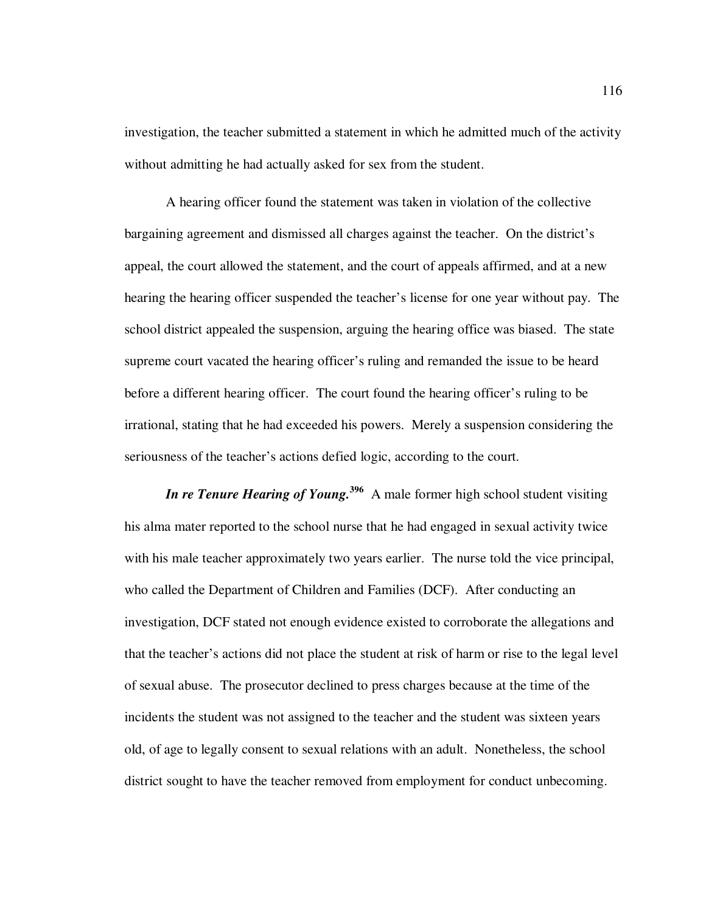investigation, the teacher submitted a statement in which he admitted much of the activity without admitting he had actually asked for sex from the student.

A hearing officer found the statement was taken in violation of the collective bargaining agreement and dismissed all charges against the teacher. On the district's appeal, the court allowed the statement, and the court of appeals affirmed, and at a new hearing the hearing officer suspended the teacher's license for one year without pay. The school district appealed the suspension, arguing the hearing office was biased. The state supreme court vacated the hearing officer's ruling and remanded the issue to be heard before a different hearing officer. The court found the hearing officer's ruling to be irrational, stating that he had exceeded his powers. Merely a suspension considering the seriousness of the teacher's actions defied logic, according to the court.

*In re Tenure Hearing of Young.*<sup>396</sup> A male former high school student visiting his alma mater reported to the school nurse that he had engaged in sexual activity twice with his male teacher approximately two years earlier. The nurse told the vice principal, who called the Department of Children and Families (DCF). After conducting an investigation, DCF stated not enough evidence existed to corroborate the allegations and that the teacher's actions did not place the student at risk of harm or rise to the legal level of sexual abuse. The prosecutor declined to press charges because at the time of the incidents the student was not assigned to the teacher and the student was sixteen years old, of age to legally consent to sexual relations with an adult. Nonetheless, the school district sought to have the teacher removed from employment for conduct unbecoming.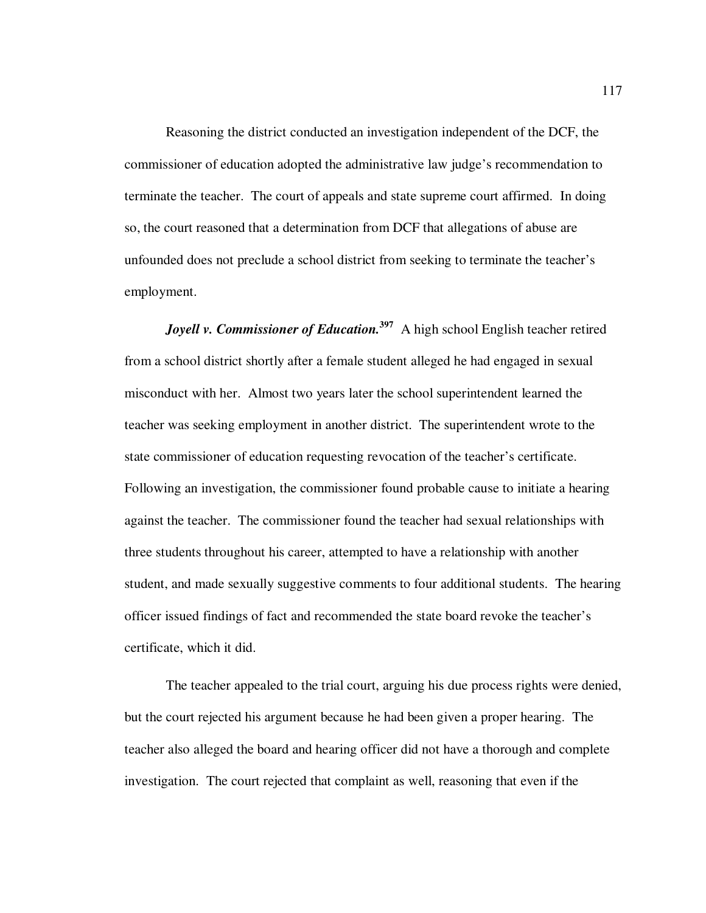Reasoning the district conducted an investigation independent of the DCF, the commissioner of education adopted the administrative law judge's recommendation to terminate the teacher. The court of appeals and state supreme court affirmed. In doing so, the court reasoned that a determination from DCF that allegations of abuse are unfounded does not preclude a school district from seeking to terminate the teacher's employment.

*Joyell v. Commissioner of Education.*<sup>397</sup> A high school English teacher retired from a school district shortly after a female student alleged he had engaged in sexual misconduct with her. Almost two years later the school superintendent learned the teacher was seeking employment in another district. The superintendent wrote to the state commissioner of education requesting revocation of the teacher's certificate. Following an investigation, the commissioner found probable cause to initiate a hearing against the teacher. The commissioner found the teacher had sexual relationships with three students throughout his career, attempted to have a relationship with another student, and made sexually suggestive comments to four additional students. The hearing officer issued findings of fact and recommended the state board revoke the teacher's certificate, which it did.

The teacher appealed to the trial court, arguing his due process rights were denied, but the court rejected his argument because he had been given a proper hearing. The teacher also alleged the board and hearing officer did not have a thorough and complete investigation. The court rejected that complaint as well, reasoning that even if the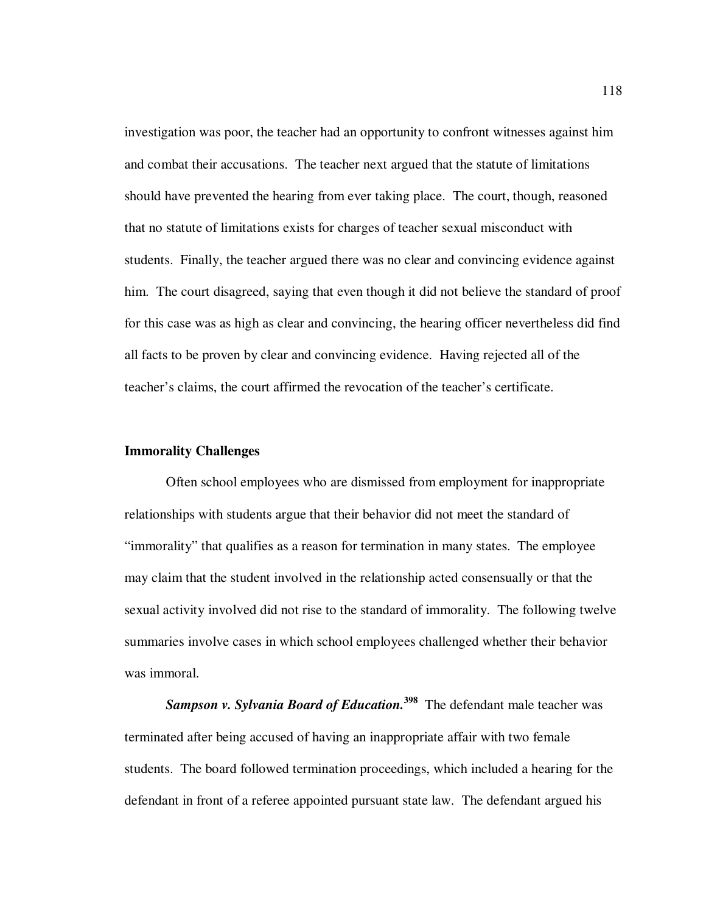investigation was poor, the teacher had an opportunity to confront witnesses against him and combat their accusations. The teacher next argued that the statute of limitations should have prevented the hearing from ever taking place. The court, though, reasoned that no statute of limitations exists for charges of teacher sexual misconduct with students. Finally, the teacher argued there was no clear and convincing evidence against him. The court disagreed, saying that even though it did not believe the standard of proof for this case was as high as clear and convincing, the hearing officer nevertheless did find all facts to be proven by clear and convincing evidence. Having rejected all of the teacher's claims, the court affirmed the revocation of the teacher's certificate.

## **Immorality Challenges**

Often school employees who are dismissed from employment for inappropriate relationships with students argue that their behavior did not meet the standard of "immorality" that qualifies as a reason for termination in many states. The employee may claim that the student involved in the relationship acted consensually or that the sexual activity involved did not rise to the standard of immorality. The following twelve summaries involve cases in which school employees challenged whether their behavior was immoral.

*Sampson v. Sylvania Board of Education.***<sup>398</sup>** The defendant male teacher was terminated after being accused of having an inappropriate affair with two female students. The board followed termination proceedings, which included a hearing for the defendant in front of a referee appointed pursuant state law. The defendant argued his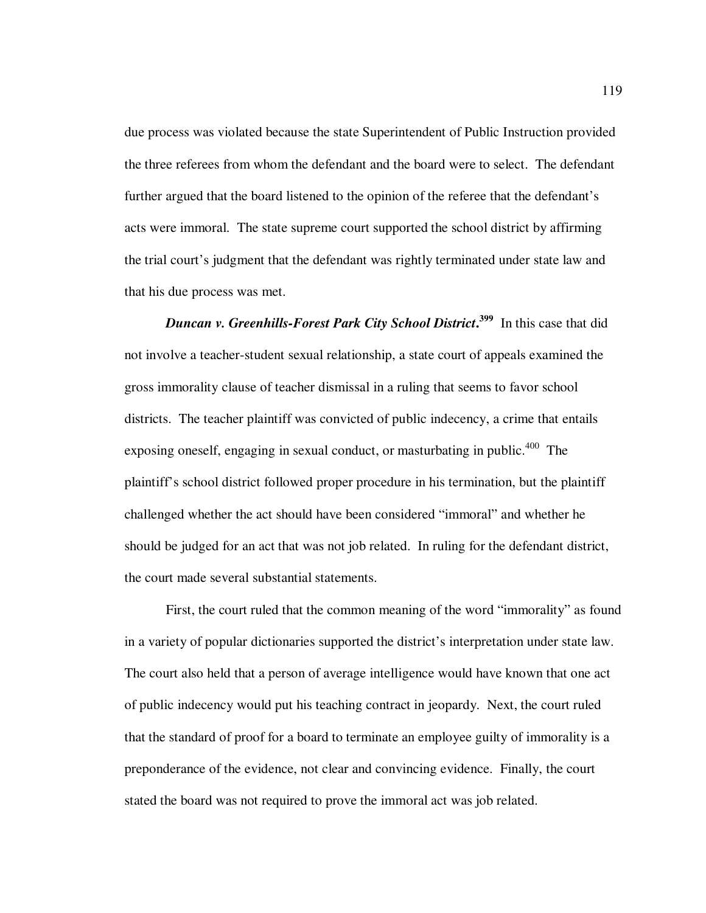due process was violated because the state Superintendent of Public Instruction provided the three referees from whom the defendant and the board were to select. The defendant further argued that the board listened to the opinion of the referee that the defendant's acts were immoral. The state supreme court supported the school district by affirming the trial court's judgment that the defendant was rightly terminated under state law and that his due process was met.

*Duncan v. Greenhills-Forest Park City School District***. <sup>399</sup>** In this case that did not involve a teacher-student sexual relationship, a state court of appeals examined the gross immorality clause of teacher dismissal in a ruling that seems to favor school districts. The teacher plaintiff was convicted of public indecency, a crime that entails exposing oneself, engaging in sexual conduct, or masturbating in public.<sup>400</sup> The plaintiff's school district followed proper procedure in his termination, but the plaintiff challenged whether the act should have been considered "immoral" and whether he should be judged for an act that was not job related. In ruling for the defendant district, the court made several substantial statements.

First, the court ruled that the common meaning of the word "immorality" as found in a variety of popular dictionaries supported the district's interpretation under state law. The court also held that a person of average intelligence would have known that one act of public indecency would put his teaching contract in jeopardy. Next, the court ruled that the standard of proof for a board to terminate an employee guilty of immorality is a preponderance of the evidence, not clear and convincing evidence. Finally, the court stated the board was not required to prove the immoral act was job related.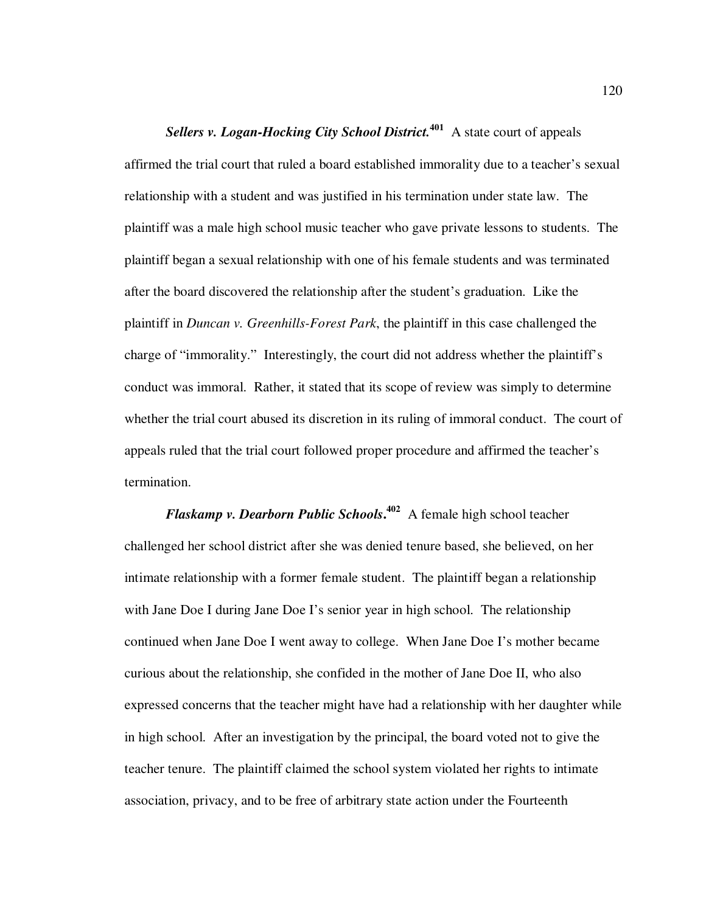*Sellers v. Logan-Hocking City School District.***<sup>401</sup>** A state court of appeals affirmed the trial court that ruled a board established immorality due to a teacher's sexual relationship with a student and was justified in his termination under state law. The plaintiff was a male high school music teacher who gave private lessons to students. The plaintiff began a sexual relationship with one of his female students and was terminated after the board discovered the relationship after the student's graduation. Like the plaintiff in *Duncan v. Greenhills-Forest Park*, the plaintiff in this case challenged the charge of "immorality." Interestingly, the court did not address whether the plaintiff's conduct was immoral. Rather, it stated that its scope of review was simply to determine whether the trial court abused its discretion in its ruling of immoral conduct. The court of appeals ruled that the trial court followed proper procedure and affirmed the teacher's termination.

*Flaskamp v. Dearborn Public Schools***. 402** A female high school teacher challenged her school district after she was denied tenure based, she believed, on her intimate relationship with a former female student. The plaintiff began a relationship with Jane Doe I during Jane Doe I's senior year in high school. The relationship continued when Jane Doe I went away to college. When Jane Doe I's mother became curious about the relationship, she confided in the mother of Jane Doe II, who also expressed concerns that the teacher might have had a relationship with her daughter while in high school. After an investigation by the principal, the board voted not to give the teacher tenure. The plaintiff claimed the school system violated her rights to intimate association, privacy, and to be free of arbitrary state action under the Fourteenth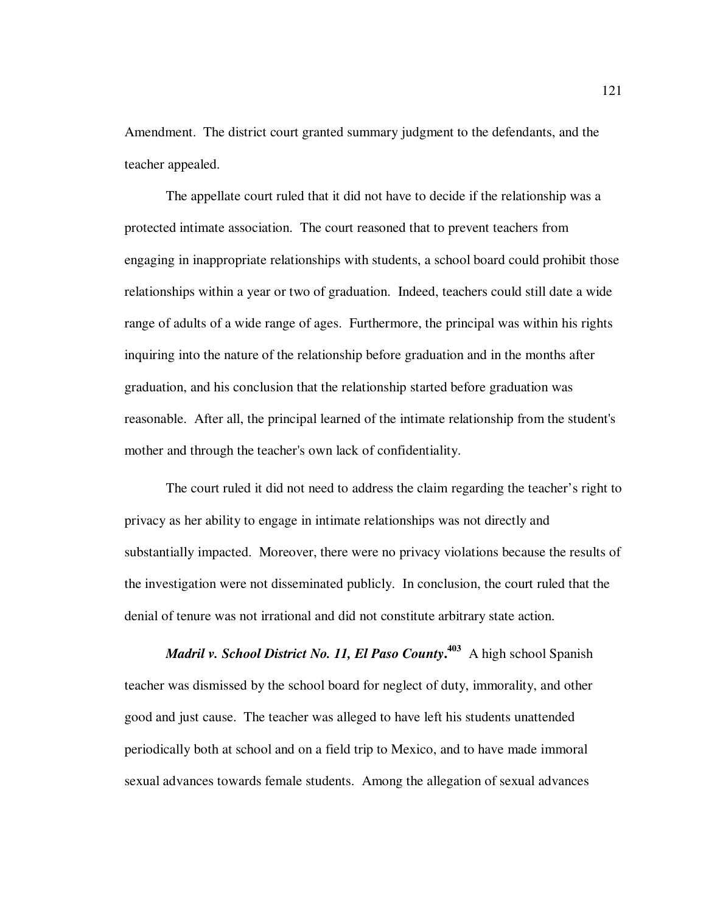Amendment. The district court granted summary judgment to the defendants, and the teacher appealed.

The appellate court ruled that it did not have to decide if the relationship was a protected intimate association. The court reasoned that to prevent teachers from engaging in inappropriate relationships with students, a school board could prohibit those relationships within a year or two of graduation. Indeed, teachers could still date a wide range of adults of a wide range of ages. Furthermore, the principal was within his rights inquiring into the nature of the relationship before graduation and in the months after graduation, and his conclusion that the relationship started before graduation was reasonable. After all, the principal learned of the intimate relationship from the student's mother and through the teacher's own lack of confidentiality.

The court ruled it did not need to address the claim regarding the teacher's right to privacy as her ability to engage in intimate relationships was not directly and substantially impacted. Moreover, there were no privacy violations because the results of the investigation were not disseminated publicly. In conclusion, the court ruled that the denial of tenure was not irrational and did not constitute arbitrary state action.

*Madril v. School District No. 11, El Paso County***. <sup>403</sup>** A high school Spanish teacher was dismissed by the school board for neglect of duty, immorality, and other good and just cause. The teacher was alleged to have left his students unattended periodically both at school and on a field trip to Mexico, and to have made immoral sexual advances towards female students. Among the allegation of sexual advances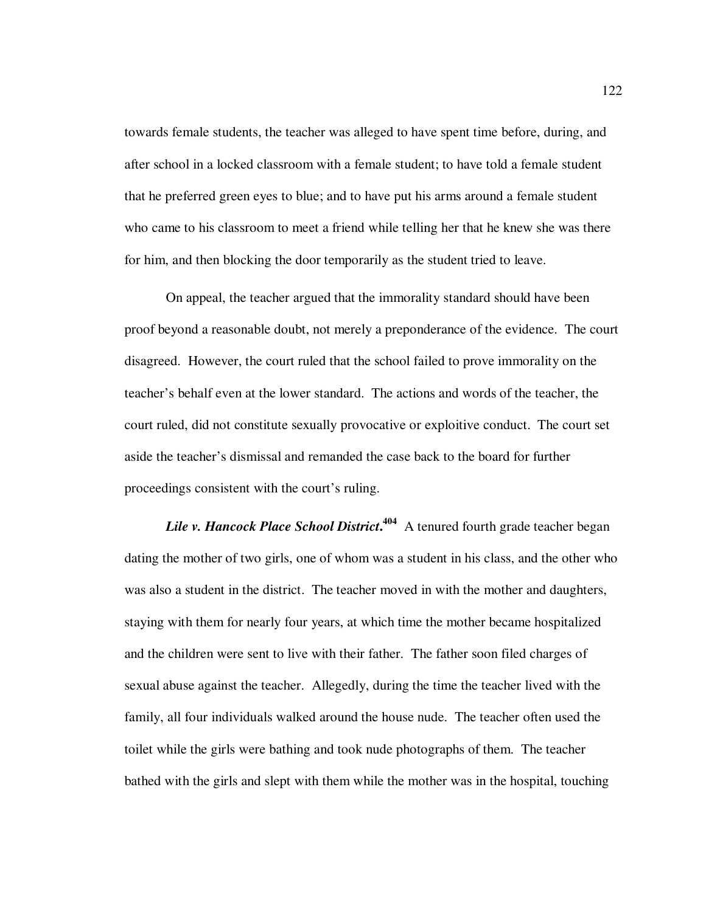towards female students, the teacher was alleged to have spent time before, during, and after school in a locked classroom with a female student; to have told a female student that he preferred green eyes to blue; and to have put his arms around a female student who came to his classroom to meet a friend while telling her that he knew she was there for him, and then blocking the door temporarily as the student tried to leave.

On appeal, the teacher argued that the immorality standard should have been proof beyond a reasonable doubt, not merely a preponderance of the evidence. The court disagreed. However, the court ruled that the school failed to prove immorality on the teacher's behalf even at the lower standard. The actions and words of the teacher, the court ruled, did not constitute sexually provocative or exploitive conduct. The court set aside the teacher's dismissal and remanded the case back to the board for further proceedings consistent with the court's ruling.

*Lile v. Hancock Place School District***. 404** A tenured fourth grade teacher began dating the mother of two girls, one of whom was a student in his class, and the other who was also a student in the district. The teacher moved in with the mother and daughters, staying with them for nearly four years, at which time the mother became hospitalized and the children were sent to live with their father. The father soon filed charges of sexual abuse against the teacher. Allegedly, during the time the teacher lived with the family, all four individuals walked around the house nude. The teacher often used the toilet while the girls were bathing and took nude photographs of them. The teacher bathed with the girls and slept with them while the mother was in the hospital, touching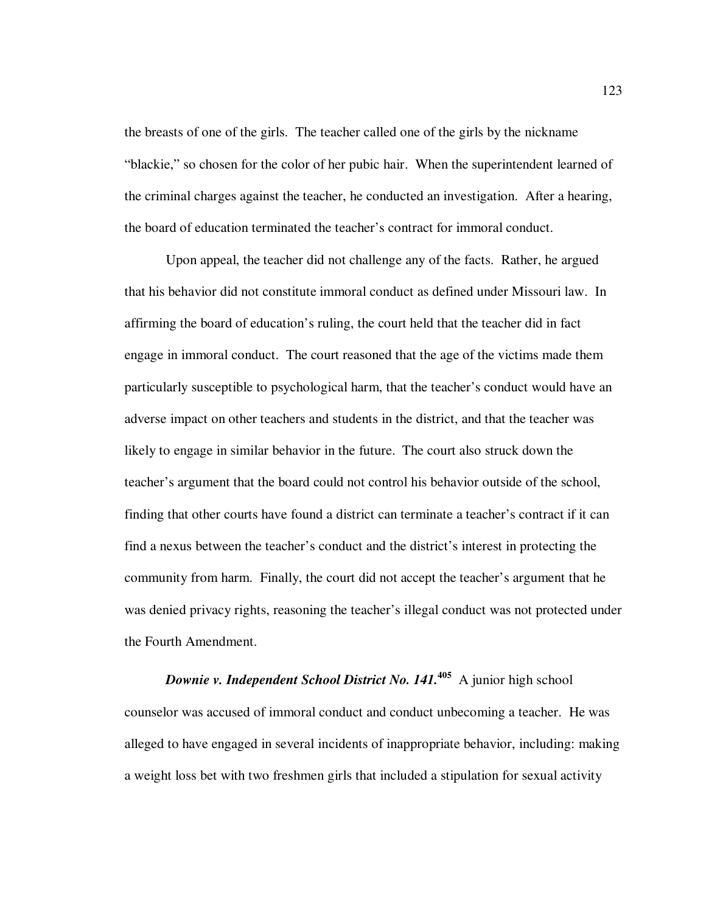the breasts of one of the girls. The teacher called one of the girls by the nickname "blackie," so chosen for the color of her pubic hair. When the superintendent learned of the criminal charges against the teacher, he conducted an investigation. After a hearing, the board of education terminated the teacher's contract for immoral conduct.

Upon appeal, the teacher did not challenge any of the facts. Rather, he argued that his behavior did not constitute immoral conduct as defined under Missouri law. In affirming the board of education's ruling, the court held that the teacher did in fact engage in immoral conduct. The court reasoned that the age of the victims made them particularly susceptible to psychological harm, that the teacher's conduct would have an adverse impact on other teachers and students in the district, and that the teacher was likely to engage in similar behavior in the future. The court also struck down the teacher's argument that the board could not control his behavior outside of the school, finding that other courts have found a district can terminate a teacher's contract if it can find a nexus between the teacher's conduct and the district's interest in protecting the community from harm. Finally, the court did not accept the teacher's argument that he was denied privacy rights, reasoning the teacher's illegal conduct was not protected under the Fourth Amendment.

*Downie v. Independent School District No. 141.***<sup>405</sup>** A junior high school counselor was accused of immoral conduct and conduct unbecoming a teacher. He was alleged to have engaged in several incidents of inappropriate behavior, including: making a weight loss bet with two freshmen girls that included a stipulation for sexual activity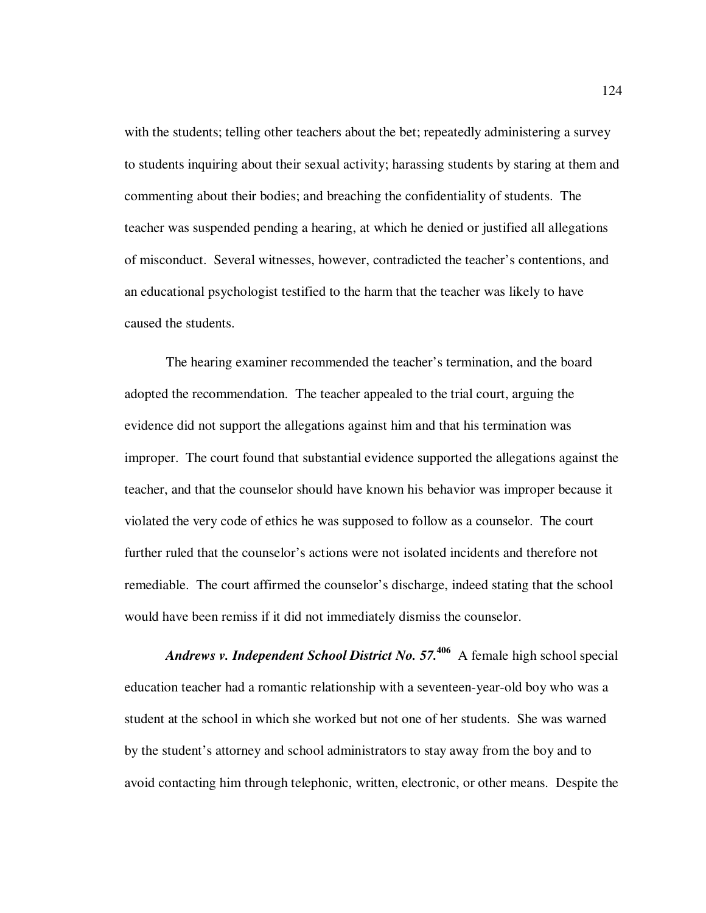with the students; telling other teachers about the bet; repeatedly administering a survey to students inquiring about their sexual activity; harassing students by staring at them and commenting about their bodies; and breaching the confidentiality of students. The teacher was suspended pending a hearing, at which he denied or justified all allegations of misconduct. Several witnesses, however, contradicted the teacher's contentions, and an educational psychologist testified to the harm that the teacher was likely to have caused the students.

The hearing examiner recommended the teacher's termination, and the board adopted the recommendation. The teacher appealed to the trial court, arguing the evidence did not support the allegations against him and that his termination was improper. The court found that substantial evidence supported the allegations against the teacher, and that the counselor should have known his behavior was improper because it violated the very code of ethics he was supposed to follow as a counselor. The court further ruled that the counselor's actions were not isolated incidents and therefore not remediable. The court affirmed the counselor's discharge, indeed stating that the school would have been remiss if it did not immediately dismiss the counselor.

*Andrews v. Independent School District No. 57.***<sup>406</sup>** A female high school special education teacher had a romantic relationship with a seventeen-year-old boy who was a student at the school in which she worked but not one of her students. She was warned by the student's attorney and school administrators to stay away from the boy and to avoid contacting him through telephonic, written, electronic, or other means. Despite the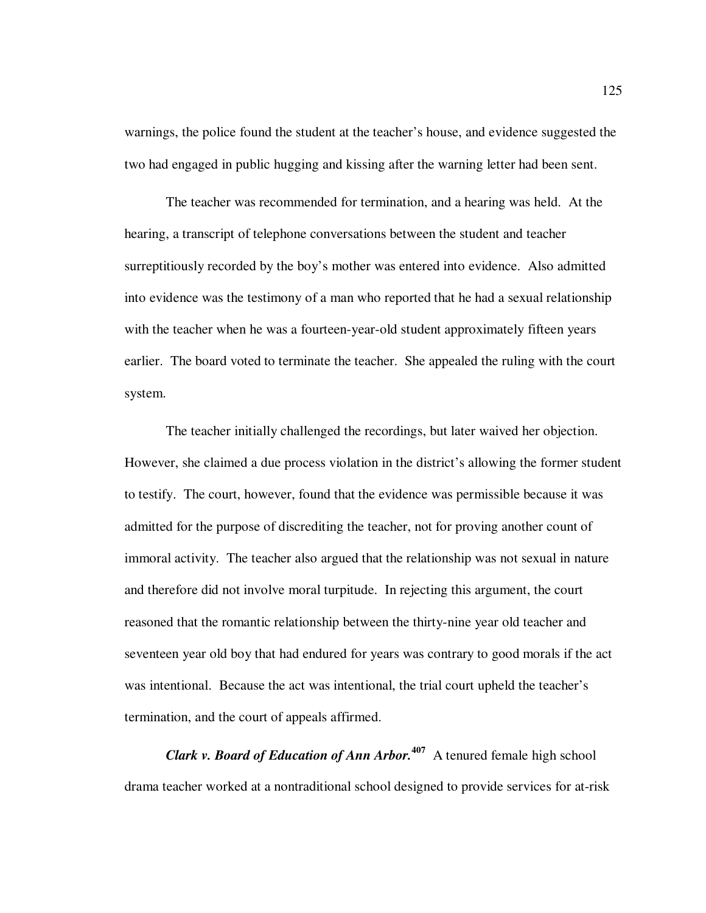warnings, the police found the student at the teacher's house, and evidence suggested the two had engaged in public hugging and kissing after the warning letter had been sent.

The teacher was recommended for termination, and a hearing was held. At the hearing, a transcript of telephone conversations between the student and teacher surreptitiously recorded by the boy's mother was entered into evidence. Also admitted into evidence was the testimony of a man who reported that he had a sexual relationship with the teacher when he was a fourteen-year-old student approximately fifteen years earlier. The board voted to terminate the teacher. She appealed the ruling with the court system.

The teacher initially challenged the recordings, but later waived her objection. However, she claimed a due process violation in the district's allowing the former student to testify. The court, however, found that the evidence was permissible because it was admitted for the purpose of discrediting the teacher, not for proving another count of immoral activity. The teacher also argued that the relationship was not sexual in nature and therefore did not involve moral turpitude. In rejecting this argument, the court reasoned that the romantic relationship between the thirty-nine year old teacher and seventeen year old boy that had endured for years was contrary to good morals if the act was intentional. Because the act was intentional, the trial court upheld the teacher's termination, and the court of appeals affirmed.

*Clark v. Board of Education of Ann Arbor.***<sup>407</sup>** A tenured female high school drama teacher worked at a nontraditional school designed to provide services for at-risk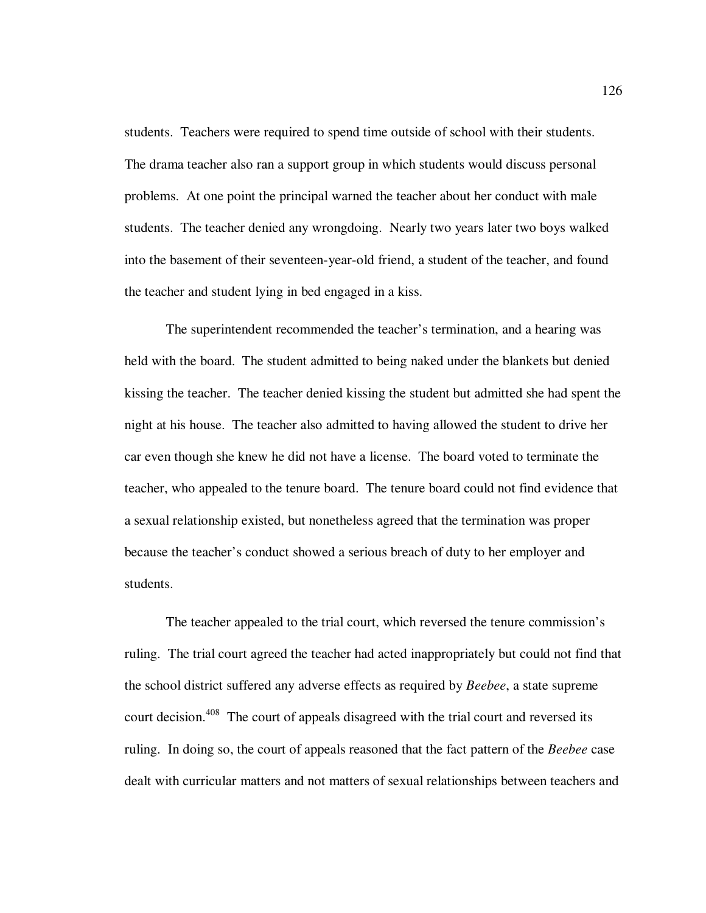students. Teachers were required to spend time outside of school with their students. The drama teacher also ran a support group in which students would discuss personal problems. At one point the principal warned the teacher about her conduct with male students. The teacher denied any wrongdoing. Nearly two years later two boys walked into the basement of their seventeen-year-old friend, a student of the teacher, and found the teacher and student lying in bed engaged in a kiss.

The superintendent recommended the teacher's termination, and a hearing was held with the board. The student admitted to being naked under the blankets but denied kissing the teacher. The teacher denied kissing the student but admitted she had spent the night at his house. The teacher also admitted to having allowed the student to drive her car even though she knew he did not have a license. The board voted to terminate the teacher, who appealed to the tenure board. The tenure board could not find evidence that a sexual relationship existed, but nonetheless agreed that the termination was proper because the teacher's conduct showed a serious breach of duty to her employer and students.

The teacher appealed to the trial court, which reversed the tenure commission's ruling. The trial court agreed the teacher had acted inappropriately but could not find that the school district suffered any adverse effects as required by *Beebee*, a state supreme court decision.<sup>408</sup> The court of appeals disagreed with the trial court and reversed its ruling. In doing so, the court of appeals reasoned that the fact pattern of the *Beebee* case dealt with curricular matters and not matters of sexual relationships between teachers and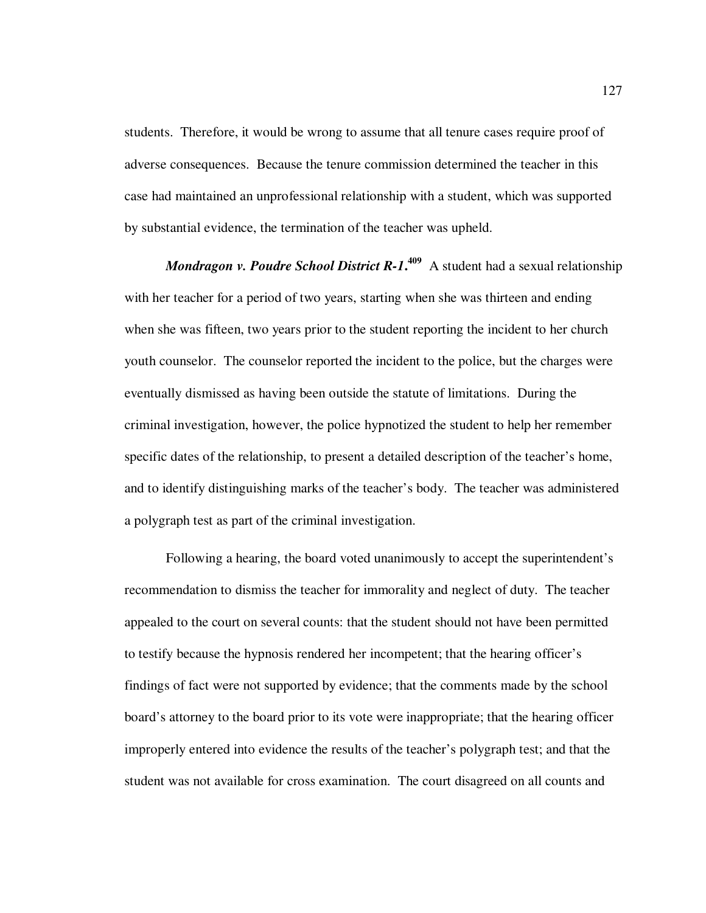students. Therefore, it would be wrong to assume that all tenure cases require proof of adverse consequences. Because the tenure commission determined the teacher in this case had maintained an unprofessional relationship with a student, which was supported by substantial evidence, the termination of the teacher was upheld.

*Mondragon v. Poudre School District R-1.*<sup>409</sup> A student had a sexual relationship with her teacher for a period of two years, starting when she was thirteen and ending when she was fifteen, two years prior to the student reporting the incident to her church youth counselor. The counselor reported the incident to the police, but the charges were eventually dismissed as having been outside the statute of limitations. During the criminal investigation, however, the police hypnotized the student to help her remember specific dates of the relationship, to present a detailed description of the teacher's home, and to identify distinguishing marks of the teacher's body. The teacher was administered a polygraph test as part of the criminal investigation.

Following a hearing, the board voted unanimously to accept the superintendent's recommendation to dismiss the teacher for immorality and neglect of duty. The teacher appealed to the court on several counts: that the student should not have been permitted to testify because the hypnosis rendered her incompetent; that the hearing officer's findings of fact were not supported by evidence; that the comments made by the school board's attorney to the board prior to its vote were inappropriate; that the hearing officer improperly entered into evidence the results of the teacher's polygraph test; and that the student was not available for cross examination. The court disagreed on all counts and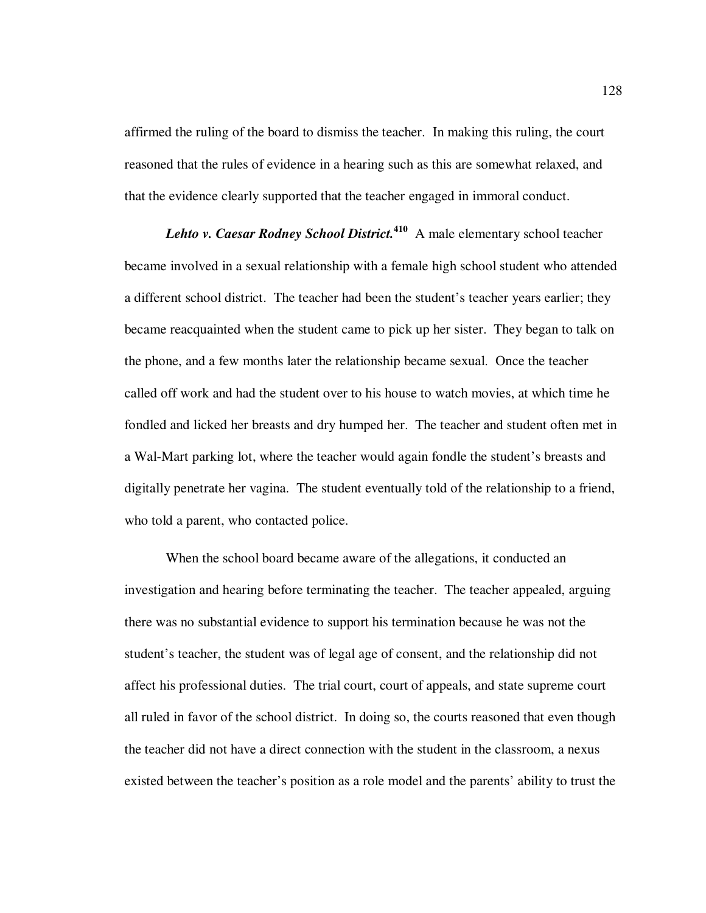affirmed the ruling of the board to dismiss the teacher. In making this ruling, the court reasoned that the rules of evidence in a hearing such as this are somewhat relaxed, and that the evidence clearly supported that the teacher engaged in immoral conduct.

*Lehto v. Caesar Rodney School District.***<sup>410</sup>** A male elementary school teacher became involved in a sexual relationship with a female high school student who attended a different school district. The teacher had been the student's teacher years earlier; they became reacquainted when the student came to pick up her sister. They began to talk on the phone, and a few months later the relationship became sexual. Once the teacher called off work and had the student over to his house to watch movies, at which time he fondled and licked her breasts and dry humped her. The teacher and student often met in a Wal-Mart parking lot, where the teacher would again fondle the student's breasts and digitally penetrate her vagina. The student eventually told of the relationship to a friend, who told a parent, who contacted police.

When the school board became aware of the allegations, it conducted an investigation and hearing before terminating the teacher. The teacher appealed, arguing there was no substantial evidence to support his termination because he was not the student's teacher, the student was of legal age of consent, and the relationship did not affect his professional duties. The trial court, court of appeals, and state supreme court all ruled in favor of the school district. In doing so, the courts reasoned that even though the teacher did not have a direct connection with the student in the classroom, a nexus existed between the teacher's position as a role model and the parents' ability to trust the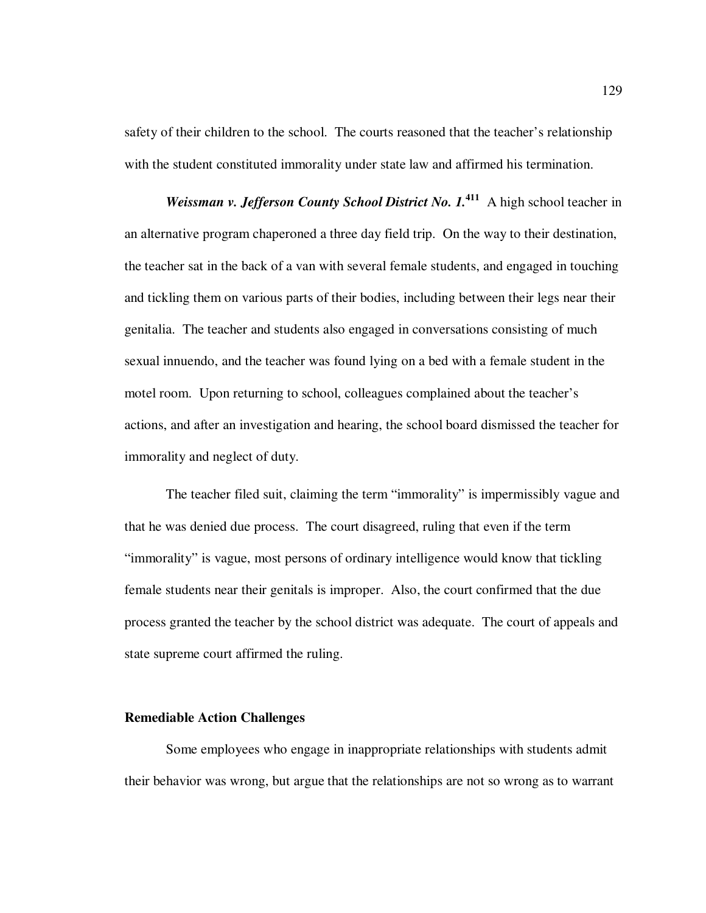safety of their children to the school. The courts reasoned that the teacher's relationship with the student constituted immorality under state law and affirmed his termination.

*Weissman v. Jefferson County School District No. 1.***<sup>411</sup>** A high school teacher in an alternative program chaperoned a three day field trip. On the way to their destination, the teacher sat in the back of a van with several female students, and engaged in touching and tickling them on various parts of their bodies, including between their legs near their genitalia. The teacher and students also engaged in conversations consisting of much sexual innuendo, and the teacher was found lying on a bed with a female student in the motel room. Upon returning to school, colleagues complained about the teacher's actions, and after an investigation and hearing, the school board dismissed the teacher for immorality and neglect of duty.

The teacher filed suit, claiming the term "immorality" is impermissibly vague and that he was denied due process. The court disagreed, ruling that even if the term "immorality" is vague, most persons of ordinary intelligence would know that tickling female students near their genitals is improper. Also, the court confirmed that the due process granted the teacher by the school district was adequate. The court of appeals and state supreme court affirmed the ruling.

## **Remediable Action Challenges**

Some employees who engage in inappropriate relationships with students admit their behavior was wrong, but argue that the relationships are not so wrong as to warrant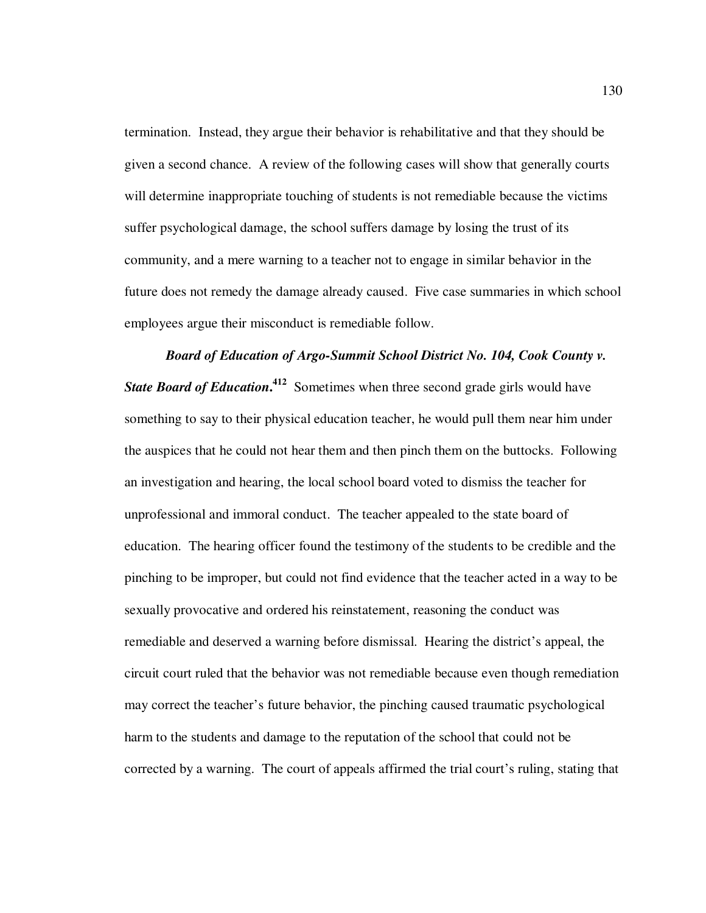termination. Instead, they argue their behavior is rehabilitative and that they should be given a second chance. A review of the following cases will show that generally courts will determine inappropriate touching of students is not remediable because the victims suffer psychological damage, the school suffers damage by losing the trust of its community, and a mere warning to a teacher not to engage in similar behavior in the future does not remedy the damage already caused. Five case summaries in which school employees argue their misconduct is remediable follow.

*Board of Education of Argo-Summit School District No. 104, Cook County v.*  **State Board of Education.<sup>412</sup>** Sometimes when three second grade girls would have something to say to their physical education teacher, he would pull them near him under the auspices that he could not hear them and then pinch them on the buttocks. Following an investigation and hearing, the local school board voted to dismiss the teacher for unprofessional and immoral conduct. The teacher appealed to the state board of education. The hearing officer found the testimony of the students to be credible and the pinching to be improper, but could not find evidence that the teacher acted in a way to be sexually provocative and ordered his reinstatement, reasoning the conduct was remediable and deserved a warning before dismissal. Hearing the district's appeal, the circuit court ruled that the behavior was not remediable because even though remediation may correct the teacher's future behavior, the pinching caused traumatic psychological harm to the students and damage to the reputation of the school that could not be corrected by a warning. The court of appeals affirmed the trial court's ruling, stating that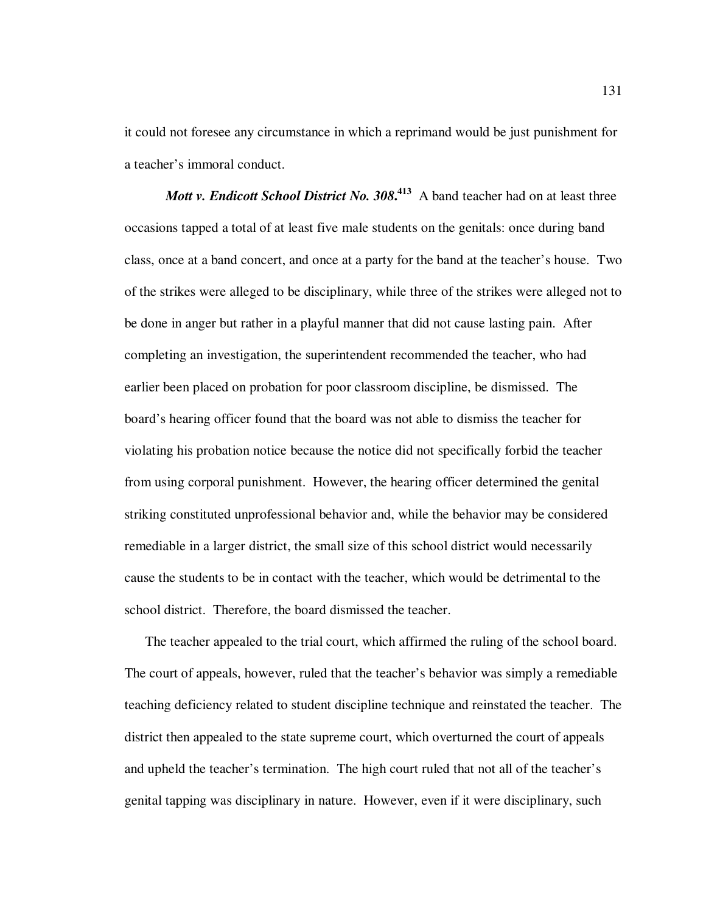it could not foresee any circumstance in which a reprimand would be just punishment for a teacher's immoral conduct.

*Mott v. Endicott School District No.* 308.<sup>413</sup> A band teacher had on at least three occasions tapped a total of at least five male students on the genitals: once during band class, once at a band concert, and once at a party for the band at the teacher's house. Two of the strikes were alleged to be disciplinary, while three of the strikes were alleged not to be done in anger but rather in a playful manner that did not cause lasting pain. After completing an investigation, the superintendent recommended the teacher, who had earlier been placed on probation for poor classroom discipline, be dismissed. The board's hearing officer found that the board was not able to dismiss the teacher for violating his probation notice because the notice did not specifically forbid the teacher from using corporal punishment. However, the hearing officer determined the genital striking constituted unprofessional behavior and, while the behavior may be considered remediable in a larger district, the small size of this school district would necessarily cause the students to be in contact with the teacher, which would be detrimental to the school district. Therefore, the board dismissed the teacher.

The teacher appealed to the trial court, which affirmed the ruling of the school board. The court of appeals, however, ruled that the teacher's behavior was simply a remediable teaching deficiency related to student discipline technique and reinstated the teacher. The district then appealed to the state supreme court, which overturned the court of appeals and upheld the teacher's termination. The high court ruled that not all of the teacher's genital tapping was disciplinary in nature. However, even if it were disciplinary, such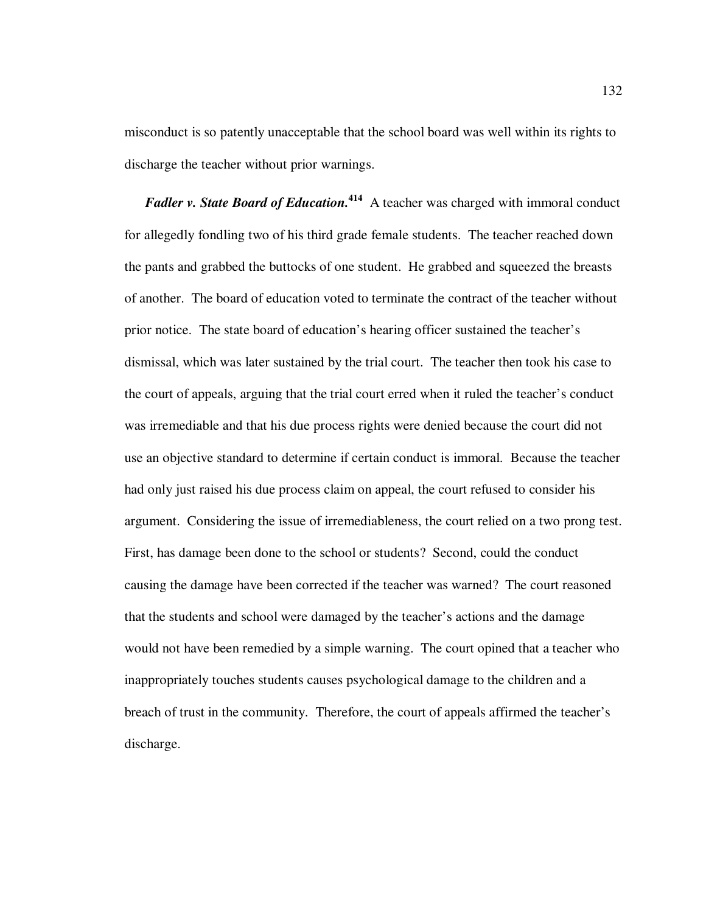misconduct is so patently unacceptable that the school board was well within its rights to discharge the teacher without prior warnings.

*Fadler v. State Board of Education.*<sup>414</sup> A teacher was charged with immoral conduct for allegedly fondling two of his third grade female students. The teacher reached down the pants and grabbed the buttocks of one student. He grabbed and squeezed the breasts of another. The board of education voted to terminate the contract of the teacher without prior notice. The state board of education's hearing officer sustained the teacher's dismissal, which was later sustained by the trial court. The teacher then took his case to the court of appeals, arguing that the trial court erred when it ruled the teacher's conduct was irremediable and that his due process rights were denied because the court did not use an objective standard to determine if certain conduct is immoral. Because the teacher had only just raised his due process claim on appeal, the court refused to consider his argument. Considering the issue of irremediableness, the court relied on a two prong test. First, has damage been done to the school or students? Second, could the conduct causing the damage have been corrected if the teacher was warned? The court reasoned that the students and school were damaged by the teacher's actions and the damage would not have been remedied by a simple warning. The court opined that a teacher who inappropriately touches students causes psychological damage to the children and a breach of trust in the community. Therefore, the court of appeals affirmed the teacher's discharge.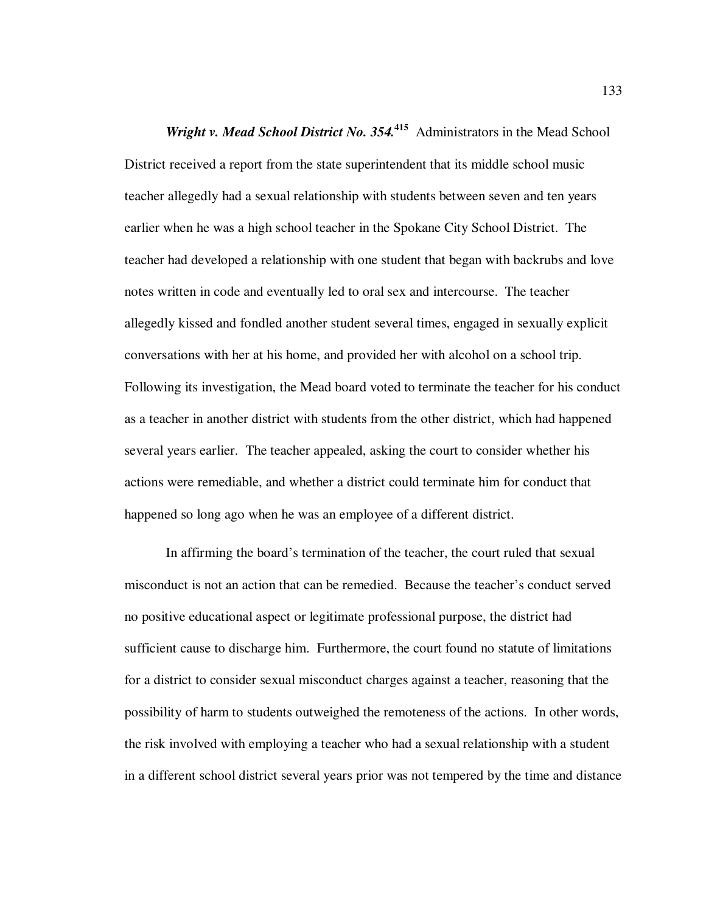*Wright v. Mead School District No. 354.***<sup>415</sup>** Administrators in the Mead School District received a report from the state superintendent that its middle school music teacher allegedly had a sexual relationship with students between seven and ten years earlier when he was a high school teacher in the Spokane City School District. The teacher had developed a relationship with one student that began with backrubs and love notes written in code and eventually led to oral sex and intercourse. The teacher allegedly kissed and fondled another student several times, engaged in sexually explicit conversations with her at his home, and provided her with alcohol on a school trip. Following its investigation, the Mead board voted to terminate the teacher for his conduct as a teacher in another district with students from the other district, which had happened several years earlier. The teacher appealed, asking the court to consider whether his actions were remediable, and whether a district could terminate him for conduct that happened so long ago when he was an employee of a different district.

In affirming the board's termination of the teacher, the court ruled that sexual misconduct is not an action that can be remedied. Because the teacher's conduct served no positive educational aspect or legitimate professional purpose, the district had sufficient cause to discharge him. Furthermore, the court found no statute of limitations for a district to consider sexual misconduct charges against a teacher, reasoning that the possibility of harm to students outweighed the remoteness of the actions. In other words, the risk involved with employing a teacher who had a sexual relationship with a student in a different school district several years prior was not tempered by the time and distance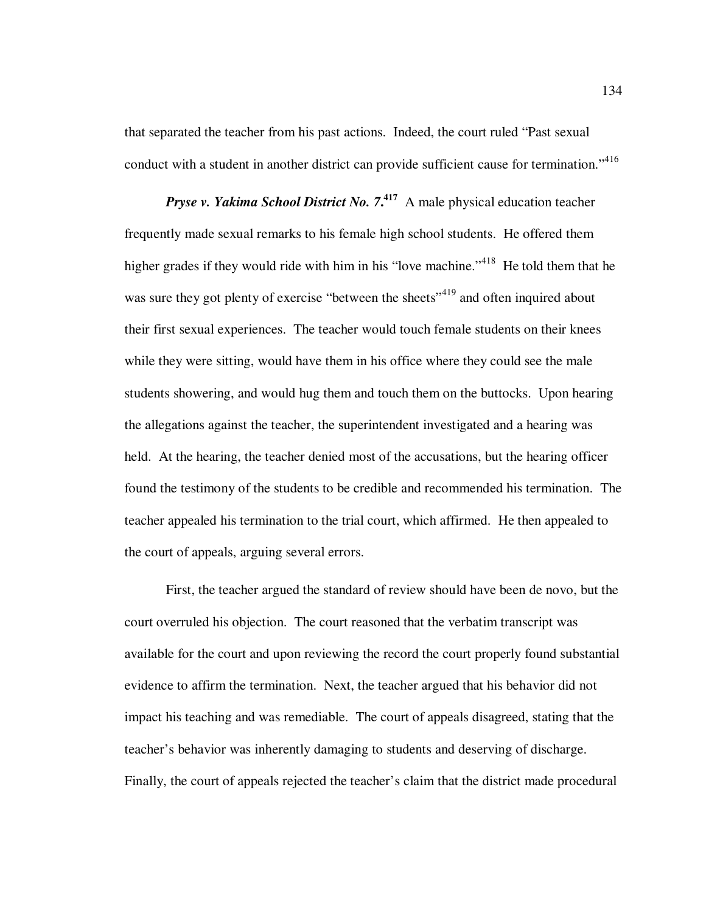that separated the teacher from his past actions. Indeed, the court ruled "Past sexual conduct with a student in another district can provide sufficient cause for termination."<sup>416</sup>

*Pryse v. Yakima School District No. 7***. <sup>417</sup>** A male physical education teacher frequently made sexual remarks to his female high school students. He offered them higher grades if they would ride with him in his "love machine."<sup>418</sup> He told them that he was sure they got plenty of exercise "between the sheets"<sup>419</sup> and often inquired about their first sexual experiences. The teacher would touch female students on their knees while they were sitting, would have them in his office where they could see the male students showering, and would hug them and touch them on the buttocks. Upon hearing the allegations against the teacher, the superintendent investigated and a hearing was held. At the hearing, the teacher denied most of the accusations, but the hearing officer found the testimony of the students to be credible and recommended his termination. The teacher appealed his termination to the trial court, which affirmed. He then appealed to the court of appeals, arguing several errors.

First, the teacher argued the standard of review should have been de novo, but the court overruled his objection. The court reasoned that the verbatim transcript was available for the court and upon reviewing the record the court properly found substantial evidence to affirm the termination. Next, the teacher argued that his behavior did not impact his teaching and was remediable. The court of appeals disagreed, stating that the teacher's behavior was inherently damaging to students and deserving of discharge. Finally, the court of appeals rejected the teacher's claim that the district made procedural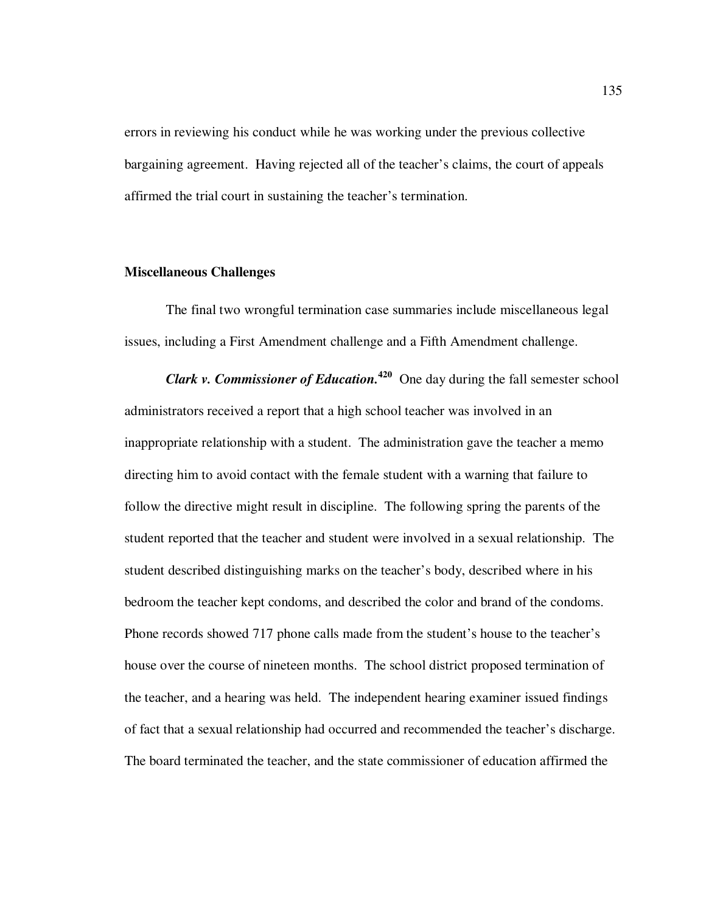errors in reviewing his conduct while he was working under the previous collective bargaining agreement. Having rejected all of the teacher's claims, the court of appeals affirmed the trial court in sustaining the teacher's termination.

#### **Miscellaneous Challenges**

The final two wrongful termination case summaries include miscellaneous legal issues, including a First Amendment challenge and a Fifth Amendment challenge.

*Clark v. Commissioner of Education.***<sup>420</sup>** One day during the fall semester school administrators received a report that a high school teacher was involved in an inappropriate relationship with a student. The administration gave the teacher a memo directing him to avoid contact with the female student with a warning that failure to follow the directive might result in discipline. The following spring the parents of the student reported that the teacher and student were involved in a sexual relationship. The student described distinguishing marks on the teacher's body, described where in his bedroom the teacher kept condoms, and described the color and brand of the condoms. Phone records showed 717 phone calls made from the student's house to the teacher's house over the course of nineteen months. The school district proposed termination of the teacher, and a hearing was held. The independent hearing examiner issued findings of fact that a sexual relationship had occurred and recommended the teacher's discharge. The board terminated the teacher, and the state commissioner of education affirmed the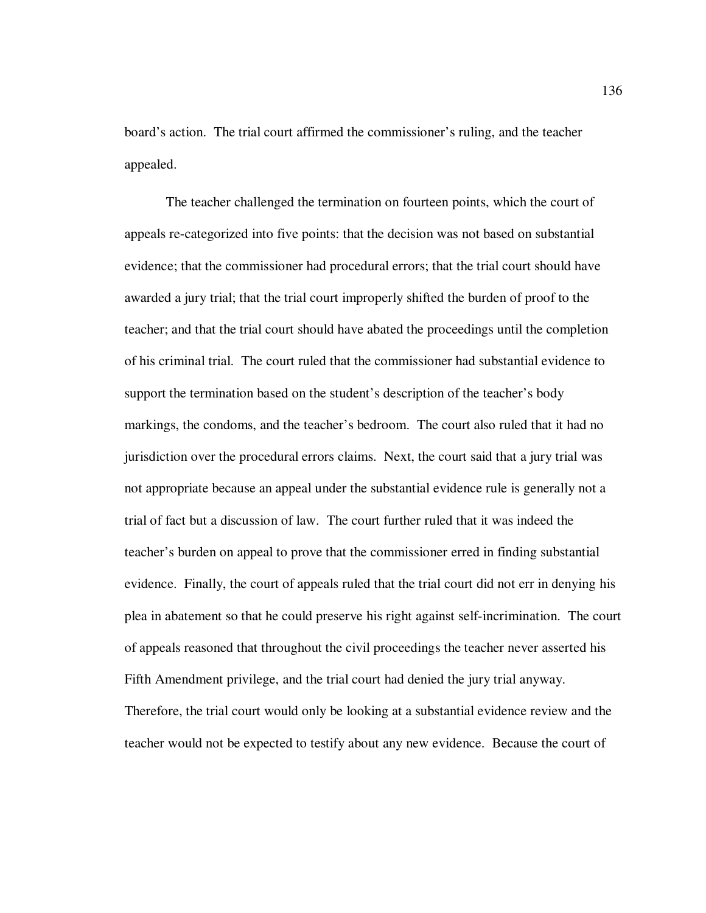board's action. The trial court affirmed the commissioner's ruling, and the teacher appealed.

The teacher challenged the termination on fourteen points, which the court of appeals re-categorized into five points: that the decision was not based on substantial evidence; that the commissioner had procedural errors; that the trial court should have awarded a jury trial; that the trial court improperly shifted the burden of proof to the teacher; and that the trial court should have abated the proceedings until the completion of his criminal trial. The court ruled that the commissioner had substantial evidence to support the termination based on the student's description of the teacher's body markings, the condoms, and the teacher's bedroom. The court also ruled that it had no jurisdiction over the procedural errors claims. Next, the court said that a jury trial was not appropriate because an appeal under the substantial evidence rule is generally not a trial of fact but a discussion of law. The court further ruled that it was indeed the teacher's burden on appeal to prove that the commissioner erred in finding substantial evidence. Finally, the court of appeals ruled that the trial court did not err in denying his plea in abatement so that he could preserve his right against self-incrimination. The court of appeals reasoned that throughout the civil proceedings the teacher never asserted his Fifth Amendment privilege, and the trial court had denied the jury trial anyway. Therefore, the trial court would only be looking at a substantial evidence review and the teacher would not be expected to testify about any new evidence. Because the court of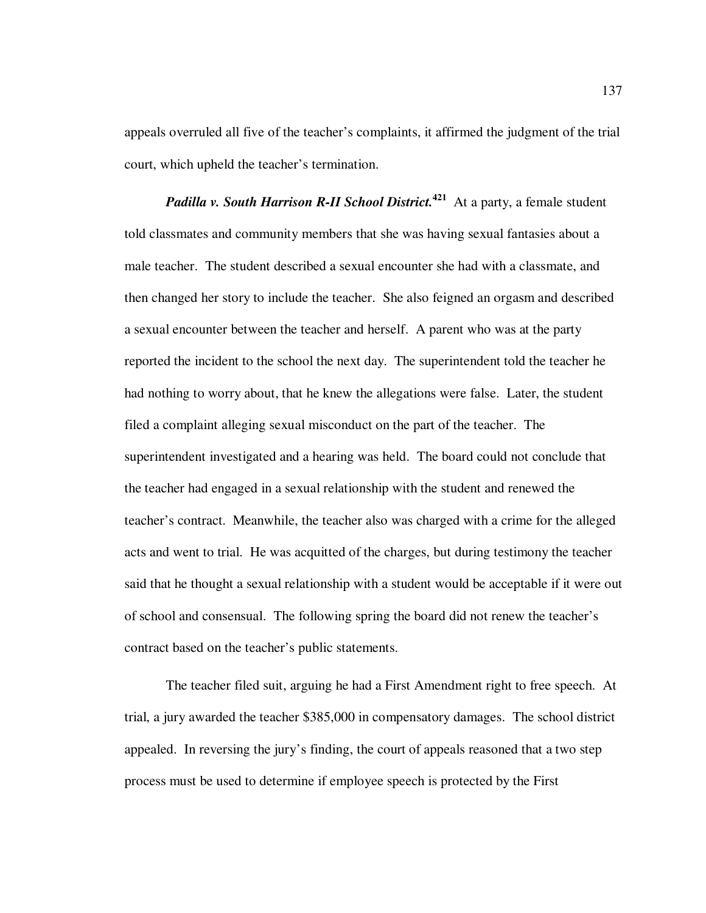appeals overruled all five of the teacher's complaints, it affirmed the judgment of the trial court, which upheld the teacher's termination.

*Padilla v. South Harrison R-II School District.***<sup>421</sup>** At a party, a female student told classmates and community members that she was having sexual fantasies about a male teacher. The student described a sexual encounter she had with a classmate, and then changed her story to include the teacher. She also feigned an orgasm and described a sexual encounter between the teacher and herself. A parent who was at the party reported the incident to the school the next day. The superintendent told the teacher he had nothing to worry about, that he knew the allegations were false. Later, the student filed a complaint alleging sexual misconduct on the part of the teacher. The superintendent investigated and a hearing was held. The board could not conclude that the teacher had engaged in a sexual relationship with the student and renewed the teacher's contract. Meanwhile, the teacher also was charged with a crime for the alleged acts and went to trial. He was acquitted of the charges, but during testimony the teacher said that he thought a sexual relationship with a student would be acceptable if it were out of school and consensual. The following spring the board did not renew the teacher's contract based on the teacher's public statements.

The teacher filed suit, arguing he had a First Amendment right to free speech. At trial, a jury awarded the teacher \$385,000 in compensatory damages. The school district appealed. In reversing the jury's finding, the court of appeals reasoned that a two step process must be used to determine if employee speech is protected by the First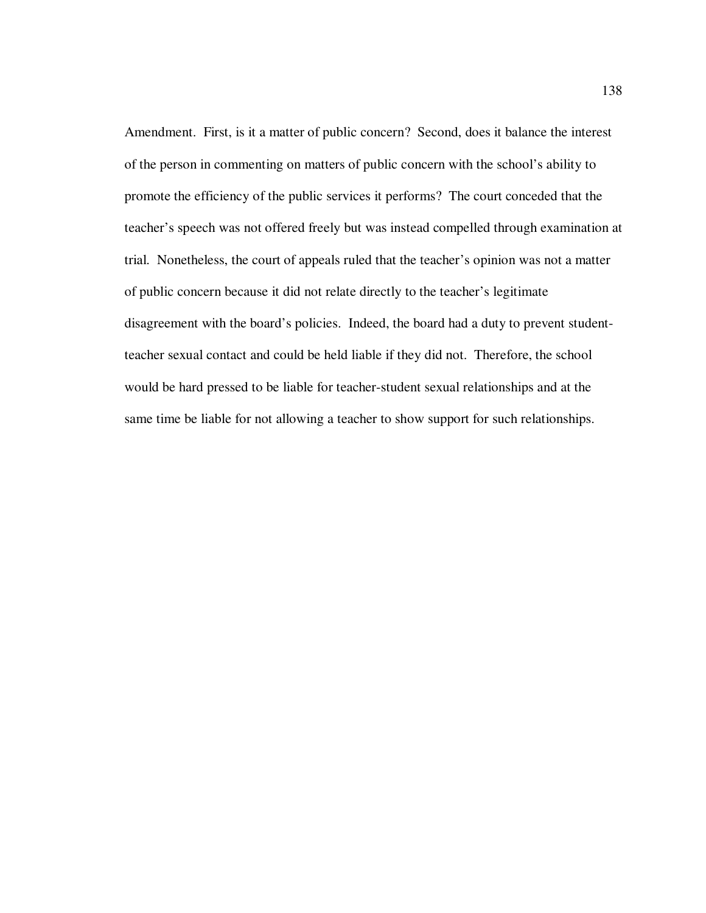Amendment. First, is it a matter of public concern? Second, does it balance the interest of the person in commenting on matters of public concern with the school's ability to promote the efficiency of the public services it performs? The court conceded that the teacher's speech was not offered freely but was instead compelled through examination at trial. Nonetheless, the court of appeals ruled that the teacher's opinion was not a matter of public concern because it did not relate directly to the teacher's legitimate disagreement with the board's policies. Indeed, the board had a duty to prevent studentteacher sexual contact and could be held liable if they did not. Therefore, the school would be hard pressed to be liable for teacher-student sexual relationships and at the same time be liable for not allowing a teacher to show support for such relationships.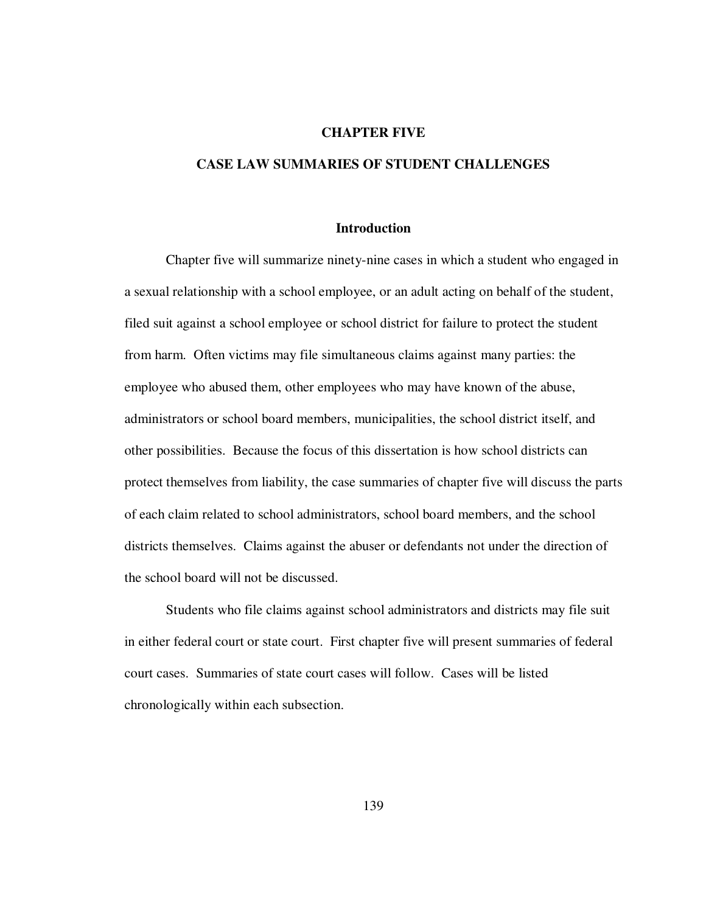## **CHAPTER FIVE**

## **CASE LAW SUMMARIES OF STUDENT CHALLENGES**

#### **Introduction**

Chapter five will summarize ninety-nine cases in which a student who engaged in a sexual relationship with a school employee, or an adult acting on behalf of the student, filed suit against a school employee or school district for failure to protect the student from harm. Often victims may file simultaneous claims against many parties: the employee who abused them, other employees who may have known of the abuse, administrators or school board members, municipalities, the school district itself, and other possibilities. Because the focus of this dissertation is how school districts can protect themselves from liability, the case summaries of chapter five will discuss the parts of each claim related to school administrators, school board members, and the school districts themselves. Claims against the abuser or defendants not under the direction of the school board will not be discussed.

Students who file claims against school administrators and districts may file suit in either federal court or state court. First chapter five will present summaries of federal court cases. Summaries of state court cases will follow. Cases will be listed chronologically within each subsection.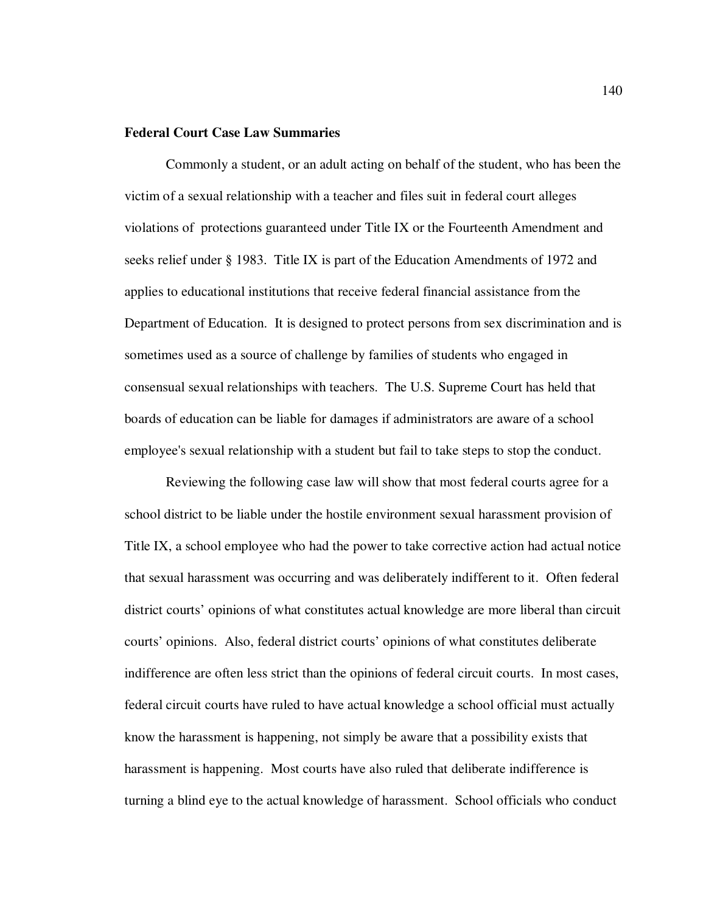## **Federal Court Case Law Summaries**

Commonly a student, or an adult acting on behalf of the student, who has been the victim of a sexual relationship with a teacher and files suit in federal court alleges violations of protections guaranteed under Title IX or the Fourteenth Amendment and seeks relief under § 1983. Title IX is part of the Education Amendments of 1972 and applies to educational institutions that receive federal financial assistance from the Department of Education. It is designed to protect persons from sex discrimination and is sometimes used as a source of challenge by families of students who engaged in consensual sexual relationships with teachers. The U.S. Supreme Court has held that boards of education can be liable for damages if administrators are aware of a school employee's sexual relationship with a student but fail to take steps to stop the conduct.

Reviewing the following case law will show that most federal courts agree for a school district to be liable under the hostile environment sexual harassment provision of Title IX, a school employee who had the power to take corrective action had actual notice that sexual harassment was occurring and was deliberately indifferent to it. Often federal district courts' opinions of what constitutes actual knowledge are more liberal than circuit courts' opinions. Also, federal district courts' opinions of what constitutes deliberate indifference are often less strict than the opinions of federal circuit courts. In most cases, federal circuit courts have ruled to have actual knowledge a school official must actually know the harassment is happening, not simply be aware that a possibility exists that harassment is happening. Most courts have also ruled that deliberate indifference is turning a blind eye to the actual knowledge of harassment. School officials who conduct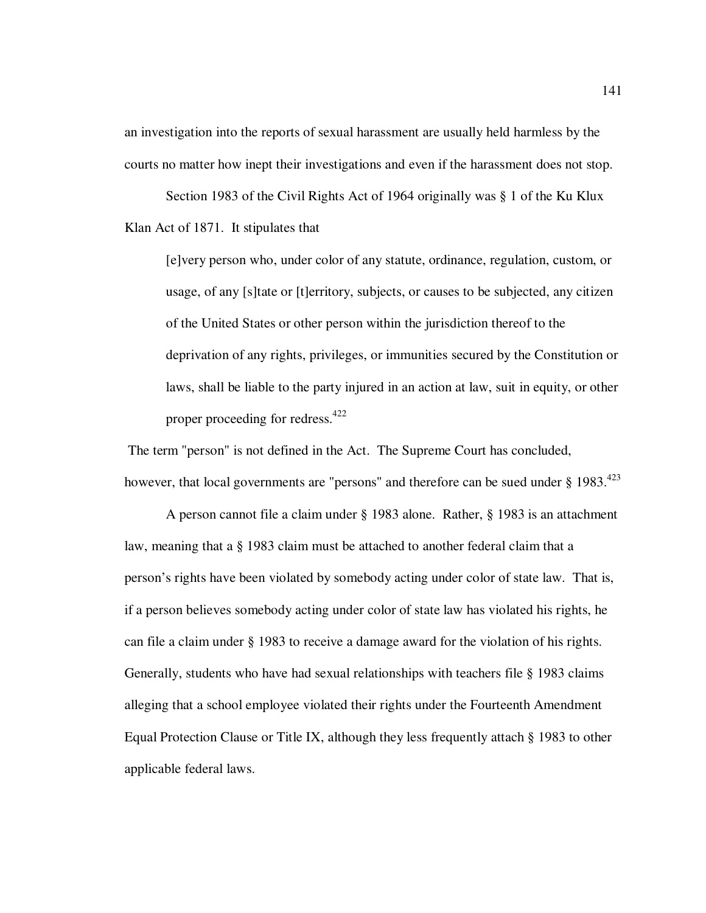an investigation into the reports of sexual harassment are usually held harmless by the courts no matter how inept their investigations and even if the harassment does not stop.

Section 1983 of the Civil Rights Act of 1964 originally was § 1 of the Ku Klux Klan Act of 1871. It stipulates that

[e]very person who, under color of any statute, ordinance, regulation, custom, or usage, of any [s]tate or [t]erritory, subjects, or causes to be subjected, any citizen of the United States or other person within the jurisdiction thereof to the deprivation of any rights, privileges, or immunities secured by the Constitution or laws, shall be liable to the party injured in an action at law, suit in equity, or other proper proceeding for redress.<sup>422</sup>

 The term "person" is not defined in the Act. The Supreme Court has concluded, however, that local governments are "persons" and therefore can be sued under  $\S 1983$ <sup>423</sup>

A person cannot file a claim under § 1983 alone. Rather, § 1983 is an attachment law, meaning that a § 1983 claim must be attached to another federal claim that a person's rights have been violated by somebody acting under color of state law. That is, if a person believes somebody acting under color of state law has violated his rights, he can file a claim under § 1983 to receive a damage award for the violation of his rights. Generally, students who have had sexual relationships with teachers file § 1983 claims alleging that a school employee violated their rights under the Fourteenth Amendment Equal Protection Clause or Title IX, although they less frequently attach § 1983 to other applicable federal laws.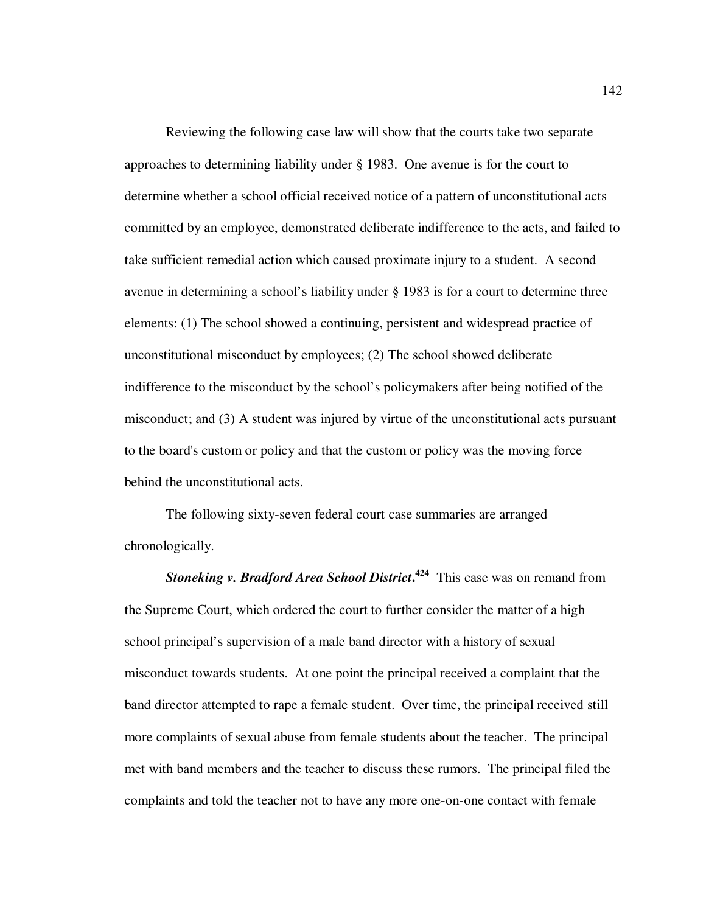Reviewing the following case law will show that the courts take two separate approaches to determining liability under § 1983. One avenue is for the court to determine whether a school official received notice of a pattern of unconstitutional acts committed by an employee, demonstrated deliberate indifference to the acts, and failed to take sufficient remedial action which caused proximate injury to a student. A second avenue in determining a school's liability under § 1983 is for a court to determine three elements: (1) The school showed a continuing, persistent and widespread practice of unconstitutional misconduct by employees; (2) The school showed deliberate indifference to the misconduct by the school's policymakers after being notified of the misconduct; and (3) A student was injured by virtue of the unconstitutional acts pursuant to the board's custom or policy and that the custom or policy was the moving force behind the unconstitutional acts.

The following sixty-seven federal court case summaries are arranged chronologically.

*Stoneking v. Bradford Area School District***. <sup>424</sup>** This case was on remand from the Supreme Court, which ordered the court to further consider the matter of a high school principal's supervision of a male band director with a history of sexual misconduct towards students. At one point the principal received a complaint that the band director attempted to rape a female student. Over time, the principal received still more complaints of sexual abuse from female students about the teacher. The principal met with band members and the teacher to discuss these rumors. The principal filed the complaints and told the teacher not to have any more one-on-one contact with female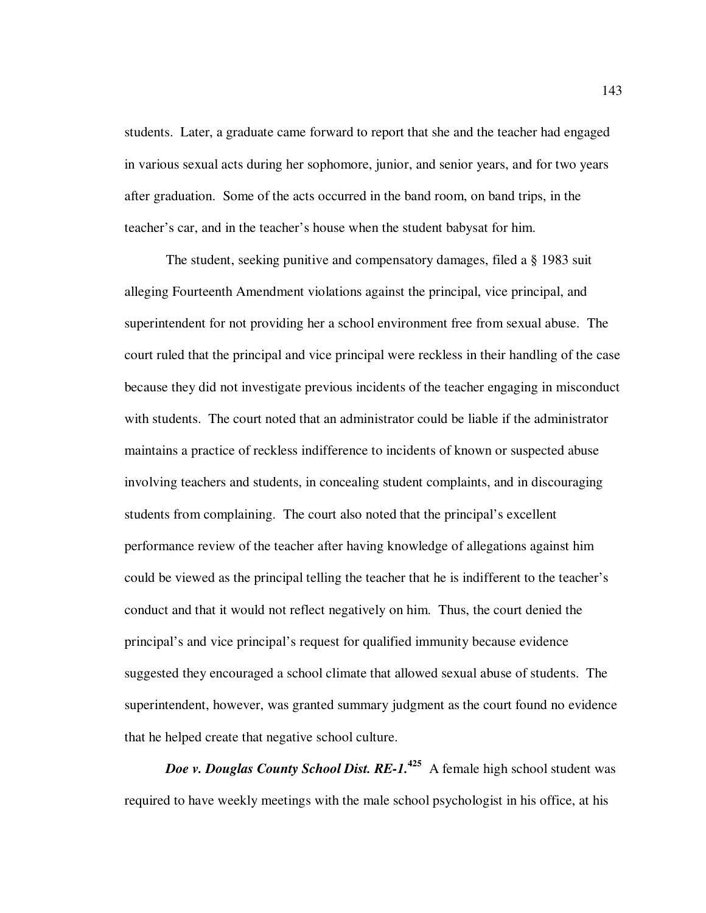students. Later, a graduate came forward to report that she and the teacher had engaged in various sexual acts during her sophomore, junior, and senior years, and for two years after graduation. Some of the acts occurred in the band room, on band trips, in the teacher's car, and in the teacher's house when the student babysat for him.

The student, seeking punitive and compensatory damages, filed a § 1983 suit alleging Fourteenth Amendment violations against the principal, vice principal, and superintendent for not providing her a school environment free from sexual abuse. The court ruled that the principal and vice principal were reckless in their handling of the case because they did not investigate previous incidents of the teacher engaging in misconduct with students. The court noted that an administrator could be liable if the administrator maintains a practice of reckless indifference to incidents of known or suspected abuse involving teachers and students, in concealing student complaints, and in discouraging students from complaining. The court also noted that the principal's excellent performance review of the teacher after having knowledge of allegations against him could be viewed as the principal telling the teacher that he is indifferent to the teacher's conduct and that it would not reflect negatively on him. Thus, the court denied the principal's and vice principal's request for qualified immunity because evidence suggested they encouraged a school climate that allowed sexual abuse of students. The superintendent, however, was granted summary judgment as the court found no evidence that he helped create that negative school culture.

*Doe v. Douglas County School Dist. RE-1.*<sup>425</sup> A female high school student was required to have weekly meetings with the male school psychologist in his office, at his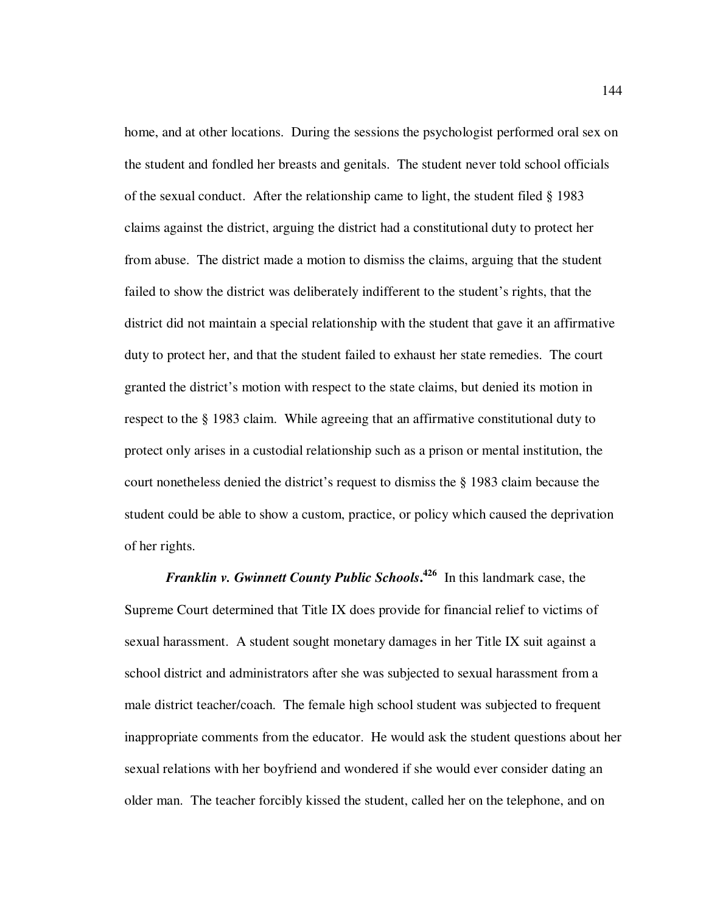home, and at other locations. During the sessions the psychologist performed oral sex on the student and fondled her breasts and genitals. The student never told school officials of the sexual conduct. After the relationship came to light, the student filed § 1983 claims against the district, arguing the district had a constitutional duty to protect her from abuse. The district made a motion to dismiss the claims, arguing that the student failed to show the district was deliberately indifferent to the student's rights, that the district did not maintain a special relationship with the student that gave it an affirmative duty to protect her, and that the student failed to exhaust her state remedies. The court granted the district's motion with respect to the state claims, but denied its motion in respect to the § 1983 claim. While agreeing that an affirmative constitutional duty to protect only arises in a custodial relationship such as a prison or mental institution, the court nonetheless denied the district's request to dismiss the § 1983 claim because the student could be able to show a custom, practice, or policy which caused the deprivation of her rights.

*Franklin v. Gwinnett County Public Schools***. 426** In this landmark case, the Supreme Court determined that Title IX does provide for financial relief to victims of sexual harassment. A student sought monetary damages in her Title IX suit against a school district and administrators after she was subjected to sexual harassment from a male district teacher/coach. The female high school student was subjected to frequent inappropriate comments from the educator. He would ask the student questions about her sexual relations with her boyfriend and wondered if she would ever consider dating an older man. The teacher forcibly kissed the student, called her on the telephone, and on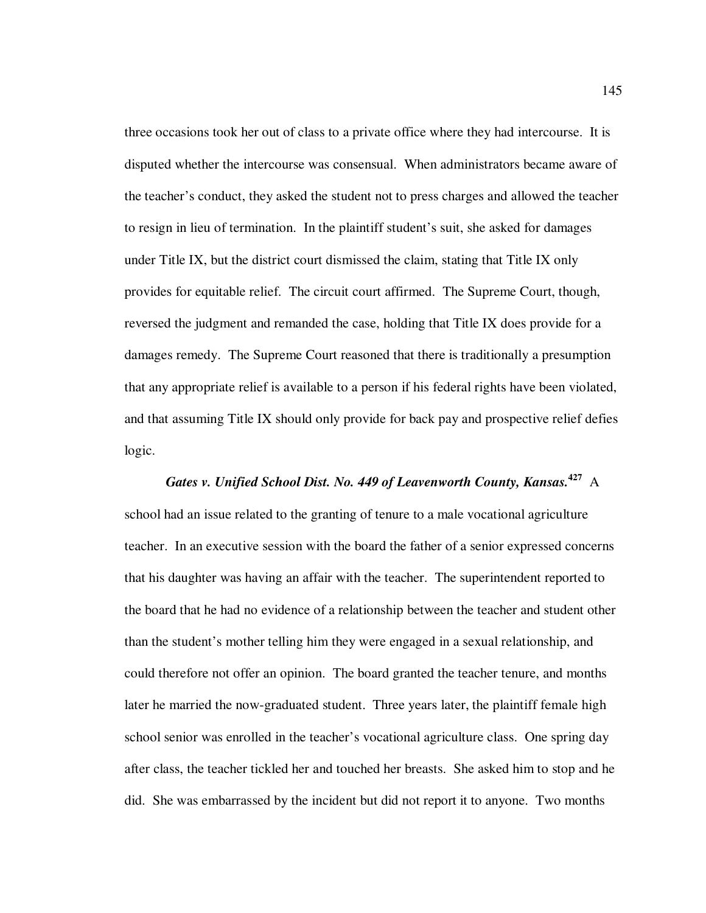three occasions took her out of class to a private office where they had intercourse. It is disputed whether the intercourse was consensual. When administrators became aware of the teacher's conduct, they asked the student not to press charges and allowed the teacher to resign in lieu of termination. In the plaintiff student's suit, she asked for damages under Title IX, but the district court dismissed the claim, stating that Title IX only provides for equitable relief. The circuit court affirmed. The Supreme Court, though, reversed the judgment and remanded the case, holding that Title IX does provide for a damages remedy. The Supreme Court reasoned that there is traditionally a presumption that any appropriate relief is available to a person if his federal rights have been violated, and that assuming Title IX should only provide for back pay and prospective relief defies logic.

# *Gates v. Unified School Dist. No. 449 of Leavenworth County, Kansas.***<sup>427</sup>** A school had an issue related to the granting of tenure to a male vocational agriculture teacher. In an executive session with the board the father of a senior expressed concerns that his daughter was having an affair with the teacher. The superintendent reported to the board that he had no evidence of a relationship between the teacher and student other than the student's mother telling him they were engaged in a sexual relationship, and could therefore not offer an opinion. The board granted the teacher tenure, and months later he married the now-graduated student. Three years later, the plaintiff female high school senior was enrolled in the teacher's vocational agriculture class. One spring day after class, the teacher tickled her and touched her breasts. She asked him to stop and he did. She was embarrassed by the incident but did not report it to anyone. Two months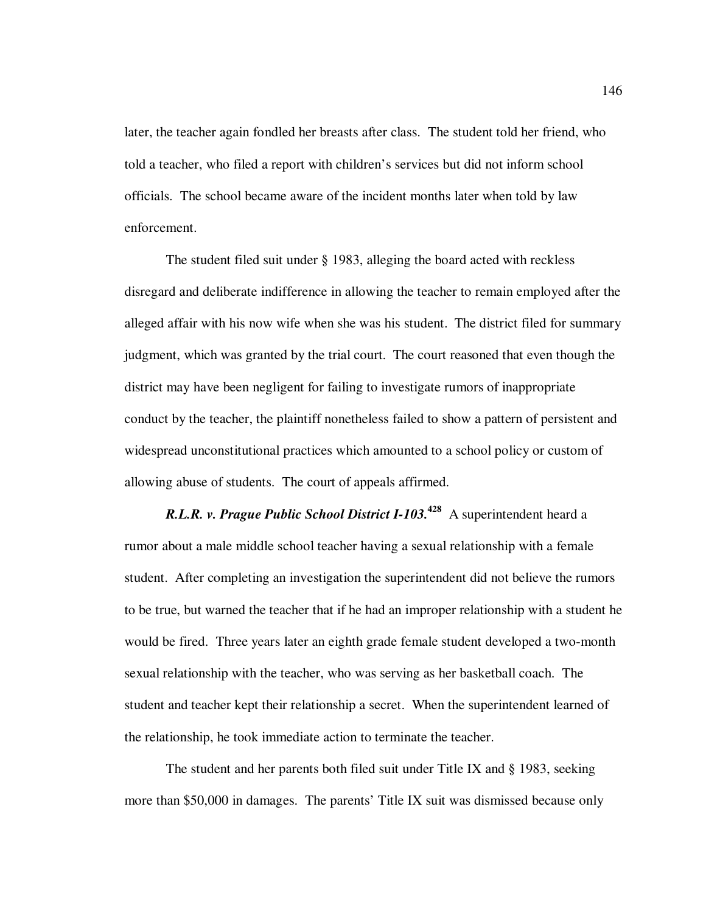later, the teacher again fondled her breasts after class. The student told her friend, who told a teacher, who filed a report with children's services but did not inform school officials. The school became aware of the incident months later when told by law enforcement.

The student filed suit under § 1983, alleging the board acted with reckless disregard and deliberate indifference in allowing the teacher to remain employed after the alleged affair with his now wife when she was his student. The district filed for summary judgment, which was granted by the trial court. The court reasoned that even though the district may have been negligent for failing to investigate rumors of inappropriate conduct by the teacher, the plaintiff nonetheless failed to show a pattern of persistent and widespread unconstitutional practices which amounted to a school policy or custom of allowing abuse of students. The court of appeals affirmed.

*R.L.R. v. Prague Public School District I-103.***<sup>428</sup>** A superintendent heard a rumor about a male middle school teacher having a sexual relationship with a female student. After completing an investigation the superintendent did not believe the rumors to be true, but warned the teacher that if he had an improper relationship with a student he would be fired. Three years later an eighth grade female student developed a two-month sexual relationship with the teacher, who was serving as her basketball coach. The student and teacher kept their relationship a secret. When the superintendent learned of the relationship, he took immediate action to terminate the teacher.

The student and her parents both filed suit under Title IX and § 1983, seeking more than \$50,000 in damages. The parents' Title IX suit was dismissed because only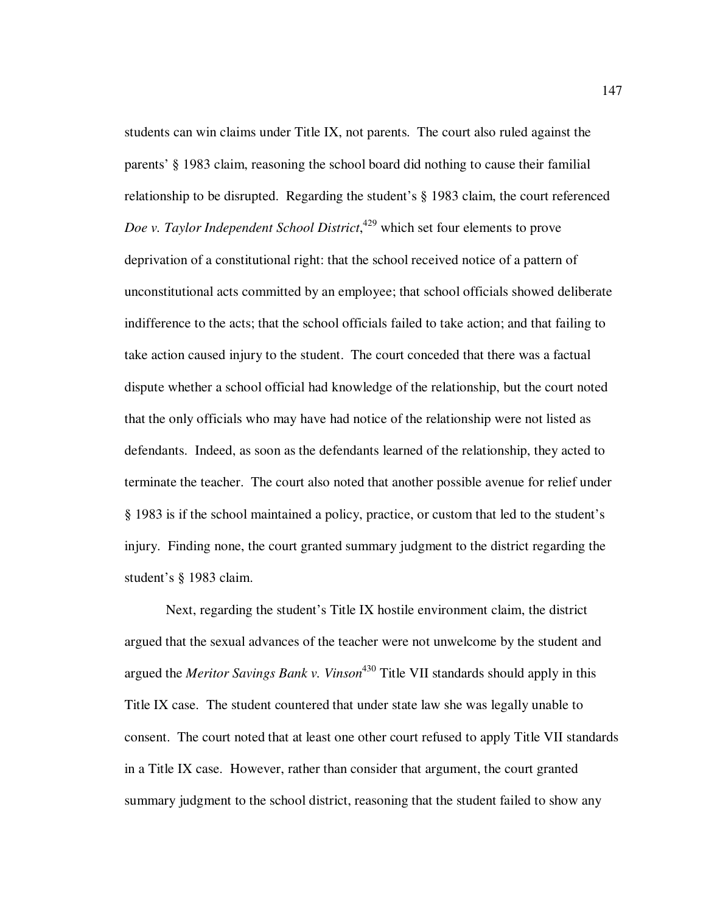students can win claims under Title IX, not parents. The court also ruled against the parents' § 1983 claim, reasoning the school board did nothing to cause their familial relationship to be disrupted. Regarding the student's § 1983 claim, the court referenced *Doe v. Taylor Independent School District*, <sup>429</sup> which set four elements to prove deprivation of a constitutional right: that the school received notice of a pattern of unconstitutional acts committed by an employee; that school officials showed deliberate indifference to the acts; that the school officials failed to take action; and that failing to take action caused injury to the student. The court conceded that there was a factual dispute whether a school official had knowledge of the relationship, but the court noted that the only officials who may have had notice of the relationship were not listed as defendants. Indeed, as soon as the defendants learned of the relationship, they acted to terminate the teacher. The court also noted that another possible avenue for relief under § 1983 is if the school maintained a policy, practice, or custom that led to the student's injury. Finding none, the court granted summary judgment to the district regarding the student's § 1983 claim.

Next, regarding the student's Title IX hostile environment claim, the district argued that the sexual advances of the teacher were not unwelcome by the student and argued the *Meritor Savings Bank v. Vinson*<sup>430</sup> Title VII standards should apply in this Title IX case. The student countered that under state law she was legally unable to consent. The court noted that at least one other court refused to apply Title VII standards in a Title IX case. However, rather than consider that argument, the court granted summary judgment to the school district, reasoning that the student failed to show any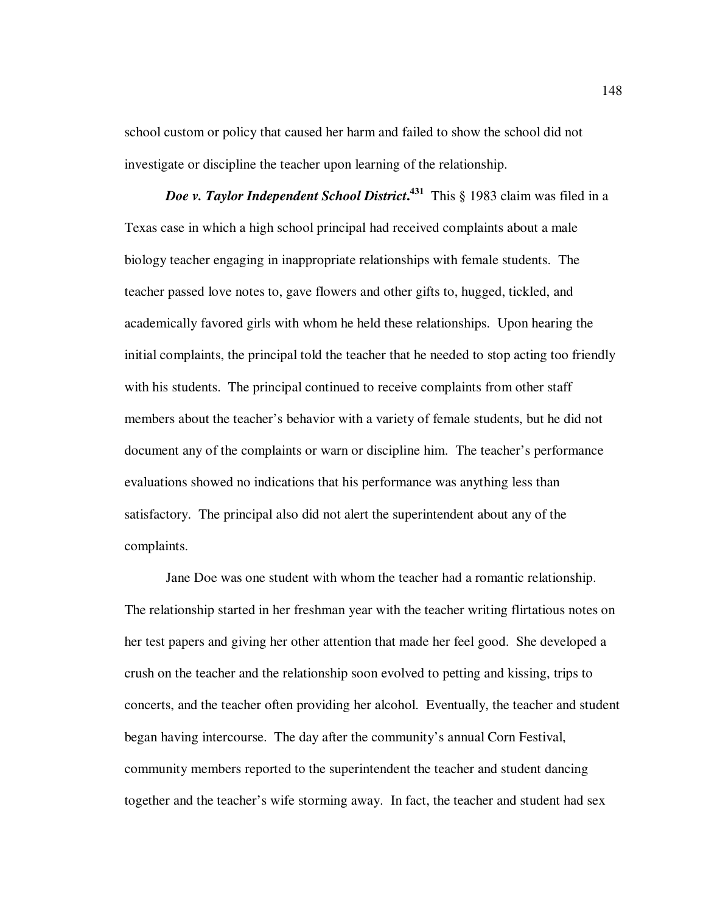school custom or policy that caused her harm and failed to show the school did not investigate or discipline the teacher upon learning of the relationship.

*Doe v. Taylor Independent School District***. 431** This § 1983 claim was filed in a Texas case in which a high school principal had received complaints about a male biology teacher engaging in inappropriate relationships with female students. The teacher passed love notes to, gave flowers and other gifts to, hugged, tickled, and academically favored girls with whom he held these relationships. Upon hearing the initial complaints, the principal told the teacher that he needed to stop acting too friendly with his students. The principal continued to receive complaints from other staff members about the teacher's behavior with a variety of female students, but he did not document any of the complaints or warn or discipline him. The teacher's performance evaluations showed no indications that his performance was anything less than satisfactory. The principal also did not alert the superintendent about any of the complaints.

Jane Doe was one student with whom the teacher had a romantic relationship. The relationship started in her freshman year with the teacher writing flirtatious notes on her test papers and giving her other attention that made her feel good. She developed a crush on the teacher and the relationship soon evolved to petting and kissing, trips to concerts, and the teacher often providing her alcohol. Eventually, the teacher and student began having intercourse. The day after the community's annual Corn Festival, community members reported to the superintendent the teacher and student dancing together and the teacher's wife storming away. In fact, the teacher and student had sex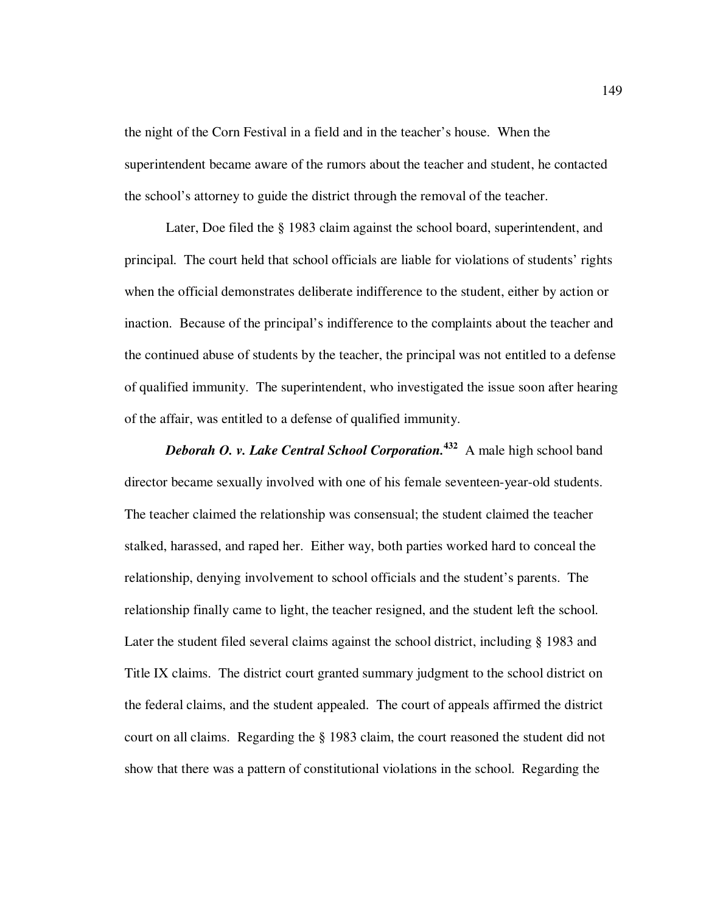the night of the Corn Festival in a field and in the teacher's house. When the superintendent became aware of the rumors about the teacher and student, he contacted the school's attorney to guide the district through the removal of the teacher.

Later, Doe filed the § 1983 claim against the school board, superintendent, and principal. The court held that school officials are liable for violations of students' rights when the official demonstrates deliberate indifference to the student, either by action or inaction. Because of the principal's indifference to the complaints about the teacher and the continued abuse of students by the teacher, the principal was not entitled to a defense of qualified immunity. The superintendent, who investigated the issue soon after hearing of the affair, was entitled to a defense of qualified immunity.

*Deborah O. v. Lake Central School Corporation.***<sup>432</sup>** A male high school band director became sexually involved with one of his female seventeen-year-old students. The teacher claimed the relationship was consensual; the student claimed the teacher stalked, harassed, and raped her. Either way, both parties worked hard to conceal the relationship, denying involvement to school officials and the student's parents. The relationship finally came to light, the teacher resigned, and the student left the school. Later the student filed several claims against the school district, including § 1983 and Title IX claims. The district court granted summary judgment to the school district on the federal claims, and the student appealed. The court of appeals affirmed the district court on all claims. Regarding the § 1983 claim, the court reasoned the student did not show that there was a pattern of constitutional violations in the school. Regarding the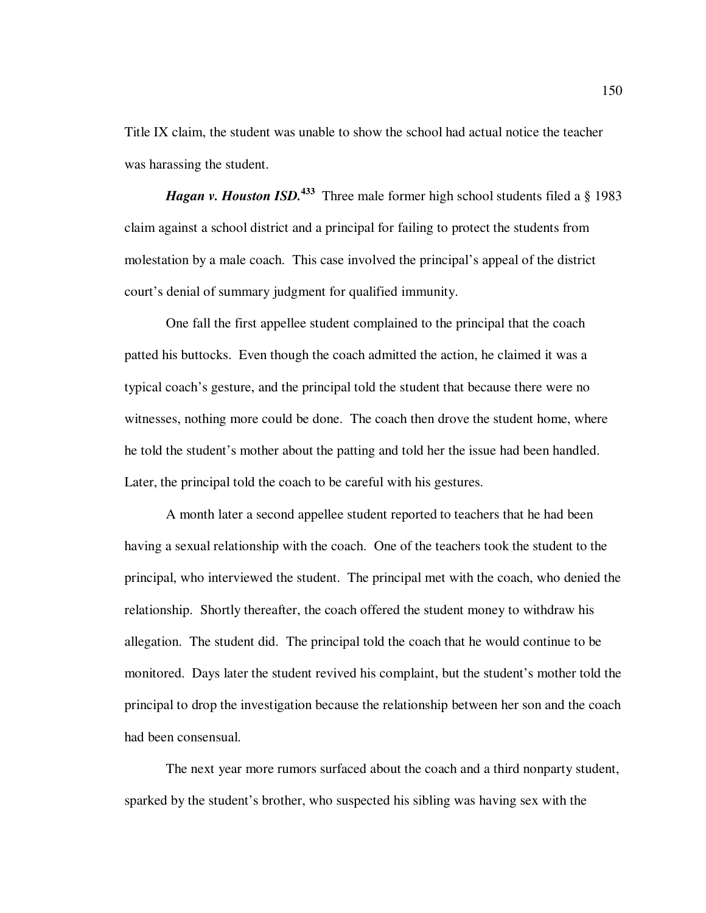Title IX claim, the student was unable to show the school had actual notice the teacher was harassing the student.

*Hagan v. Houston ISD.*<sup>433</sup> Three male former high school students filed a § 1983 claim against a school district and a principal for failing to protect the students from molestation by a male coach. This case involved the principal's appeal of the district court's denial of summary judgment for qualified immunity.

One fall the first appellee student complained to the principal that the coach patted his buttocks. Even though the coach admitted the action, he claimed it was a typical coach's gesture, and the principal told the student that because there were no witnesses, nothing more could be done. The coach then drove the student home, where he told the student's mother about the patting and told her the issue had been handled. Later, the principal told the coach to be careful with his gestures.

A month later a second appellee student reported to teachers that he had been having a sexual relationship with the coach. One of the teachers took the student to the principal, who interviewed the student. The principal met with the coach, who denied the relationship. Shortly thereafter, the coach offered the student money to withdraw his allegation. The student did. The principal told the coach that he would continue to be monitored. Days later the student revived his complaint, but the student's mother told the principal to drop the investigation because the relationship between her son and the coach had been consensual.

The next year more rumors surfaced about the coach and a third nonparty student, sparked by the student's brother, who suspected his sibling was having sex with the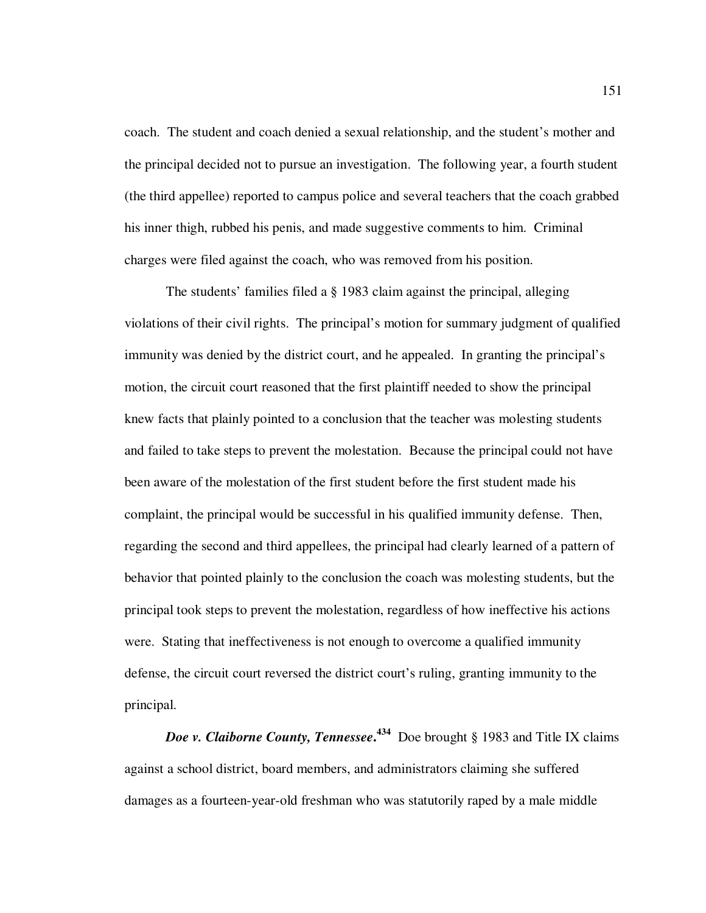coach. The student and coach denied a sexual relationship, and the student's mother and the principal decided not to pursue an investigation. The following year, a fourth student (the third appellee) reported to campus police and several teachers that the coach grabbed his inner thigh, rubbed his penis, and made suggestive comments to him. Criminal charges were filed against the coach, who was removed from his position.

The students' families filed a § 1983 claim against the principal, alleging violations of their civil rights. The principal's motion for summary judgment of qualified immunity was denied by the district court, and he appealed. In granting the principal's motion, the circuit court reasoned that the first plaintiff needed to show the principal knew facts that plainly pointed to a conclusion that the teacher was molesting students and failed to take steps to prevent the molestation. Because the principal could not have been aware of the molestation of the first student before the first student made his complaint, the principal would be successful in his qualified immunity defense. Then, regarding the second and third appellees, the principal had clearly learned of a pattern of behavior that pointed plainly to the conclusion the coach was molesting students, but the principal took steps to prevent the molestation, regardless of how ineffective his actions were. Stating that ineffectiveness is not enough to overcome a qualified immunity defense, the circuit court reversed the district court's ruling, granting immunity to the principal.

*Doe v. Claiborne County, Tennessee***. <sup>434</sup>** Doe brought § 1983 and Title IX claims against a school district, board members, and administrators claiming she suffered damages as a fourteen-year-old freshman who was statutorily raped by a male middle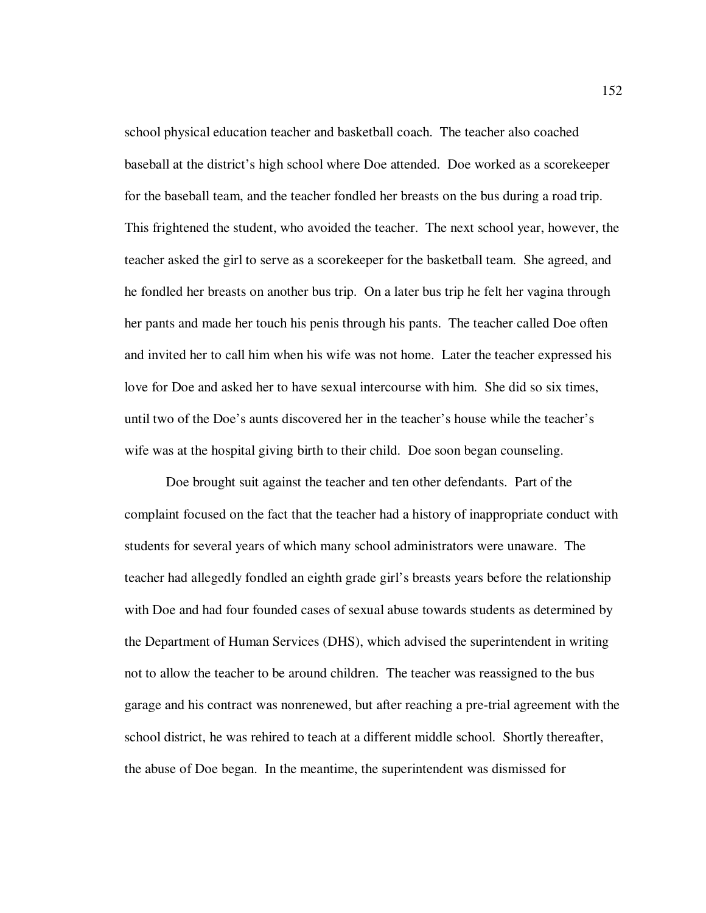school physical education teacher and basketball coach. The teacher also coached baseball at the district's high school where Doe attended. Doe worked as a scorekeeper for the baseball team, and the teacher fondled her breasts on the bus during a road trip. This frightened the student, who avoided the teacher. The next school year, however, the teacher asked the girl to serve as a scorekeeper for the basketball team. She agreed, and he fondled her breasts on another bus trip. On a later bus trip he felt her vagina through her pants and made her touch his penis through his pants. The teacher called Doe often and invited her to call him when his wife was not home. Later the teacher expressed his love for Doe and asked her to have sexual intercourse with him. She did so six times, until two of the Doe's aunts discovered her in the teacher's house while the teacher's wife was at the hospital giving birth to their child. Doe soon began counseling.

Doe brought suit against the teacher and ten other defendants. Part of the complaint focused on the fact that the teacher had a history of inappropriate conduct with students for several years of which many school administrators were unaware. The teacher had allegedly fondled an eighth grade girl's breasts years before the relationship with Doe and had four founded cases of sexual abuse towards students as determined by the Department of Human Services (DHS), which advised the superintendent in writing not to allow the teacher to be around children. The teacher was reassigned to the bus garage and his contract was nonrenewed, but after reaching a pre-trial agreement with the school district, he was rehired to teach at a different middle school. Shortly thereafter, the abuse of Doe began. In the meantime, the superintendent was dismissed for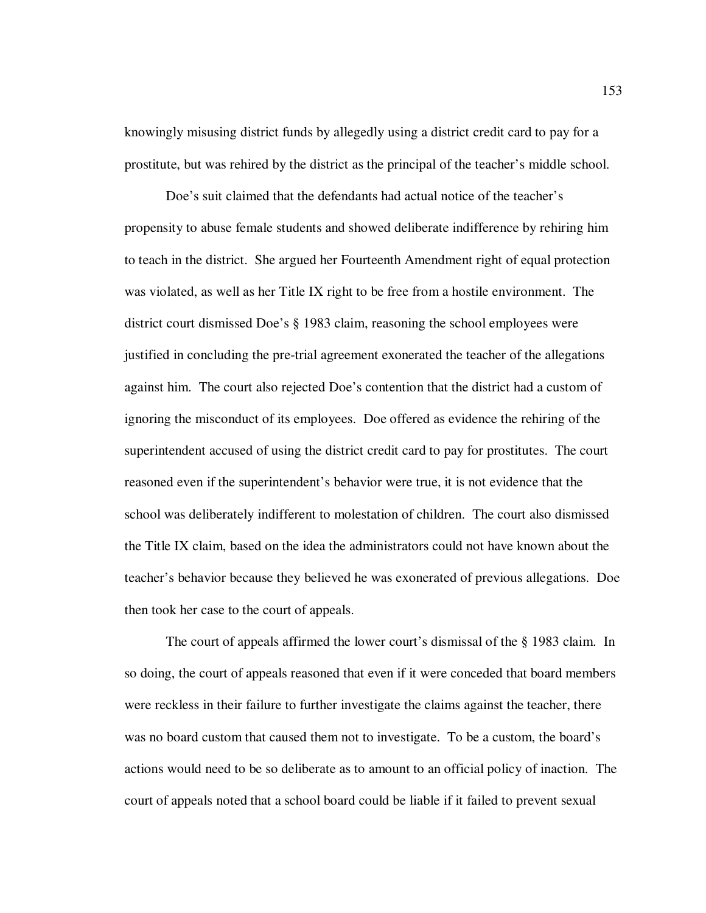knowingly misusing district funds by allegedly using a district credit card to pay for a prostitute, but was rehired by the district as the principal of the teacher's middle school.

Doe's suit claimed that the defendants had actual notice of the teacher's propensity to abuse female students and showed deliberate indifference by rehiring him to teach in the district. She argued her Fourteenth Amendment right of equal protection was violated, as well as her Title IX right to be free from a hostile environment. The district court dismissed Doe's § 1983 claim, reasoning the school employees were justified in concluding the pre-trial agreement exonerated the teacher of the allegations against him. The court also rejected Doe's contention that the district had a custom of ignoring the misconduct of its employees. Doe offered as evidence the rehiring of the superintendent accused of using the district credit card to pay for prostitutes. The court reasoned even if the superintendent's behavior were true, it is not evidence that the school was deliberately indifferent to molestation of children. The court also dismissed the Title IX claim, based on the idea the administrators could not have known about the teacher's behavior because they believed he was exonerated of previous allegations. Doe then took her case to the court of appeals.

The court of appeals affirmed the lower court's dismissal of the § 1983 claim. In so doing, the court of appeals reasoned that even if it were conceded that board members were reckless in their failure to further investigate the claims against the teacher, there was no board custom that caused them not to investigate. To be a custom, the board's actions would need to be so deliberate as to amount to an official policy of inaction. The court of appeals noted that a school board could be liable if it failed to prevent sexual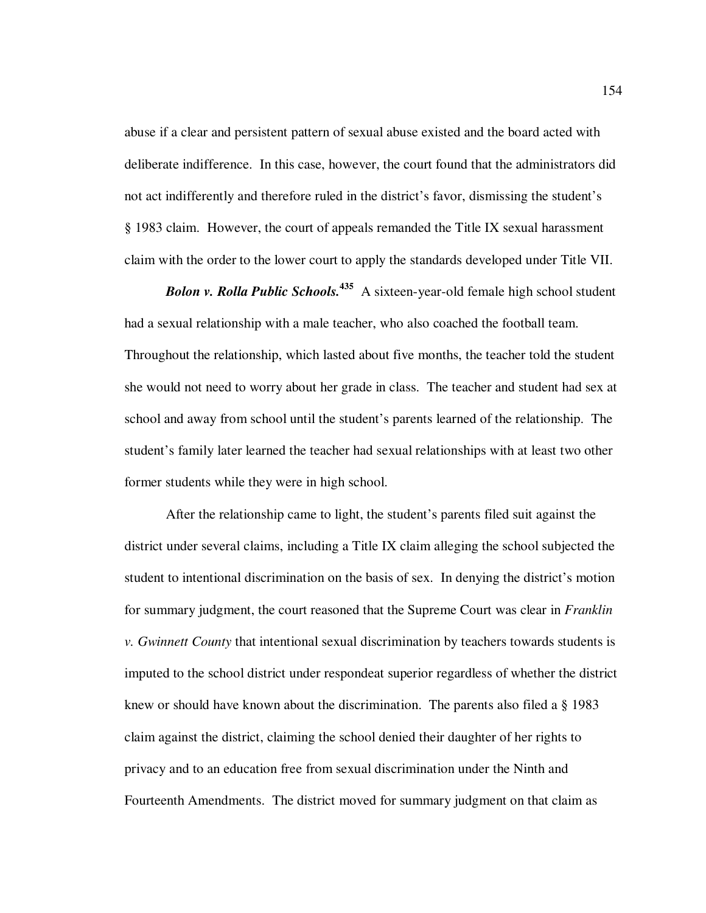abuse if a clear and persistent pattern of sexual abuse existed and the board acted with deliberate indifference. In this case, however, the court found that the administrators did not act indifferently and therefore ruled in the district's favor, dismissing the student's § 1983 claim. However, the court of appeals remanded the Title IX sexual harassment claim with the order to the lower court to apply the standards developed under Title VII.

*Bolon v. Rolla Public Schools.***<sup>435</sup>** A sixteen-year-old female high school student had a sexual relationship with a male teacher, who also coached the football team. Throughout the relationship, which lasted about five months, the teacher told the student she would not need to worry about her grade in class. The teacher and student had sex at school and away from school until the student's parents learned of the relationship. The student's family later learned the teacher had sexual relationships with at least two other former students while they were in high school.

After the relationship came to light, the student's parents filed suit against the district under several claims, including a Title IX claim alleging the school subjected the student to intentional discrimination on the basis of sex. In denying the district's motion for summary judgment, the court reasoned that the Supreme Court was clear in *Franklin v. Gwinnett County* that intentional sexual discrimination by teachers towards students is imputed to the school district under respondeat superior regardless of whether the district knew or should have known about the discrimination. The parents also filed a § 1983 claim against the district, claiming the school denied their daughter of her rights to privacy and to an education free from sexual discrimination under the Ninth and Fourteenth Amendments. The district moved for summary judgment on that claim as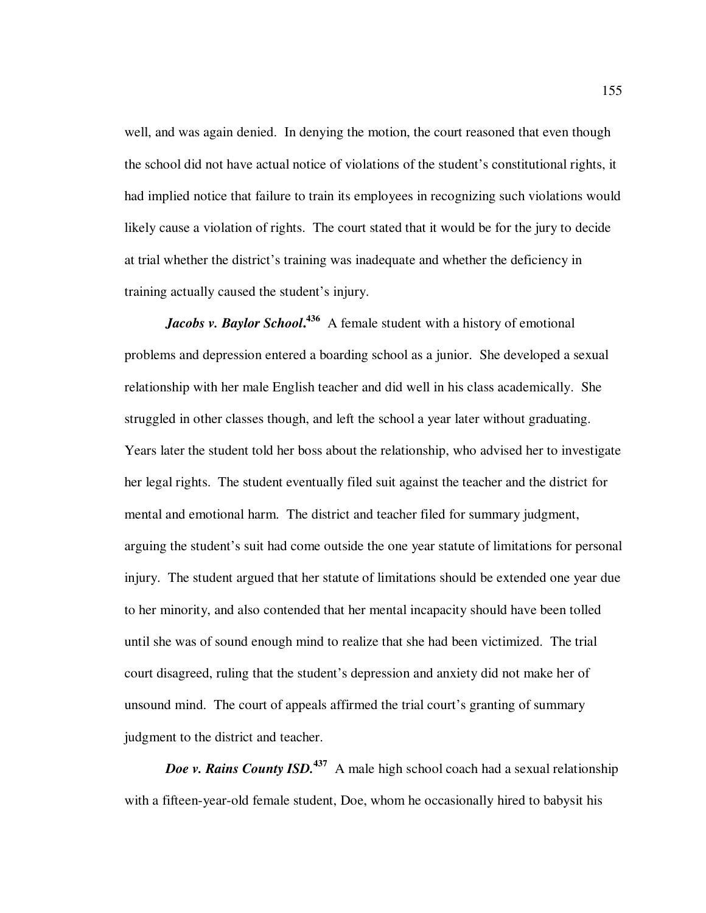well, and was again denied. In denying the motion, the court reasoned that even though the school did not have actual notice of violations of the student's constitutional rights, it had implied notice that failure to train its employees in recognizing such violations would likely cause a violation of rights. The court stated that it would be for the jury to decide at trial whether the district's training was inadequate and whether the deficiency in training actually caused the student's injury.

*Jacobs v. Baylor School.*<sup>436</sup> A female student with a history of emotional problems and depression entered a boarding school as a junior. She developed a sexual relationship with her male English teacher and did well in his class academically. She struggled in other classes though, and left the school a year later without graduating. Years later the student told her boss about the relationship, who advised her to investigate her legal rights. The student eventually filed suit against the teacher and the district for mental and emotional harm. The district and teacher filed for summary judgment, arguing the student's suit had come outside the one year statute of limitations for personal injury. The student argued that her statute of limitations should be extended one year due to her minority, and also contended that her mental incapacity should have been tolled until she was of sound enough mind to realize that she had been victimized. The trial court disagreed, ruling that the student's depression and anxiety did not make her of unsound mind. The court of appeals affirmed the trial court's granting of summary judgment to the district and teacher.

*Doe v. Rains County ISD.*<sup>437</sup> A male high school coach had a sexual relationship with a fifteen-year-old female student, Doe, whom he occasionally hired to babysit his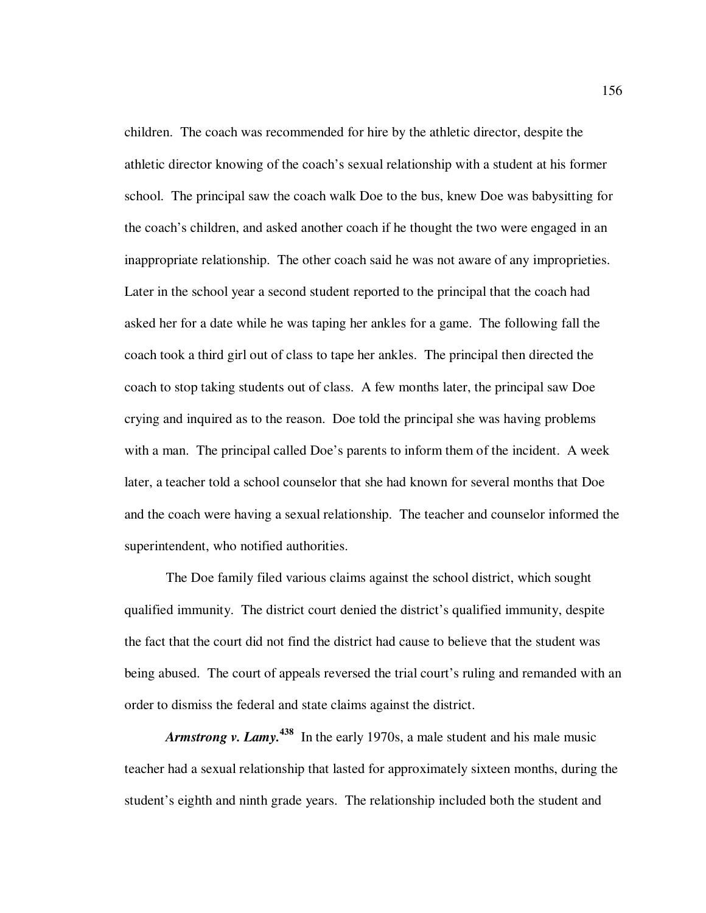children. The coach was recommended for hire by the athletic director, despite the athletic director knowing of the coach's sexual relationship with a student at his former school. The principal saw the coach walk Doe to the bus, knew Doe was babysitting for the coach's children, and asked another coach if he thought the two were engaged in an inappropriate relationship. The other coach said he was not aware of any improprieties. Later in the school year a second student reported to the principal that the coach had asked her for a date while he was taping her ankles for a game. The following fall the coach took a third girl out of class to tape her ankles. The principal then directed the coach to stop taking students out of class. A few months later, the principal saw Doe crying and inquired as to the reason. Doe told the principal she was having problems with a man. The principal called Doe's parents to inform them of the incident. A week later, a teacher told a school counselor that she had known for several months that Doe and the coach were having a sexual relationship. The teacher and counselor informed the superintendent, who notified authorities.

The Doe family filed various claims against the school district, which sought qualified immunity. The district court denied the district's qualified immunity, despite the fact that the court did not find the district had cause to believe that the student was being abused. The court of appeals reversed the trial court's ruling and remanded with an order to dismiss the federal and state claims against the district.

*Armstrong v. Lamy.***<sup>438</sup>** In the early 1970s, a male student and his male music teacher had a sexual relationship that lasted for approximately sixteen months, during the student's eighth and ninth grade years. The relationship included both the student and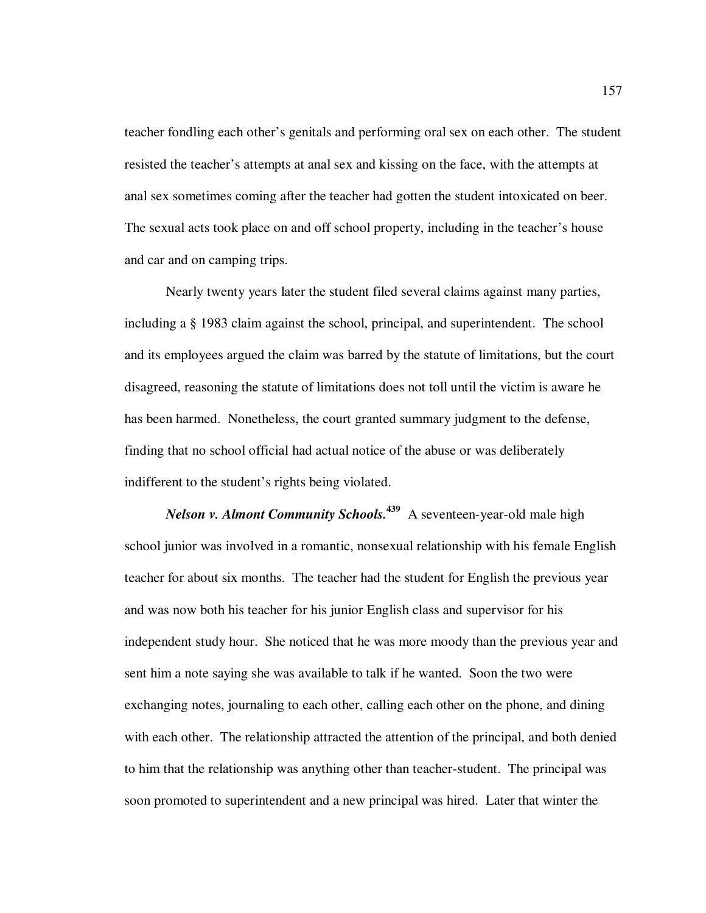teacher fondling each other's genitals and performing oral sex on each other. The student resisted the teacher's attempts at anal sex and kissing on the face, with the attempts at anal sex sometimes coming after the teacher had gotten the student intoxicated on beer. The sexual acts took place on and off school property, including in the teacher's house and car and on camping trips.

Nearly twenty years later the student filed several claims against many parties, including a § 1983 claim against the school, principal, and superintendent. The school and its employees argued the claim was barred by the statute of limitations, but the court disagreed, reasoning the statute of limitations does not toll until the victim is aware he has been harmed. Nonetheless, the court granted summary judgment to the defense, finding that no school official had actual notice of the abuse or was deliberately indifferent to the student's rights being violated.

*Nelson v. Almont Community Schools.***<sup>439</sup>** A seventeen-year-old male high school junior was involved in a romantic, nonsexual relationship with his female English teacher for about six months. The teacher had the student for English the previous year and was now both his teacher for his junior English class and supervisor for his independent study hour. She noticed that he was more moody than the previous year and sent him a note saying she was available to talk if he wanted. Soon the two were exchanging notes, journaling to each other, calling each other on the phone, and dining with each other. The relationship attracted the attention of the principal, and both denied to him that the relationship was anything other than teacher-student. The principal was soon promoted to superintendent and a new principal was hired. Later that winter the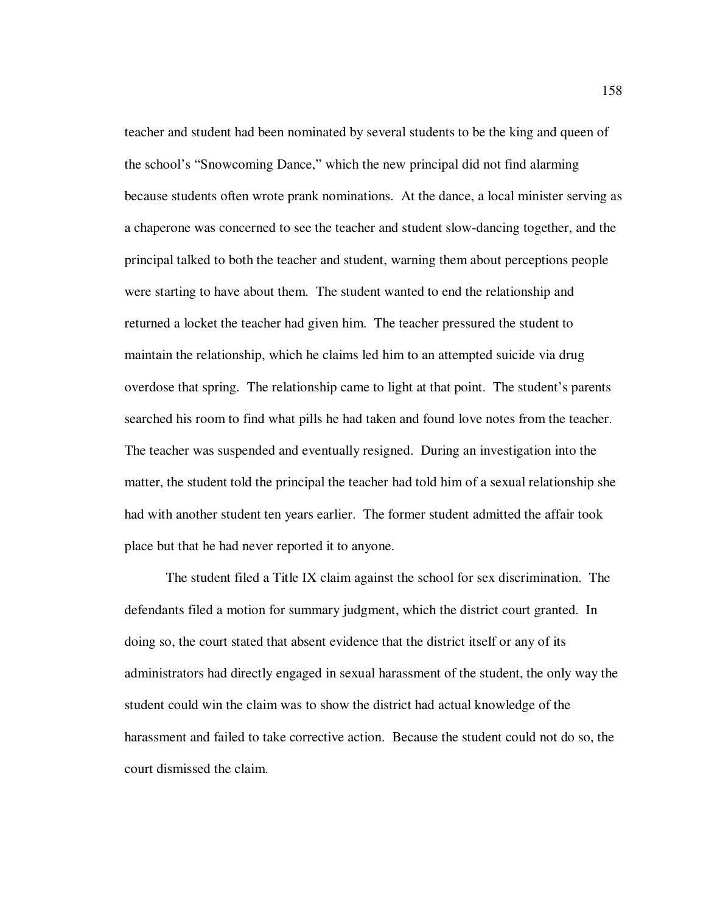teacher and student had been nominated by several students to be the king and queen of the school's "Snowcoming Dance," which the new principal did not find alarming because students often wrote prank nominations. At the dance, a local minister serving as a chaperone was concerned to see the teacher and student slow-dancing together, and the principal talked to both the teacher and student, warning them about perceptions people were starting to have about them. The student wanted to end the relationship and returned a locket the teacher had given him. The teacher pressured the student to maintain the relationship, which he claims led him to an attempted suicide via drug overdose that spring. The relationship came to light at that point. The student's parents searched his room to find what pills he had taken and found love notes from the teacher. The teacher was suspended and eventually resigned. During an investigation into the matter, the student told the principal the teacher had told him of a sexual relationship she had with another student ten years earlier. The former student admitted the affair took place but that he had never reported it to anyone.

The student filed a Title IX claim against the school for sex discrimination. The defendants filed a motion for summary judgment, which the district court granted. In doing so, the court stated that absent evidence that the district itself or any of its administrators had directly engaged in sexual harassment of the student, the only way the student could win the claim was to show the district had actual knowledge of the harassment and failed to take corrective action. Because the student could not do so, the court dismissed the claim.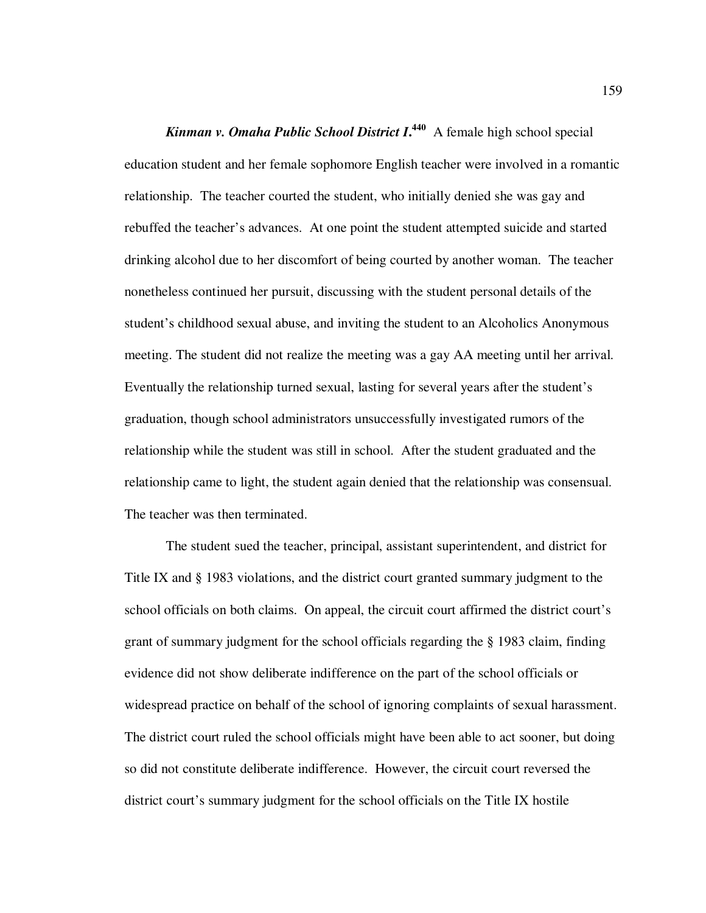*Kinman v. Omaha Public School District I***. <sup>440</sup>** A female high school special education student and her female sophomore English teacher were involved in a romantic relationship. The teacher courted the student, who initially denied she was gay and rebuffed the teacher's advances. At one point the student attempted suicide and started drinking alcohol due to her discomfort of being courted by another woman. The teacher nonetheless continued her pursuit, discussing with the student personal details of the student's childhood sexual abuse, and inviting the student to an Alcoholics Anonymous meeting. The student did not realize the meeting was a gay AA meeting until her arrival. Eventually the relationship turned sexual, lasting for several years after the student's graduation, though school administrators unsuccessfully investigated rumors of the relationship while the student was still in school. After the student graduated and the relationship came to light, the student again denied that the relationship was consensual. The teacher was then terminated.

The student sued the teacher, principal, assistant superintendent, and district for Title IX and § 1983 violations, and the district court granted summary judgment to the school officials on both claims. On appeal, the circuit court affirmed the district court's grant of summary judgment for the school officials regarding the § 1983 claim, finding evidence did not show deliberate indifference on the part of the school officials or widespread practice on behalf of the school of ignoring complaints of sexual harassment. The district court ruled the school officials might have been able to act sooner, but doing so did not constitute deliberate indifference. However, the circuit court reversed the district court's summary judgment for the school officials on the Title IX hostile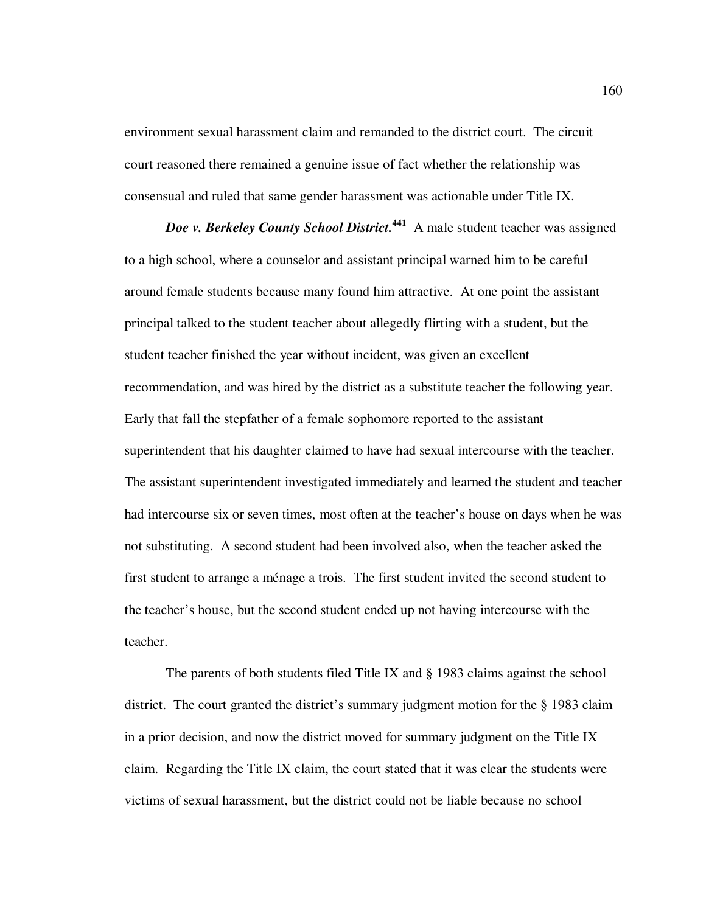environment sexual harassment claim and remanded to the district court. The circuit court reasoned there remained a genuine issue of fact whether the relationship was consensual and ruled that same gender harassment was actionable under Title IX.

*Doe v. Berkeley County School District.***<sup>441</sup>** A male student teacher was assigned to a high school, where a counselor and assistant principal warned him to be careful around female students because many found him attractive. At one point the assistant principal talked to the student teacher about allegedly flirting with a student, but the student teacher finished the year without incident, was given an excellent recommendation, and was hired by the district as a substitute teacher the following year. Early that fall the stepfather of a female sophomore reported to the assistant superintendent that his daughter claimed to have had sexual intercourse with the teacher. The assistant superintendent investigated immediately and learned the student and teacher had intercourse six or seven times, most often at the teacher's house on days when he was not substituting. A second student had been involved also, when the teacher asked the first student to arrange a ménage a trois. The first student invited the second student to the teacher's house, but the second student ended up not having intercourse with the teacher.

The parents of both students filed Title IX and § 1983 claims against the school district. The court granted the district's summary judgment motion for the § 1983 claim in a prior decision, and now the district moved for summary judgment on the Title IX claim. Regarding the Title IX claim, the court stated that it was clear the students were victims of sexual harassment, but the district could not be liable because no school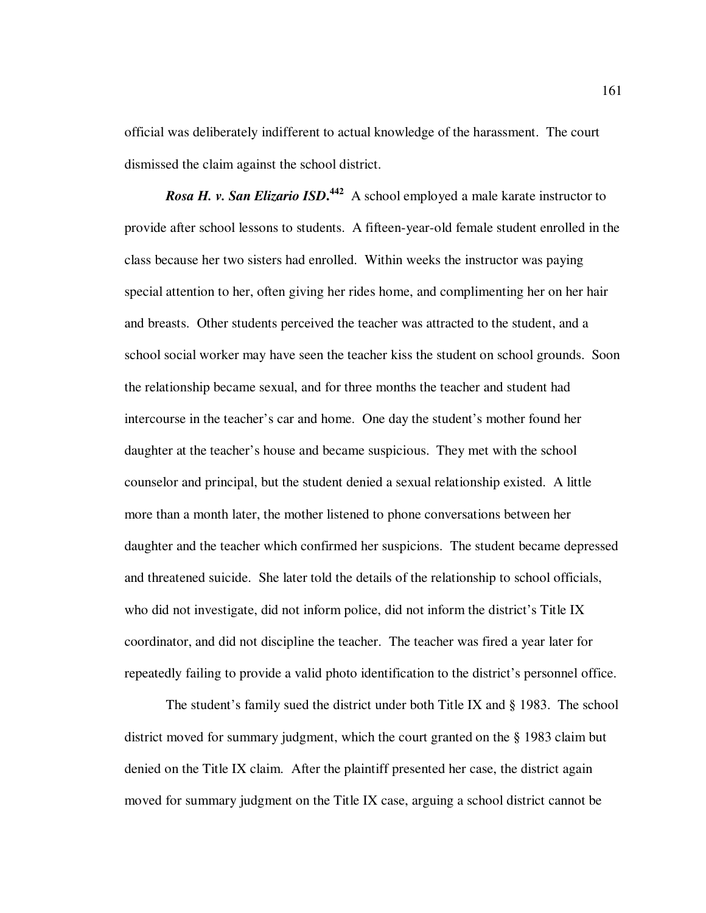official was deliberately indifferent to actual knowledge of the harassment. The court dismissed the claim against the school district.

*Rosa H. v. San Elizario ISD***. <sup>442</sup>** A school employed a male karate instructor to provide after school lessons to students. A fifteen-year-old female student enrolled in the class because her two sisters had enrolled. Within weeks the instructor was paying special attention to her, often giving her rides home, and complimenting her on her hair and breasts. Other students perceived the teacher was attracted to the student, and a school social worker may have seen the teacher kiss the student on school grounds. Soon the relationship became sexual, and for three months the teacher and student had intercourse in the teacher's car and home. One day the student's mother found her daughter at the teacher's house and became suspicious. They met with the school counselor and principal, but the student denied a sexual relationship existed. A little more than a month later, the mother listened to phone conversations between her daughter and the teacher which confirmed her suspicions. The student became depressed and threatened suicide. She later told the details of the relationship to school officials, who did not investigate, did not inform police, did not inform the district's Title IX coordinator, and did not discipline the teacher. The teacher was fired a year later for repeatedly failing to provide a valid photo identification to the district's personnel office.

The student's family sued the district under both Title IX and § 1983. The school district moved for summary judgment, which the court granted on the § 1983 claim but denied on the Title IX claim. After the plaintiff presented her case, the district again moved for summary judgment on the Title IX case, arguing a school district cannot be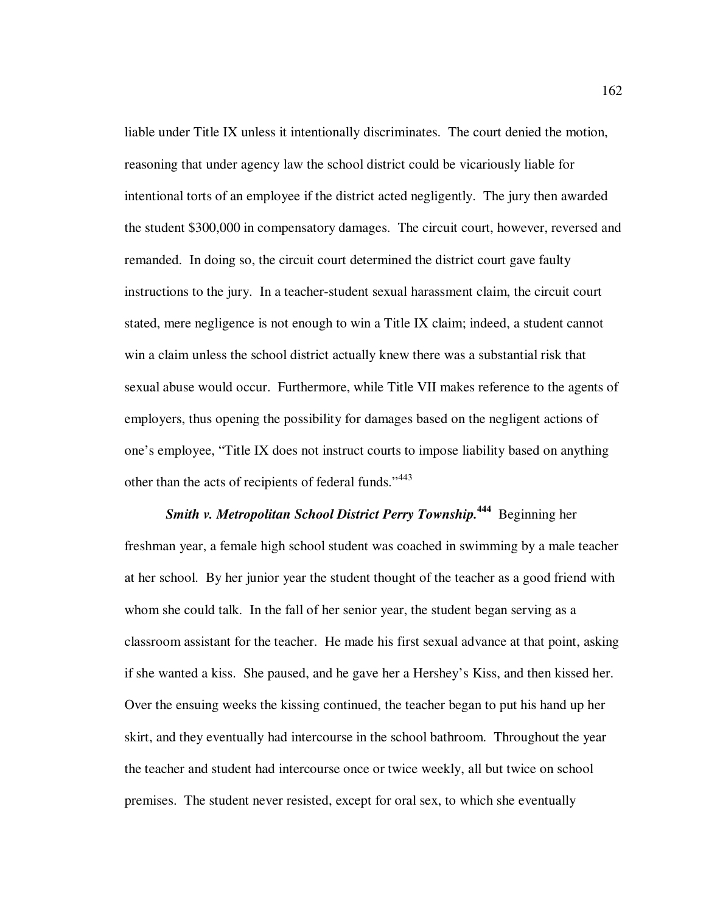liable under Title IX unless it intentionally discriminates. The court denied the motion, reasoning that under agency law the school district could be vicariously liable for intentional torts of an employee if the district acted negligently. The jury then awarded the student \$300,000 in compensatory damages. The circuit court, however, reversed and remanded. In doing so, the circuit court determined the district court gave faulty instructions to the jury. In a teacher-student sexual harassment claim, the circuit court stated, mere negligence is not enough to win a Title IX claim; indeed, a student cannot win a claim unless the school district actually knew there was a substantial risk that sexual abuse would occur. Furthermore, while Title VII makes reference to the agents of employers, thus opening the possibility for damages based on the negligent actions of one's employee, "Title IX does not instruct courts to impose liability based on anything other than the acts of recipients of federal funds."<sup>443</sup>

*Smith v. Metropolitan School District Perry Township.***<sup>444</sup>** Beginning her freshman year, a female high school student was coached in swimming by a male teacher at her school. By her junior year the student thought of the teacher as a good friend with whom she could talk. In the fall of her senior year, the student began serving as a classroom assistant for the teacher. He made his first sexual advance at that point, asking if she wanted a kiss. She paused, and he gave her a Hershey's Kiss, and then kissed her. Over the ensuing weeks the kissing continued, the teacher began to put his hand up her skirt, and they eventually had intercourse in the school bathroom. Throughout the year the teacher and student had intercourse once or twice weekly, all but twice on school premises. The student never resisted, except for oral sex, to which she eventually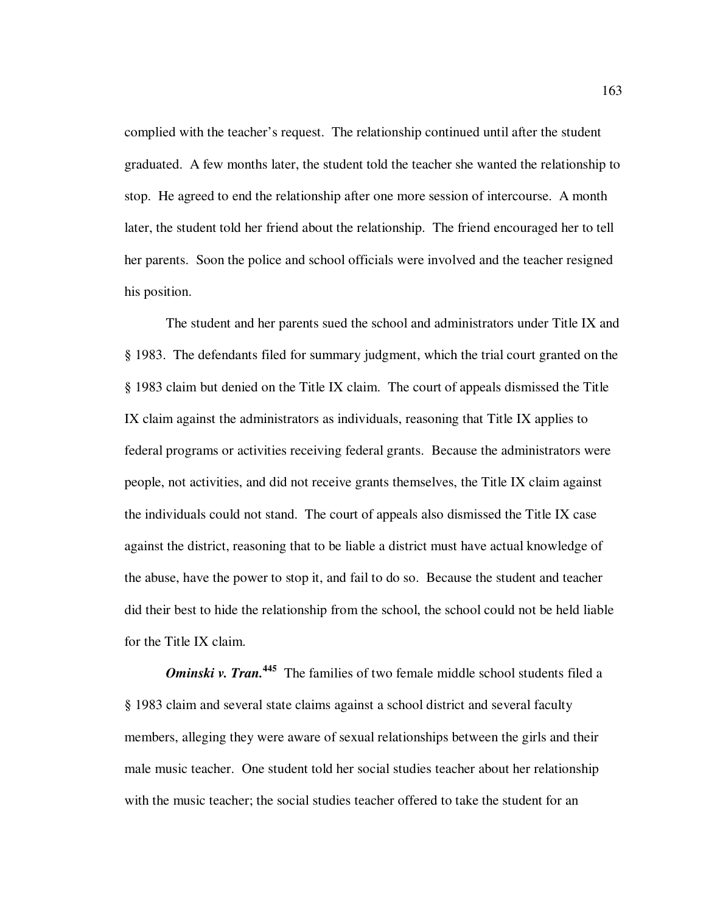complied with the teacher's request. The relationship continued until after the student graduated. A few months later, the student told the teacher she wanted the relationship to stop. He agreed to end the relationship after one more session of intercourse. A month later, the student told her friend about the relationship. The friend encouraged her to tell her parents. Soon the police and school officials were involved and the teacher resigned his position.

The student and her parents sued the school and administrators under Title IX and § 1983. The defendants filed for summary judgment, which the trial court granted on the § 1983 claim but denied on the Title IX claim. The court of appeals dismissed the Title IX claim against the administrators as individuals, reasoning that Title IX applies to federal programs or activities receiving federal grants. Because the administrators were people, not activities, and did not receive grants themselves, the Title IX claim against the individuals could not stand. The court of appeals also dismissed the Title IX case against the district, reasoning that to be liable a district must have actual knowledge of the abuse, have the power to stop it, and fail to do so. Because the student and teacher did their best to hide the relationship from the school, the school could not be held liable for the Title IX claim.

*Ominski v. Tran.*<sup>445</sup> The families of two female middle school students filed a § 1983 claim and several state claims against a school district and several faculty members, alleging they were aware of sexual relationships between the girls and their male music teacher. One student told her social studies teacher about her relationship with the music teacher; the social studies teacher offered to take the student for an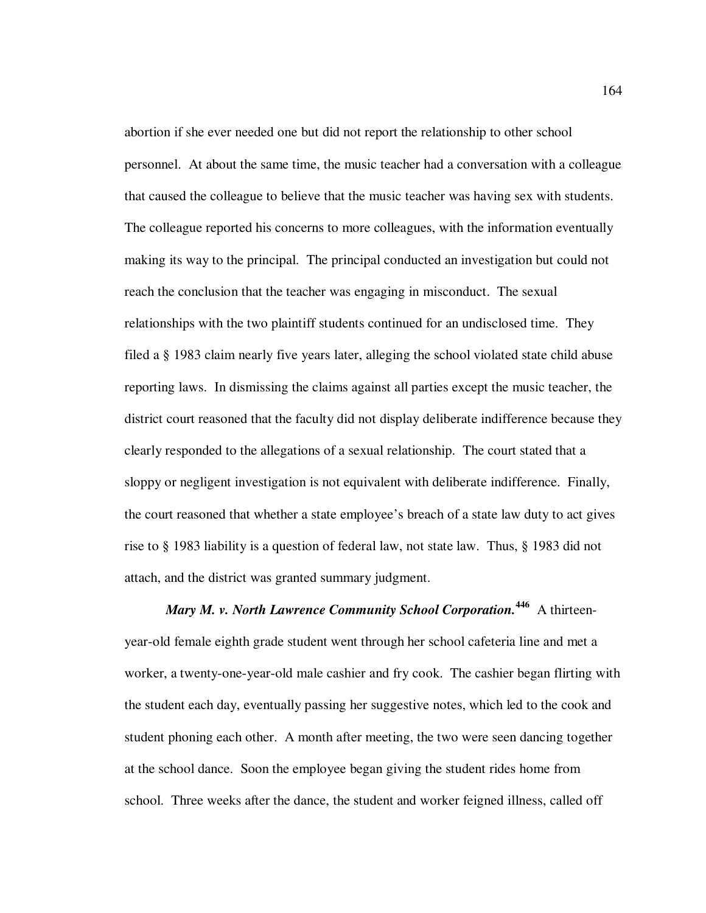abortion if she ever needed one but did not report the relationship to other school personnel. At about the same time, the music teacher had a conversation with a colleague that caused the colleague to believe that the music teacher was having sex with students. The colleague reported his concerns to more colleagues, with the information eventually making its way to the principal. The principal conducted an investigation but could not reach the conclusion that the teacher was engaging in misconduct. The sexual relationships with the two plaintiff students continued for an undisclosed time. They filed a § 1983 claim nearly five years later, alleging the school violated state child abuse reporting laws. In dismissing the claims against all parties except the music teacher, the district court reasoned that the faculty did not display deliberate indifference because they clearly responded to the allegations of a sexual relationship. The court stated that a sloppy or negligent investigation is not equivalent with deliberate indifference. Finally, the court reasoned that whether a state employee's breach of a state law duty to act gives rise to § 1983 liability is a question of federal law, not state law. Thus, § 1983 did not attach, and the district was granted summary judgment.

*Mary M. v. North Lawrence Community School Corporation.***<sup>446</sup>** A thirteenyear-old female eighth grade student went through her school cafeteria line and met a worker, a twenty-one-year-old male cashier and fry cook. The cashier began flirting with the student each day, eventually passing her suggestive notes, which led to the cook and student phoning each other. A month after meeting, the two were seen dancing together at the school dance. Soon the employee began giving the student rides home from school. Three weeks after the dance, the student and worker feigned illness, called off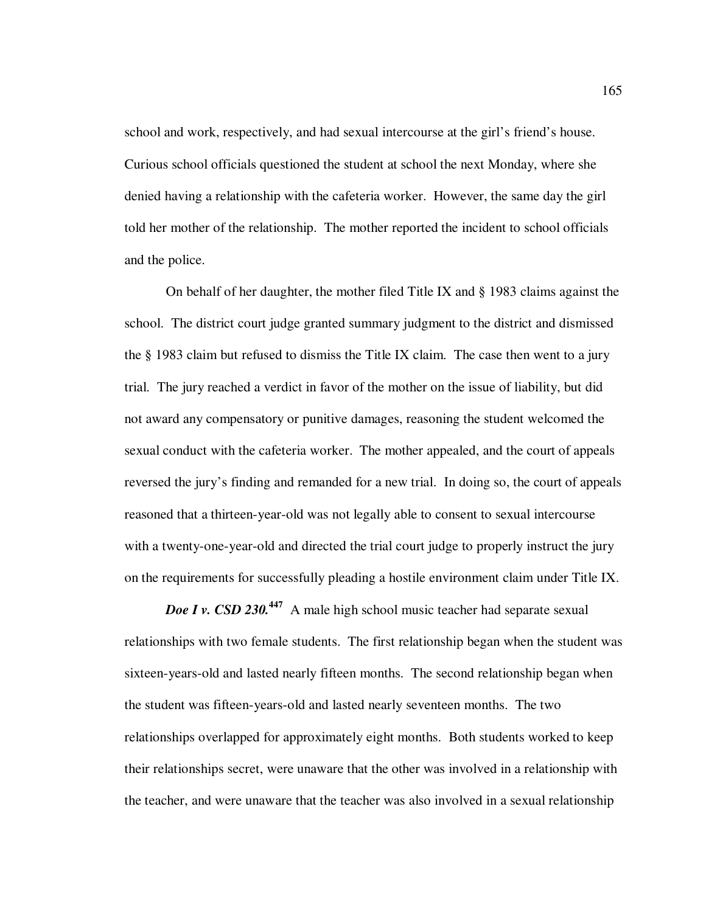school and work, respectively, and had sexual intercourse at the girl's friend's house. Curious school officials questioned the student at school the next Monday, where she denied having a relationship with the cafeteria worker. However, the same day the girl told her mother of the relationship. The mother reported the incident to school officials and the police.

On behalf of her daughter, the mother filed Title IX and § 1983 claims against the school. The district court judge granted summary judgment to the district and dismissed the § 1983 claim but refused to dismiss the Title IX claim. The case then went to a jury trial. The jury reached a verdict in favor of the mother on the issue of liability, but did not award any compensatory or punitive damages, reasoning the student welcomed the sexual conduct with the cafeteria worker. The mother appealed, and the court of appeals reversed the jury's finding and remanded for a new trial. In doing so, the court of appeals reasoned that a thirteen-year-old was not legally able to consent to sexual intercourse with a twenty-one-year-old and directed the trial court judge to properly instruct the jury on the requirements for successfully pleading a hostile environment claim under Title IX.

*Doe I v. CSD 230.*<sup>447</sup> A male high school music teacher had separate sexual relationships with two female students. The first relationship began when the student was sixteen-years-old and lasted nearly fifteen months. The second relationship began when the student was fifteen-years-old and lasted nearly seventeen months. The two relationships overlapped for approximately eight months. Both students worked to keep their relationships secret, were unaware that the other was involved in a relationship with the teacher, and were unaware that the teacher was also involved in a sexual relationship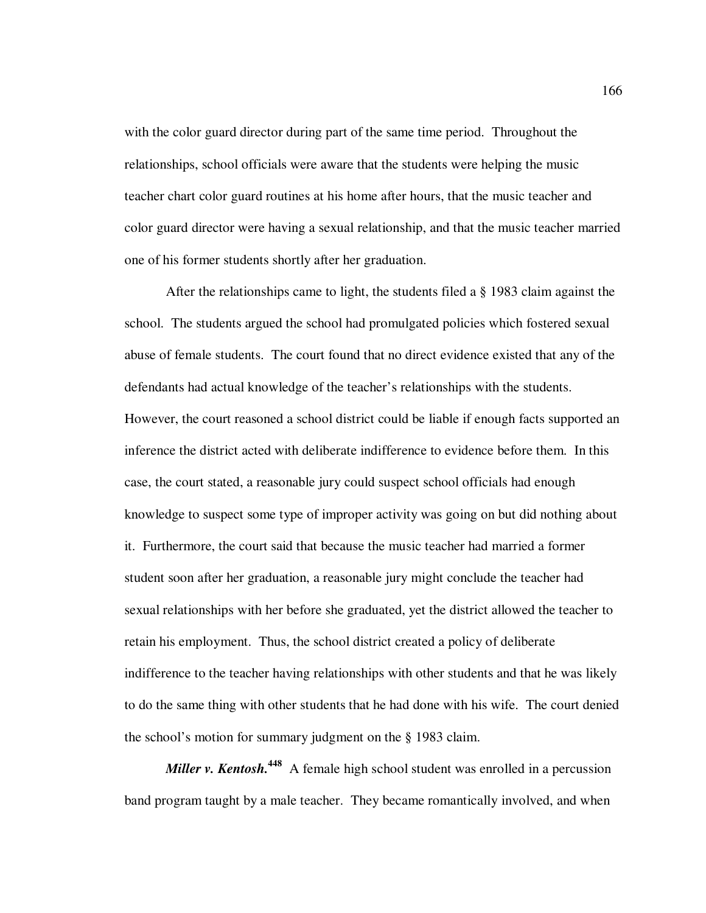with the color guard director during part of the same time period. Throughout the relationships, school officials were aware that the students were helping the music teacher chart color guard routines at his home after hours, that the music teacher and color guard director were having a sexual relationship, and that the music teacher married one of his former students shortly after her graduation.

After the relationships came to light, the students filed a § 1983 claim against the school. The students argued the school had promulgated policies which fostered sexual abuse of female students. The court found that no direct evidence existed that any of the defendants had actual knowledge of the teacher's relationships with the students. However, the court reasoned a school district could be liable if enough facts supported an inference the district acted with deliberate indifference to evidence before them. In this case, the court stated, a reasonable jury could suspect school officials had enough knowledge to suspect some type of improper activity was going on but did nothing about it. Furthermore, the court said that because the music teacher had married a former student soon after her graduation, a reasonable jury might conclude the teacher had sexual relationships with her before she graduated, yet the district allowed the teacher to retain his employment. Thus, the school district created a policy of deliberate indifference to the teacher having relationships with other students and that he was likely to do the same thing with other students that he had done with his wife. The court denied the school's motion for summary judgment on the § 1983 claim.

*Miller v. Kentosh.***<sup>448</sup>** A female high school student was enrolled in a percussion band program taught by a male teacher. They became romantically involved, and when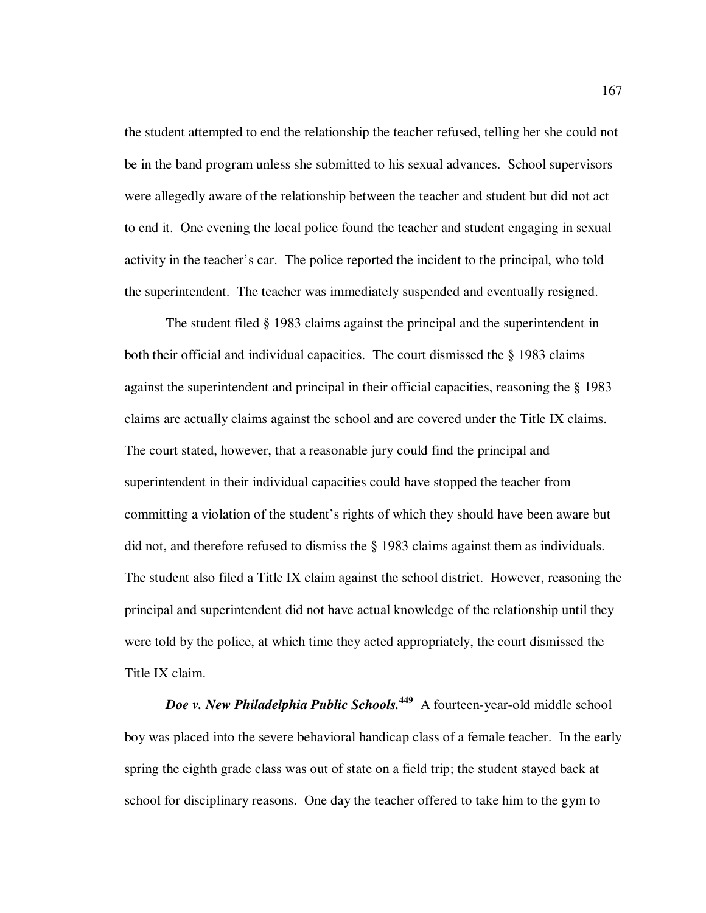the student attempted to end the relationship the teacher refused, telling her she could not be in the band program unless she submitted to his sexual advances. School supervisors were allegedly aware of the relationship between the teacher and student but did not act to end it. One evening the local police found the teacher and student engaging in sexual activity in the teacher's car. The police reported the incident to the principal, who told the superintendent. The teacher was immediately suspended and eventually resigned.

The student filed § 1983 claims against the principal and the superintendent in both their official and individual capacities. The court dismissed the § 1983 claims against the superintendent and principal in their official capacities, reasoning the § 1983 claims are actually claims against the school and are covered under the Title IX claims. The court stated, however, that a reasonable jury could find the principal and superintendent in their individual capacities could have stopped the teacher from committing a violation of the student's rights of which they should have been aware but did not, and therefore refused to dismiss the § 1983 claims against them as individuals. The student also filed a Title IX claim against the school district. However, reasoning the principal and superintendent did not have actual knowledge of the relationship until they were told by the police, at which time they acted appropriately, the court dismissed the Title IX claim.

*Doe v. New Philadelphia Public Schools.***<sup>449</sup>** A fourteen-year-old middle school boy was placed into the severe behavioral handicap class of a female teacher. In the early spring the eighth grade class was out of state on a field trip; the student stayed back at school for disciplinary reasons. One day the teacher offered to take him to the gym to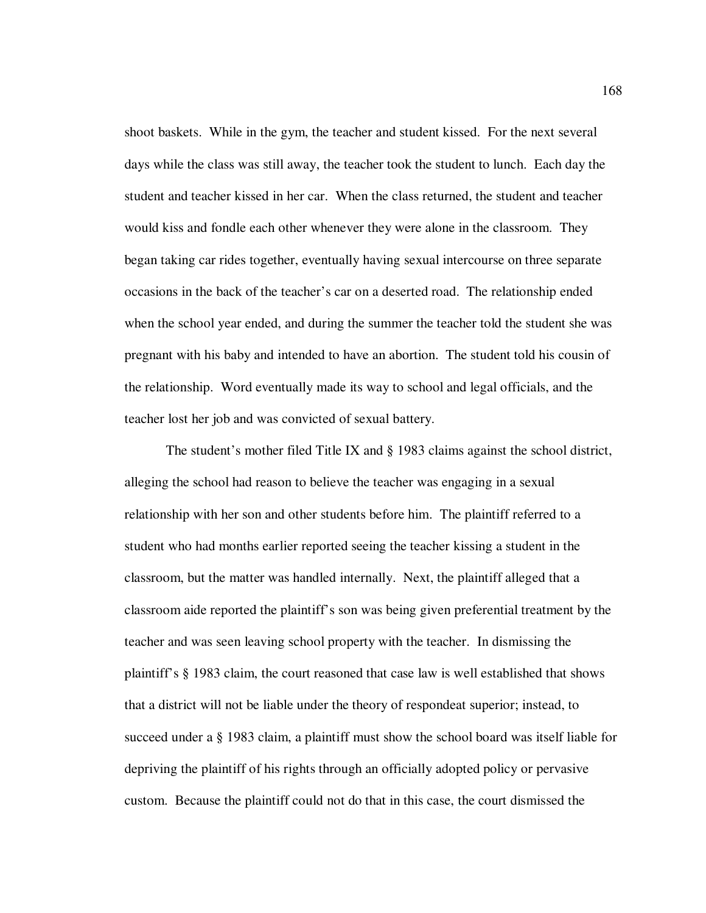shoot baskets. While in the gym, the teacher and student kissed. For the next several days while the class was still away, the teacher took the student to lunch. Each day the student and teacher kissed in her car. When the class returned, the student and teacher would kiss and fondle each other whenever they were alone in the classroom. They began taking car rides together, eventually having sexual intercourse on three separate occasions in the back of the teacher's car on a deserted road. The relationship ended when the school year ended, and during the summer the teacher told the student she was pregnant with his baby and intended to have an abortion. The student told his cousin of the relationship. Word eventually made its way to school and legal officials, and the teacher lost her job and was convicted of sexual battery.

The student's mother filed Title IX and § 1983 claims against the school district, alleging the school had reason to believe the teacher was engaging in a sexual relationship with her son and other students before him. The plaintiff referred to a student who had months earlier reported seeing the teacher kissing a student in the classroom, but the matter was handled internally. Next, the plaintiff alleged that a classroom aide reported the plaintiff's son was being given preferential treatment by the teacher and was seen leaving school property with the teacher. In dismissing the plaintiff's § 1983 claim, the court reasoned that case law is well established that shows that a district will not be liable under the theory of respondeat superior; instead, to succeed under a § 1983 claim, a plaintiff must show the school board was itself liable for depriving the plaintiff of his rights through an officially adopted policy or pervasive custom. Because the plaintiff could not do that in this case, the court dismissed the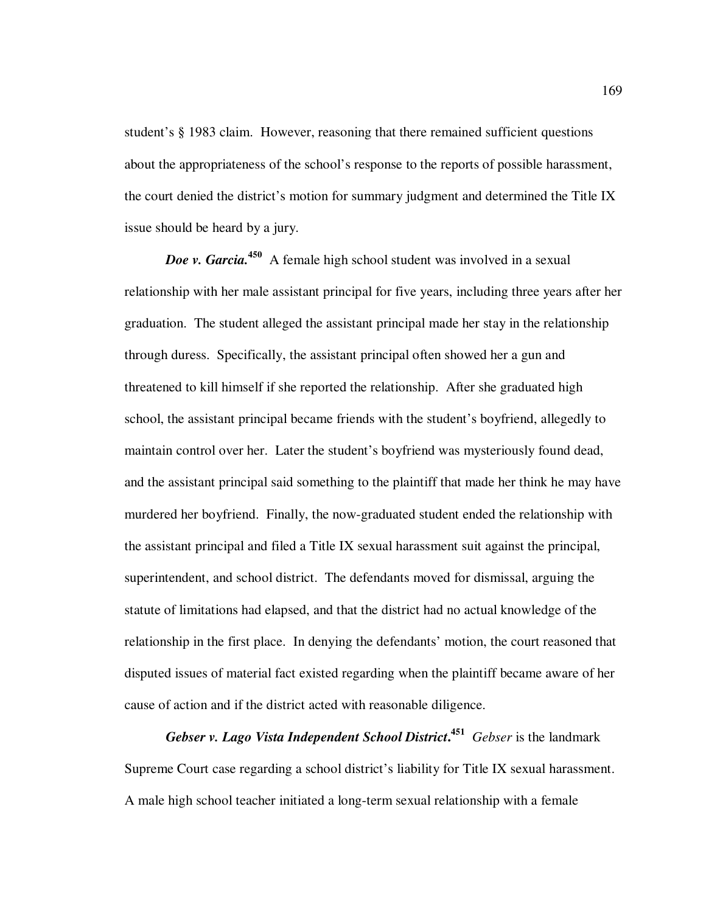student's § 1983 claim. However, reasoning that there remained sufficient questions about the appropriateness of the school's response to the reports of possible harassment, the court denied the district's motion for summary judgment and determined the Title IX issue should be heard by a jury.

*Doe v. Garcia.*<sup>450</sup> A female high school student was involved in a sexual relationship with her male assistant principal for five years, including three years after her graduation. The student alleged the assistant principal made her stay in the relationship through duress. Specifically, the assistant principal often showed her a gun and threatened to kill himself if she reported the relationship. After she graduated high school, the assistant principal became friends with the student's boyfriend, allegedly to maintain control over her. Later the student's boyfriend was mysteriously found dead, and the assistant principal said something to the plaintiff that made her think he may have murdered her boyfriend. Finally, the now-graduated student ended the relationship with the assistant principal and filed a Title IX sexual harassment suit against the principal, superintendent, and school district. The defendants moved for dismissal, arguing the statute of limitations had elapsed, and that the district had no actual knowledge of the relationship in the first place. In denying the defendants' motion, the court reasoned that disputed issues of material fact existed regarding when the plaintiff became aware of her cause of action and if the district acted with reasonable diligence.

*Gebser v. Lago Vista Independent School District***. <sup>451</sup>** *Gebser* is the landmark Supreme Court case regarding a school district's liability for Title IX sexual harassment. A male high school teacher initiated a long-term sexual relationship with a female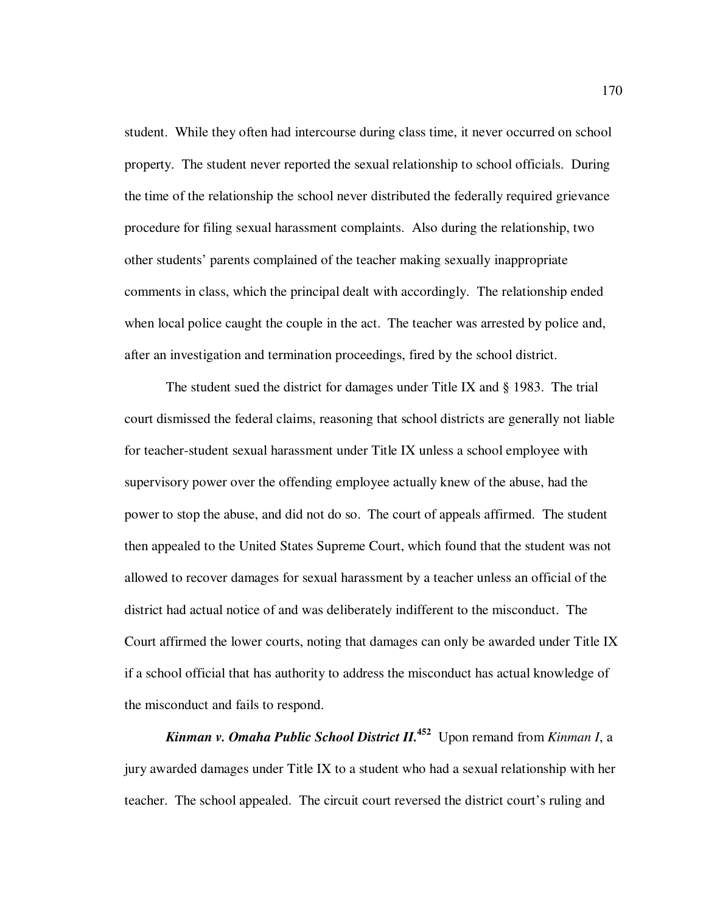student. While they often had intercourse during class time, it never occurred on school property. The student never reported the sexual relationship to school officials. During the time of the relationship the school never distributed the federally required grievance procedure for filing sexual harassment complaints. Also during the relationship, two other students' parents complained of the teacher making sexually inappropriate comments in class, which the principal dealt with accordingly. The relationship ended when local police caught the couple in the act. The teacher was arrested by police and, after an investigation and termination proceedings, fired by the school district.

The student sued the district for damages under Title IX and § 1983. The trial court dismissed the federal claims, reasoning that school districts are generally not liable for teacher-student sexual harassment under Title IX unless a school employee with supervisory power over the offending employee actually knew of the abuse, had the power to stop the abuse, and did not do so. The court of appeals affirmed. The student then appealed to the United States Supreme Court, which found that the student was not allowed to recover damages for sexual harassment by a teacher unless an official of the district had actual notice of and was deliberately indifferent to the misconduct. The Court affirmed the lower courts, noting that damages can only be awarded under Title IX if a school official that has authority to address the misconduct has actual knowledge of the misconduct and fails to respond.

*Kinman v. Omaha Public School District II.***<sup>452</sup>** Upon remand from *Kinman I*, a jury awarded damages under Title IX to a student who had a sexual relationship with her teacher. The school appealed. The circuit court reversed the district court's ruling and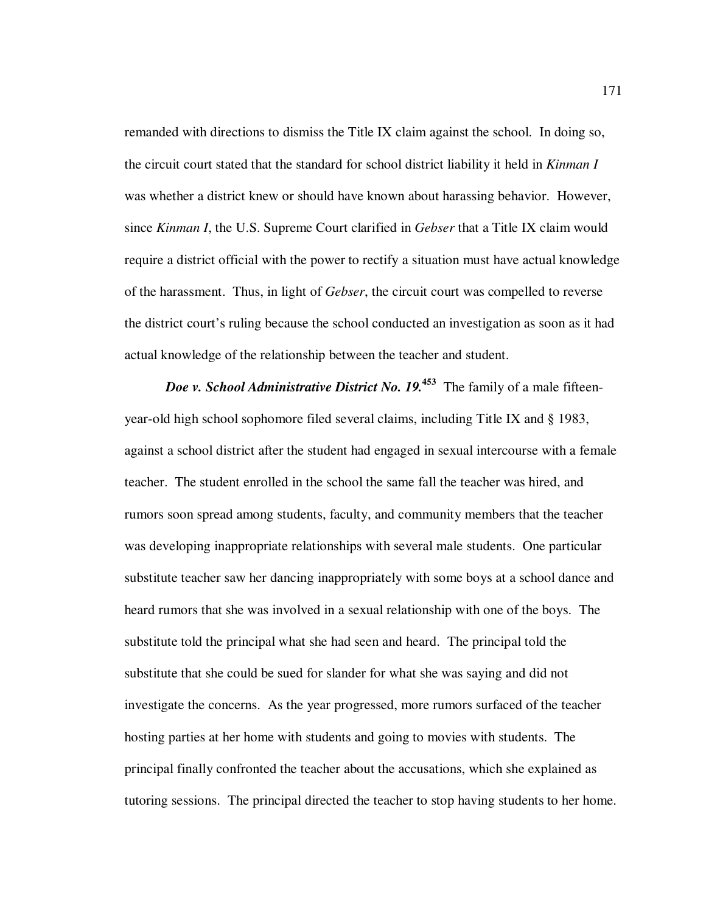remanded with directions to dismiss the Title IX claim against the school. In doing so, the circuit court stated that the standard for school district liability it held in *Kinman I* was whether a district knew or should have known about harassing behavior. However, since *Kinman I*, the U.S. Supreme Court clarified in *Gebser* that a Title IX claim would require a district official with the power to rectify a situation must have actual knowledge of the harassment. Thus, in light of *Gebser*, the circuit court was compelled to reverse the district court's ruling because the school conducted an investigation as soon as it had actual knowledge of the relationship between the teacher and student.

*Doe v. School Administrative District No. 19.*<sup>453</sup> The family of a male fifteenyear-old high school sophomore filed several claims, including Title IX and § 1983, against a school district after the student had engaged in sexual intercourse with a female teacher. The student enrolled in the school the same fall the teacher was hired, and rumors soon spread among students, faculty, and community members that the teacher was developing inappropriate relationships with several male students. One particular substitute teacher saw her dancing inappropriately with some boys at a school dance and heard rumors that she was involved in a sexual relationship with one of the boys. The substitute told the principal what she had seen and heard. The principal told the substitute that she could be sued for slander for what she was saying and did not investigate the concerns. As the year progressed, more rumors surfaced of the teacher hosting parties at her home with students and going to movies with students. The principal finally confronted the teacher about the accusations, which she explained as tutoring sessions. The principal directed the teacher to stop having students to her home.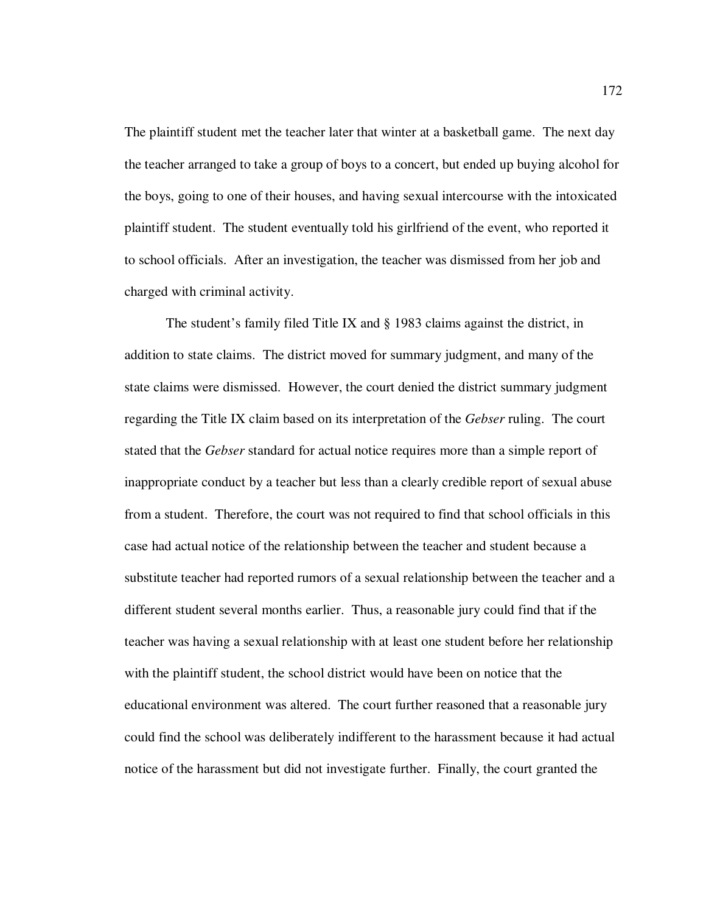The plaintiff student met the teacher later that winter at a basketball game. The next day the teacher arranged to take a group of boys to a concert, but ended up buying alcohol for the boys, going to one of their houses, and having sexual intercourse with the intoxicated plaintiff student. The student eventually told his girlfriend of the event, who reported it to school officials. After an investigation, the teacher was dismissed from her job and charged with criminal activity.

The student's family filed Title IX and § 1983 claims against the district, in addition to state claims. The district moved for summary judgment, and many of the state claims were dismissed. However, the court denied the district summary judgment regarding the Title IX claim based on its interpretation of the *Gebser* ruling. The court stated that the *Gebser* standard for actual notice requires more than a simple report of inappropriate conduct by a teacher but less than a clearly credible report of sexual abuse from a student. Therefore, the court was not required to find that school officials in this case had actual notice of the relationship between the teacher and student because a substitute teacher had reported rumors of a sexual relationship between the teacher and a different student several months earlier. Thus, a reasonable jury could find that if the teacher was having a sexual relationship with at least one student before her relationship with the plaintiff student, the school district would have been on notice that the educational environment was altered. The court further reasoned that a reasonable jury could find the school was deliberately indifferent to the harassment because it had actual notice of the harassment but did not investigate further. Finally, the court granted the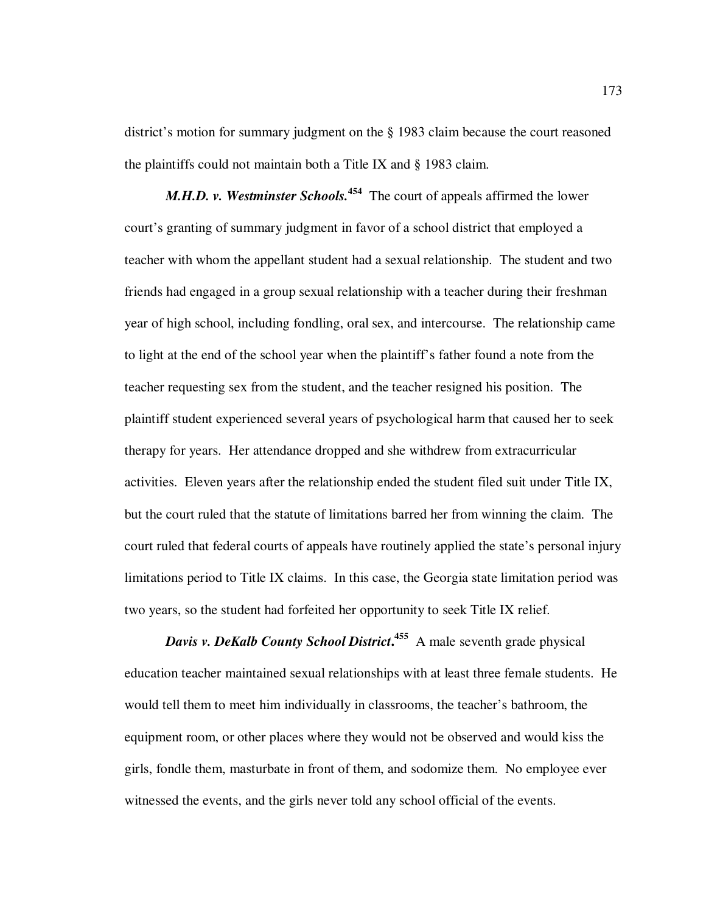district's motion for summary judgment on the § 1983 claim because the court reasoned the plaintiffs could not maintain both a Title IX and § 1983 claim.

*M.H.D. v. Westminster Schools.*<sup>454</sup> The court of appeals affirmed the lower court's granting of summary judgment in favor of a school district that employed a teacher with whom the appellant student had a sexual relationship. The student and two friends had engaged in a group sexual relationship with a teacher during their freshman year of high school, including fondling, oral sex, and intercourse. The relationship came to light at the end of the school year when the plaintiff's father found a note from the teacher requesting sex from the student, and the teacher resigned his position. The plaintiff student experienced several years of psychological harm that caused her to seek therapy for years. Her attendance dropped and she withdrew from extracurricular activities. Eleven years after the relationship ended the student filed suit under Title IX, but the court ruled that the statute of limitations barred her from winning the claim. The court ruled that federal courts of appeals have routinely applied the state's personal injury limitations period to Title IX claims. In this case, the Georgia state limitation period was two years, so the student had forfeited her opportunity to seek Title IX relief.

*Davis v. DeKalb County School District***. <sup>455</sup>** A male seventh grade physical education teacher maintained sexual relationships with at least three female students. He would tell them to meet him individually in classrooms, the teacher's bathroom, the equipment room, or other places where they would not be observed and would kiss the girls, fondle them, masturbate in front of them, and sodomize them. No employee ever witnessed the events, and the girls never told any school official of the events.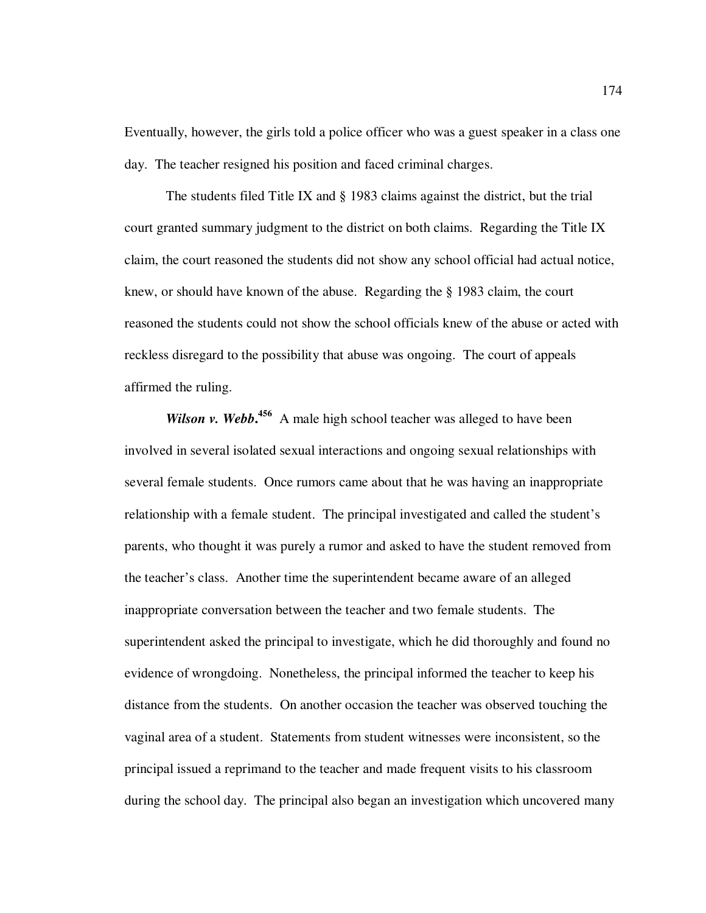Eventually, however, the girls told a police officer who was a guest speaker in a class one day. The teacher resigned his position and faced criminal charges.

The students filed Title IX and § 1983 claims against the district, but the trial court granted summary judgment to the district on both claims. Regarding the Title IX claim, the court reasoned the students did not show any school official had actual notice, knew, or should have known of the abuse. Regarding the § 1983 claim, the court reasoned the students could not show the school officials knew of the abuse or acted with reckless disregard to the possibility that abuse was ongoing. The court of appeals affirmed the ruling.

Wilson v. Webb.<sup>456</sup> A male high school teacher was alleged to have been involved in several isolated sexual interactions and ongoing sexual relationships with several female students. Once rumors came about that he was having an inappropriate relationship with a female student. The principal investigated and called the student's parents, who thought it was purely a rumor and asked to have the student removed from the teacher's class. Another time the superintendent became aware of an alleged inappropriate conversation between the teacher and two female students. The superintendent asked the principal to investigate, which he did thoroughly and found no evidence of wrongdoing. Nonetheless, the principal informed the teacher to keep his distance from the students. On another occasion the teacher was observed touching the vaginal area of a student. Statements from student witnesses were inconsistent, so the principal issued a reprimand to the teacher and made frequent visits to his classroom during the school day. The principal also began an investigation which uncovered many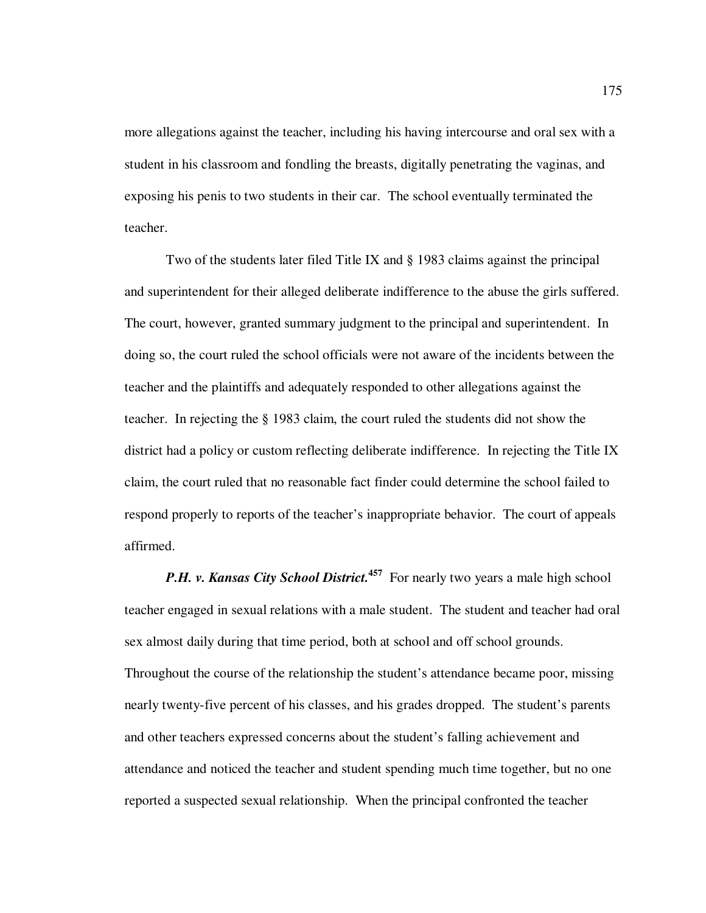more allegations against the teacher, including his having intercourse and oral sex with a student in his classroom and fondling the breasts, digitally penetrating the vaginas, and exposing his penis to two students in their car. The school eventually terminated the teacher.

Two of the students later filed Title IX and § 1983 claims against the principal and superintendent for their alleged deliberate indifference to the abuse the girls suffered. The court, however, granted summary judgment to the principal and superintendent. In doing so, the court ruled the school officials were not aware of the incidents between the teacher and the plaintiffs and adequately responded to other allegations against the teacher. In rejecting the § 1983 claim, the court ruled the students did not show the district had a policy or custom reflecting deliberate indifference. In rejecting the Title IX claim, the court ruled that no reasonable fact finder could determine the school failed to respond properly to reports of the teacher's inappropriate behavior. The court of appeals affirmed.

*P.H. v. Kansas City School District.*<sup>457</sup> For nearly two years a male high school teacher engaged in sexual relations with a male student. The student and teacher had oral sex almost daily during that time period, both at school and off school grounds. Throughout the course of the relationship the student's attendance became poor, missing nearly twenty-five percent of his classes, and his grades dropped. The student's parents and other teachers expressed concerns about the student's falling achievement and attendance and noticed the teacher and student spending much time together, but no one reported a suspected sexual relationship. When the principal confronted the teacher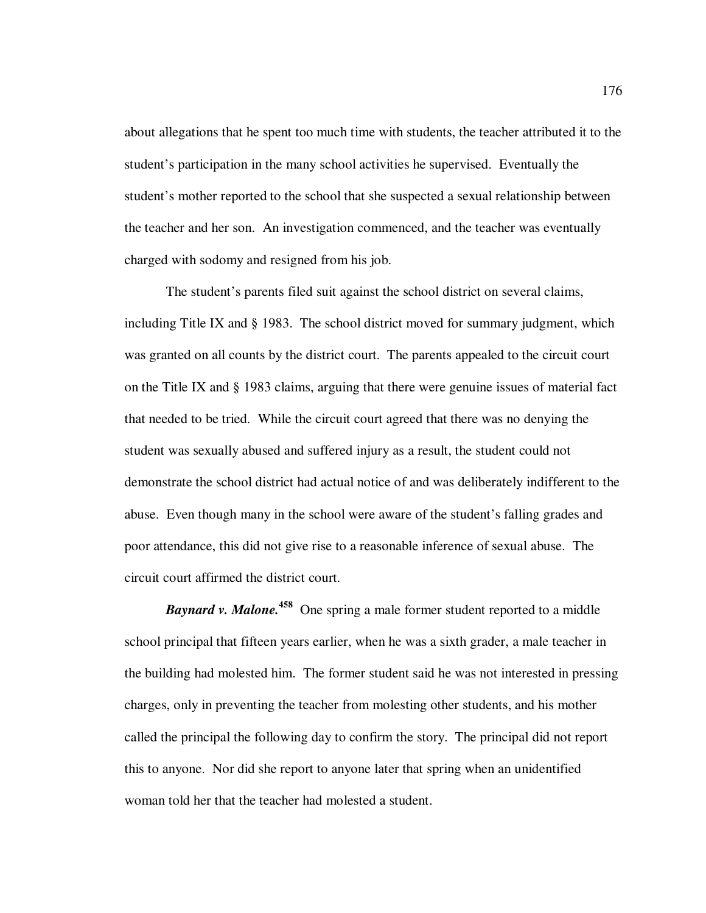about allegations that he spent too much time with students, the teacher attributed it to the student's participation in the many school activities he supervised. Eventually the student's mother reported to the school that she suspected a sexual relationship between the teacher and her son. An investigation commenced, and the teacher was eventually charged with sodomy and resigned from his job.

The student's parents filed suit against the school district on several claims, including Title IX and § 1983. The school district moved for summary judgment, which was granted on all counts by the district court. The parents appealed to the circuit court on the Title IX and § 1983 claims, arguing that there were genuine issues of material fact that needed to be tried. While the circuit court agreed that there was no denying the student was sexually abused and suffered injury as a result, the student could not demonstrate the school district had actual notice of and was deliberately indifferent to the abuse. Even though many in the school were aware of the student's falling grades and poor attendance, this did not give rise to a reasonable inference of sexual abuse. The circuit court affirmed the district court.

*Baynard v. Malone.***<sup>458</sup>** One spring a male former student reported to a middle school principal that fifteen years earlier, when he was a sixth grader, a male teacher in the building had molested him. The former student said he was not interested in pressing charges, only in preventing the teacher from molesting other students, and his mother called the principal the following day to confirm the story. The principal did not report this to anyone. Nor did she report to anyone later that spring when an unidentified woman told her that the teacher had molested a student.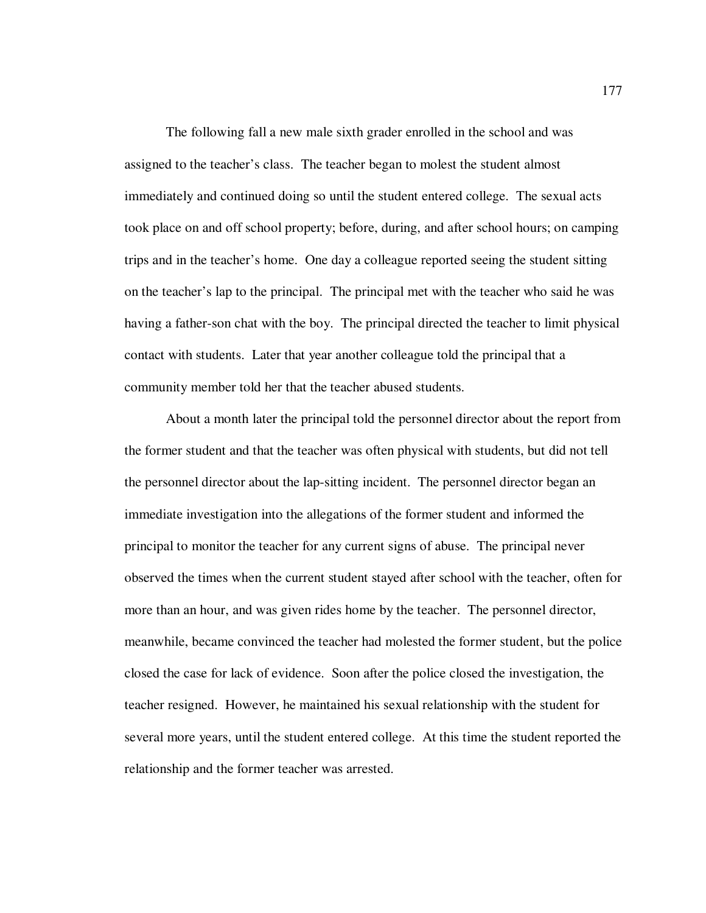The following fall a new male sixth grader enrolled in the school and was assigned to the teacher's class. The teacher began to molest the student almost immediately and continued doing so until the student entered college. The sexual acts took place on and off school property; before, during, and after school hours; on camping trips and in the teacher's home. One day a colleague reported seeing the student sitting on the teacher's lap to the principal. The principal met with the teacher who said he was having a father-son chat with the boy. The principal directed the teacher to limit physical contact with students. Later that year another colleague told the principal that a community member told her that the teacher abused students.

About a month later the principal told the personnel director about the report from the former student and that the teacher was often physical with students, but did not tell the personnel director about the lap-sitting incident. The personnel director began an immediate investigation into the allegations of the former student and informed the principal to monitor the teacher for any current signs of abuse. The principal never observed the times when the current student stayed after school with the teacher, often for more than an hour, and was given rides home by the teacher. The personnel director, meanwhile, became convinced the teacher had molested the former student, but the police closed the case for lack of evidence. Soon after the police closed the investigation, the teacher resigned. However, he maintained his sexual relationship with the student for several more years, until the student entered college. At this time the student reported the relationship and the former teacher was arrested.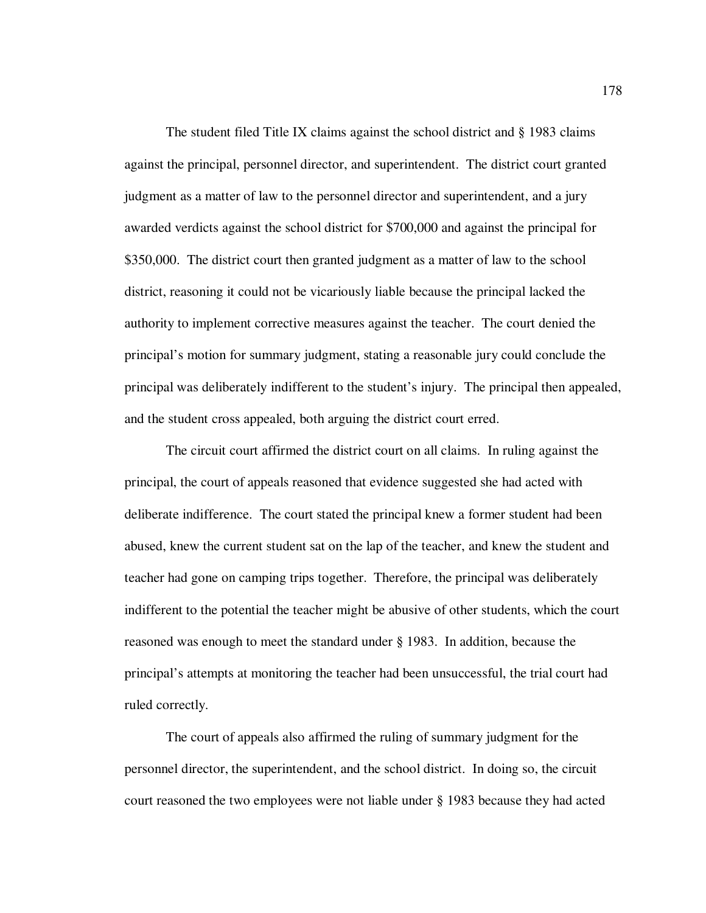The student filed Title IX claims against the school district and § 1983 claims against the principal, personnel director, and superintendent. The district court granted judgment as a matter of law to the personnel director and superintendent, and a jury awarded verdicts against the school district for \$700,000 and against the principal for \$350,000. The district court then granted judgment as a matter of law to the school district, reasoning it could not be vicariously liable because the principal lacked the authority to implement corrective measures against the teacher. The court denied the principal's motion for summary judgment, stating a reasonable jury could conclude the principal was deliberately indifferent to the student's injury. The principal then appealed, and the student cross appealed, both arguing the district court erred.

The circuit court affirmed the district court on all claims. In ruling against the principal, the court of appeals reasoned that evidence suggested she had acted with deliberate indifference. The court stated the principal knew a former student had been abused, knew the current student sat on the lap of the teacher, and knew the student and teacher had gone on camping trips together. Therefore, the principal was deliberately indifferent to the potential the teacher might be abusive of other students, which the court reasoned was enough to meet the standard under § 1983. In addition, because the principal's attempts at monitoring the teacher had been unsuccessful, the trial court had ruled correctly.

The court of appeals also affirmed the ruling of summary judgment for the personnel director, the superintendent, and the school district. In doing so, the circuit court reasoned the two employees were not liable under § 1983 because they had acted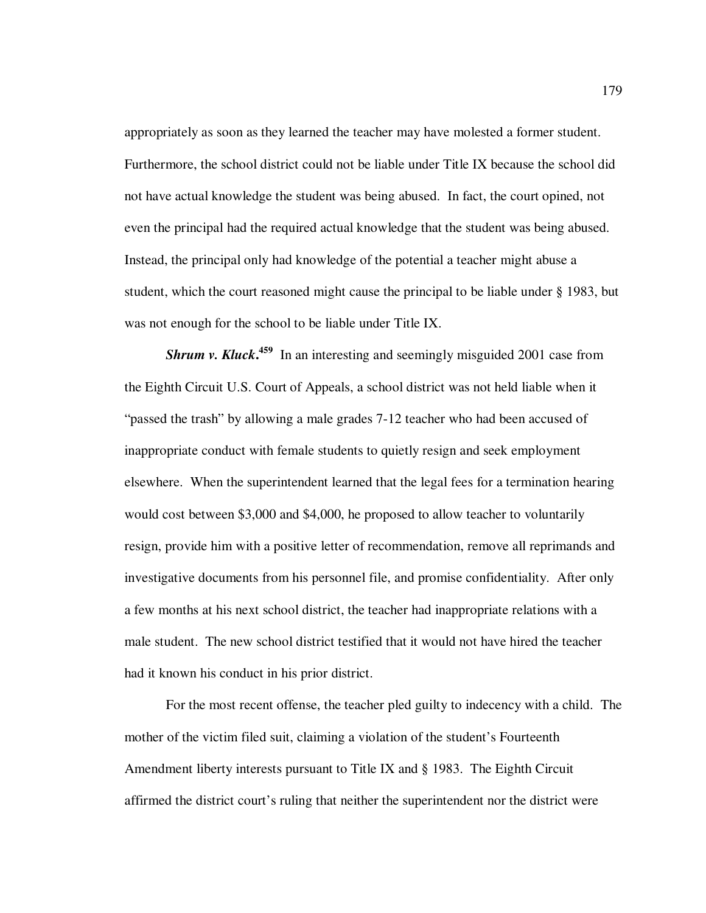appropriately as soon as they learned the teacher may have molested a former student. Furthermore, the school district could not be liable under Title IX because the school did not have actual knowledge the student was being abused. In fact, the court opined, not even the principal had the required actual knowledge that the student was being abused. Instead, the principal only had knowledge of the potential a teacher might abuse a student, which the court reasoned might cause the principal to be liable under § 1983, but was not enough for the school to be liable under Title IX.

**Shrum v. Kluck.<sup>459</sup>** In an interesting and seemingly misguided 2001 case from the Eighth Circuit U.S. Court of Appeals, a school district was not held liable when it "passed the trash" by allowing a male grades 7-12 teacher who had been accused of inappropriate conduct with female students to quietly resign and seek employment elsewhere. When the superintendent learned that the legal fees for a termination hearing would cost between \$3,000 and \$4,000, he proposed to allow teacher to voluntarily resign, provide him with a positive letter of recommendation, remove all reprimands and investigative documents from his personnel file, and promise confidentiality. After only a few months at his next school district, the teacher had inappropriate relations with a male student. The new school district testified that it would not have hired the teacher had it known his conduct in his prior district.

For the most recent offense, the teacher pled guilty to indecency with a child. The mother of the victim filed suit, claiming a violation of the student's Fourteenth Amendment liberty interests pursuant to Title IX and § 1983. The Eighth Circuit affirmed the district court's ruling that neither the superintendent nor the district were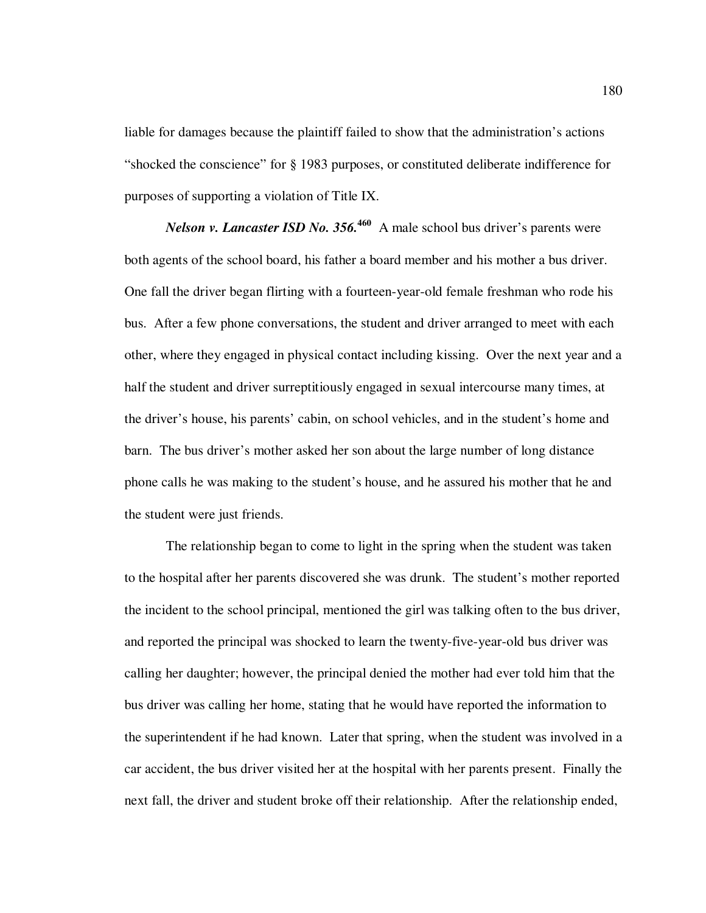liable for damages because the plaintiff failed to show that the administration's actions "shocked the conscience" for § 1983 purposes, or constituted deliberate indifference for purposes of supporting a violation of Title IX.

*Nelson v. Lancaster ISD No.* 356.<sup>460</sup> A male school bus driver's parents were both agents of the school board, his father a board member and his mother a bus driver. One fall the driver began flirting with a fourteen-year-old female freshman who rode his bus. After a few phone conversations, the student and driver arranged to meet with each other, where they engaged in physical contact including kissing. Over the next year and a half the student and driver surreptitiously engaged in sexual intercourse many times, at the driver's house, his parents' cabin, on school vehicles, and in the student's home and barn. The bus driver's mother asked her son about the large number of long distance phone calls he was making to the student's house, and he assured his mother that he and the student were just friends.

The relationship began to come to light in the spring when the student was taken to the hospital after her parents discovered she was drunk. The student's mother reported the incident to the school principal, mentioned the girl was talking often to the bus driver, and reported the principal was shocked to learn the twenty-five-year-old bus driver was calling her daughter; however, the principal denied the mother had ever told him that the bus driver was calling her home, stating that he would have reported the information to the superintendent if he had known. Later that spring, when the student was involved in a car accident, the bus driver visited her at the hospital with her parents present. Finally the next fall, the driver and student broke off their relationship. After the relationship ended,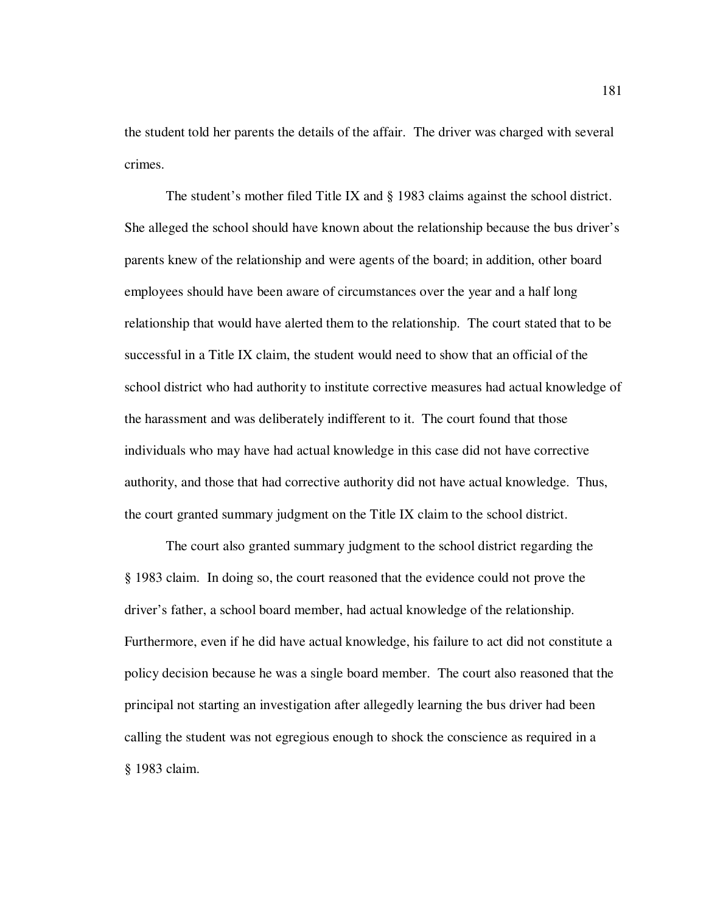the student told her parents the details of the affair. The driver was charged with several crimes.

The student's mother filed Title IX and § 1983 claims against the school district. She alleged the school should have known about the relationship because the bus driver's parents knew of the relationship and were agents of the board; in addition, other board employees should have been aware of circumstances over the year and a half long relationship that would have alerted them to the relationship. The court stated that to be successful in a Title IX claim, the student would need to show that an official of the school district who had authority to institute corrective measures had actual knowledge of the harassment and was deliberately indifferent to it. The court found that those individuals who may have had actual knowledge in this case did not have corrective authority, and those that had corrective authority did not have actual knowledge. Thus, the court granted summary judgment on the Title IX claim to the school district.

The court also granted summary judgment to the school district regarding the § 1983 claim. In doing so, the court reasoned that the evidence could not prove the driver's father, a school board member, had actual knowledge of the relationship. Furthermore, even if he did have actual knowledge, his failure to act did not constitute a policy decision because he was a single board member. The court also reasoned that the principal not starting an investigation after allegedly learning the bus driver had been calling the student was not egregious enough to shock the conscience as required in a § 1983 claim.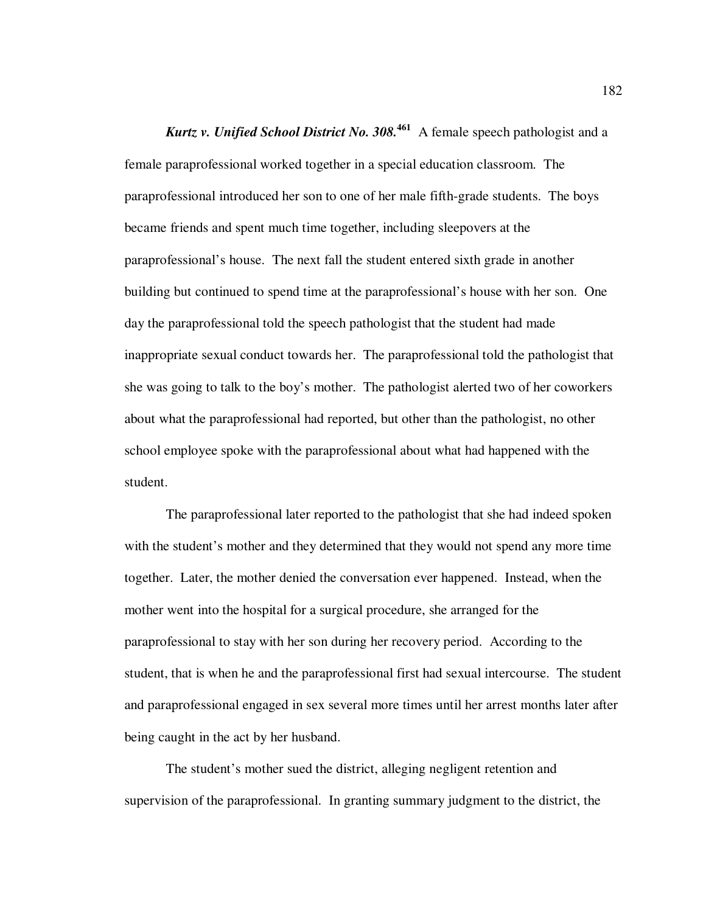*Kurtz v. Unified School District No. 308.***<sup>461</sup>** A female speech pathologist and a female paraprofessional worked together in a special education classroom. The paraprofessional introduced her son to one of her male fifth-grade students. The boys became friends and spent much time together, including sleepovers at the paraprofessional's house. The next fall the student entered sixth grade in another building but continued to spend time at the paraprofessional's house with her son. One day the paraprofessional told the speech pathologist that the student had made inappropriate sexual conduct towards her. The paraprofessional told the pathologist that she was going to talk to the boy's mother. The pathologist alerted two of her coworkers about what the paraprofessional had reported, but other than the pathologist, no other school employee spoke with the paraprofessional about what had happened with the student.

The paraprofessional later reported to the pathologist that she had indeed spoken with the student's mother and they determined that they would not spend any more time together. Later, the mother denied the conversation ever happened. Instead, when the mother went into the hospital for a surgical procedure, she arranged for the paraprofessional to stay with her son during her recovery period. According to the student, that is when he and the paraprofessional first had sexual intercourse. The student and paraprofessional engaged in sex several more times until her arrest months later after being caught in the act by her husband.

The student's mother sued the district, alleging negligent retention and supervision of the paraprofessional. In granting summary judgment to the district, the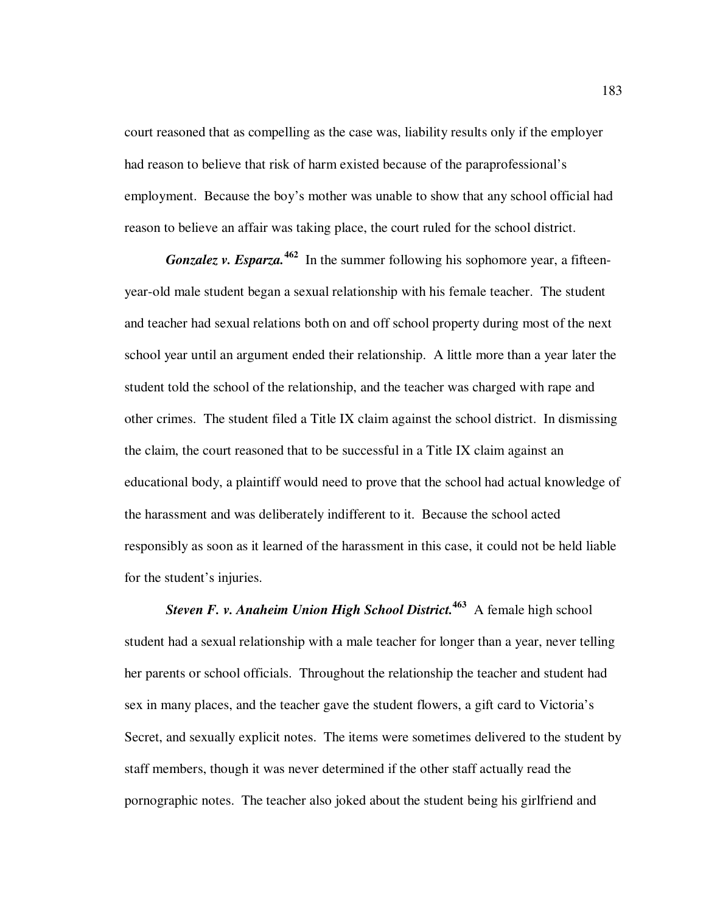court reasoned that as compelling as the case was, liability results only if the employer had reason to believe that risk of harm existed because of the paraprofessional's employment. Because the boy's mother was unable to show that any school official had reason to believe an affair was taking place, the court ruled for the school district.

*Gonzalez v. Esparza.*<sup>462</sup> In the summer following his sophomore year, a fifteenyear-old male student began a sexual relationship with his female teacher. The student and teacher had sexual relations both on and off school property during most of the next school year until an argument ended their relationship. A little more than a year later the student told the school of the relationship, and the teacher was charged with rape and other crimes. The student filed a Title IX claim against the school district. In dismissing the claim, the court reasoned that to be successful in a Title IX claim against an educational body, a plaintiff would need to prove that the school had actual knowledge of the harassment and was deliberately indifferent to it. Because the school acted responsibly as soon as it learned of the harassment in this case, it could not be held liable for the student's injuries.

*Steven F. v. Anaheim Union High School District.***<sup>463</sup>** A female high school student had a sexual relationship with a male teacher for longer than a year, never telling her parents or school officials. Throughout the relationship the teacher and student had sex in many places, and the teacher gave the student flowers, a gift card to Victoria's Secret, and sexually explicit notes. The items were sometimes delivered to the student by staff members, though it was never determined if the other staff actually read the pornographic notes. The teacher also joked about the student being his girlfriend and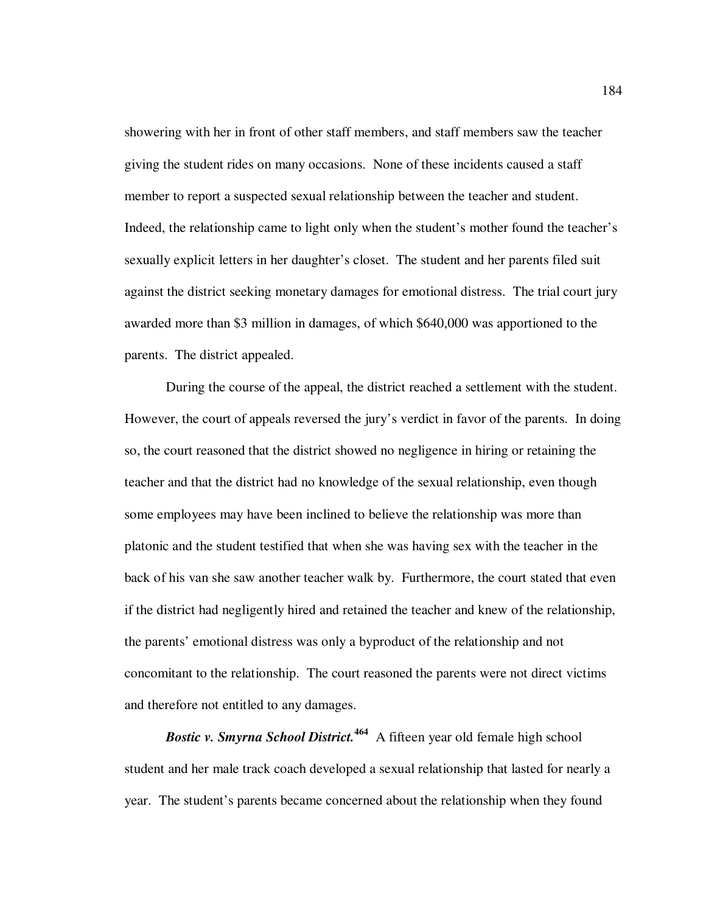showering with her in front of other staff members, and staff members saw the teacher giving the student rides on many occasions. None of these incidents caused a staff member to report a suspected sexual relationship between the teacher and student. Indeed, the relationship came to light only when the student's mother found the teacher's sexually explicit letters in her daughter's closet. The student and her parents filed suit against the district seeking monetary damages for emotional distress. The trial court jury awarded more than \$3 million in damages, of which \$640,000 was apportioned to the parents. The district appealed.

During the course of the appeal, the district reached a settlement with the student. However, the court of appeals reversed the jury's verdict in favor of the parents. In doing so, the court reasoned that the district showed no negligence in hiring or retaining the teacher and that the district had no knowledge of the sexual relationship, even though some employees may have been inclined to believe the relationship was more than platonic and the student testified that when she was having sex with the teacher in the back of his van she saw another teacher walk by. Furthermore, the court stated that even if the district had negligently hired and retained the teacher and knew of the relationship, the parents' emotional distress was only a byproduct of the relationship and not concomitant to the relationship. The court reasoned the parents were not direct victims and therefore not entitled to any damages.

*Bostic v. Smyrna School District.***<sup>464</sup>** A fifteen year old female high school student and her male track coach developed a sexual relationship that lasted for nearly a year. The student's parents became concerned about the relationship when they found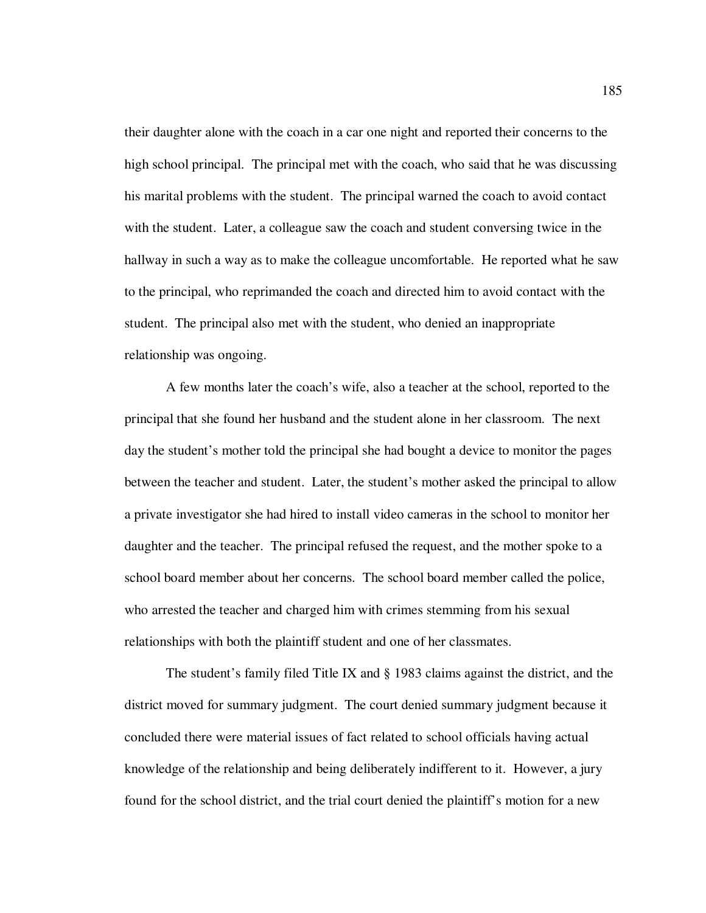their daughter alone with the coach in a car one night and reported their concerns to the high school principal. The principal met with the coach, who said that he was discussing his marital problems with the student. The principal warned the coach to avoid contact with the student. Later, a colleague saw the coach and student conversing twice in the hallway in such a way as to make the colleague uncomfortable. He reported what he saw to the principal, who reprimanded the coach and directed him to avoid contact with the student. The principal also met with the student, who denied an inappropriate relationship was ongoing.

A few months later the coach's wife, also a teacher at the school, reported to the principal that she found her husband and the student alone in her classroom. The next day the student's mother told the principal she had bought a device to monitor the pages between the teacher and student. Later, the student's mother asked the principal to allow a private investigator she had hired to install video cameras in the school to monitor her daughter and the teacher. The principal refused the request, and the mother spoke to a school board member about her concerns. The school board member called the police, who arrested the teacher and charged him with crimes stemming from his sexual relationships with both the plaintiff student and one of her classmates.

The student's family filed Title IX and  $\S$  1983 claims against the district, and the district moved for summary judgment. The court denied summary judgment because it concluded there were material issues of fact related to school officials having actual knowledge of the relationship and being deliberately indifferent to it. However, a jury found for the school district, and the trial court denied the plaintiff's motion for a new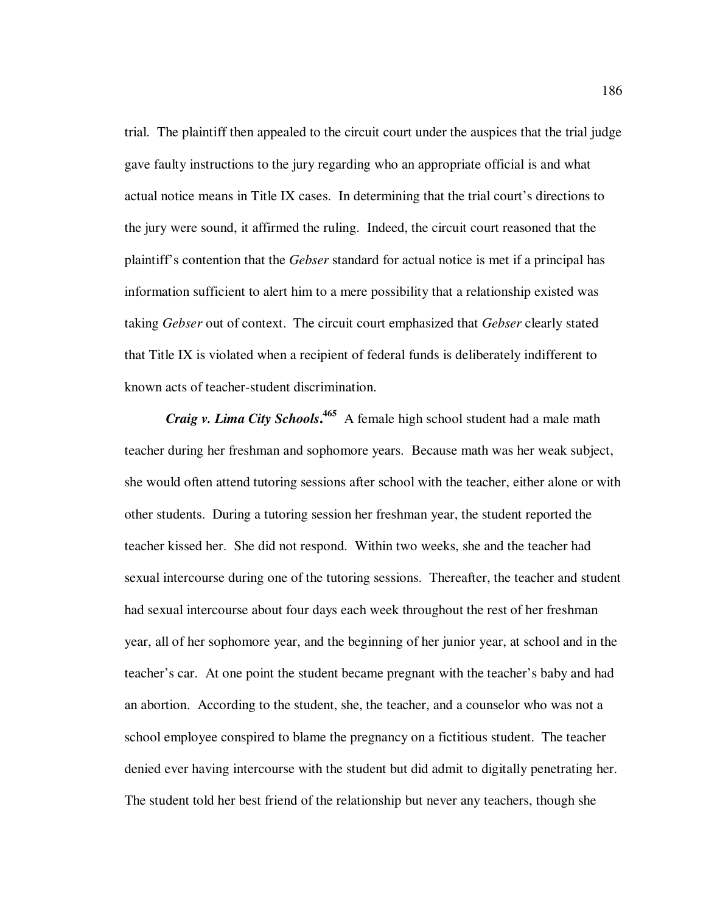trial. The plaintiff then appealed to the circuit court under the auspices that the trial judge gave faulty instructions to the jury regarding who an appropriate official is and what actual notice means in Title IX cases. In determining that the trial court's directions to the jury were sound, it affirmed the ruling. Indeed, the circuit court reasoned that the plaintiff's contention that the *Gebser* standard for actual notice is met if a principal has information sufficient to alert him to a mere possibility that a relationship existed was taking *Gebser* out of context. The circuit court emphasized that *Gebser* clearly stated that Title IX is violated when a recipient of federal funds is deliberately indifferent to known acts of teacher-student discrimination.

*Craig v. Lima City Schools***. <sup>465</sup>** A female high school student had a male math teacher during her freshman and sophomore years. Because math was her weak subject, she would often attend tutoring sessions after school with the teacher, either alone or with other students. During a tutoring session her freshman year, the student reported the teacher kissed her. She did not respond. Within two weeks, she and the teacher had sexual intercourse during one of the tutoring sessions. Thereafter, the teacher and student had sexual intercourse about four days each week throughout the rest of her freshman year, all of her sophomore year, and the beginning of her junior year, at school and in the teacher's car. At one point the student became pregnant with the teacher's baby and had an abortion. According to the student, she, the teacher, and a counselor who was not a school employee conspired to blame the pregnancy on a fictitious student. The teacher denied ever having intercourse with the student but did admit to digitally penetrating her. The student told her best friend of the relationship but never any teachers, though she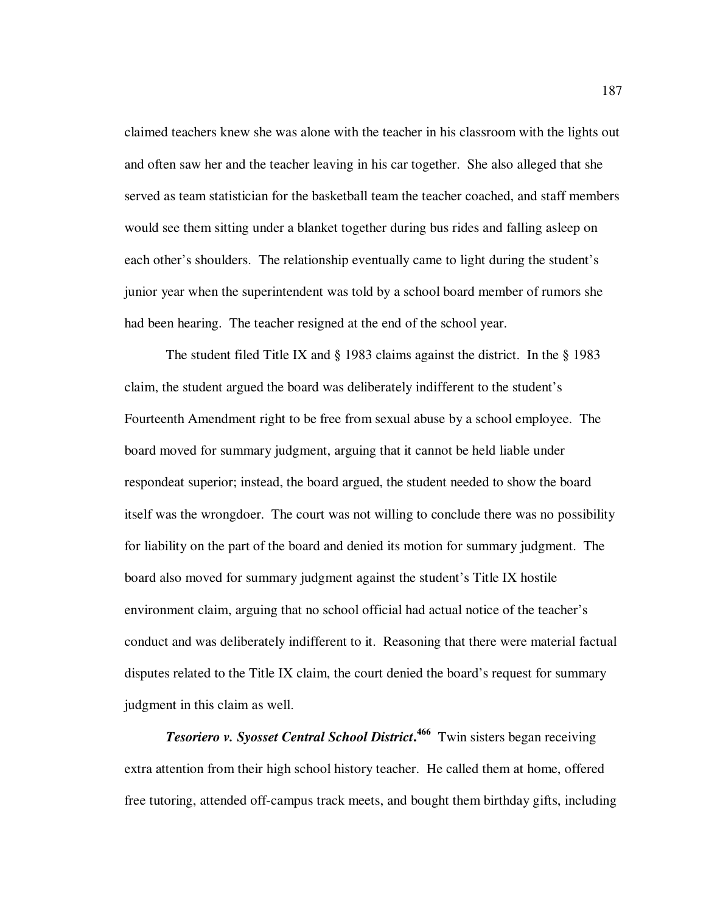claimed teachers knew she was alone with the teacher in his classroom with the lights out and often saw her and the teacher leaving in his car together. She also alleged that she served as team statistician for the basketball team the teacher coached, and staff members would see them sitting under a blanket together during bus rides and falling asleep on each other's shoulders. The relationship eventually came to light during the student's junior year when the superintendent was told by a school board member of rumors she had been hearing. The teacher resigned at the end of the school year.

The student filed Title IX and § 1983 claims against the district. In the § 1983 claim, the student argued the board was deliberately indifferent to the student's Fourteenth Amendment right to be free from sexual abuse by a school employee. The board moved for summary judgment, arguing that it cannot be held liable under respondeat superior; instead, the board argued, the student needed to show the board itself was the wrongdoer. The court was not willing to conclude there was no possibility for liability on the part of the board and denied its motion for summary judgment. The board also moved for summary judgment against the student's Title IX hostile environment claim, arguing that no school official had actual notice of the teacher's conduct and was deliberately indifferent to it. Reasoning that there were material factual disputes related to the Title IX claim, the court denied the board's request for summary judgment in this claim as well.

*Tesoriero v. Syosset Central School District***. <sup>466</sup>** Twin sisters began receiving extra attention from their high school history teacher. He called them at home, offered free tutoring, attended off-campus track meets, and bought them birthday gifts, including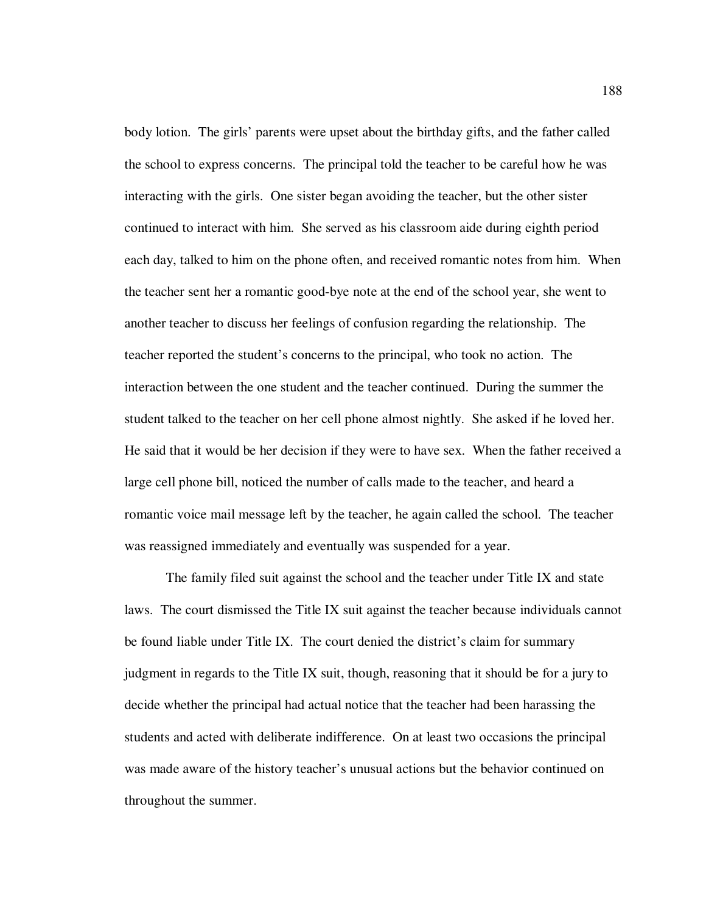body lotion. The girls' parents were upset about the birthday gifts, and the father called the school to express concerns. The principal told the teacher to be careful how he was interacting with the girls. One sister began avoiding the teacher, but the other sister continued to interact with him. She served as his classroom aide during eighth period each day, talked to him on the phone often, and received romantic notes from him. When the teacher sent her a romantic good-bye note at the end of the school year, she went to another teacher to discuss her feelings of confusion regarding the relationship. The teacher reported the student's concerns to the principal, who took no action. The interaction between the one student and the teacher continued. During the summer the student talked to the teacher on her cell phone almost nightly. She asked if he loved her. He said that it would be her decision if they were to have sex. When the father received a large cell phone bill, noticed the number of calls made to the teacher, and heard a romantic voice mail message left by the teacher, he again called the school. The teacher was reassigned immediately and eventually was suspended for a year.

The family filed suit against the school and the teacher under Title IX and state laws. The court dismissed the Title IX suit against the teacher because individuals cannot be found liable under Title IX. The court denied the district's claim for summary judgment in regards to the Title IX suit, though, reasoning that it should be for a jury to decide whether the principal had actual notice that the teacher had been harassing the students and acted with deliberate indifference. On at least two occasions the principal was made aware of the history teacher's unusual actions but the behavior continued on throughout the summer.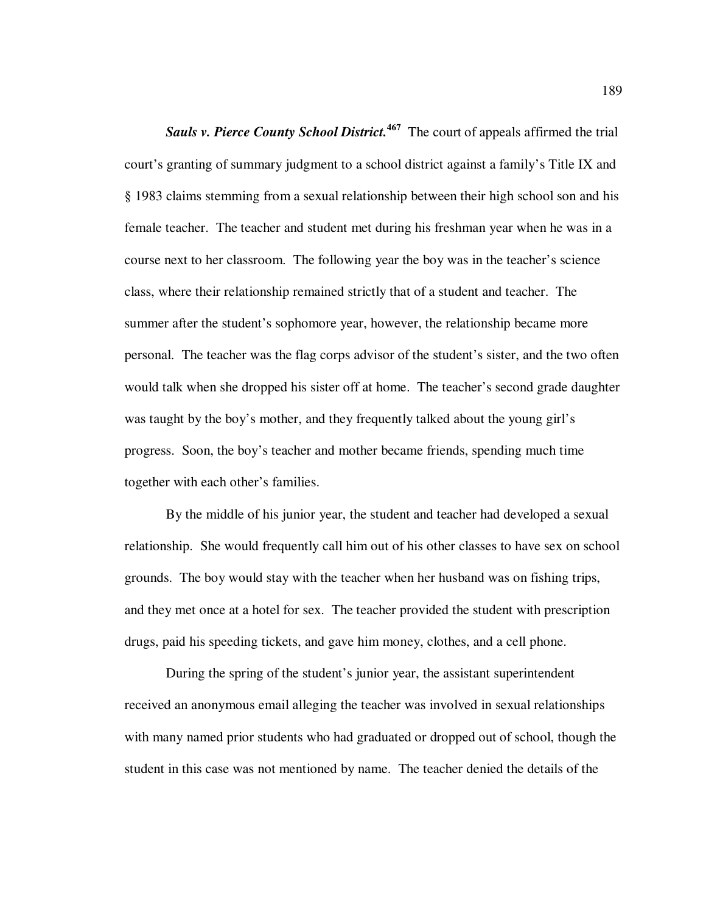*Sauls v. Pierce County School District.***<sup>467</sup>** The court of appeals affirmed the trial court's granting of summary judgment to a school district against a family's Title IX and § 1983 claims stemming from a sexual relationship between their high school son and his female teacher. The teacher and student met during his freshman year when he was in a course next to her classroom. The following year the boy was in the teacher's science class, where their relationship remained strictly that of a student and teacher. The summer after the student's sophomore year, however, the relationship became more personal. The teacher was the flag corps advisor of the student's sister, and the two often would talk when she dropped his sister off at home. The teacher's second grade daughter was taught by the boy's mother, and they frequently talked about the young girl's progress. Soon, the boy's teacher and mother became friends, spending much time together with each other's families.

By the middle of his junior year, the student and teacher had developed a sexual relationship. She would frequently call him out of his other classes to have sex on school grounds. The boy would stay with the teacher when her husband was on fishing trips, and they met once at a hotel for sex. The teacher provided the student with prescription drugs, paid his speeding tickets, and gave him money, clothes, and a cell phone.

During the spring of the student's junior year, the assistant superintendent received an anonymous email alleging the teacher was involved in sexual relationships with many named prior students who had graduated or dropped out of school, though the student in this case was not mentioned by name. The teacher denied the details of the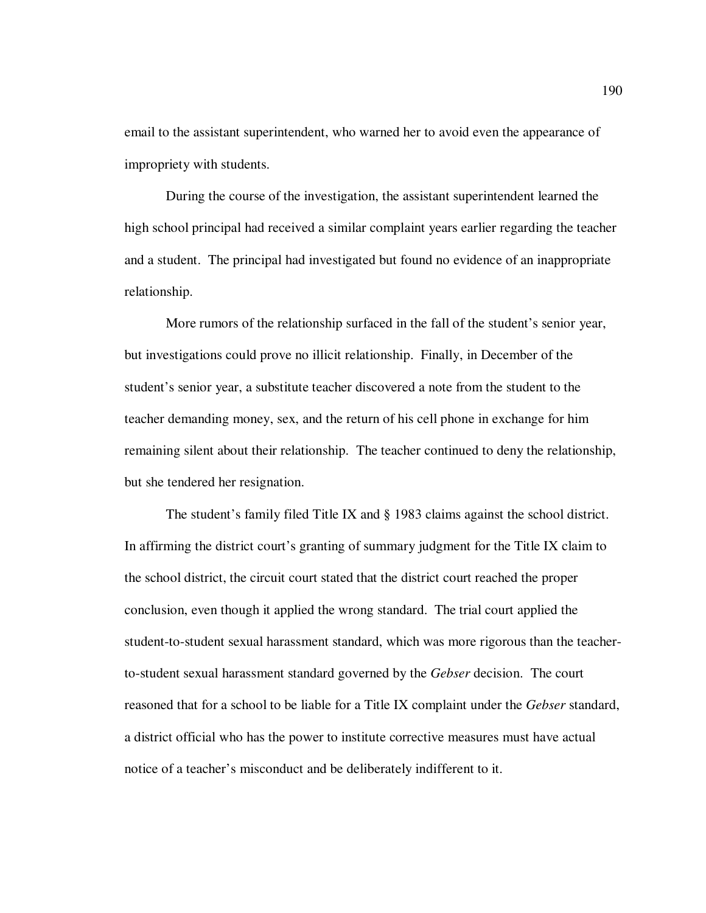email to the assistant superintendent, who warned her to avoid even the appearance of impropriety with students.

During the course of the investigation, the assistant superintendent learned the high school principal had received a similar complaint years earlier regarding the teacher and a student. The principal had investigated but found no evidence of an inappropriate relationship.

More rumors of the relationship surfaced in the fall of the student's senior year, but investigations could prove no illicit relationship. Finally, in December of the student's senior year, a substitute teacher discovered a note from the student to the teacher demanding money, sex, and the return of his cell phone in exchange for him remaining silent about their relationship. The teacher continued to deny the relationship, but she tendered her resignation.

The student's family filed Title IX and § 1983 claims against the school district. In affirming the district court's granting of summary judgment for the Title IX claim to the school district, the circuit court stated that the district court reached the proper conclusion, even though it applied the wrong standard. The trial court applied the student-to-student sexual harassment standard, which was more rigorous than the teacherto-student sexual harassment standard governed by the *Gebser* decision. The court reasoned that for a school to be liable for a Title IX complaint under the *Gebser* standard, a district official who has the power to institute corrective measures must have actual notice of a teacher's misconduct and be deliberately indifferent to it.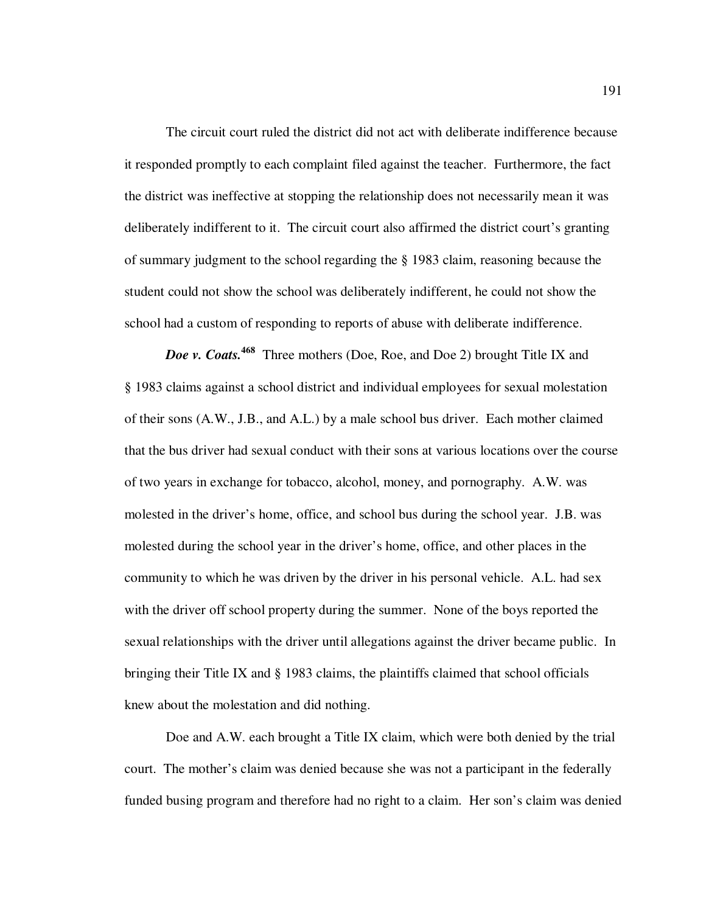The circuit court ruled the district did not act with deliberate indifference because it responded promptly to each complaint filed against the teacher. Furthermore, the fact the district was ineffective at stopping the relationship does not necessarily mean it was deliberately indifferent to it. The circuit court also affirmed the district court's granting of summary judgment to the school regarding the § 1983 claim, reasoning because the student could not show the school was deliberately indifferent, he could not show the school had a custom of responding to reports of abuse with deliberate indifference.

*Doe v. Coats.***<sup>468</sup>** Three mothers (Doe, Roe, and Doe 2) brought Title IX and § 1983 claims against a school district and individual employees for sexual molestation of their sons (A.W., J.B., and A.L.) by a male school bus driver. Each mother claimed that the bus driver had sexual conduct with their sons at various locations over the course of two years in exchange for tobacco, alcohol, money, and pornography. A.W. was molested in the driver's home, office, and school bus during the school year. J.B. was molested during the school year in the driver's home, office, and other places in the community to which he was driven by the driver in his personal vehicle. A.L. had sex with the driver off school property during the summer. None of the boys reported the sexual relationships with the driver until allegations against the driver became public. In bringing their Title IX and § 1983 claims, the plaintiffs claimed that school officials knew about the molestation and did nothing.

Doe and A.W. each brought a Title IX claim, which were both denied by the trial court. The mother's claim was denied because she was not a participant in the federally funded busing program and therefore had no right to a claim. Her son's claim was denied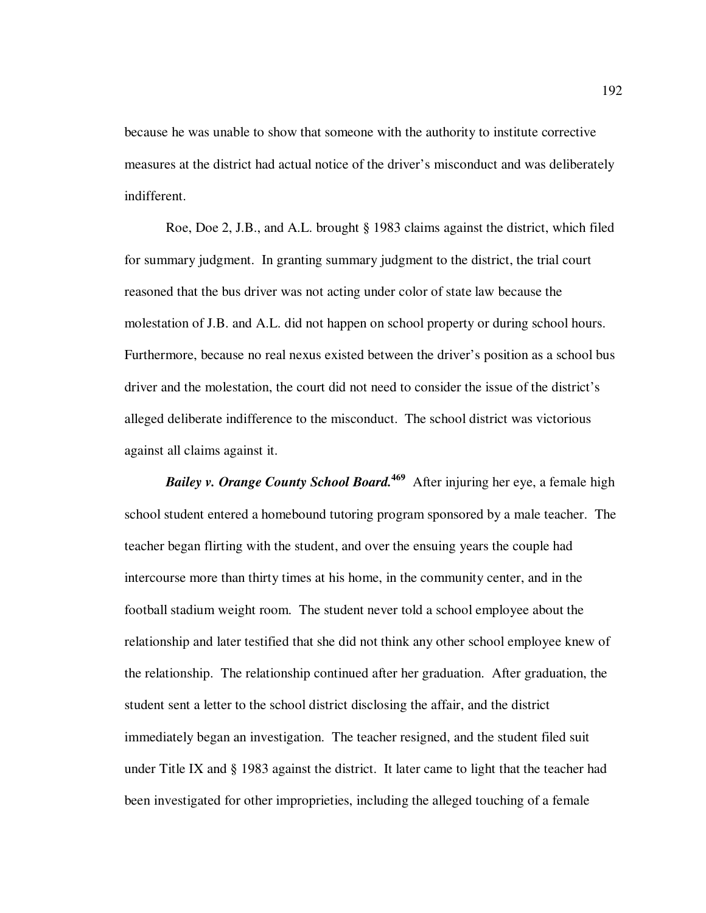because he was unable to show that someone with the authority to institute corrective measures at the district had actual notice of the driver's misconduct and was deliberately indifferent.

Roe, Doe 2, J.B., and A.L. brought § 1983 claims against the district, which filed for summary judgment. In granting summary judgment to the district, the trial court reasoned that the bus driver was not acting under color of state law because the molestation of J.B. and A.L. did not happen on school property or during school hours. Furthermore, because no real nexus existed between the driver's position as a school bus driver and the molestation, the court did not need to consider the issue of the district's alleged deliberate indifference to the misconduct. The school district was victorious against all claims against it.

**Bailey v. Orange County School Board.**<sup>469</sup> After injuring her eye, a female high school student entered a homebound tutoring program sponsored by a male teacher. The teacher began flirting with the student, and over the ensuing years the couple had intercourse more than thirty times at his home, in the community center, and in the football stadium weight room. The student never told a school employee about the relationship and later testified that she did not think any other school employee knew of the relationship. The relationship continued after her graduation. After graduation, the student sent a letter to the school district disclosing the affair, and the district immediately began an investigation. The teacher resigned, and the student filed suit under Title IX and § 1983 against the district. It later came to light that the teacher had been investigated for other improprieties, including the alleged touching of a female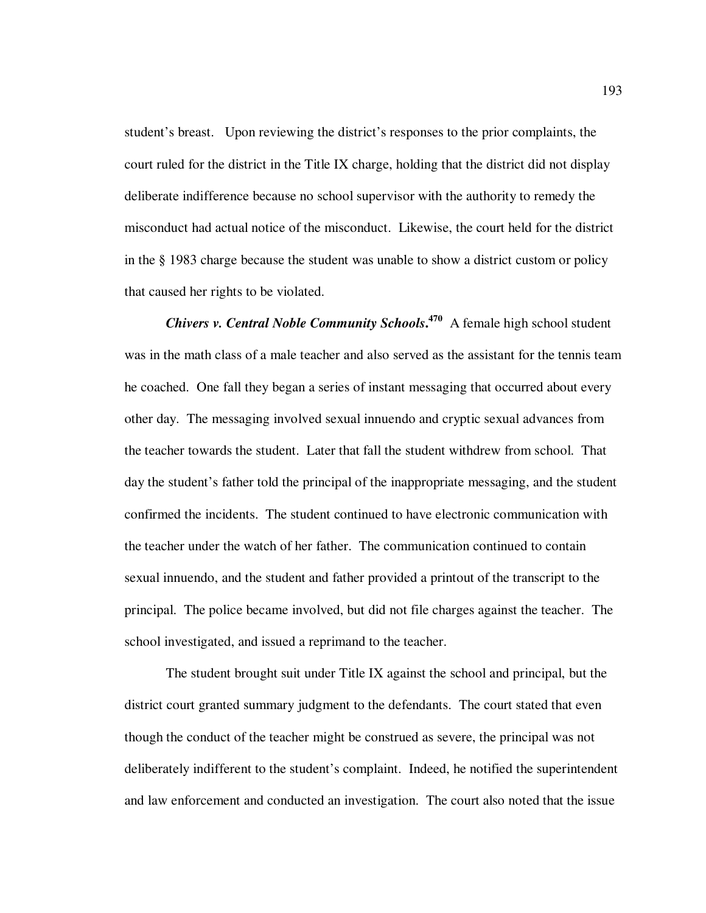student's breast. Upon reviewing the district's responses to the prior complaints, the court ruled for the district in the Title IX charge, holding that the district did not display deliberate indifference because no school supervisor with the authority to remedy the misconduct had actual notice of the misconduct. Likewise, the court held for the district in the § 1983 charge because the student was unable to show a district custom or policy that caused her rights to be violated.

*Chivers v. Central Noble Community Schools***. <sup>470</sup>** A female high school student was in the math class of a male teacher and also served as the assistant for the tennis team he coached. One fall they began a series of instant messaging that occurred about every other day. The messaging involved sexual innuendo and cryptic sexual advances from the teacher towards the student. Later that fall the student withdrew from school. That day the student's father told the principal of the inappropriate messaging, and the student confirmed the incidents. The student continued to have electronic communication with the teacher under the watch of her father. The communication continued to contain sexual innuendo, and the student and father provided a printout of the transcript to the principal. The police became involved, but did not file charges against the teacher. The school investigated, and issued a reprimand to the teacher.

The student brought suit under Title IX against the school and principal, but the district court granted summary judgment to the defendants. The court stated that even though the conduct of the teacher might be construed as severe, the principal was not deliberately indifferent to the student's complaint. Indeed, he notified the superintendent and law enforcement and conducted an investigation. The court also noted that the issue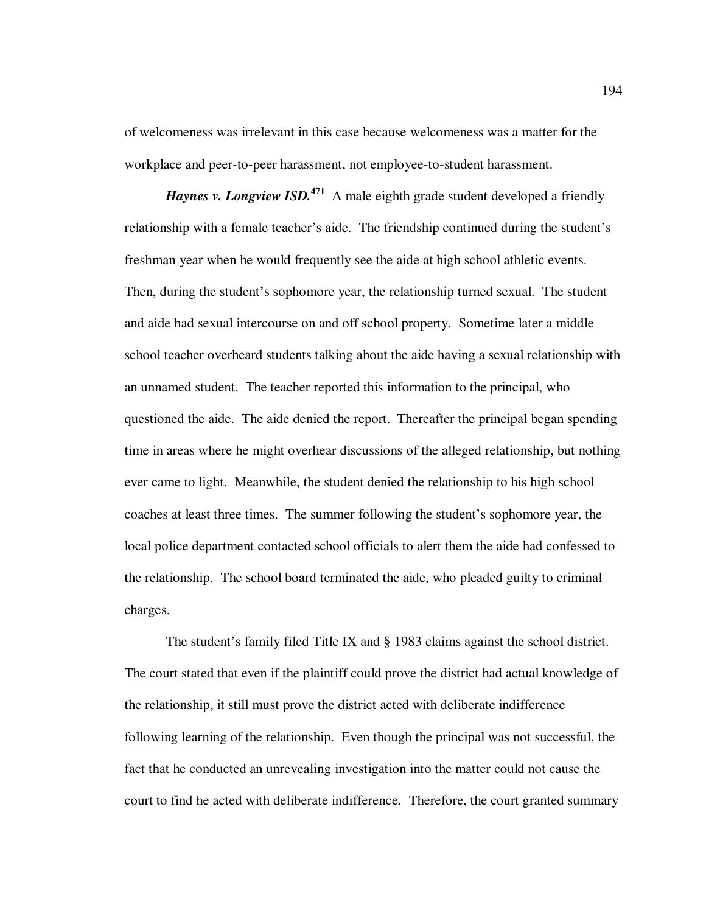of welcomeness was irrelevant in this case because welcomeness was a matter for the workplace and peer-to-peer harassment, not employee-to-student harassment.

*Haynes v. Longview ISD.*<sup>471</sup> A male eighth grade student developed a friendly relationship with a female teacher's aide. The friendship continued during the student's freshman year when he would frequently see the aide at high school athletic events. Then, during the student's sophomore year, the relationship turned sexual. The student and aide had sexual intercourse on and off school property. Sometime later a middle school teacher overheard students talking about the aide having a sexual relationship with an unnamed student. The teacher reported this information to the principal, who questioned the aide. The aide denied the report. Thereafter the principal began spending time in areas where he might overhear discussions of the alleged relationship, but nothing ever came to light. Meanwhile, the student denied the relationship to his high school coaches at least three times. The summer following the student's sophomore year, the local police department contacted school officials to alert them the aide had confessed to the relationship. The school board terminated the aide, who pleaded guilty to criminal charges.

The student's family filed Title IX and § 1983 claims against the school district. The court stated that even if the plaintiff could prove the district had actual knowledge of the relationship, it still must prove the district acted with deliberate indifference following learning of the relationship. Even though the principal was not successful, the fact that he conducted an unrevealing investigation into the matter could not cause the court to find he acted with deliberate indifference. Therefore, the court granted summary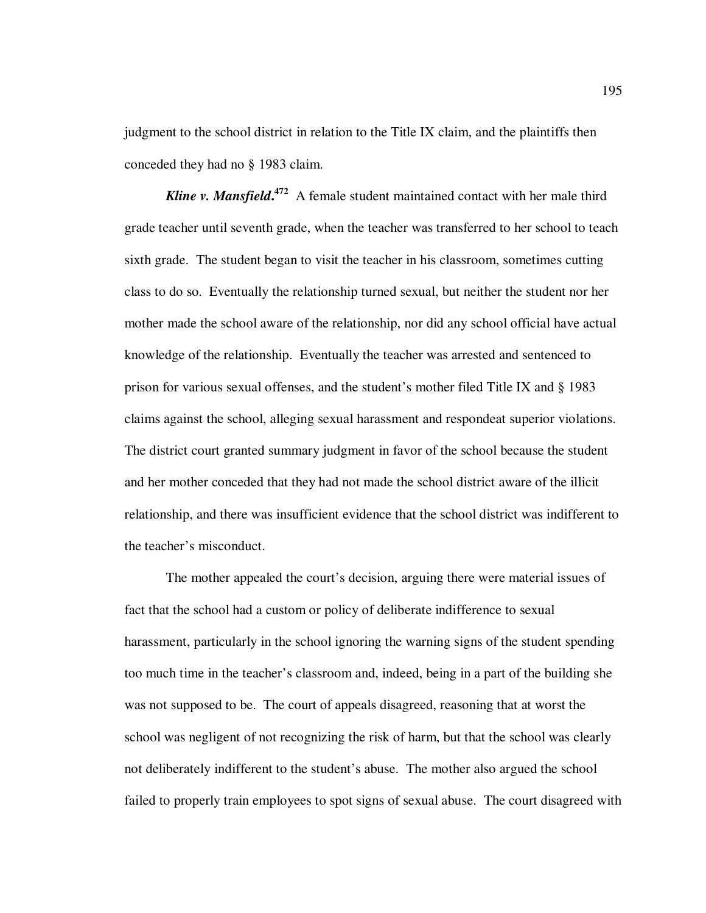judgment to the school district in relation to the Title IX claim, and the plaintiffs then conceded they had no § 1983 claim.

**Kline v. Mansfield.**<sup>472</sup> A female student maintained contact with her male third grade teacher until seventh grade, when the teacher was transferred to her school to teach sixth grade. The student began to visit the teacher in his classroom, sometimes cutting class to do so. Eventually the relationship turned sexual, but neither the student nor her mother made the school aware of the relationship, nor did any school official have actual knowledge of the relationship. Eventually the teacher was arrested and sentenced to prison for various sexual offenses, and the student's mother filed Title IX and § 1983 claims against the school, alleging sexual harassment and respondeat superior violations. The district court granted summary judgment in favor of the school because the student and her mother conceded that they had not made the school district aware of the illicit relationship, and there was insufficient evidence that the school district was indifferent to the teacher's misconduct.

The mother appealed the court's decision, arguing there were material issues of fact that the school had a custom or policy of deliberate indifference to sexual harassment, particularly in the school ignoring the warning signs of the student spending too much time in the teacher's classroom and, indeed, being in a part of the building she was not supposed to be. The court of appeals disagreed, reasoning that at worst the school was negligent of not recognizing the risk of harm, but that the school was clearly not deliberately indifferent to the student's abuse. The mother also argued the school failed to properly train employees to spot signs of sexual abuse. The court disagreed with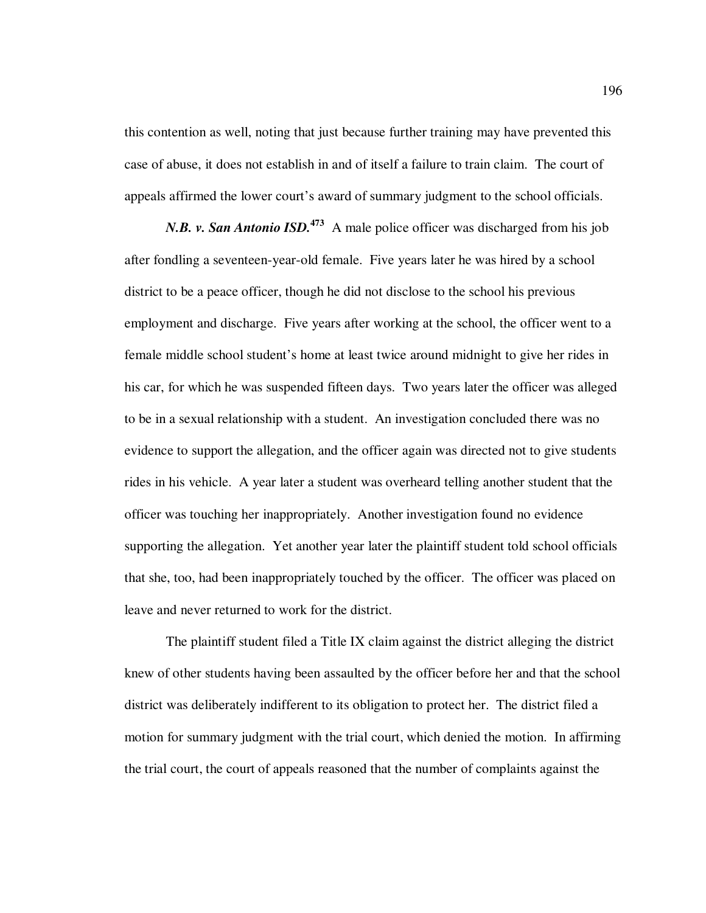this contention as well, noting that just because further training may have prevented this case of abuse, it does not establish in and of itself a failure to train claim. The court of appeals affirmed the lower court's award of summary judgment to the school officials.

*N.B. v. San Antonio ISD.*<sup>473</sup> A male police officer was discharged from his job after fondling a seventeen-year-old female. Five years later he was hired by a school district to be a peace officer, though he did not disclose to the school his previous employment and discharge. Five years after working at the school, the officer went to a female middle school student's home at least twice around midnight to give her rides in his car, for which he was suspended fifteen days. Two years later the officer was alleged to be in a sexual relationship with a student. An investigation concluded there was no evidence to support the allegation, and the officer again was directed not to give students rides in his vehicle. A year later a student was overheard telling another student that the officer was touching her inappropriately. Another investigation found no evidence supporting the allegation. Yet another year later the plaintiff student told school officials that she, too, had been inappropriately touched by the officer. The officer was placed on leave and never returned to work for the district.

The plaintiff student filed a Title IX claim against the district alleging the district knew of other students having been assaulted by the officer before her and that the school district was deliberately indifferent to its obligation to protect her. The district filed a motion for summary judgment with the trial court, which denied the motion. In affirming the trial court, the court of appeals reasoned that the number of complaints against the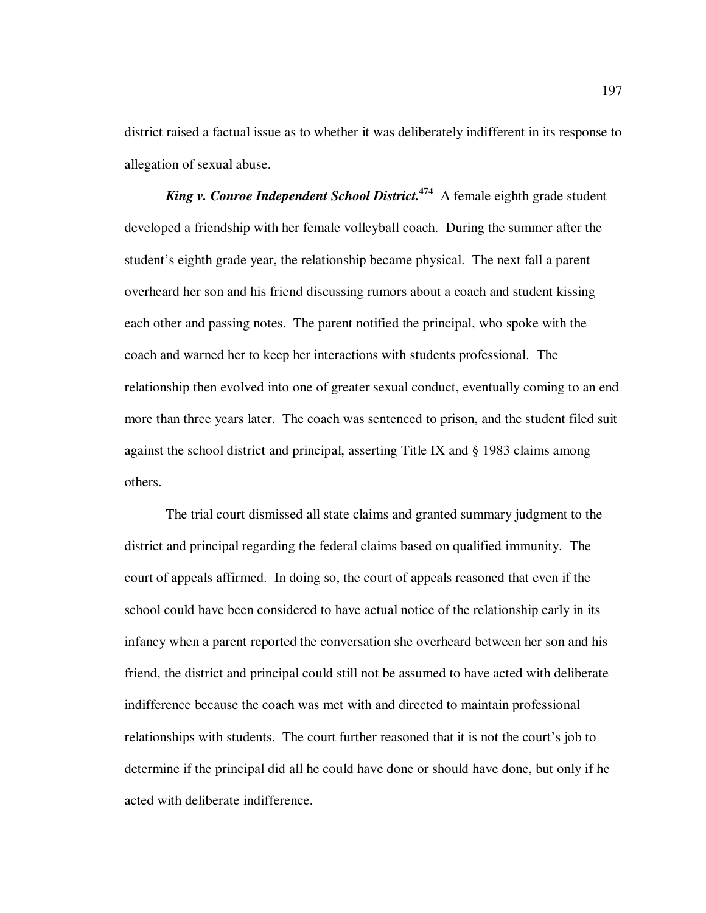district raised a factual issue as to whether it was deliberately indifferent in its response to allegation of sexual abuse.

*King v. Conroe Independent School District.***<sup>474</sup>** A female eighth grade student developed a friendship with her female volleyball coach. During the summer after the student's eighth grade year, the relationship became physical. The next fall a parent overheard her son and his friend discussing rumors about a coach and student kissing each other and passing notes. The parent notified the principal, who spoke with the coach and warned her to keep her interactions with students professional. The relationship then evolved into one of greater sexual conduct, eventually coming to an end more than three years later. The coach was sentenced to prison, and the student filed suit against the school district and principal, asserting Title IX and § 1983 claims among others.

The trial court dismissed all state claims and granted summary judgment to the district and principal regarding the federal claims based on qualified immunity. The court of appeals affirmed. In doing so, the court of appeals reasoned that even if the school could have been considered to have actual notice of the relationship early in its infancy when a parent reported the conversation she overheard between her son and his friend, the district and principal could still not be assumed to have acted with deliberate indifference because the coach was met with and directed to maintain professional relationships with students. The court further reasoned that it is not the court's job to determine if the principal did all he could have done or should have done, but only if he acted with deliberate indifference.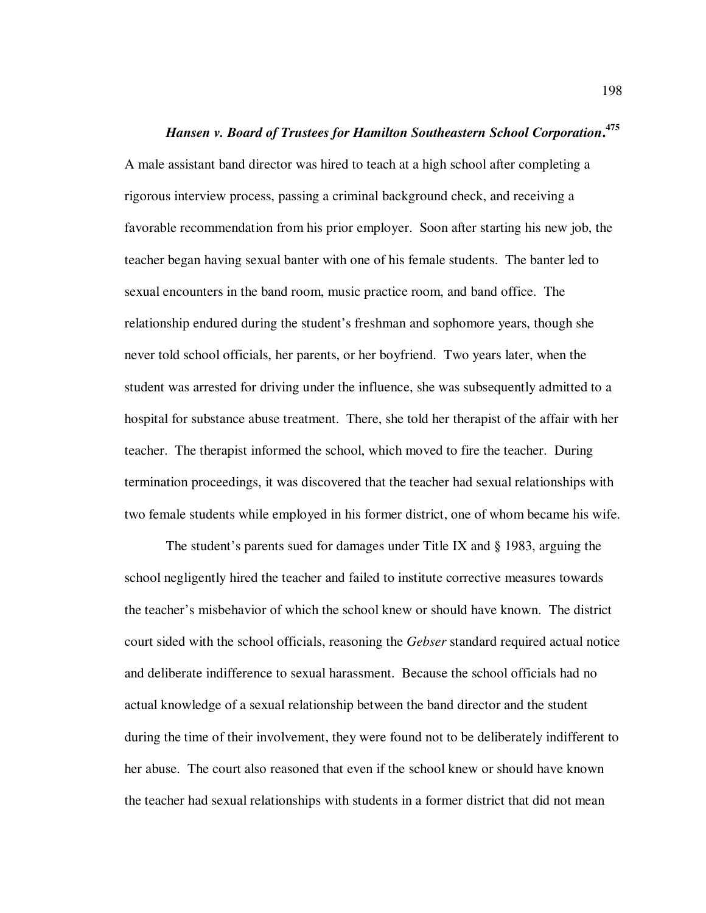## *Hansen v. Board of Trustees for Hamilton Southeastern School Corporation***. 475**

A male assistant band director was hired to teach at a high school after completing a rigorous interview process, passing a criminal background check, and receiving a favorable recommendation from his prior employer. Soon after starting his new job, the teacher began having sexual banter with one of his female students. The banter led to sexual encounters in the band room, music practice room, and band office. The relationship endured during the student's freshman and sophomore years, though she never told school officials, her parents, or her boyfriend. Two years later, when the student was arrested for driving under the influence, she was subsequently admitted to a hospital for substance abuse treatment. There, she told her therapist of the affair with her teacher. The therapist informed the school, which moved to fire the teacher. During termination proceedings, it was discovered that the teacher had sexual relationships with two female students while employed in his former district, one of whom became his wife.

The student's parents sued for damages under Title IX and § 1983, arguing the school negligently hired the teacher and failed to institute corrective measures towards the teacher's misbehavior of which the school knew or should have known. The district court sided with the school officials, reasoning the *Gebser* standard required actual notice and deliberate indifference to sexual harassment. Because the school officials had no actual knowledge of a sexual relationship between the band director and the student during the time of their involvement, they were found not to be deliberately indifferent to her abuse. The court also reasoned that even if the school knew or should have known the teacher had sexual relationships with students in a former district that did not mean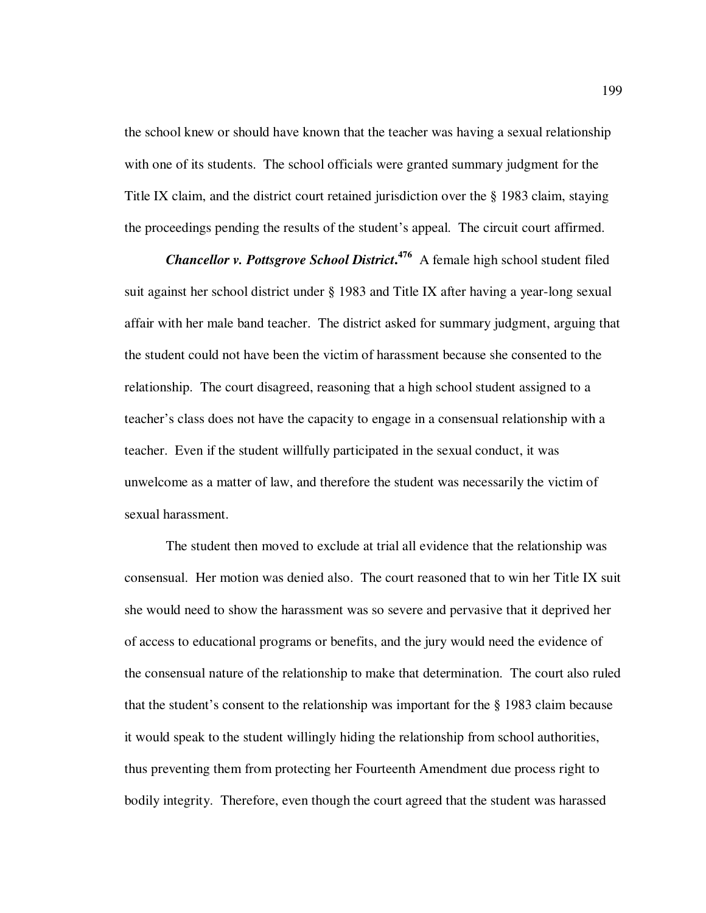the school knew or should have known that the teacher was having a sexual relationship with one of its students. The school officials were granted summary judgment for the Title IX claim, and the district court retained jurisdiction over the § 1983 claim, staying the proceedings pending the results of the student's appeal. The circuit court affirmed.

*Chancellor v. Pottsgrove School District***. <sup>476</sup>** A female high school student filed suit against her school district under § 1983 and Title IX after having a year-long sexual affair with her male band teacher. The district asked for summary judgment, arguing that the student could not have been the victim of harassment because she consented to the relationship. The court disagreed, reasoning that a high school student assigned to a teacher's class does not have the capacity to engage in a consensual relationship with a teacher. Even if the student willfully participated in the sexual conduct, it was unwelcome as a matter of law, and therefore the student was necessarily the victim of sexual harassment.

The student then moved to exclude at trial all evidence that the relationship was consensual. Her motion was denied also. The court reasoned that to win her Title IX suit she would need to show the harassment was so severe and pervasive that it deprived her of access to educational programs or benefits, and the jury would need the evidence of the consensual nature of the relationship to make that determination. The court also ruled that the student's consent to the relationship was important for the § 1983 claim because it would speak to the student willingly hiding the relationship from school authorities, thus preventing them from protecting her Fourteenth Amendment due process right to bodily integrity. Therefore, even though the court agreed that the student was harassed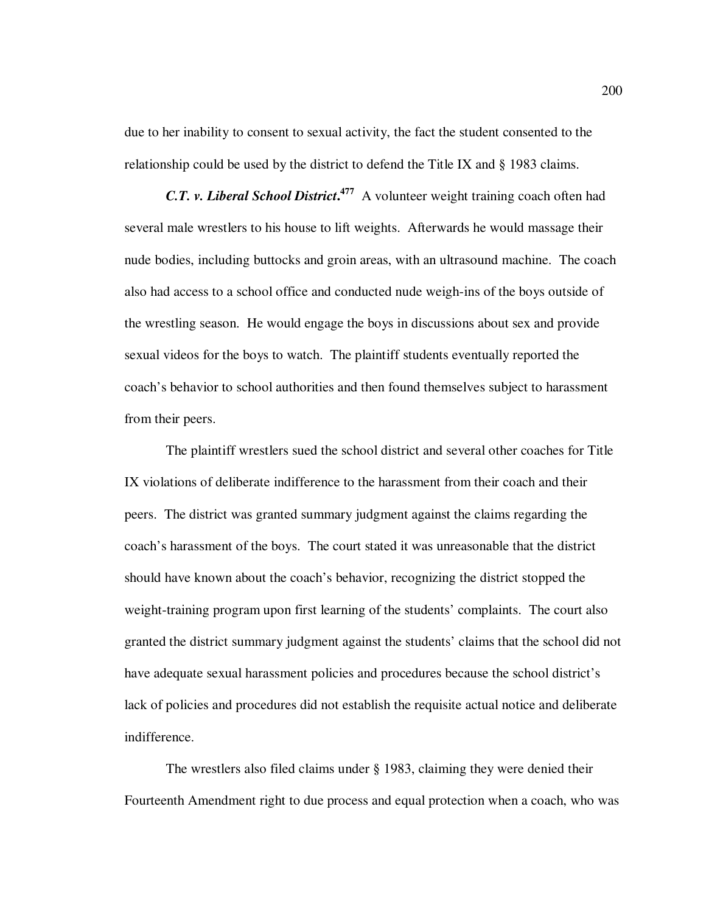due to her inability to consent to sexual activity, the fact the student consented to the relationship could be used by the district to defend the Title IX and § 1983 claims.

*C.T. v. Liberal School District***. 477** A volunteer weight training coach often had several male wrestlers to his house to lift weights. Afterwards he would massage their nude bodies, including buttocks and groin areas, with an ultrasound machine. The coach also had access to a school office and conducted nude weigh-ins of the boys outside of the wrestling season. He would engage the boys in discussions about sex and provide sexual videos for the boys to watch. The plaintiff students eventually reported the coach's behavior to school authorities and then found themselves subject to harassment from their peers.

The plaintiff wrestlers sued the school district and several other coaches for Title IX violations of deliberate indifference to the harassment from their coach and their peers. The district was granted summary judgment against the claims regarding the coach's harassment of the boys. The court stated it was unreasonable that the district should have known about the coach's behavior, recognizing the district stopped the weight-training program upon first learning of the students' complaints. The court also granted the district summary judgment against the students' claims that the school did not have adequate sexual harassment policies and procedures because the school district's lack of policies and procedures did not establish the requisite actual notice and deliberate indifference.

The wrestlers also filed claims under § 1983, claiming they were denied their Fourteenth Amendment right to due process and equal protection when a coach, who was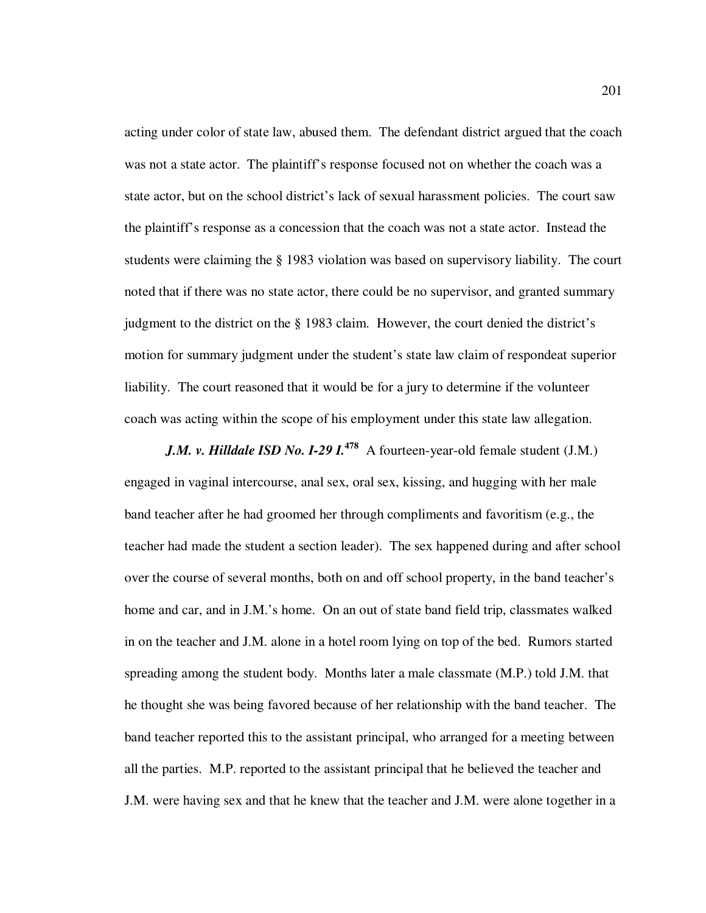acting under color of state law, abused them. The defendant district argued that the coach was not a state actor. The plaintiff's response focused not on whether the coach was a state actor, but on the school district's lack of sexual harassment policies. The court saw the plaintiff's response as a concession that the coach was not a state actor. Instead the students were claiming the § 1983 violation was based on supervisory liability. The court noted that if there was no state actor, there could be no supervisor, and granted summary judgment to the district on the § 1983 claim. However, the court denied the district's motion for summary judgment under the student's state law claim of respondeat superior liability. The court reasoned that it would be for a jury to determine if the volunteer coach was acting within the scope of his employment under this state law allegation.

*J.M. v. Hilldale ISD No. I-29 I.*<sup>478</sup> A fourteen-year-old female student (J.M.) engaged in vaginal intercourse, anal sex, oral sex, kissing, and hugging with her male band teacher after he had groomed her through compliments and favoritism (e.g., the teacher had made the student a section leader). The sex happened during and after school over the course of several months, both on and off school property, in the band teacher's home and car, and in J.M.'s home. On an out of state band field trip, classmates walked in on the teacher and J.M. alone in a hotel room lying on top of the bed. Rumors started spreading among the student body. Months later a male classmate (M.P.) told J.M. that he thought she was being favored because of her relationship with the band teacher. The band teacher reported this to the assistant principal, who arranged for a meeting between all the parties. M.P. reported to the assistant principal that he believed the teacher and J.M. were having sex and that he knew that the teacher and J.M. were alone together in a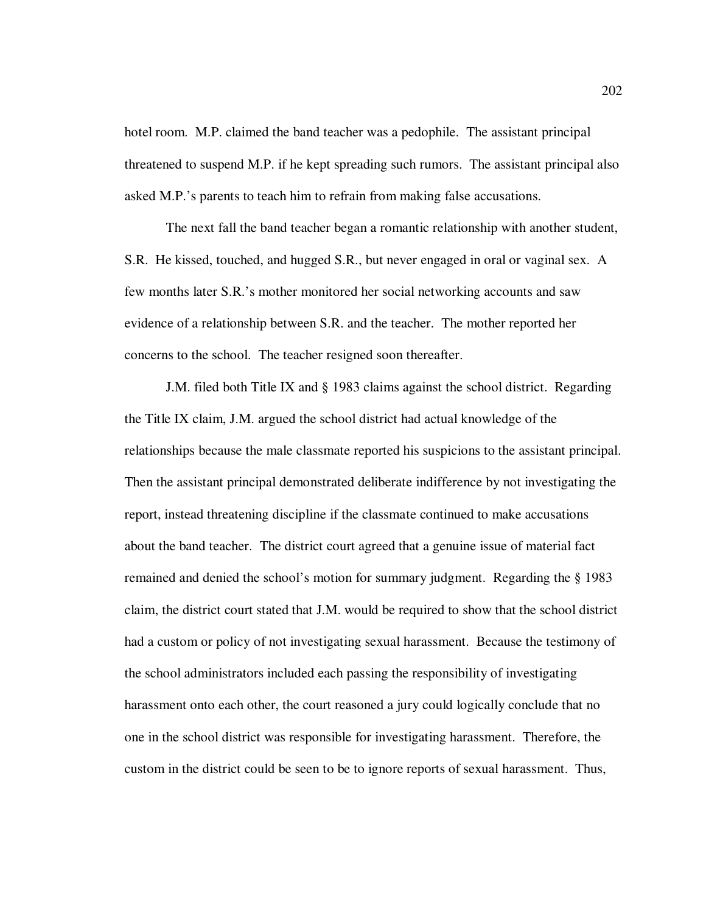hotel room. M.P. claimed the band teacher was a pedophile. The assistant principal threatened to suspend M.P. if he kept spreading such rumors. The assistant principal also asked M.P.'s parents to teach him to refrain from making false accusations.

The next fall the band teacher began a romantic relationship with another student, S.R. He kissed, touched, and hugged S.R., but never engaged in oral or vaginal sex. A few months later S.R.'s mother monitored her social networking accounts and saw evidence of a relationship between S.R. and the teacher. The mother reported her concerns to the school. The teacher resigned soon thereafter.

J.M. filed both Title IX and § 1983 claims against the school district. Regarding the Title IX claim, J.M. argued the school district had actual knowledge of the relationships because the male classmate reported his suspicions to the assistant principal. Then the assistant principal demonstrated deliberate indifference by not investigating the report, instead threatening discipline if the classmate continued to make accusations about the band teacher. The district court agreed that a genuine issue of material fact remained and denied the school's motion for summary judgment. Regarding the § 1983 claim, the district court stated that J.M. would be required to show that the school district had a custom or policy of not investigating sexual harassment. Because the testimony of the school administrators included each passing the responsibility of investigating harassment onto each other, the court reasoned a jury could logically conclude that no one in the school district was responsible for investigating harassment. Therefore, the custom in the district could be seen to be to ignore reports of sexual harassment. Thus,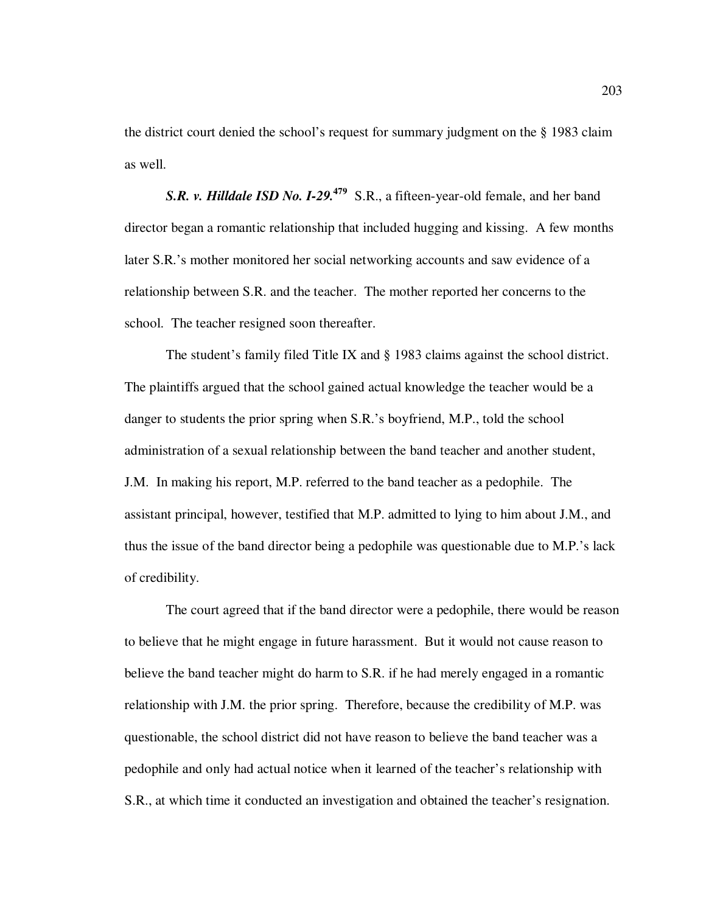the district court denied the school's request for summary judgment on the § 1983 claim as well.

**S.R. v. Hilldale ISD No. I-29.**<sup>479</sup> S.R., a fifteen-year-old female, and her band director began a romantic relationship that included hugging and kissing. A few months later S.R.'s mother monitored her social networking accounts and saw evidence of a relationship between S.R. and the teacher. The mother reported her concerns to the school. The teacher resigned soon thereafter.

The student's family filed Title IX and § 1983 claims against the school district. The plaintiffs argued that the school gained actual knowledge the teacher would be a danger to students the prior spring when S.R.'s boyfriend, M.P., told the school administration of a sexual relationship between the band teacher and another student, J.M. In making his report, M.P. referred to the band teacher as a pedophile. The assistant principal, however, testified that M.P. admitted to lying to him about J.M., and thus the issue of the band director being a pedophile was questionable due to M.P.'s lack of credibility.

The court agreed that if the band director were a pedophile, there would be reason to believe that he might engage in future harassment. But it would not cause reason to believe the band teacher might do harm to S.R. if he had merely engaged in a romantic relationship with J.M. the prior spring. Therefore, because the credibility of M.P. was questionable, the school district did not have reason to believe the band teacher was a pedophile and only had actual notice when it learned of the teacher's relationship with S.R., at which time it conducted an investigation and obtained the teacher's resignation.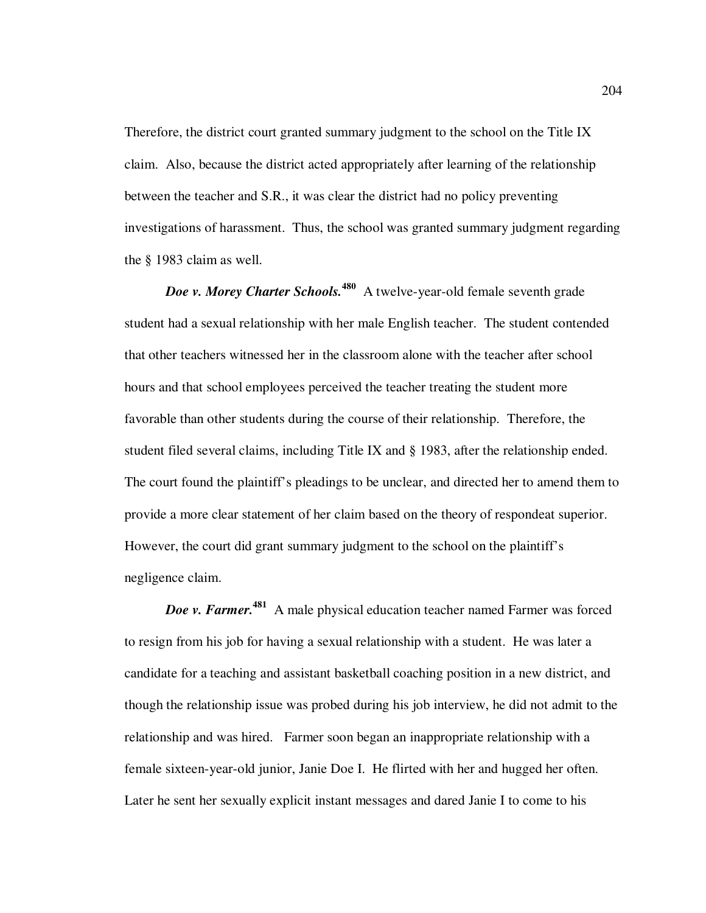Therefore, the district court granted summary judgment to the school on the Title IX claim. Also, because the district acted appropriately after learning of the relationship between the teacher and S.R., it was clear the district had no policy preventing investigations of harassment. Thus, the school was granted summary judgment regarding the § 1983 claim as well.

*Doe v. Morey Charter Schools.*<sup>480</sup> A twelve-year-old female seventh grade student had a sexual relationship with her male English teacher. The student contended that other teachers witnessed her in the classroom alone with the teacher after school hours and that school employees perceived the teacher treating the student more favorable than other students during the course of their relationship. Therefore, the student filed several claims, including Title IX and § 1983, after the relationship ended. The court found the plaintiff's pleadings to be unclear, and directed her to amend them to provide a more clear statement of her claim based on the theory of respondeat superior. However, the court did grant summary judgment to the school on the plaintiff's negligence claim.

*Doe v. Farmer.***<sup>481</sup>** A male physical education teacher named Farmer was forced to resign from his job for having a sexual relationship with a student. He was later a candidate for a teaching and assistant basketball coaching position in a new district, and though the relationship issue was probed during his job interview, he did not admit to the relationship and was hired. Farmer soon began an inappropriate relationship with a female sixteen-year-old junior, Janie Doe I. He flirted with her and hugged her often. Later he sent her sexually explicit instant messages and dared Janie I to come to his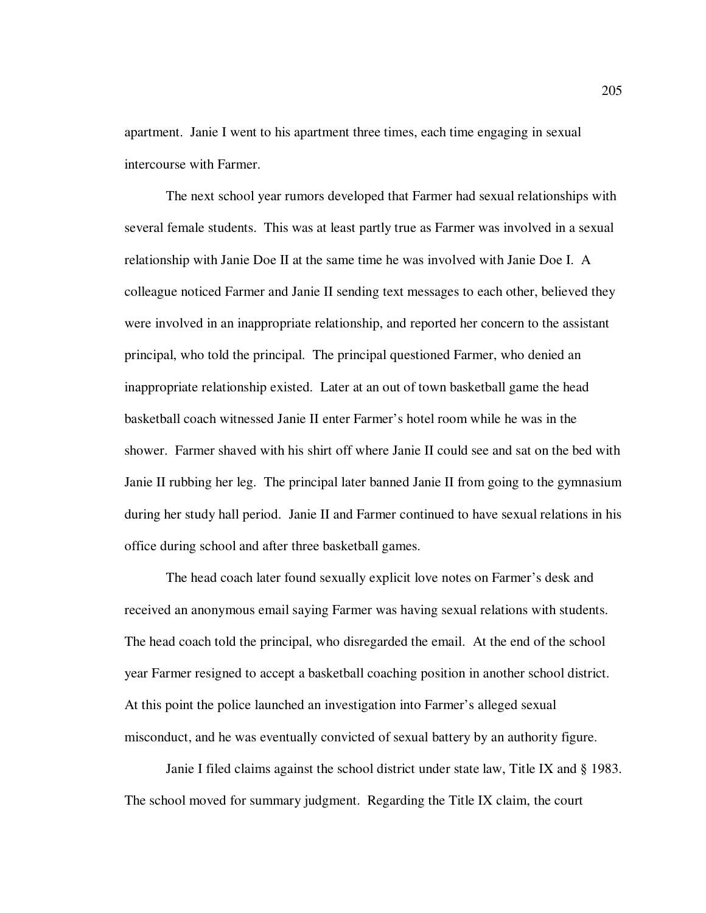apartment. Janie I went to his apartment three times, each time engaging in sexual intercourse with Farmer.

The next school year rumors developed that Farmer had sexual relationships with several female students. This was at least partly true as Farmer was involved in a sexual relationship with Janie Doe II at the same time he was involved with Janie Doe I. A colleague noticed Farmer and Janie II sending text messages to each other, believed they were involved in an inappropriate relationship, and reported her concern to the assistant principal, who told the principal. The principal questioned Farmer, who denied an inappropriate relationship existed. Later at an out of town basketball game the head basketball coach witnessed Janie II enter Farmer's hotel room while he was in the shower. Farmer shaved with his shirt off where Janie II could see and sat on the bed with Janie II rubbing her leg. The principal later banned Janie II from going to the gymnasium during her study hall period. Janie II and Farmer continued to have sexual relations in his office during school and after three basketball games.

The head coach later found sexually explicit love notes on Farmer's desk and received an anonymous email saying Farmer was having sexual relations with students. The head coach told the principal, who disregarded the email. At the end of the school year Farmer resigned to accept a basketball coaching position in another school district. At this point the police launched an investigation into Farmer's alleged sexual misconduct, and he was eventually convicted of sexual battery by an authority figure.

Janie I filed claims against the school district under state law, Title IX and § 1983. The school moved for summary judgment. Regarding the Title IX claim, the court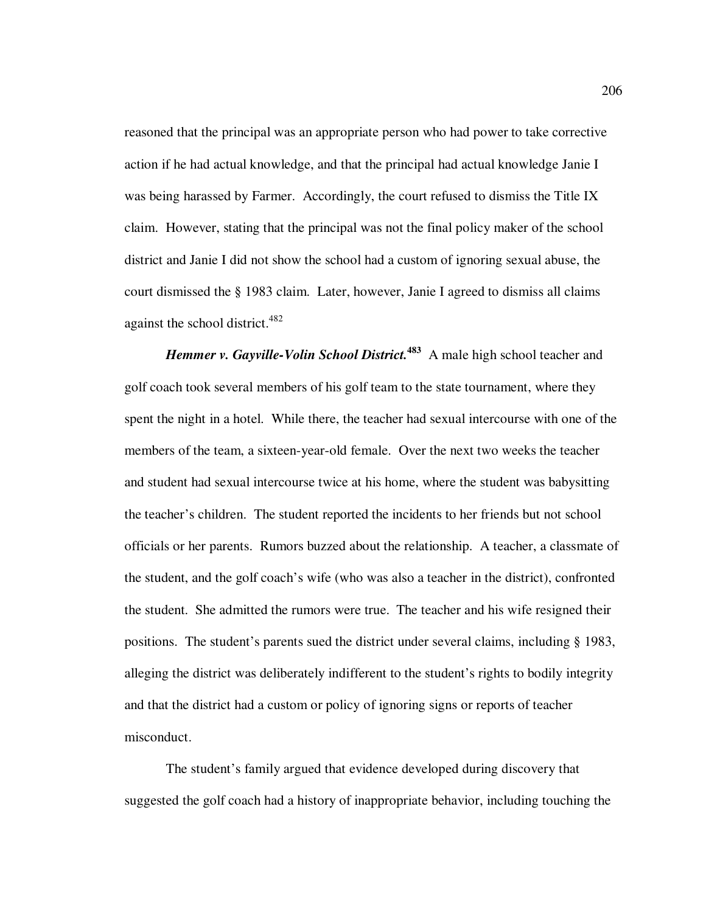reasoned that the principal was an appropriate person who had power to take corrective action if he had actual knowledge, and that the principal had actual knowledge Janie I was being harassed by Farmer. Accordingly, the court refused to dismiss the Title IX claim. However, stating that the principal was not the final policy maker of the school district and Janie I did not show the school had a custom of ignoring sexual abuse, the court dismissed the § 1983 claim. Later, however, Janie I agreed to dismiss all claims against the school district.<sup>482</sup>

*Hemmer v. Gayville-Volin School District.*<sup>483</sup> A male high school teacher and golf coach took several members of his golf team to the state tournament, where they spent the night in a hotel. While there, the teacher had sexual intercourse with one of the members of the team, a sixteen-year-old female. Over the next two weeks the teacher and student had sexual intercourse twice at his home, where the student was babysitting the teacher's children. The student reported the incidents to her friends but not school officials or her parents. Rumors buzzed about the relationship. A teacher, a classmate of the student, and the golf coach's wife (who was also a teacher in the district), confronted the student. She admitted the rumors were true. The teacher and his wife resigned their positions. The student's parents sued the district under several claims, including § 1983, alleging the district was deliberately indifferent to the student's rights to bodily integrity and that the district had a custom or policy of ignoring signs or reports of teacher misconduct.

The student's family argued that evidence developed during discovery that suggested the golf coach had a history of inappropriate behavior, including touching the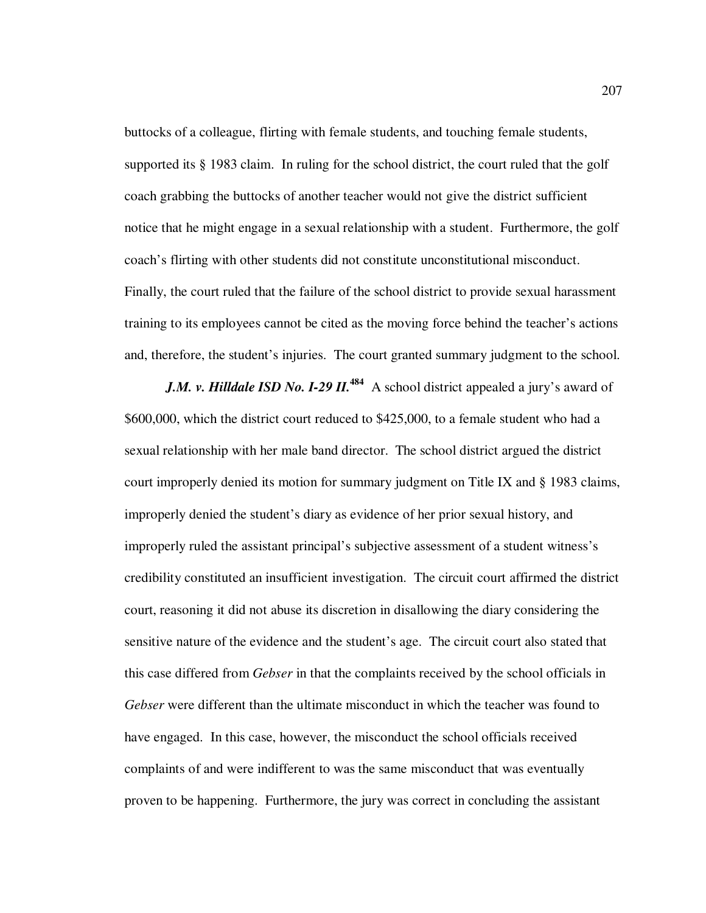buttocks of a colleague, flirting with female students, and touching female students, supported its § 1983 claim. In ruling for the school district, the court ruled that the golf coach grabbing the buttocks of another teacher would not give the district sufficient notice that he might engage in a sexual relationship with a student. Furthermore, the golf coach's flirting with other students did not constitute unconstitutional misconduct. Finally, the court ruled that the failure of the school district to provide sexual harassment training to its employees cannot be cited as the moving force behind the teacher's actions and, therefore, the student's injuries. The court granted summary judgment to the school.

*J.M. v. Hilldale ISD No. I-29 II.*<sup>484</sup> A school district appealed a jury's award of \$600,000, which the district court reduced to \$425,000, to a female student who had a sexual relationship with her male band director. The school district argued the district court improperly denied its motion for summary judgment on Title IX and § 1983 claims, improperly denied the student's diary as evidence of her prior sexual history, and improperly ruled the assistant principal's subjective assessment of a student witness's credibility constituted an insufficient investigation. The circuit court affirmed the district court, reasoning it did not abuse its discretion in disallowing the diary considering the sensitive nature of the evidence and the student's age. The circuit court also stated that this case differed from *Gebser* in that the complaints received by the school officials in *Gebser* were different than the ultimate misconduct in which the teacher was found to have engaged. In this case, however, the misconduct the school officials received complaints of and were indifferent to was the same misconduct that was eventually proven to be happening. Furthermore, the jury was correct in concluding the assistant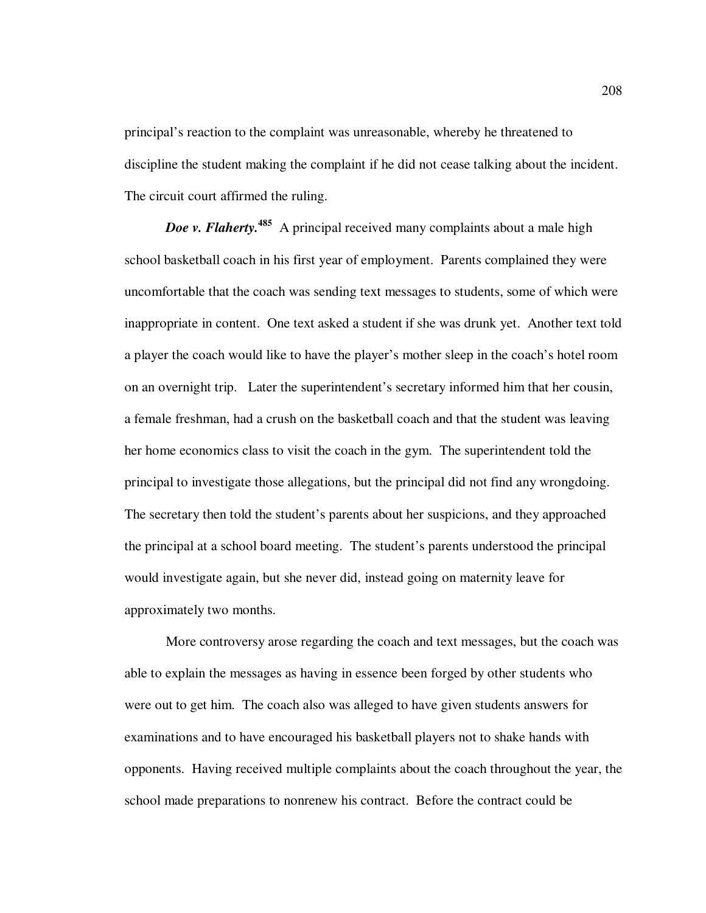principal's reaction to the complaint was unreasonable, whereby he threatened to discipline the student making the complaint if he did not cease talking about the incident. The circuit court affirmed the ruling.

*Doe v. Flaherty.*<sup>485</sup> A principal received many complaints about a male high school basketball coach in his first year of employment. Parents complained they were uncomfortable that the coach was sending text messages to students, some of which were inappropriate in content. One text asked a student if she was drunk yet. Another text told a player the coach would like to have the player's mother sleep in the coach's hotel room on an overnight trip. Later the superintendent's secretary informed him that her cousin, a female freshman, had a crush on the basketball coach and that the student was leaving her home economics class to visit the coach in the gym. The superintendent told the principal to investigate those allegations, but the principal did not find any wrongdoing. The secretary then told the student's parents about her suspicions, and they approached the principal at a school board meeting. The student's parents understood the principal would investigate again, but she never did, instead going on maternity leave for approximately two months.

More controversy arose regarding the coach and text messages, but the coach was able to explain the messages as having in essence been forged by other students who were out to get him. The coach also was alleged to have given students answers for examinations and to have encouraged his basketball players not to shake hands with opponents. Having received multiple complaints about the coach throughout the year, the school made preparations to nonrenew his contract. Before the contract could be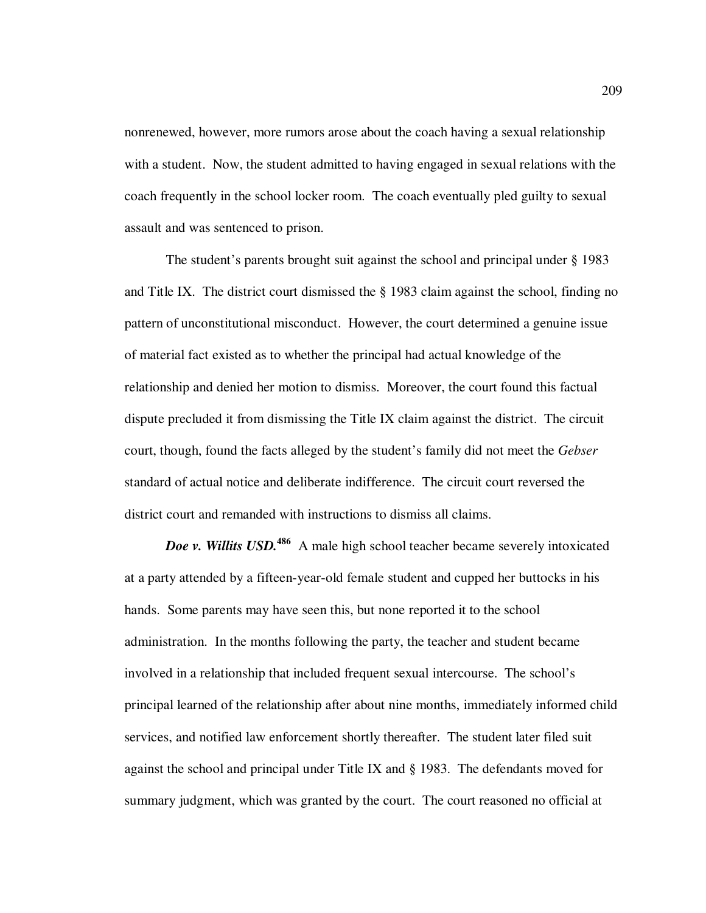nonrenewed, however, more rumors arose about the coach having a sexual relationship with a student. Now, the student admitted to having engaged in sexual relations with the coach frequently in the school locker room. The coach eventually pled guilty to sexual assault and was sentenced to prison.

The student's parents brought suit against the school and principal under § 1983 and Title IX. The district court dismissed the § 1983 claim against the school, finding no pattern of unconstitutional misconduct. However, the court determined a genuine issue of material fact existed as to whether the principal had actual knowledge of the relationship and denied her motion to dismiss. Moreover, the court found this factual dispute precluded it from dismissing the Title IX claim against the district. The circuit court, though, found the facts alleged by the student's family did not meet the *Gebser* standard of actual notice and deliberate indifference. The circuit court reversed the district court and remanded with instructions to dismiss all claims.

*Doe v. Willits USD.*<sup>486</sup> A male high school teacher became severely intoxicated at a party attended by a fifteen-year-old female student and cupped her buttocks in his hands. Some parents may have seen this, but none reported it to the school administration. In the months following the party, the teacher and student became involved in a relationship that included frequent sexual intercourse. The school's principal learned of the relationship after about nine months, immediately informed child services, and notified law enforcement shortly thereafter. The student later filed suit against the school and principal under Title IX and § 1983. The defendants moved for summary judgment, which was granted by the court. The court reasoned no official at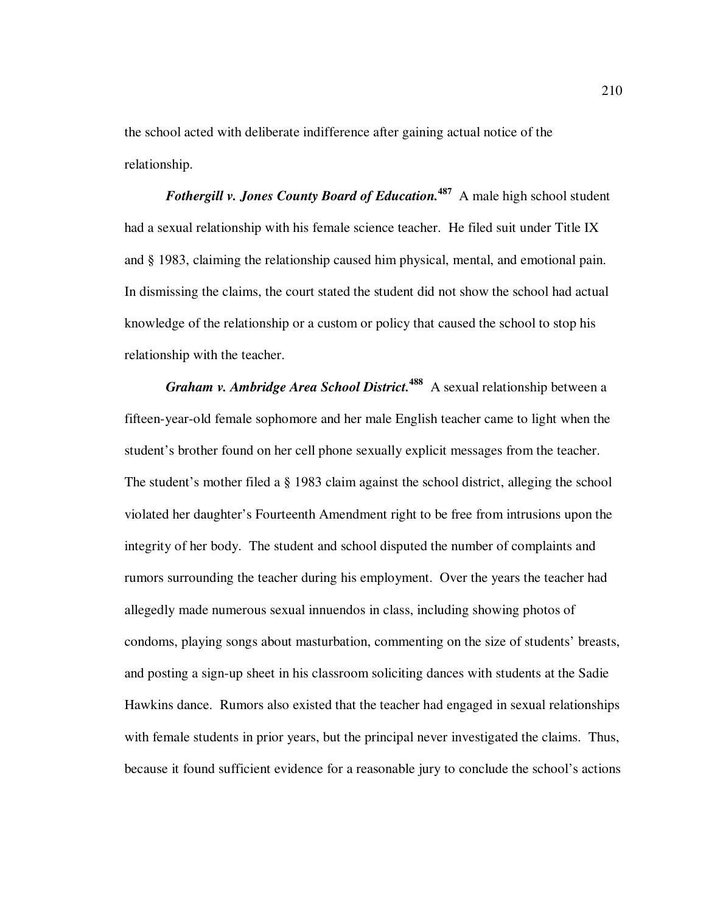the school acted with deliberate indifference after gaining actual notice of the relationship.

*Fothergill v. Jones County Board of Education.***<sup>487</sup>** A male high school student had a sexual relationship with his female science teacher. He filed suit under Title IX and § 1983, claiming the relationship caused him physical, mental, and emotional pain. In dismissing the claims, the court stated the student did not show the school had actual knowledge of the relationship or a custom or policy that caused the school to stop his relationship with the teacher.

*Graham v. Ambridge Area School District.***<sup>488</sup>** A sexual relationship between a fifteen-year-old female sophomore and her male English teacher came to light when the student's brother found on her cell phone sexually explicit messages from the teacher. The student's mother filed a § 1983 claim against the school district, alleging the school violated her daughter's Fourteenth Amendment right to be free from intrusions upon the integrity of her body. The student and school disputed the number of complaints and rumors surrounding the teacher during his employment. Over the years the teacher had allegedly made numerous sexual innuendos in class, including showing photos of condoms, playing songs about masturbation, commenting on the size of students' breasts, and posting a sign-up sheet in his classroom soliciting dances with students at the Sadie Hawkins dance. Rumors also existed that the teacher had engaged in sexual relationships with female students in prior years, but the principal never investigated the claims. Thus, because it found sufficient evidence for a reasonable jury to conclude the school's actions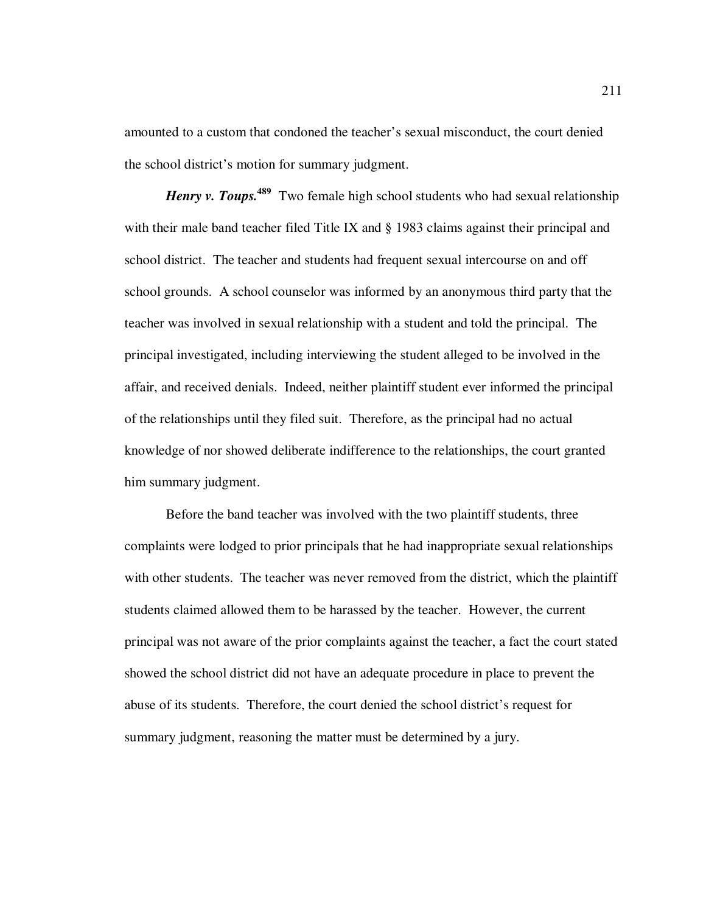amounted to a custom that condoned the teacher's sexual misconduct, the court denied the school district's motion for summary judgment.

*Henry v. Toups.*<sup>489</sup> Two female high school students who had sexual relationship with their male band teacher filed Title IX and § 1983 claims against their principal and school district. The teacher and students had frequent sexual intercourse on and off school grounds. A school counselor was informed by an anonymous third party that the teacher was involved in sexual relationship with a student and told the principal. The principal investigated, including interviewing the student alleged to be involved in the affair, and received denials. Indeed, neither plaintiff student ever informed the principal of the relationships until they filed suit. Therefore, as the principal had no actual knowledge of nor showed deliberate indifference to the relationships, the court granted him summary judgment.

Before the band teacher was involved with the two plaintiff students, three complaints were lodged to prior principals that he had inappropriate sexual relationships with other students. The teacher was never removed from the district, which the plaintiff students claimed allowed them to be harassed by the teacher. However, the current principal was not aware of the prior complaints against the teacher, a fact the court stated showed the school district did not have an adequate procedure in place to prevent the abuse of its students. Therefore, the court denied the school district's request for summary judgment, reasoning the matter must be determined by a jury.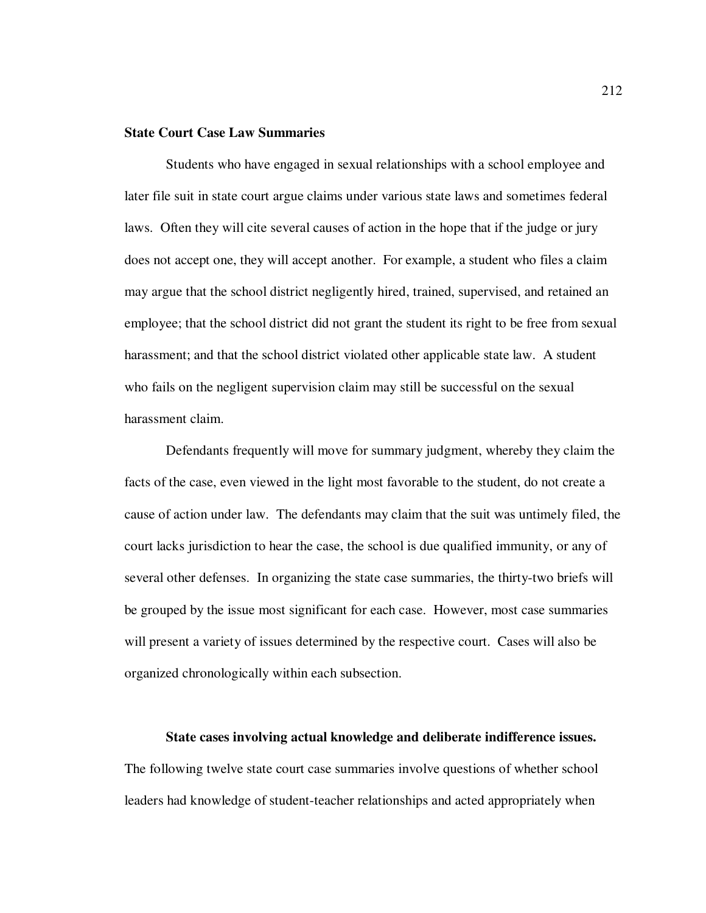## **State Court Case Law Summaries**

Students who have engaged in sexual relationships with a school employee and later file suit in state court argue claims under various state laws and sometimes federal laws. Often they will cite several causes of action in the hope that if the judge or jury does not accept one, they will accept another. For example, a student who files a claim may argue that the school district negligently hired, trained, supervised, and retained an employee; that the school district did not grant the student its right to be free from sexual harassment; and that the school district violated other applicable state law. A student who fails on the negligent supervision claim may still be successful on the sexual harassment claim.

Defendants frequently will move for summary judgment, whereby they claim the facts of the case, even viewed in the light most favorable to the student, do not create a cause of action under law. The defendants may claim that the suit was untimely filed, the court lacks jurisdiction to hear the case, the school is due qualified immunity, or any of several other defenses. In organizing the state case summaries, the thirty-two briefs will be grouped by the issue most significant for each case. However, most case summaries will present a variety of issues determined by the respective court. Cases will also be organized chronologically within each subsection.

**State cases involving actual knowledge and deliberate indifference issues.**  The following twelve state court case summaries involve questions of whether school leaders had knowledge of student-teacher relationships and acted appropriately when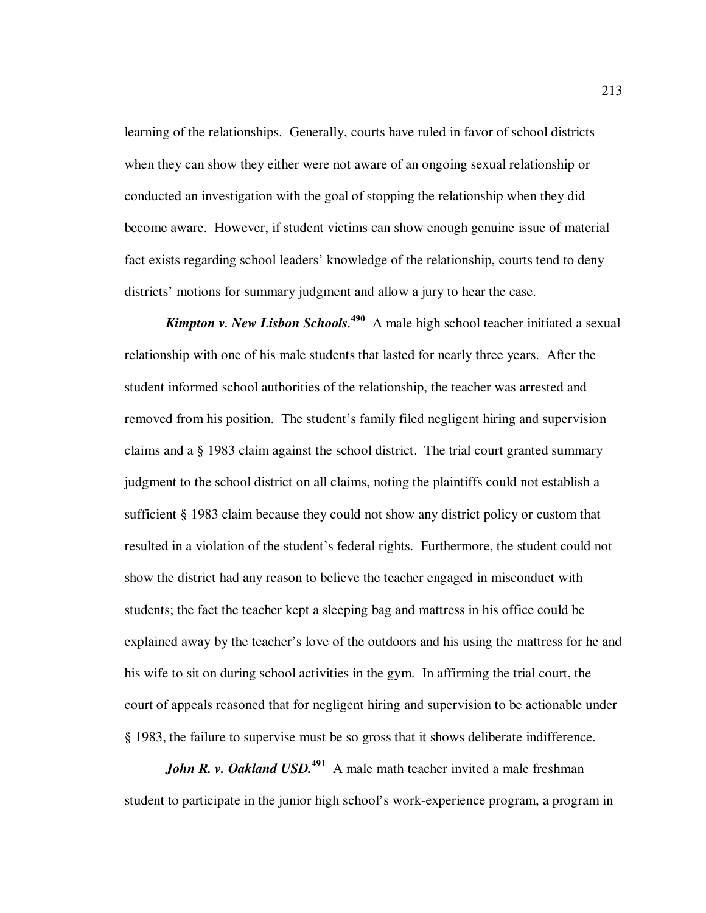learning of the relationships. Generally, courts have ruled in favor of school districts when they can show they either were not aware of an ongoing sexual relationship or conducted an investigation with the goal of stopping the relationship when they did become aware. However, if student victims can show enough genuine issue of material fact exists regarding school leaders' knowledge of the relationship, courts tend to deny districts' motions for summary judgment and allow a jury to hear the case.

*Kimpton v. New Lisbon Schools.***<sup>490</sup>** A male high school teacher initiated a sexual relationship with one of his male students that lasted for nearly three years. After the student informed school authorities of the relationship, the teacher was arrested and removed from his position. The student's family filed negligent hiring and supervision claims and a § 1983 claim against the school district. The trial court granted summary judgment to the school district on all claims, noting the plaintiffs could not establish a sufficient § 1983 claim because they could not show any district policy or custom that resulted in a violation of the student's federal rights. Furthermore, the student could not show the district had any reason to believe the teacher engaged in misconduct with students; the fact the teacher kept a sleeping bag and mattress in his office could be explained away by the teacher's love of the outdoors and his using the mattress for he and his wife to sit on during school activities in the gym. In affirming the trial court, the court of appeals reasoned that for negligent hiring and supervision to be actionable under § 1983, the failure to supervise must be so gross that it shows deliberate indifference.

*John R. v. Oakland USD*.<sup>491</sup> A male math teacher invited a male freshman student to participate in the junior high school's work-experience program, a program in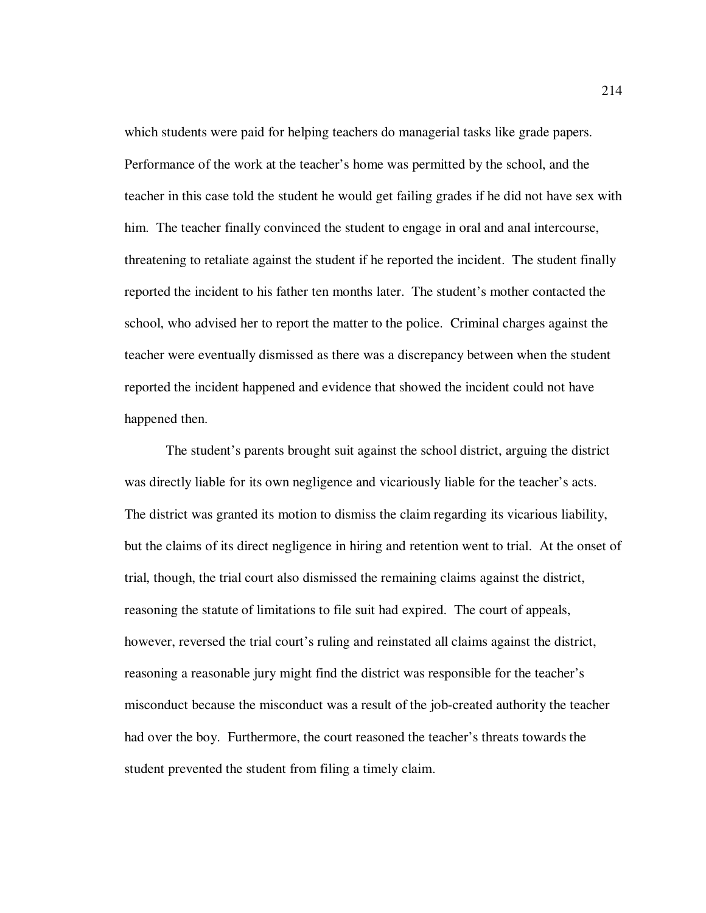which students were paid for helping teachers do managerial tasks like grade papers. Performance of the work at the teacher's home was permitted by the school, and the teacher in this case told the student he would get failing grades if he did not have sex with him. The teacher finally convinced the student to engage in oral and anal intercourse, threatening to retaliate against the student if he reported the incident. The student finally reported the incident to his father ten months later. The student's mother contacted the school, who advised her to report the matter to the police. Criminal charges against the teacher were eventually dismissed as there was a discrepancy between when the student reported the incident happened and evidence that showed the incident could not have happened then.

The student's parents brought suit against the school district, arguing the district was directly liable for its own negligence and vicariously liable for the teacher's acts. The district was granted its motion to dismiss the claim regarding its vicarious liability, but the claims of its direct negligence in hiring and retention went to trial. At the onset of trial, though, the trial court also dismissed the remaining claims against the district, reasoning the statute of limitations to file suit had expired. The court of appeals, however, reversed the trial court's ruling and reinstated all claims against the district, reasoning a reasonable jury might find the district was responsible for the teacher's misconduct because the misconduct was a result of the job-created authority the teacher had over the boy. Furthermore, the court reasoned the teacher's threats towards the student prevented the student from filing a timely claim.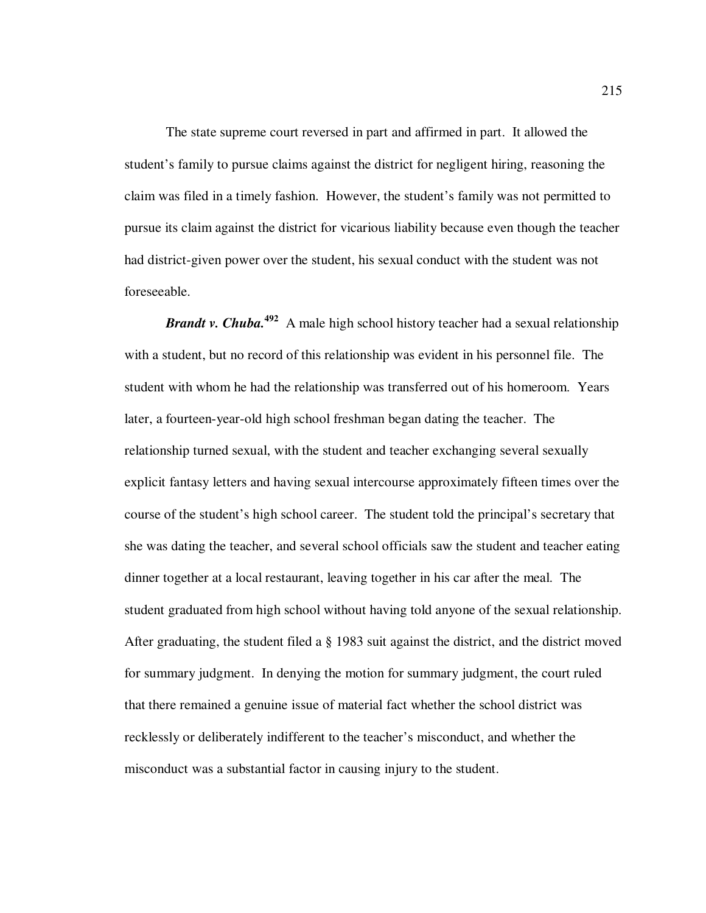The state supreme court reversed in part and affirmed in part. It allowed the student's family to pursue claims against the district for negligent hiring, reasoning the claim was filed in a timely fashion. However, the student's family was not permitted to pursue its claim against the district for vicarious liability because even though the teacher had district-given power over the student, his sexual conduct with the student was not foreseeable.

*Brandt v. Chuba.***<sup>492</sup>** A male high school history teacher had a sexual relationship with a student, but no record of this relationship was evident in his personnel file. The student with whom he had the relationship was transferred out of his homeroom. Years later, a fourteen-year-old high school freshman began dating the teacher. The relationship turned sexual, with the student and teacher exchanging several sexually explicit fantasy letters and having sexual intercourse approximately fifteen times over the course of the student's high school career. The student told the principal's secretary that she was dating the teacher, and several school officials saw the student and teacher eating dinner together at a local restaurant, leaving together in his car after the meal. The student graduated from high school without having told anyone of the sexual relationship. After graduating, the student filed a § 1983 suit against the district, and the district moved for summary judgment. In denying the motion for summary judgment, the court ruled that there remained a genuine issue of material fact whether the school district was recklessly or deliberately indifferent to the teacher's misconduct, and whether the misconduct was a substantial factor in causing injury to the student.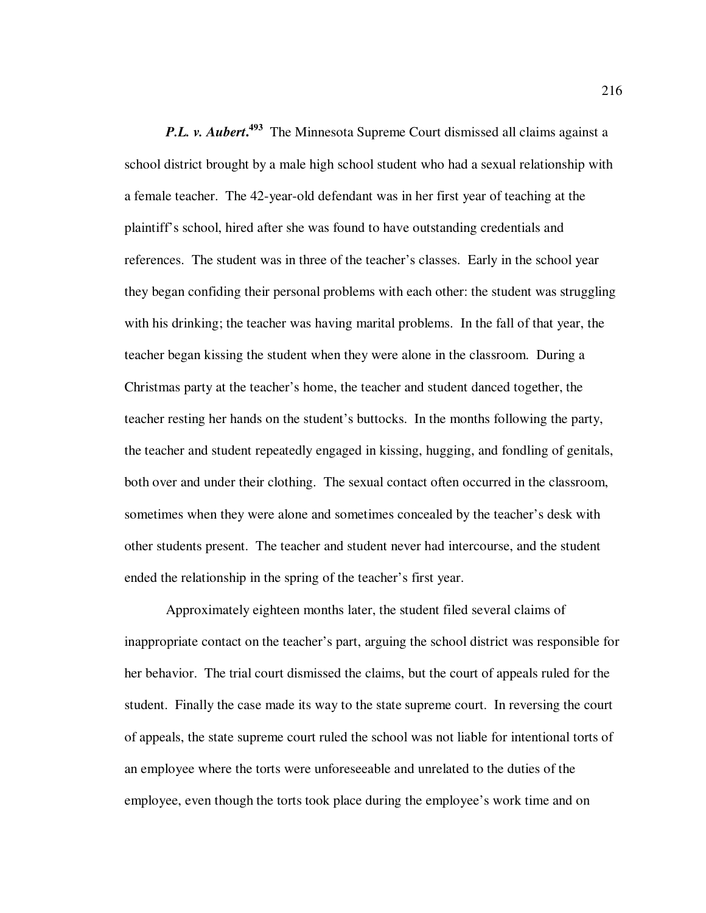**P.L. v. Aubert.<sup>493</sup>** The Minnesota Supreme Court dismissed all claims against a school district brought by a male high school student who had a sexual relationship with a female teacher. The 42-year-old defendant was in her first year of teaching at the plaintiff's school, hired after she was found to have outstanding credentials and references. The student was in three of the teacher's classes. Early in the school year they began confiding their personal problems with each other: the student was struggling with his drinking; the teacher was having marital problems. In the fall of that year, the teacher began kissing the student when they were alone in the classroom. During a Christmas party at the teacher's home, the teacher and student danced together, the teacher resting her hands on the student's buttocks. In the months following the party, the teacher and student repeatedly engaged in kissing, hugging, and fondling of genitals, both over and under their clothing. The sexual contact often occurred in the classroom, sometimes when they were alone and sometimes concealed by the teacher's desk with other students present. The teacher and student never had intercourse, and the student ended the relationship in the spring of the teacher's first year.

Approximately eighteen months later, the student filed several claims of inappropriate contact on the teacher's part, arguing the school district was responsible for her behavior. The trial court dismissed the claims, but the court of appeals ruled for the student. Finally the case made its way to the state supreme court. In reversing the court of appeals, the state supreme court ruled the school was not liable for intentional torts of an employee where the torts were unforeseeable and unrelated to the duties of the employee, even though the torts took place during the employee's work time and on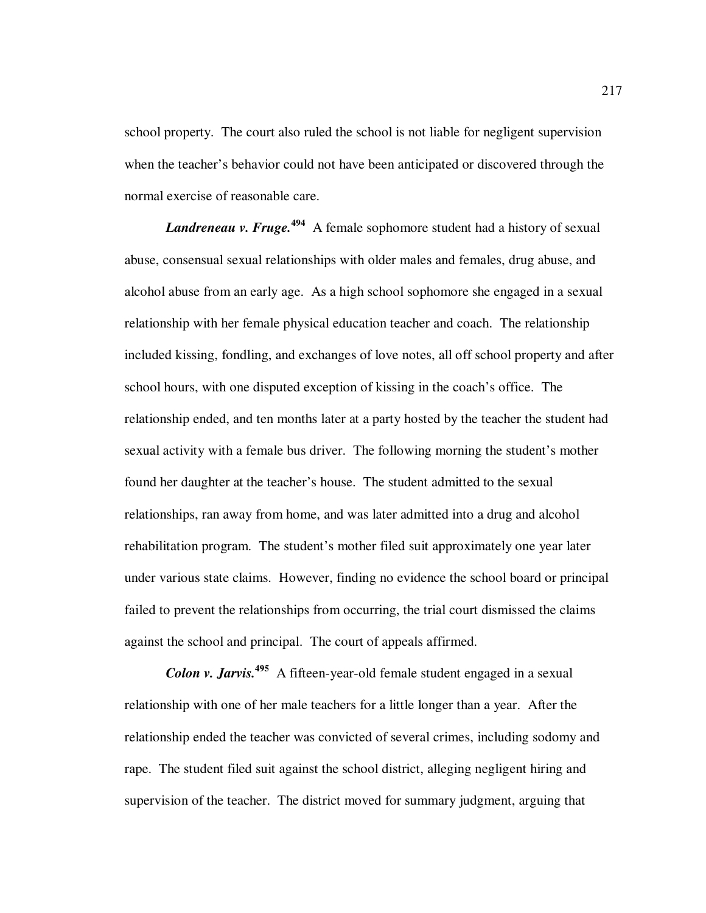school property. The court also ruled the school is not liable for negligent supervision when the teacher's behavior could not have been anticipated or discovered through the normal exercise of reasonable care.

*Landreneau v. Fruge.***<sup>494</sup>** A female sophomore student had a history of sexual abuse, consensual sexual relationships with older males and females, drug abuse, and alcohol abuse from an early age. As a high school sophomore she engaged in a sexual relationship with her female physical education teacher and coach. The relationship included kissing, fondling, and exchanges of love notes, all off school property and after school hours, with one disputed exception of kissing in the coach's office. The relationship ended, and ten months later at a party hosted by the teacher the student had sexual activity with a female bus driver. The following morning the student's mother found her daughter at the teacher's house. The student admitted to the sexual relationships, ran away from home, and was later admitted into a drug and alcohol rehabilitation program. The student's mother filed suit approximately one year later under various state claims. However, finding no evidence the school board or principal failed to prevent the relationships from occurring, the trial court dismissed the claims against the school and principal. The court of appeals affirmed.

*Colon v. Jarvis.***<sup>495</sup>** A fifteen-year-old female student engaged in a sexual relationship with one of her male teachers for a little longer than a year. After the relationship ended the teacher was convicted of several crimes, including sodomy and rape. The student filed suit against the school district, alleging negligent hiring and supervision of the teacher. The district moved for summary judgment, arguing that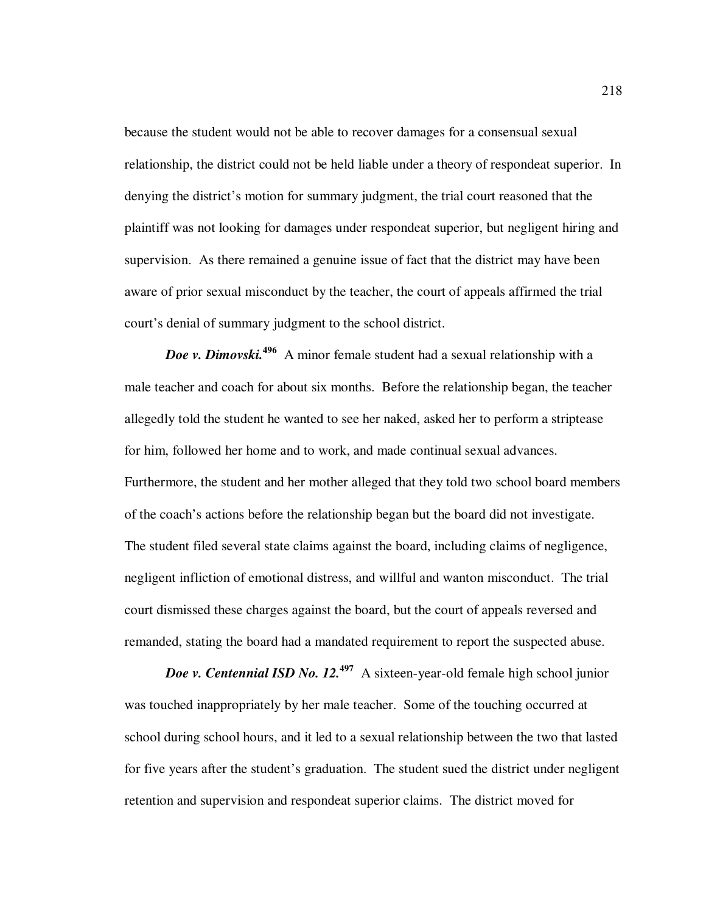because the student would not be able to recover damages for a consensual sexual relationship, the district could not be held liable under a theory of respondeat superior. In denying the district's motion for summary judgment, the trial court reasoned that the plaintiff was not looking for damages under respondeat superior, but negligent hiring and supervision. As there remained a genuine issue of fact that the district may have been aware of prior sexual misconduct by the teacher, the court of appeals affirmed the trial court's denial of summary judgment to the school district.

*Doe v. Dimovski.***<sup>496</sup>** A minor female student had a sexual relationship with a male teacher and coach for about six months. Before the relationship began, the teacher allegedly told the student he wanted to see her naked, asked her to perform a striptease for him, followed her home and to work, and made continual sexual advances. Furthermore, the student and her mother alleged that they told two school board members of the coach's actions before the relationship began but the board did not investigate. The student filed several state claims against the board, including claims of negligence, negligent infliction of emotional distress, and willful and wanton misconduct. The trial court dismissed these charges against the board, but the court of appeals reversed and remanded, stating the board had a mandated requirement to report the suspected abuse.

*Doe v. Centennial ISD No. 12.*<sup>497</sup> A sixteen-year-old female high school junior was touched inappropriately by her male teacher. Some of the touching occurred at school during school hours, and it led to a sexual relationship between the two that lasted for five years after the student's graduation. The student sued the district under negligent retention and supervision and respondeat superior claims. The district moved for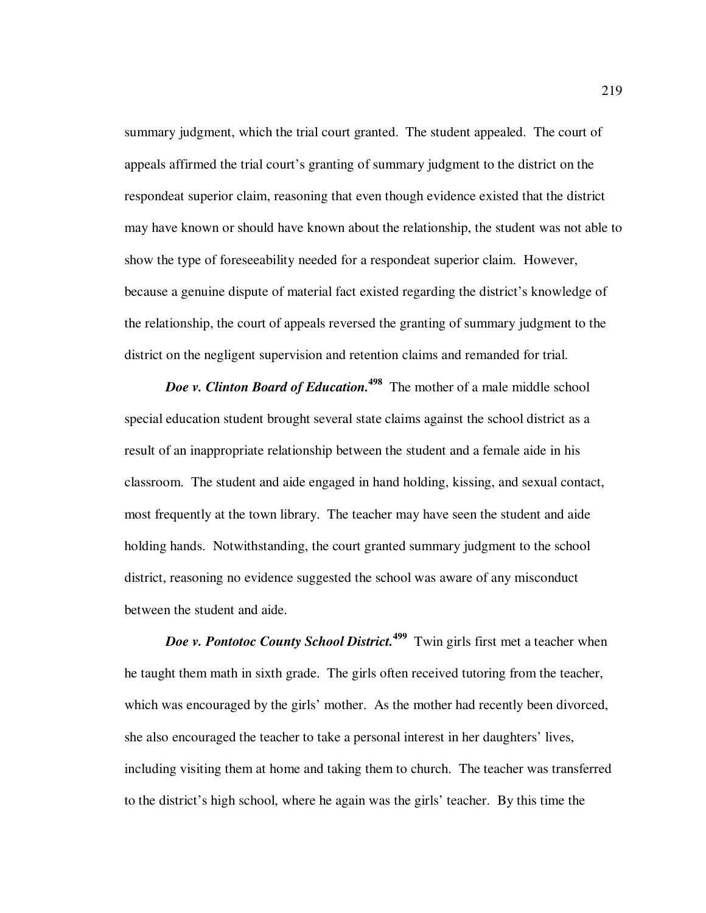summary judgment, which the trial court granted. The student appealed. The court of appeals affirmed the trial court's granting of summary judgment to the district on the respondeat superior claim, reasoning that even though evidence existed that the district may have known or should have known about the relationship, the student was not able to show the type of foreseeability needed for a respondeat superior claim. However, because a genuine dispute of material fact existed regarding the district's knowledge of the relationship, the court of appeals reversed the granting of summary judgment to the district on the negligent supervision and retention claims and remanded for trial.

*Doe v. Clinton Board of Education.*<sup>498</sup> The mother of a male middle school special education student brought several state claims against the school district as a result of an inappropriate relationship between the student and a female aide in his classroom. The student and aide engaged in hand holding, kissing, and sexual contact, most frequently at the town library. The teacher may have seen the student and aide holding hands. Notwithstanding, the court granted summary judgment to the school district, reasoning no evidence suggested the school was aware of any misconduct between the student and aide.

*Doe v. Pontotoc County School District.***<sup>499</sup>** Twin girls first met a teacher when he taught them math in sixth grade. The girls often received tutoring from the teacher, which was encouraged by the girls' mother. As the mother had recently been divorced, she also encouraged the teacher to take a personal interest in her daughters' lives, including visiting them at home and taking them to church. The teacher was transferred to the district's high school, where he again was the girls' teacher. By this time the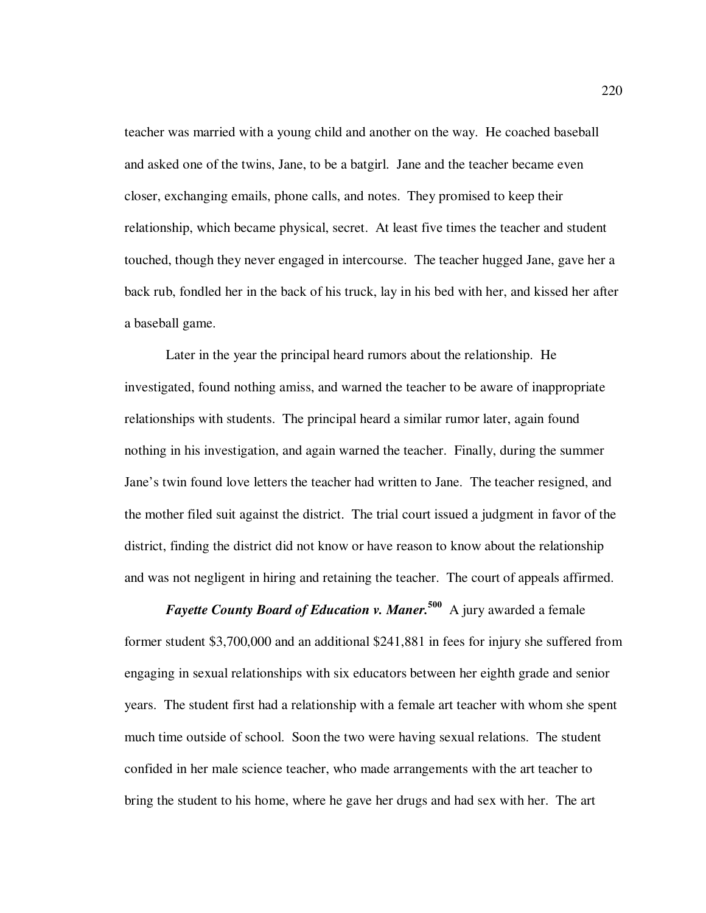teacher was married with a young child and another on the way. He coached baseball and asked one of the twins, Jane, to be a batgirl. Jane and the teacher became even closer, exchanging emails, phone calls, and notes. They promised to keep their relationship, which became physical, secret. At least five times the teacher and student touched, though they never engaged in intercourse. The teacher hugged Jane, gave her a back rub, fondled her in the back of his truck, lay in his bed with her, and kissed her after a baseball game.

Later in the year the principal heard rumors about the relationship. He investigated, found nothing amiss, and warned the teacher to be aware of inappropriate relationships with students. The principal heard a similar rumor later, again found nothing in his investigation, and again warned the teacher. Finally, during the summer Jane's twin found love letters the teacher had written to Jane. The teacher resigned, and the mother filed suit against the district. The trial court issued a judgment in favor of the district, finding the district did not know or have reason to know about the relationship and was not negligent in hiring and retaining the teacher. The court of appeals affirmed.

*Fayette County Board of Education v. Maner.*<sup>500</sup> A jury awarded a female former student \$3,700,000 and an additional \$241,881 in fees for injury she suffered from engaging in sexual relationships with six educators between her eighth grade and senior years. The student first had a relationship with a female art teacher with whom she spent much time outside of school. Soon the two were having sexual relations. The student confided in her male science teacher, who made arrangements with the art teacher to bring the student to his home, where he gave her drugs and had sex with her. The art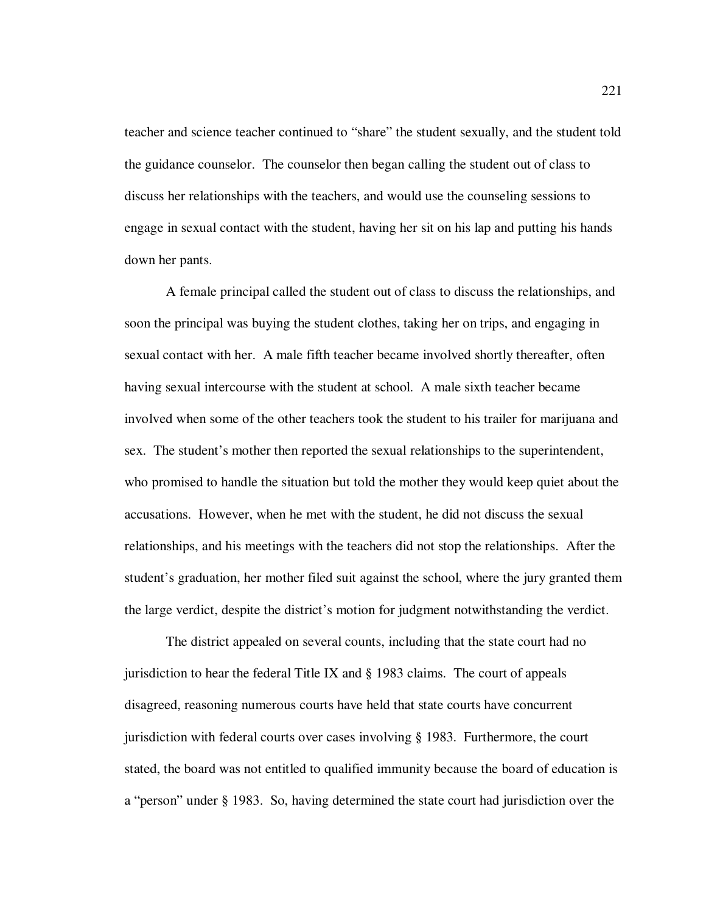teacher and science teacher continued to "share" the student sexually, and the student told the guidance counselor. The counselor then began calling the student out of class to discuss her relationships with the teachers, and would use the counseling sessions to engage in sexual contact with the student, having her sit on his lap and putting his hands down her pants.

A female principal called the student out of class to discuss the relationships, and soon the principal was buying the student clothes, taking her on trips, and engaging in sexual contact with her. A male fifth teacher became involved shortly thereafter, often having sexual intercourse with the student at school. A male sixth teacher became involved when some of the other teachers took the student to his trailer for marijuana and sex. The student's mother then reported the sexual relationships to the superintendent, who promised to handle the situation but told the mother they would keep quiet about the accusations. However, when he met with the student, he did not discuss the sexual relationships, and his meetings with the teachers did not stop the relationships. After the student's graduation, her mother filed suit against the school, where the jury granted them the large verdict, despite the district's motion for judgment notwithstanding the verdict.

The district appealed on several counts, including that the state court had no jurisdiction to hear the federal Title IX and § 1983 claims. The court of appeals disagreed, reasoning numerous courts have held that state courts have concurrent jurisdiction with federal courts over cases involving § 1983. Furthermore, the court stated, the board was not entitled to qualified immunity because the board of education is a "person" under § 1983. So, having determined the state court had jurisdiction over the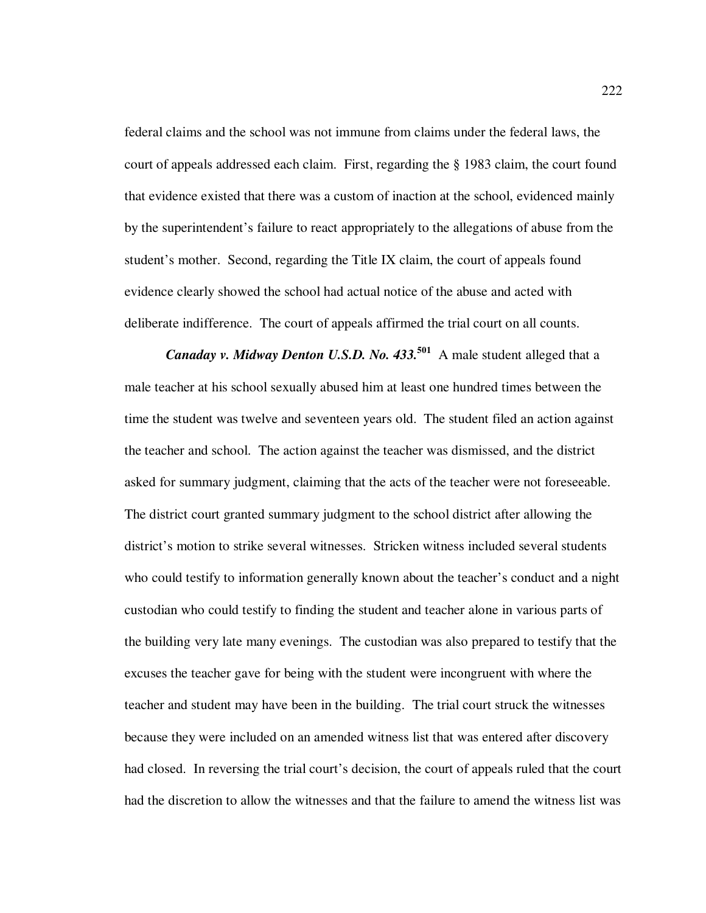federal claims and the school was not immune from claims under the federal laws, the court of appeals addressed each claim. First, regarding the § 1983 claim, the court found that evidence existed that there was a custom of inaction at the school, evidenced mainly by the superintendent's failure to react appropriately to the allegations of abuse from the student's mother. Second, regarding the Title IX claim, the court of appeals found evidence clearly showed the school had actual notice of the abuse and acted with deliberate indifference. The court of appeals affirmed the trial court on all counts.

*Canaday v. Midway Denton U.S.D. No. 433.***<sup>501</sup>** A male student alleged that a male teacher at his school sexually abused him at least one hundred times between the time the student was twelve and seventeen years old. The student filed an action against the teacher and school. The action against the teacher was dismissed, and the district asked for summary judgment, claiming that the acts of the teacher were not foreseeable. The district court granted summary judgment to the school district after allowing the district's motion to strike several witnesses. Stricken witness included several students who could testify to information generally known about the teacher's conduct and a night custodian who could testify to finding the student and teacher alone in various parts of the building very late many evenings. The custodian was also prepared to testify that the excuses the teacher gave for being with the student were incongruent with where the teacher and student may have been in the building. The trial court struck the witnesses because they were included on an amended witness list that was entered after discovery had closed. In reversing the trial court's decision, the court of appeals ruled that the court had the discretion to allow the witnesses and that the failure to amend the witness list was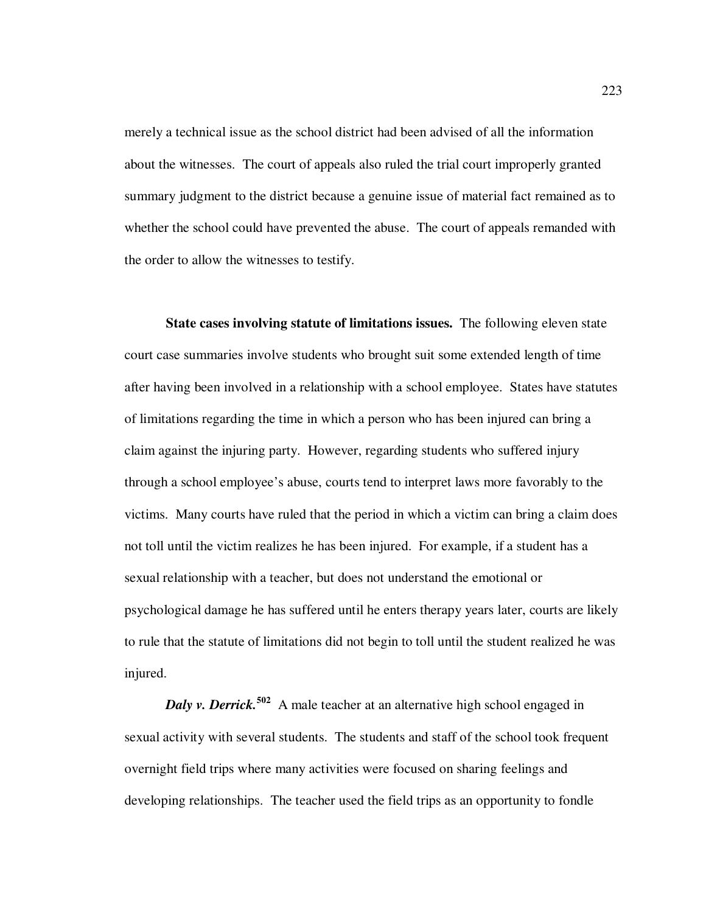merely a technical issue as the school district had been advised of all the information about the witnesses. The court of appeals also ruled the trial court improperly granted summary judgment to the district because a genuine issue of material fact remained as to whether the school could have prevented the abuse. The court of appeals remanded with the order to allow the witnesses to testify.

**State cases involving statute of limitations issues.** The following eleven state court case summaries involve students who brought suit some extended length of time after having been involved in a relationship with a school employee. States have statutes of limitations regarding the time in which a person who has been injured can bring a claim against the injuring party. However, regarding students who suffered injury through a school employee's abuse, courts tend to interpret laws more favorably to the victims. Many courts have ruled that the period in which a victim can bring a claim does not toll until the victim realizes he has been injured. For example, if a student has a sexual relationship with a teacher, but does not understand the emotional or psychological damage he has suffered until he enters therapy years later, courts are likely to rule that the statute of limitations did not begin to toll until the student realized he was injured.

*Daly v. Derrick.*<sup>502</sup> A male teacher at an alternative high school engaged in sexual activity with several students. The students and staff of the school took frequent overnight field trips where many activities were focused on sharing feelings and developing relationships. The teacher used the field trips as an opportunity to fondle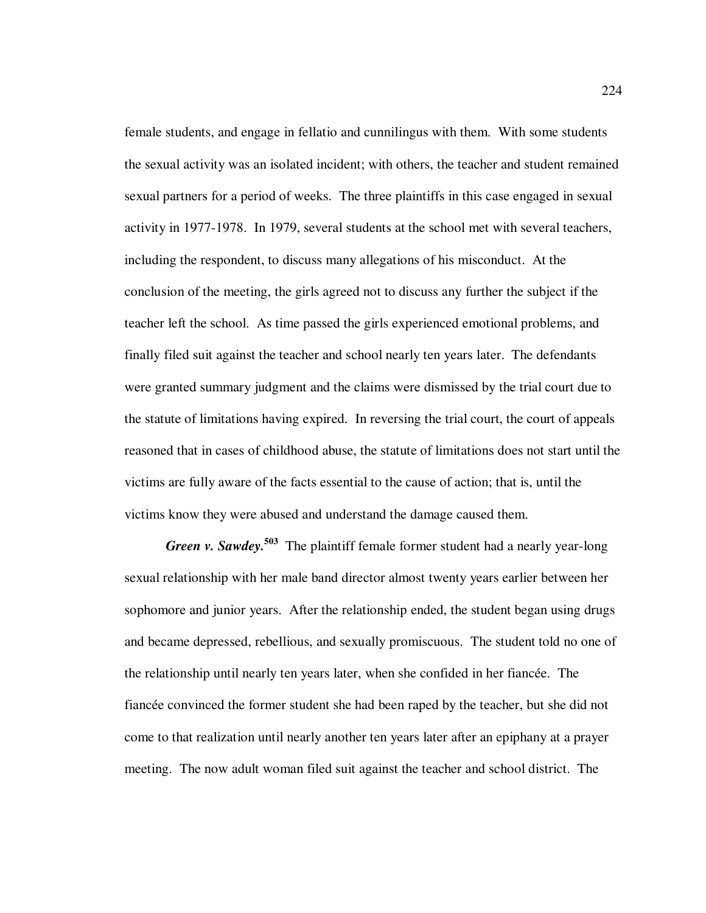female students, and engage in fellatio and cunnilingus with them. With some students the sexual activity was an isolated incident; with others, the teacher and student remained sexual partners for a period of weeks. The three plaintiffs in this case engaged in sexual activity in 1977-1978. In 1979, several students at the school met with several teachers, including the respondent, to discuss many allegations of his misconduct. At the conclusion of the meeting, the girls agreed not to discuss any further the subject if the teacher left the school. As time passed the girls experienced emotional problems, and finally filed suit against the teacher and school nearly ten years later. The defendants were granted summary judgment and the claims were dismissed by the trial court due to the statute of limitations having expired. In reversing the trial court, the court of appeals reasoned that in cases of childhood abuse, the statute of limitations does not start until the victims are fully aware of the facts essential to the cause of action; that is, until the victims know they were abused and understand the damage caused them.

*Green v. Sawdey.***<sup>503</sup>** The plaintiff female former student had a nearly year-long sexual relationship with her male band director almost twenty years earlier between her sophomore and junior years. After the relationship ended, the student began using drugs and became depressed, rebellious, and sexually promiscuous. The student told no one of the relationship until nearly ten years later, when she confided in her fiancée. The fiancée convinced the former student she had been raped by the teacher, but she did not come to that realization until nearly another ten years later after an epiphany at a prayer meeting. The now adult woman filed suit against the teacher and school district. The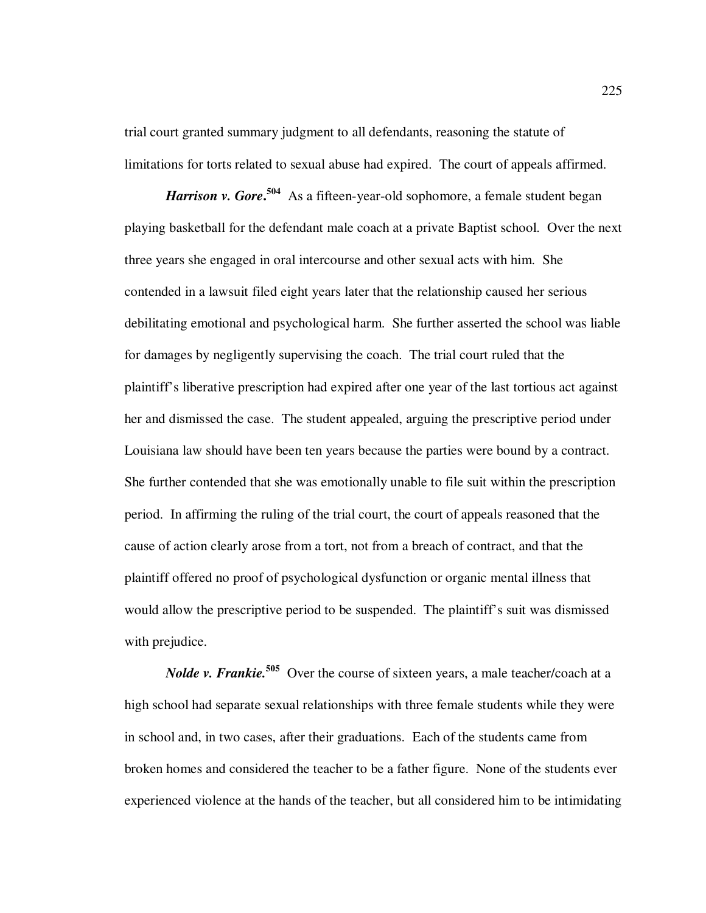trial court granted summary judgment to all defendants, reasoning the statute of limitations for torts related to sexual abuse had expired. The court of appeals affirmed.

*Harrison v. Gore*<sup>504</sup> As a fifteen-year-old sophomore, a female student began playing basketball for the defendant male coach at a private Baptist school. Over the next three years she engaged in oral intercourse and other sexual acts with him. She contended in a lawsuit filed eight years later that the relationship caused her serious debilitating emotional and psychological harm. She further asserted the school was liable for damages by negligently supervising the coach. The trial court ruled that the plaintiff's liberative prescription had expired after one year of the last tortious act against her and dismissed the case. The student appealed, arguing the prescriptive period under Louisiana law should have been ten years because the parties were bound by a contract. She further contended that she was emotionally unable to file suit within the prescription period. In affirming the ruling of the trial court, the court of appeals reasoned that the cause of action clearly arose from a tort, not from a breach of contract, and that the plaintiff offered no proof of psychological dysfunction or organic mental illness that would allow the prescriptive period to be suspended. The plaintiff's suit was dismissed with prejudice.

*Nolde v. Frankie*.<sup>505</sup> Over the course of sixteen years, a male teacher/coach at a high school had separate sexual relationships with three female students while they were in school and, in two cases, after their graduations. Each of the students came from broken homes and considered the teacher to be a father figure. None of the students ever experienced violence at the hands of the teacher, but all considered him to be intimidating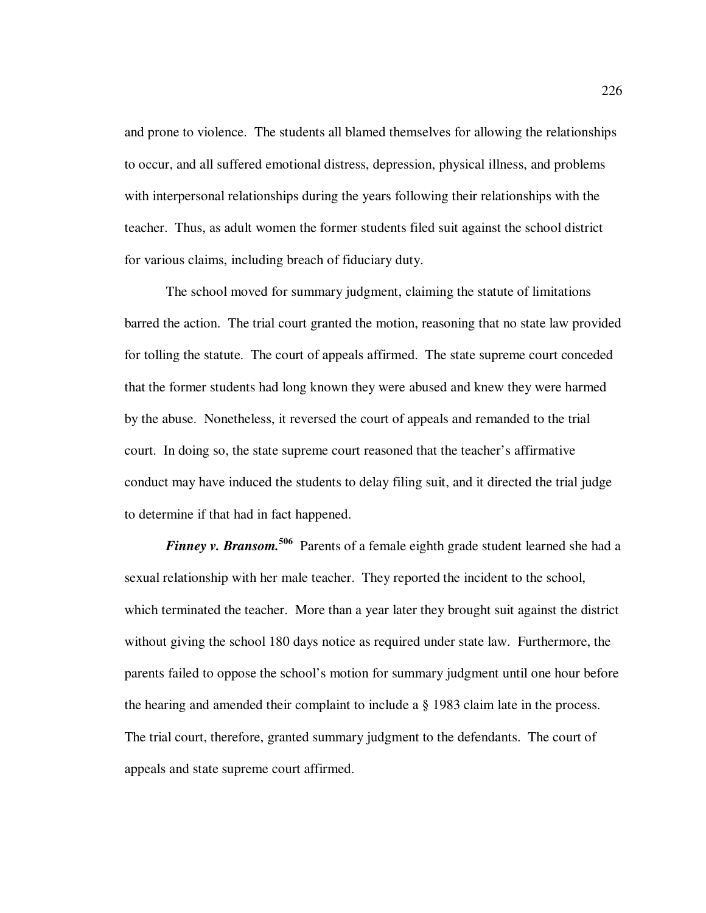and prone to violence. The students all blamed themselves for allowing the relationships to occur, and all suffered emotional distress, depression, physical illness, and problems with interpersonal relationships during the years following their relationships with the teacher. Thus, as adult women the former students filed suit against the school district for various claims, including breach of fiduciary duty.

The school moved for summary judgment, claiming the statute of limitations barred the action. The trial court granted the motion, reasoning that no state law provided for tolling the statute. The court of appeals affirmed. The state supreme court conceded that the former students had long known they were abused and knew they were harmed by the abuse. Nonetheless, it reversed the court of appeals and remanded to the trial court. In doing so, the state supreme court reasoned that the teacher's affirmative conduct may have induced the students to delay filing suit, and it directed the trial judge to determine if that had in fact happened.

*Finney v. Bransom.***<sup>506</sup>** Parents of a female eighth grade student learned she had a sexual relationship with her male teacher. They reported the incident to the school, which terminated the teacher. More than a year later they brought suit against the district without giving the school 180 days notice as required under state law. Furthermore, the parents failed to oppose the school's motion for summary judgment until one hour before the hearing and amended their complaint to include a § 1983 claim late in the process. The trial court, therefore, granted summary judgment to the defendants. The court of appeals and state supreme court affirmed.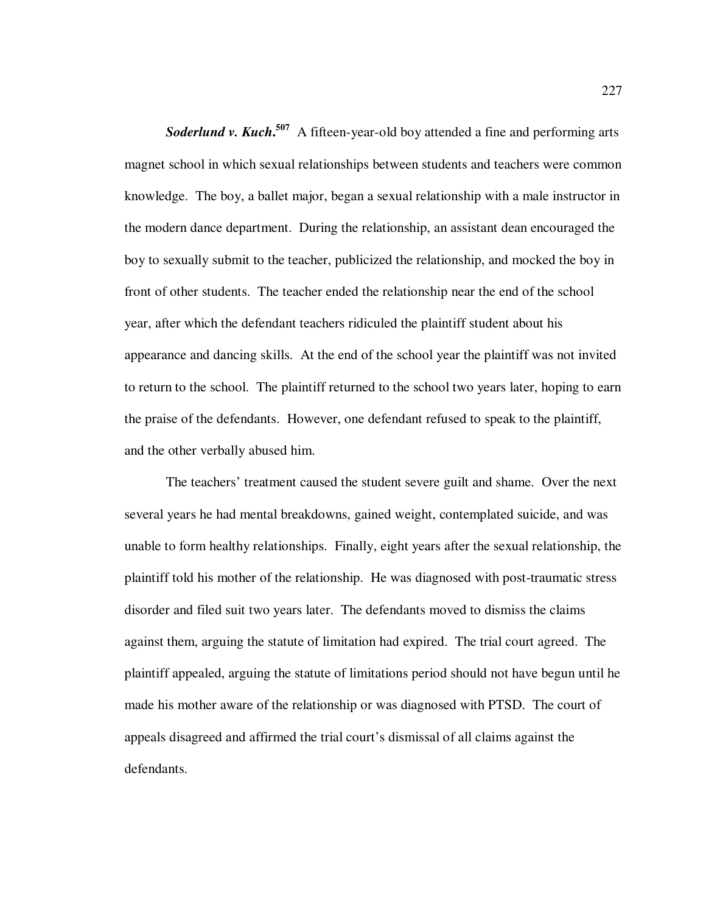**Soderlund v. Kuch.<sup>507</sup>** A fifteen-year-old boy attended a fine and performing arts magnet school in which sexual relationships between students and teachers were common knowledge. The boy, a ballet major, began a sexual relationship with a male instructor in the modern dance department. During the relationship, an assistant dean encouraged the boy to sexually submit to the teacher, publicized the relationship, and mocked the boy in front of other students. The teacher ended the relationship near the end of the school year, after which the defendant teachers ridiculed the plaintiff student about his appearance and dancing skills. At the end of the school year the plaintiff was not invited to return to the school. The plaintiff returned to the school two years later, hoping to earn the praise of the defendants. However, one defendant refused to speak to the plaintiff, and the other verbally abused him.

The teachers' treatment caused the student severe guilt and shame. Over the next several years he had mental breakdowns, gained weight, contemplated suicide, and was unable to form healthy relationships. Finally, eight years after the sexual relationship, the plaintiff told his mother of the relationship. He was diagnosed with post-traumatic stress disorder and filed suit two years later. The defendants moved to dismiss the claims against them, arguing the statute of limitation had expired. The trial court agreed. The plaintiff appealed, arguing the statute of limitations period should not have begun until he made his mother aware of the relationship or was diagnosed with PTSD. The court of appeals disagreed and affirmed the trial court's dismissal of all claims against the defendants.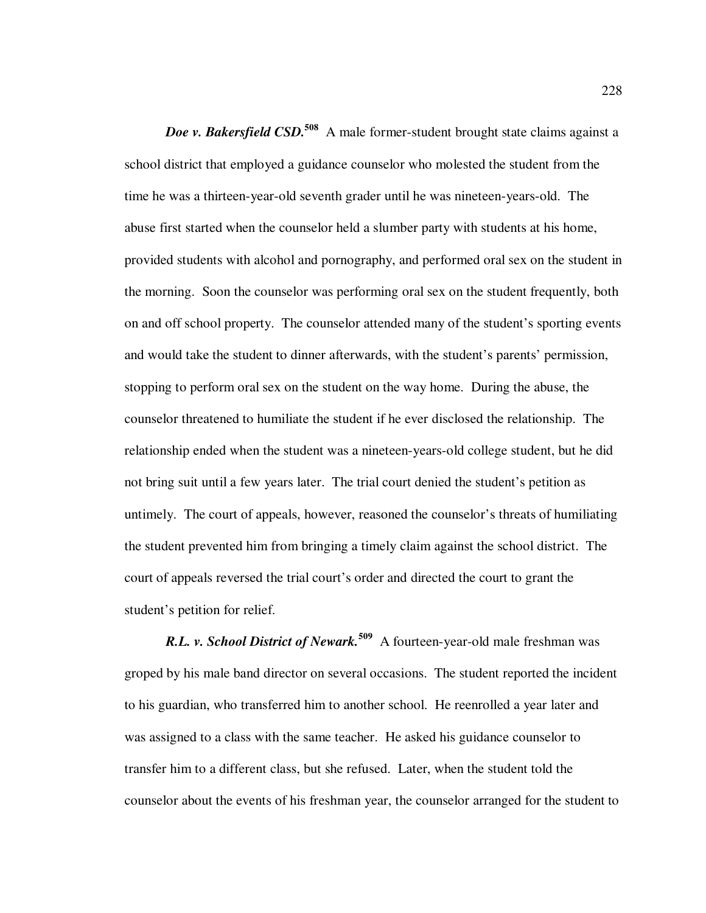*Doe v. Bakersfield CSD.***<sup>508</sup>** A male former-student brought state claims against a school district that employed a guidance counselor who molested the student from the time he was a thirteen-year-old seventh grader until he was nineteen-years-old. The abuse first started when the counselor held a slumber party with students at his home, provided students with alcohol and pornography, and performed oral sex on the student in the morning. Soon the counselor was performing oral sex on the student frequently, both on and off school property. The counselor attended many of the student's sporting events and would take the student to dinner afterwards, with the student's parents' permission, stopping to perform oral sex on the student on the way home. During the abuse, the counselor threatened to humiliate the student if he ever disclosed the relationship. The relationship ended when the student was a nineteen-years-old college student, but he did not bring suit until a few years later. The trial court denied the student's petition as untimely. The court of appeals, however, reasoned the counselor's threats of humiliating the student prevented him from bringing a timely claim against the school district. The court of appeals reversed the trial court's order and directed the court to grant the student's petition for relief.

*R.L. v. School District of Newark.***<sup>509</sup>** A fourteen-year-old male freshman was groped by his male band director on several occasions. The student reported the incident to his guardian, who transferred him to another school. He reenrolled a year later and was assigned to a class with the same teacher. He asked his guidance counselor to transfer him to a different class, but she refused. Later, when the student told the counselor about the events of his freshman year, the counselor arranged for the student to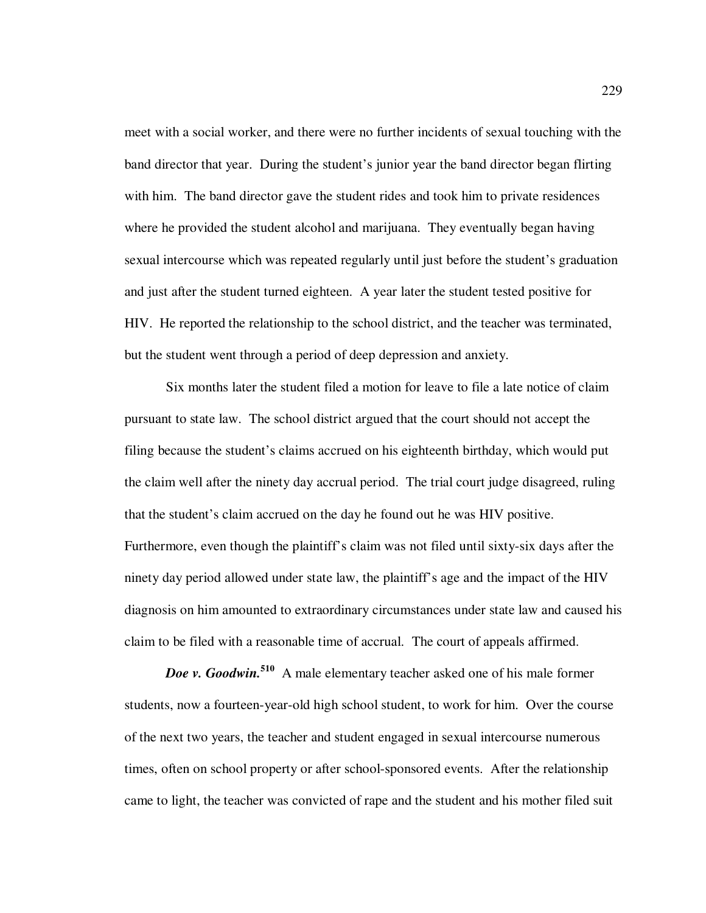meet with a social worker, and there were no further incidents of sexual touching with the band director that year. During the student's junior year the band director began flirting with him. The band director gave the student rides and took him to private residences where he provided the student alcohol and marijuana. They eventually began having sexual intercourse which was repeated regularly until just before the student's graduation and just after the student turned eighteen. A year later the student tested positive for HIV. He reported the relationship to the school district, and the teacher was terminated, but the student went through a period of deep depression and anxiety.

Six months later the student filed a motion for leave to file a late notice of claim pursuant to state law. The school district argued that the court should not accept the filing because the student's claims accrued on his eighteenth birthday, which would put the claim well after the ninety day accrual period. The trial court judge disagreed, ruling that the student's claim accrued on the day he found out he was HIV positive. Furthermore, even though the plaintiff's claim was not filed until sixty-six days after the ninety day period allowed under state law, the plaintiff's age and the impact of the HIV diagnosis on him amounted to extraordinary circumstances under state law and caused his claim to be filed with a reasonable time of accrual. The court of appeals affirmed.

*Doe v. Goodwin.***<sup>510</sup>** A male elementary teacher asked one of his male former students, now a fourteen-year-old high school student, to work for him. Over the course of the next two years, the teacher and student engaged in sexual intercourse numerous times, often on school property or after school-sponsored events. After the relationship came to light, the teacher was convicted of rape and the student and his mother filed suit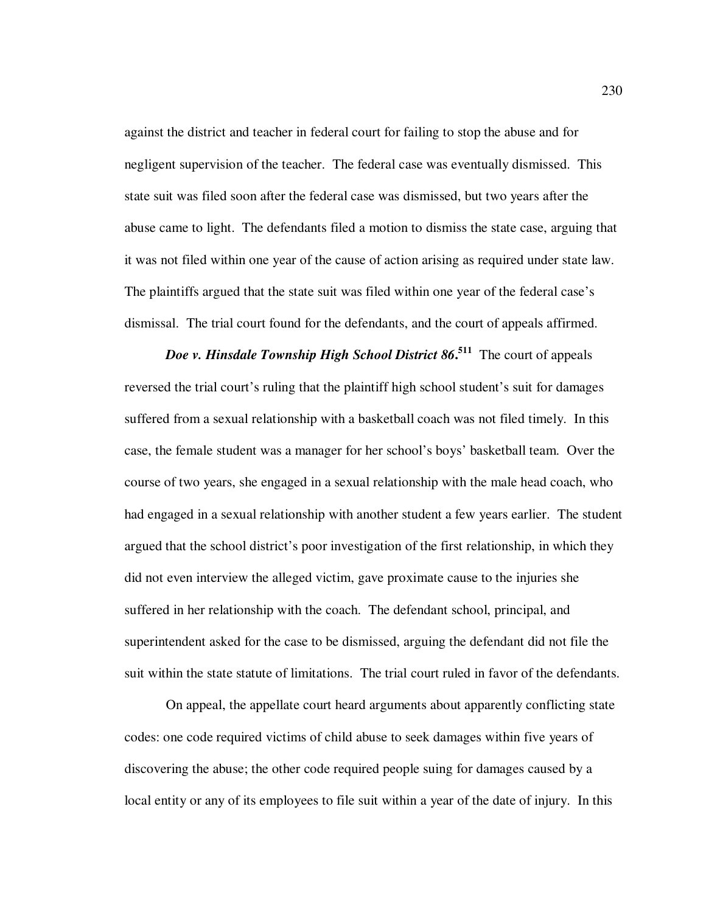against the district and teacher in federal court for failing to stop the abuse and for negligent supervision of the teacher. The federal case was eventually dismissed. This state suit was filed soon after the federal case was dismissed, but two years after the abuse came to light. The defendants filed a motion to dismiss the state case, arguing that it was not filed within one year of the cause of action arising as required under state law. The plaintiffs argued that the state suit was filed within one year of the federal case's dismissal. The trial court found for the defendants, and the court of appeals affirmed.

*Doe v. Hinsdale Township High School District 86***. 511** The court of appeals reversed the trial court's ruling that the plaintiff high school student's suit for damages suffered from a sexual relationship with a basketball coach was not filed timely. In this case, the female student was a manager for her school's boys' basketball team. Over the course of two years, she engaged in a sexual relationship with the male head coach, who had engaged in a sexual relationship with another student a few years earlier. The student argued that the school district's poor investigation of the first relationship, in which they did not even interview the alleged victim, gave proximate cause to the injuries she suffered in her relationship with the coach. The defendant school, principal, and superintendent asked for the case to be dismissed, arguing the defendant did not file the suit within the state statute of limitations. The trial court ruled in favor of the defendants.

On appeal, the appellate court heard arguments about apparently conflicting state codes: one code required victims of child abuse to seek damages within five years of discovering the abuse; the other code required people suing for damages caused by a local entity or any of its employees to file suit within a year of the date of injury. In this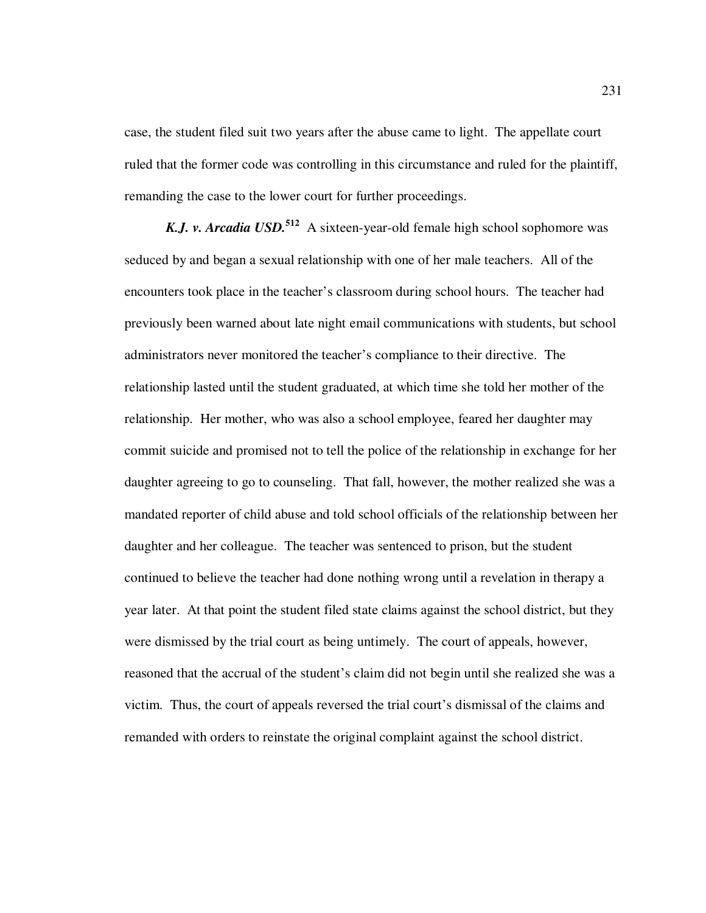case, the student filed suit two years after the abuse came to light. The appellate court ruled that the former code was controlling in this circumstance and ruled for the plaintiff, remanding the case to the lower court for further proceedings.

*K.J. v. Arcadia USD.***<sup>512</sup>** A sixteen-year-old female high school sophomore was seduced by and began a sexual relationship with one of her male teachers. All of the encounters took place in the teacher's classroom during school hours. The teacher had previously been warned about late night email communications with students, but school administrators never monitored the teacher's compliance to their directive. The relationship lasted until the student graduated, at which time she told her mother of the relationship. Her mother, who was also a school employee, feared her daughter may commit suicide and promised not to tell the police of the relationship in exchange for her daughter agreeing to go to counseling. That fall, however, the mother realized she was a mandated reporter of child abuse and told school officials of the relationship between her daughter and her colleague. The teacher was sentenced to prison, but the student continued to believe the teacher had done nothing wrong until a revelation in therapy a year later. At that point the student filed state claims against the school district, but they were dismissed by the trial court as being untimely. The court of appeals, however, reasoned that the accrual of the student's claim did not begin until she realized she was a victim. Thus, the court of appeals reversed the trial court's dismissal of the claims and remanded with orders to reinstate the original complaint against the school district.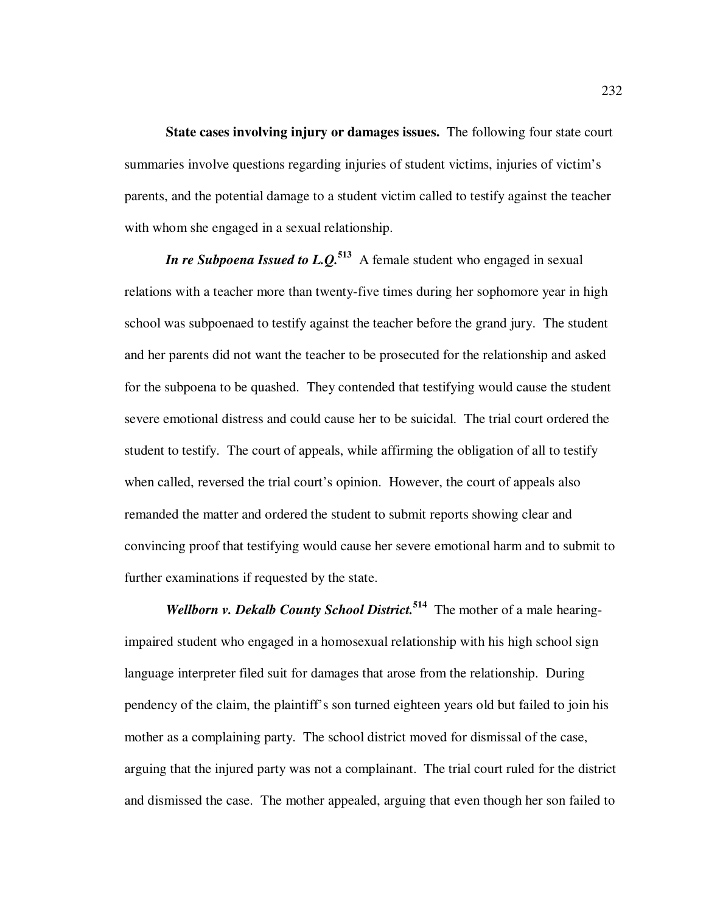**State cases involving injury or damages issues.** The following four state court summaries involve questions regarding injuries of student victims, injuries of victim's parents, and the potential damage to a student victim called to testify against the teacher with whom she engaged in a sexual relationship.

*In re Subpoena Issued to L.Q.*<sup>513</sup> A female student who engaged in sexual relations with a teacher more than twenty-five times during her sophomore year in high school was subpoenaed to testify against the teacher before the grand jury. The student and her parents did not want the teacher to be prosecuted for the relationship and asked for the subpoena to be quashed. They contended that testifying would cause the student severe emotional distress and could cause her to be suicidal. The trial court ordered the student to testify. The court of appeals, while affirming the obligation of all to testify when called, reversed the trial court's opinion. However, the court of appeals also remanded the matter and ordered the student to submit reports showing clear and convincing proof that testifying would cause her severe emotional harm and to submit to further examinations if requested by the state.

*Wellborn v. Dekalb County School District.***<sup>514</sup>** The mother of a male hearingimpaired student who engaged in a homosexual relationship with his high school sign language interpreter filed suit for damages that arose from the relationship. During pendency of the claim, the plaintiff's son turned eighteen years old but failed to join his mother as a complaining party. The school district moved for dismissal of the case, arguing that the injured party was not a complainant. The trial court ruled for the district and dismissed the case. The mother appealed, arguing that even though her son failed to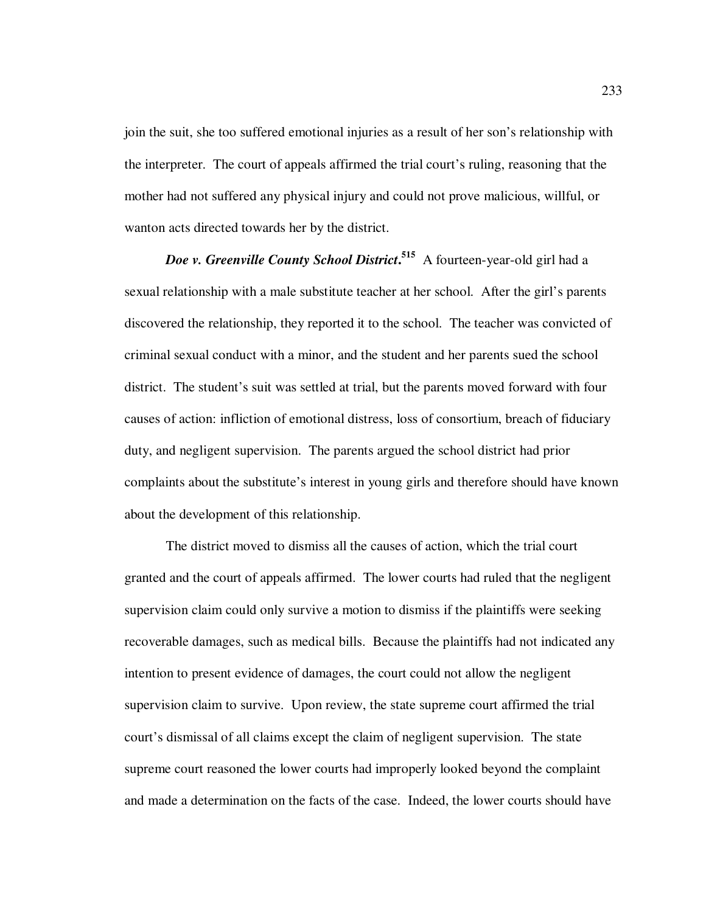join the suit, she too suffered emotional injuries as a result of her son's relationship with the interpreter. The court of appeals affirmed the trial court's ruling, reasoning that the mother had not suffered any physical injury and could not prove malicious, willful, or wanton acts directed towards her by the district.

*Doe v. Greenville County School District***. 515** A fourteen-year-old girl had a sexual relationship with a male substitute teacher at her school. After the girl's parents discovered the relationship, they reported it to the school. The teacher was convicted of criminal sexual conduct with a minor, and the student and her parents sued the school district. The student's suit was settled at trial, but the parents moved forward with four causes of action: infliction of emotional distress, loss of consortium, breach of fiduciary duty, and negligent supervision. The parents argued the school district had prior complaints about the substitute's interest in young girls and therefore should have known about the development of this relationship.

The district moved to dismiss all the causes of action, which the trial court granted and the court of appeals affirmed. The lower courts had ruled that the negligent supervision claim could only survive a motion to dismiss if the plaintiffs were seeking recoverable damages, such as medical bills. Because the plaintiffs had not indicated any intention to present evidence of damages, the court could not allow the negligent supervision claim to survive. Upon review, the state supreme court affirmed the trial court's dismissal of all claims except the claim of negligent supervision. The state supreme court reasoned the lower courts had improperly looked beyond the complaint and made a determination on the facts of the case. Indeed, the lower courts should have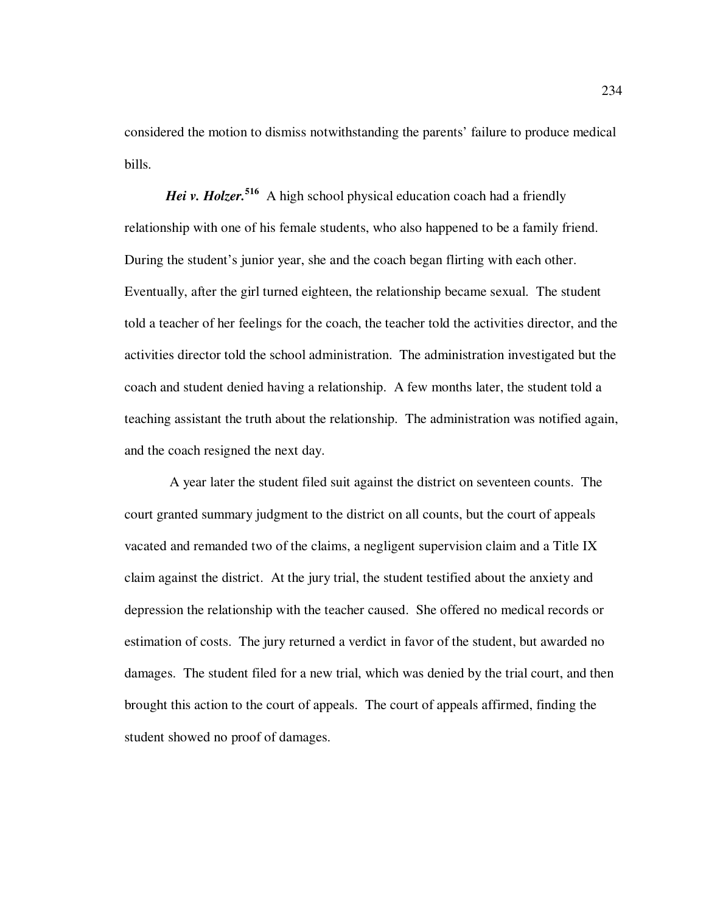considered the motion to dismiss notwithstanding the parents' failure to produce medical bills.

*Hei v. Holzer.*<sup>516</sup> A high school physical education coach had a friendly relationship with one of his female students, who also happened to be a family friend. During the student's junior year, she and the coach began flirting with each other. Eventually, after the girl turned eighteen, the relationship became sexual. The student told a teacher of her feelings for the coach, the teacher told the activities director, and the activities director told the school administration. The administration investigated but the coach and student denied having a relationship. A few months later, the student told a teaching assistant the truth about the relationship. The administration was notified again, and the coach resigned the next day.

 A year later the student filed suit against the district on seventeen counts. The court granted summary judgment to the district on all counts, but the court of appeals vacated and remanded two of the claims, a negligent supervision claim and a Title IX claim against the district. At the jury trial, the student testified about the anxiety and depression the relationship with the teacher caused. She offered no medical records or estimation of costs. The jury returned a verdict in favor of the student, but awarded no damages. The student filed for a new trial, which was denied by the trial court, and then brought this action to the court of appeals. The court of appeals affirmed, finding the student showed no proof of damages.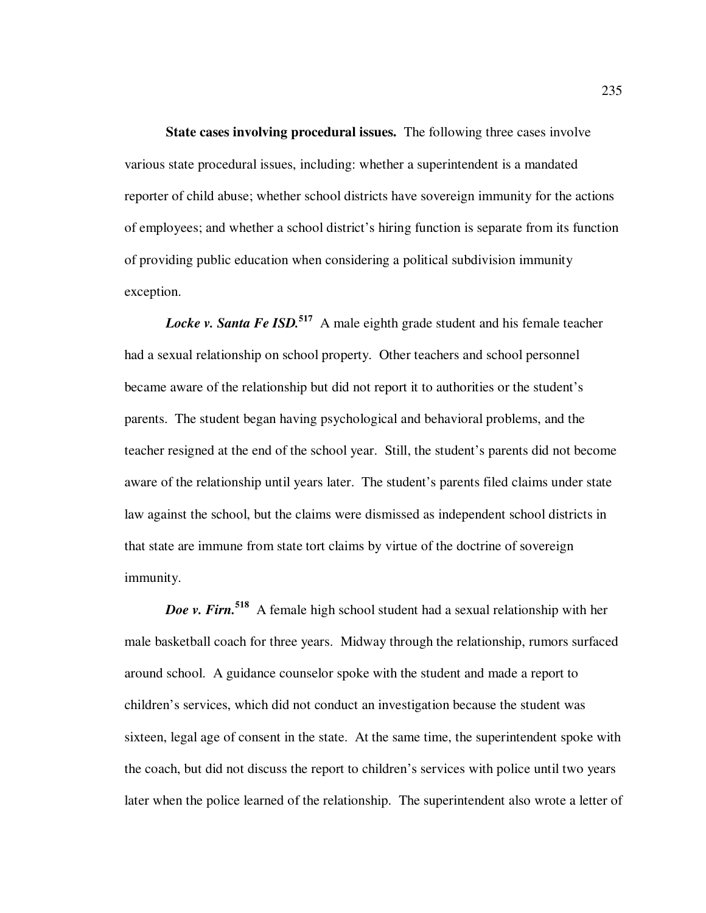**State cases involving procedural issues.** The following three cases involve various state procedural issues, including: whether a superintendent is a mandated reporter of child abuse; whether school districts have sovereign immunity for the actions of employees; and whether a school district's hiring function is separate from its function of providing public education when considering a political subdivision immunity exception.

*Locke v. Santa Fe ISD.***<sup>517</sup>** A male eighth grade student and his female teacher had a sexual relationship on school property. Other teachers and school personnel became aware of the relationship but did not report it to authorities or the student's parents. The student began having psychological and behavioral problems, and the teacher resigned at the end of the school year. Still, the student's parents did not become aware of the relationship until years later. The student's parents filed claims under state law against the school, but the claims were dismissed as independent school districts in that state are immune from state tort claims by virtue of the doctrine of sovereign immunity.

*Doe v. Firn.***<sup>518</sup>** A female high school student had a sexual relationship with her male basketball coach for three years. Midway through the relationship, rumors surfaced around school. A guidance counselor spoke with the student and made a report to children's services, which did not conduct an investigation because the student was sixteen, legal age of consent in the state. At the same time, the superintendent spoke with the coach, but did not discuss the report to children's services with police until two years later when the police learned of the relationship. The superintendent also wrote a letter of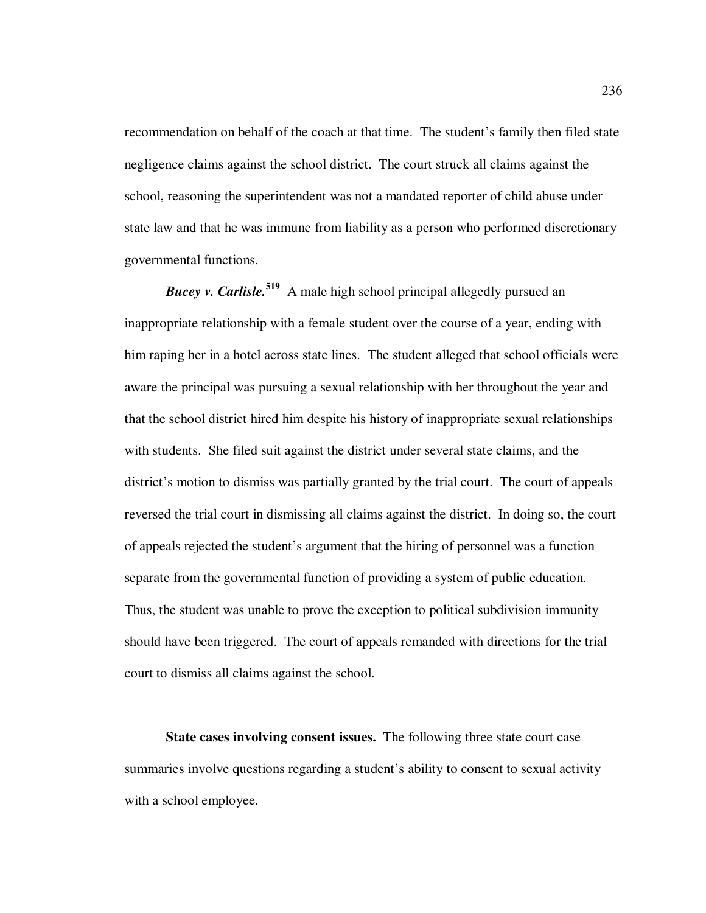recommendation on behalf of the coach at that time. The student's family then filed state negligence claims against the school district. The court struck all claims against the school, reasoning the superintendent was not a mandated reporter of child abuse under state law and that he was immune from liability as a person who performed discretionary governmental functions.

*Bucey v. Carlisle.***<sup>519</sup>** A male high school principal allegedly pursued an inappropriate relationship with a female student over the course of a year, ending with him raping her in a hotel across state lines. The student alleged that school officials were aware the principal was pursuing a sexual relationship with her throughout the year and that the school district hired him despite his history of inappropriate sexual relationships with students. She filed suit against the district under several state claims, and the district's motion to dismiss was partially granted by the trial court. The court of appeals reversed the trial court in dismissing all claims against the district. In doing so, the court of appeals rejected the student's argument that the hiring of personnel was a function separate from the governmental function of providing a system of public education. Thus, the student was unable to prove the exception to political subdivision immunity should have been triggered. The court of appeals remanded with directions for the trial court to dismiss all claims against the school.

**State cases involving consent issues.** The following three state court case summaries involve questions regarding a student's ability to consent to sexual activity with a school employee.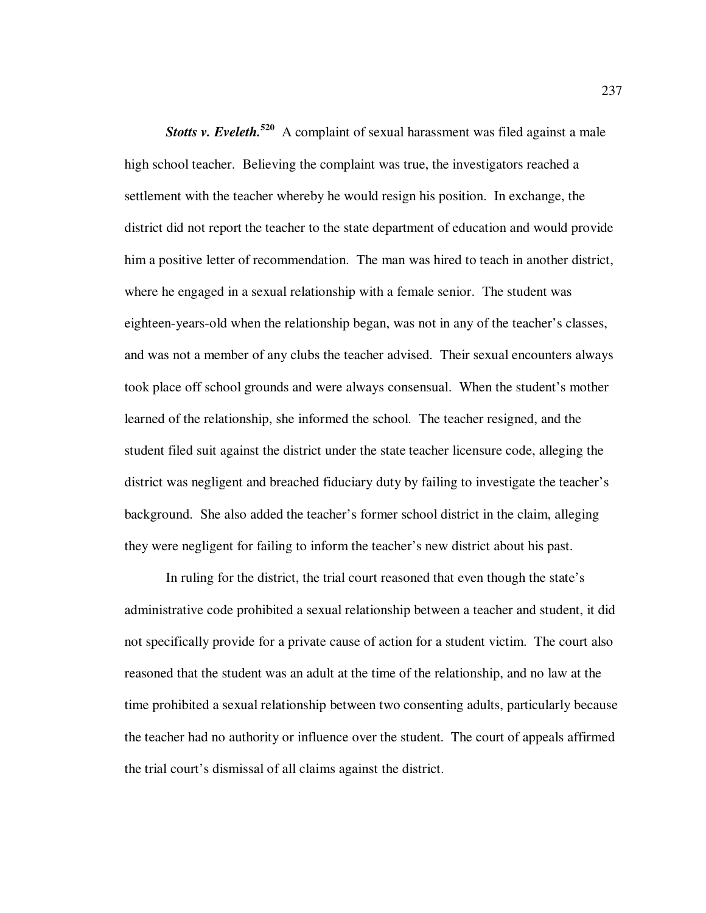**Stotts v. Eveleth.**<sup>520</sup> A complaint of sexual harassment was filed against a male high school teacher. Believing the complaint was true, the investigators reached a settlement with the teacher whereby he would resign his position. In exchange, the district did not report the teacher to the state department of education and would provide him a positive letter of recommendation. The man was hired to teach in another district, where he engaged in a sexual relationship with a female senior. The student was eighteen-years-old when the relationship began, was not in any of the teacher's classes, and was not a member of any clubs the teacher advised. Their sexual encounters always took place off school grounds and were always consensual. When the student's mother learned of the relationship, she informed the school. The teacher resigned, and the student filed suit against the district under the state teacher licensure code, alleging the district was negligent and breached fiduciary duty by failing to investigate the teacher's background. She also added the teacher's former school district in the claim, alleging they were negligent for failing to inform the teacher's new district about his past.

In ruling for the district, the trial court reasoned that even though the state's administrative code prohibited a sexual relationship between a teacher and student, it did not specifically provide for a private cause of action for a student victim. The court also reasoned that the student was an adult at the time of the relationship, and no law at the time prohibited a sexual relationship between two consenting adults, particularly because the teacher had no authority or influence over the student. The court of appeals affirmed the trial court's dismissal of all claims against the district.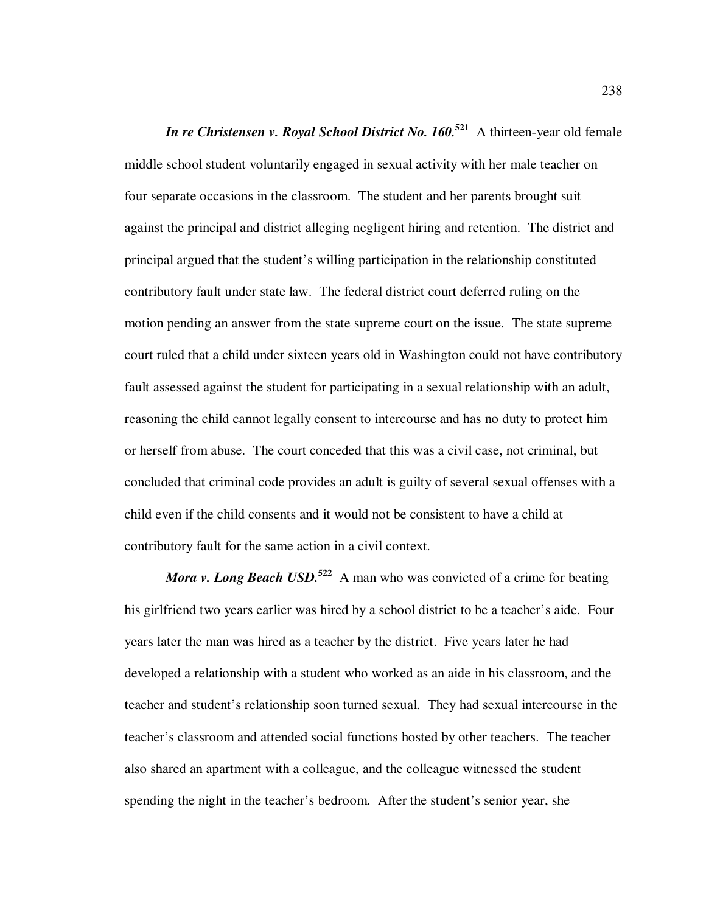*In re Christensen v. Royal School District No. 160.***<sup>521</sup>** A thirteen-year old female middle school student voluntarily engaged in sexual activity with her male teacher on four separate occasions in the classroom. The student and her parents brought suit against the principal and district alleging negligent hiring and retention. The district and principal argued that the student's willing participation in the relationship constituted contributory fault under state law. The federal district court deferred ruling on the motion pending an answer from the state supreme court on the issue. The state supreme court ruled that a child under sixteen years old in Washington could not have contributory fault assessed against the student for participating in a sexual relationship with an adult, reasoning the child cannot legally consent to intercourse and has no duty to protect him or herself from abuse. The court conceded that this was a civil case, not criminal, but concluded that criminal code provides an adult is guilty of several sexual offenses with a child even if the child consents and it would not be consistent to have a child at contributory fault for the same action in a civil context.

*Mora v. Long Beach USD.*<sup>522</sup> A man who was convicted of a crime for beating his girlfriend two years earlier was hired by a school district to be a teacher's aide. Four years later the man was hired as a teacher by the district. Five years later he had developed a relationship with a student who worked as an aide in his classroom, and the teacher and student's relationship soon turned sexual. They had sexual intercourse in the teacher's classroom and attended social functions hosted by other teachers. The teacher also shared an apartment with a colleague, and the colleague witnessed the student spending the night in the teacher's bedroom. After the student's senior year, she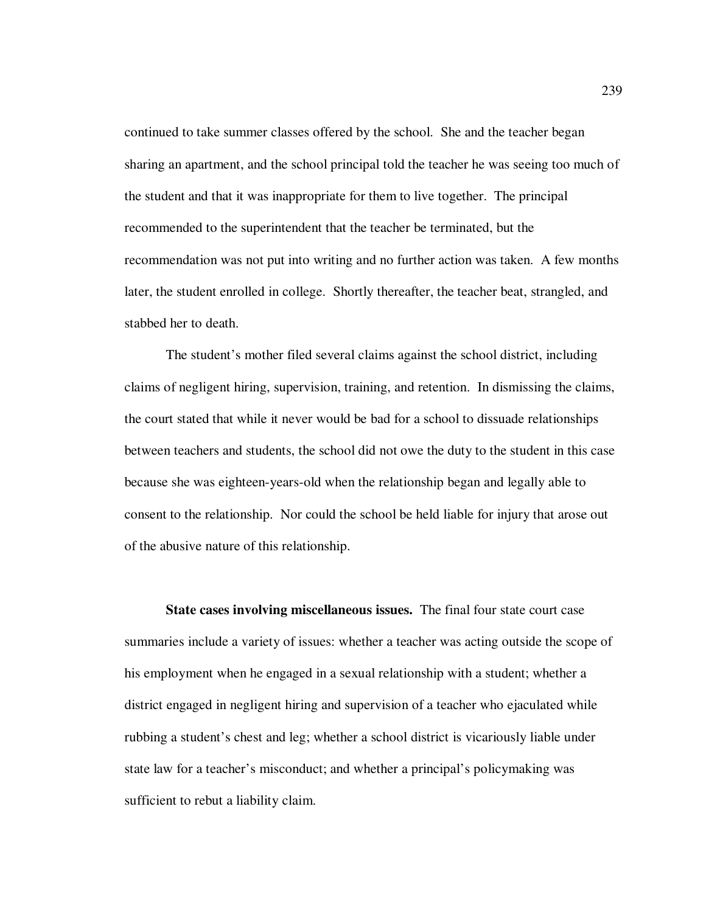continued to take summer classes offered by the school. She and the teacher began sharing an apartment, and the school principal told the teacher he was seeing too much of the student and that it was inappropriate for them to live together. The principal recommended to the superintendent that the teacher be terminated, but the recommendation was not put into writing and no further action was taken. A few months later, the student enrolled in college. Shortly thereafter, the teacher beat, strangled, and stabbed her to death.

The student's mother filed several claims against the school district, including claims of negligent hiring, supervision, training, and retention. In dismissing the claims, the court stated that while it never would be bad for a school to dissuade relationships between teachers and students, the school did not owe the duty to the student in this case because she was eighteen-years-old when the relationship began and legally able to consent to the relationship. Nor could the school be held liable for injury that arose out of the abusive nature of this relationship.

**State cases involving miscellaneous issues.** The final four state court case summaries include a variety of issues: whether a teacher was acting outside the scope of his employment when he engaged in a sexual relationship with a student; whether a district engaged in negligent hiring and supervision of a teacher who ejaculated while rubbing a student's chest and leg; whether a school district is vicariously liable under state law for a teacher's misconduct; and whether a principal's policymaking was sufficient to rebut a liability claim.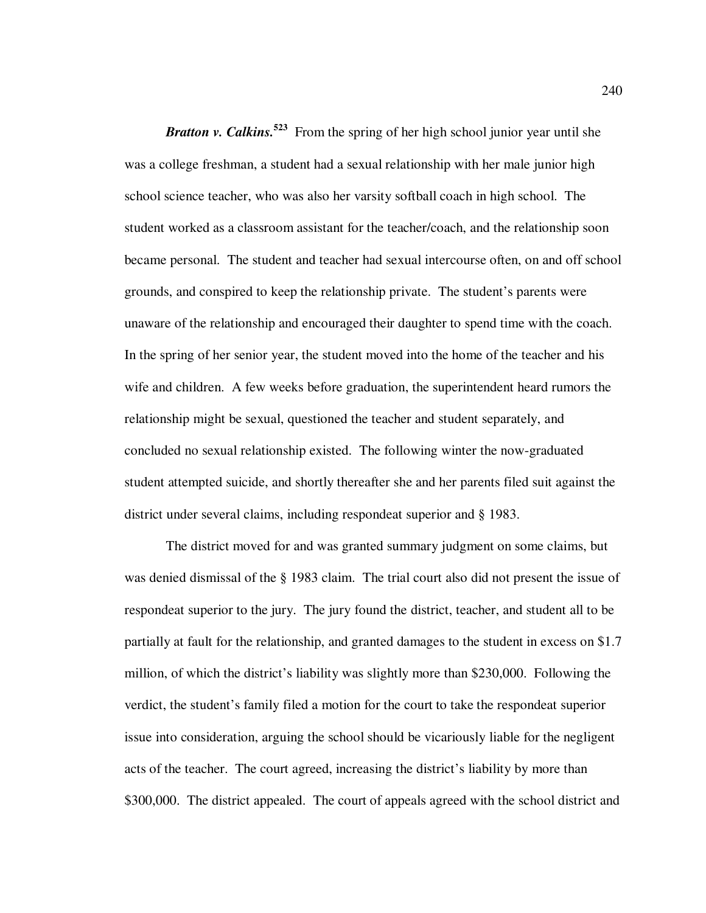*Bratton v. Calkins.*<sup>523</sup> From the spring of her high school junior year until she was a college freshman, a student had a sexual relationship with her male junior high school science teacher, who was also her varsity softball coach in high school. The student worked as a classroom assistant for the teacher/coach, and the relationship soon became personal. The student and teacher had sexual intercourse often, on and off school grounds, and conspired to keep the relationship private. The student's parents were unaware of the relationship and encouraged their daughter to spend time with the coach. In the spring of her senior year, the student moved into the home of the teacher and his wife and children. A few weeks before graduation, the superintendent heard rumors the relationship might be sexual, questioned the teacher and student separately, and concluded no sexual relationship existed. The following winter the now-graduated student attempted suicide, and shortly thereafter she and her parents filed suit against the district under several claims, including respondeat superior and § 1983.

The district moved for and was granted summary judgment on some claims, but was denied dismissal of the § 1983 claim. The trial court also did not present the issue of respondeat superior to the jury. The jury found the district, teacher, and student all to be partially at fault for the relationship, and granted damages to the student in excess on \$1.7 million, of which the district's liability was slightly more than \$230,000. Following the verdict, the student's family filed a motion for the court to take the respondeat superior issue into consideration, arguing the school should be vicariously liable for the negligent acts of the teacher. The court agreed, increasing the district's liability by more than \$300,000. The district appealed. The court of appeals agreed with the school district and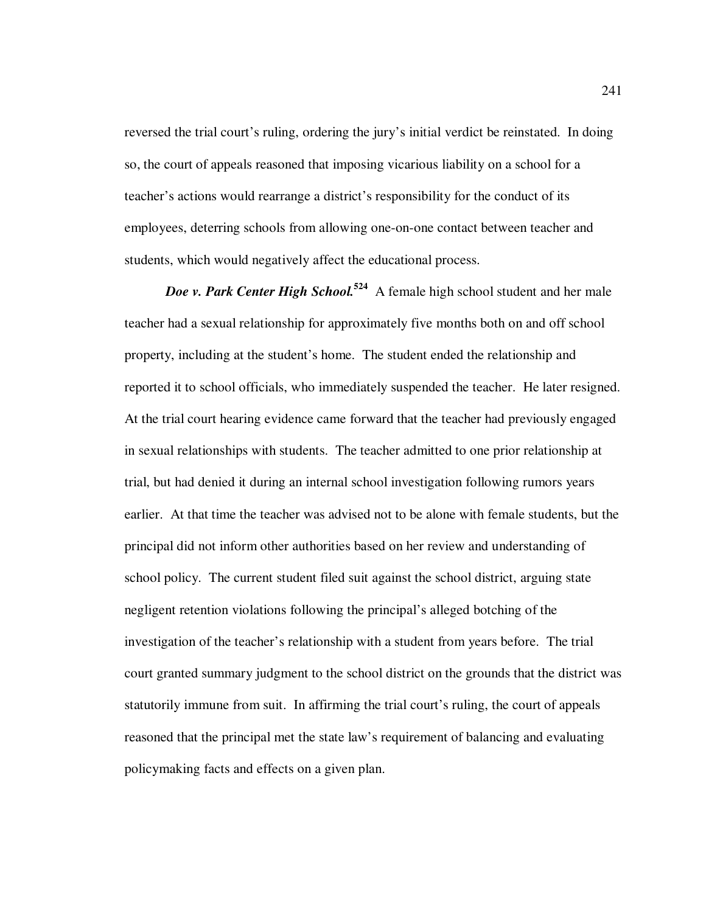reversed the trial court's ruling, ordering the jury's initial verdict be reinstated. In doing so, the court of appeals reasoned that imposing vicarious liability on a school for a teacher's actions would rearrange a district's responsibility for the conduct of its employees, deterring schools from allowing one-on-one contact between teacher and students, which would negatively affect the educational process.

*Doe v. Park Center High School.***<sup>524</sup>** A female high school student and her male teacher had a sexual relationship for approximately five months both on and off school property, including at the student's home. The student ended the relationship and reported it to school officials, who immediately suspended the teacher. He later resigned. At the trial court hearing evidence came forward that the teacher had previously engaged in sexual relationships with students. The teacher admitted to one prior relationship at trial, but had denied it during an internal school investigation following rumors years earlier. At that time the teacher was advised not to be alone with female students, but the principal did not inform other authorities based on her review and understanding of school policy. The current student filed suit against the school district, arguing state negligent retention violations following the principal's alleged botching of the investigation of the teacher's relationship with a student from years before. The trial court granted summary judgment to the school district on the grounds that the district was statutorily immune from suit. In affirming the trial court's ruling, the court of appeals reasoned that the principal met the state law's requirement of balancing and evaluating policymaking facts and effects on a given plan.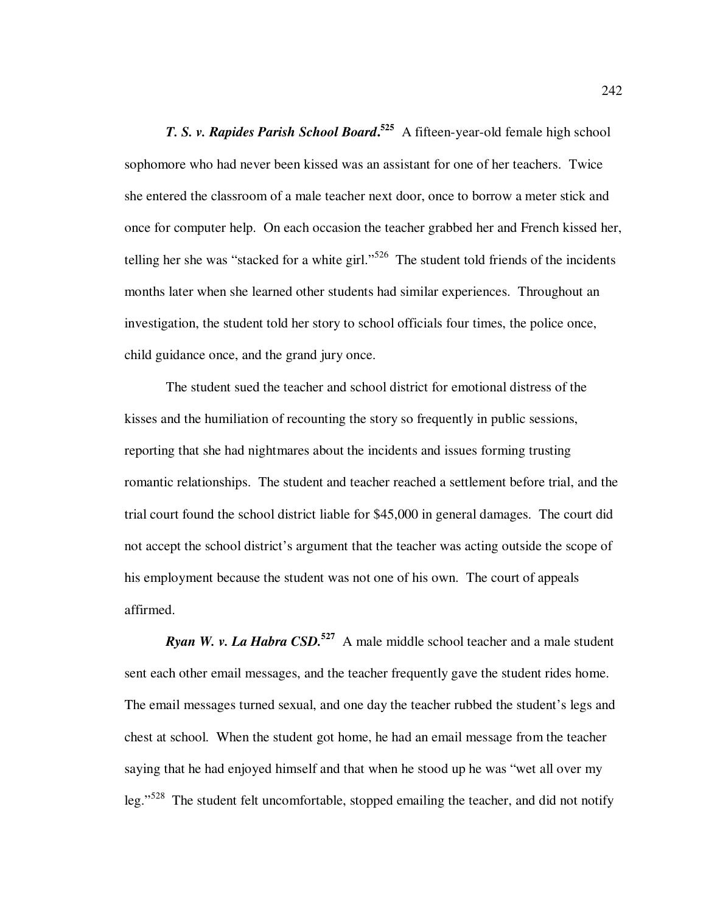*T. S. v. Rapides Parish School Board***. <sup>525</sup>** A fifteen-year-old female high school sophomore who had never been kissed was an assistant for one of her teachers. Twice she entered the classroom of a male teacher next door, once to borrow a meter stick and once for computer help. On each occasion the teacher grabbed her and French kissed her, telling her she was "stacked for a white girl."<sup>526</sup> The student told friends of the incidents months later when she learned other students had similar experiences. Throughout an investigation, the student told her story to school officials four times, the police once, child guidance once, and the grand jury once.

The student sued the teacher and school district for emotional distress of the kisses and the humiliation of recounting the story so frequently in public sessions, reporting that she had nightmares about the incidents and issues forming trusting romantic relationships. The student and teacher reached a settlement before trial, and the trial court found the school district liable for \$45,000 in general damages. The court did not accept the school district's argument that the teacher was acting outside the scope of his employment because the student was not one of his own. The court of appeals affirmed.

*Ryan W. v. La Habra CSD.*<sup>527</sup> A male middle school teacher and a male student sent each other email messages, and the teacher frequently gave the student rides home. The email messages turned sexual, and one day the teacher rubbed the student's legs and chest at school. When the student got home, he had an email message from the teacher saying that he had enjoyed himself and that when he stood up he was "wet all over my leg."<sup>528</sup> The student felt uncomfortable, stopped emailing the teacher, and did not notify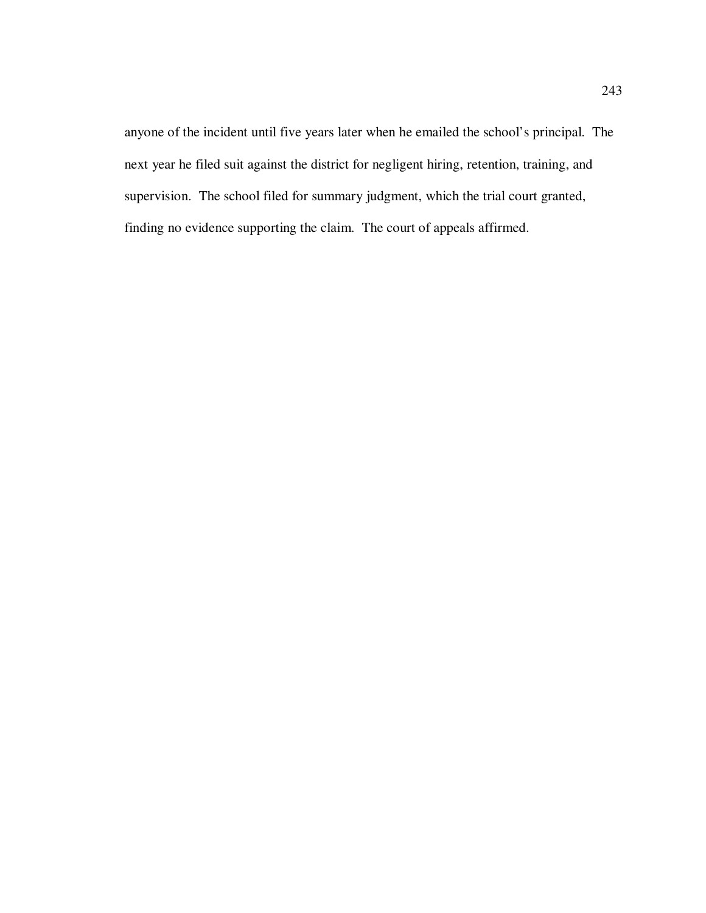anyone of the incident until five years later when he emailed the school's principal. The next year he filed suit against the district for negligent hiring, retention, training, and supervision. The school filed for summary judgment, which the trial court granted, finding no evidence supporting the claim. The court of appeals affirmed.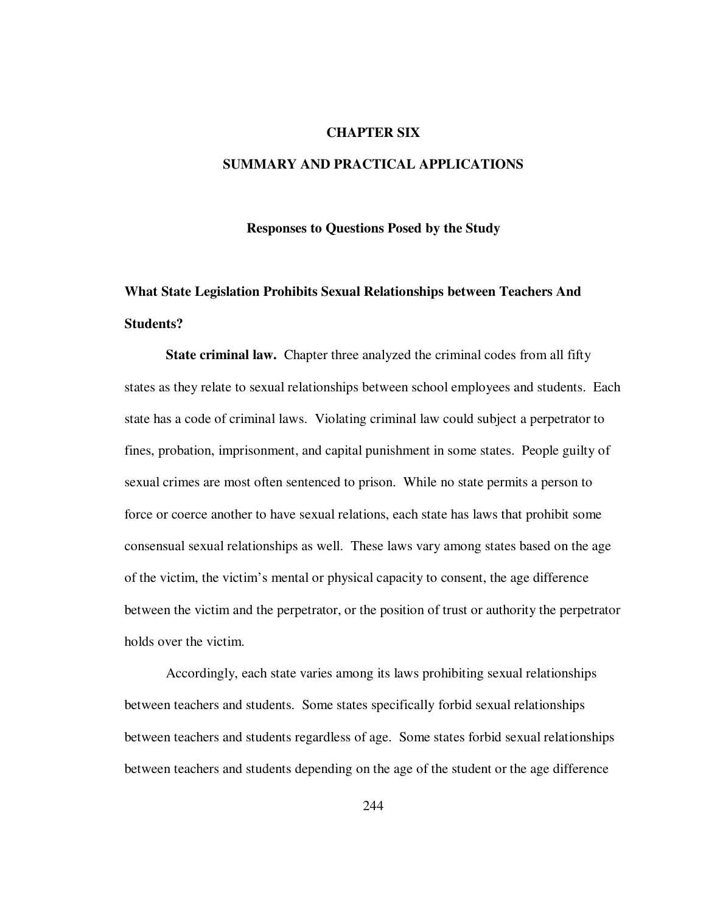### **CHAPTER SIX**

### **SUMMARY AND PRACTICAL APPLICATIONS**

#### **Responses to Questions Posed by the Study**

## **What State Legislation Prohibits Sexual Relationships between Teachers And Students?**

**State criminal law.** Chapter three analyzed the criminal codes from all fifty states as they relate to sexual relationships between school employees and students. Each state has a code of criminal laws. Violating criminal law could subject a perpetrator to fines, probation, imprisonment, and capital punishment in some states.People guilty of sexual crimes are most often sentenced to prison. While no state permits a person to force or coerce another to have sexual relations, each state has laws that prohibit some consensual sexual relationships as well. These laws vary among states based on the age of the victim, the victim's mental or physical capacity to consent, the age difference between the victim and the perpetrator, or the position of trust or authority the perpetrator holds over the victim.

Accordingly, each state varies among its laws prohibiting sexual relationships between teachers and students. Some states specifically forbid sexual relationships between teachers and students regardless of age. Some states forbid sexual relationships between teachers and students depending on the age of the student or the age difference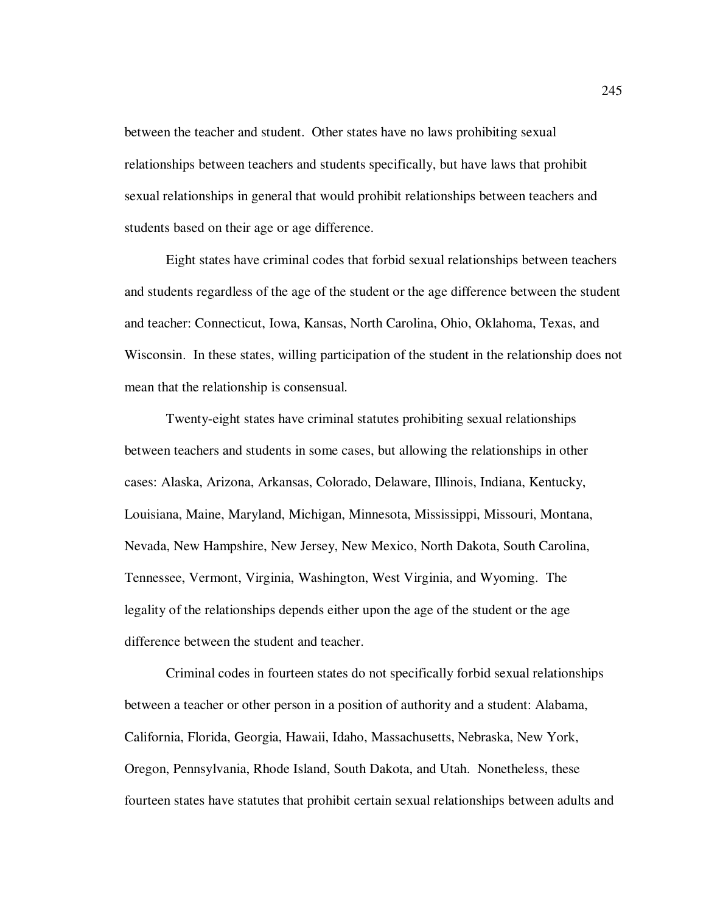between the teacher and student. Other states have no laws prohibiting sexual relationships between teachers and students specifically, but have laws that prohibit sexual relationships in general that would prohibit relationships between teachers and students based on their age or age difference.

Eight states have criminal codes that forbid sexual relationships between teachers and students regardless of the age of the student or the age difference between the student and teacher: Connecticut, Iowa, Kansas, North Carolina, Ohio, Oklahoma, Texas, and Wisconsin. In these states, willing participation of the student in the relationship does not mean that the relationship is consensual.

Twenty-eight states have criminal statutes prohibiting sexual relationships between teachers and students in some cases, but allowing the relationships in other cases: Alaska, Arizona, Arkansas, Colorado, Delaware, Illinois, Indiana, Kentucky, Louisiana, Maine, Maryland, Michigan, Minnesota, Mississippi, Missouri, Montana, Nevada, New Hampshire, New Jersey, New Mexico, North Dakota, South Carolina, Tennessee, Vermont, Virginia, Washington, West Virginia, and Wyoming. The legality of the relationships depends either upon the age of the student or the age difference between the student and teacher.

Criminal codes in fourteen states do not specifically forbid sexual relationships between a teacher or other person in a position of authority and a student: Alabama, California, Florida, Georgia, Hawaii, Idaho, Massachusetts, Nebraska, New York, Oregon, Pennsylvania, Rhode Island, South Dakota, and Utah. Nonetheless, these fourteen states have statutes that prohibit certain sexual relationships between adults and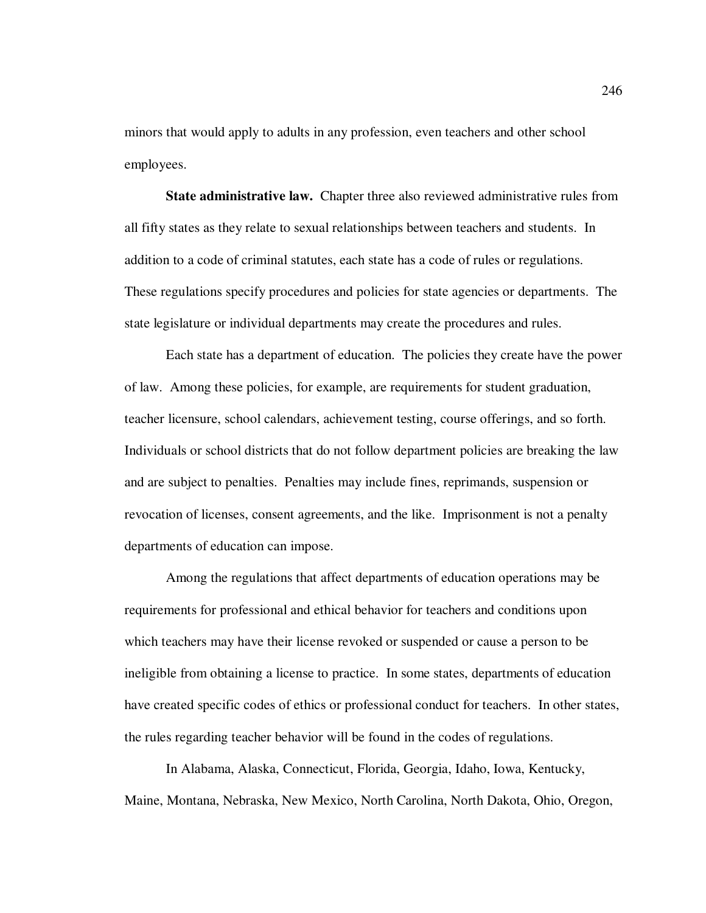minors that would apply to adults in any profession, even teachers and other school employees.

**State administrative law.** Chapter three also reviewed administrative rules from all fifty states as they relate to sexual relationships between teachers and students. In addition to a code of criminal statutes, each state has a code of rules or regulations. These regulations specify procedures and policies for state agencies or departments. The state legislature or individual departments may create the procedures and rules.

Each state has a department of education. The policies they create have the power of law. Among these policies, for example, are requirements for student graduation, teacher licensure, school calendars, achievement testing, course offerings, and so forth. Individuals or school districts that do not follow department policies are breaking the law and are subject to penalties. Penalties may include fines, reprimands, suspension or revocation of licenses, consent agreements, and the like. Imprisonment is not a penalty departments of education can impose.

Among the regulations that affect departments of education operations may be requirements for professional and ethical behavior for teachers and conditions upon which teachers may have their license revoked or suspended or cause a person to be ineligible from obtaining a license to practice. In some states, departments of education have created specific codes of ethics or professional conduct for teachers. In other states, the rules regarding teacher behavior will be found in the codes of regulations.

In Alabama, Alaska, Connecticut, Florida, Georgia, Idaho, Iowa, Kentucky, Maine, Montana, Nebraska, New Mexico, North Carolina, North Dakota, Ohio, Oregon,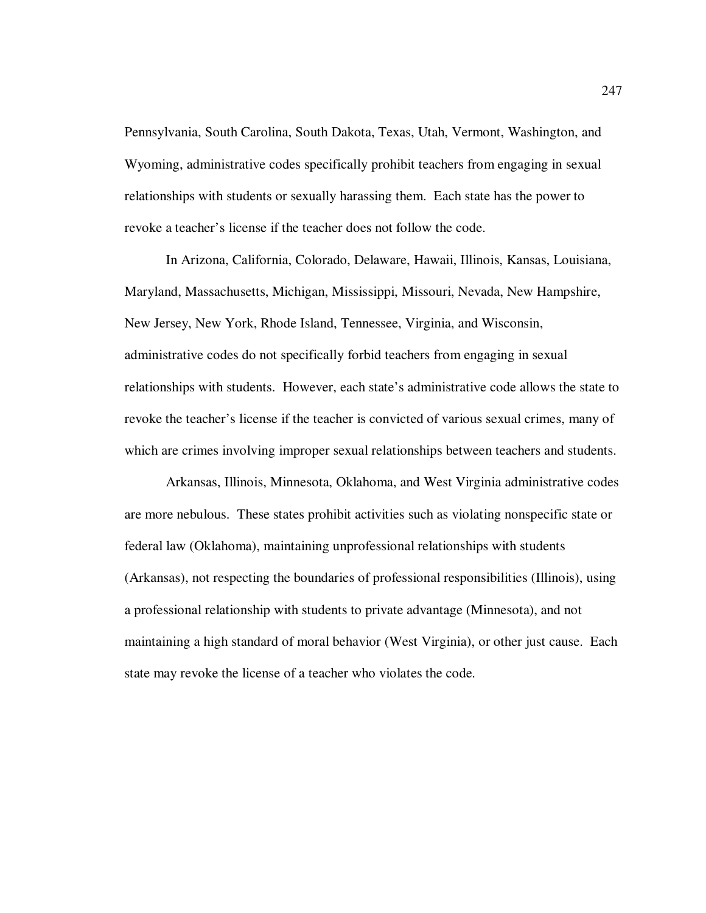Pennsylvania, South Carolina, South Dakota, Texas, Utah, Vermont, Washington, and Wyoming, administrative codes specifically prohibit teachers from engaging in sexual relationships with students or sexually harassing them. Each state has the power to revoke a teacher's license if the teacher does not follow the code.

In Arizona, California, Colorado, Delaware, Hawaii, Illinois, Kansas, Louisiana, Maryland, Massachusetts, Michigan, Mississippi, Missouri, Nevada, New Hampshire, New Jersey, New York, Rhode Island, Tennessee, Virginia, and Wisconsin, administrative codes do not specifically forbid teachers from engaging in sexual relationships with students. However, each state's administrative code allows the state to revoke the teacher's license if the teacher is convicted of various sexual crimes, many of which are crimes involving improper sexual relationships between teachers and students.

Arkansas, Illinois, Minnesota, Oklahoma, and West Virginia administrative codes are more nebulous. These states prohibit activities such as violating nonspecific state or federal law (Oklahoma), maintaining unprofessional relationships with students (Arkansas), not respecting the boundaries of professional responsibilities (Illinois), using a professional relationship with students to private advantage (Minnesota), and not maintaining a high standard of moral behavior (West Virginia), or other just cause. Each state may revoke the license of a teacher who violates the code.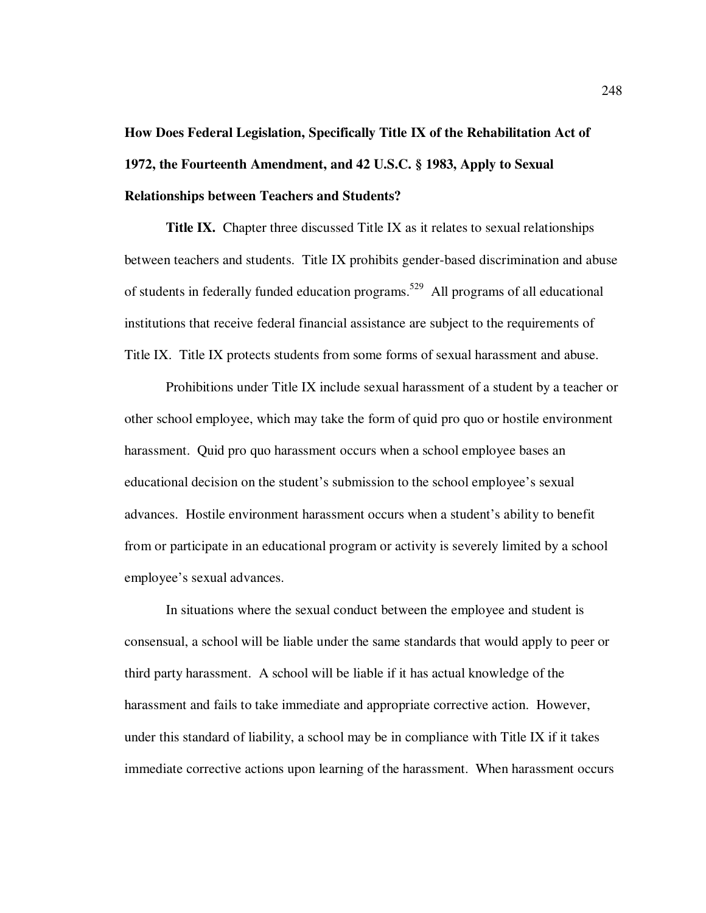# **How Does Federal Legislation, Specifically Title IX of the Rehabilitation Act of 1972, the Fourteenth Amendment, and 42 U.S.C. § 1983, Apply to Sexual Relationships between Teachers and Students?**

**Title IX.** Chapter three discussed Title IX as it relates to sexual relationships between teachers and students. Title IX prohibits gender-based discrimination and abuse of students in federally funded education programs.<sup>529</sup> All programs of all educational institutions that receive federal financial assistance are subject to the requirements of Title IX. Title IX protects students from some forms of sexual harassment and abuse.

Prohibitions under Title IX include sexual harassment of a student by a teacher or other school employee, which may take the form of quid pro quo or hostile environment harassment. Quid pro quo harassment occurs when a school employee bases an educational decision on the student's submission to the school employee's sexual advances. Hostile environment harassment occurs when a student's ability to benefit from or participate in an educational program or activity is severely limited by a school employee's sexual advances.

In situations where the sexual conduct between the employee and student is consensual, a school will be liable under the same standards that would apply to peer or third party harassment. A school will be liable if it has actual knowledge of the harassment and fails to take immediate and appropriate corrective action. However, under this standard of liability, a school may be in compliance with Title IX if it takes immediate corrective actions upon learning of the harassment. When harassment occurs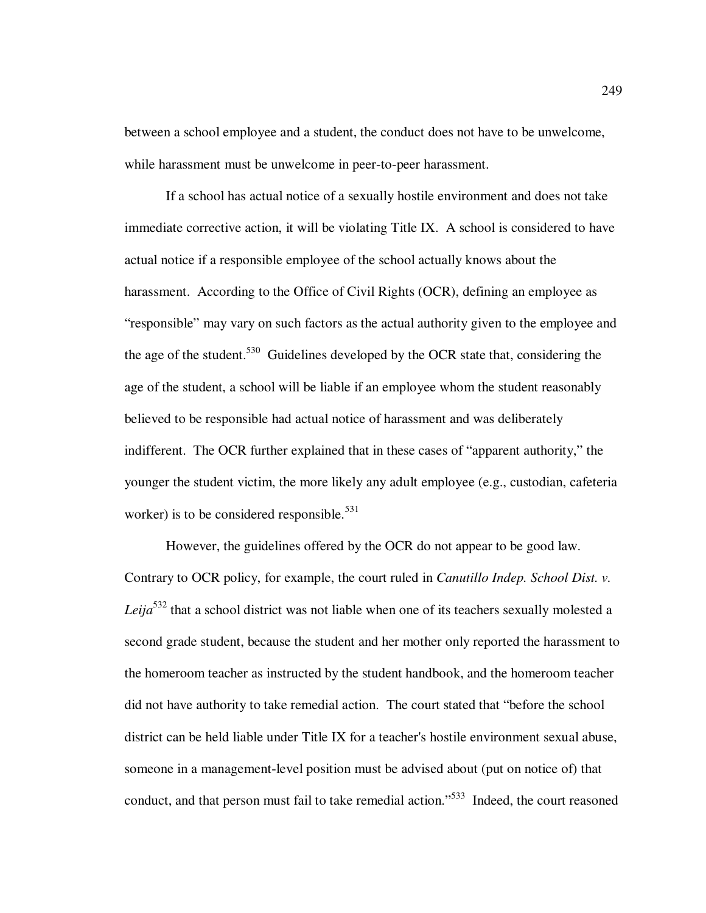between a school employee and a student, the conduct does not have to be unwelcome, while harassment must be unwelcome in peer-to-peer harassment.

If a school has actual notice of a sexually hostile environment and does not take immediate corrective action, it will be violating Title IX. A school is considered to have actual notice if a responsible employee of the school actually knows about the harassment. According to the Office of Civil Rights (OCR), defining an employee as "responsible" may vary on such factors as the actual authority given to the employee and the age of the student.<sup>530</sup> Guidelines developed by the OCR state that, considering the age of the student, a school will be liable if an employee whom the student reasonably believed to be responsible had actual notice of harassment and was deliberately indifferent. The OCR further explained that in these cases of "apparent authority," the younger the student victim, the more likely any adult employee (e.g., custodian, cafeteria worker) is to be considered responsible.<sup>531</sup>

However, the guidelines offered by the OCR do not appear to be good law. Contrary to OCR policy, for example, the court ruled in *Canutillo Indep. School Dist. v. Leija*<sup>532</sup> that a school district was not liable when one of its teachers sexually molested a second grade student, because the student and her mother only reported the harassment to the homeroom teacher as instructed by the student handbook, and the homeroom teacher did not have authority to take remedial action. The court stated that "before the school district can be held liable under Title IX for a teacher's hostile environment sexual abuse, someone in a management-level position must be advised about (put on notice of) that conduct, and that person must fail to take remedial action."<sup>533</sup> Indeed, the court reasoned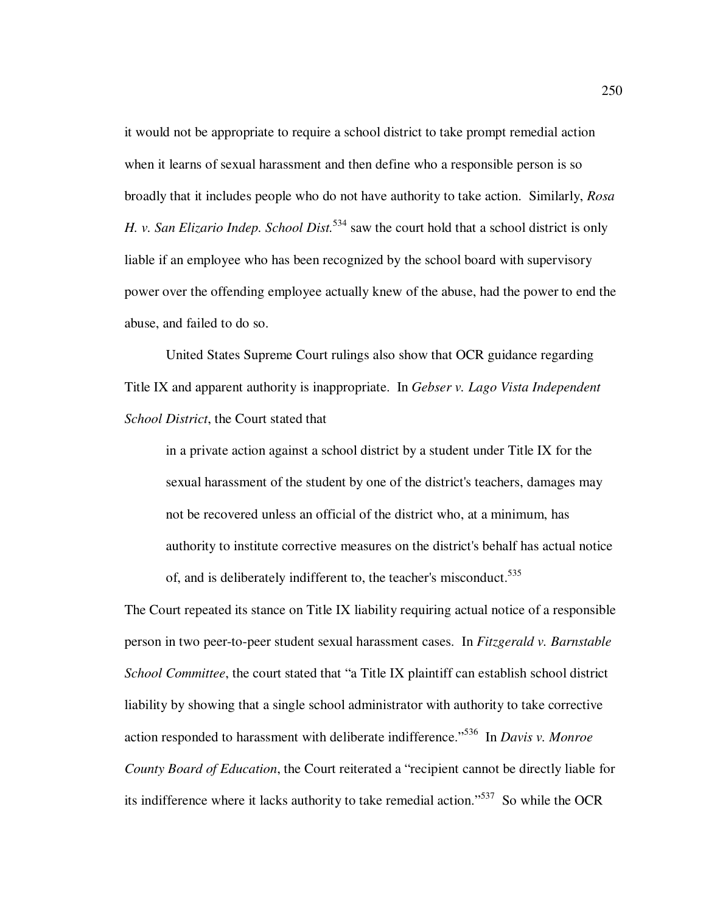it would not be appropriate to require a school district to take prompt remedial action when it learns of sexual harassment and then define who a responsible person is so broadly that it includes people who do not have authority to take action. Similarly, *Rosa H. v. San Elizario Indep. School Dist.*<sup>534</sup> saw the court hold that a school district is only liable if an employee who has been recognized by the school board with supervisory power over the offending employee actually knew of the abuse, had the power to end the abuse, and failed to do so.

United States Supreme Court rulings also show that OCR guidance regarding Title IX and apparent authority is inappropriate. In *Gebser v. Lago Vista Independent School District*, the Court stated that

in a private action against a school district by a student under Title IX for the sexual harassment of the student by one of the district's teachers, damages may not be recovered unless an official of the district who, at a minimum, has authority to institute corrective measures on the district's behalf has actual notice of, and is deliberately indifferent to, the teacher's misconduct.<sup>535</sup>

The Court repeated its stance on Title IX liability requiring actual notice of a responsible person in two peer-to-peer student sexual harassment cases. In *Fitzgerald v. Barnstable School Committee*, the court stated that "a Title IX plaintiff can establish school district liability by showing that a single school administrator with authority to take corrective action responded to harassment with deliberate indifference."<sup>536</sup> In *Davis v. Monroe County Board of Education*, the Court reiterated a "recipient cannot be directly liable for its indifference where it lacks authority to take remedial action."<sup>537</sup> So while the OCR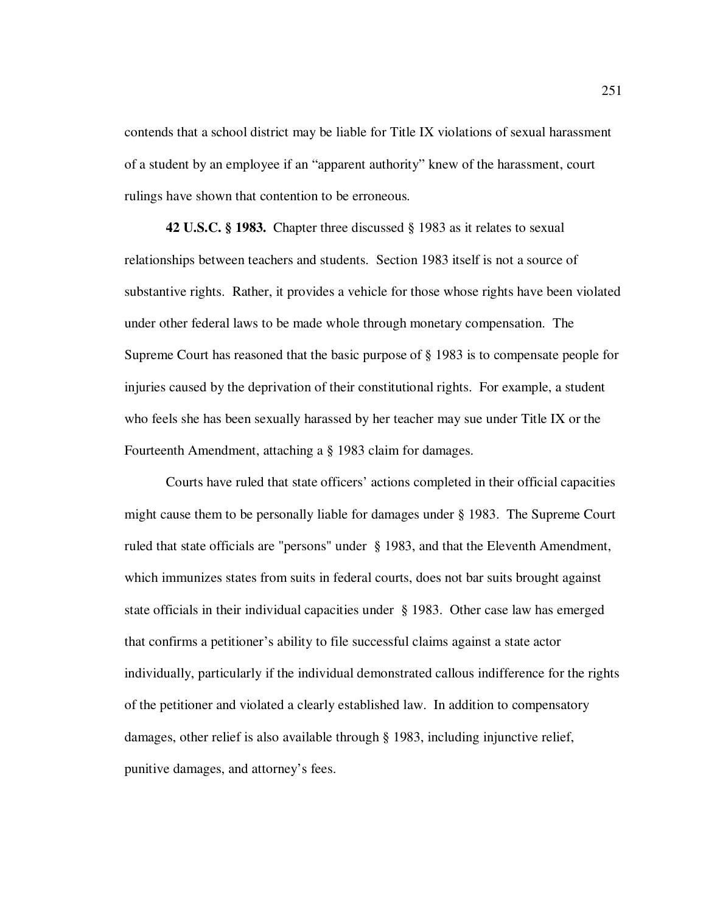contends that a school district may be liable for Title IX violations of sexual harassment of a student by an employee if an "apparent authority" knew of the harassment, court rulings have shown that contention to be erroneous.

**42 U.S.C. § 1983.** Chapter three discussed § 1983 as it relates to sexual relationships between teachers and students. Section 1983 itself is not a source of substantive rights. Rather, it provides a vehicle for those whose rights have been violated under other federal laws to be made whole through monetary compensation. The Supreme Court has reasoned that the basic purpose of § 1983 is to compensate people for injuries caused by the deprivation of their constitutional rights. For example, a student who feels she has been sexually harassed by her teacher may sue under Title IX or the Fourteenth Amendment, attaching a § 1983 claim for damages.

 Courts have ruled that state officers' actions completed in their official capacities might cause them to be personally liable for damages under § 1983. The Supreme Court ruled that state officials are "persons" under § 1983, and that the Eleventh Amendment, which immunizes states from suits in federal courts, does not bar suits brought against state officials in their individual capacities under § 1983. Other case law has emerged that confirms a petitioner's ability to file successful claims against a state actor individually, particularly if the individual demonstrated callous indifference for the rights of the petitioner and violated a clearly established law. In addition to compensatory damages, other relief is also available through § 1983, including injunctive relief, punitive damages, and attorney's fees.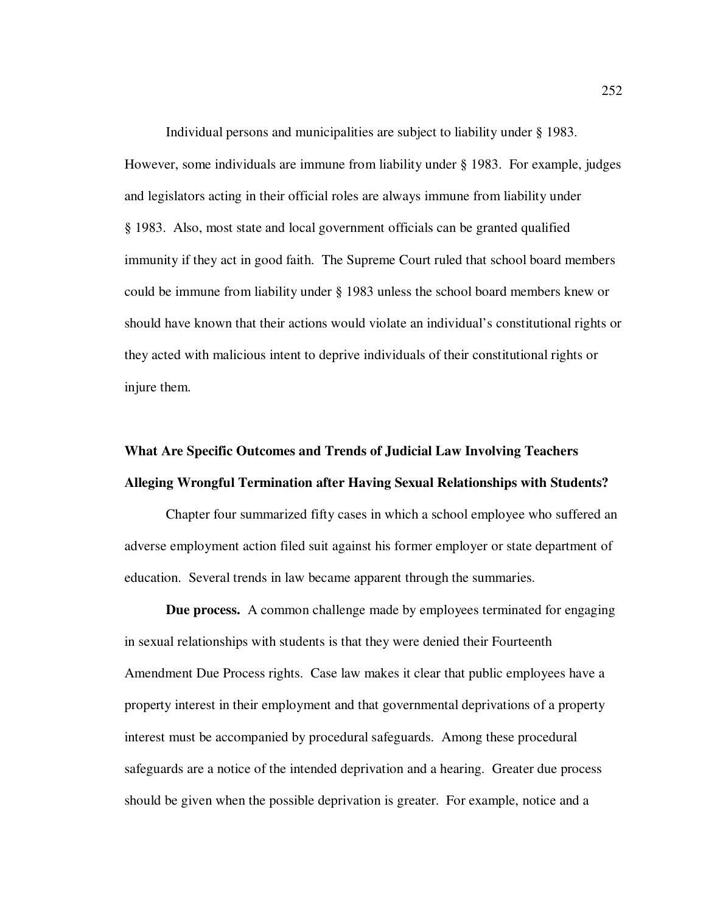Individual persons and municipalities are subject to liability under § 1983. However, some individuals are immune from liability under § 1983. For example, judges and legislators acting in their official roles are always immune from liability under § 1983. Also, most state and local government officials can be granted qualified immunity if they act in good faith. The Supreme Court ruled that school board members could be immune from liability under § 1983 unless the school board members knew or should have known that their actions would violate an individual's constitutional rights or they acted with malicious intent to deprive individuals of their constitutional rights or injure them.

## **What Are Specific Outcomes and Trends of Judicial Law Involving Teachers Alleging Wrongful Termination after Having Sexual Relationships with Students?**

Chapter four summarized fifty cases in which a school employee who suffered an adverse employment action filed suit against his former employer or state department of education. Several trends in law became apparent through the summaries.

**Due process.** A common challenge made by employees terminated for engaging in sexual relationships with students is that they were denied their Fourteenth Amendment Due Process rights. Case law makes it clear that public employees have a property interest in their employment and that governmental deprivations of a property interest must be accompanied by procedural safeguards. Among these procedural safeguards are a notice of the intended deprivation and a hearing. Greater due process should be given when the possible deprivation is greater. For example, notice and a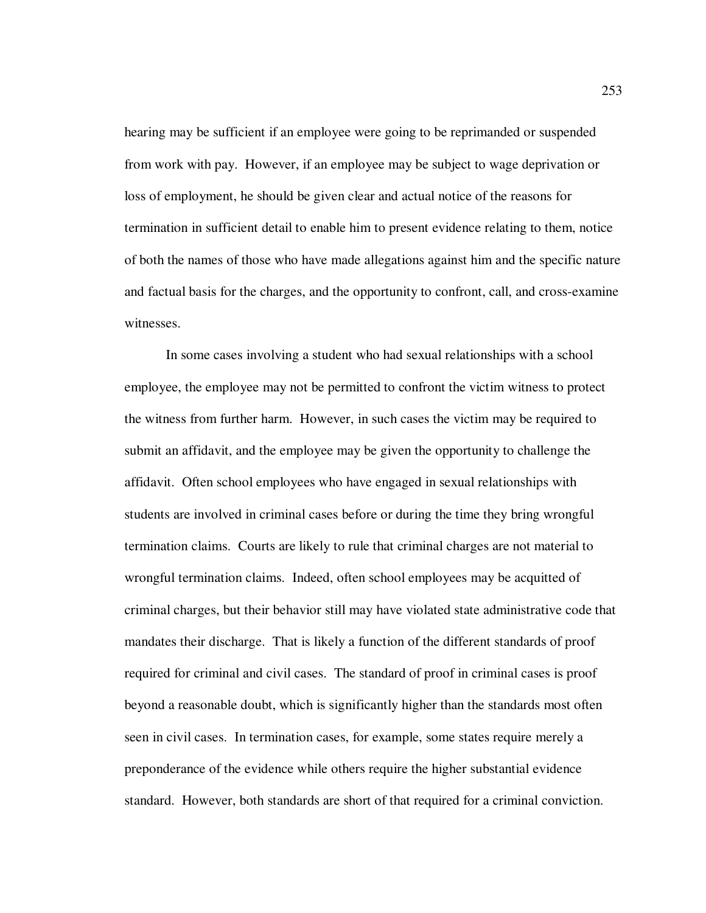hearing may be sufficient if an employee were going to be reprimanded or suspended from work with pay. However, if an employee may be subject to wage deprivation or loss of employment, he should be given clear and actual notice of the reasons for termination in sufficient detail to enable him to present evidence relating to them, notice of both the names of those who have made allegations against him and the specific nature and factual basis for the charges, and the opportunity to confront, call, and cross-examine witnesses.

 In some cases involving a student who had sexual relationships with a school employee, the employee may not be permitted to confront the victim witness to protect the witness from further harm. However, in such cases the victim may be required to submit an affidavit, and the employee may be given the opportunity to challenge the affidavit. Often school employees who have engaged in sexual relationships with students are involved in criminal cases before or during the time they bring wrongful termination claims. Courts are likely to rule that criminal charges are not material to wrongful termination claims. Indeed, often school employees may be acquitted of criminal charges, but their behavior still may have violated state administrative code that mandates their discharge. That is likely a function of the different standards of proof required for criminal and civil cases. The standard of proof in criminal cases is proof beyond a reasonable doubt, which is significantly higher than the standards most often seen in civil cases. In termination cases, for example, some states require merely a preponderance of the evidence while others require the higher substantial evidence standard. However, both standards are short of that required for a criminal conviction.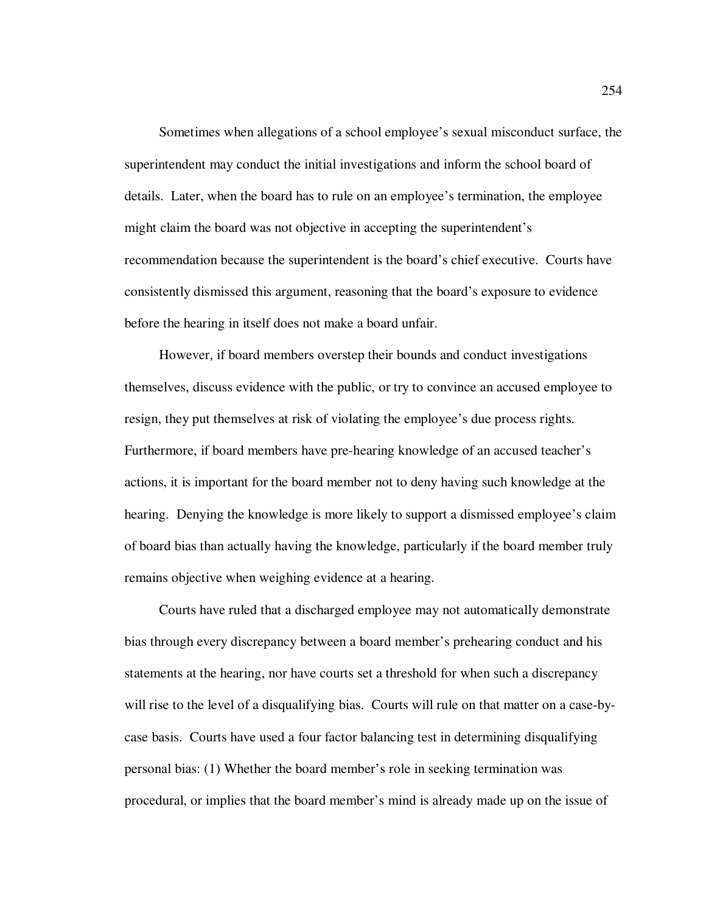Sometimes when allegations of a school employee's sexual misconduct surface, the superintendent may conduct the initial investigations and inform the school board of details. Later, when the board has to rule on an employee's termination, the employee might claim the board was not objective in accepting the superintendent's recommendation because the superintendent is the board's chief executive. Courts have consistently dismissed this argument, reasoning that the board's exposure to evidence before the hearing in itself does not make a board unfair.

However, if board members overstep their bounds and conduct investigations themselves, discuss evidence with the public, or try to convince an accused employee to resign, they put themselves at risk of violating the employee's due process rights. Furthermore, if board members have pre-hearing knowledge of an accused teacher's actions, it is important for the board member not to deny having such knowledge at the hearing. Denying the knowledge is more likely to support a dismissed employee's claim of board bias than actually having the knowledge, particularly if the board member truly remains objective when weighing evidence at a hearing.

Courts have ruled that a discharged employee may not automatically demonstrate bias through every discrepancy between a board member's prehearing conduct and his statements at the hearing, nor have courts set a threshold for when such a discrepancy will rise to the level of a disqualifying bias. Courts will rule on that matter on a case-bycase basis. Courts have used a four factor balancing test in determining disqualifying personal bias: (1) Whether the board member's role in seeking termination was procedural, or implies that the board member's mind is already made up on the issue of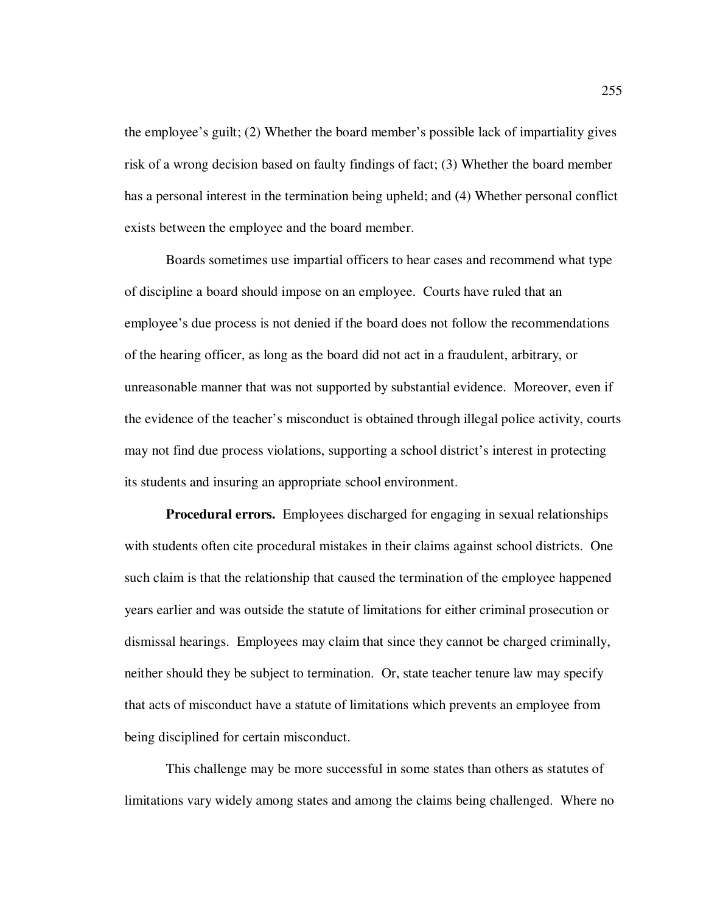the employee's guilt; (2) Whether the board member's possible lack of impartiality gives risk of a wrong decision based on faulty findings of fact; (3) Whether the board member has a personal interest in the termination being upheld; and **(**4) Whether personal conflict exists between the employee and the board member.

 Boards sometimes use impartial officers to hear cases and recommend what type of discipline a board should impose on an employee. Courts have ruled that an employee's due process is not denied if the board does not follow the recommendations of the hearing officer, as long as the board did not act in a fraudulent, arbitrary, or unreasonable manner that was not supported by substantial evidence. Moreover, even if the evidence of the teacher's misconduct is obtained through illegal police activity, courts may not find due process violations, supporting a school district's interest in protecting its students and insuring an appropriate school environment.

**Procedural errors.** Employees discharged for engaging in sexual relationships with students often cite procedural mistakes in their claims against school districts. One such claim is that the relationship that caused the termination of the employee happened years earlier and was outside the statute of limitations for either criminal prosecution or dismissal hearings. Employees may claim that since they cannot be charged criminally, neither should they be subject to termination. Or, state teacher tenure law may specify that acts of misconduct have a statute of limitations which prevents an employee from being disciplined for certain misconduct.

This challenge may be more successful in some states than others as statutes of limitations vary widely among states and among the claims being challenged. Where no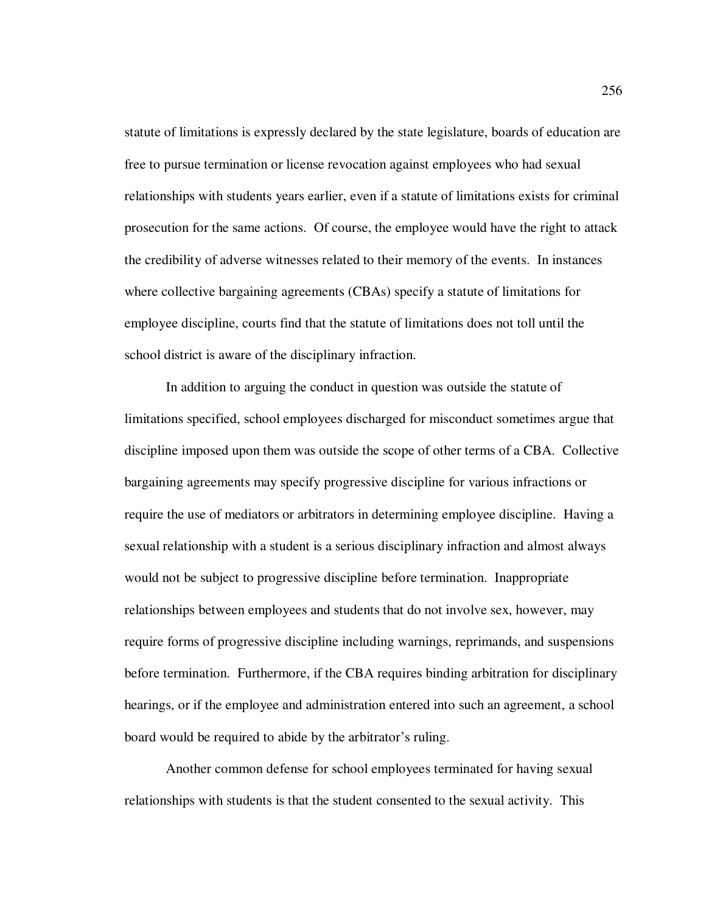statute of limitations is expressly declared by the state legislature, boards of education are free to pursue termination or license revocation against employees who had sexual relationships with students years earlier, even if a statute of limitations exists for criminal prosecution for the same actions. Of course, the employee would have the right to attack the credibility of adverse witnesses related to their memory of the events. In instances where collective bargaining agreements (CBAs) specify a statute of limitations for employee discipline, courts find that the statute of limitations does not toll until the school district is aware of the disciplinary infraction.

In addition to arguing the conduct in question was outside the statute of limitations specified, school employees discharged for misconduct sometimes argue that discipline imposed upon them was outside the scope of other terms of a CBA. Collective bargaining agreements may specify progressive discipline for various infractions or require the use of mediators or arbitrators in determining employee discipline. Having a sexual relationship with a student is a serious disciplinary infraction and almost always would not be subject to progressive discipline before termination. Inappropriate relationships between employees and students that do not involve sex, however, may require forms of progressive discipline including warnings, reprimands, and suspensions before termination. Furthermore, if the CBA requires binding arbitration for disciplinary hearings, or if the employee and administration entered into such an agreement, a school board would be required to abide by the arbitrator's ruling.

Another common defense for school employees terminated for having sexual relationships with students is that the student consented to the sexual activity. This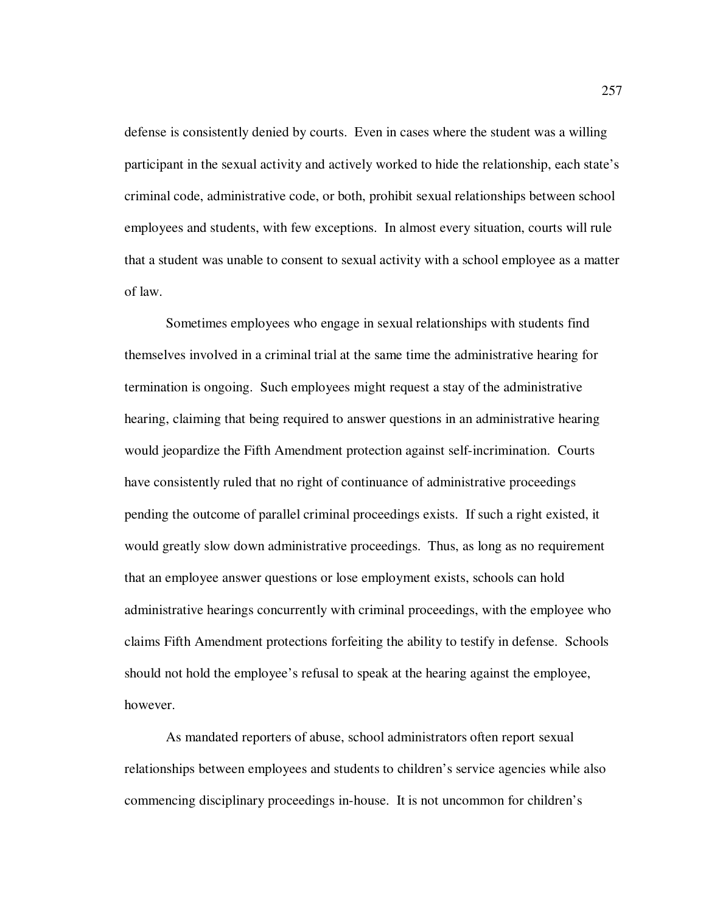defense is consistently denied by courts. Even in cases where the student was a willing participant in the sexual activity and actively worked to hide the relationship, each state's criminal code, administrative code, or both, prohibit sexual relationships between school employees and students, with few exceptions. In almost every situation, courts will rule that a student was unable to consent to sexual activity with a school employee as a matter of law.

Sometimes employees who engage in sexual relationships with students find themselves involved in a criminal trial at the same time the administrative hearing for termination is ongoing. Such employees might request a stay of the administrative hearing, claiming that being required to answer questions in an administrative hearing would jeopardize the Fifth Amendment protection against self-incrimination. Courts have consistently ruled that no right of continuance of administrative proceedings pending the outcome of parallel criminal proceedings exists. If such a right existed, it would greatly slow down administrative proceedings. Thus, as long as no requirement that an employee answer questions or lose employment exists, schools can hold administrative hearings concurrently with criminal proceedings, with the employee who claims Fifth Amendment protections forfeiting the ability to testify in defense. Schools should not hold the employee's refusal to speak at the hearing against the employee, however.

As mandated reporters of abuse, school administrators often report sexual relationships between employees and students to children's service agencies while also commencing disciplinary proceedings in-house. It is not uncommon for children's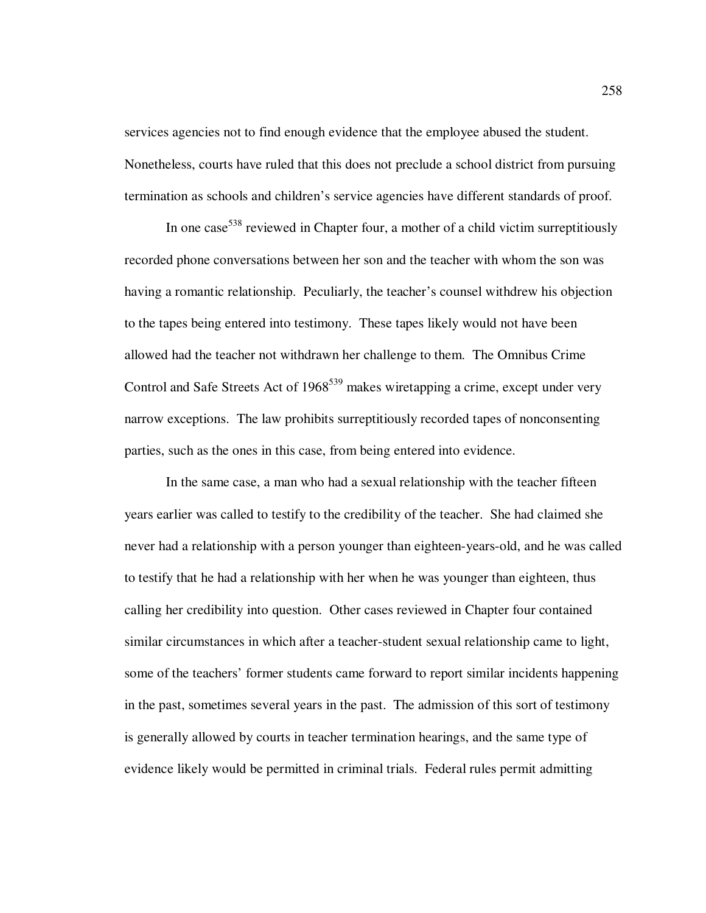services agencies not to find enough evidence that the employee abused the student. Nonetheless, courts have ruled that this does not preclude a school district from pursuing termination as schools and children's service agencies have different standards of proof.

In one case  $538$  reviewed in Chapter four, a mother of a child victim surreptitiously recorded phone conversations between her son and the teacher with whom the son was having a romantic relationship. Peculiarly, the teacher's counsel withdrew his objection to the tapes being entered into testimony. These tapes likely would not have been allowed had the teacher not withdrawn her challenge to them. The Omnibus Crime Control and Safe Streets Act of  $1968^{539}$  makes wiretapping a crime, except under very narrow exceptions. The law prohibits surreptitiously recorded tapes of nonconsenting parties, such as the ones in this case, from being entered into evidence.

In the same case, a man who had a sexual relationship with the teacher fifteen years earlier was called to testify to the credibility of the teacher. She had claimed she never had a relationship with a person younger than eighteen-years-old, and he was called to testify that he had a relationship with her when he was younger than eighteen, thus calling her credibility into question. Other cases reviewed in Chapter four contained similar circumstances in which after a teacher-student sexual relationship came to light, some of the teachers' former students came forward to report similar incidents happening in the past, sometimes several years in the past. The admission of this sort of testimony is generally allowed by courts in teacher termination hearings, and the same type of evidence likely would be permitted in criminal trials. Federal rules permit admitting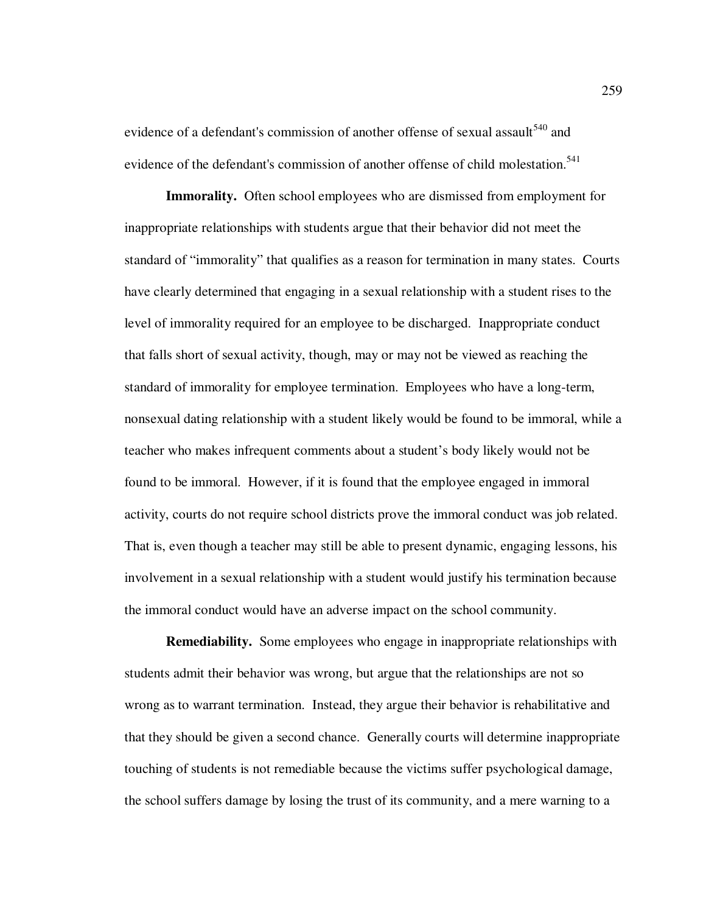evidence of a defendant's commission of another offense of sexual assault<sup>540</sup> and evidence of the defendant's commission of another offense of child molestation.<sup>541</sup>

**Immorality.** Often school employees who are dismissed from employment for inappropriate relationships with students argue that their behavior did not meet the standard of "immorality" that qualifies as a reason for termination in many states. Courts have clearly determined that engaging in a sexual relationship with a student rises to the level of immorality required for an employee to be discharged. Inappropriate conduct that falls short of sexual activity, though, may or may not be viewed as reaching the standard of immorality for employee termination. Employees who have a long-term, nonsexual dating relationship with a student likely would be found to be immoral, while a teacher who makes infrequent comments about a student's body likely would not be found to be immoral. However, if it is found that the employee engaged in immoral activity, courts do not require school districts prove the immoral conduct was job related. That is, even though a teacher may still be able to present dynamic, engaging lessons, his involvement in a sexual relationship with a student would justify his termination because the immoral conduct would have an adverse impact on the school community.

**Remediability.** Some employees who engage in inappropriate relationships with students admit their behavior was wrong, but argue that the relationships are not so wrong as to warrant termination. Instead, they argue their behavior is rehabilitative and that they should be given a second chance. Generally courts will determine inappropriate touching of students is not remediable because the victims suffer psychological damage, the school suffers damage by losing the trust of its community, and a mere warning to a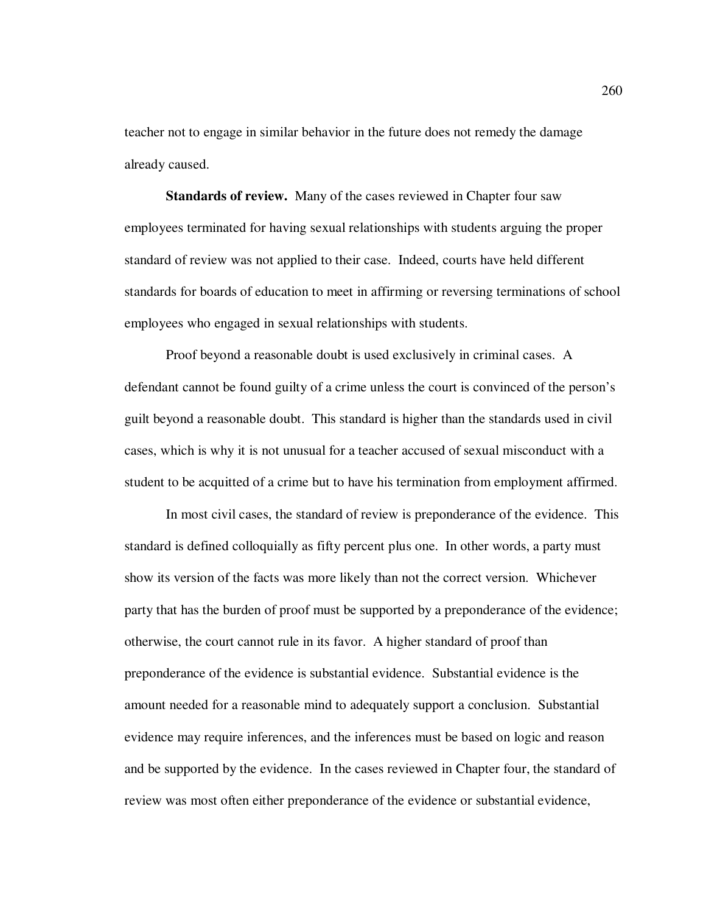teacher not to engage in similar behavior in the future does not remedy the damage already caused.

**Standards of review.** Many of the cases reviewed in Chapter four saw employees terminated for having sexual relationships with students arguing the proper standard of review was not applied to their case. Indeed, courts have held different standards for boards of education to meet in affirming or reversing terminations of school employees who engaged in sexual relationships with students.

Proof beyond a reasonable doubt is used exclusively in criminal cases. A defendant cannot be found guilty of a crime unless the court is convinced of the person's guilt beyond a reasonable doubt. This standard is higher than the standards used in civil cases, which is why it is not unusual for a teacher accused of sexual misconduct with a student to be acquitted of a crime but to have his termination from employment affirmed.

In most civil cases, the standard of review is preponderance of the evidence. This standard is defined colloquially as fifty percent plus one. In other words, a party must show its version of the facts was more likely than not the correct version. Whichever party that has the burden of proof must be supported by a preponderance of the evidence; otherwise, the court cannot rule in its favor. A higher standard of proof than preponderance of the evidence is substantial evidence. Substantial evidence is the amount needed for a reasonable mind to adequately support a conclusion. Substantial evidence may require inferences, and the inferences must be based on logic and reason and be supported by the evidence. In the cases reviewed in Chapter four, the standard of review was most often either preponderance of the evidence or substantial evidence,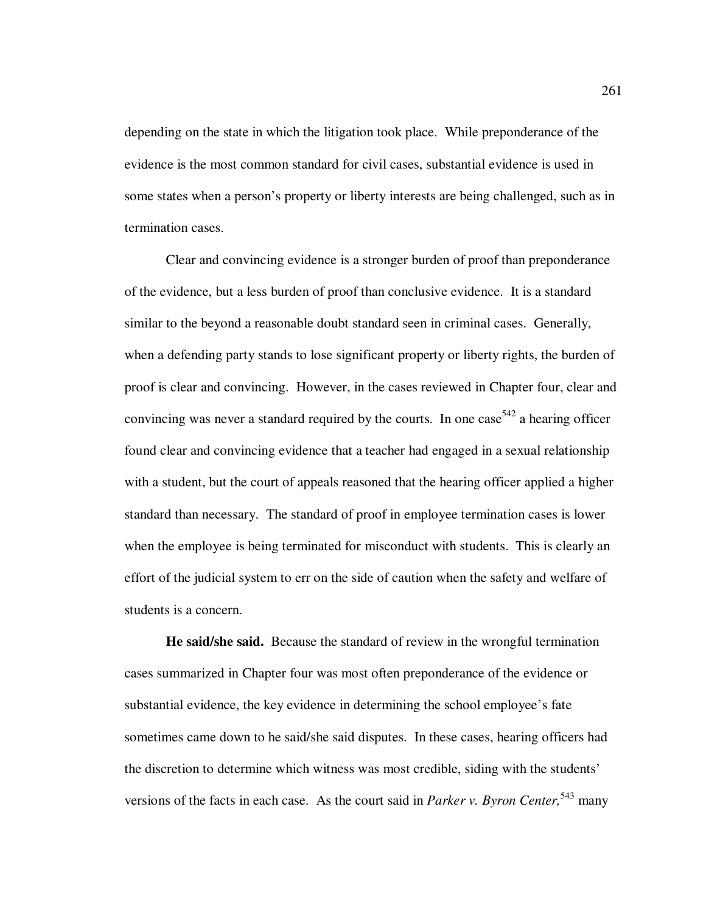depending on the state in which the litigation took place. While preponderance of the evidence is the most common standard for civil cases, substantial evidence is used in some states when a person's property or liberty interests are being challenged, such as in termination cases.

Clear and convincing evidence is a stronger burden of proof than preponderance of the evidence, but a less burden of proof than conclusive evidence. It is a standard similar to the beyond a reasonable doubt standard seen in criminal cases. Generally, when a defending party stands to lose significant property or liberty rights, the burden of proof is clear and convincing. However, in the cases reviewed in Chapter four, clear and convincing was never a standard required by the courts. In one case  $542$  a hearing officer found clear and convincing evidence that a teacher had engaged in a sexual relationship with a student, but the court of appeals reasoned that the hearing officer applied a higher standard than necessary. The standard of proof in employee termination cases is lower when the employee is being terminated for misconduct with students. This is clearly an effort of the judicial system to err on the side of caution when the safety and welfare of students is a concern.

**He said/she said.** Because the standard of review in the wrongful termination cases summarized in Chapter four was most often preponderance of the evidence or substantial evidence, the key evidence in determining the school employee's fate sometimes came down to he said/she said disputes. In these cases, hearing officers had the discretion to determine which witness was most credible, siding with the students' versions of the facts in each case. As the court said in *Parker v. Byron Center*,<sup>543</sup> many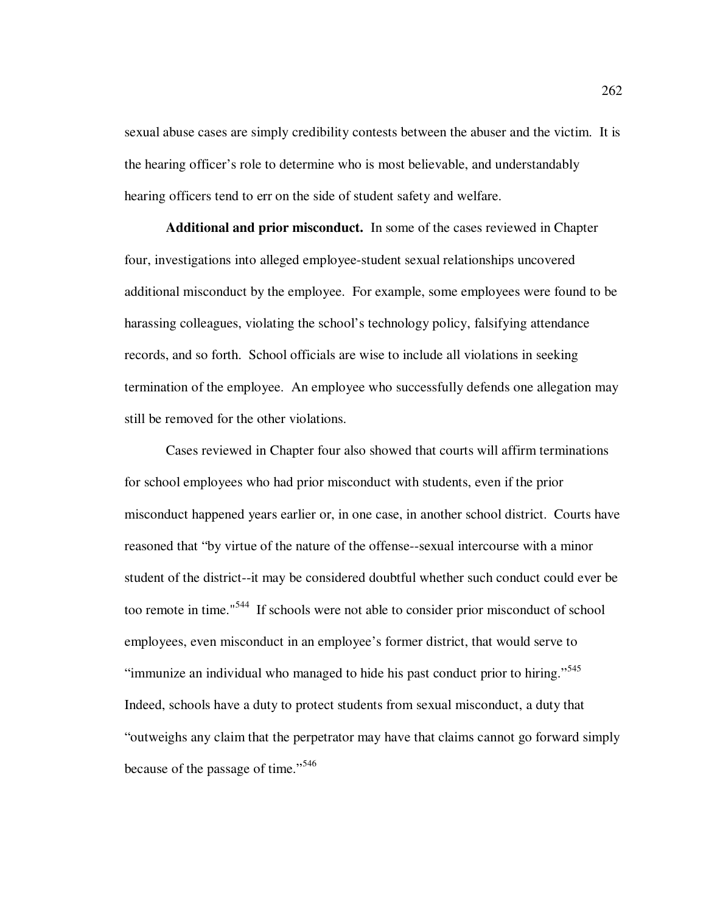sexual abuse cases are simply credibility contests between the abuser and the victim. It is the hearing officer's role to determine who is most believable, and understandably hearing officers tend to err on the side of student safety and welfare.

**Additional and prior misconduct.** In some of the cases reviewed in Chapter four, investigations into alleged employee-student sexual relationships uncovered additional misconduct by the employee. For example, some employees were found to be harassing colleagues, violating the school's technology policy, falsifying attendance records, and so forth. School officials are wise to include all violations in seeking termination of the employee. An employee who successfully defends one allegation may still be removed for the other violations.

Cases reviewed in Chapter four also showed that courts will affirm terminations for school employees who had prior misconduct with students, even if the prior misconduct happened years earlier or, in one case, in another school district. Courts have reasoned that "by virtue of the nature of the offense--sexual intercourse with a minor student of the district--it may be considered doubtful whether such conduct could ever be too remote in time."<sup>544</sup> If schools were not able to consider prior misconduct of school employees, even misconduct in an employee's former district, that would serve to "immunize an individual who managed to hide his past conduct prior to hiring."<sup>545</sup> Indeed, schools have a duty to protect students from sexual misconduct, a duty that "outweighs any claim that the perpetrator may have that claims cannot go forward simply because of the passage of time."<sup>546</sup>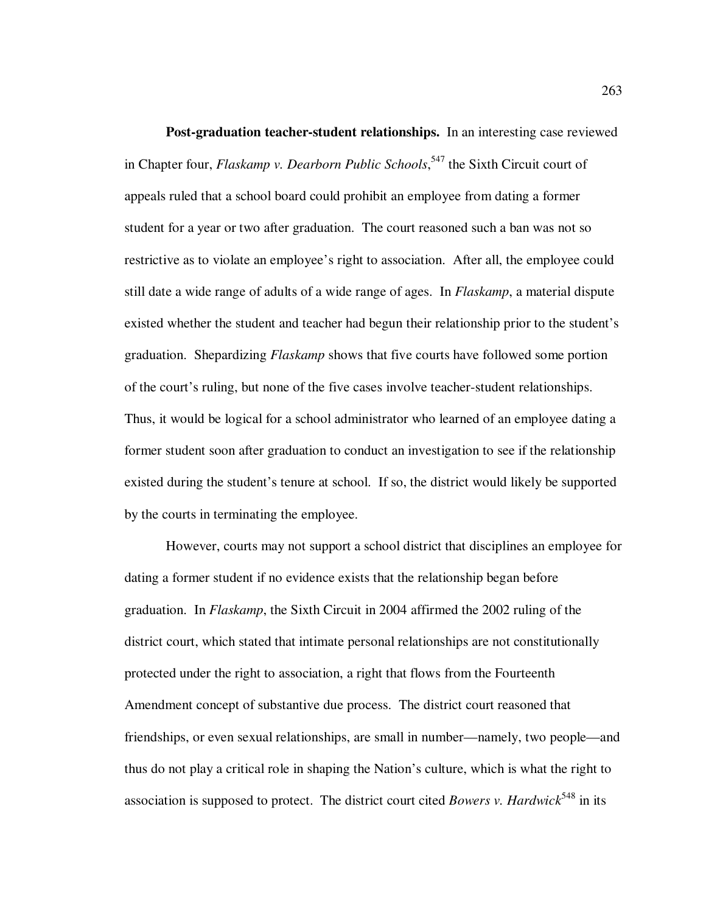**Post-graduation teacher-student relationships.** In an interesting case reviewed in Chapter four, *Flaskamp v. Dearborn Public Schools*, <sup>547</sup> the Sixth Circuit court of appeals ruled that a school board could prohibit an employee from dating a former student for a year or two after graduation. The court reasoned such a ban was not so restrictive as to violate an employee's right to association. After all, the employee could still date a wide range of adults of a wide range of ages. In *Flaskamp*, a material dispute existed whether the student and teacher had begun their relationship prior to the student's graduation. Shepardizing *Flaskamp* shows that five courts have followed some portion of the court's ruling, but none of the five cases involve teacher-student relationships. Thus, it would be logical for a school administrator who learned of an employee dating a former student soon after graduation to conduct an investigation to see if the relationship existed during the student's tenure at school. If so, the district would likely be supported by the courts in terminating the employee.

However, courts may not support a school district that disciplines an employee for dating a former student if no evidence exists that the relationship began before graduation. In *Flaskamp*, the Sixth Circuit in 2004 affirmed the 2002 ruling of the district court, which stated that intimate personal relationships are not constitutionally protected under the right to association, a right that flows from the Fourteenth Amendment concept of substantive due process. The district court reasoned that friendships, or even sexual relationships, are small in number—namely, two people—and thus do not play a critical role in shaping the Nation's culture, which is what the right to association is supposed to protect. The district court cited *Bowers v. Hardwick*<sup>548</sup> in its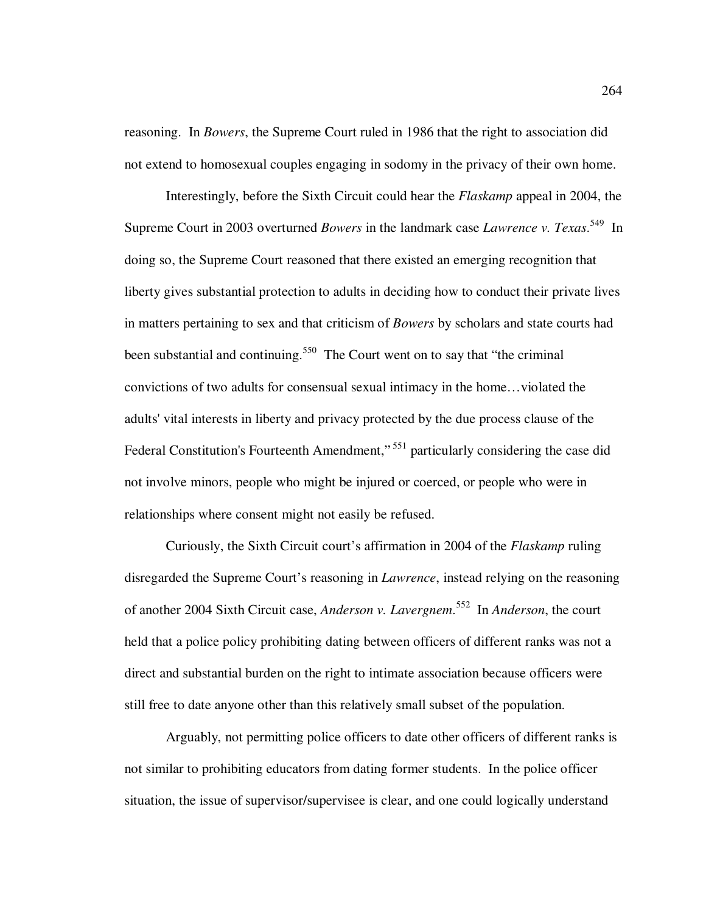reasoning. In *Bowers*, the Supreme Court ruled in 1986 that the right to association did not extend to homosexual couples engaging in sodomy in the privacy of their own home.

Interestingly, before the Sixth Circuit could hear the *Flaskamp* appeal in 2004, the Supreme Court in 2003 overturned *Bowers* in the landmark case *Lawrence v. Texas*. <sup>549</sup> In doing so, the Supreme Court reasoned that there existed an emerging recognition that liberty gives substantial protection to adults in deciding how to conduct their private lives in matters pertaining to sex and that criticism of *Bowers* by scholars and state courts had been substantial and continuing.<sup>550</sup> The Court went on to say that "the criminal" convictions of two adults for consensual sexual intimacy in the home…violated the adults' vital interests in liberty and privacy protected by the due process clause of the Federal Constitution's Fourteenth Amendment,"<sup>551</sup> particularly considering the case did not involve minors, people who might be injured or coerced, or people who were in relationships where consent might not easily be refused.

Curiously, the Sixth Circuit court's affirmation in 2004 of the *Flaskamp* ruling disregarded the Supreme Court's reasoning in *Lawrence*, instead relying on the reasoning of another 2004 Sixth Circuit case, *Anderson v. Lavergnem*. <sup>552</sup> In *Anderson*, the court held that a police policy prohibiting dating between officers of different ranks was not a direct and substantial burden on the right to intimate association because officers were still free to date anyone other than this relatively small subset of the population.

Arguably, not permitting police officers to date other officers of different ranks is not similar to prohibiting educators from dating former students. In the police officer situation, the issue of supervisor/supervisee is clear, and one could logically understand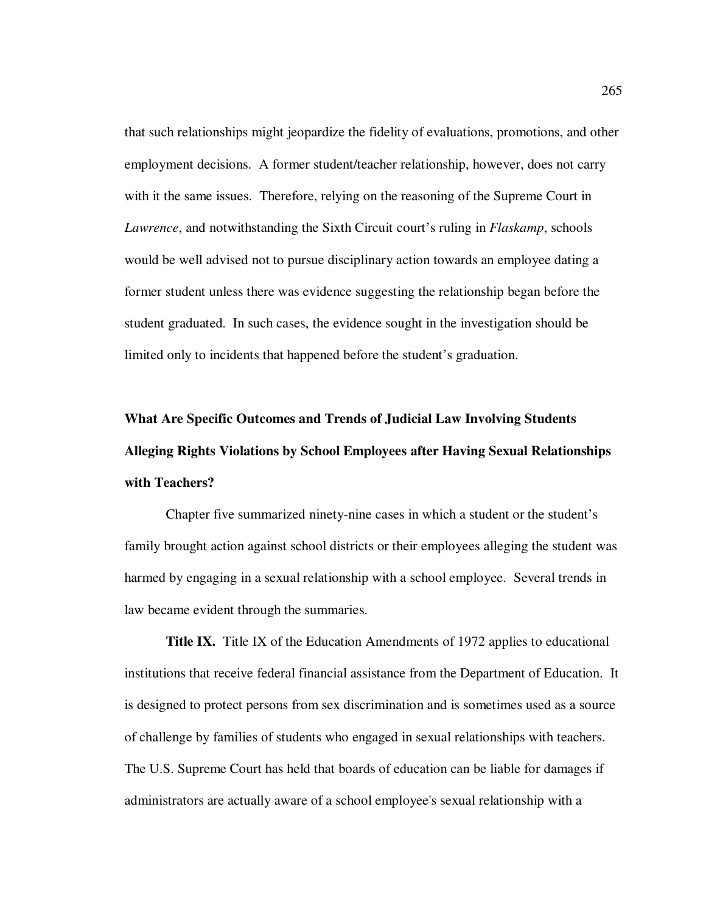that such relationships might jeopardize the fidelity of evaluations, promotions, and other employment decisions. A former student/teacher relationship, however, does not carry with it the same issues. Therefore, relying on the reasoning of the Supreme Court in *Lawrence*, and notwithstanding the Sixth Circuit court's ruling in *Flaskamp*, schools would be well advised not to pursue disciplinary action towards an employee dating a former student unless there was evidence suggesting the relationship began before the student graduated. In such cases, the evidence sought in the investigation should be limited only to incidents that happened before the student's graduation.

# **What Are Specific Outcomes and Trends of Judicial Law Involving Students Alleging Rights Violations by School Employees after Having Sexual Relationships with Teachers?**

Chapter five summarized ninety-nine cases in which a student or the student's family brought action against school districts or their employees alleging the student was harmed by engaging in a sexual relationship with a school employee. Several trends in law became evident through the summaries.

**Title IX.** Title IX of the Education Amendments of 1972 applies to educational institutions that receive federal financial assistance from the Department of Education. It is designed to protect persons from sex discrimination and is sometimes used as a source of challenge by families of students who engaged in sexual relationships with teachers. The U.S. Supreme Court has held that boards of education can be liable for damages if administrators are actually aware of a school employee's sexual relationship with a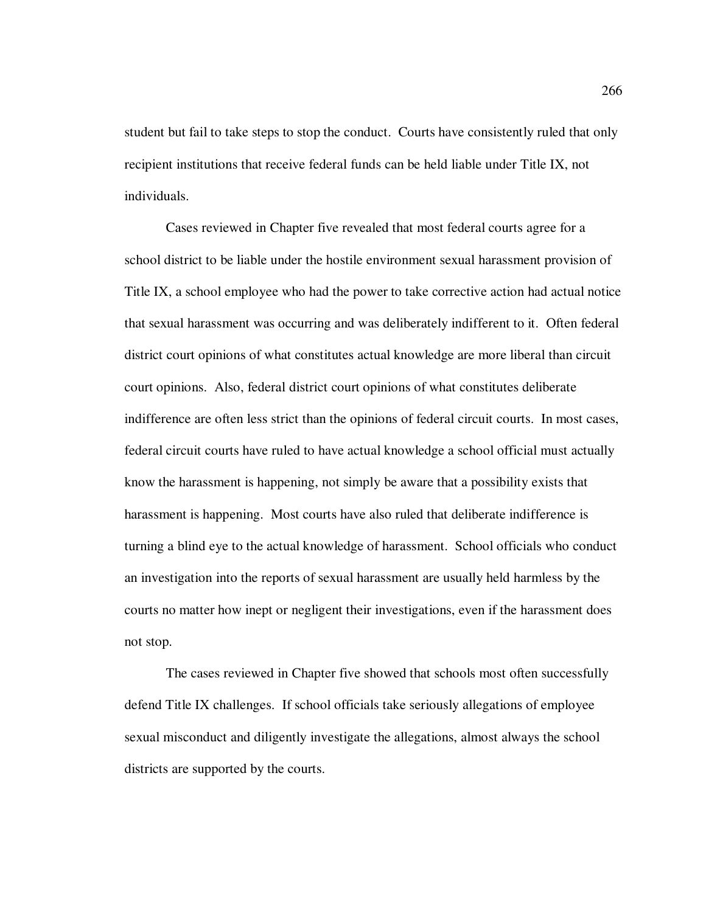student but fail to take steps to stop the conduct. Courts have consistently ruled that only recipient institutions that receive federal funds can be held liable under Title IX, not individuals.

Cases reviewed in Chapter five revealed that most federal courts agree for a school district to be liable under the hostile environment sexual harassment provision of Title IX, a school employee who had the power to take corrective action had actual notice that sexual harassment was occurring and was deliberately indifferent to it. Often federal district court opinions of what constitutes actual knowledge are more liberal than circuit court opinions. Also, federal district court opinions of what constitutes deliberate indifference are often less strict than the opinions of federal circuit courts. In most cases, federal circuit courts have ruled to have actual knowledge a school official must actually know the harassment is happening, not simply be aware that a possibility exists that harassment is happening. Most courts have also ruled that deliberate indifference is turning a blind eye to the actual knowledge of harassment. School officials who conduct an investigation into the reports of sexual harassment are usually held harmless by the courts no matter how inept or negligent their investigations, even if the harassment does not stop.

The cases reviewed in Chapter five showed that schools most often successfully defend Title IX challenges. If school officials take seriously allegations of employee sexual misconduct and diligently investigate the allegations, almost always the school districts are supported by the courts.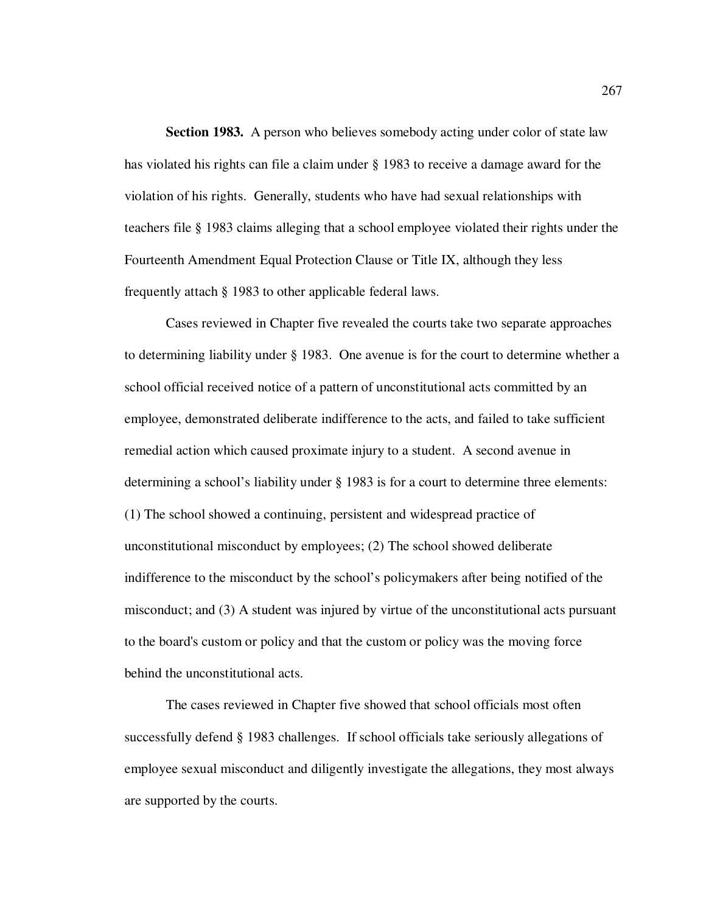**Section 1983.** A person who believes somebody acting under color of state law has violated his rights can file a claim under § 1983 to receive a damage award for the violation of his rights. Generally, students who have had sexual relationships with teachers file § 1983 claims alleging that a school employee violated their rights under the Fourteenth Amendment Equal Protection Clause or Title IX, although they less frequently attach § 1983 to other applicable federal laws.

Cases reviewed in Chapter five revealed the courts take two separate approaches to determining liability under § 1983. One avenue is for the court to determine whether a school official received notice of a pattern of unconstitutional acts committed by an employee, demonstrated deliberate indifference to the acts, and failed to take sufficient remedial action which caused proximate injury to a student. A second avenue in determining a school's liability under § 1983 is for a court to determine three elements: (1) The school showed a continuing, persistent and widespread practice of unconstitutional misconduct by employees; (2) The school showed deliberate indifference to the misconduct by the school's policymakers after being notified of the misconduct; and (3) A student was injured by virtue of the unconstitutional acts pursuant to the board's custom or policy and that the custom or policy was the moving force behind the unconstitutional acts.

The cases reviewed in Chapter five showed that school officials most often successfully defend § 1983 challenges. If school officials take seriously allegations of employee sexual misconduct and diligently investigate the allegations, they most always are supported by the courts.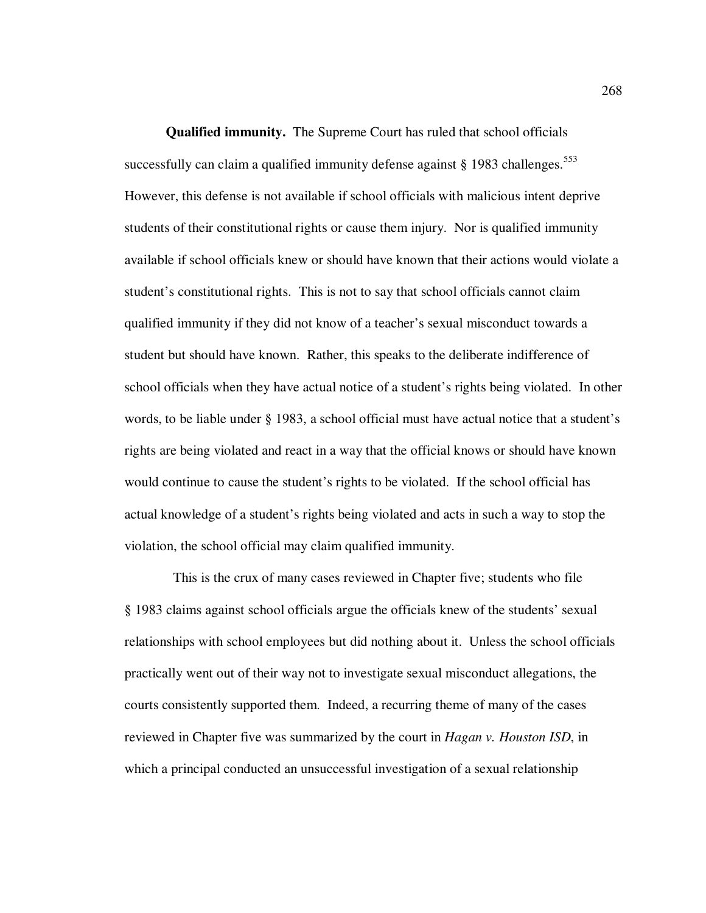**Qualified immunity.** The Supreme Court has ruled that school officials successfully can claim a qualified immunity defense against  $\S 1983$  challenges.<sup>553</sup> However, this defense is not available if school officials with malicious intent deprive students of their constitutional rights or cause them injury. Nor is qualified immunity available if school officials knew or should have known that their actions would violate a student's constitutional rights. This is not to say that school officials cannot claim qualified immunity if they did not know of a teacher's sexual misconduct towards a student but should have known. Rather, this speaks to the deliberate indifference of school officials when they have actual notice of a student's rights being violated. In other words, to be liable under § 1983, a school official must have actual notice that a student's rights are being violated and react in a way that the official knows or should have known would continue to cause the student's rights to be violated. If the school official has actual knowledge of a student's rights being violated and acts in such a way to stop the violation, the school official may claim qualified immunity.

 This is the crux of many cases reviewed in Chapter five; students who file § 1983 claims against school officials argue the officials knew of the students' sexual relationships with school employees but did nothing about it. Unless the school officials practically went out of their way not to investigate sexual misconduct allegations, the courts consistently supported them. Indeed, a recurring theme of many of the cases reviewed in Chapter five was summarized by the court in *Hagan v. Houston ISD*, in which a principal conducted an unsuccessful investigation of a sexual relationship

268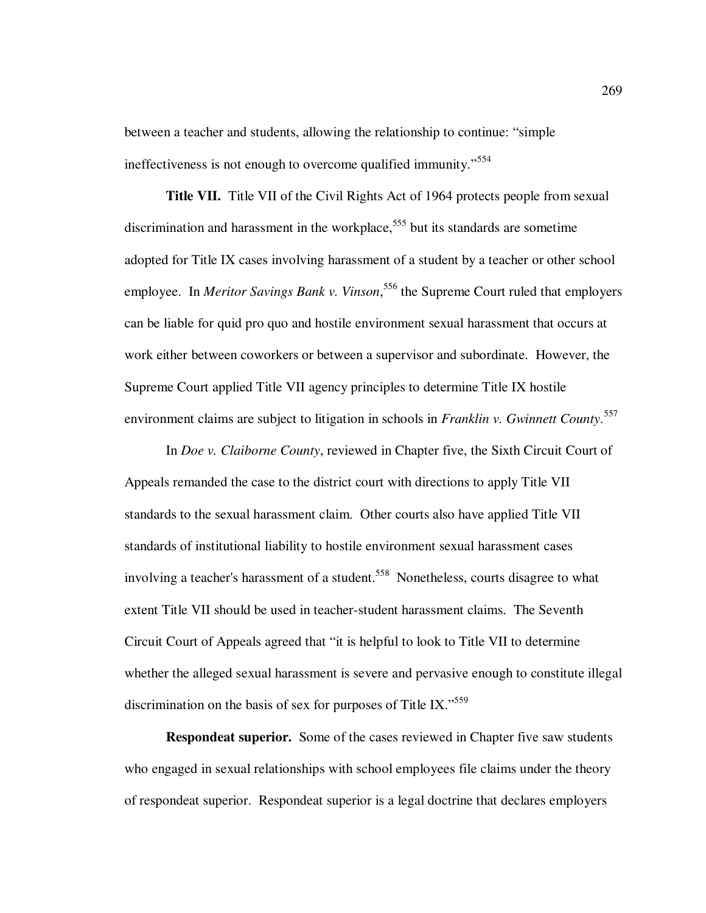between a teacher and students, allowing the relationship to continue: "simple ineffectiveness is not enough to overcome qualified immunity."<sup>554</sup>

**Title VII.** Title VII of the Civil Rights Act of 1964 protects people from sexual discrimination and harassment in the workplace,<sup>555</sup> but its standards are sometime adopted for Title IX cases involving harassment of a student by a teacher or other school employee. In *Meritor Savings Bank v. Vinson*, <sup>556</sup> the Supreme Court ruled that employers can be liable for quid pro quo and hostile environment sexual harassment that occurs at work either between coworkers or between a supervisor and subordinate. However, the Supreme Court applied Title VII agency principles to determine Title IX hostile environment claims are subject to litigation in schools in *Franklin v. Gwinnett County*. 557

In *Doe v. Claiborne County*, reviewed in Chapter five, the Sixth Circuit Court of Appeals remanded the case to the district court with directions to apply Title VII standards to the sexual harassment claim. Other courts also have applied Title VII standards of institutional liability to hostile environment sexual harassment cases involving a teacher's harassment of a student.<sup>558</sup> Nonetheless, courts disagree to what extent Title VII should be used in teacher-student harassment claims. The Seventh Circuit Court of Appeals agreed that "it is helpful to look to Title VII to determine whether the alleged sexual harassment is severe and pervasive enough to constitute illegal discrimination on the basis of sex for purposes of Title IX."<sup>559</sup>

**Respondeat superior.** Some of the cases reviewed in Chapter five saw students who engaged in sexual relationships with school employees file claims under the theory of respondeat superior. Respondeat superior is a legal doctrine that declares employers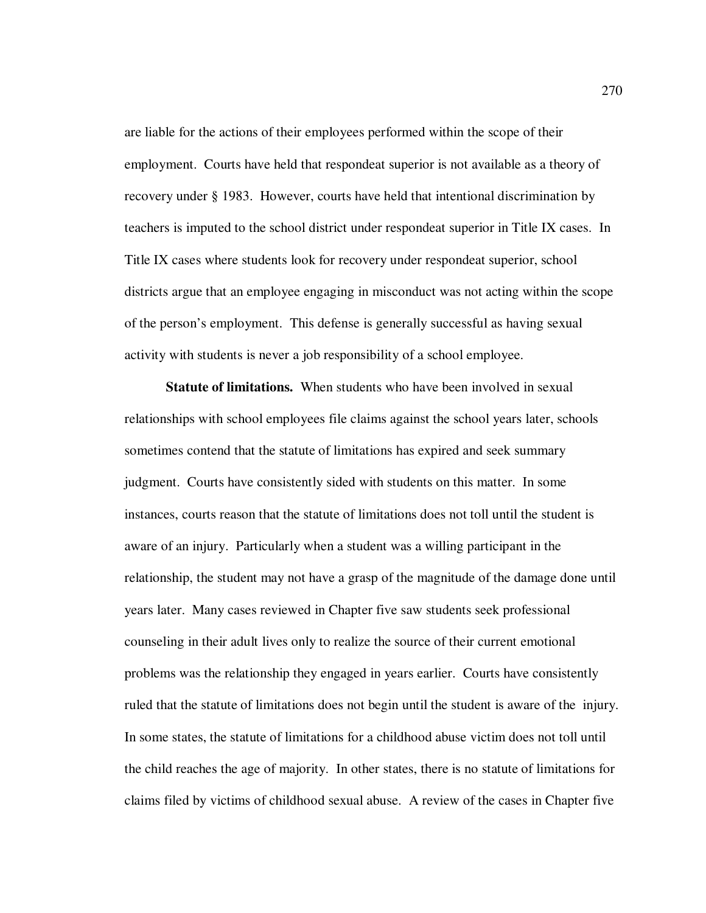are liable for the actions of their employees performed within the scope of their employment. Courts have held that respondeat superior is not available as a theory of recovery under § 1983. However, courts have held that intentional discrimination by teachers is imputed to the school district under respondeat superior in Title IX cases. In Title IX cases where students look for recovery under respondeat superior, school districts argue that an employee engaging in misconduct was not acting within the scope of the person's employment. This defense is generally successful as having sexual activity with students is never a job responsibility of a school employee.

**Statute of limitations.** When students who have been involved in sexual relationships with school employees file claims against the school years later, schools sometimes contend that the statute of limitations has expired and seek summary judgment. Courts have consistently sided with students on this matter. In some instances, courts reason that the statute of limitations does not toll until the student is aware of an injury. Particularly when a student was a willing participant in the relationship, the student may not have a grasp of the magnitude of the damage done until years later. Many cases reviewed in Chapter five saw students seek professional counseling in their adult lives only to realize the source of their current emotional problems was the relationship they engaged in years earlier. Courts have consistently ruled that the statute of limitations does not begin until the student is aware of the injury. In some states, the statute of limitations for a childhood abuse victim does not toll until the child reaches the age of majority. In other states, there is no statute of limitations for claims filed by victims of childhood sexual abuse. A review of the cases in Chapter five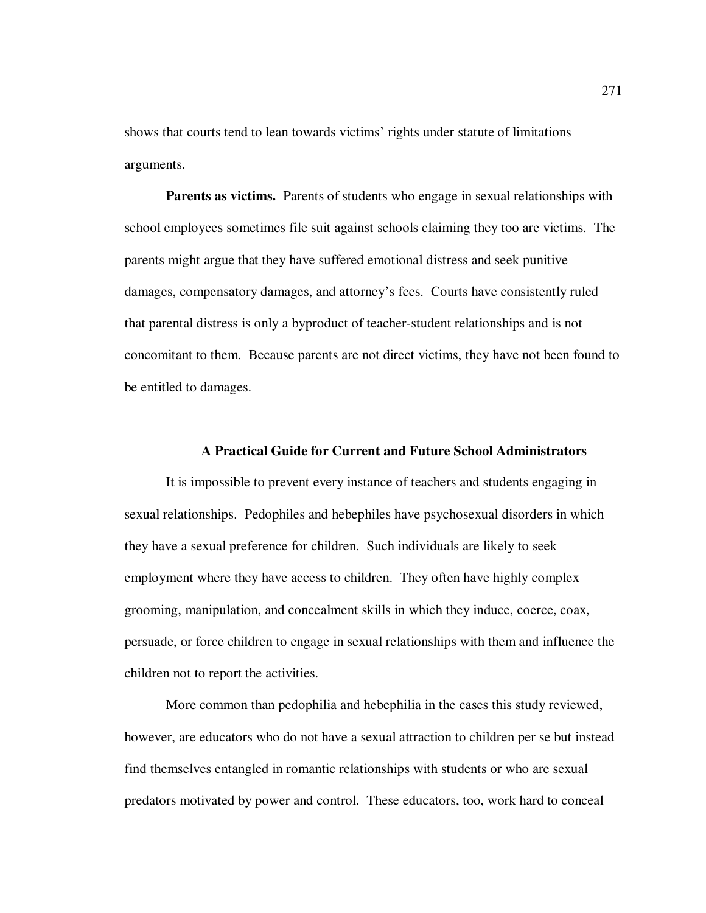shows that courts tend to lean towards victims' rights under statute of limitations arguments.

Parents as victims. Parents of students who engage in sexual relationships with school employees sometimes file suit against schools claiming they too are victims. The parents might argue that they have suffered emotional distress and seek punitive damages, compensatory damages, and attorney's fees. Courts have consistently ruled that parental distress is only a byproduct of teacher-student relationships and is not concomitant to them. Because parents are not direct victims, they have not been found to be entitled to damages.

### **A Practical Guide for Current and Future School Administrators**

It is impossible to prevent every instance of teachers and students engaging in sexual relationships. Pedophiles and hebephiles have psychosexual disorders in which they have a sexual preference for children. Such individuals are likely to seek employment where they have access to children. They often have highly complex grooming, manipulation, and concealment skills in which they induce, coerce, coax, persuade, or force children to engage in sexual relationships with them and influence the children not to report the activities.

More common than pedophilia and hebephilia in the cases this study reviewed, however, are educators who do not have a sexual attraction to children per se but instead find themselves entangled in romantic relationships with students or who are sexual predators motivated by power and control. These educators, too, work hard to conceal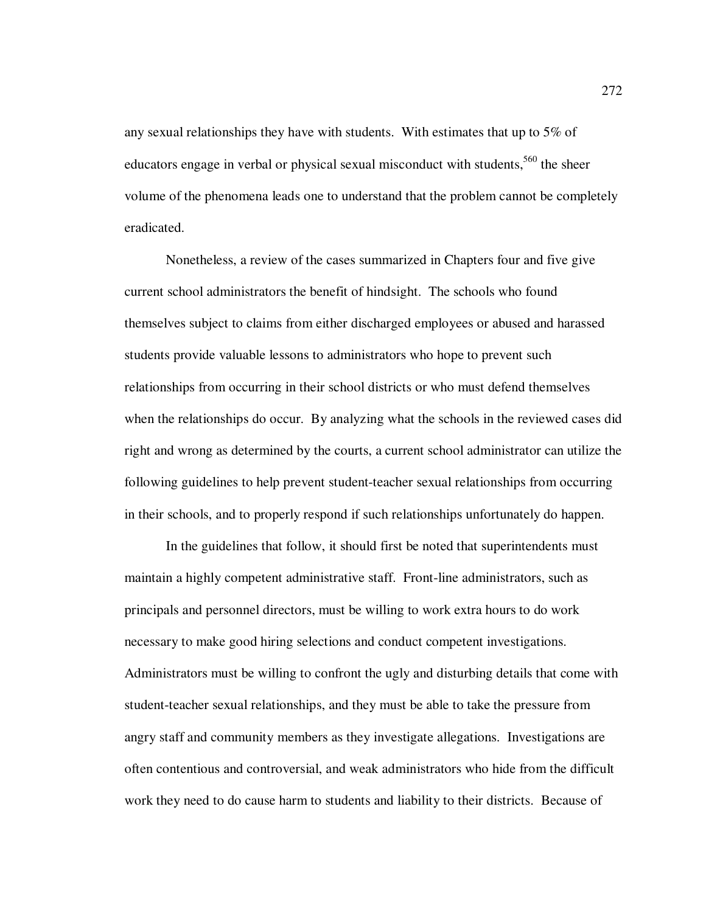any sexual relationships they have with students. With estimates that up to 5% of educators engage in verbal or physical sexual misconduct with students,<sup>560</sup> the sheer volume of the phenomena leads one to understand that the problem cannot be completely eradicated.

Nonetheless, a review of the cases summarized in Chapters four and five give current school administrators the benefit of hindsight. The schools who found themselves subject to claims from either discharged employees or abused and harassed students provide valuable lessons to administrators who hope to prevent such relationships from occurring in their school districts or who must defend themselves when the relationships do occur. By analyzing what the schools in the reviewed cases did right and wrong as determined by the courts, a current school administrator can utilize the following guidelines to help prevent student-teacher sexual relationships from occurring in their schools, and to properly respond if such relationships unfortunately do happen.

In the guidelines that follow, it should first be noted that superintendents must maintain a highly competent administrative staff. Front-line administrators, such as principals and personnel directors, must be willing to work extra hours to do work necessary to make good hiring selections and conduct competent investigations. Administrators must be willing to confront the ugly and disturbing details that come with student-teacher sexual relationships, and they must be able to take the pressure from angry staff and community members as they investigate allegations. Investigations are often contentious and controversial, and weak administrators who hide from the difficult work they need to do cause harm to students and liability to their districts. Because of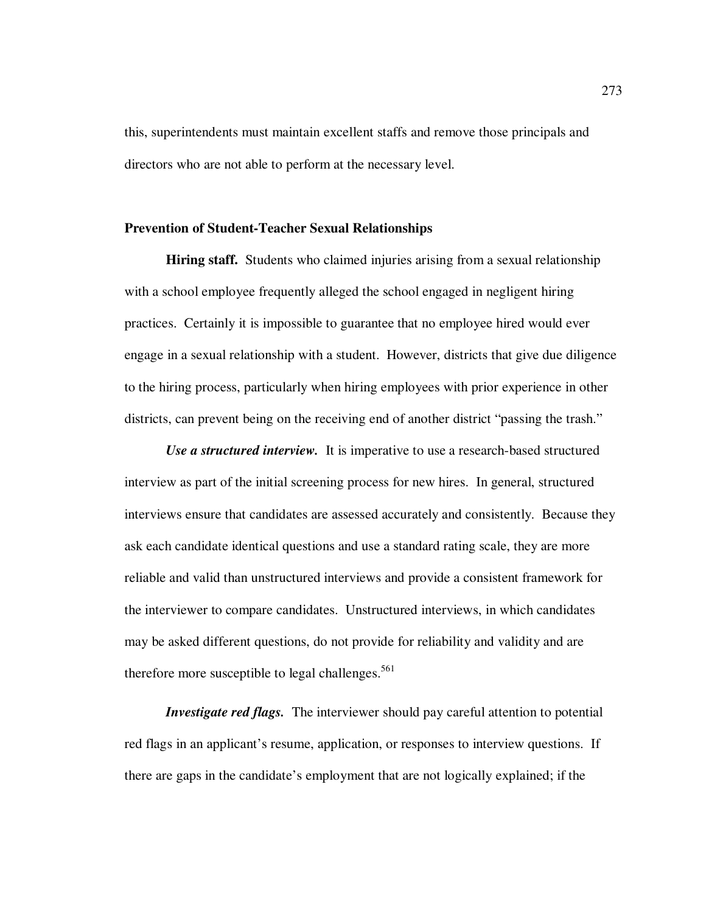this, superintendents must maintain excellent staffs and remove those principals and directors who are not able to perform at the necessary level.

#### **Prevention of Student-Teacher Sexual Relationships**

**Hiring staff.** Students who claimed injuries arising from a sexual relationship with a school employee frequently alleged the school engaged in negligent hiring practices. Certainly it is impossible to guarantee that no employee hired would ever engage in a sexual relationship with a student. However, districts that give due diligence to the hiring process, particularly when hiring employees with prior experience in other districts, can prevent being on the receiving end of another district "passing the trash."

*Use a structured interview.* It is imperative to use a research-based structured interview as part of the initial screening process for new hires. In general, structured interviews ensure that candidates are assessed accurately and consistently. Because they ask each candidate identical questions and use a standard rating scale, they are more reliable and valid than unstructured interviews and provide a consistent framework for the interviewer to compare candidates. Unstructured interviews, in which candidates may be asked different questions, do not provide for reliability and validity and are therefore more susceptible to legal challenges.<sup>561</sup>

*Investigate red flags.* The interviewer should pay careful attention to potential red flags in an applicant's resume, application, or responses to interview questions. If there are gaps in the candidate's employment that are not logically explained; if the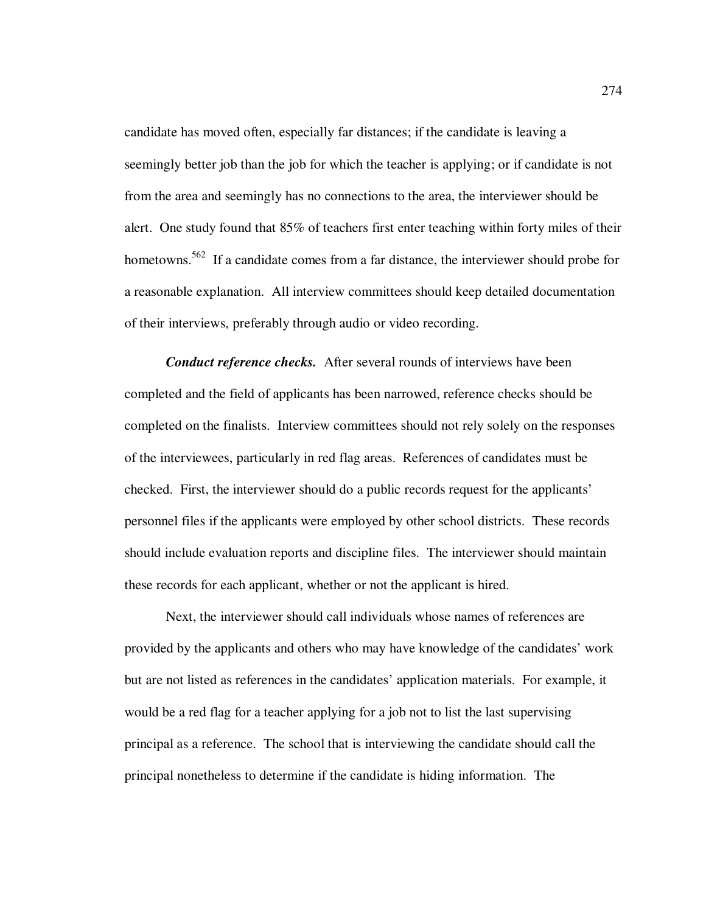candidate has moved often, especially far distances; if the candidate is leaving a seemingly better job than the job for which the teacher is applying; or if candidate is not from the area and seemingly has no connections to the area, the interviewer should be alert. One study found that 85% of teachers first enter teaching within forty miles of their hometowns.<sup>562</sup> If a candidate comes from a far distance, the interviewer should probe for a reasonable explanation. All interview committees should keep detailed documentation of their interviews, preferably through audio or video recording.

*Conduct reference checks.* After several rounds of interviews have been completed and the field of applicants has been narrowed, reference checks should be completed on the finalists. Interview committees should not rely solely on the responses of the interviewees, particularly in red flag areas. References of candidates must be checked. First, the interviewer should do a public records request for the applicants' personnel files if the applicants were employed by other school districts. These records should include evaluation reports and discipline files. The interviewer should maintain these records for each applicant, whether or not the applicant is hired.

Next, the interviewer should call individuals whose names of references are provided by the applicants and others who may have knowledge of the candidates' work but are not listed as references in the candidates' application materials. For example, it would be a red flag for a teacher applying for a job not to list the last supervising principal as a reference. The school that is interviewing the candidate should call the principal nonetheless to determine if the candidate is hiding information. The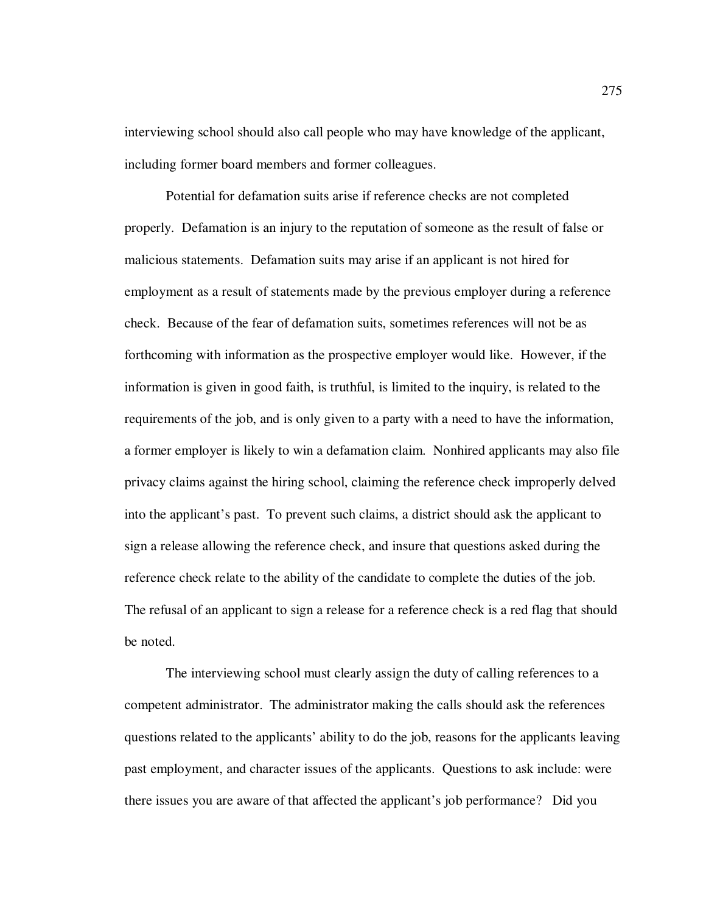interviewing school should also call people who may have knowledge of the applicant, including former board members and former colleagues.

Potential for defamation suits arise if reference checks are not completed properly. Defamation is an injury to the reputation of someone as the result of false or malicious statements. Defamation suits may arise if an applicant is not hired for employment as a result of statements made by the previous employer during a reference check. Because of the fear of defamation suits, sometimes references will not be as forthcoming with information as the prospective employer would like. However, if the information is given in good faith, is truthful, is limited to the inquiry, is related to the requirements of the job, and is only given to a party with a need to have the information, a former employer is likely to win a defamation claim. Nonhired applicants may also file privacy claims against the hiring school, claiming the reference check improperly delved into the applicant's past. To prevent such claims, a district should ask the applicant to sign a release allowing the reference check, and insure that questions asked during the reference check relate to the ability of the candidate to complete the duties of the job. The refusal of an applicant to sign a release for a reference check is a red flag that should be noted.

The interviewing school must clearly assign the duty of calling references to a competent administrator. The administrator making the calls should ask the references questions related to the applicants' ability to do the job, reasons for the applicants leaving past employment, and character issues of the applicants. Questions to ask include: were there issues you are aware of that affected the applicant's job performance? Did you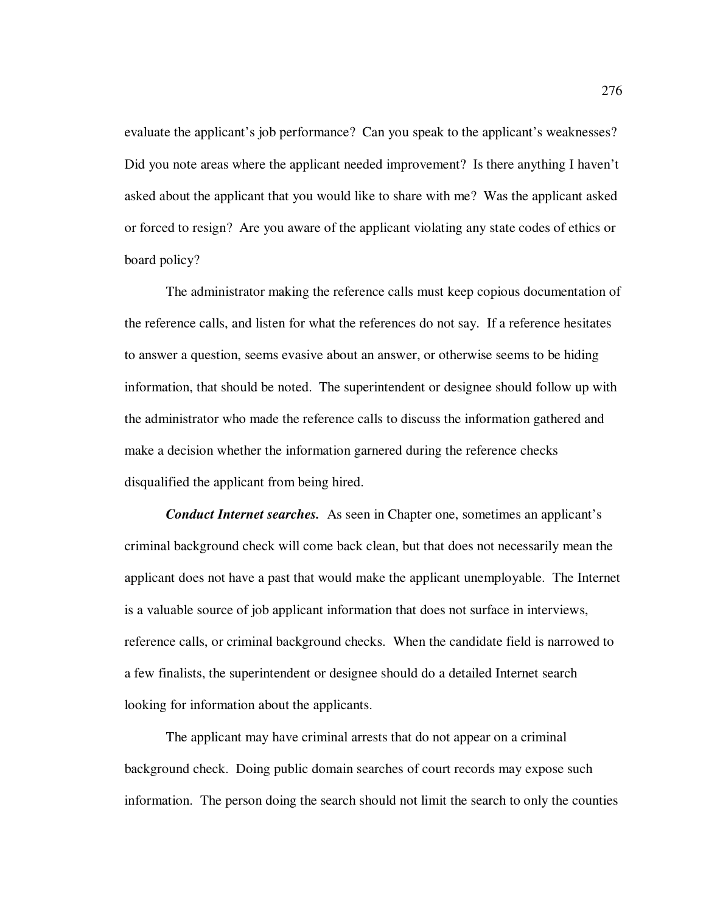evaluate the applicant's job performance? Can you speak to the applicant's weaknesses? Did you note areas where the applicant needed improvement? Is there anything I haven't asked about the applicant that you would like to share with me? Was the applicant asked or forced to resign? Are you aware of the applicant violating any state codes of ethics or board policy?

The administrator making the reference calls must keep copious documentation of the reference calls, and listen for what the references do not say. If a reference hesitates to answer a question, seems evasive about an answer, or otherwise seems to be hiding information, that should be noted. The superintendent or designee should follow up with the administrator who made the reference calls to discuss the information gathered and make a decision whether the information garnered during the reference checks disqualified the applicant from being hired.

*Conduct Internet searches.*As seen in Chapter one, sometimes an applicant's criminal background check will come back clean, but that does not necessarily mean the applicant does not have a past that would make the applicant unemployable. The Internet is a valuable source of job applicant information that does not surface in interviews, reference calls, or criminal background checks. When the candidate field is narrowed to a few finalists, the superintendent or designee should do a detailed Internet search looking for information about the applicants.

The applicant may have criminal arrests that do not appear on a criminal background check. Doing public domain searches of court records may expose such information. The person doing the search should not limit the search to only the counties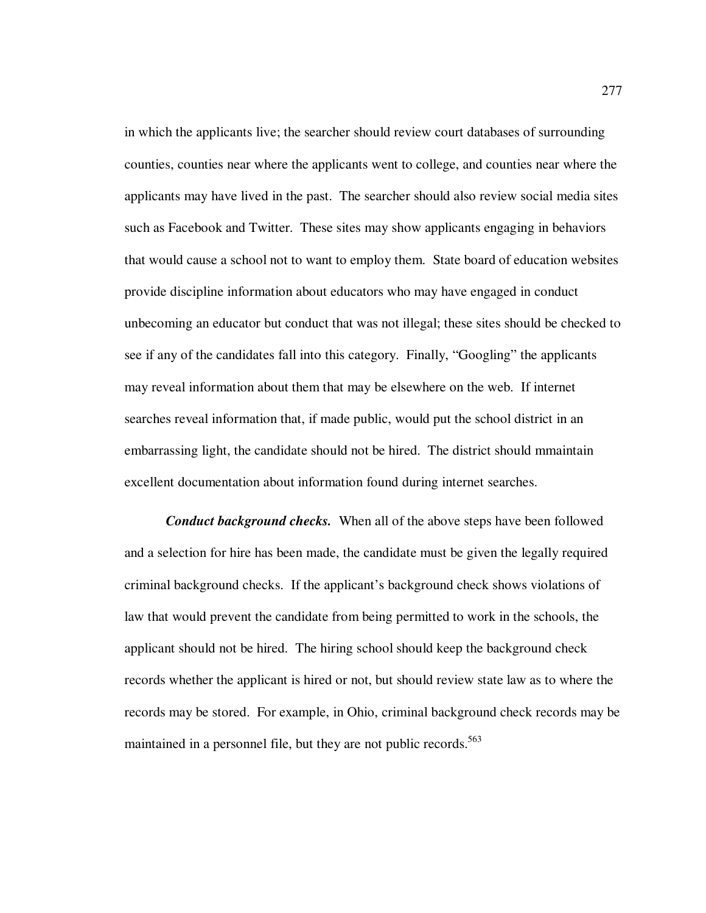in which the applicants live; the searcher should review court databases of surrounding counties, counties near where the applicants went to college, and counties near where the applicants may have lived in the past. The searcher should also review social media sites such as Facebook and Twitter. These sites may show applicants engaging in behaviors that would cause a school not to want to employ them. State board of education websites provide discipline information about educators who may have engaged in conduct unbecoming an educator but conduct that was not illegal; these sites should be checked to see if any of the candidates fall into this category. Finally, "Googling" the applicants may reveal information about them that may be elsewhere on the web. If internet searches reveal information that, if made public, would put the school district in an embarrassing light, the candidate should not be hired. The district should mmaintain excellent documentation about information found during internet searches.

*Conduct background checks.*When all of the above steps have been followed and a selection for hire has been made, the candidate must be given the legally required criminal background checks. If the applicant's background check shows violations of law that would prevent the candidate from being permitted to work in the schools, the applicant should not be hired. The hiring school should keep the background check records whether the applicant is hired or not, but should review state law as to where the records may be stored. For example, in Ohio, criminal background check records may be maintained in a personnel file, but they are not public records.<sup>563</sup>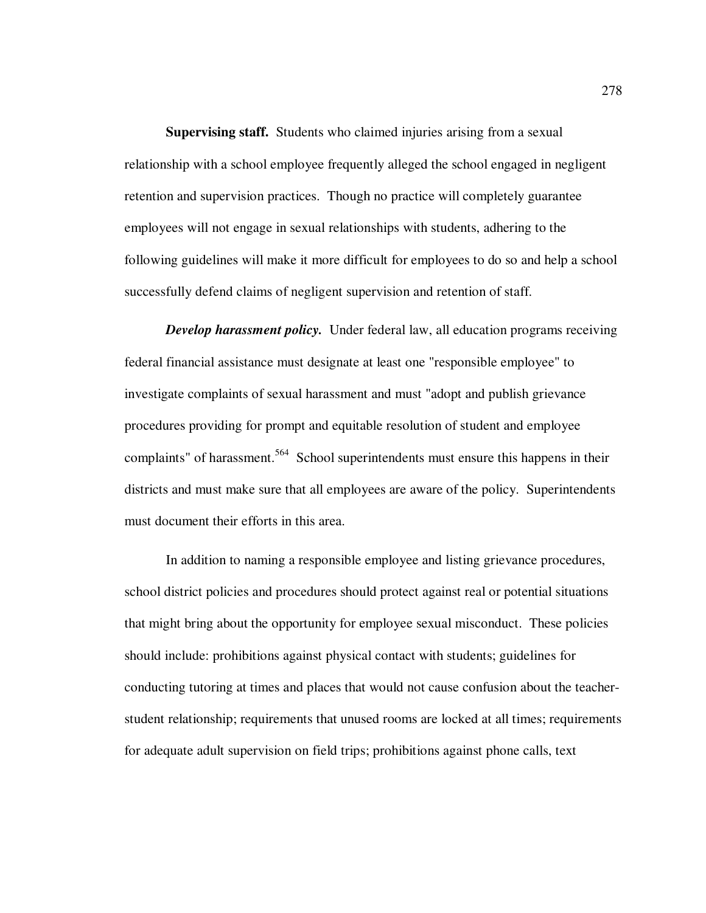**Supervising staff.** Students who claimed injuries arising from a sexual relationship with a school employee frequently alleged the school engaged in negligent retention and supervision practices. Though no practice will completely guarantee employees will not engage in sexual relationships with students, adhering to the following guidelines will make it more difficult for employees to do so and help a school successfully defend claims of negligent supervision and retention of staff.

*Develop harassment policy.* Under federal law, all education programs receiving federal financial assistance must designate at least one "responsible employee" to investigate complaints of sexual harassment and must "adopt and publish grievance procedures providing for prompt and equitable resolution of student and employee complaints" of harassment.<sup>564</sup> School superintendents must ensure this happens in their districts and must make sure that all employees are aware of the policy. Superintendents must document their efforts in this area.

 In addition to naming a responsible employee and listing grievance procedures, school district policies and procedures should protect against real or potential situations that might bring about the opportunity for employee sexual misconduct. These policies should include: prohibitions against physical contact with students; guidelines for conducting tutoring at times and places that would not cause confusion about the teacherstudent relationship; requirements that unused rooms are locked at all times; requirements for adequate adult supervision on field trips; prohibitions against phone calls, text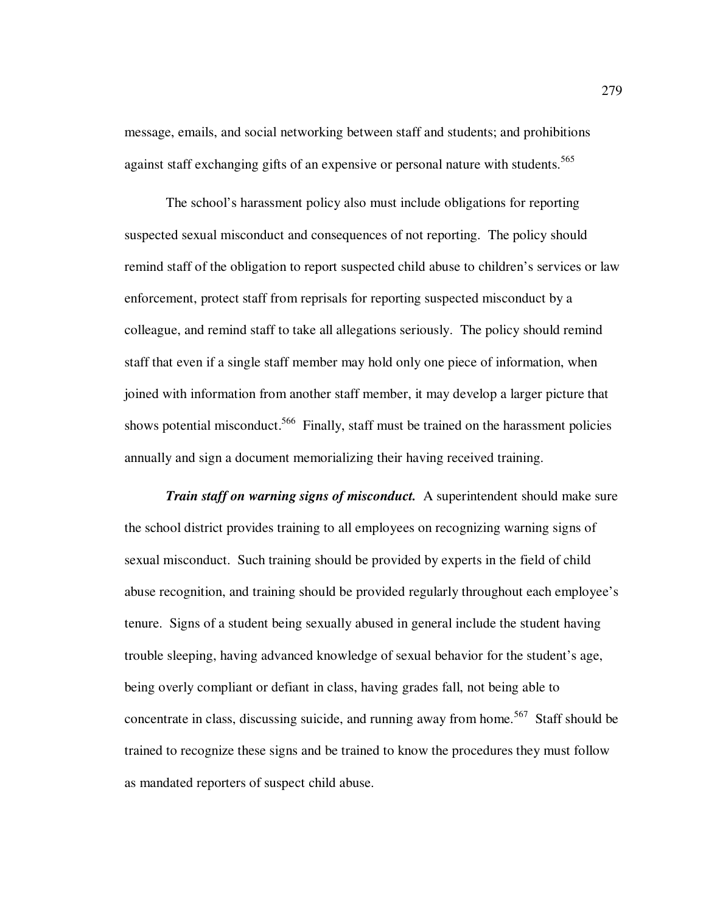message, emails, and social networking between staff and students; and prohibitions against staff exchanging gifts of an expensive or personal nature with students.<sup>565</sup>

The school's harassment policy also must include obligations for reporting suspected sexual misconduct and consequences of not reporting. The policy should remind staff of the obligation to report suspected child abuse to children's services or law enforcement, protect staff from reprisals for reporting suspected misconduct by a colleague, and remind staff to take all allegations seriously. The policy should remind staff that even if a single staff member may hold only one piece of information, when joined with information from another staff member, it may develop a larger picture that shows potential misconduct.<sup>566</sup> Finally, staff must be trained on the harassment policies annually and sign a document memorializing their having received training.

*Train staff on warning signs of misconduct.* A superintendent should make sure the school district provides training to all employees on recognizing warning signs of sexual misconduct. Such training should be provided by experts in the field of child abuse recognition, and training should be provided regularly throughout each employee's tenure. Signs of a student being sexually abused in general include the student having trouble sleeping, having advanced knowledge of sexual behavior for the student's age, being overly compliant or defiant in class, having grades fall, not being able to concentrate in class, discussing suicide, and running away from home.<sup>567</sup> Staff should be trained to recognize these signs and be trained to know the procedures they must follow as mandated reporters of suspect child abuse.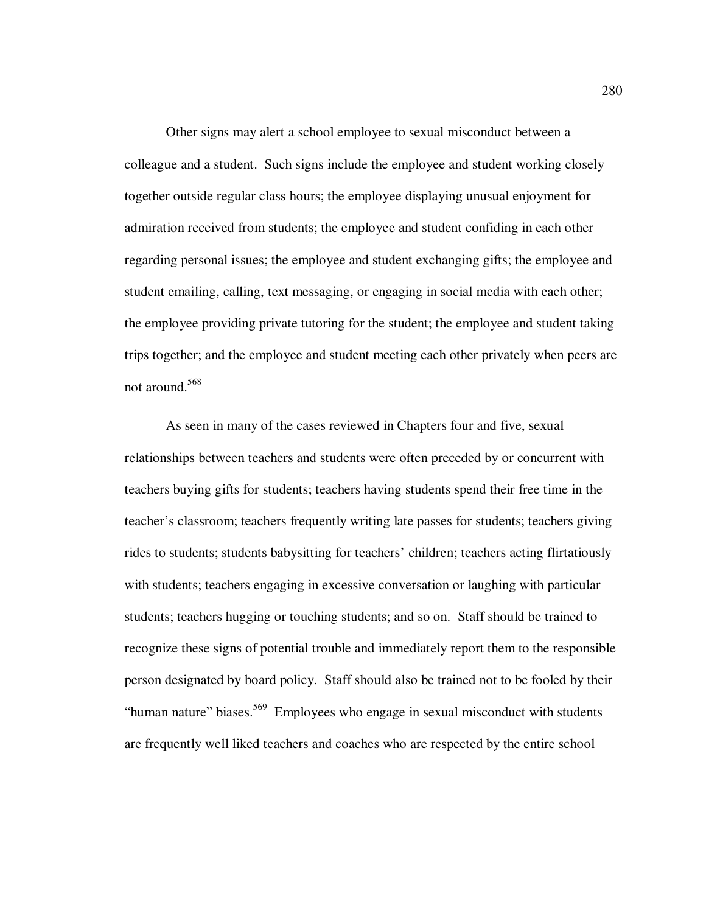Other signs may alert a school employee to sexual misconduct between a colleague and a student. Such signs include the employee and student working closely together outside regular class hours; the employee displaying unusual enjoyment for admiration received from students; the employee and student confiding in each other regarding personal issues; the employee and student exchanging gifts; the employee and student emailing, calling, text messaging, or engaging in social media with each other; the employee providing private tutoring for the student; the employee and student taking trips together; and the employee and student meeting each other privately when peers are not around.<sup>568</sup>

As seen in many of the cases reviewed in Chapters four and five, sexual relationships between teachers and students were often preceded by or concurrent with teachers buying gifts for students; teachers having students spend their free time in the teacher's classroom; teachers frequently writing late passes for students; teachers giving rides to students; students babysitting for teachers' children; teachers acting flirtatiously with students; teachers engaging in excessive conversation or laughing with particular students; teachers hugging or touching students; and so on. Staff should be trained to recognize these signs of potential trouble and immediately report them to the responsible person designated by board policy. Staff should also be trained not to be fooled by their "human nature" biases.<sup>569</sup> Employees who engage in sexual misconduct with students are frequently well liked teachers and coaches who are respected by the entire school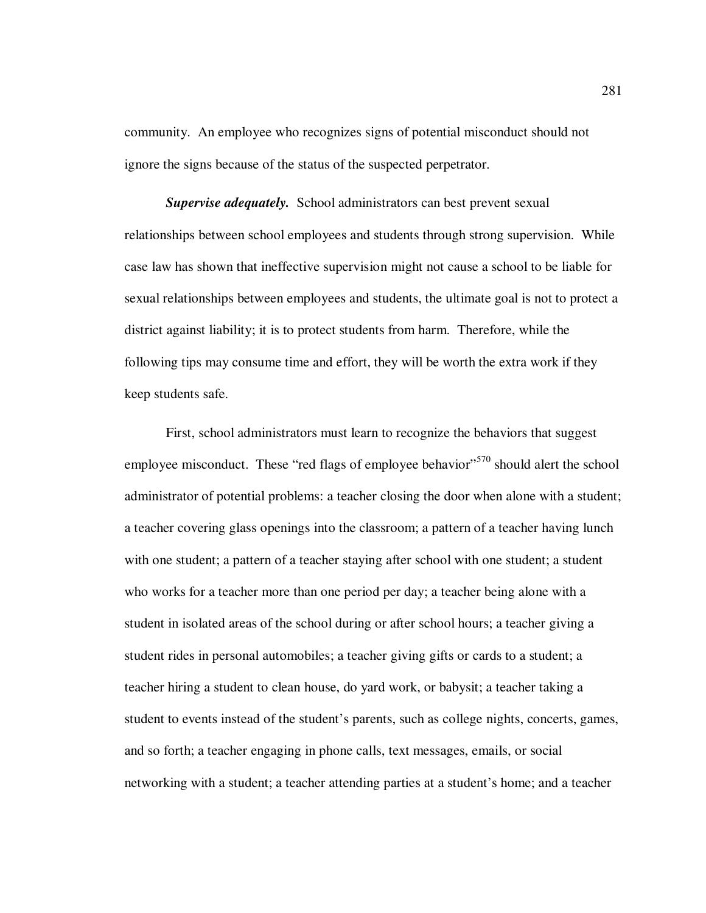community. An employee who recognizes signs of potential misconduct should not ignore the signs because of the status of the suspected perpetrator.

*Supervise adequately.*School administrators can best prevent sexual relationships between school employees and students through strong supervision. While case law has shown that ineffective supervision might not cause a school to be liable for sexual relationships between employees and students, the ultimate goal is not to protect a district against liability; it is to protect students from harm. Therefore, while the following tips may consume time and effort, they will be worth the extra work if they keep students safe.

First, school administrators must learn to recognize the behaviors that suggest employee misconduct. These "red flags of employee behavior"<sup>570</sup> should alert the school administrator of potential problems: a teacher closing the door when alone with a student; a teacher covering glass openings into the classroom; a pattern of a teacher having lunch with one student; a pattern of a teacher staying after school with one student; a student who works for a teacher more than one period per day; a teacher being alone with a student in isolated areas of the school during or after school hours; a teacher giving a student rides in personal automobiles; a teacher giving gifts or cards to a student; a teacher hiring a student to clean house, do yard work, or babysit; a teacher taking a student to events instead of the student's parents, such as college nights, concerts, games, and so forth; a teacher engaging in phone calls, text messages, emails, or social networking with a student; a teacher attending parties at a student's home; and a teacher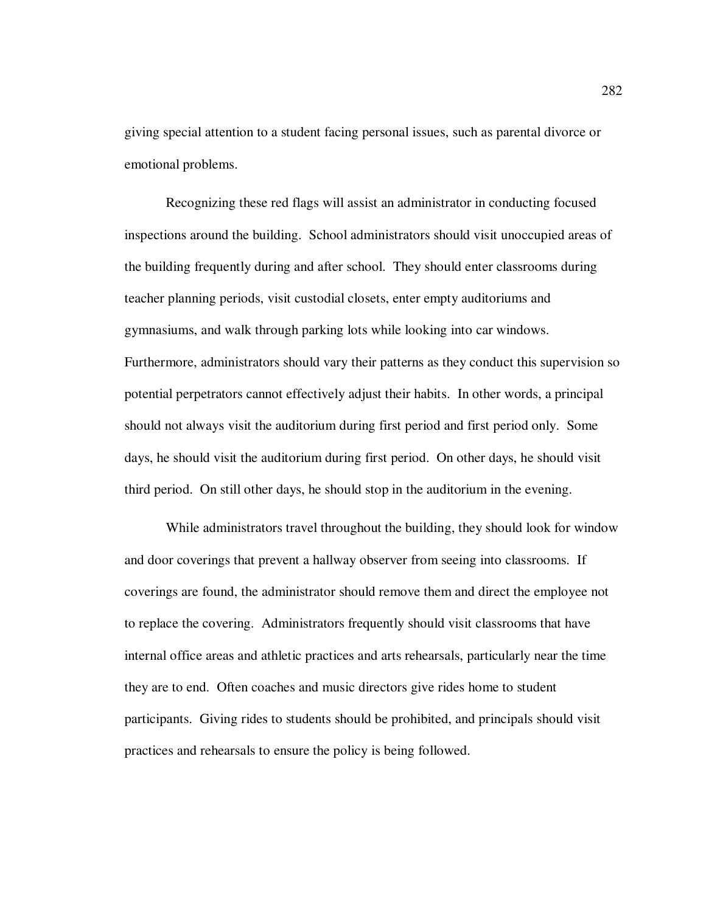giving special attention to a student facing personal issues, such as parental divorce or emotional problems.

Recognizing these red flags will assist an administrator in conducting focused inspections around the building. School administrators should visit unoccupied areas of the building frequently during and after school. They should enter classrooms during teacher planning periods, visit custodial closets, enter empty auditoriums and gymnasiums, and walk through parking lots while looking into car windows. Furthermore, administrators should vary their patterns as they conduct this supervision so potential perpetrators cannot effectively adjust their habits. In other words, a principal should not always visit the auditorium during first period and first period only. Some days, he should visit the auditorium during first period. On other days, he should visit third period. On still other days, he should stop in the auditorium in the evening.

While administrators travel throughout the building, they should look for window and door coverings that prevent a hallway observer from seeing into classrooms. If coverings are found, the administrator should remove them and direct the employee not to replace the covering. Administrators frequently should visit classrooms that have internal office areas and athletic practices and arts rehearsals, particularly near the time they are to end. Often coaches and music directors give rides home to student participants. Giving rides to students should be prohibited, and principals should visit practices and rehearsals to ensure the policy is being followed.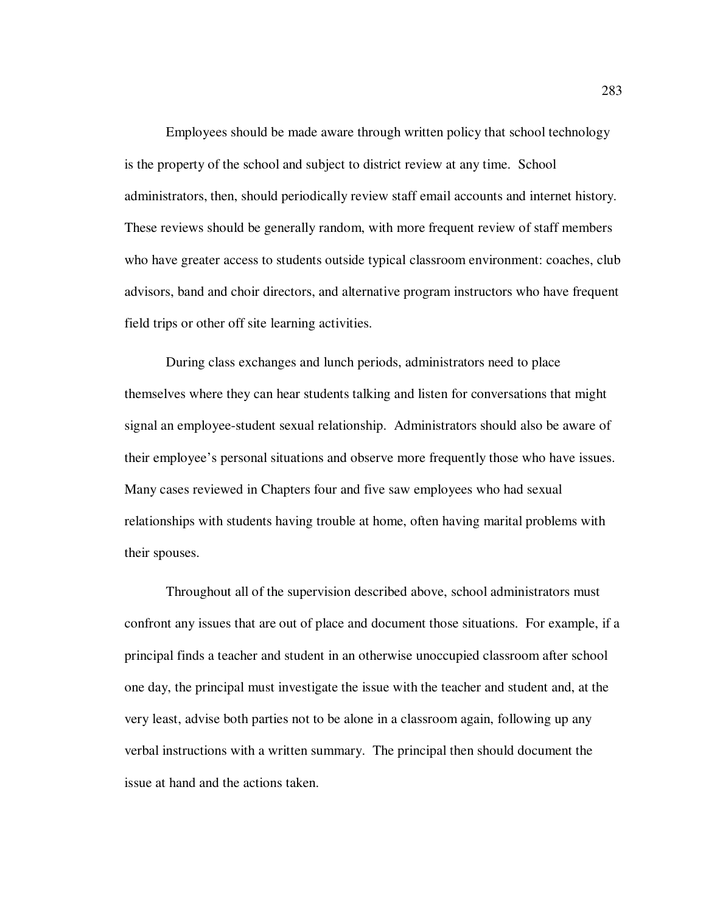Employees should be made aware through written policy that school technology is the property of the school and subject to district review at any time. School administrators, then, should periodically review staff email accounts and internet history. These reviews should be generally random, with more frequent review of staff members who have greater access to students outside typical classroom environment: coaches, club advisors, band and choir directors, and alternative program instructors who have frequent field trips or other off site learning activities.

During class exchanges and lunch periods, administrators need to place themselves where they can hear students talking and listen for conversations that might signal an employee-student sexual relationship. Administrators should also be aware of their employee's personal situations and observe more frequently those who have issues. Many cases reviewed in Chapters four and five saw employees who had sexual relationships with students having trouble at home, often having marital problems with their spouses.

Throughout all of the supervision described above, school administrators must confront any issues that are out of place and document those situations. For example, if a principal finds a teacher and student in an otherwise unoccupied classroom after school one day, the principal must investigate the issue with the teacher and student and, at the very least, advise both parties not to be alone in a classroom again, following up any verbal instructions with a written summary. The principal then should document the issue at hand and the actions taken.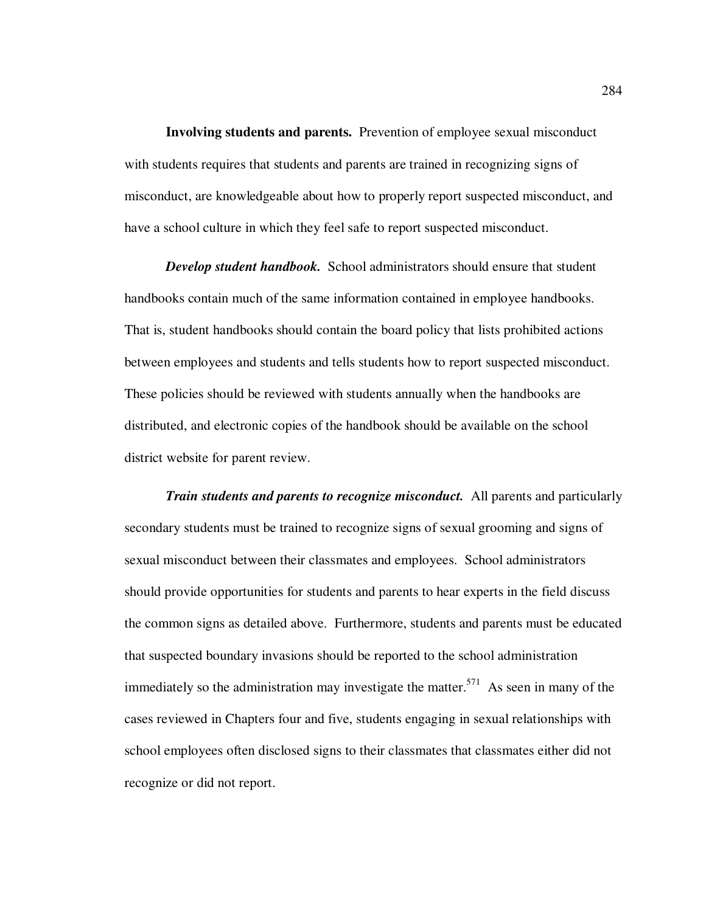**Involving students and parents.** Prevention of employee sexual misconduct with students requires that students and parents are trained in recognizing signs of misconduct, are knowledgeable about how to properly report suspected misconduct, and have a school culture in which they feel safe to report suspected misconduct.

*Develop student handbook.*School administrators should ensure that student handbooks contain much of the same information contained in employee handbooks. That is, student handbooks should contain the board policy that lists prohibited actions between employees and students and tells students how to report suspected misconduct. These policies should be reviewed with students annually when the handbooks are distributed, and electronic copies of the handbook should be available on the school district website for parent review.

*Train students and parents to recognize misconduct.*All parents and particularly secondary students must be trained to recognize signs of sexual grooming and signs of sexual misconduct between their classmates and employees. School administrators should provide opportunities for students and parents to hear experts in the field discuss the common signs as detailed above. Furthermore, students and parents must be educated that suspected boundary invasions should be reported to the school administration immediately so the administration may investigate the matter.<sup>571</sup> As seen in many of the cases reviewed in Chapters four and five, students engaging in sexual relationships with school employees often disclosed signs to their classmates that classmates either did not recognize or did not report.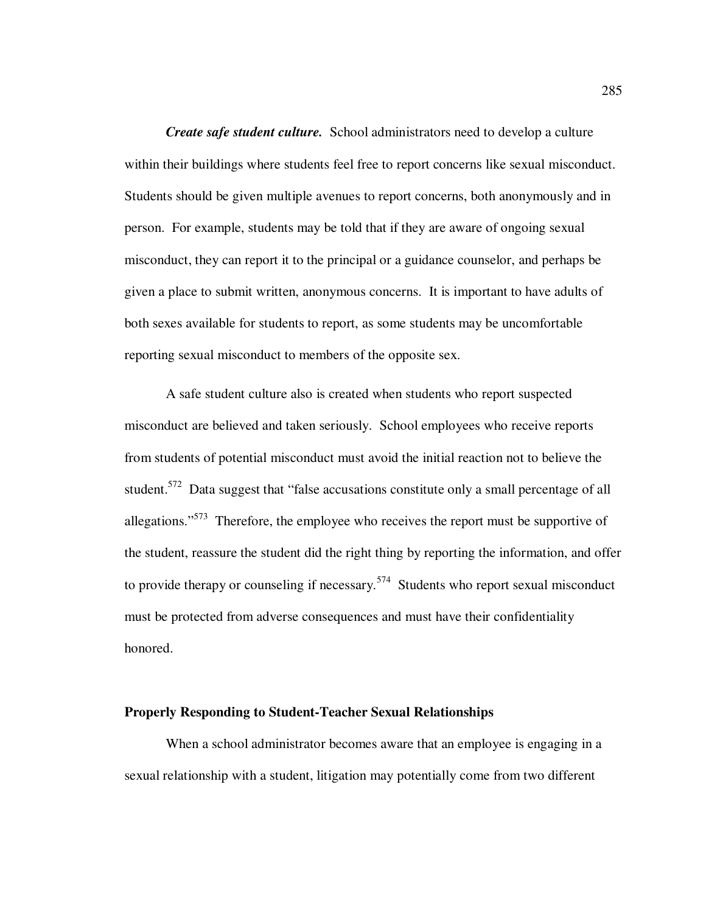*Create safe student culture.*School administrators need to develop a culture within their buildings where students feel free to report concerns like sexual misconduct. Students should be given multiple avenues to report concerns, both anonymously and in person. For example, students may be told that if they are aware of ongoing sexual misconduct, they can report it to the principal or a guidance counselor, and perhaps be given a place to submit written, anonymous concerns. It is important to have adults of both sexes available for students to report, as some students may be uncomfortable reporting sexual misconduct to members of the opposite sex.

A safe student culture also is created when students who report suspected misconduct are believed and taken seriously. School employees who receive reports from students of potential misconduct must avoid the initial reaction not to believe the student.<sup>572</sup> Data suggest that "false accusations constitute only a small percentage of all allegations."<sup>573</sup> Therefore, the employee who receives the report must be supportive of the student, reassure the student did the right thing by reporting the information, and offer to provide therapy or counseling if necessary.<sup>574</sup> Students who report sexual misconduct must be protected from adverse consequences and must have their confidentiality honored.

## **Properly Responding to Student-Teacher Sexual Relationships**

When a school administrator becomes aware that an employee is engaging in a sexual relationship with a student, litigation may potentially come from two different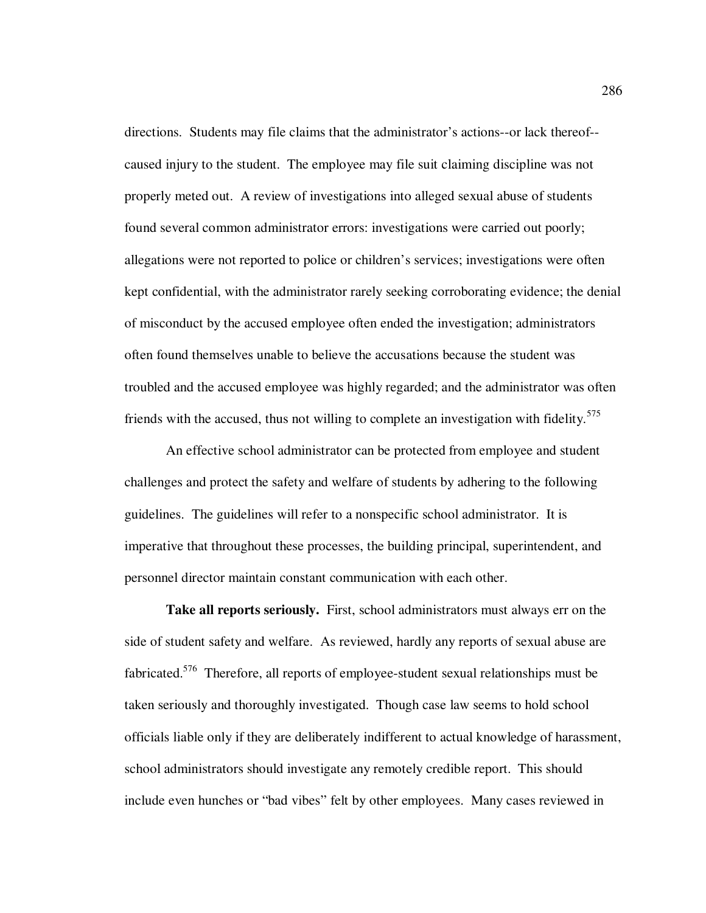directions. Students may file claims that the administrator's actions--or lack thereof- caused injury to the student. The employee may file suit claiming discipline was not properly meted out. A review of investigations into alleged sexual abuse of students found several common administrator errors: investigations were carried out poorly; allegations were not reported to police or children's services; investigations were often kept confidential, with the administrator rarely seeking corroborating evidence; the denial of misconduct by the accused employee often ended the investigation; administrators often found themselves unable to believe the accusations because the student was troubled and the accused employee was highly regarded; and the administrator was often friends with the accused, thus not willing to complete an investigation with fidelity.<sup>575</sup>

An effective school administrator can be protected from employee and student challenges and protect the safety and welfare of students by adhering to the following guidelines. The guidelines will refer to a nonspecific school administrator. It is imperative that throughout these processes, the building principal, superintendent, and personnel director maintain constant communication with each other.

**Take all reports seriously.** First, school administrators must always err on the side of student safety and welfare. As reviewed, hardly any reports of sexual abuse are fabricated.<sup>576</sup> Therefore, all reports of employee-student sexual relationships must be taken seriously and thoroughly investigated. Though case law seems to hold school officials liable only if they are deliberately indifferent to actual knowledge of harassment, school administrators should investigate any remotely credible report. This should include even hunches or "bad vibes" felt by other employees. Many cases reviewed in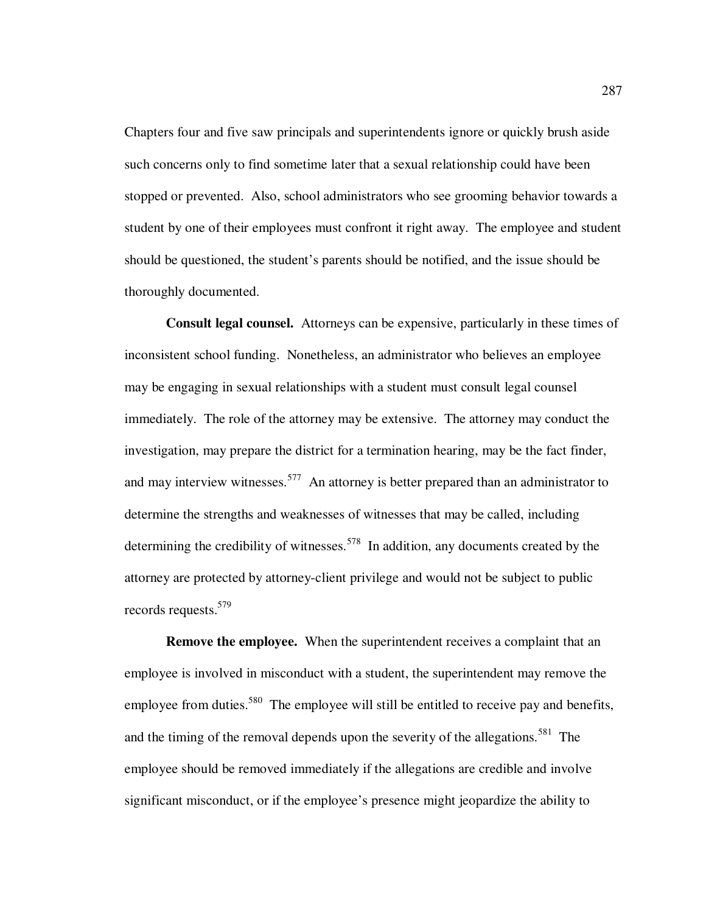Chapters four and five saw principals and superintendents ignore or quickly brush aside such concerns only to find sometime later that a sexual relationship could have been stopped or prevented. Also, school administrators who see grooming behavior towards a student by one of their employees must confront it right away. The employee and student should be questioned, the student's parents should be notified, and the issue should be thoroughly documented.

**Consult legal counsel.** Attorneys can be expensive, particularly in these times of inconsistent school funding. Nonetheless, an administrator who believes an employee may be engaging in sexual relationships with a student must consult legal counsel immediately. The role of the attorney may be extensive. The attorney may conduct the investigation, may prepare the district for a termination hearing, may be the fact finder, and may interview witnesses.<sup>577</sup> An attorney is better prepared than an administrator to determine the strengths and weaknesses of witnesses that may be called, including determining the credibility of witnesses.<sup>578</sup> In addition, any documents created by the attorney are protected by attorney-client privilege and would not be subject to public records requests.<sup>579</sup>

**Remove the employee.** When the superintendent receives a complaint that an employee is involved in misconduct with a student, the superintendent may remove the employee from duties.<sup>580</sup> The employee will still be entitled to receive pay and benefits, and the timing of the removal depends upon the severity of the allegations.<sup>581</sup> The employee should be removed immediately if the allegations are credible and involve significant misconduct, or if the employee's presence might jeopardize the ability to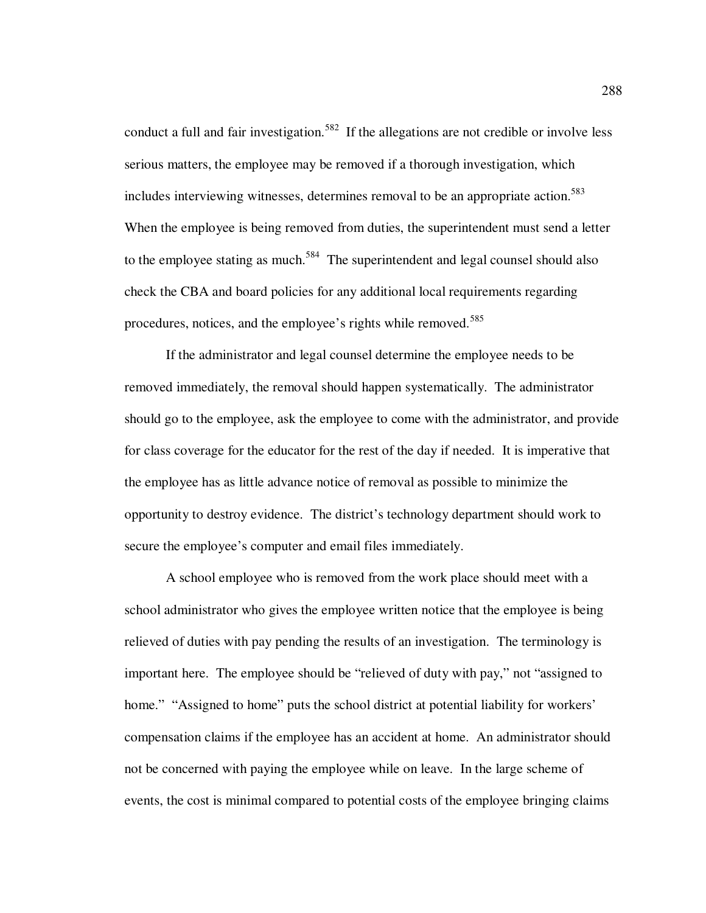conduct a full and fair investigation.<sup>582</sup> If the allegations are not credible or involve less serious matters, the employee may be removed if a thorough investigation, which includes interviewing witnesses, determines removal to be an appropriate action.<sup>583</sup> When the employee is being removed from duties, the superintendent must send a letter to the employee stating as much.<sup>584</sup> The superintendent and legal counsel should also check the CBA and board policies for any additional local requirements regarding procedures, notices, and the employee's rights while removed.<sup>585</sup>

If the administrator and legal counsel determine the employee needs to be removed immediately, the removal should happen systematically. The administrator should go to the employee, ask the employee to come with the administrator, and provide for class coverage for the educator for the rest of the day if needed. It is imperative that the employee has as little advance notice of removal as possible to minimize the opportunity to destroy evidence. The district's technology department should work to secure the employee's computer and email files immediately.

A school employee who is removed from the work place should meet with a school administrator who gives the employee written notice that the employee is being relieved of duties with pay pending the results of an investigation. The terminology is important here. The employee should be "relieved of duty with pay," not "assigned to home." "Assigned to home" puts the school district at potential liability for workers' compensation claims if the employee has an accident at home. An administrator should not be concerned with paying the employee while on leave. In the large scheme of events, the cost is minimal compared to potential costs of the employee bringing claims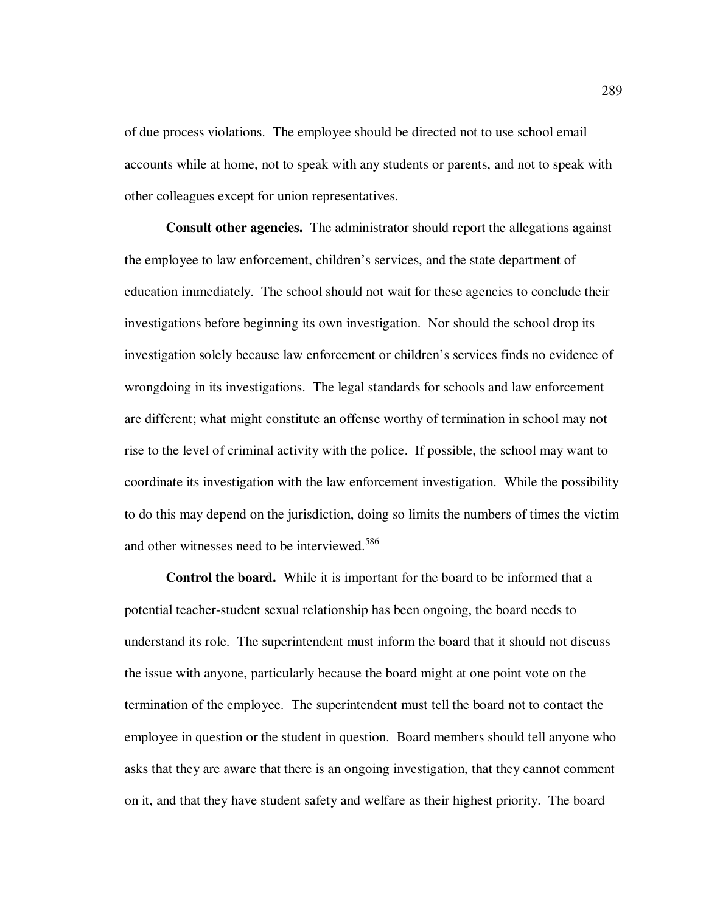of due process violations. The employee should be directed not to use school email accounts while at home, not to speak with any students or parents, and not to speak with other colleagues except for union representatives.

**Consult other agencies.** The administrator should report the allegations against the employee to law enforcement, children's services, and the state department of education immediately. The school should not wait for these agencies to conclude their investigations before beginning its own investigation. Nor should the school drop its investigation solely because law enforcement or children's services finds no evidence of wrongdoing in its investigations. The legal standards for schools and law enforcement are different; what might constitute an offense worthy of termination in school may not rise to the level of criminal activity with the police. If possible, the school may want to coordinate its investigation with the law enforcement investigation. While the possibility to do this may depend on the jurisdiction, doing so limits the numbers of times the victim and other witnesses need to be interviewed.<sup>586</sup>

**Control the board.** While it is important for the board to be informed that a potential teacher-student sexual relationship has been ongoing, the board needs to understand its role. The superintendent must inform the board that it should not discuss the issue with anyone, particularly because the board might at one point vote on the termination of the employee. The superintendent must tell the board not to contact the employee in question or the student in question. Board members should tell anyone who asks that they are aware that there is an ongoing investigation, that they cannot comment on it, and that they have student safety and welfare as their highest priority. The board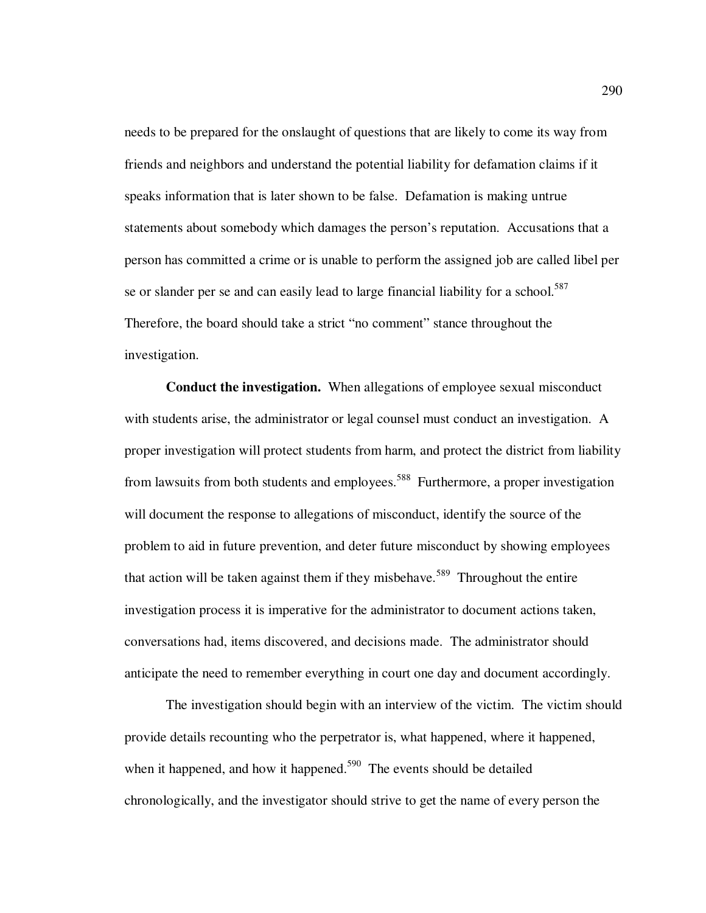needs to be prepared for the onslaught of questions that are likely to come its way from friends and neighbors and understand the potential liability for defamation claims if it speaks information that is later shown to be false. Defamation is making untrue statements about somebody which damages the person's reputation. Accusations that a person has committed a crime or is unable to perform the assigned job are called libel per se or slander per se and can easily lead to large financial liability for a school.<sup>587</sup> Therefore, the board should take a strict "no comment" stance throughout the investigation.

**Conduct the investigation.** When allegations of employee sexual misconduct with students arise, the administrator or legal counsel must conduct an investigation. A proper investigation will protect students from harm, and protect the district from liability from lawsuits from both students and employees.<sup>588</sup> Furthermore, a proper investigation will document the response to allegations of misconduct, identify the source of the problem to aid in future prevention, and deter future misconduct by showing employees that action will be taken against them if they misbehave.<sup>589</sup> Throughout the entire investigation process it is imperative for the administrator to document actions taken, conversations had, items discovered, and decisions made. The administrator should anticipate the need to remember everything in court one day and document accordingly.

The investigation should begin with an interview of the victim. The victim should provide details recounting who the perpetrator is, what happened, where it happened, when it happened, and how it happened.<sup>590</sup> The events should be detailed chronologically, and the investigator should strive to get the name of every person the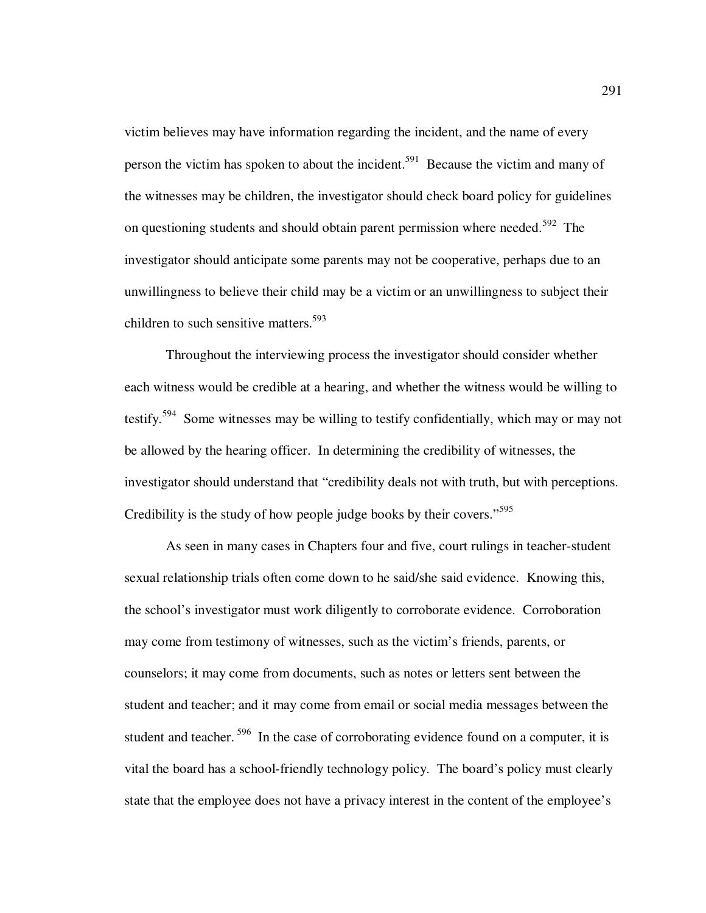victim believes may have information regarding the incident, and the name of every person the victim has spoken to about the incident.<sup>591</sup> Because the victim and many of the witnesses may be children, the investigator should check board policy for guidelines on questioning students and should obtain parent permission where needed.<sup>592</sup> The investigator should anticipate some parents may not be cooperative, perhaps due to an unwillingness to believe their child may be a victim or an unwillingness to subject their children to such sensitive matters.<sup>593</sup>

Throughout the interviewing process the investigator should consider whether each witness would be credible at a hearing, and whether the witness would be willing to testify.<sup>594</sup> Some witnesses may be willing to testify confidentially, which may or may not be allowed by the hearing officer. In determining the credibility of witnesses, the investigator should understand that "credibility deals not with truth, but with perceptions. Credibility is the study of how people judge books by their covers."<sup>595</sup>

As seen in many cases in Chapters four and five, court rulings in teacher-student sexual relationship trials often come down to he said/she said evidence. Knowing this, the school's investigator must work diligently to corroborate evidence. Corroboration may come from testimony of witnesses, such as the victim's friends, parents, or counselors; it may come from documents, such as notes or letters sent between the student and teacher; and it may come from email or social media messages between the student and teacher.<sup>596</sup> In the case of corroborating evidence found on a computer, it is vital the board has a school-friendly technology policy. The board's policy must clearly state that the employee does not have a privacy interest in the content of the employee's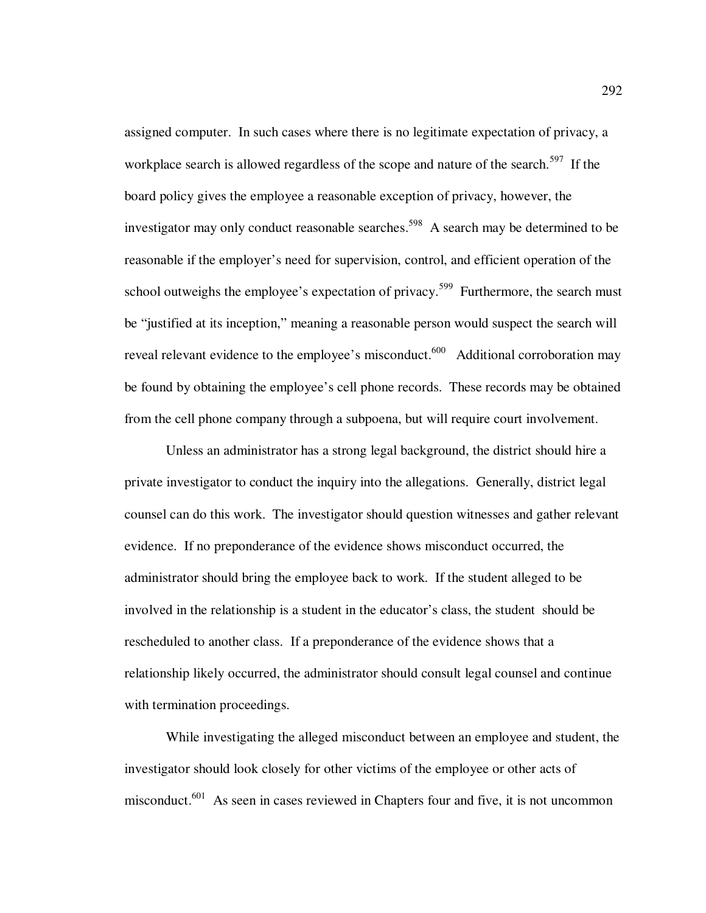assigned computer. In such cases where there is no legitimate expectation of privacy, a workplace search is allowed regardless of the scope and nature of the search.<sup>597</sup> If the board policy gives the employee a reasonable exception of privacy, however, the investigator may only conduct reasonable searches.<sup>598</sup> A search may be determined to be reasonable if the employer's need for supervision, control, and efficient operation of the school outweighs the employee's expectation of privacy.<sup>599</sup> Furthermore, the search must be "justified at its inception," meaning a reasonable person would suspect the search will reveal relevant evidence to the employee's misconduct.<sup>600</sup> Additional corroboration may be found by obtaining the employee's cell phone records. These records may be obtained from the cell phone company through a subpoena, but will require court involvement.

Unless an administrator has a strong legal background, the district should hire a private investigator to conduct the inquiry into the allegations. Generally, district legal counsel can do this work. The investigator should question witnesses and gather relevant evidence. If no preponderance of the evidence shows misconduct occurred, the administrator should bring the employee back to work. If the student alleged to be involved in the relationship is a student in the educator's class, the student should be rescheduled to another class. If a preponderance of the evidence shows that a relationship likely occurred, the administrator should consult legal counsel and continue with termination proceedings.

While investigating the alleged misconduct between an employee and student, the investigator should look closely for other victims of the employee or other acts of misconduct.<sup>601</sup> As seen in cases reviewed in Chapters four and five, it is not uncommon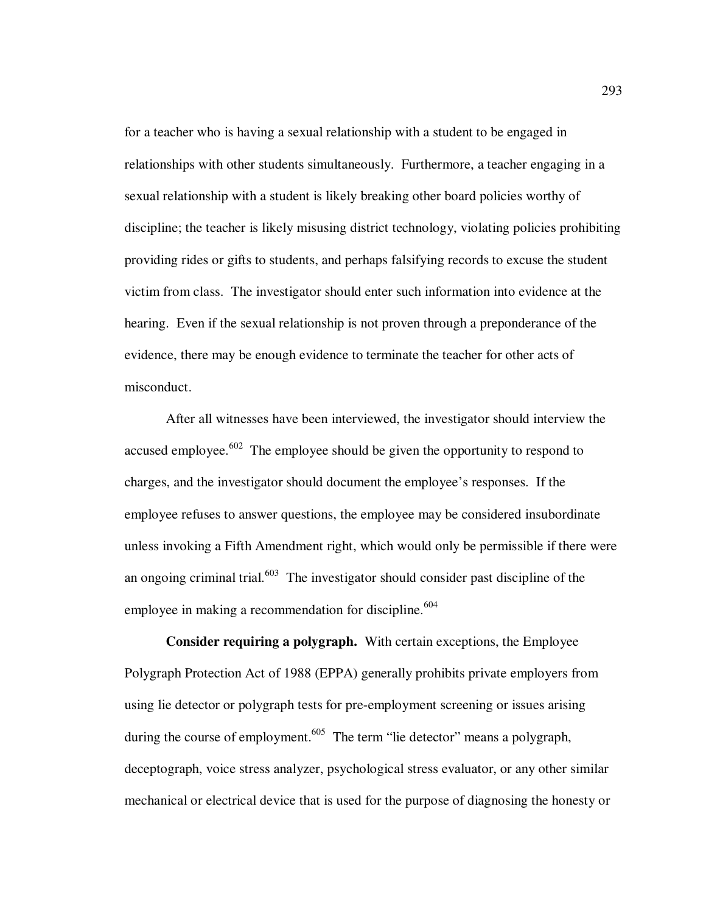for a teacher who is having a sexual relationship with a student to be engaged in relationships with other students simultaneously. Furthermore, a teacher engaging in a sexual relationship with a student is likely breaking other board policies worthy of discipline; the teacher is likely misusing district technology, violating policies prohibiting providing rides or gifts to students, and perhaps falsifying records to excuse the student victim from class. The investigator should enter such information into evidence at the hearing. Even if the sexual relationship is not proven through a preponderance of the evidence, there may be enough evidence to terminate the teacher for other acts of misconduct.

After all witnesses have been interviewed, the investigator should interview the accused employee.<sup>602</sup> The employee should be given the opportunity to respond to charges, and the investigator should document the employee's responses. If the employee refuses to answer questions, the employee may be considered insubordinate unless invoking a Fifth Amendment right, which would only be permissible if there were an ongoing criminal trial.<sup>603</sup> The investigator should consider past discipline of the employee in making a recommendation for discipline.<sup>604</sup>

**Consider requiring a polygraph.** With certain exceptions, the Employee Polygraph Protection Act of 1988 (EPPA) generally prohibits private employers from using lie detector or polygraph tests for pre-employment screening or issues arising during the course of employment.<sup>605</sup> The term "lie detector" means a polygraph, deceptograph, voice stress analyzer, psychological stress evaluator, or any other similar mechanical or electrical device that is used for the purpose of diagnosing the honesty or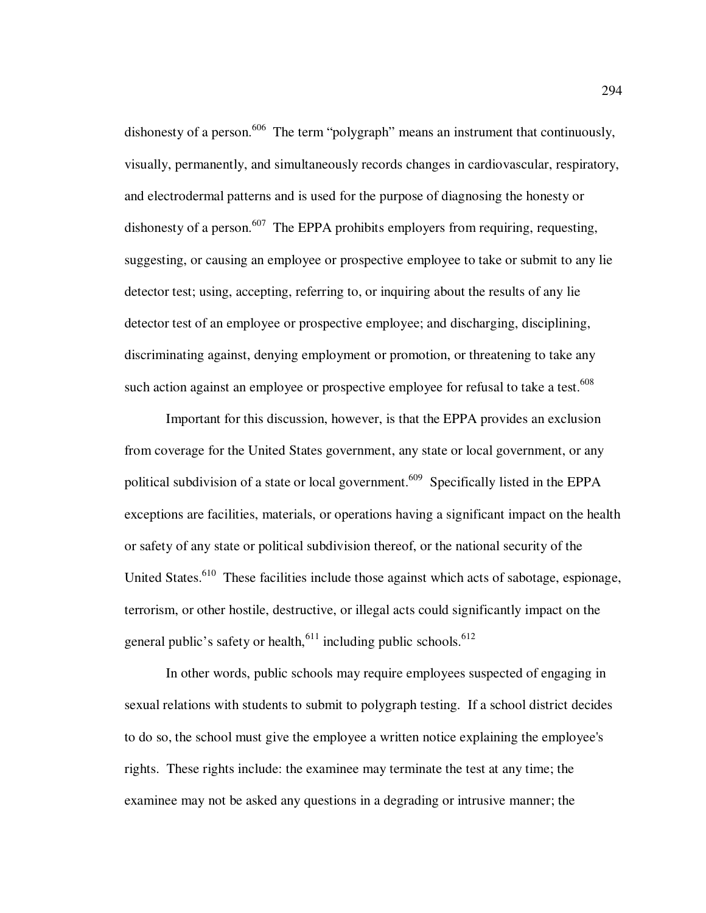dishonesty of a person.<sup>606</sup> The term "polygraph" means an instrument that continuously, visually, permanently, and simultaneously records changes in cardiovascular, respiratory, and electrodermal patterns and is used for the purpose of diagnosing the honesty or dishonesty of a person.<sup>607</sup> The EPPA prohibits employers from requiring, requesting, suggesting, or causing an employee or prospective employee to take or submit to any lie detector test; using, accepting, referring to, or inquiring about the results of any lie detector test of an employee or prospective employee; and discharging, disciplining, discriminating against, denying employment or promotion, or threatening to take any such action against an employee or prospective employee for refusal to take a test.<sup>608</sup>

 Important for this discussion, however, is that the EPPA provides an exclusion from coverage for the United States government, any state or local government, or any political subdivision of a state or local government.<sup>609</sup> Specifically listed in the EPPA exceptions are facilities, materials, or operations having a significant impact on the health or safety of any state or political subdivision thereof, or the national security of the United States.<sup>610</sup> These facilities include those against which acts of sabotage, espionage, terrorism, or other hostile, destructive, or illegal acts could significantly impact on the general public's safety or health,<sup>611</sup> including public schools.<sup>612</sup>

 In other words, public schools may require employees suspected of engaging in sexual relations with students to submit to polygraph testing. If a school district decides to do so, the school must give the employee a written notice explaining the employee's rights. These rights include: the examinee may terminate the test at any time; the examinee may not be asked any questions in a degrading or intrusive manner; the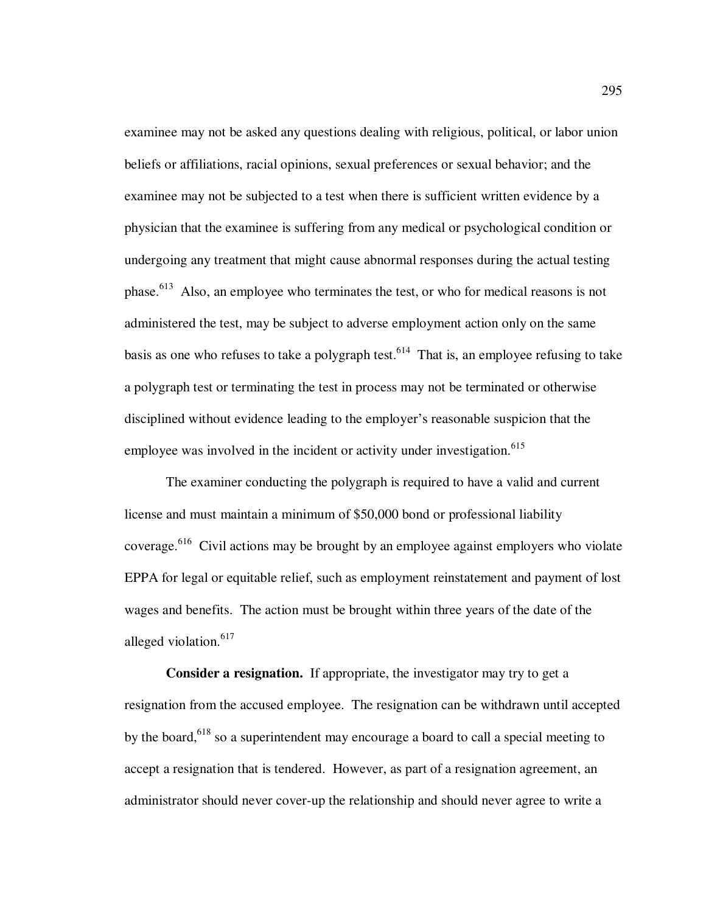examinee may not be asked any questions dealing with religious, political, or labor union beliefs or affiliations, racial opinions, sexual preferences or sexual behavior; and the examinee may not be subjected to a test when there is sufficient written evidence by a physician that the examinee is suffering from any medical or psychological condition or undergoing any treatment that might cause abnormal responses during the actual testing phase.<sup>613</sup> Also, an employee who terminates the test, or who for medical reasons is not administered the test, may be subject to adverse employment action only on the same basis as one who refuses to take a polygraph test.<sup>614</sup> That is, an employee refusing to take a polygraph test or terminating the test in process may not be terminated or otherwise disciplined without evidence leading to the employer's reasonable suspicion that the employee was involved in the incident or activity under investigation.<sup>615</sup>

The examiner conducting the polygraph is required to have a valid and current license and must maintain a minimum of \$50,000 bond or professional liability coverage.<sup>616</sup> Civil actions may be brought by an employee against employers who violate EPPA for legal or equitable relief, such as employment reinstatement and payment of lost wages and benefits. The action must be brought within three years of the date of the alleged violation.<sup>617</sup>

**Consider a resignation.** If appropriate, the investigator may try to get a resignation from the accused employee. The resignation can be withdrawn until accepted by the board,<sup>618</sup> so a superintendent may encourage a board to call a special meeting to accept a resignation that is tendered. However, as part of a resignation agreement, an administrator should never cover-up the relationship and should never agree to write a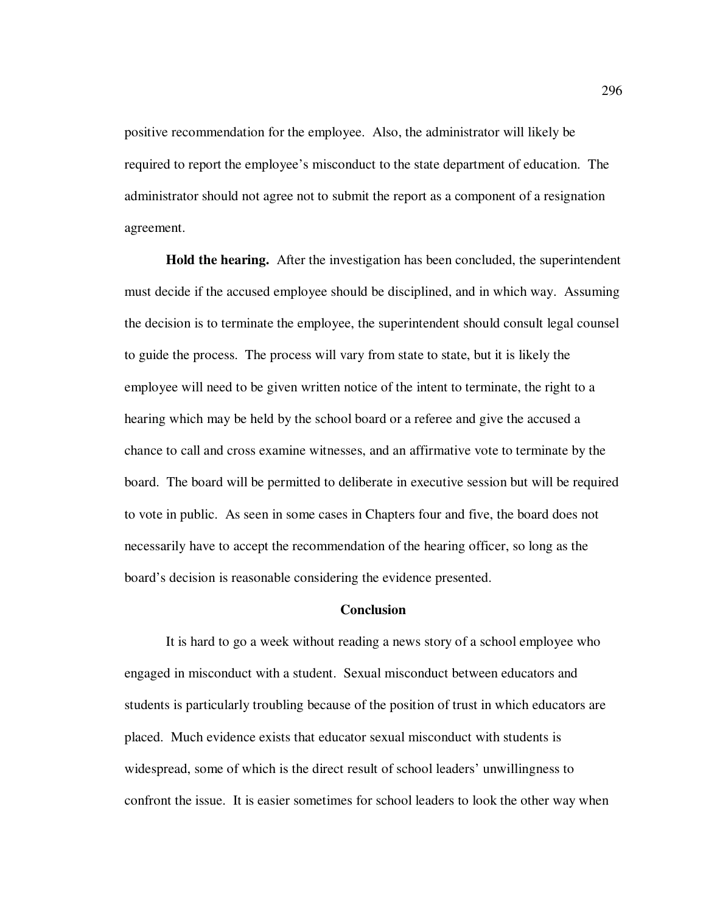positive recommendation for the employee. Also, the administrator will likely be required to report the employee's misconduct to the state department of education. The administrator should not agree not to submit the report as a component of a resignation agreement.

**Hold the hearing.** After the investigation has been concluded, the superintendent must decide if the accused employee should be disciplined, and in which way. Assuming the decision is to terminate the employee, the superintendent should consult legal counsel to guide the process. The process will vary from state to state, but it is likely the employee will need to be given written notice of the intent to terminate, the right to a hearing which may be held by the school board or a referee and give the accused a chance to call and cross examine witnesses, and an affirmative vote to terminate by the board. The board will be permitted to deliberate in executive session but will be required to vote in public. As seen in some cases in Chapters four and five, the board does not necessarily have to accept the recommendation of the hearing officer, so long as the board's decision is reasonable considering the evidence presented.

## **Conclusion**

 It is hard to go a week without reading a news story of a school employee who engaged in misconduct with a student. Sexual misconduct between educators and students is particularly troubling because of the position of trust in which educators are placed. Much evidence exists that educator sexual misconduct with students is widespread, some of which is the direct result of school leaders' unwillingness to confront the issue. It is easier sometimes for school leaders to look the other way when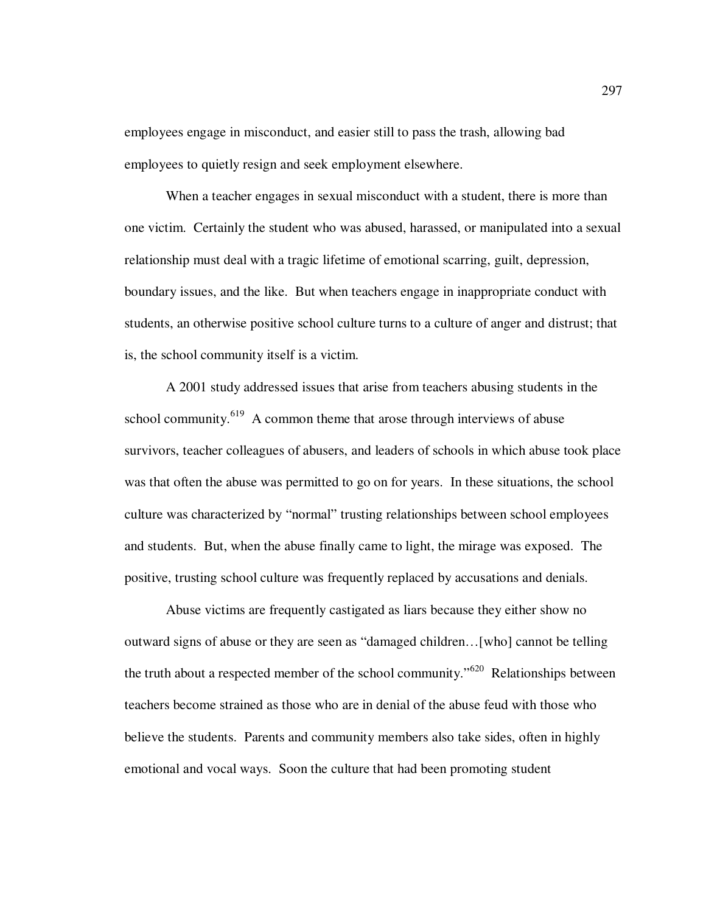employees engage in misconduct, and easier still to pass the trash, allowing bad employees to quietly resign and seek employment elsewhere.

When a teacher engages in sexual misconduct with a student, there is more than one victim. Certainly the student who was abused, harassed, or manipulated into a sexual relationship must deal with a tragic lifetime of emotional scarring, guilt, depression, boundary issues, and the like. But when teachers engage in inappropriate conduct with students, an otherwise positive school culture turns to a culture of anger and distrust; that is, the school community itself is a victim.

A 2001 study addressed issues that arise from teachers abusing students in the school community. $619$  A common theme that arose through interviews of abuse survivors, teacher colleagues of abusers, and leaders of schools in which abuse took place was that often the abuse was permitted to go on for years. In these situations, the school culture was characterized by "normal" trusting relationships between school employees and students. But, when the abuse finally came to light, the mirage was exposed. The positive, trusting school culture was frequently replaced by accusations and denials.

Abuse victims are frequently castigated as liars because they either show no outward signs of abuse or they are seen as "damaged children…[who] cannot be telling the truth about a respected member of the school community."<sup>620</sup> Relationships between teachers become strained as those who are in denial of the abuse feud with those who believe the students. Parents and community members also take sides, often in highly emotional and vocal ways. Soon the culture that had been promoting student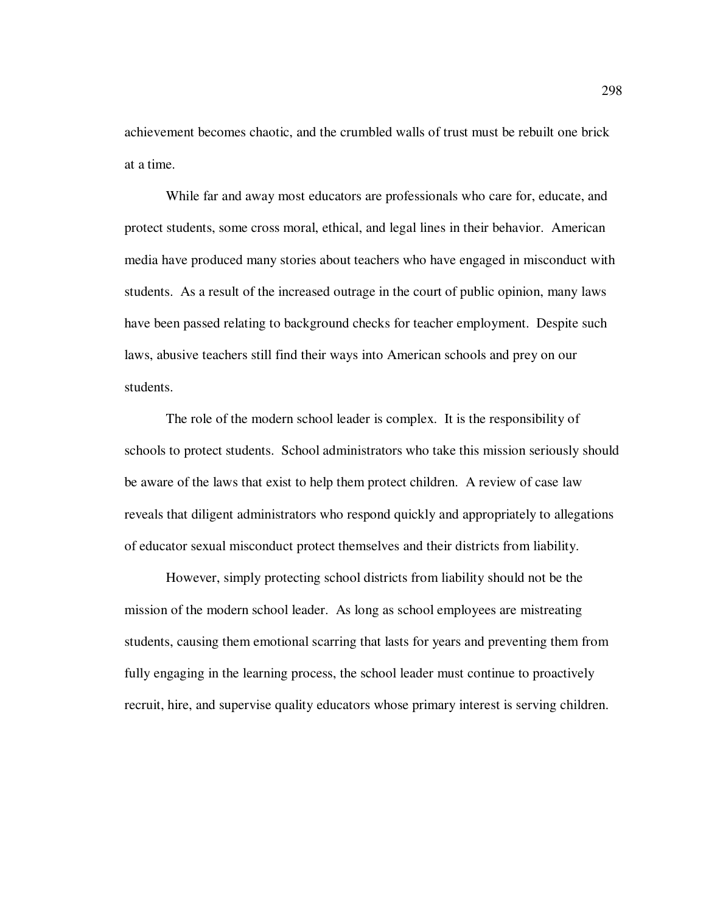achievement becomes chaotic, and the crumbled walls of trust must be rebuilt one brick at a time.

While far and away most educators are professionals who care for, educate, and protect students, some cross moral, ethical, and legal lines in their behavior. American media have produced many stories about teachers who have engaged in misconduct with students. As a result of the increased outrage in the court of public opinion, many laws have been passed relating to background checks for teacher employment. Despite such laws, abusive teachers still find their ways into American schools and prey on our students.

The role of the modern school leader is complex. It is the responsibility of schools to protect students. School administrators who take this mission seriously should be aware of the laws that exist to help them protect children. A review of case law reveals that diligent administrators who respond quickly and appropriately to allegations of educator sexual misconduct protect themselves and their districts from liability.

 However, simply protecting school districts from liability should not be the mission of the modern school leader. As long as school employees are mistreating students, causing them emotional scarring that lasts for years and preventing them from fully engaging in the learning process, the school leader must continue to proactively recruit, hire, and supervise quality educators whose primary interest is serving children.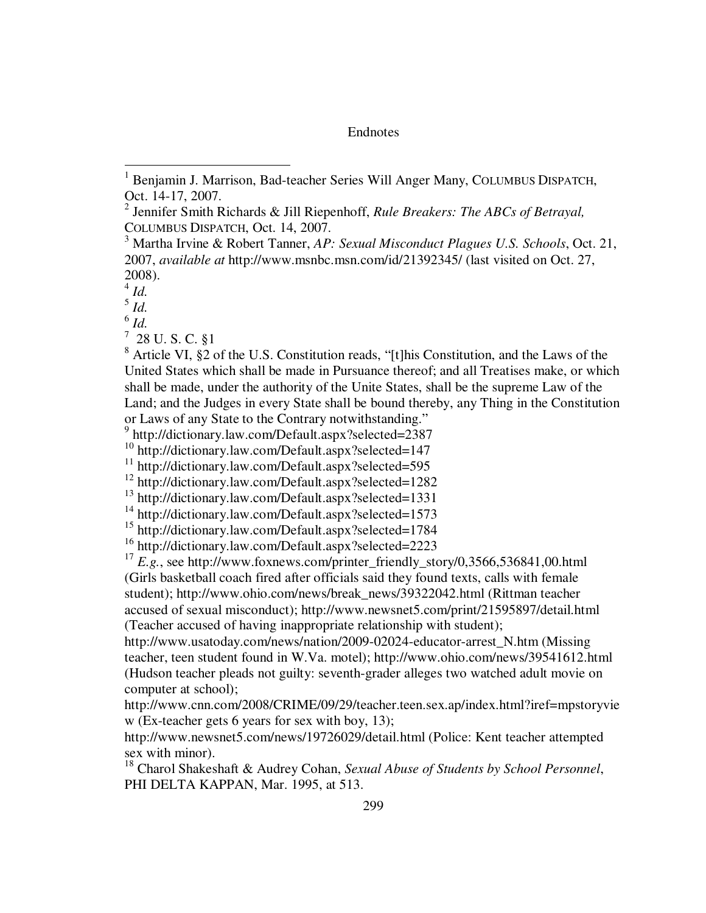**Endnotes** 

 $\overline{a}$ 

 $^7$  28 U.S.C. §1

<sup>8</sup> Article VI, §2 of the U.S. Constitution reads, "[t]his Constitution, and the Laws of the United States which shall be made in Pursuance thereof; and all Treatises make, or which shall be made, under the authority of the Unite States, shall be the supreme Law of the Land; and the Judges in every State shall be bound thereby, any Thing in the Constitution or Laws of any State to the Contrary notwithstanding."

<sup>16</sup> http://dictionary.law.com/Default.aspx?selected=2223

<sup>17</sup>  $E.g.,$  see http://www.foxnews.com/printer\_friendly\_story/0,3566,536841,00.html (Girls basketball coach fired after officials said they found texts, calls with female student); http://www.ohio.com/news/break\_news/39322042.html (Rittman teacher accused of sexual misconduct); http://www.newsnet5.com/print/21595897/detail.html (Teacher accused of having inappropriate relationship with student);

http://www.usatoday.com/news/nation/2009-02024-educator-arrest\_N.htm (Missing teacher, teen student found in W.Va. motel); http://www.ohio.com/news/39541612.html (Hudson teacher pleads not guilty: seventh-grader alleges two watched adult movie on computer at school);

http://www.cnn.com/2008/CRIME/09/29/teacher.teen.sex.ap/index.html?iref=mpstoryvie w (Ex-teacher gets 6 years for sex with boy, 13);

http://www.newsnet5.com/news/19726029/detail.html (Police: Kent teacher attempted sex with minor).

<sup>18</sup> Charol Shakeshaft & Audrey Cohan, *Sexual Abuse of Students by School Personnel*, PHI DELTA KAPPAN, Mar. 1995, at 513.

<sup>1</sup> Benjamin J. Marrison, Bad-teacher Series Will Anger Many, COLUMBUS DISPATCH, Oct. 14-17, 2007.

<sup>2</sup> Jennifer Smith Richards & Jill Riepenhoff, *Rule Breakers: The ABCs of Betrayal,*  COLUMBUS DISPATCH, Oct. 14, 2007.

<sup>3</sup> Martha Irvine & Robert Tanner, *AP: Sexual Misconduct Plagues U.S. Schools*, Oct. 21, 2007, *available at* http://www.msnbc.msn.com/id/21392345/ (last visited on Oct. 27, 2008).

<sup>4</sup> *Id.*

<sup>5</sup> *Id.*

<sup>6</sup> *Id.* 

<sup>9</sup> http://dictionary.law.com/Default.aspx?selected=2387

<sup>&</sup>lt;sup>10</sup> http://dictionary.law.com/Default.aspx?selected=147

<sup>&</sup>lt;sup>11</sup> http://dictionary.law.com/Default.aspx?selected=595

<sup>12</sup> http://dictionary.law.com/Default.aspx?selected=1282

<sup>13</sup> http://dictionary.law.com/Default.aspx?selected=1331

<sup>&</sup>lt;sup>14</sup> http://dictionary.law.com/Default.aspx?selected=1573

<sup>15</sup> http://dictionary.law.com/Default.aspx?selected=1784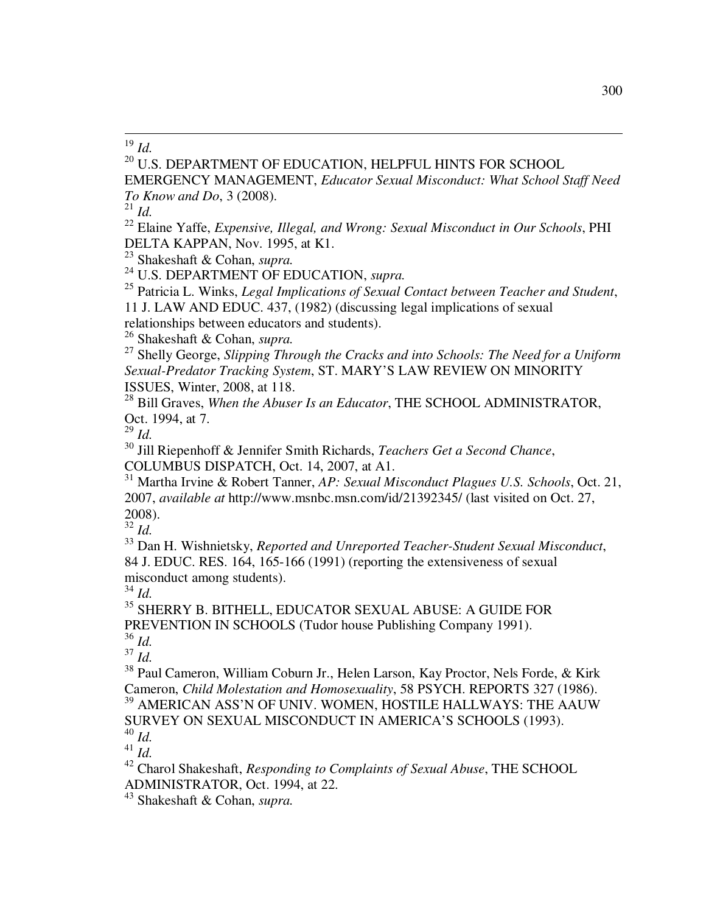$\overline{a}$ <sup>19</sup> *Id.*

<sup>20</sup> U.S. DEPARTMENT OF EDUCATION, HELPFUL HINTS FOR SCHOOL

EMERGENCY MANAGEMENT, *Educator Sexual Misconduct: What School Staff Need To Know and Do*, 3 (2008).

<sup>21</sup> *Id.*

<sup>22</sup> Elaine Yaffe, *Expensive, Illegal, and Wrong: Sexual Misconduct in Our Schools*, PHI DELTA KAPPAN, Nov. 1995, at K1.

<sup>23</sup> Shakeshaft & Cohan, *supra.*

<sup>24</sup> U.S. DEPARTMENT OF EDUCATION, *supra.*

<sup>25</sup> Patricia L. Winks, *Legal Implications of Sexual Contact between Teacher and Student*, 11 J. LAW AND EDUC. 437, (1982) (discussing legal implications of sexual

relationships between educators and students).

<sup>26</sup> Shakeshaft & Cohan, *supra.*

<sup>27</sup> Shelly George, *Slipping Through the Cracks and into Schools: The Need for a Uniform Sexual-Predator Tracking System*, ST. MARY'S LAW REVIEW ON MINORITY ISSUES, Winter, 2008, at 118.

<sup>28</sup> Bill Graves, *When the Abuser Is an Educator*, THE SCHOOL ADMINISTRATOR, Oct. 1994, at 7.

<sup>29</sup> *Id.* 

<sup>30</sup> Jill Riepenhoff & Jennifer Smith Richards, *Teachers Get a Second Chance*, COLUMBUS DISPATCH, Oct. 14, 2007, at A1.

<sup>31</sup> Martha Irvine & Robert Tanner, *AP: Sexual Misconduct Plagues U.S. Schools*, Oct. 21, 2007, *available at* http://www.msnbc.msn.com/id/21392345/ (last visited on Oct. 27, 2008).

<sup>32</sup> *Id.*

<sup>33</sup> Dan H. Wishnietsky, *Reported and Unreported Teacher-Student Sexual Misconduct*, 84 J. EDUC. RES. 164, 165-166 (1991) (reporting the extensiveness of sexual misconduct among students).

 $34$  *Id.* 

<sup>35</sup> SHERRY B. BITHELL, EDUCATOR SEXUAL ABUSE: A GUIDE FOR PREVENTION IN SCHOOLS (Tudor house Publishing Company 1991). <sup>36</sup> *Id.*

<sup>37</sup> *Id.*

<sup>38</sup> Paul Cameron, William Coburn Jr., Helen Larson, Kay Proctor, Nels Forde, & Kirk Cameron, *Child Molestation and Homosexuality*, 58 PSYCH. REPORTS 327 (1986). <sup>39</sup> AMERICAN ASS'N OF UNIV. WOMEN, HOSTILE HALLWAYS: THE AAUW SURVEY ON SEXUAL MISCONDUCT IN AMERICA'S SCHOOLS (1993).

<sup>40</sup> *Id.*

 $41 \frac{1}{10}$ .

<sup>42</sup> Charol Shakeshaft, *Responding to Complaints of Sexual Abuse*, THE SCHOOL ADMINISTRATOR, Oct. 1994, at 22.

<sup>43</sup> Shakeshaft & Cohan, *supra.*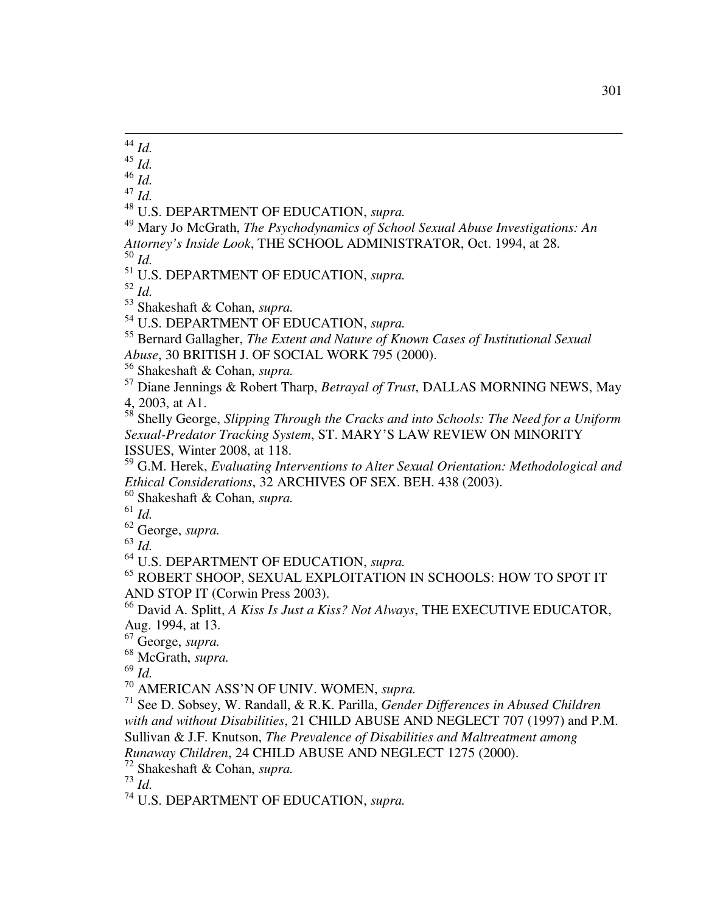$\overline{a}$ *Id.*

*Id.*

*Id.*

*Id.*

U.S. DEPARTMENT OF EDUCATION, *supra.*

 Mary Jo McGrath, *The Psychodynamics of School Sexual Abuse Investigations: An Attorney's Inside Look*, THE SCHOOL ADMINISTRATOR, Oct. 1994, at 28. *Id.*

U.S. DEPARTMENT OF EDUCATION, *supra.*

*Id.*

Shakeshaft & Cohan, *supra.*

U.S. DEPARTMENT OF EDUCATION, *supra.*

 Bernard Gallagher, *The Extent and Nature of Known Cases of Institutional Sexual Abuse*, 30 BRITISH J. OF SOCIAL WORK 795 (2000).

Shakeshaft & Cohan, *supra.*

 Diane Jennings & Robert Tharp, *Betrayal of Trust*, DALLAS MORNING NEWS, May 4, 2003, at A1.

 Shelly George, *Slipping Through the Cracks and into Schools: The Need for a Uniform Sexual-Predator Tracking System*, ST. MARY'S LAW REVIEW ON MINORITY ISSUES, Winter 2008, at 118.

 G.M. Herek, *Evaluating Interventions to Alter Sexual Orientation: Methodological and Ethical Considerations*, 32 ARCHIVES OF SEX. BEH. 438 (2003).

Shakeshaft & Cohan, *supra.*

*Id.*

George, *supra.*

*Id.*

U.S. DEPARTMENT OF EDUCATION, *supra.*

 ROBERT SHOOP, SEXUAL EXPLOITATION IN SCHOOLS: HOW TO SPOT IT AND STOP IT (Corwin Press 2003).

 David A. Splitt, *A Kiss Is Just a Kiss? Not Always*, THE EXECUTIVE EDUCATOR, Aug. 1994, at 13.

George, *supra.*

McGrath, *supra.*

*Id.*

AMERICAN ASS'N OF UNIV. WOMEN, *supra.*

 See D. Sobsey, W. Randall, & R.K. Parilla, *Gender Differences in Abused Children with and without Disabilities*, 21 CHILD ABUSE AND NEGLECT 707 (1997) and P.M. Sullivan & J.F. Knutson, *The Prevalence of Disabilities and Maltreatment among Runaway Children*, 24 CHILD ABUSE AND NEGLECT 1275 (2000).

Shakeshaft & Cohan, *supra.*

*Id.*

U.S. DEPARTMENT OF EDUCATION, *supra.*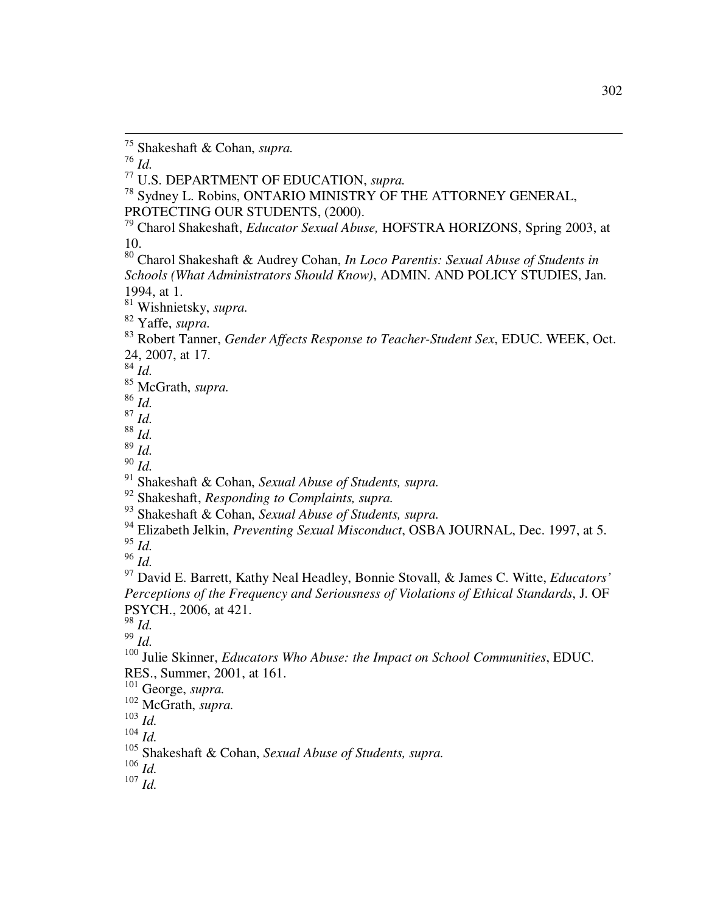*Id.*

 $\overline{a}$ 

U.S. DEPARTMENT OF EDUCATION, *supra.*

<sup>78</sup> Sydney L. Robins, ONTARIO MINISTRY OF THE ATTORNEY GENERAL, PROTECTING OUR STUDENTS, (2000).

 Charol Shakeshaft, *Educator Sexual Abuse,* HOFSTRA HORIZONS, Spring 2003, at 10.

 Charol Shakeshaft & Audrey Cohan, *In Loco Parentis: Sexual Abuse of Students in Schools (What Administrators Should Know)*, ADMIN. AND POLICY STUDIES, Jan. 1994, at 1.

Wishnietsky, *supra.*

Yaffe, *supra.*

 Robert Tanner, *Gender Affects Response to Teacher-Student Sex*, EDUC. WEEK, Oct. 24, 2007, at 17.

*Id.* 

McGrath, *supra.*

*Id.*

*Id.*

*Id.*

*Id.*

*Id.*

Shakeshaft & Cohan, *Sexual Abuse of Students, supra.*

Shakeshaft, *Responding to Complaints, supra.*

Shakeshaft & Cohan, *Sexual Abuse of Students, supra.*

Elizabeth Jelkin, *Preventing Sexual Misconduct*, OSBA JOURNAL, Dec. 1997, at 5.

*Id.*

*Id.*

 David E. Barrett, Kathy Neal Headley, Bonnie Stovall, & James C. Witte, *Educators' Perceptions of the Frequency and Seriousness of Violations of Ethical Standards*, J. OF PSYCH., 2006, at 421.

*Id.*

*Id.*

 Julie Skinner, *Educators Who Abuse: the Impact on School Communities*, EDUC. RES., Summer, 2001, at 161.

George, *supra.*

McGrath, *supra.*

*Id.*

*Id.*

Shakeshaft & Cohan, *Sexual Abuse of Students, supra.*

*Id.*

*Id.*

Shakeshaft & Cohan, *supra.*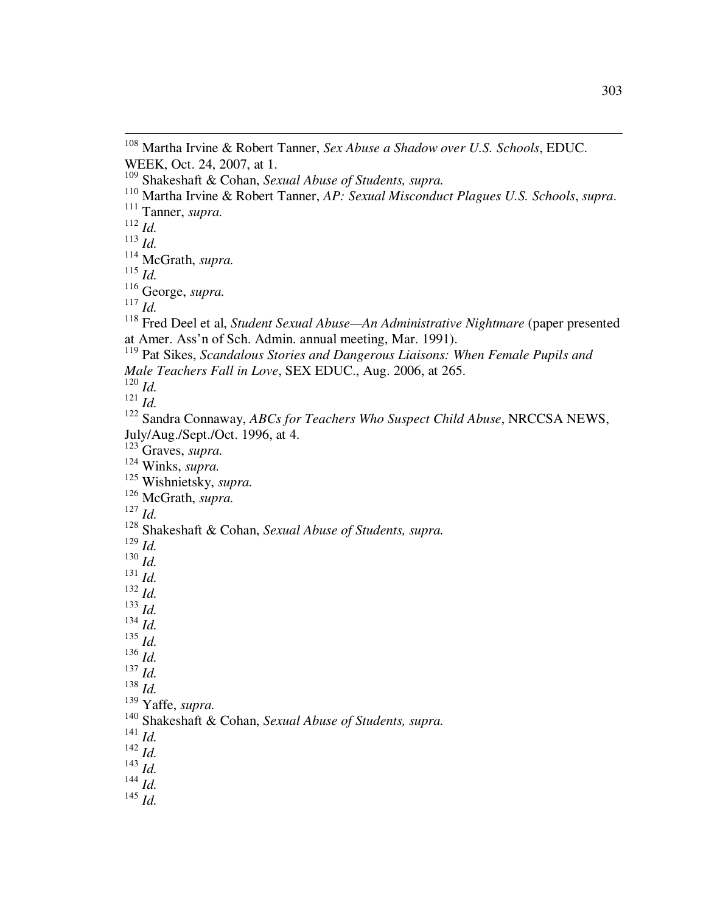*Id.*

 $\overline{a}$ 

*Id.*

*Id.*

George, *supra.*

*Id.*

 Fred Deel et al, *Student Sexual Abuse—An Administrative Nightmare* (paper presented at Amer. Ass'n of Sch. Admin. annual meeting, Mar. 1991).

*Id.*

 $^{121}$  *Id.* 

 Sandra Connaway, *ABCs for Teachers Who Suspect Child Abuse*, NRCCSA NEWS, July/Aug./Sept./Oct. 1996, at 4.

Graves, *supra.*

Winks, *supra.*

Wishnietsky, *supra.* 

McGrath, *supra.* 

*Id.*

*Id.*

 $^{130}$  *Id.* 

- *Id. Id.*
- *Id.*
- *Id.*
- *Id.*
- *Id.*
- *Id.*

*Id.*

Yaffe, *supra.*

- *Id.*
- *Id.*
- *Id.*
- *Id.*

 Martha Irvine & Robert Tanner, *Sex Abuse a Shadow over U.S. Schools*, EDUC. WEEK, Oct. 24, 2007, at 1.

Shakeshaft & Cohan, *Sexual Abuse of Students, supra.*

Martha Irvine & Robert Tanner, *AP: Sexual Misconduct Plagues U.S. Schools*, *supra*.

Tanner, *supra.*

McGrath, *supra.*

 Pat Sikes, *Scandalous Stories and Dangerous Liaisons: When Female Pupils and Male Teachers Fall in Love*, SEX EDUC., Aug. 2006, at 265.

Shakeshaft & Cohan, *Sexual Abuse of Students, supra.*

Shakeshaft & Cohan, *Sexual Abuse of Students, supra.*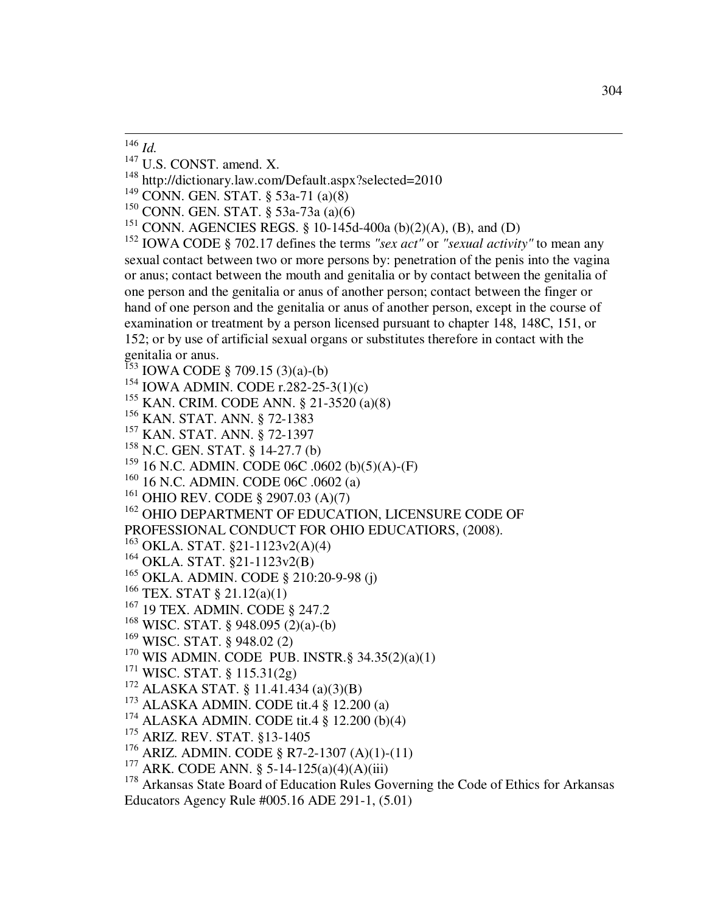- <sup>147</sup> U.S. CONST. amend. X.
- <sup>148</sup> http://dictionary.law.com/Default.aspx?selected=2010
- <sup>149</sup> CONN. GEN. STAT. § 53a-71 (a)(8)
- <sup>150</sup> CONN. GEN. STAT. § 53a-73a (a)(6)
- <sup>151</sup> CONN. AGENCIES REGS. § 10-145d-400a (b)(2)(A), (B), and (D)

<sup>152</sup> IOWA CODE § 702.17 defines the terms *"sex act"* or *"sexual activity"* to mean any sexual contact between two or more persons by: penetration of the penis into the vagina or anus; contact between the mouth and genitalia or by contact between the genitalia of one person and the genitalia or anus of another person; contact between the finger or hand of one person and the genitalia or anus of another person, except in the course of examination or treatment by a person licensed pursuant to chapter 148, 148C, 151, or 152; or by use of artificial sexual organs or substitutes therefore in contact with the genitalia or anus.

- <sup>153</sup> IOWA CODE § 709.15 (3)(a)-(b)
- <sup>154</sup> IOWA ADMIN. CODE r.282-25-3(1)(c)
- <sup>155</sup> KAN. CRIM. CODE ANN. § 21-3520 (a)(8)
- <sup>156</sup> KAN. STAT. ANN. § 72-1383
- <sup>157</sup> KAN. STAT. ANN. § 72-1397
- <sup>158</sup> N.C. GEN. STAT. § 14-27.7 (b)
- <sup>159</sup> 16 N.C. ADMIN. CODE 06C .0602 (b)(5)(A)-(F)
- <sup>160</sup> 16 N.C. ADMIN. CODE 06C .0602 (a)
- <sup>161</sup> OHIO REV. CODE § 2907.03 (A)(7)

<sup>162</sup> OHIO DEPARTMENT OF EDUCATION, LICENSURE CODE OF

PROFESSIONAL CONDUCT FOR OHIO EDUCATIORS, (2008).

- <sup>163</sup> OKLA. STAT. §21-1123v2(A)(4)
- <sup>164</sup> OKLA. STAT. §21-1123v2(B)
- <sup>165</sup> OKLA. ADMIN. CODE § 210:20-9-98 (j)
- <sup>166</sup> TEX. STAT § 21.12(a)(1)
- <sup>167</sup> 19 TEX. ADMIN. CODE § 247.2
- <sup>168</sup> WISC. STAT. § 948.095 (2)(a)-(b)
- <sup>169</sup> WISC. STAT. § 948.02 (2)
- $170$  WIS ADMIN. CODE PUB. INSTR. § 34.35(2)(a)(1)
- <sup>171</sup> WISC. STAT. § 115.31(2g)
- <sup>172</sup> ALASKA STAT. § 11.41.434 (a)(3)(B)
- <sup>173</sup> ALASKA ADMIN. CODE tit.4 § 12.200 (a)
- $174$  ALASKA ADMIN. CODE tit.4  $\frac{8}{9}$  12.200 (b)(4)
- <sup>175</sup> ARIZ. REV. STAT. §13-1405
- <sup>176</sup> ARIZ. ADMIN. CODE § R7-2-1307 (A)(1)-(11)
- <sup>177</sup> ARK. CODE ANN. § 5-14-125(a)(4)(A)(iii)

<sup>178</sup> Arkansas State Board of Education Rules Governing the Code of Ethics for Arkansas Educators Agency Rule #005.16 ADE 291-1, (5.01)

 $\overline{a}$ <sup>146</sup> *Id.*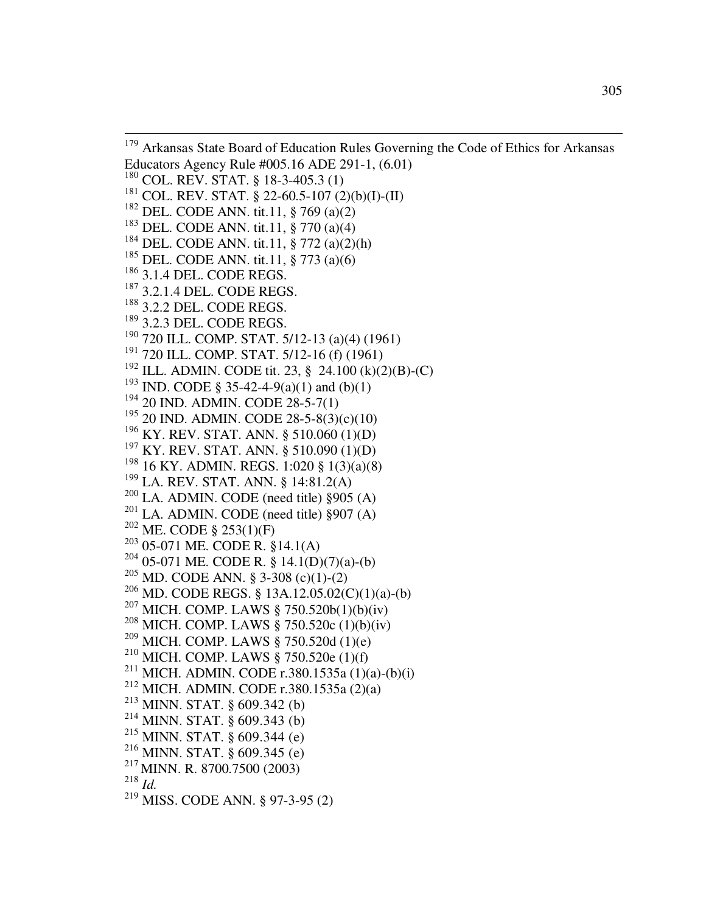$\overline{a}$ <sup>179</sup> Arkansas State Board of Education Rules Governing the Code of Ethics for Arkansas Educators Agency Rule #005.16 ADE 291-1, (6.01) COL. REV. STAT. § 18-3-405.3 (1) COL. REV. STAT. § 22-60.5-107 (2)(b)(I)-(II) DEL. CODE ANN. tit.11, § 769 (a)(2) DEL. CODE ANN. tit.11, § 770 (a)(4) DEL. CODE ANN. tit.11, § 772 (a)(2)(h) DEL. CODE ANN. tit.11, § 773 (a)(6)  $^{186}$  3.1.4 DEL. CODE REGS. <sup>187</sup> 3.2.1.4 DEL. CODE REGS. 3.2.2 DEL. CODE REGS. 3.2.3 DEL. CODE REGS. 720 ILL. COMP. STAT. 5/12-13 (a)(4) (1961) 720 ILL. COMP. STAT. 5/12-16 (f) (1961) ILL. ADMIN. CODE tit. 23, § 24.100 (k)(2)(B)-(C) <sup>193</sup> IND. CODE § 35-42-4-9(a)(1) and (b)(1) 20 IND. ADMIN. CODE 28-5-7(1) 20 IND. ADMIN. CODE 28-5-8(3)(c)(10) KY. REV. STAT. ANN. § 510.060 (1)(D) <sup>197</sup> KY. REV. STAT. ANN. § 510.090 (1)(D) 16 KY. ADMIN. REGS. 1:020 § 1(3)(a)(8) LA. REV. STAT. ANN. § 14:81.2(A) LA. ADMIN. CODE (need title)  $§905$  (A) LA. ADMIN. CODE (need title) §907 (A) ME. CODE § 253(1)(F) 05-071 ME. CODE R. §14.1(A)  $^{204}$  05-071 ME. CODE R. § 14.1(D)(7)(a)-(b) MD. CODE ANN. § 3-308 (c)(1)-(2) MD. CODE REGS. § 13A.12.05.02(C)(1)(a)-(b) MICH. COMP. LAWS § 750.520b(1)(b)(iv) MICH. COMP. LAWS § 750.520c (1)(b)(iv)  $^{209}$  MICH. COMP. LAWS § 750.520d (1)(e) <sup>210</sup> MICH. COMP. LAWS  $\S$  750.520e (1)(f) <sup>211</sup> MICH. ADMIN. CODE r.380.1535a (1)(a)-(b)(i) MICH. ADMIN. CODE r.380.1535a (2)(a) MINN. STAT. § 609.342 (b) MINN. STAT. § 609.343 (b) MINN. STAT. § 609.344 (e)  $^{216}$  MINN. STAT. § 609.345 (e) MINN. R. 8700.7500 (2003) *Id.* MISS. CODE ANN. § 97-3-95 (2)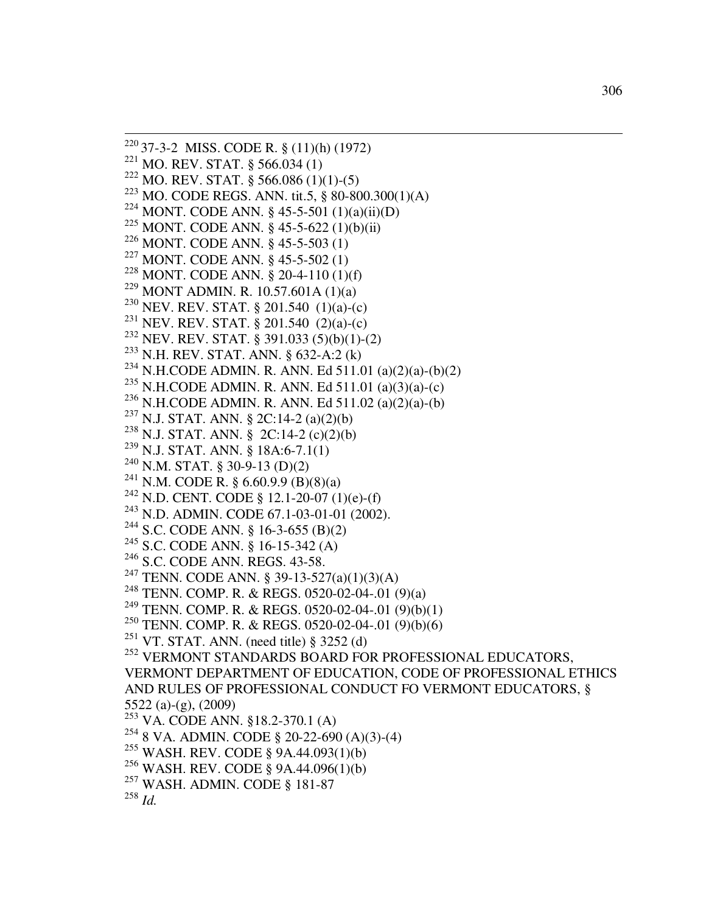37-3-2 MISS. CODE R. § (11)(h) (1972) MO. REV. STAT. § 566.034 (1) <sup>222</sup> MO. REV. STAT. § 566.086 (1)(1)-(5) MO. CODE REGS. ANN. tit.5, § 80-800.300(1)(A) MONT. CODE ANN. § 45-5-501 (1)(a)(ii)(D) MONT. CODE ANN. § 45-5-622 (1)(b)(ii) MONT. CODE ANN. § 45-5-503 (1) MONT. CODE ANN. § 45-5-502 (1) MONT. CODE ANN. § 20-4-110 (1)(f) MONT ADMIN. R. 10.57.601A (1)(a) NEV. REV. STAT. § 201.540 (1)(a)-(c) NEV. REV. STAT. § 201.540 (2)(a)-(c) NEV. REV. STAT. § 391.033 (5)(b)(1)-(2) N.H. REV. STAT. ANN. § 632-A:2 (k) <sup>234</sup> N.H.CODE ADMIN. R. ANN. Ed 511.01 (a)(2)(a)-(b)(2) <sup>235</sup> N.H.CODE ADMIN. R. ANN. Ed 511.01 (a)(3)(a)-(c) N.H.CODE ADMIN. R. ANN. Ed 511.02 (a)(2)(a)-(b) N.J. STAT. ANN. § 2C:14-2 (a)(2)(b) N.J. STAT. ANN. § 2C:14-2 (c)(2)(b) N.J. STAT. ANN. § 18A:6-7.1(1) N.M. STAT. § 30-9-13 (D)(2) <sup>241</sup> N.M. CODE R. § 6.60.9.9 (B)(8)(a) <sup>242</sup> N.D. CENT. CODE § 12.1-20-07 (1)(e)-(f)  $^{243}$  N.D. ADMIN. CODE 67.1-03-01-01 (2002). S.C. CODE ANN. § 16-3-655 (B)(2) S.C. CODE ANN. § 16-15-342 (A) S.C. CODE ANN. REGS. 43-58. TENN. CODE ANN. § 39-13-527(a)(1)(3)(A) TENN. COMP. R. & REGS. 0520-02-04-.01 (9)(a) TENN. COMP. R. & REGS. 0520-02-04-.01 (9)(b)(1) TENN. COMP. R. & REGS. 0520-02-04-.01 (9)(b)(6) <sup>251</sup> VT. STAT. ANN. (need title) § 3252 (d) <sup>252</sup> VERMONT STANDARDS BOARD FOR PROFESSIONAL EDUCATORS, VERMONT DEPARTMENT OF EDUCATION, CODE OF PROFESSIONAL ETHICS AND RULES OF PROFESSIONAL CONDUCT FO VERMONT EDUCATORS, § 5522 (a)-(g), (2009) VA. CODE ANN. §18.2-370.1 (A)  $^{254}$  8 VA. ADMIN. CODE § 20-22-690 (A)(3)-(4) WASH. REV. CODE § 9A.44.093(1)(b) WASH. REV. CODE § 9A.44.096(1)(b) WASH. ADMIN. CODE § 181-87 *Id.*

 $\overline{a}$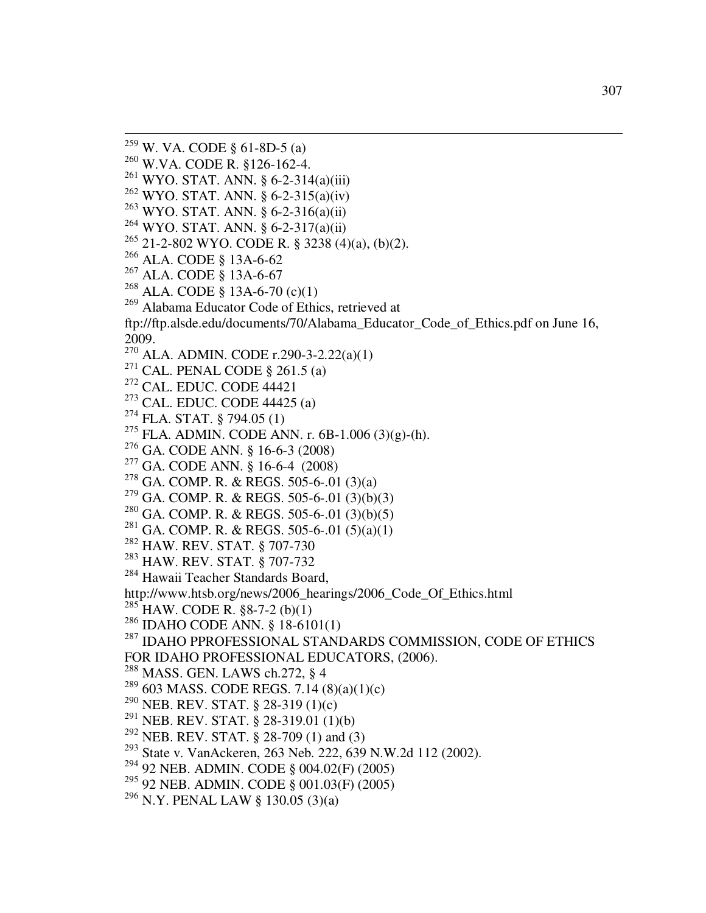$^{259}$  W. VA. CODE § 61-8D-5 (a)

 $\overline{a}$ 

- W.VA. CODE R. §126-162-4.
- WYO. STAT. ANN. § 6-2-314(a)(iii)
- WYO. STAT. ANN. § 6-2-315(a)(iv)
- WYO. STAT. ANN. § 6-2-316(a)(ii)
- WYO. STAT. ANN. § 6-2-317(a)(ii)
- 21-2-802 WYO. CODE R. § 3238 (4)(a), (b)(2).
- ALA. CODE § 13A-6-62
- ALA. CODE § 13A-6-67
- $^{268}$  ALA. CODE § 13A-6-70 (c)(1)
- Alabama Educator Code of Ethics, retrieved at

ftp://ftp.alsde.edu/documents/70/Alabama\_Educator\_Code\_of\_Ethics.pdf on June 16, 2009.

- ALA. ADMIN. CODE r.290-3-2.22(a)(1)
- <sup>271</sup> CAL. PENAL CODE  $\S$  261.5 (a)
- CAL. EDUC. CODE 44421
- CAL. EDUC. CODE 44425 (a)
- FLA. STAT. § 794.05 (1)
- FLA. ADMIN. CODE ANN. r. 6B-1.006 (3)(g)-(h).
- GA. CODE ANN. § 16-6-3 (2008)
- GA. CODE ANN. § 16-6-4 (2008)
- GA. COMP. R. & REGS. 505-6-.01 (3)(a)
- $^{279}$  GA. COMP. R. & REGS. 505-6-.01 (3)(b)(3)
- $^{280}$  GA. COMP. R. & REGS. 505-6-.01 (3)(b)(5)
- <sup>281</sup> GA. COMP. R. & REGS. 505-6-.01 (5)(a)(1)
- HAW. REV. STAT. § 707-730
- HAW. REV. STAT. § 707-732
- <sup>284</sup> Hawaii Teacher Standards Board,

http://www.htsb.org/news/2006\_hearings/2006\_Code\_Of\_Ethics.html

- $^{285}$  HAW. CODE R. §8-7-2 (b)(1)
- IDAHO CODE ANN. § 18-6101(1)

 IDAHO PPROFESSIONAL STANDARDS COMMISSION, CODE OF ETHICS FOR IDAHO PROFESSIONAL EDUCATORS, (2006).

- MASS. GEN. LAWS ch.272, § 4
- <sup>289</sup> 603 MASS. CODE REGS. 7.14 (8)(a)(1)(c)
- NEB. REV. STAT. § 28-319 (1)(c)
- <sup>291</sup> NEB. REV. STAT.  $\S$  28-319.01 (1)(b)
- NEB. REV. STAT. § 28-709 (1) and (3)
- State v. VanAckeren, 263 Neb. 222, 639 N.W.2d 112 (2002).
- 92 NEB. ADMIN. CODE § 004.02(F) (2005)
- 92 NEB. ADMIN. CODE § 001.03(F) (2005)
- N.Y. PENAL LAW § 130.05 (3)(a)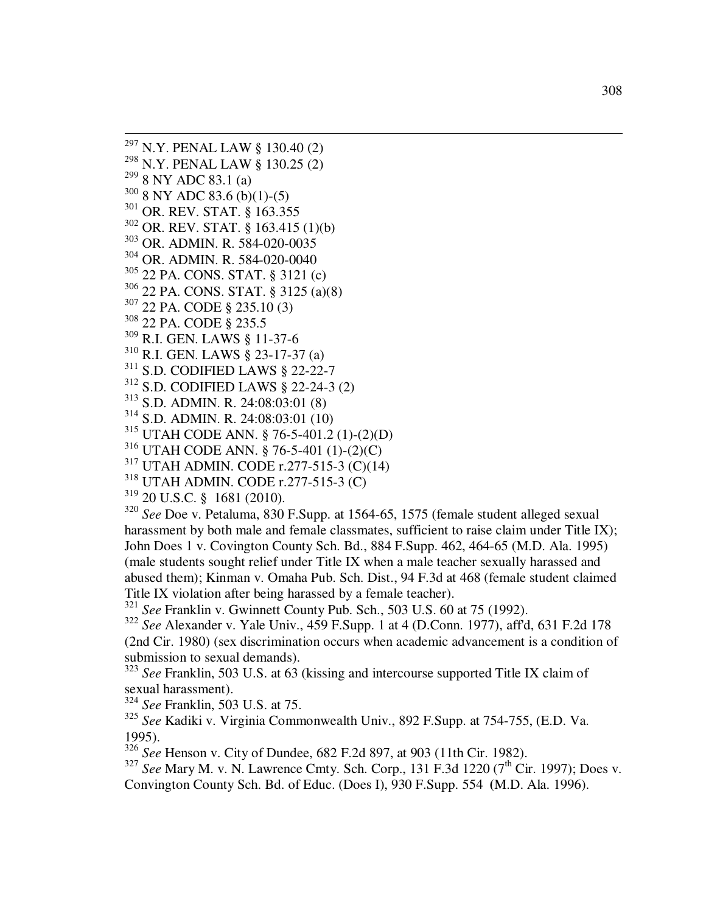$^{297}$  N.Y. PENAL LAW § 130.40 (2) N.Y. PENAL LAW § 130.25 (2) 8 NY ADC 83.1 (a) 8 NY ADC 83.6 (b)(1)-(5)  $\frac{301}{302}$  OR. REV. STAT. § 163.355<br> $\frac{302}{302}$  OR. REV. STAT. § 163.415  $\frac{302}{303}$  OR. REV. STAT. § 163.415 (1)(b)<br> $\frac{303}{303}$  OR ADMIN R 584.020.0035  $\frac{303}{304}$  OR. ADMIN. R. 584-020-0035<br> $\frac{304}{304}$  OR. ADMIN. R. 584-020-0040 OR. ADMIN. R. 584-020-0040 22 PA. CONS. STAT. § 3121 (c) 22 PA. CONS. STAT. § 3125 (a)(8) 22 PA. CODE § 235.10 (3) 22 PA. CODE § 235.5 R.I. GEN. LAWS § 11-37-6 R.I. GEN. LAWS § 23-17-37 (a) S.D. CODIFIED LAWS § 22-22-7 S.D. CODIFIED LAWS § 22-24-3 (2) S.D. ADMIN. R. 24:08:03:01 (8) S.D. ADMIN. R. 24:08:03:01 (10) UTAH CODE ANN. § 76-5-401.2 (1)-(2)(D)

 $\overline{a}$ 

UTAH CODE ANN. § 76-5-401 (1)-(2)(C)

UTAH ADMIN. CODE r.277-515-3 (C)(14)

UTAH ADMIN. CODE r.277-515-3 (C)

20 U.S.C. § 1681 (2010).

 *See* Doe v. Petaluma, 830 F.Supp. at 1564-65, 1575 (female student alleged sexual harassment by both male and female classmates, sufficient to raise claim under Title IX); John Does 1 v. Covington County Sch. Bd., 884 F.Supp. 462, 464-65 (M.D. Ala. 1995) (male students sought relief under Title IX when a male teacher sexually harassed and abused them); Kinman v. Omaha Pub. Sch. Dist., 94 F.3d at 468 (female student claimed Title IX violation after being harassed by a female teacher).

*See* Franklin v. Gwinnett County Pub. Sch., 503 U.S. 60 at 75 (1992).

 *See* Alexander v. Yale Univ., 459 F.Supp. 1 at 4 (D.Conn. 1977), aff'd, 631 F.2d 178 (2nd Cir. 1980) (sex discrimination occurs when academic advancement is a condition of submission to sexual demands).

<sup>323</sup> See Franklin, 503 U.S. at 63 (kissing and intercourse supported Title IX claim of sexual harassment).

*See* Franklin, 503 U.S. at 75.

 *See* Kadiki v. Virginia Commonwealth Univ., 892 F.Supp. at 754-755, (E.D. Va. 1995).

*See* Henson v. City of Dundee, 682 F.2d 897, at 903 (11th Cir. 1982).

 *See* Mary M. v. N. Lawrence Cmty. Sch. Corp., 131 F.3d 1220 (7<sup>th</sup> Cir. 1997); Does v. Convington County Sch. Bd. of Educ. (Does I), 930 F.Supp. 554 **(**M.D. Ala. 1996).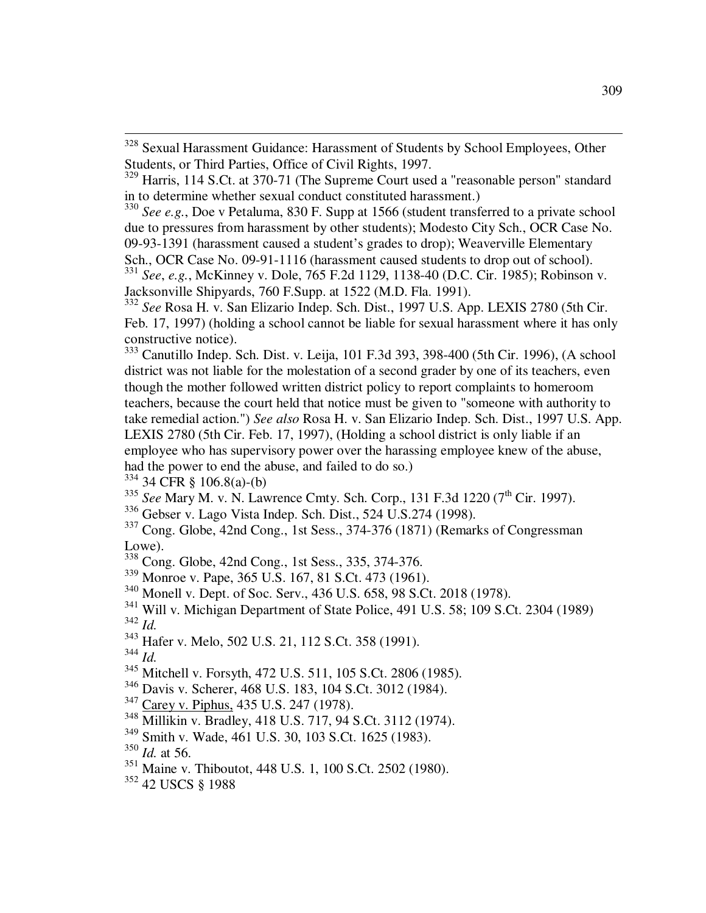<sup>334</sup> 34 CFR § 106.8(a)-(b)

<sup>335</sup> See Mary M. v. N. Lawrence Cmty. Sch. Corp., 131 F.3d 1220 (7<sup>th</sup> Cir. 1997).

<sup>336</sup> Gebser v. Lago Vista Indep. Sch. Dist., 524 U.S.274 (1998).

<sup>337</sup> Cong. Globe, 42nd Cong., 1st Sess., 374-376 (1871) (Remarks of Congressman Lowe).

- <sup>338</sup> Cong. Globe, 42nd Cong., 1st Sess., 335, 374-376.
- <sup>339</sup> Monroe v. Pape, 365 U.S. 167, 81 S.Ct. 473 (1961).
- <sup>340</sup> Monell v. Dept. of Soc. Serv., 436 U.S. 658, 98 S.Ct. 2018 (1978).
- <sup>341</sup> Will v. Michigan Department of State Police, 491 U.S. 58; 109 S.Ct. 2304 (1989) <sup>342</sup> *Id.*
- <sup>343</sup> Hafer v. Melo, 502 U.S. 21, 112 S.Ct. 358 (1991).
- <sup>344</sup> *Id.*
- <sup>345</sup> Mitchell v. Forsyth, 472 U.S. 511, 105 S.Ct. 2806 (1985).
- <sup>346</sup> Davis v. Scherer, 468 U.S. 183, 104 S.Ct. 3012 (1984).
- <sup>347</sup> Carey v. Piphus, 435 U.S. 247 (1978).
- $\frac{348}{100}$  Millikin v. Bradley, 418 U.S. 717, 94 S.Ct. 3112 (1974).
- <sup>349</sup> Smith v. Wade, 461 U.S. 30, 103 S.Ct. 1625 (1983).
- <sup>350</sup> *Id.* at 56.
- <sup>351</sup> Maine v. Thiboutot, 448 U.S. 1, 100 S.Ct. 2502 (1980).
- <sup>352</sup> 42 USCS § 1988

<sup>328</sup> Sexual Harassment Guidance: Harassment of Students by School Employees, Other Students, or Third Parties, Office of Civil Rights, 1997.

<sup>329</sup> Harris, 114 S.Ct. at 370-71 (The Supreme Court used a "reasonable person" standard in to determine whether sexual conduct constituted harassment.)

<sup>330</sup> *See e.g.*, Doe v Petaluma, 830 F. Supp at 1566 (student transferred to a private school due to pressures from harassment by other students); Modesto City Sch., OCR Case No. 09-93-1391 (harassment caused a student's grades to drop); Weaverville Elementary

Sch., OCR Case No. 09-91-1116 (harassment caused students to drop out of school). <sup>331</sup> *See*, *e.g.*, McKinney v. Dole, 765 F.2d 1129, 1138-40 (D.C. Cir. 1985); Robinson v.

Jacksonville Shipyards, 760 F.Supp. at 1522 (M.D. Fla. 1991).

<sup>332</sup> *See* Rosa H. v. San Elizario Indep. Sch. Dist., 1997 U.S. App. LEXIS 2780 (5th Cir. Feb. 17, 1997) (holding a school cannot be liable for sexual harassment where it has only constructive notice).

<sup>333</sup> Canutillo Indep. Sch. Dist. v. Leija, 101 F.3d 393, 398-400 (5th Cir. 1996), (A school district was not liable for the molestation of a second grader by one of its teachers, even though the mother followed written district policy to report complaints to homeroom teachers, because the court held that notice must be given to "someone with authority to take remedial action.") *See also* Rosa H. v. San Elizario Indep. Sch. Dist., 1997 U.S. App. LEXIS 2780 (5th Cir. Feb. 17, 1997), (Holding a school district is only liable if an employee who has supervisory power over the harassing employee knew of the abuse, had the power to end the abuse, and failed to do so.)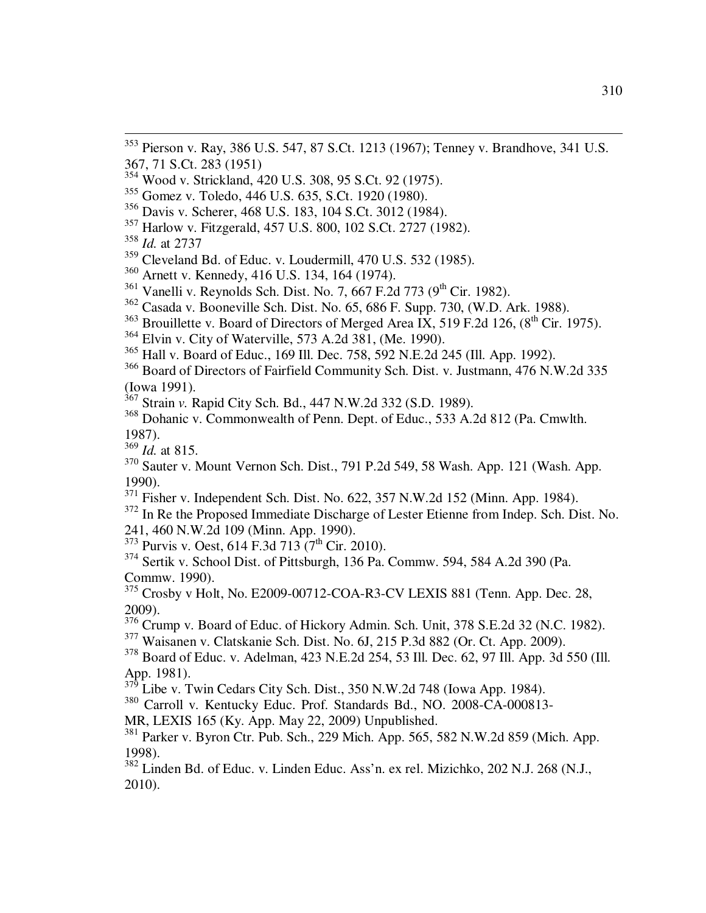- Wood v. Strickland, 420 U.S. 308, 95 S.Ct. 92 (1975).
- Gomez v. Toledo, 446 U.S. 635, S.Ct. 1920 (1980).
- Davis v. Scherer, 468 U.S. 183, 104 S.Ct. 3012 (1984).
- Harlow v. Fitzgerald, 457 U.S. 800, 102 S.Ct. 2727 (1982).
- *Id.* at 2737
- Cleveland Bd. of Educ. v. Loudermill, 470 U.S. 532 (1985).
- Arnett v. Kennedy, 416 U.S. 134, 164 (1974).
- <sup>361</sup> Vanelli v. Reynolds Sch. Dist. No. 7, 667 F.2d 773 (9<sup>th</sup> Cir. 1982).
- Casada v. Booneville Sch. Dist. No. 65, 686 F. Supp. 730, (W.D. Ark. 1988).
- Brouillette v. Board of Directors of Merged Area IX, 519 F.2d 126,  $(8^{th}$  Cir. 1975).
- Elvin v. City of Waterville, 573 A.2d 381, (Me. 1990).
- Hall v. Board of Educ., 169 Ill. Dec. 758, 592 N.E.2d 245 (Ill. App. 1992).
- Board of Directors of Fairfield Community Sch. Dist. v. Justmann, 476 N.W.2d 335 (Iowa 1991).
- Strain *v.* Rapid City Sch. Bd., 447 N.W.2d 332 (S.D. 1989).
- Dohanic v. Commonwealth of Penn. Dept. of Educ., 533 A.2d 812 (Pa. Cmwlth. 1987).
- *Id.* at 815.
- Sauter v. Mount Vernon Sch. Dist., 791 P.2d 549, 58 Wash. App. 121 (Wash. App. 1990).
- Fisher v. Independent Sch. Dist. No. 622, 357 N.W.2d 152 (Minn. App. 1984).
- <sup>372</sup> In Re the Proposed Immediate Discharge of Lester Etienne from Indep. Sch. Dist. No. 241, 460 N.W.2d 109 (Minn. App. 1990).
- Purvis v. Oest, 614 F.3d 713 (7<sup>th</sup> Cir. 2010).
- Sertik v. School Dist. of Pittsburgh, 136 Pa. Commw. 594, 584 A.2d 390 (Pa. Commw. 1990).
- Crosby v Holt, No. E2009-00712-COA-R3-CV LEXIS 881 (Tenn. App. Dec. 28, 2009).
- <sup>376</sup> Crump v. Board of Educ. of Hickory Admin. Sch. Unit, 378 S.E.2d 32 (N.C. 1982).
- Waisanen v. Clatskanie Sch. Dist. No. 6J, 215 P.3d 882 (Or. Ct. App. 2009).
- Board of Educ. v. Adelman, 423 N.E.2d 254, 53 Ill. Dec. 62, 97 Ill. App. 3d 550 (Ill. App. 1981).
- Libe v. Twin Cedars City Sch. Dist., 350 N.W.2d 748 (Iowa App. 1984).
- Carroll v. Kentucky Educ. Prof. Standards Bd., NO. 2008-CA-000813-
- MR, LEXIS 165 (Ky. App. May 22, 2009) Unpublished.
- <sup>381</sup> Parker v. Byron Ctr. Pub. Sch., 229 Mich. App. 565, 582 N.W.2d 859 (Mich. App. 1998).
- Linden Bd. of Educ. v. Linden Educ. Ass'n. ex rel. Mizichko, 202 N.J. 268 (N.J., 2010).

 Pierson v. Ray, 386 U.S. 547, 87 S.Ct. 1213 (1967); Tenney v. Brandhove, 341 U.S. 367, 71 S.Ct. 283 (1951)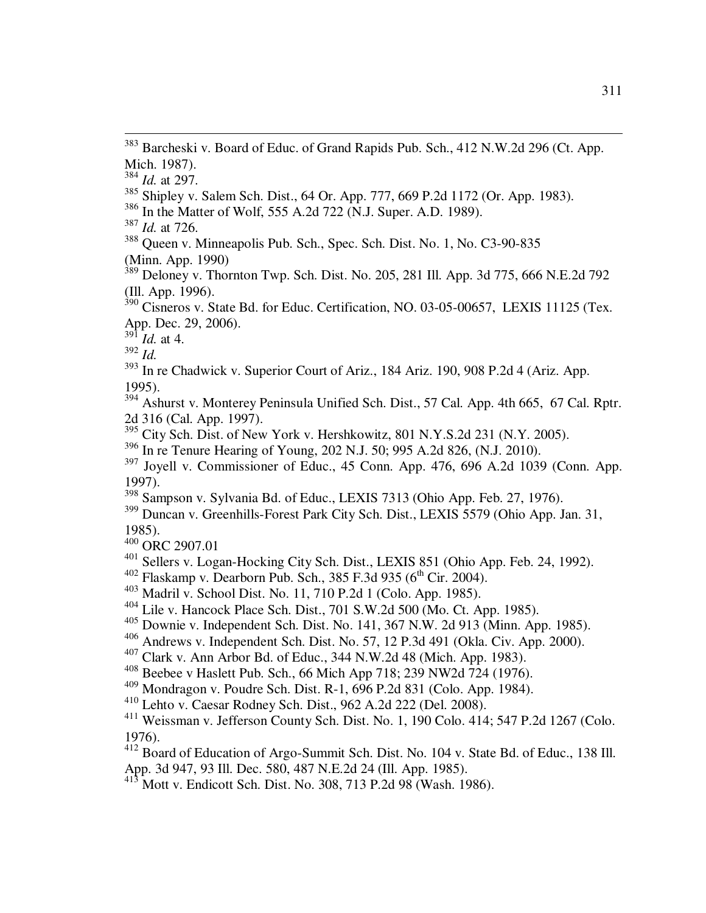<sup>386</sup> In the Matter of Wolf, 555 A.2d 722 (N.J. Super. A.D. 1989).

<sup>388</sup> Queen v. Minneapolis Pub. Sch., Spec. Sch. Dist. No. 1, No. C3-90-835 (Minn. App. 1990)

 $389$  Deloney v. Thornton Twp. Sch. Dist. No. 205, 281 Ill. App. 3d 775, 666 N.E.2d 792 (Ill. App. 1996).

 $390$  Cisneros v. State Bd. for Educ. Certification, NO. 03-05-00657, LEXIS 11125 (Tex. App. Dec. 29, 2006).

 $^{39\overline{1}}$  *Id.* at 4.

<sup>392</sup> *Id.*

- <sup>393</sup> In re Chadwick v. Superior Court of Ariz., 184 Ariz. 190, 908 P.2d 4 (Ariz. App. 1995).
- <sup>394</sup> Ashurst v. Monterey Peninsula Unified Sch. Dist., 57 Cal. App. 4th 665, 67 Cal. Rptr. 2d 316 (Cal. App. 1997).
- $\frac{20}{395}$  City Sch. Dist. of New York v. Hershkowitz, 801 N.Y.S.2d 231 (N.Y. 2005).
- <sup>396</sup> In re Tenure Hearing of Young, 202 N.J. 50; 995 A.2d 826, (N.J. 2010).
- $397$  Joyell v. Commissioner of Educ., 45 Conn. App. 476, 696 A.2d 1039 (Conn. App. 1997).
- $\frac{398}{398}$  Sampson v. Sylvania Bd. of Educ., LEXIS 7313 (Ohio App. Feb. 27, 1976).
- <sup>399</sup> Duncan v. Greenhills-Forest Park City Sch. Dist., LEXIS 5579 (Ohio App. Jan. 31, 1985).
- <sup>400</sup> ORC 2907.01
- <sup>401</sup> Sellers v. Logan-Hocking City Sch. Dist., LEXIS 851 (Ohio App. Feb. 24, 1992).
- $402$  Flaskamp v. Dearborn Pub. Sch., 385 F.3d 935 (6<sup>th</sup> Cir. 2004).
- <sup>403</sup> Madril v. School Dist. No. 11, 710 P.2d 1 (Colo. App. 1985).
- <sup>404</sup> Lile v. Hancock Place Sch. Dist., 701 S.W.2d 500 (Mo. Ct. App. 1985).
- <sup>405</sup> Downie v. Independent Sch. Dist. No. 141, 367 N.W. 2d 913 (Minn. App. 1985).
- <sup>406</sup> Andrews v. Independent Sch. Dist. No. 57, 12 P.3d 491 (Okla. Civ. App. 2000).
- <sup>407</sup> Clark v. Ann Arbor Bd. of Educ., 344 N.W.2d 48 (Mich. App. 1983).
- <sup>408</sup> Beebee v Haslett Pub. Sch., 66 Mich App 718; 239 NW2d 724 (1976).
- <sup>409</sup> Mondragon v. Poudre Sch. Dist. R-1, 696 P.2d 831 (Colo. App. 1984).
- <sup>410</sup> Lehto v. Caesar Rodney Sch. Dist., 962 A.2d 222 (Del. 2008).

<sup>411</sup> Weissman v. Jefferson County Sch. Dist. No. 1, 190 Colo. 414; 547 P.2d 1267 (Colo. 1976).

412 Board of Education of Argo-Summit Sch. Dist. No. 104 v. State Bd. of Educ., 138 Ill. App. 3d 947, 93 Ill. Dec. 580, 487 N.E.2d 24 (Ill. App. 1985).

 $^{413}$  Mott v. Endicott Sch. Dist. No. 308, 713 P.2d 98 (Wash. 1986).

<sup>383</sup> Barcheski v. Board of Educ. of Grand Rapids Pub. Sch., 412 N.W.2d 296 (Ct. App. Mich. 1987).

<sup>384</sup> *Id.* at 297.

<sup>&</sup>lt;sup>385</sup> Shipley v. Salem Sch. Dist., 64 Or. App. 777, 669 P.2d 1172 (Or. App. 1983).

<sup>387</sup> *Id.* at 726.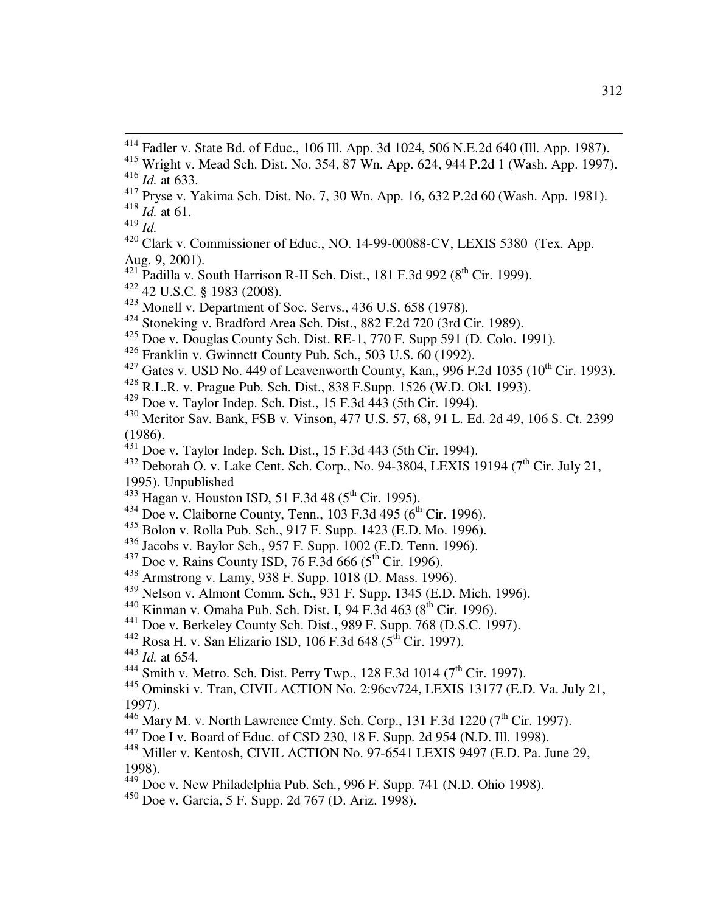$\overline{a}$ 

 $\frac{421}{421}$  Padilla v. South Harrison R-II Sch. Dist., 181 F.3d 992 (8<sup>th</sup> Cir. 1999).

<sup>422</sup> 42 U.S.C. § 1983 (2008).

- <sup>423</sup> Monell v. Department of Soc. Servs., 436 U.S. 658 (1978).
- <sup>424</sup> Stoneking v. Bradford Area Sch. Dist., 882 F.2d 720 (3rd Cir. 1989).
- $425$  Doe v. Douglas County Sch. Dist. RE-1, 770 F. Supp 591 (D. Colo. 1991).
- $426$  Franklin v. Gwinnett County Pub. Sch., 503 U.S.  $60$  (1992).
- 427 Gates v. USD No. 449 of Leavenworth County, Kan., 996 F.2d 1035 (10<sup>th</sup> Cir. 1993).
- <sup>428</sup> R.L.R. v. Prague Pub. Sch. Dist., 838 F.Supp. 1526 (W.D. Okl. 1993).
- <sup>429</sup> Doe v. Taylor Indep. Sch. Dist., 15 F.3d 443 (5th Cir. 1994).
- <sup>430</sup> Meritor Sav. Bank, FSB v. Vinson, 477 U.S. 57, 68, 91 L. Ed. 2d 49, 106 S. Ct. 2399 (1986).
- $^{431}$  Doe v. Taylor Indep. Sch. Dist., 15 F.3d 443 (5th Cir. 1994).
- <sup>432</sup> Deborah O. v. Lake Cent. Sch. Corp., No. 94-3804, LEXIS 19194 (7<sup>th</sup> Cir. July 21, 1995). Unpublished
- $^{433}$  Hagan v. Houston ISD, 51 F.3d 48 (5<sup>th</sup> Cir. 1995).
- $^{434}$  Doe v. Claiborne County, Tenn., 103 F.3d 495 (6<sup>th</sup> Cir. 1996).
- <sup>435</sup> Bolon v. Rolla Pub. Sch., 917 F. Supp. 1423 (E.D. Mo. 1996).
- <sup>436</sup> Jacobs v. Baylor Sch., 957 F. Supp. 1002 (E.D. Tenn. 1996).
- $437$  Doe v. Rains County ISD, 76 F.3d 666 (5<sup>th</sup> Cir. 1996).
- <sup>438</sup> Armstrong v. Lamy, 938 F. Supp. 1018 (D. Mass. 1996).
- <sup>439</sup> Nelson v. Almont Comm. Sch., 931 F. Supp. 1345 (E.D. Mich. 1996).
- <sup>440</sup> Kinman v. Omaha Pub. Sch. Dist. I, 94 F.3d 463 ( $8^{\text{th}}$  Cir. 1996).
- <sup>441</sup> Doe v. Berkeley County Sch. Dist., 989 F. Supp. 768 (D.S.C. 1997).
- <sup>442</sup> Rosa H. v. San Elizario ISD, 106 F.3d 648 ( $5^{\text{th}}$  Cir. 1997).
- 
- 
- <sup>443</sup> *Id.* at 654.
- $^{444}$  Smith v. Metro. Sch. Dist. Perry Twp., 128 F.3d 1014 (7<sup>th</sup> Cir. 1997).
- <sup>445</sup> Ominski v. Tran, CIVIL ACTION No. 2:96cv724, LEXIS 13177 (E.D. Va. July 21, 1997).
- $\frac{446}{100}$  Mary M. v. North Lawrence Cmty. Sch. Corp., 131 F.3d 1220 (7<sup>th</sup> Cir. 1997).
- $^{447}$  Doe I v. Board of Educ. of CSD 230, 18 F. Supp. 2d 954 (N.D. Ill. 1998).
- <sup>448</sup> Miller v. Kentosh, CIVIL ACTION No. 97-6541 LEXIS 9497 (E.D. Pa. June 29, 1998).
- <sup>449</sup> Doe v. New Philadelphia Pub. Sch., 996 F. Supp. 741 (N.D. Ohio 1998).
- <sup>450</sup> Doe v. Garcia, 5 F. Supp. 2d 767 (D. Ariz. 1998).

 $414$  Fadler v. State Bd. of Educ., 106 Ill. App. 3d 1024, 506 N.E.2d 640 (Ill. App. 1987).

<sup>415</sup> Wright v. Mead Sch. Dist. No. 354, 87 Wn. App. 624, 944 P.2d 1 (Wash. App. 1997).  $416$  *Id.* at 633.

<sup>417</sup> Pryse v. Yakima Sch. Dist. No. 7, 30 Wn. App. 16, 632 P.2d 60 (Wash. App. 1981).

<sup>418</sup> *Id.* at 61.

<sup>419</sup> *Id.*

 $420$  Clark v. Commissioner of Educ., NO. 14-99-00088-CV, LEXIS 5380 (Tex. App. Aug. 9, 2001).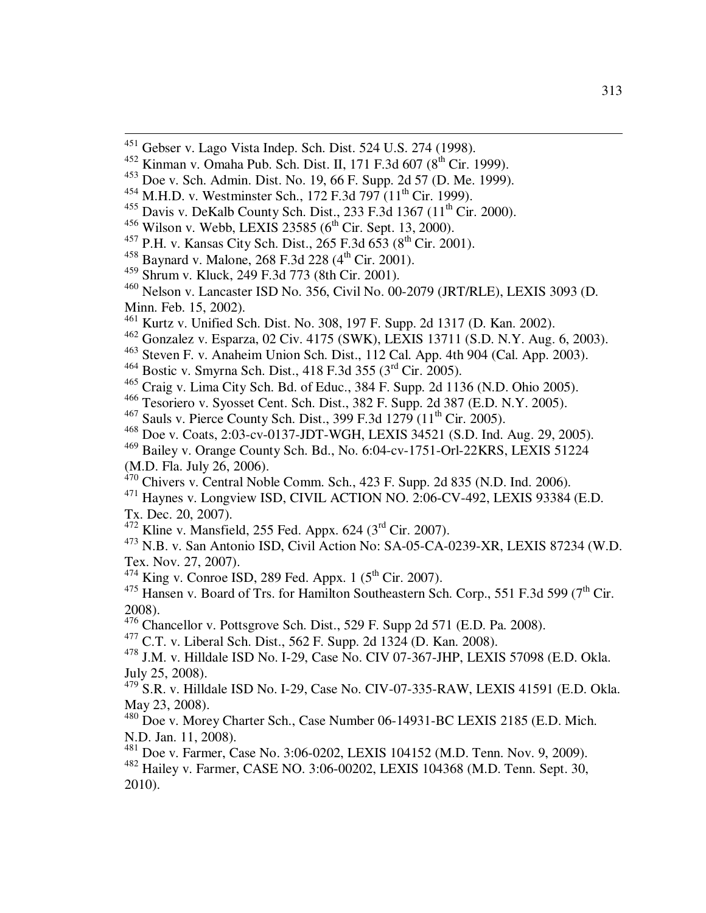Kurtz v. Unified Sch. Dist. No. 308, 197 F. Supp. 2d 1317 (D. Kan. 2002).

- Steven F. v. Anaheim Union Sch. Dist., 112 Cal. App. 4th 904 (Cal. App. 2003).
- Bostic v. Smyrna Sch. Dist., 418 F.3d 355 (3rd Cir. 2005).
- <sup>465</sup> Craig v. Lima City Sch. Bd. of Educ., 384 F. Supp. 2d  $1136$  (N.D. Ohio 2005).
- Tesoriero v. Syosset Cent. Sch. Dist., 382 F. Supp. 2d 387 (E.D. N.Y. 2005).
- <sup>467</sup> Sauls v. Pierce County Sch. Dist., 399 F.3d 1279 (11<sup>th</sup> Cir. 2005).
- Doe v. Coats, 2:03-cv-0137-JDT-WGH, LEXIS 34521 (S.D. Ind. Aug. 29, 2005).
- Bailey v. Orange County Sch. Bd., No. 6:04-cv-1751-Orl-22KRS, LEXIS 51224
- (M.D. Fla. July 26, 2006).

 $\overline{a}$ 

- Chivers v. Central Noble Comm. Sch., 423 F. Supp. 2d 835 (N.D. Ind. 2006).
- Haynes v. Longview ISD, CIVIL ACTION NO. 2:06-CV-492, LEXIS 93384 (E.D. Tx. Dec. 20, 2007).
- Kline v. Mansfield, 255 Fed. Appx. 624 (3<sup>rd</sup> Cir. 2007).

 N.B. v. San Antonio ISD, Civil Action No: SA-05-CA-0239-XR, LEXIS 87234 (W.D. Tex. Nov. 27, 2007).

<sup>474</sup> King v. Conroe ISD, 289 Fed. Appx. 1 ( $5<sup>th</sup>$  Cir. 2007).

 Hansen v. Board of Trs. for Hamilton Southeastern Sch. Corp., 551 F.3d 599 (7<sup>th</sup> Cir. 2008).

- Chancellor v. Pottsgrove Sch. Dist., 529 F. Supp 2d 571 (E.D. Pa. 2008).
- C.T. v. Liberal Sch. Dist., 562 F. Supp. 2d 1324 (D. Kan. 2008).

 J.M. v. Hilldale ISD No. I-29, Case No. CIV 07-367-JHP, LEXIS 57098 (E.D. Okla. July 25, 2008).

 S.R. v. Hilldale ISD No. I-29, Case No. CIV-07-335-RAW, LEXIS 41591 (E.D. Okla. May 23, 2008).

 Doe v. Morey Charter Sch., Case Number 06-14931-BC LEXIS 2185 (E.D. Mich. N.D. Jan. 11, 2008).

Doe v. Farmer, Case No. 3:06-0202, LEXIS 104152 (M.D. Tenn. Nov. 9, 2009).

 Hailey v. Farmer, CASE NO. 3:06-00202, LEXIS 104368 (M.D. Tenn. Sept. 30, 2010).

<sup>&</sup>lt;sup>451</sup> Gebser v. Lago Vista Indep. Sch. Dist. 524 U.S. 274 (1998).

Kinman v. Omaha Pub. Sch. Dist. II, 171 F.3d 607 ( $8^{th}$  Cir. 1999).

Doe v. Sch. Admin. Dist. No. 19, 66 F. Supp. 2d 57 (D. Me. 1999).

M.H.D. v. Westminster Sch., 172 F.3d 797 ( $11<sup>th</sup>$  Cir. 1999).

<sup>&</sup>lt;sup>455</sup> Davis v. DeKalb County Sch. Dist., 233 F.3d 1367 (11<sup>th</sup> Cir. 2000).

Wilson v. Webb, LEXIS 23585 ( $6^{th}$  Cir. Sept. 13, 2000).

<sup>&</sup>lt;sup>457</sup> P.H. v. Kansas City Sch. Dist., 265 F.3d  $653 (8^{th}$  Cir. 2001).

<sup>&</sup>lt;sup>458</sup> Baynard v. Malone, 268 F.3d 228 ( $4^{\text{th}}$  Cir. 2001).

Shrum v. Kluck, 249 F.3d 773 (8th Cir. 2001).

 Nelson v. Lancaster ISD No. 356, Civil No. 00-2079 (JRT/RLE), LEXIS 3093 (D. Minn. Feb. 15, 2002).

Gonzalez v. Esparza, 02 Civ. 4175 (SWK), LEXIS 13711 (S.D. N.Y. Aug. 6, 2003).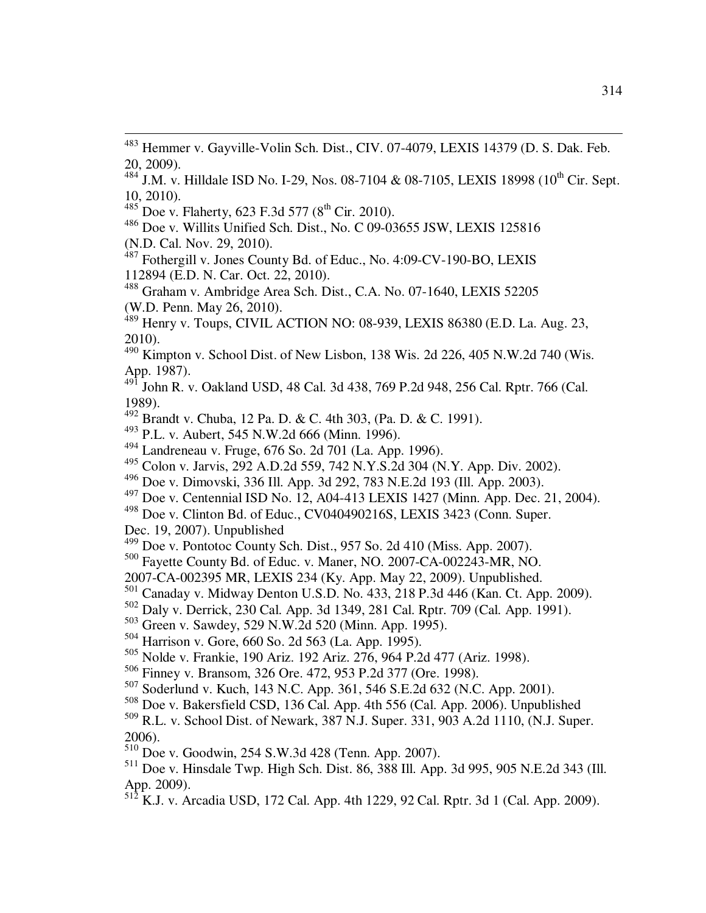$^{484}$  J.M. v. Hilldale ISD No. I-29, Nos. 08-7104 & 08-7105, LEXIS 18998 (10<sup>th</sup> Cir. Sept. 10, 2010).

 $485$  Doe v. Flaherty, 623 F.3d 577 ( $8^{th}$  Cir. 2010).

 $\overline{a}$ 

<sup>486</sup> Doe v. Willits Unified Sch. Dist., No. C 09-03655 JSW, LEXIS 125816 (N.D. Cal. Nov. 29, 2010).

<sup>487</sup> Fothergill v. Jones County Bd. of Educ., No. 4:09-CV-190-BO, LEXIS 112894 (E.D. N. Car. Oct. 22, 2010).

<sup>488</sup> Graham v. Ambridge Area Sch. Dist., C.A. No. 07-1640, LEXIS 52205 (W.D. Penn. May 26, 2010).

<sup>489</sup> Henry v. Toups, CIVIL ACTION NO: 08-939, LEXIS 86380 (E.D. La. Aug. 23, 2010).

 $490$  Kimpton v. School Dist. of New Lisbon, 138 Wis. 2d 226, 405 N.W.2d 740 (Wis. App. 1987).

<sup>491</sup> John R. v. Oakland USD, 48 Cal. 3d 438, 769 P.2d 948, 256 Cal. Rptr. 766 (Cal. 1989).

<sup>492</sup> Brandt v. Chuba, 12 Pa. D. & C. 4th 303, (Pa. D. & C. 1991).

<sup>493</sup> P.L. v. Aubert, 545 N.W.2d 666 (Minn. 1996).

<sup>494</sup> Landreneau v. Fruge, 676 So. 2d 701 (La. App. 1996).

<sup>495</sup> Colon v. Jarvis, 292 A.D.2d 559, 742 N.Y.S.2d 304 (N.Y. App. Div. 2002).

<sup>496</sup> Doe v. Dimovski, 336 Ill. App. 3d 292, 783 N.E.2d 193 (Ill. App. 2003).

 $^{497}$  Doe v. Centennial ISD No. 12, A04-413 LEXIS 1427 (Minn. App. Dec. 21, 2004).

<sup>498</sup> Doe v. Clinton Bd. of Educ., CV040490216S, LEXIS 3423 (Conn. Super.

Dec. 19, 2007). Unpublished

 $^{499}$  Doe v. Pontotoc County Sch. Dist., 957 So. 2d 410 (Miss. App. 2007).

<sup>500</sup> Fayette County Bd. of Educ. v. Maner, NO. 2007-CA-002243-MR, NO.

2007-CA-002395 MR, LEXIS 234 (Ky. App. May 22, 2009). Unpublished.

501 Canaday v. Midway Denton U.S.D. No. 433, 218 P.3d 446 (Kan. Ct. App. 2009).

<sup>502</sup> Daly v. Derrick, 230 Cal. App. 3d 1349, 281 Cal. Rptr. 709 (Cal. App. 1991).

- <sup>503</sup> Green v. Sawdey, 529 N.W.2d 520 (Minn. App. 1995).
- <sup>504</sup> Harrison v. Gore, 660 So. 2d 563 (La. App. 1995).
- <sup>505</sup> Nolde v. Frankie, 190 Ariz. 192 Ariz. 276, 964 P.2d 477 (Ariz. 1998).
- <sup>506</sup> Finney v. Bransom, 326 Ore. 472, 953 P.2d 377 (Ore. 1998).

<sup>507</sup> Soderlund v. Kuch, 143 N.C. App. 361, 546 S.E.2d 632 (N.C. App. 2001).

<sup>508</sup> Doe v. Bakersfield CSD, 136 Cal. App. 4th 556 (Cal. App. 2006). Unpublished

<sup>509</sup> R.L. v. School Dist. of Newark, 387 N.J. Super. 331, 903 A.2d 1110, (N.J. Super. 2006).

<sup>510</sup> Doe v. Goodwin, 254 S.W.3d 428 (Tenn. App. 2007).

<sup>511</sup> Doe v. Hinsdale Twp. High Sch. Dist. 86, 388 Ill. App. 3d 995, 905 N.E.2d 343 (Ill. App. 2009).

<sup>512</sup> K.J. v. Arcadia USD, 172 Cal. App. 4th 1229, 92 Cal. Rptr. 3d 1 (Cal. App. 2009).

<sup>&</sup>lt;sup>483</sup> Hemmer v. Gayville-Volin Sch. Dist., CIV. 07-4079, LEXIS 14379 (D. S. Dak. Feb. 20, 2009).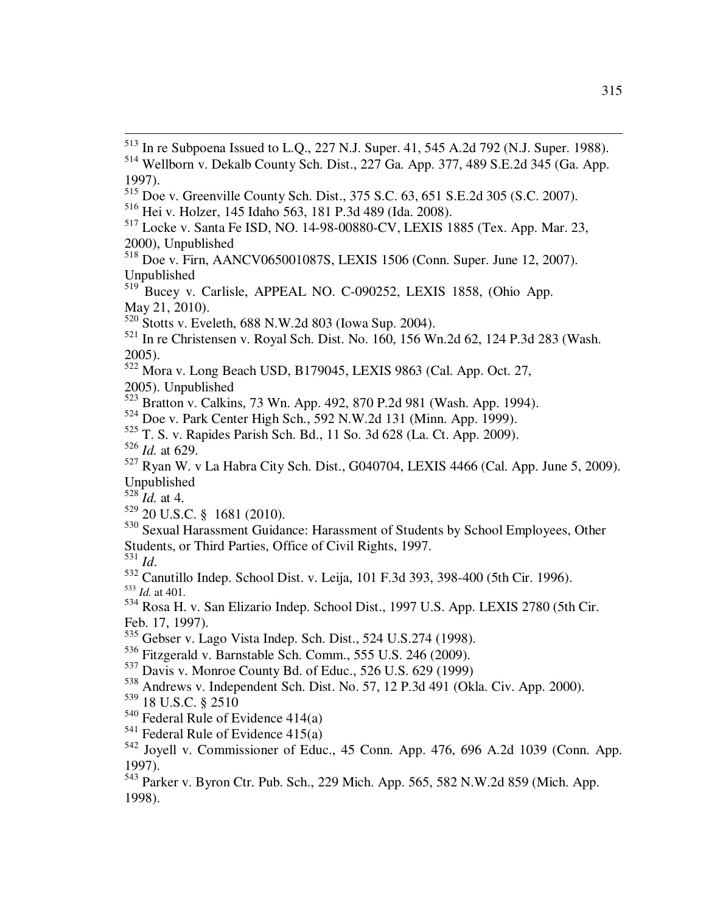Doe v. Greenville County Sch. Dist., 375 S.C. 63, 651 S.E.2d 305 (S.C. 2007).

Doe v. Park Center High Sch., 592 N.W.2d 131 (Minn. App. 1999).

T. S. v. Rapides Parish Sch. Bd., 11 So. 3d 628 (La. Ct. App. 2009).

*Id.* at 629.

 $\overline{a}$ 

 Ryan W. v La Habra City Sch. Dist., G040704, LEXIS 4466 (Cal. App. June 5, 2009). Unpublished

*Id.* at 4.

- 20 U.S.C. § 1681 (2010).
- Sexual Harassment Guidance: Harassment of Students by School Employees, Other Students, or Third Parties, Office of Civil Rights, 1997.

*Id*.

 Canutillo Indep. School Dist. v. Leija, 101 F.3d 393, 398-400 (5th Cir. 1996). *Id.* at 401.

 Rosa H. v. San Elizario Indep. School Dist., 1997 U.S. App. LEXIS 2780 (5th Cir. Feb. 17, 1997).

535 Gebser v. Lago Vista Indep. Sch. Dist., 524 U.S.274 (1998).

Fitzgerald v. Barnstable Sch. Comm., 555 U.S. 246 (2009).

Davis v. Monroe County Bd. of Educ., 526 U.S. 629 (1999)

- Andrews v. Independent Sch. Dist. No. 57, 12 P.3d 491 (Okla. Civ. App. 2000).
- 18 U.S.C. § 2510
- Federal Rule of Evidence 414(a)
- Federal Rule of Evidence 415(a)

 In re Subpoena Issued to L.Q., 227 N.J. Super. 41, 545 A.2d 792 (N.J. Super. 1988). Wellborn v. Dekalb County Sch. Dist., 227 Ga. App. 377, 489 S.E.2d 345 (Ga. App. 1997).

Hei v. Holzer, 145 Idaho 563, 181 P.3d 489 (Ida. 2008).

 Locke v. Santa Fe ISD, NO. 14-98-00880-CV, LEXIS 1885 (Tex. App. Mar. 23, 2000), Unpublished

 Doe v. Firn, AANCV065001087S, LEXIS 1506 (Conn. Super. June 12, 2007). Unpublished

<sup>&</sup>lt;sup>519</sup> Bucey v. Carlisle, APPEAL NO. C-090252, LEXIS 1858, (Ohio App. May 21, 2010).

Stotts v. Eveleth, 688 N.W.2d 803 (Iowa Sup. 2004).

 In re Christensen v. Royal Sch. Dist. No. 160, 156 Wn.2d 62, 124 P.3d 283 (Wash. 2005).

Mora v. Long Beach USD, B179045, LEXIS 9863 (Cal. App. Oct. 27,

<sup>2005).</sup> Unpublished

Bratton v. Calkins, 73 Wn. App. 492, 870 P.2d 981 (Wash. App. 1994).

 Joyell v. Commissioner of Educ., 45 Conn. App. 476, 696 A.2d 1039 (Conn. App. 1997).

 Parker v. Byron Ctr. Pub. Sch., 229 Mich. App. 565, 582 N.W.2d 859 (Mich. App. 1998).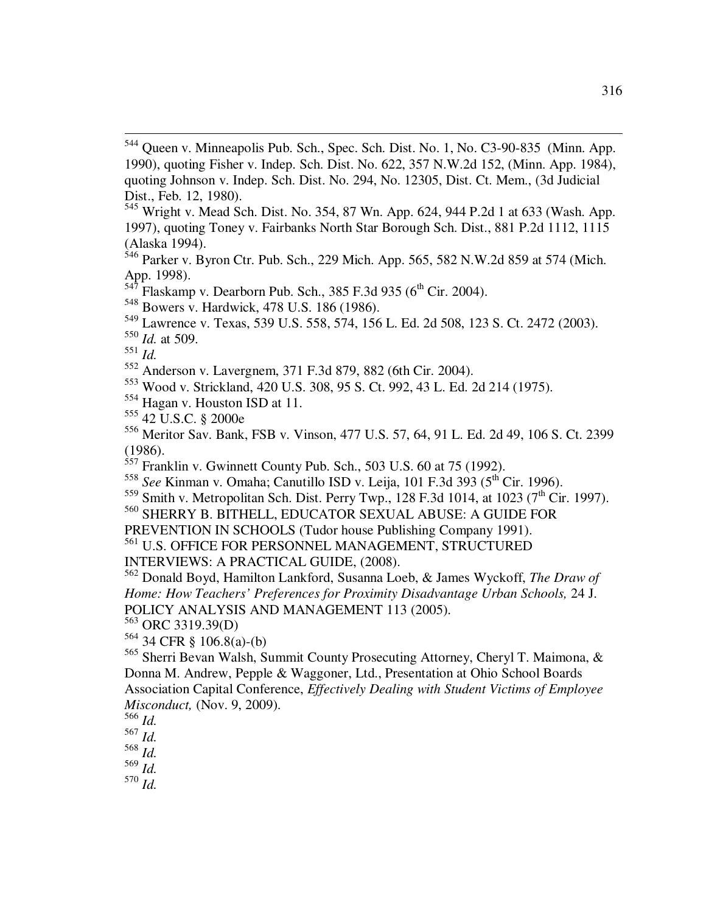- $547$  Flaskamp v. Dearborn Pub. Sch., 385 F.3d 935 ( $6<sup>th</sup>$  Cir. 2004).
- <sup>548</sup> Bowers v. Hardwick, 478 U.S. 186 (1986).
- <sup>549</sup> Lawrence v. Texas, 539 U.S. 558, 574, 156 L. Ed. 2d 508, 123 S. Ct. 2472 (2003).

 $\overline{a}$ 

- <sup>553</sup> Wood v. Strickland, 420 U.S. 308, 95 S. Ct. 992, 43 L. Ed. 2d 214 (1975).
- <sup>554</sup> Hagan v. Houston ISD at 11.
- <sup>555</sup> 42 U.S.C. § 2000e

<sup>556</sup> Meritor Sav. Bank, FSB v. Vinson, 477 U.S. 57, 64, 91 L. Ed. 2d 49, 106 S. Ct. 2399 (1986).

 $557$  Franklin v. Gwinnett County Pub. Sch., 503 U.S. 60 at 75 (1992).

- <sup>558</sup> *See* Kinman v. Omaha; Canutillo ISD v. Leija, 101 F.3d 393 (5<sup>th</sup> Cir. 1996).
- <sup>559</sup> Smith v. Metropolitan Sch. Dist. Perry Twp., 128 F.3d 1014, at 1023 (7<sup>th</sup> Cir. 1997).

<sup>560</sup> SHERRY B. BITHELL, EDUCATOR SEXUAL ABUSE: A GUIDE FOR

PREVENTION IN SCHOOLS (Tudor house Publishing Company 1991).

<sup>562</sup> Donald Boyd, Hamilton Lankford, Susanna Loeb, & James Wyckoff, *The Draw of Home: How Teachers' Preferences for Proximity Disadvantage Urban Schools, 24 J.* POLICY ANALYSIS AND MANAGEMENT 113 (2005).

- <sup>563</sup> ORC 3319.39(D)
- $564$  34 CFR § 106.8(a)-(b)

<sup>&</sup>lt;sup>544</sup> Queen v. Minneapolis Pub. Sch., Spec. Sch. Dist. No. 1, No. C3-90-835 (Minn. App. 1990), quoting Fisher v. Indep. Sch. Dist. No. 622, 357 N.W.2d 152, (Minn. App. 1984), quoting Johnson v. Indep. Sch. Dist. No. 294, No. 12305, Dist. Ct. Mem., (3d Judicial Dist., Feb. 12, 1980).

<sup>545</sup> Wright v. Mead Sch. Dist. No. 354, 87 Wn. App. 624, 944 P.2d 1 at 633 (Wash. App. 1997), quoting Toney v. Fairbanks North Star Borough Sch. Dist., 881 P.2d 1112, 1115 (Alaska 1994).

 $546$  Parker v. Byron Ctr. Pub. Sch., 229 Mich. App. 565, 582 N.W.2d 859 at 574 (Mich. App. 1998).

<sup>550</sup> *Id.* at 509.

<sup>551</sup> *Id.*

<sup>552</sup> Anderson v. Lavergnem, 371 F.3d 879, 882 (6th Cir. 2004).

 $^{561}$  U.S. OFFICE FOR PERSONNEL MANAGEMENT, STRUCTURED

INTERVIEWS: A PRACTICAL GUIDE, (2008).

<sup>565</sup> Sherri Bevan Walsh, Summit County Prosecuting Attorney, Cheryl T. Maimona, & Donna M. Andrew, Pepple & Waggoner, Ltd., Presentation at Ohio School Boards Association Capital Conference, *Effectively Dealing with Student Victims of Employee Misconduct,* (Nov. 9, 2009).

 $^{566}$  *Id.* 

<sup>567</sup> *Id.* 

<sup>568</sup> *Id.*

<sup>569</sup> *Id.*

<sup>570</sup> *Id.*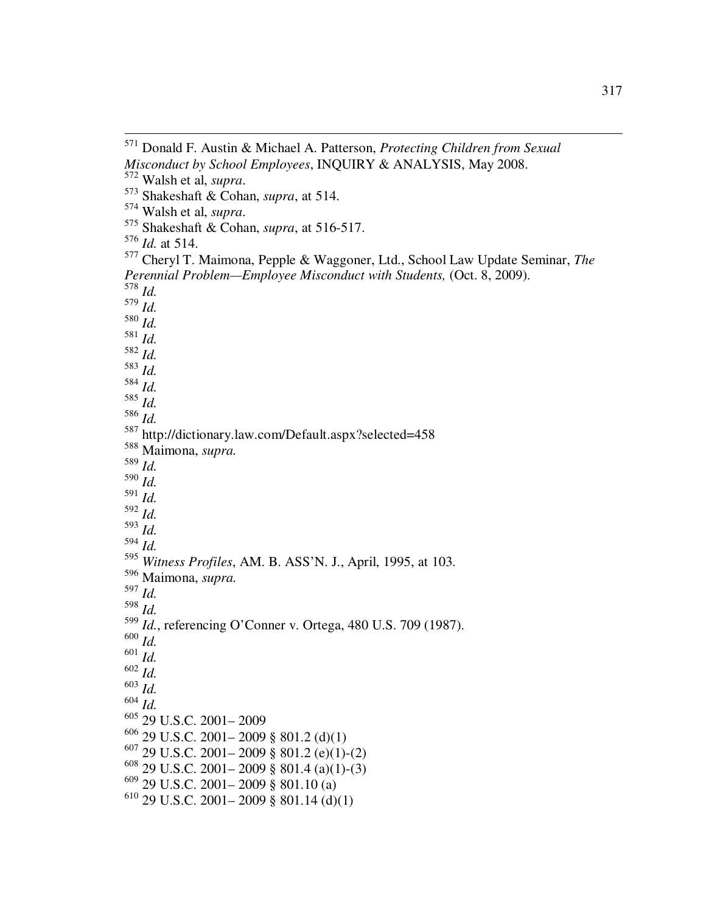$\overline{a}$ 

 Donald F. Austin & Michael A. Patterson, *Protecting Children from Sexual Misconduct by School Employees*, INQUIRY & ANALYSIS, May 2008. Walsh et al, *supra*.

Shakeshaft & Cohan, *supra*, at 514.

Walsh et al, *supra*.

Shakeshaft & Cohan, *supra*, at 516-517.

*Id.* at 514.

 Cheryl T. Maimona, Pepple & Waggoner, Ltd., School Law Update Seminar, *The Perennial Problem—Employee Misconduct with Students,* (Oct. 8, 2009). *Id.*  $579 \overline{Id}$ . *Id. Id. Id. Id. Id. Id. Id.*  http://dictionary.law.com/Default.aspx?selected=458 Maimona, *supra. Id. Id. Id. Id. Id. Id. Witness Profiles*, AM. B. ASS'N. J., April, 1995, at 103. Maimona, *supra. Id. Id. Id.*, referencing O'Conner v. Ortega, 480 U.S. 709 (1987). *Id. Id. Id. Id. Id.* 29 U.S.C. 2001– 2009 29 U.S.C. 2001– 2009 § 801.2 (d)(1) 29 U.S.C. 2001–2009 § 801.2 (e)(1)-(2) 29 U.S.C. 2001–2009 § 801.4 (a)(1)-(3) 29 U.S.C. 2001–2009 § 801.10 (a) 29 U.S.C. 2001–2009 § 801.14 (d)(1)